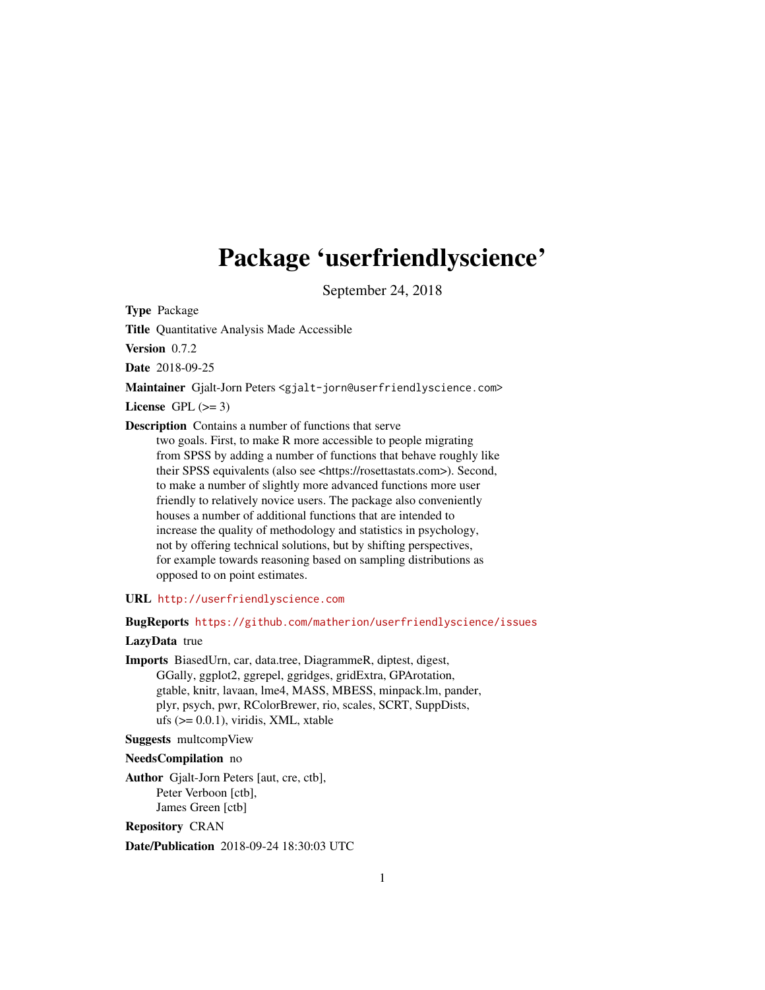# <span id="page-0-0"></span>Package 'userfriendlyscience'

September 24, 2018

Type Package

Title Quantitative Analysis Made Accessible

Version 0.7.2

Date 2018-09-25

Maintainer Gjalt-Jorn Peters <gjalt-jorn@userfriendlyscience.com>

License GPL  $(>= 3)$ 

Description Contains a number of functions that serve

two goals. First, to make R more accessible to people migrating from SPSS by adding a number of functions that behave roughly like their SPSS equivalents (also see <https://rosettastats.com>). Second, to make a number of slightly more advanced functions more user friendly to relatively novice users. The package also conveniently houses a number of additional functions that are intended to increase the quality of methodology and statistics in psychology, not by offering technical solutions, but by shifting perspectives, for example towards reasoning based on sampling distributions as opposed to on point estimates.

URL <http://userfriendlyscience.com>

BugReports <https://github.com/matherion/userfriendlyscience/issues>

# LazyData true

Imports BiasedUrn, car, data.tree, DiagrammeR, diptest, digest, GGally, ggplot2, ggrepel, ggridges, gridExtra, GPArotation, gtable, knitr, lavaan, lme4, MASS, MBESS, minpack.lm, pander, plyr, psych, pwr, RColorBrewer, rio, scales, SCRT, SuppDists, ufs  $(>= 0.0.1)$ , viridis, XML, xtable

Suggests multcompView

NeedsCompilation no

Author Gjalt-Jorn Peters [aut, cre, ctb], Peter Verboon [ctb], James Green [ctb]

Repository CRAN

Date/Publication 2018-09-24 18:30:03 UTC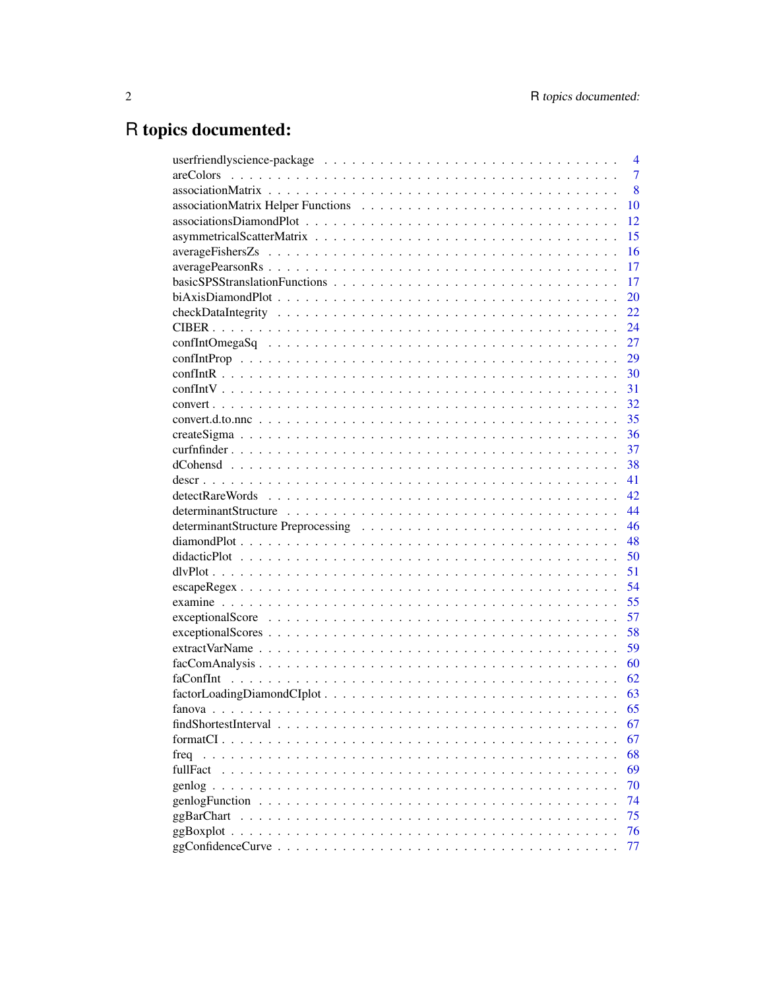# R topics documented:

|            | $\overline{4}$ |
|------------|----------------|
|            | $\overline{7}$ |
|            | 8              |
|            | 10             |
|            | 12             |
|            | 15             |
|            | 16             |
|            | 17             |
|            | 17             |
|            | 20             |
|            | 22             |
|            | 24             |
|            | 27             |
|            | 29             |
|            | 30             |
|            | 31             |
|            | 32             |
|            | 35             |
|            | 36             |
|            | 37             |
|            | 38             |
|            | 41             |
|            | 42             |
|            | 44             |
|            | 46             |
|            | 48             |
|            | 50             |
|            | 51             |
|            | 54             |
|            | 55             |
|            | 57             |
|            | 58             |
|            | 59             |
|            | 60             |
|            | 62             |
|            | 63             |
|            | 65             |
|            | 67             |
|            | 67             |
|            | 68             |
| fullFact   | 69             |
|            | 70             |
|            | 74             |
| ggBarChart | 75             |
|            | 76             |
|            | 77             |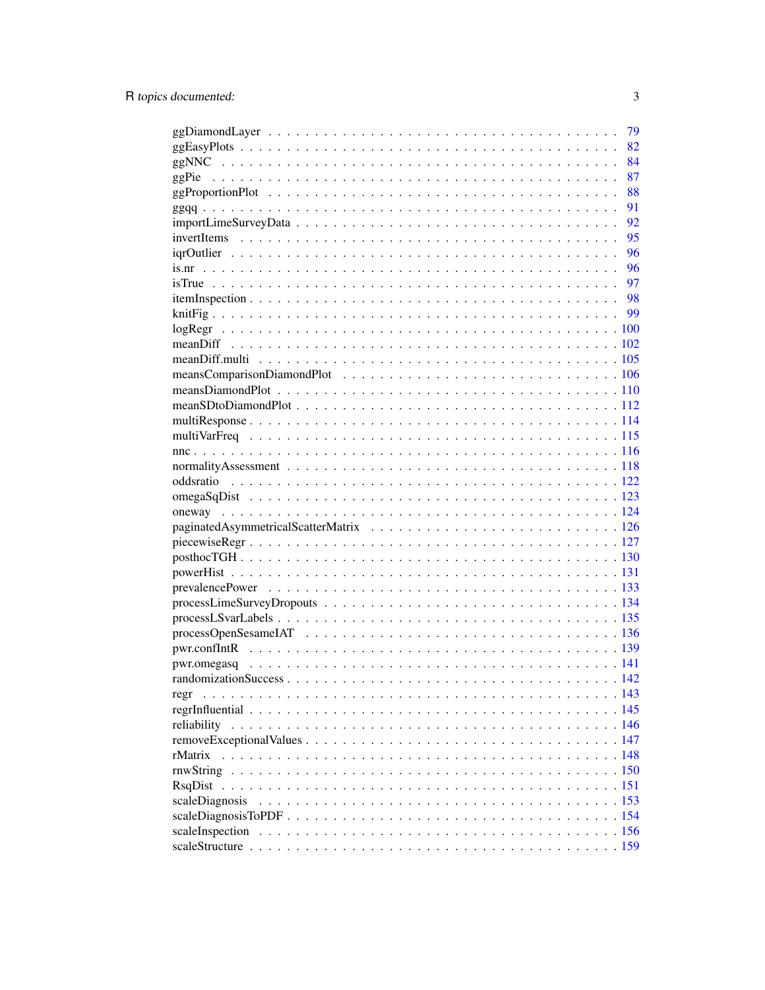|                | 79 |
|----------------|----|
|                | 82 |
|                | 84 |
|                | 87 |
|                | 88 |
|                | 91 |
|                | 92 |
|                | 95 |
|                | 96 |
|                | 96 |
|                |    |
|                |    |
|                |    |
|                |    |
|                |    |
|                |    |
|                |    |
|                |    |
|                |    |
|                |    |
|                |    |
|                |    |
|                |    |
|                |    |
|                |    |
|                |    |
|                |    |
|                |    |
|                |    |
|                |    |
|                |    |
|                |    |
|                |    |
|                |    |
|                |    |
|                |    |
|                |    |
| regr           |    |
|                |    |
|                |    |
|                |    |
| rMatrix        |    |
|                |    |
| RsqDist        |    |
| scaleDiagnosis |    |
|                |    |
|                |    |
|                |    |
|                |    |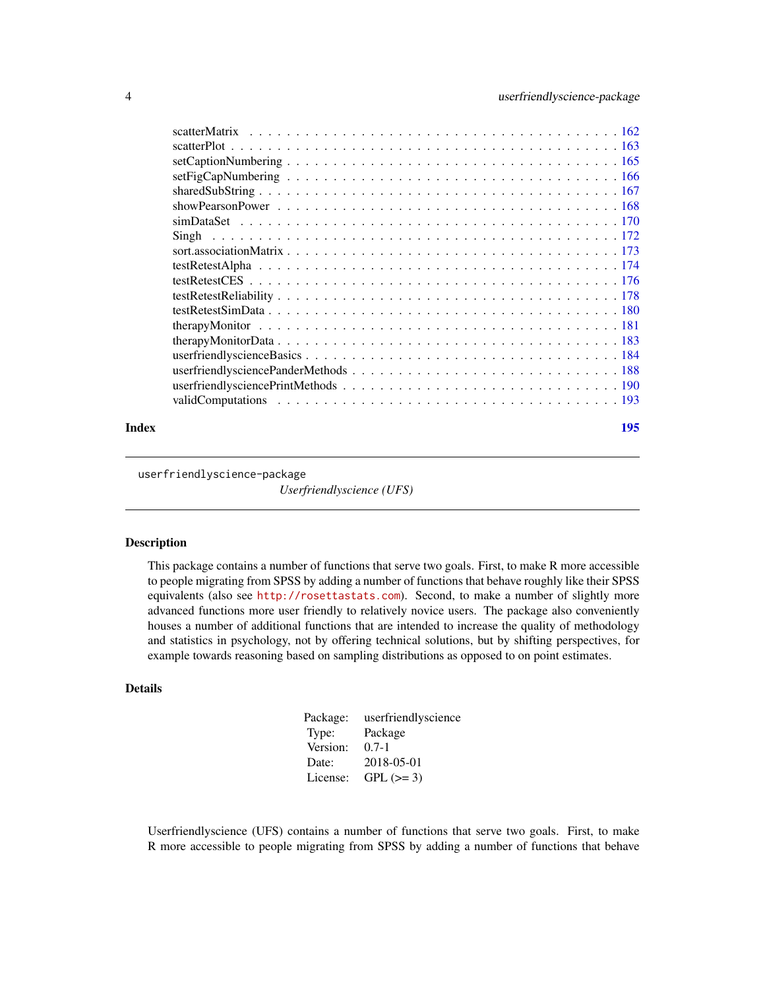<span id="page-3-0"></span>

#### **Index** the contract of the contract of the contract of the contract of the contract of the contract of the contract of the contract of the contract of the contract of the contract of the contract of the contract of the co

userfriendlyscience-package *Userfriendlyscience (UFS)*

# Description

This package contains a number of functions that serve two goals. First, to make R more accessible to people migrating from SPSS by adding a number of functions that behave roughly like their SPSS equivalents (also see <http://rosettastats.com>). Second, to make a number of slightly more advanced functions more user friendly to relatively novice users. The package also conveniently houses a number of additional functions that are intended to increase the quality of methodology and statistics in psychology, not by offering technical solutions, but by shifting perspectives, for example towards reasoning based on sampling distributions as opposed to on point estimates.

# Details

| userfriendlyscience |
|---------------------|
| Package             |
| $0.7 - 1$           |
| 2018-05-01          |
| $GPL (=3)$          |
|                     |

Userfriendlyscience (UFS) contains a number of functions that serve two goals. First, to make R more accessible to people migrating from SPSS by adding a number of functions that behave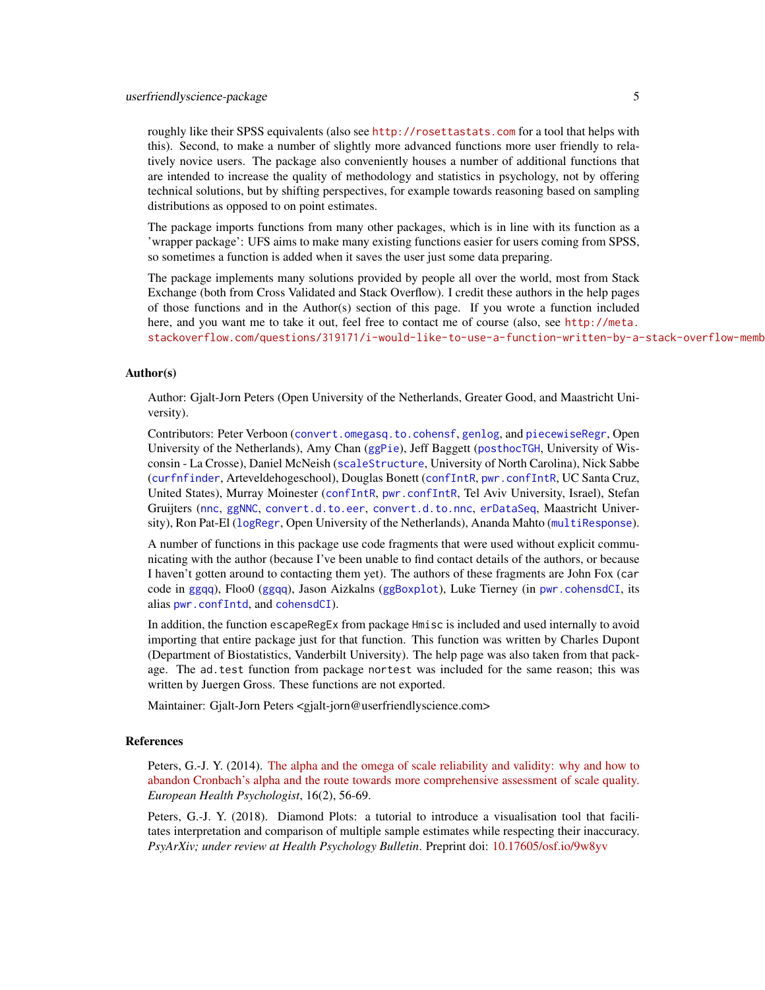roughly like their SPSS equivalents (also see <http://rosettastats.com> for a tool that helps with this). Second, to make a number of slightly more advanced functions more user friendly to relatively novice users. The package also conveniently houses a number of additional functions that are intended to increase the quality of methodology and statistics in psychology, not by offering technical solutions, but by shifting perspectives, for example towards reasoning based on sampling distributions as opposed to on point estimates.

The package imports functions from many other packages, which is in line with its function as a 'wrapper package': UFS aims to make many existing functions easier for users coming from SPSS, so sometimes a function is added when it saves the user just some data preparing.

The package implements many solutions provided by people all over the world, most from Stack Exchange (both from Cross Validated and Stack Overflow). I credit these authors in the help pages of those functions and in the Author(s) section of this page. If you wrote a function included here, and you want me to take it out, feel free to contact me of course (also, see [http://meta.](http://meta.stackoverflow.com/questions/319171/i-would-like-to-use-a-function-written-by-a-stack-overflow-member-in-an-r-packag) stackoverflow.com/questions/319171/i-would-like-to-use-a-function-written-by-a-stack-overflow-memb

#### Author(s)

Author: Gjalt-Jorn Peters (Open University of the Netherlands, Greater Good, and Maastricht University).

Contributors: Peter Verboon ([convert.omegasq.to.cohensf](#page-31-1), [genlog](#page-69-1), and [piecewiseRegr](#page-126-1), Open University of the Netherlands), Amy Chan ([ggPie](#page-86-1)), Jeff Baggett ([posthocTGH](#page-129-1), University of Wisconsin - La Crosse), Daniel McNeish ([scaleStructure](#page-158-1), University of North Carolina), Nick Sabbe ([curfnfinder](#page-36-1), Arteveldehogeschool), Douglas Bonett ([confIntR](#page-29-1), [pwr.confIntR](#page-138-1), UC Santa Cruz, United States), Murray Moinester ([confIntR](#page-29-1), [pwr.confIntR](#page-138-1), Tel Aviv University, Israel), Stefan Gruijters ([nnc](#page-115-1), [ggNNC](#page-83-1), [convert.d.to.eer](#page-34-1), [convert.d.to.nnc](#page-34-2), [erDataSeq](#page-83-2), Maastricht University), Ron Pat-El ([logRegr](#page-99-1), Open University of the Netherlands), Ananda Mahto ([multiResponse](#page-113-1)).

A number of functions in this package use code fragments that were used without explicit communicating with the author (because I've been unable to find contact details of the authors, or because I haven't gotten around to contacting them yet). The authors of these fragments are John Fox (car code in [ggqq](#page-90-1)), Floo0 ([ggqq](#page-90-1)), Jason Aizkalns ([ggBoxplot](#page-75-1)), Luke Tierney (in [pwr.cohensdCI](#page-37-1), its alias [pwr.confIntd](#page-37-1), and [cohensdCI](#page-37-1)).

In addition, the function escapeRegEx from package Hmisc is included and used internally to avoid importing that entire package just for that function. This function was written by Charles Dupont (Department of Biostatistics, Vanderbilt University). The help page was also taken from that package. The ad.test function from package nortest was included for the same reason; this was written by Juergen Gross. These functions are not exported.

Maintainer: Gjalt-Jorn Peters <gjalt-jorn@userfriendlyscience.com>

### References

Peters, G.-J. Y. (2014). [The alpha and the omega of scale reliability and validity: why and how to](https://ehps.net/ehp/index.php/contents/article/download/ehp.v16.i2.p56/1) [abandon Cronbach's alpha and the route towards more comprehensive assessment of scale quality.](https://ehps.net/ehp/index.php/contents/article/download/ehp.v16.i2.p56/1) *European Health Psychologist*, 16(2), 56-69.

Peters, G.-J. Y. (2018). Diamond Plots: a tutorial to introduce a visualisation tool that facilitates interpretation and comparison of multiple sample estimates while respecting their inaccuracy. *PsyArXiv; under review at Health Psychology Bulletin*. Preprint doi: [10.17605/osf.io/9w8yv](https://doi.org/10.17605/osf.io/9w8yv)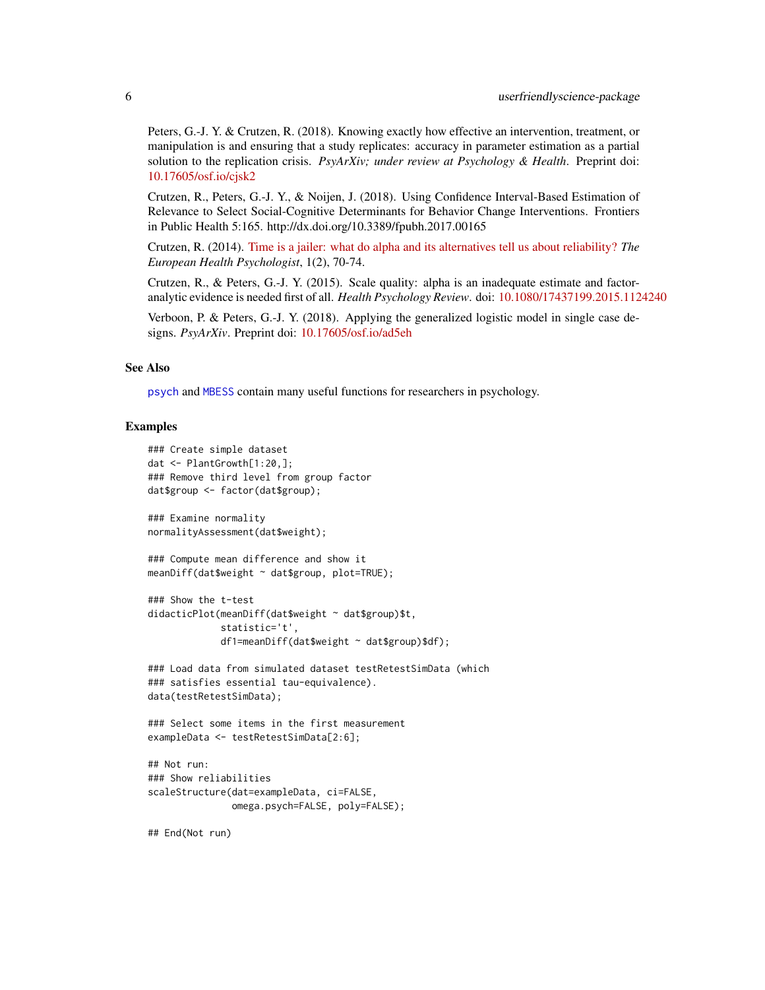Peters, G.-J. Y. & Crutzen, R. (2018). Knowing exactly how effective an intervention, treatment, or manipulation is and ensuring that a study replicates: accuracy in parameter estimation as a partial solution to the replication crisis. *PsyArXiv; under review at Psychology & Health*. Preprint doi: [10.17605/osf.io/cjsk2](https://doi.org/10.17605/osf.io/cjsk2)

Crutzen, R., Peters, G.-J. Y., & Noijen, J. (2018). Using Confidence Interval-Based Estimation of Relevance to Select Social-Cognitive Determinants for Behavior Change Interventions. Frontiers in Public Health 5:165. http://dx.doi.org/10.3389/fpubh.2017.00165

Crutzen, R. (2014). [Time is a jailer: what do alpha and its alternatives tell us about reliability?](https://ehps.net/ehp/index.php/contents/article/download/ehp.v16.i2.p70/25) *The European Health Psychologist*, 1(2), 70-74.

Crutzen, R., & Peters, G.-J. Y. (2015). Scale quality: alpha is an inadequate estimate and factoranalytic evidence is needed first of all. *Health Psychology Review*. doi: [10.1080/17437199.2015.1124240](http://dx.doi.org/10.1080/17437199.2015.1124240)

Verboon, P. & Peters, G.-J. Y. (2018). Applying the generalized logistic model in single case designs. *PsyArXiv*. Preprint doi: [10.17605/osf.io/ad5eh](https://doi.org/10.17605/osf.io/ad5eh)

#### See Also

[psych](#page-0-0) and [MBESS](#page-0-0) contain many useful functions for researchers in psychology.

#### Examples

```
### Create simple dataset
dat <- PlantGrowth[1:20,];
### Remove third level from group factor
dat$group <- factor(dat$group);
### Examine normality
normalityAssessment(dat$weight);
### Compute mean difference and show it
meanDiff(dat$weight ~ dat$group, plot=TRUE);
### Show the t-test
didacticPlot(meanDiff(dat$weight ~ dat$group)$t,
             statistic='t',
             df1=meanDiff(dat$weight ~ dat$group)$df);
### Load data from simulated dataset testRetestSimData (which
### satisfies essential tau-equivalence).
data(testRetestSimData);
### Select some items in the first measurement
exampleData <- testRetestSimData[2:6];
## Not run:
### Show reliabilities
scaleStructure(dat=exampleData, ci=FALSE,
               omega.psych=FALSE, poly=FALSE);
```
## End(Not run)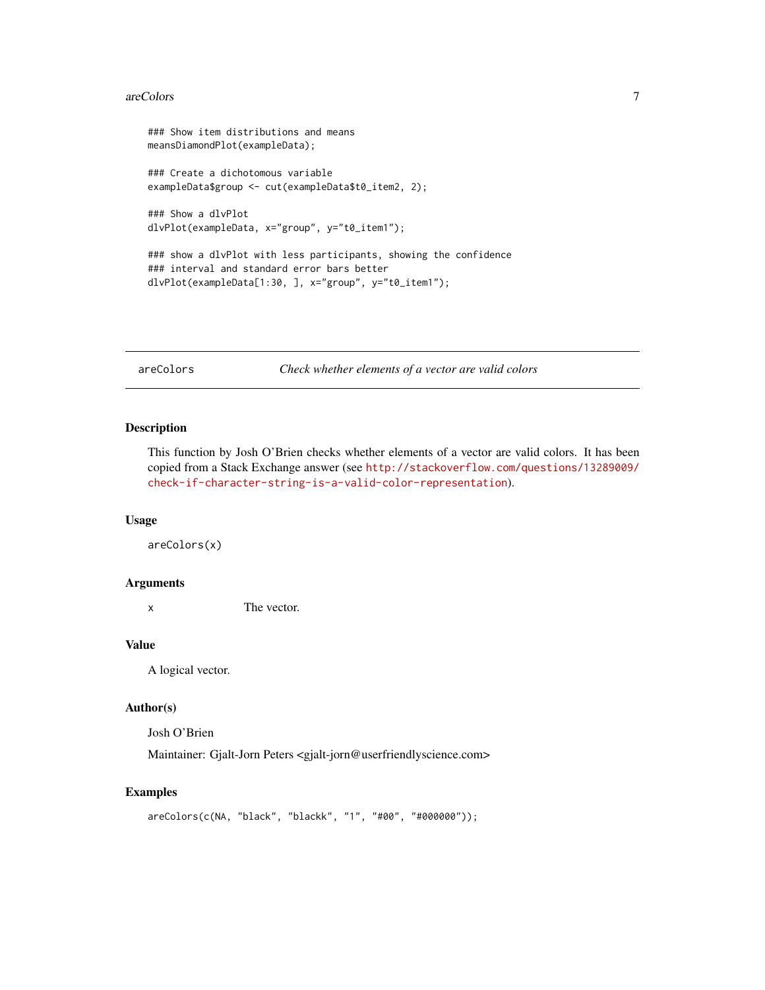#### <span id="page-6-0"></span>areColors **7**

```
### Show item distributions and means
meansDiamondPlot(exampleData);
### Create a dichotomous variable
exampleData$group <- cut(exampleData$t0_item2, 2);
### Show a dlvPlot
dlvPlot(exampleData, x="group", y="t0_item1");
### show a dlvPlot with less participants, showing the confidence
### interval and standard error bars better
dlvPlot(exampleData[1:30, ], x="group", y="t0_item1");
```
areColors *Check whether elements of a vector are valid colors*

#### Description

This function by Josh O'Brien checks whether elements of a vector are valid colors. It has been copied from a Stack Exchange answer (see [http://stackoverflow.com/questions/13289009/](http://stackoverflow.com/questions/13289009/check-if-character-string-is-a-valid-color-representation) [check-if-character-string-is-a-valid-color-representation](http://stackoverflow.com/questions/13289009/check-if-character-string-is-a-valid-color-representation)).

#### Usage

areColors(x)

#### Arguments

x The vector.

#### Value

A logical vector.

# Author(s)

Josh O'Brien

Maintainer: Gjalt-Jorn Peters <gjalt-jorn@userfriendlyscience.com>

# Examples

```
areColors(c(NA, "black", "blackk", "1", "#00", "#000000"));
```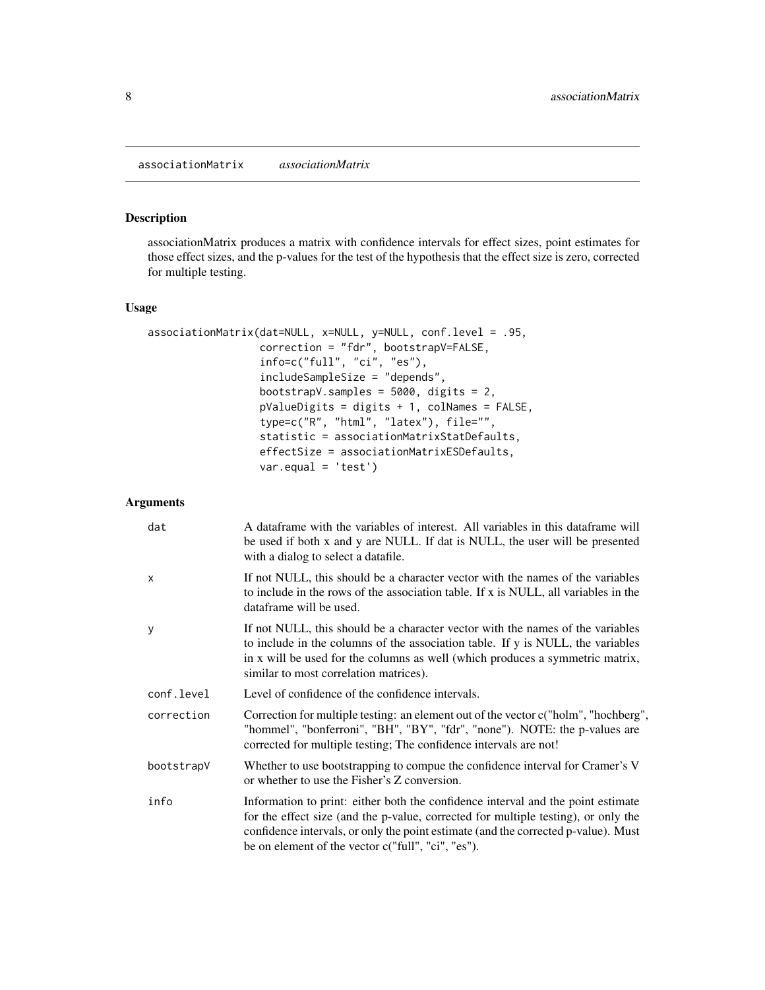#### <span id="page-7-1"></span><span id="page-7-0"></span>Description

associationMatrix produces a matrix with confidence intervals for effect sizes, point estimates for those effect sizes, and the p-values for the test of the hypothesis that the effect size is zero, corrected for multiple testing.

#### Usage

```
associationMatrix(dat=NULL, x=NULL, y=NULL, conf.level = .95,
                  correction = "fdr", bootstrapV=FALSE,
                  info=c("full", "ci", "es"),
                  includeSampleSize = "depends",
                  bootstrapV.samples = 5000, digits = 2,
                  pValueDigits = digits + 1, colNames = FALSE,
                  type=c("R", "html", "latex"), file="",
                  statistic = associationMatrixStatDefaults,
                  effectSize = associationMatrixESDefaults,
                  var.equal = 'test')
```

| dat          | A dataframe with the variables of interest. All variables in this dataframe will<br>be used if both x and y are NULL. If dat is NULL, the user will be presented<br>with a dialog to select a datafile.                                                                                                            |
|--------------|--------------------------------------------------------------------------------------------------------------------------------------------------------------------------------------------------------------------------------------------------------------------------------------------------------------------|
| $\mathsf{x}$ | If not NULL, this should be a character vector with the names of the variables<br>to include in the rows of the association table. If x is NULL, all variables in the<br>dataframe will be used.                                                                                                                   |
| y            | If not NULL, this should be a character vector with the names of the variables<br>to include in the columns of the association table. If y is NULL, the variables<br>in x will be used for the columns as well (which produces a symmetric matrix,<br>similar to most correlation matrices).                       |
| conf.level   | Level of confidence of the confidence intervals.                                                                                                                                                                                                                                                                   |
| correction   | Correction for multiple testing: an element out of the vector c("holm", "hochberg",<br>"hommel", "bonferroni", "BH", "BY", "fdr", "none"). NOTE: the p-values are<br>corrected for multiple testing; The confidence intervals are not!                                                                             |
| bootstrapV   | Whether to use bootstrapping to compue the confidence interval for Cramer's V<br>or whether to use the Fisher's Z conversion.                                                                                                                                                                                      |
| info         | Information to print: either both the confidence interval and the point estimate<br>for the effect size (and the p-value, corrected for multiple testing), or only the<br>confidence intervals, or only the point estimate (and the corrected p-value). Must<br>be on element of the vector c("full", "ci", "es"). |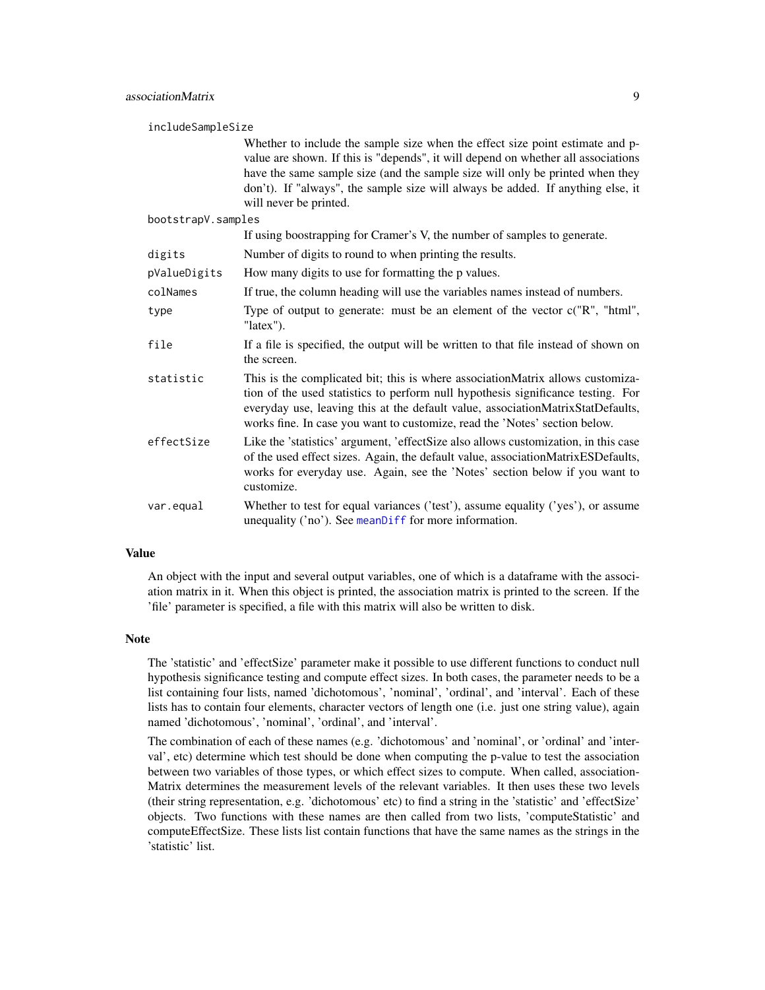| includeSampleSize  |                                                                                                                                                                                                                                                                                                                                                                  |  |
|--------------------|------------------------------------------------------------------------------------------------------------------------------------------------------------------------------------------------------------------------------------------------------------------------------------------------------------------------------------------------------------------|--|
|                    | Whether to include the sample size when the effect size point estimate and p-<br>value are shown. If this is "depends", it will depend on whether all associations<br>have the same sample size (and the sample size will only be printed when they<br>don't). If "always", the sample size will always be added. If anything else, it<br>will never be printed. |  |
| bootstrapV.samples |                                                                                                                                                                                                                                                                                                                                                                  |  |
|                    | If using boostrapping for Cramer's V, the number of samples to generate.                                                                                                                                                                                                                                                                                         |  |
| digits             | Number of digits to round to when printing the results.                                                                                                                                                                                                                                                                                                          |  |
| pValueDigits       | How many digits to use for formatting the p values.                                                                                                                                                                                                                                                                                                              |  |
| colNames           | If true, the column heading will use the variables names instead of numbers.                                                                                                                                                                                                                                                                                     |  |
| type               | Type of output to generate: must be an element of the vector $c("R", "html",$<br>"latex").                                                                                                                                                                                                                                                                       |  |
| file               | If a file is specified, the output will be written to that file instead of shown on<br>the screen.                                                                                                                                                                                                                                                               |  |
| statistic          | This is the complicated bit; this is where associationMatrix allows customiza-<br>tion of the used statistics to perform null hypothesis significance testing. For<br>everyday use, leaving this at the default value, associationMatrixStatDefaults,<br>works fine. In case you want to customize, read the 'Notes' section below.                              |  |
| effectSize         | Like the 'statistics' argument, 'effectSize also allows customization, in this case<br>of the used effect sizes. Again, the default value, associationMatrixESDefaults,<br>works for everyday use. Again, see the 'Notes' section below if you want to<br>customize.                                                                                             |  |
| var.equal          | Whether to test for equal variances ('test'), assume equality ('yes'), or assume<br>unequality ('no'). See meanDiff for more information.                                                                                                                                                                                                                        |  |

#### Value

An object with the input and several output variables, one of which is a dataframe with the association matrix in it. When this object is printed, the association matrix is printed to the screen. If the 'file' parameter is specified, a file with this matrix will also be written to disk.

# Note

The 'statistic' and 'effectSize' parameter make it possible to use different functions to conduct null hypothesis significance testing and compute effect sizes. In both cases, the parameter needs to be a list containing four lists, named 'dichotomous', 'nominal', 'ordinal', and 'interval'. Each of these lists has to contain four elements, character vectors of length one (i.e. just one string value), again named 'dichotomous', 'nominal', 'ordinal', and 'interval'.

The combination of each of these names (e.g. 'dichotomous' and 'nominal', or 'ordinal' and 'interval', etc) determine which test should be done when computing the p-value to test the association between two variables of those types, or which effect sizes to compute. When called, association-Matrix determines the measurement levels of the relevant variables. It then uses these two levels (their string representation, e.g. 'dichotomous' etc) to find a string in the 'statistic' and 'effectSize' objects. Two functions with these names are then called from two lists, 'computeStatistic' and computeEffectSize. These lists list contain functions that have the same names as the strings in the 'statistic' list.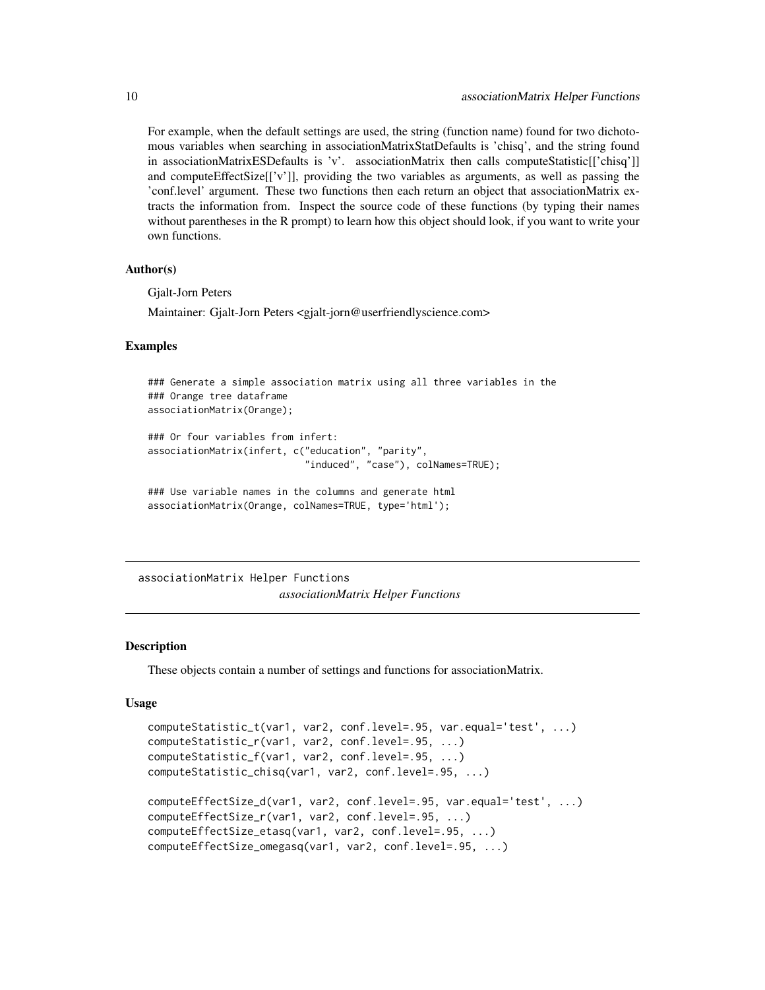For example, when the default settings are used, the string (function name) found for two dichotomous variables when searching in associationMatrixStatDefaults is 'chisq', and the string found in associationMatrixESDefaults is 'v'. associationMatrix then calls computeStatistic[['chisq']] and computeEffectSize[['v']], providing the two variables as arguments, as well as passing the 'conf.level' argument. These two functions then each return an object that associationMatrix extracts the information from. Inspect the source code of these functions (by typing their names without parentheses in the R prompt) to learn how this object should look, if you want to write your own functions.

#### Author(s)

Gjalt-Jorn Peters

Maintainer: Gjalt-Jorn Peters <gjalt-jorn@userfriendlyscience.com>

#### Examples

```
### Generate a simple association matrix using all three variables in the
### Orange tree dataframe
associationMatrix(Orange);
```

```
### Or four variables from infert:
associationMatrix(infert, c("education", "parity",
                            "induced", "case"), colNames=TRUE);
```

```
### Use variable names in the columns and generate html
associationMatrix(Orange, colNames=TRUE, type='html');
```
associationMatrix Helper Functions *associationMatrix Helper Functions*

#### **Description**

These objects contain a number of settings and functions for associationMatrix.

#### Usage

```
computeStatistic_t(var1, var2, conf.level=.95, var.equal='test', ...)
computeStatistic_r(var1, var2, conf.level=.95, ...)
computeStatistic_f(var1, var2, conf.level=.95, ...)
computeStatistic_chisq(var1, var2, conf.level=.95, ...)
computeEffectSize_d(var1, var2, conf.level=.95, var.equal='test', ...)
computeEffectSize_r(var1, var2, conf.level=.95, ...)
computeEffectSize_etasq(var1, var2, conf.level=.95, ...)
computeEffectSize_omegasq(var1, var2, conf.level=.95, ...)
```
<span id="page-9-0"></span>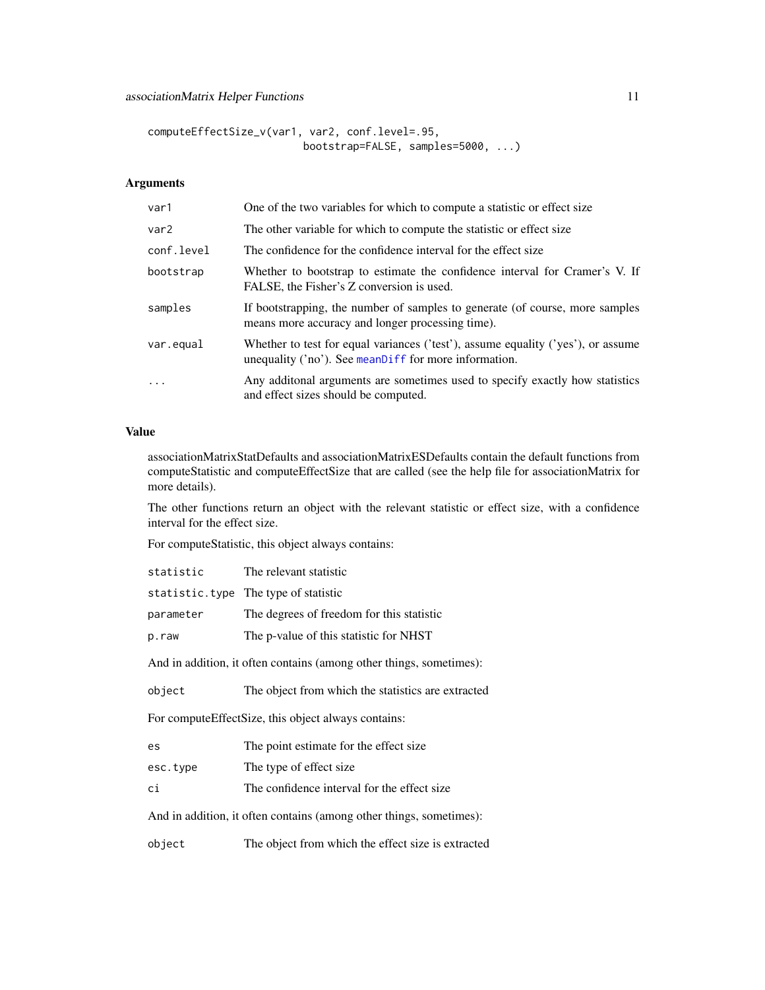```
computeEffectSize_v(var1, var2, conf.level=.95,
                         bootstrap=FALSE, samples=5000, ...)
```
# Arguments

| var1             | One of the two variables for which to compute a statistic or effect size                                                                      |
|------------------|-----------------------------------------------------------------------------------------------------------------------------------------------|
| var <sub>2</sub> | The other variable for which to compute the statistic or effect size                                                                          |
| conf.level       | The confidence for the confidence interval for the effect size                                                                                |
| bootstrap        | Whether to bootstrap to estimate the confidence interval for Cramer's V. If<br>FALSE, the Fisher's Z conversion is used.                      |
| samples          | If bootstrapping, the number of samples to generate (of course, more samples<br>means more accuracy and longer processing time).              |
| var.equal        | Whether to test for equal variances ('test'), assume equality ('yes'), or assume<br>unequality $('no')$ . See mean Diff for more information. |
| .                | Any additonal arguments are sometimes used to specify exactly how statistics<br>and effect sizes should be computed.                          |

# Value

associationMatrixStatDefaults and associationMatrixESDefaults contain the default functions from computeStatistic and computeEffectSize that are called (see the help file for associationMatrix for more details).

The other functions return an object with the relevant statistic or effect size, with a confidence interval for the effect size.

For computeStatistic, this object always contains:

| statistic                                                           | The relevant statistic                             |  |
|---------------------------------------------------------------------|----------------------------------------------------|--|
|                                                                     | statistic.type The type of statistic               |  |
| parameter                                                           | The degrees of freedom for this statistic          |  |
| p.raw                                                               | The p-value of this statistic for NHST             |  |
| And in addition, it often contains (among other things, sometimes): |                                                    |  |
| object                                                              | The object from which the statistics are extracted |  |
| For computeEffectSize, this object always contains:                 |                                                    |  |
| es                                                                  | The point estimate for the effect size.            |  |
| esc.type                                                            | The type of effect size.                           |  |
| сi                                                                  | The confidence interval for the effect size.       |  |
| And in addition, it often contains (among other things, sometimes): |                                                    |  |

object The object from which the effect size is extracted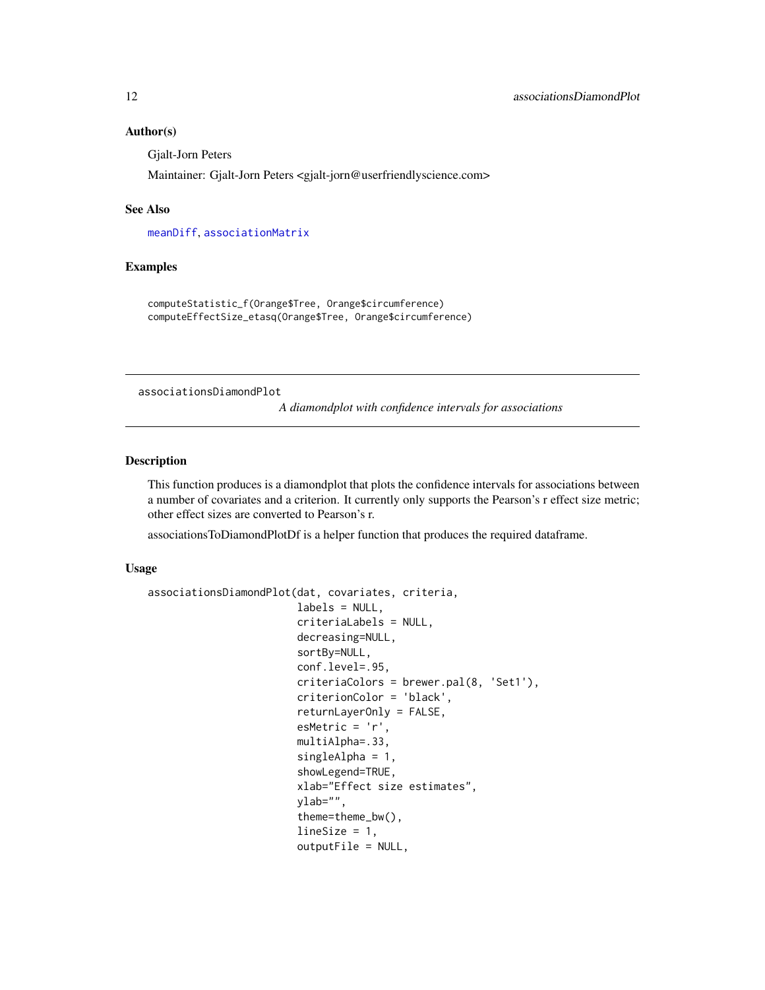#### Author(s)

Gjalt-Jorn Peters

Maintainer: Gjalt-Jorn Peters <gjalt-jorn@userfriendlyscience.com>

#### See Also

[meanDiff](#page-101-1), [associationMatrix](#page-7-1)

# Examples

computeStatistic\_f(Orange\$Tree, Orange\$circumference) computeEffectSize\_etasq(Orange\$Tree, Orange\$circumference)

<span id="page-11-1"></span>associationsDiamondPlot

*A diamondplot with confidence intervals for associations*

# Description

This function produces is a diamondplot that plots the confidence intervals for associations between a number of covariates and a criterion. It currently only supports the Pearson's r effect size metric; other effect sizes are converted to Pearson's r.

associationsToDiamondPlotDf is a helper function that produces the required dataframe.

#### Usage

```
associationsDiamondPlot(dat, covariates, criteria,
                        labels = NULL,
                        criteriaLabels = NULL,
                        decreasing=NULL,
                        sortBy=NULL,
                        conf.level=.95,
                        criteriaColors = brewer.pal(8, 'Set1'),
                        criterionColor = 'black',
                        returnLayerOnly = FALSE,
                        esMetric = 'r',
                        multiAlpha=.33,
                        singleAlpha = 1,
                        showLegend=TRUE,
                        xlab="Effect size estimates",
                        ylab="",
                        theme=theme_bw(),
                        lineSize = 1,
                        outputFile = NULL,
```
<span id="page-11-0"></span>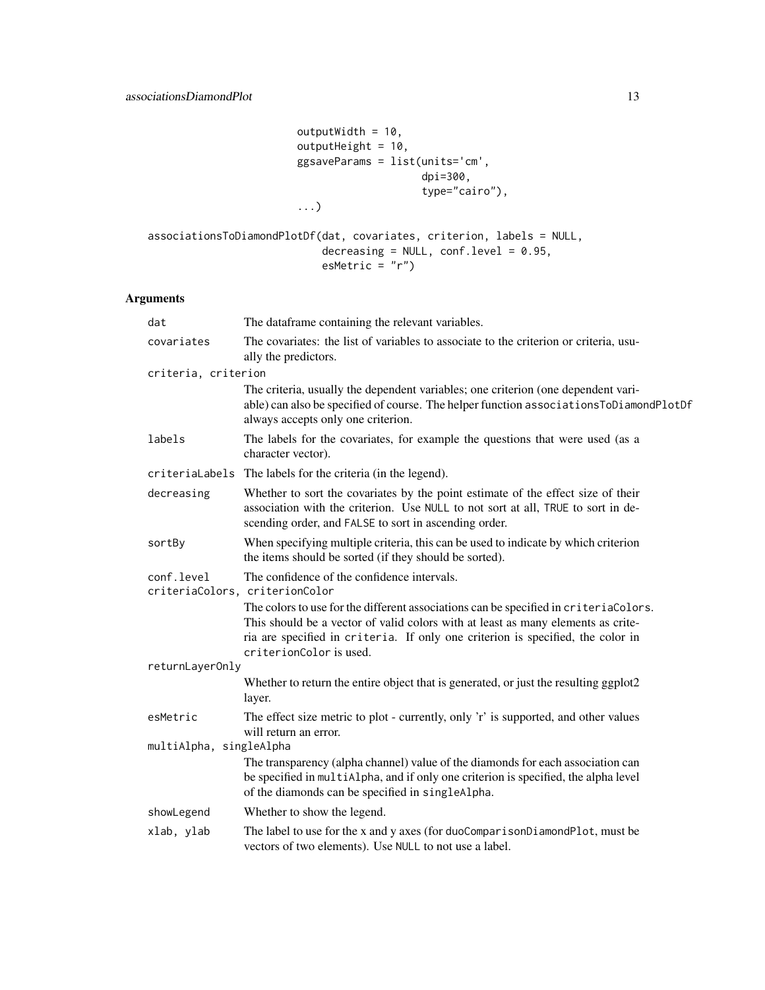```
outputWidth = 10,outputHeight = 10,
ggsaveParams = list(units='cm',
                   dpi=300,
                   type="cairo"),
...)
```

```
associationsToDiamondPlotDf(dat, covariates, criterion, labels = NULL,
                           decreasing = NULL, conf.level = 0.95,
                           esMetric = "r")
```

| dat                     | The dataframe containing the relevant variables.                                                                                                                                                                                                                                       |  |
|-------------------------|----------------------------------------------------------------------------------------------------------------------------------------------------------------------------------------------------------------------------------------------------------------------------------------|--|
| covariates              | The covariates: the list of variables to associate to the criterion or criteria, usu-<br>ally the predictors.                                                                                                                                                                          |  |
| criteria, criterion     |                                                                                                                                                                                                                                                                                        |  |
|                         | The criteria, usually the dependent variables; one criterion (one dependent vari-<br>able) can also be specified of course. The helper function associations ToDiamondPlotDf<br>always accepts only one criterion.                                                                     |  |
| labels                  | The labels for the covariates, for example the questions that were used (as a<br>character vector).                                                                                                                                                                                    |  |
|                         | criteriaLabels The labels for the criteria (in the legend).                                                                                                                                                                                                                            |  |
| decreasing              | Whether to sort the covariates by the point estimate of the effect size of their<br>association with the criterion. Use NULL to not sort at all, TRUE to sort in de-<br>scending order, and FALSE to sort in ascending order.                                                          |  |
| sortBy                  | When specifying multiple criteria, this can be used to indicate by which criterion<br>the items should be sorted (if they should be sorted).                                                                                                                                           |  |
| conf.level              | The confidence of the confidence intervals.<br>criteriaColors, criterionColor                                                                                                                                                                                                          |  |
|                         | The colors to use for the different associations can be specified in criteriaColors.<br>This should be a vector of valid colors with at least as many elements as crite-<br>ria are specified in criteria. If only one criterion is specified, the color in<br>criterionColor is used. |  |
| returnLayerOnly         |                                                                                                                                                                                                                                                                                        |  |
|                         | Whether to return the entire object that is generated, or just the resulting ggplot2<br>layer.                                                                                                                                                                                         |  |
| esMetric                | The effect size metric to plot - currently, only 'r' is supported, and other values<br>will return an error.                                                                                                                                                                           |  |
| multiAlpha, singleAlpha |                                                                                                                                                                                                                                                                                        |  |
|                         | The transparency (alpha channel) value of the diamonds for each association can<br>be specified in multiAlpha, and if only one criterion is specified, the alpha level<br>of the diamonds can be specified in singleAlpha.                                                             |  |
| showLegend              | Whether to show the legend.                                                                                                                                                                                                                                                            |  |
| xlab, ylab              | The label to use for the x and y axes (for duoComparisonDiamondPlot, must be<br>vectors of two elements). Use NULL to not use a label.                                                                                                                                                 |  |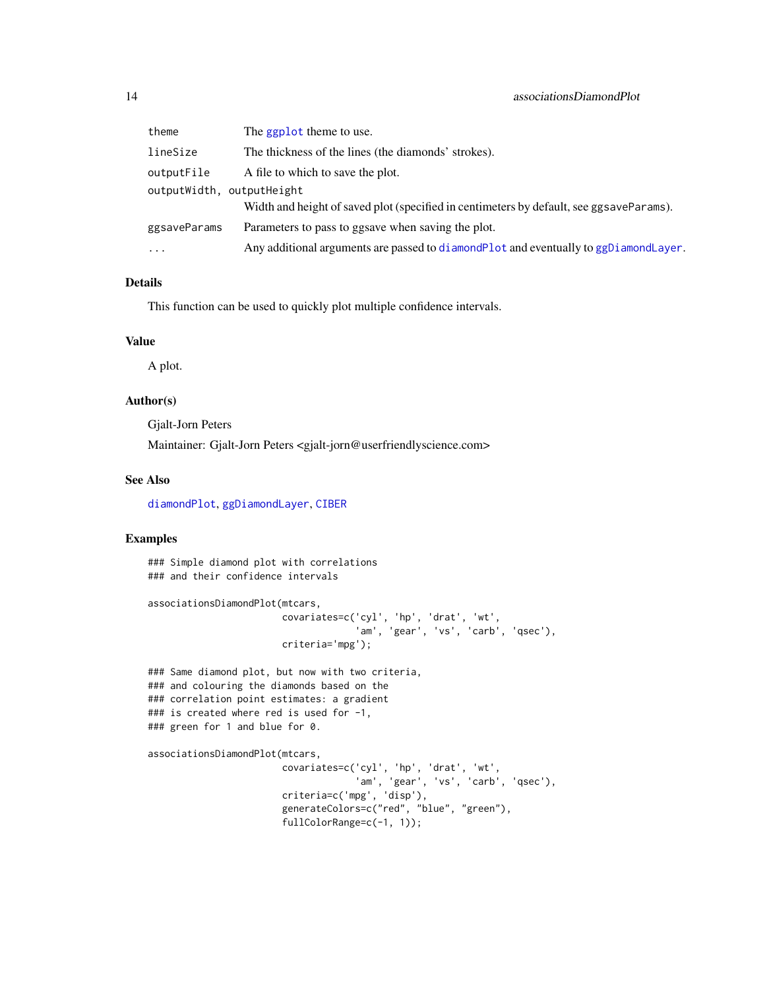| theme                     | The ggplot theme to use.                                                                |
|---------------------------|-----------------------------------------------------------------------------------------|
| lineSize                  | The thickness of the lines (the diamonds' strokes).                                     |
| outputFile                | A file to which to save the plot.                                                       |
| outputWidth, outputHeight | Width and height of saved plot (specified in centimeters by default, see ggsaveParams). |
| ggsaveParams              | Parameters to pass to ggsave when saving the plot.                                      |
| .                         | Any additional arguments are passed to diamond Plot and eventually to ggDiamond Layer.  |

# Details

This function can be used to quickly plot multiple confidence intervals.

#### Value

A plot.

# Author(s)

Gjalt-Jorn Peters

Maintainer: Gjalt-Jorn Peters <gjalt-jorn@userfriendlyscience.com>

# See Also

[diamondPlot](#page-47-1), [ggDiamondLayer](#page-78-1), [CIBER](#page-23-1)

# Examples

### Simple diamond plot with correlations ### and their confidence intervals

```
associationsDiamondPlot(mtcars,
                        covariates=c('cyl', 'hp', 'drat', 'wt',
                                    'am', 'gear', 'vs', 'carb', 'qsec'),
                        criteria='mpg');
```
### Same diamond plot, but now with two criteria, ### and colouring the diamonds based on the ### correlation point estimates: a gradient ### is created where red is used for -1, ### green for 1 and blue for 0.

associationsDiamondPlot(mtcars,

covariates=c('cyl', 'hp', 'drat', 'wt', 'am', 'gear', 'vs', 'carb', 'qsec'), criteria=c('mpg', 'disp'), generateColors=c("red", "blue", "green"), fullColorRange=c(-1, 1));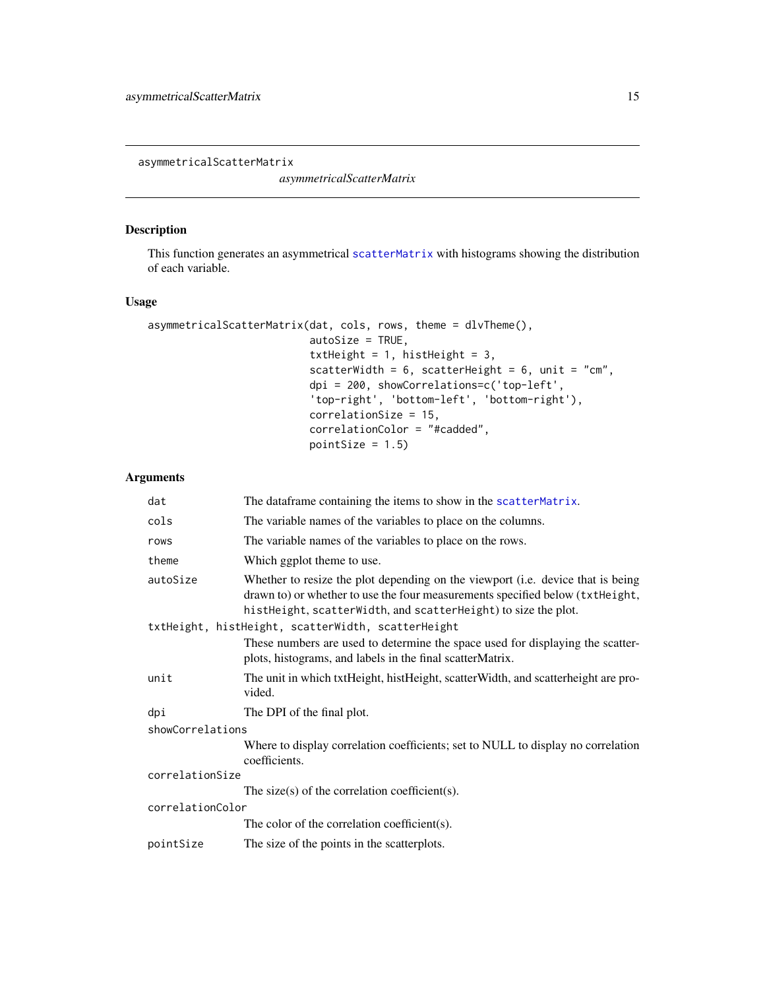<span id="page-14-0"></span>asymmetricalScatterMatrix

*asymmetricalScatterMatrix*

# Description

This function generates an asymmetrical [scatterMatrix](#page-161-1) with histograms showing the distribution of each variable.

# Usage

```
asymmetricalScatterMatrix(dat, cols, rows, theme = dlvTheme(),
                          autoSize = TRUE,
                          txtHeight = 1, histHeight = 3,
                          scatterWidth = 6, scatterHeight = 6, unit = "cm",
                          dpi = 200, showCorrelations=c('top-left',
                          'top-right', 'bottom-left', 'bottom-right'),
                          correlationSize = 15,
                          correlationColor = "#cadded",
                          pointSize = 1.5)
```

| dat              | The dataframe containing the items to show in the scatter Matrix.                                                                                                                                                                  |  |
|------------------|------------------------------------------------------------------------------------------------------------------------------------------------------------------------------------------------------------------------------------|--|
| cols             | The variable names of the variables to place on the columns.                                                                                                                                                                       |  |
| rows             | The variable names of the variables to place on the rows.                                                                                                                                                                          |  |
| theme            | Which ggplot theme to use.                                                                                                                                                                                                         |  |
| autoSize         | Whether to resize the plot depending on the viewport (i.e. device that is being<br>drawn to) or whether to use the four measurements specified below (txtHeight,<br>histHeight, scatterWidth, and scatterHeight) to size the plot. |  |
|                  | txtHeight, histHeight, scatterWidth, scatterHeight                                                                                                                                                                                 |  |
|                  | These numbers are used to determine the space used for displaying the scatter-<br>plots, histograms, and labels in the final scatter Matrix.                                                                                       |  |
| unit             | The unit in which txtHeight, histHeight, scatterWidth, and scatterheight are pro-<br>vided.                                                                                                                                        |  |
| dpi              | The DPI of the final plot.                                                                                                                                                                                                         |  |
| showCorrelations |                                                                                                                                                                                                                                    |  |
|                  | Where to display correlation coefficients; set to NULL to display no correlation<br>coefficients.                                                                                                                                  |  |
| correlationSize  |                                                                                                                                                                                                                                    |  |
|                  | The size(s) of the correlation coefficient(s).                                                                                                                                                                                     |  |
| correlationColor |                                                                                                                                                                                                                                    |  |
|                  | The color of the correlation coefficient(s).                                                                                                                                                                                       |  |
| pointSize        | The size of the points in the scatterplots.                                                                                                                                                                                        |  |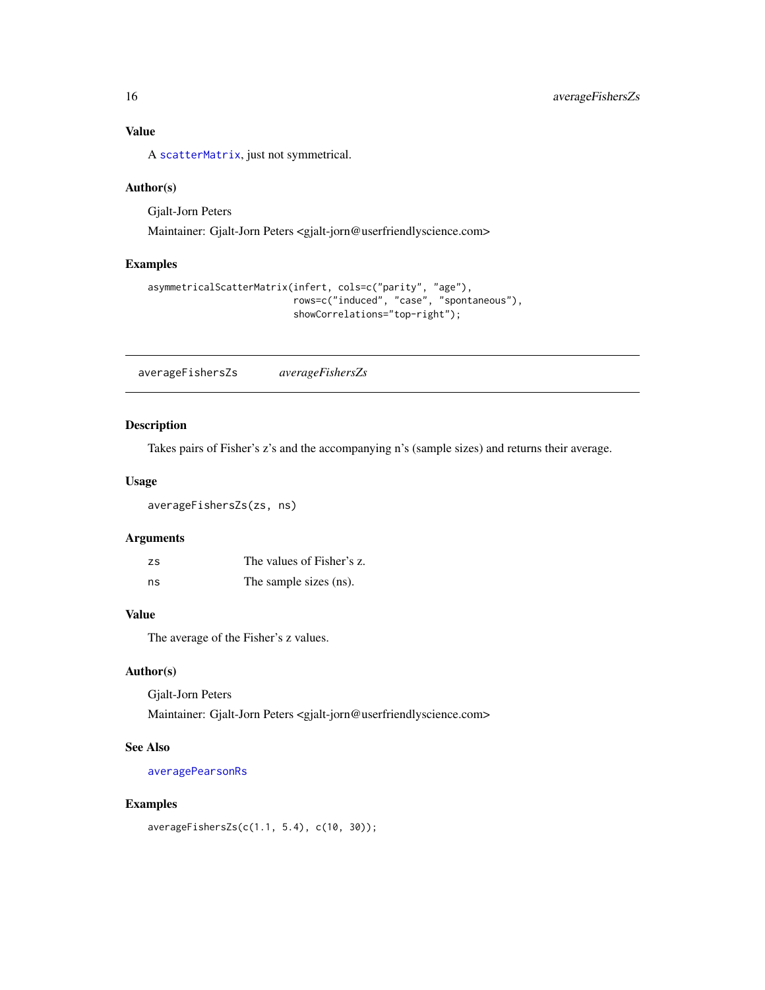# <span id="page-15-0"></span>Value

A [scatterMatrix](#page-161-1), just not symmetrical.

#### Author(s)

Gjalt-Jorn Peters

Maintainer: Gjalt-Jorn Peters <gjalt-jorn@userfriendlyscience.com>

# Examples

```
asymmetricalScatterMatrix(infert, cols=c("parity", "age"),
                          rows=c("induced", "case", "spontaneous"),
                          showCorrelations="top-right");
```
<span id="page-15-1"></span>averageFishersZs *averageFishersZs*

# Description

Takes pairs of Fisher's z's and the accompanying n's (sample sizes) and returns their average.

# Usage

averageFishersZs(zs, ns)

#### Arguments

| <b>ZS</b> | The values of Fisher's z. |
|-----------|---------------------------|
| ns        | The sample sizes (ns).    |

# Value

The average of the Fisher's z values.

# Author(s)

Gjalt-Jorn Peters

Maintainer: Gjalt-Jorn Peters <gjalt-jorn@userfriendlyscience.com>

# See Also

[averagePearsonRs](#page-16-1)

# Examples

averageFishersZs(c(1.1, 5.4), c(10, 30));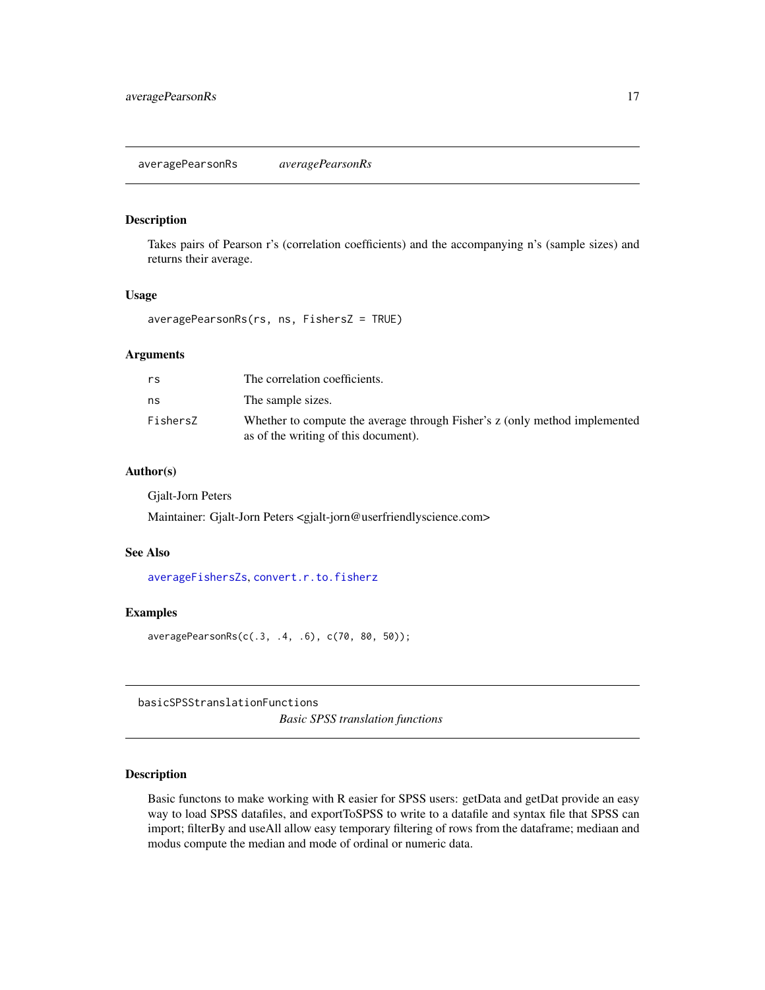# <span id="page-16-1"></span><span id="page-16-0"></span>Description

Takes pairs of Pearson r's (correlation coefficients) and the accompanying n's (sample sizes) and returns their average.

# Usage

averagePearsonRs(rs, ns, FishersZ = TRUE)

#### Arguments

| rs       | The correlation coefficients.                                                                                      |
|----------|--------------------------------------------------------------------------------------------------------------------|
| ns       | The sample sizes.                                                                                                  |
| FishersZ | Whether to compute the average through Fisher's z (only method implemented<br>as of the writing of this document). |

#### Author(s)

Gjalt-Jorn Peters

Maintainer: Gjalt-Jorn Peters <gjalt-jorn@userfriendlyscience.com>

#### See Also

[averageFishersZs](#page-15-1), [convert.r.to.fisherz](#page-31-1)

#### Examples

averagePearsonRs(c(.3, .4, .6), c(70, 80, 50));

basicSPSStranslationFunctions *Basic SPSS translation functions*

#### Description

Basic functons to make working with R easier for SPSS users: getData and getDat provide an easy way to load SPSS datafiles, and exportToSPSS to write to a datafile and syntax file that SPSS can import; filterBy and useAll allow easy temporary filtering of rows from the dataframe; mediaan and modus compute the median and mode of ordinal or numeric data.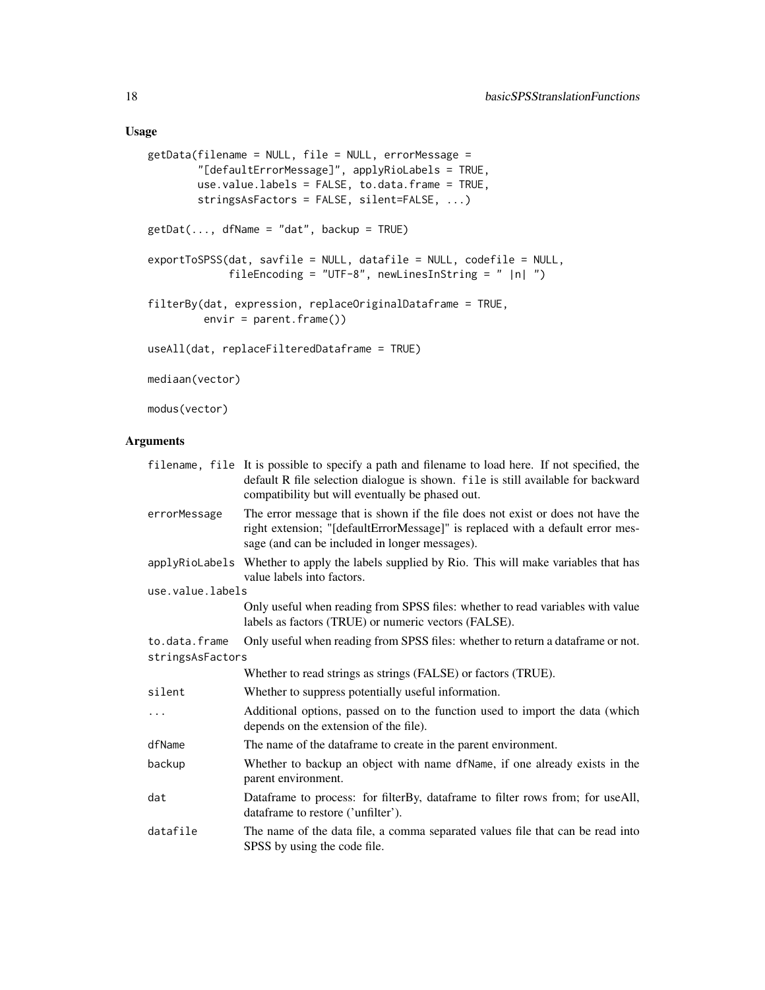# Usage

```
getData(filename = NULL, file = NULL, errorMessage =
        "[defaultErrorMessage]", applyRioLabels = TRUE,
        use.value.labels = FALSE, to.data.frame = TRUE,
        stringsAsFactors = FALSE, silent=FALSE, ...)
getDot(..., dfName = "dat", backup = TRUE)exportToSPSS(dat, savfile = NULL, datafile = NULL, codefile = NULL,
             fileEncoding = "UTF-8", newLinesInString = " |n| ")
filterBy(dat, expression, replaceOriginalDataframe = TRUE,
        envir = parent.frame()useAll(dat, replaceFilteredDataframe = TRUE)
mediaan(vector)
```
modus(vector)

|                  | filename, file It is possible to specify a path and filename to load here. If not specified, the<br>default R file selection dialogue is shown. file is still available for backward<br>compatibility but will eventually be phased out. |
|------------------|------------------------------------------------------------------------------------------------------------------------------------------------------------------------------------------------------------------------------------------|
| errorMessage     | The error message that is shown if the file does not exist or does not have the<br>right extension; "[defaultErrorMessage]" is replaced with a default error mes-<br>sage (and can be included in longer messages).                      |
|                  | applyRioLabels Whether to apply the labels supplied by Rio. This will make variables that has<br>value labels into factors.                                                                                                              |
| use.value.labels |                                                                                                                                                                                                                                          |
|                  | Only useful when reading from SPSS files: whether to read variables with value<br>labels as factors (TRUE) or numeric vectors (FALSE).                                                                                                   |
| to.data.frame    | Only useful when reading from SPSS files: whether to return a dataframe or not.                                                                                                                                                          |
| stringsAsFactors |                                                                                                                                                                                                                                          |
|                  | Whether to read strings as strings (FALSE) or factors (TRUE).                                                                                                                                                                            |
| silent           | Whether to suppress potentially useful information.                                                                                                                                                                                      |
| $\cdots$         | Additional options, passed on to the function used to import the data (which<br>depends on the extension of the file).                                                                                                                   |
| dfName           | The name of the dataframe to create in the parent environment.                                                                                                                                                                           |
| backup           | Whether to backup an object with name dfName, if one already exists in the<br>parent environment.                                                                                                                                        |
| dat              | Dataframe to process: for filterBy, dataframe to filter rows from; for useAll,<br>dataframe to restore ('unfilter').                                                                                                                     |
| datafile         | The name of the data file, a comma separated values file that can be read into<br>SPSS by using the code file.                                                                                                                           |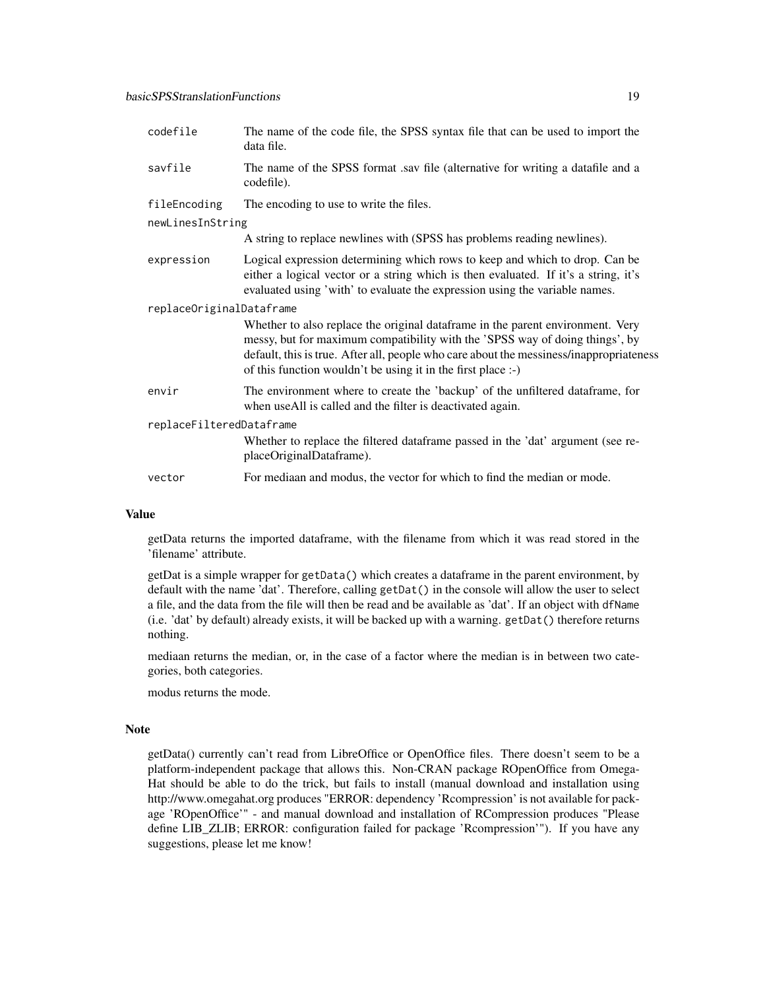| codefile                 | The name of the code file, the SPSS syntax file that can be used to import the<br>data file.                                                                                                                                                                                                                              |  |
|--------------------------|---------------------------------------------------------------------------------------------------------------------------------------------------------------------------------------------------------------------------------------------------------------------------------------------------------------------------|--|
| savfile                  | The name of the SPSS format .sav file (alternative for writing a datafile and a<br>codefile).                                                                                                                                                                                                                             |  |
| fileEncoding             | The encoding to use to write the files.                                                                                                                                                                                                                                                                                   |  |
| newLinesInString         |                                                                                                                                                                                                                                                                                                                           |  |
|                          | A string to replace newlines with (SPSS has problems reading newlines).                                                                                                                                                                                                                                                   |  |
| expression               | Logical expression determining which rows to keep and which to drop. Can be<br>either a logical vector or a string which is then evaluated. If it's a string, it's<br>evaluated using 'with' to evaluate the expression using the variable names.                                                                         |  |
| replaceOriginalDataframe |                                                                                                                                                                                                                                                                                                                           |  |
|                          | Whether to also replace the original dataframe in the parent environment. Very<br>messy, but for maximum compatibility with the 'SPSS way of doing things', by<br>default, this is true. After all, people who care about the messiness/inappropriateness<br>of this function wouldn't be using it in the first place :-) |  |
| envir                    | The environment where to create the 'backup' of the unfiltered dataframe, for<br>when useAll is called and the filter is deactivated again.                                                                                                                                                                               |  |
| replaceFilteredDataframe |                                                                                                                                                                                                                                                                                                                           |  |
|                          | Whether to replace the filtered dataframe passed in the 'dat' argument (see re-<br>placeOriginalDataframe).                                                                                                                                                                                                               |  |
| vector                   | For mediaan and modus, the vector for which to find the median or mode.                                                                                                                                                                                                                                                   |  |

#### Value

getData returns the imported dataframe, with the filename from which it was read stored in the 'filename' attribute.

getDat is a simple wrapper for getData() which creates a dataframe in the parent environment, by default with the name 'dat'. Therefore, calling getDat() in the console will allow the user to select a file, and the data from the file will then be read and be available as 'dat'. If an object with dfName (i.e. 'dat' by default) already exists, it will be backed up with a warning. getDat() therefore returns nothing.

mediaan returns the median, or, in the case of a factor where the median is in between two categories, both categories.

modus returns the mode.

#### **Note**

getData() currently can't read from LibreOffice or OpenOffice files. There doesn't seem to be a platform-independent package that allows this. Non-CRAN package ROpenOffice from Omega-Hat should be able to do the trick, but fails to install (manual download and installation using http://www.omegahat.org produces "ERROR: dependency 'Rcompression' is not available for package 'ROpenOffice'" - and manual download and installation of RCompression produces "Please define LIB ZLIB; ERROR: configuration failed for package 'Rcompression'"). If you have any suggestions, please let me know!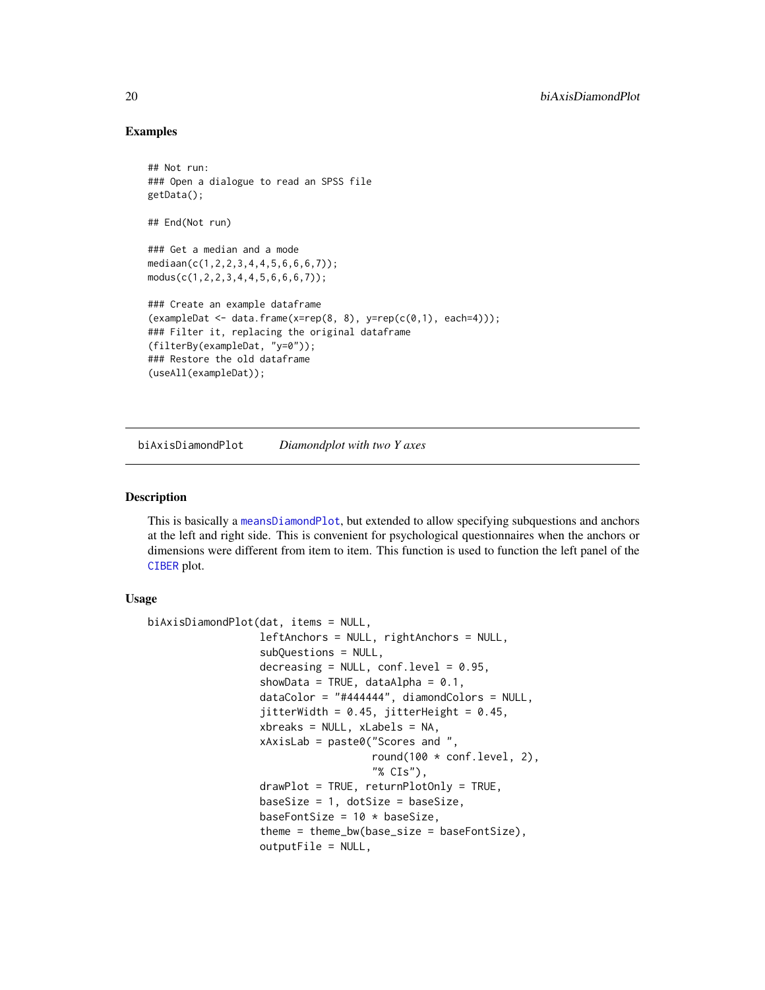### Examples

```
## Not run:
### Open a dialogue to read an SPSS file
getData();
## End(Not run)
### Get a median and a mode
mediaan(c(1,2,2,3,4,4,5,6,6,6,7));
modus(c(1,2,2,3,4,4,5,6,6,6,7));
### Create an example dataframe
(exampleData <- data frame(x=rep(8, 8), y=rep(c(0,1), each=4)));### Filter it, replacing the original dataframe
(filterBy(exampleDat, "y=0"));
### Restore the old dataframe
(useAll(exampleDat));
```
<span id="page-19-1"></span>biAxisDiamondPlot *Diamondplot with two Y axes*

#### **Description**

This is basically a [meansDiamondPlot](#page-109-1), but extended to allow specifying subquestions and anchors at the left and right side. This is convenient for psychological questionnaires when the anchors or dimensions were different from item to item. This function is used to function the left panel of the [CIBER](#page-23-1) plot.

# Usage

```
biAxisDiamondPlot(dat, items = NULL,
                  leftAnchors = NULL, rightAnchors = NULL,
                  subQuestions = NULL,
                  decreasing = NULL, conf.level = 0.95,
                  showData = TRUE, dataAlpha = 0.1,
                  dataColor = "#444444", diamondColors = NULL,
                  jitterWidth = 0.45, jitterHeight = 0.45,
                  xbreaks = NULL, xLabels = NA,
                  xAxisLab = paste0("Scores and ",
                                     round(100 * conf.level, 2),
                                     "% CIs"),
                  drawPlot = TRUE, returnPlotOnly = TRUE,
                  baseSize = 1, dotsSize = baseSize,
                  baseFontSize = 10 * baseSize,
                  theme = theme_bw(base_size = baseFontSize),
                  outputFile = NULL,
```
<span id="page-19-0"></span>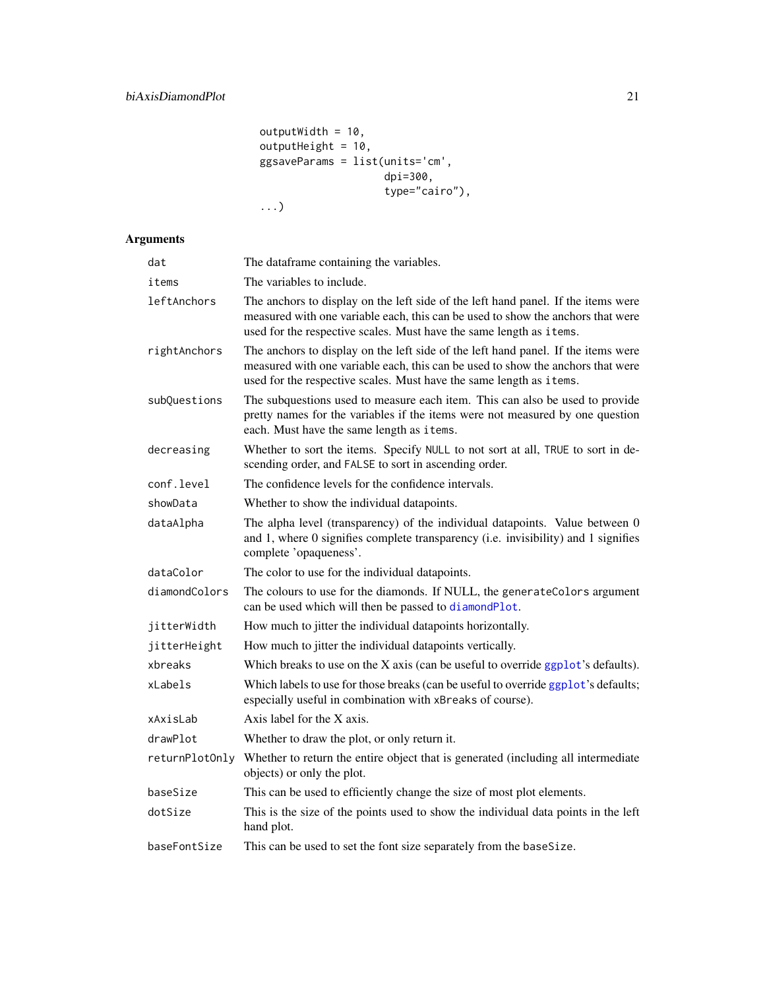```
outputWidth = 10,outputHeight = 10,
ggsaveParams = list(units='cm',
                   dpi=300,
                   type="cairo"),
...)
```

| dat            | The dataframe containing the variables.                                                                                                                                                                                                     |
|----------------|---------------------------------------------------------------------------------------------------------------------------------------------------------------------------------------------------------------------------------------------|
| items          | The variables to include.                                                                                                                                                                                                                   |
| leftAnchors    | The anchors to display on the left side of the left hand panel. If the items were<br>measured with one variable each, this can be used to show the anchors that were<br>used for the respective scales. Must have the same length as items. |
| rightAnchors   | The anchors to display on the left side of the left hand panel. If the items were<br>measured with one variable each, this can be used to show the anchors that were<br>used for the respective scales. Must have the same length as items. |
| subQuestions   | The subquestions used to measure each item. This can also be used to provide<br>pretty names for the variables if the items were not measured by one question<br>each. Must have the same length as items.                                  |
| decreasing     | Whether to sort the items. Specify NULL to not sort at all, TRUE to sort in de-<br>scending order, and FALSE to sort in ascending order.                                                                                                    |
| conf.level     | The confidence levels for the confidence intervals.                                                                                                                                                                                         |
| showData       | Whether to show the individual datapoints.                                                                                                                                                                                                  |
| dataAlpha      | The alpha level (transparency) of the individual datapoints. Value between 0<br>and 1, where 0 signifies complete transparency (i.e. invisibility) and 1 signifies<br>complete 'opaqueness'.                                                |
| dataColor      | The color to use for the individual datapoints.                                                                                                                                                                                             |
| diamondColors  | The colours to use for the diamonds. If NULL, the generate Colors argument<br>can be used which will then be passed to diamondPlot.                                                                                                         |
| jitterWidth    | How much to jitter the individual datapoints horizontally.                                                                                                                                                                                  |
| jitterHeight   | How much to jitter the individual datapoints vertically.                                                                                                                                                                                    |
| xbreaks        | Which breaks to use on the X axis (can be useful to override $ggplot's$ defaults).                                                                                                                                                          |
| xLabels        | Which labels to use for those breaks (can be useful to override ggplot's defaults;<br>especially useful in combination with xBreaks of course).                                                                                             |
| xAxisLab       | Axis label for the X axis.                                                                                                                                                                                                                  |
| drawPlot       | Whether to draw the plot, or only return it.                                                                                                                                                                                                |
| returnPlotOnly | Whether to return the entire object that is generated (including all intermediate<br>objects) or only the plot.                                                                                                                             |
| baseSize       | This can be used to efficiently change the size of most plot elements.                                                                                                                                                                      |
| dotSize        | This is the size of the points used to show the individual data points in the left<br>hand plot.                                                                                                                                            |
| baseFontSize   | This can be used to set the font size separately from the baseSize.                                                                                                                                                                         |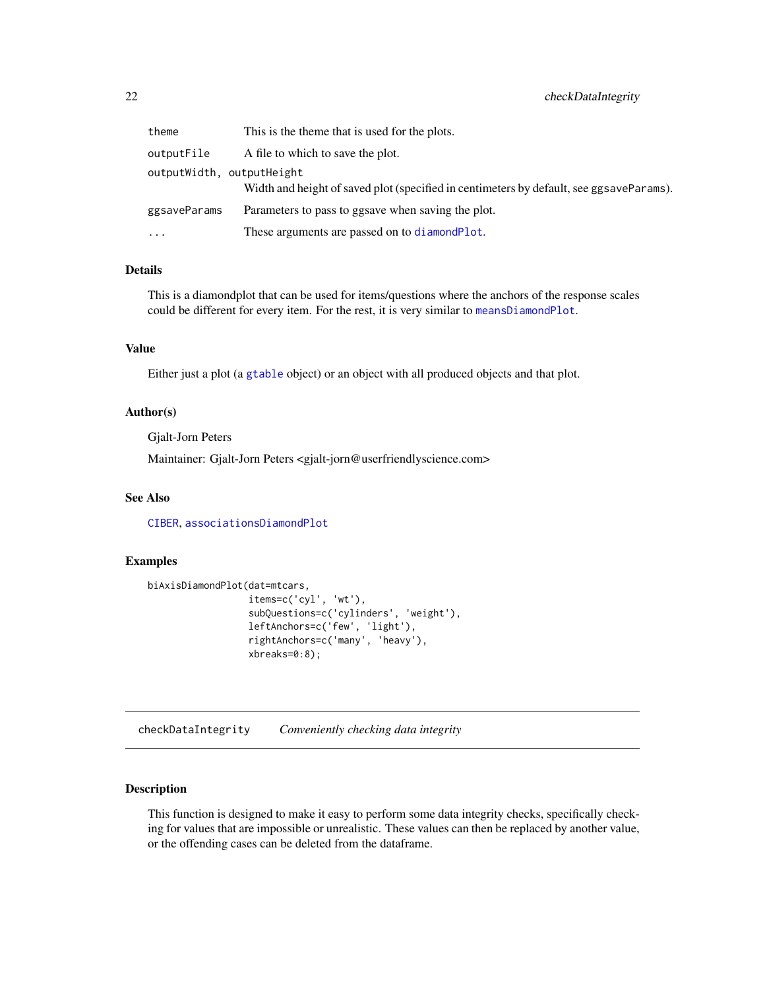<span id="page-21-0"></span>

| theme        | This is the theme that is used for the plots.                                                                        |
|--------------|----------------------------------------------------------------------------------------------------------------------|
| outputFile   | A file to which to save the plot.                                                                                    |
|              | outputWidth, outputHeight<br>Width and height of saved plot (specified in centimeters by default, see ggsaveParams). |
| ggsaveParams | Parameters to pass to ggsave when saving the plot.                                                                   |
| $\cdots$     | These arguments are passed on to diamond Plot.                                                                       |

#### Details

This is a diamondplot that can be used for items/questions where the anchors of the response scales could be different for every item. For the rest, it is very similar to [meansDiamondPlot](#page-109-1).

# Value

Either just a plot (a [gtable](#page-0-0) object) or an object with all produced objects and that plot.

#### Author(s)

Gjalt-Jorn Peters

Maintainer: Gjalt-Jorn Peters <gjalt-jorn@userfriendlyscience.com>

# See Also

[CIBER](#page-23-1), [associationsDiamondPlot](#page-11-1)

#### Examples

```
biAxisDiamondPlot(dat=mtcars,
                  items=c('cyl', 'wt'),
                  subQuestions=c('cylinders', 'weight'),
                  leftAnchors=c('few', 'light'),
                  rightAnchors=c('many', 'heavy'),
                  xbreaks=0:8);
```
checkDataIntegrity *Conveniently checking data integrity*

#### Description

This function is designed to make it easy to perform some data integrity checks, specifically checking for values that are impossible or unrealistic. These values can then be replaced by another value, or the offending cases can be deleted from the dataframe.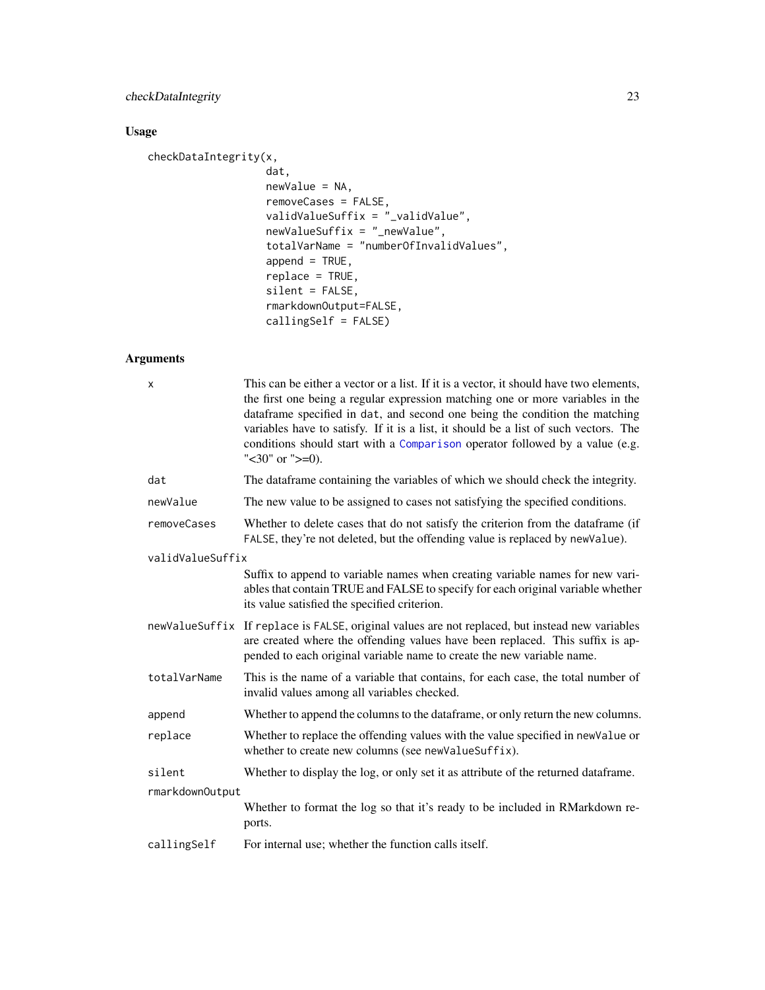# checkDataIntegrity 23

# Usage

```
checkDataIntegrity(x,
                   dat,
                   newValue = NA,
                   removeCases = FALSE,
                   validValueSuffix = "_validValue",
                   newValueSuffix = "_newValue",
                   totalVarName = "numberOfInvalidValues",
                   append = TRUE,replace = TRUE,
                   silent = FALSE,
                   rmarkdownOutput=FALSE,
                   callingSelf = FALSE)
```

| х                | This can be either a vector or a list. If it is a vector, it should have two elements,<br>the first one being a regular expression matching one or more variables in the<br>dataframe specified in dat, and second one being the condition the matching<br>variables have to satisfy. If it is a list, it should be a list of such vectors. The<br>conditions should start with a Comparison operator followed by a value (e.g.<br>" $<$ 30" or " $>=$ 0). |  |
|------------------|------------------------------------------------------------------------------------------------------------------------------------------------------------------------------------------------------------------------------------------------------------------------------------------------------------------------------------------------------------------------------------------------------------------------------------------------------------|--|
| dat              | The dataframe containing the variables of which we should check the integrity.                                                                                                                                                                                                                                                                                                                                                                             |  |
| newValue         | The new value to be assigned to cases not satisfying the specified conditions.                                                                                                                                                                                                                                                                                                                                                                             |  |
| removeCases      | Whether to delete cases that do not satisfy the criterion from the dataframe (if<br>FALSE, they're not deleted, but the offending value is replaced by newValue).                                                                                                                                                                                                                                                                                          |  |
| validValueSuffix |                                                                                                                                                                                                                                                                                                                                                                                                                                                            |  |
|                  | Suffix to append to variable names when creating variable names for new vari-<br>ables that contain TRUE and FALSE to specify for each original variable whether<br>its value satisfied the specified criterion.                                                                                                                                                                                                                                           |  |
|                  | newValueSuffix If replace is FALSE, original values are not replaced, but instead new variables<br>are created where the offending values have been replaced. This suffix is ap-<br>pended to each original variable name to create the new variable name.                                                                                                                                                                                                 |  |
| totalVarName     | This is the name of a variable that contains, for each case, the total number of<br>invalid values among all variables checked.                                                                                                                                                                                                                                                                                                                            |  |
| append           | Whether to append the columns to the dataframe, or only return the new columns.                                                                                                                                                                                                                                                                                                                                                                            |  |
| replace          | Whether to replace the offending values with the value specified in new Value or<br>whether to create new columns (see newValueSuffix).                                                                                                                                                                                                                                                                                                                    |  |
| silent           | Whether to display the log, or only set it as attribute of the returned dataframe.                                                                                                                                                                                                                                                                                                                                                                         |  |
| rmarkdownOutput  |                                                                                                                                                                                                                                                                                                                                                                                                                                                            |  |
|                  | Whether to format the log so that it's ready to be included in RMarkdown re-<br>ports.                                                                                                                                                                                                                                                                                                                                                                     |  |
| callingSelf      | For internal use; whether the function calls itself.                                                                                                                                                                                                                                                                                                                                                                                                       |  |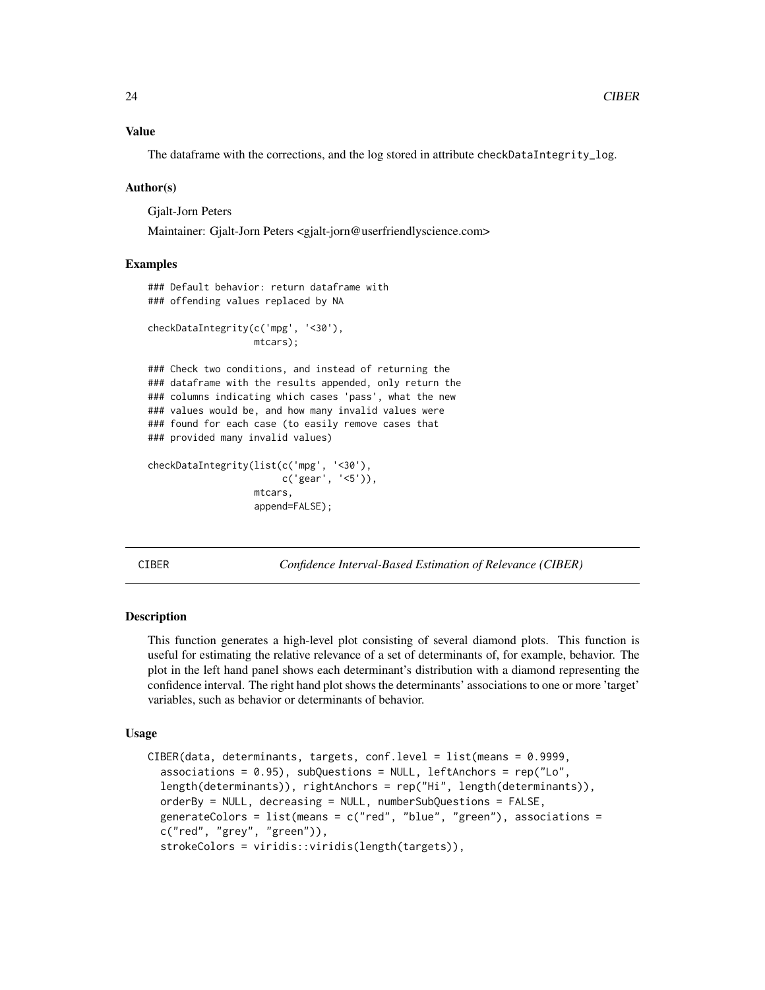#### <span id="page-23-0"></span>Value

The dataframe with the corrections, and the log stored in attribute checkDataIntegrity\_log.

#### Author(s)

Gjalt-Jorn Peters

Maintainer: Gjalt-Jorn Peters <gjalt-jorn@userfriendlyscience.com>

#### Examples

```
### Default behavior: return dataframe with
### offending values replaced by NA
checkDataIntegrity(c('mpg', '<30'),
```
mtcars);

### Check two conditions, and instead of returning the ### dataframe with the results appended, only return the ### columns indicating which cases 'pass', what the new ### values would be, and how many invalid values were ### found for each case (to easily remove cases that ### provided many invalid values)

```
checkDataIntegrity(list(c('mpg', '<30'),
                        c('gear', '<5')),
                   mtcars,
                   append=FALSE);
```
<span id="page-23-1"></span>CIBER *Confidence Interval-Based Estimation of Relevance (CIBER)*

#### Description

This function generates a high-level plot consisting of several diamond plots. This function is useful for estimating the relative relevance of a set of determinants of, for example, behavior. The plot in the left hand panel shows each determinant's distribution with a diamond representing the confidence interval. The right hand plot shows the determinants' associations to one or more 'target' variables, such as behavior or determinants of behavior.

#### Usage

```
CIBER(data, determinants, targets, conf.level = list(means = 0.9999,
  associations = 0.95), subQuestions = NULL, leftAnchors = rep("Lo",
  length(determinants)), rightAnchors = rep("Hi", length(determinants)),
  orderBy = NULL, decreasing = NULL, numberSubQuestions = FALSE,
  generateColors = list(means = c("red", "blue", "green"), associations =
  c("red", "grey", "green")),
  strokeColors = viridis::viridis(length(targets)),
```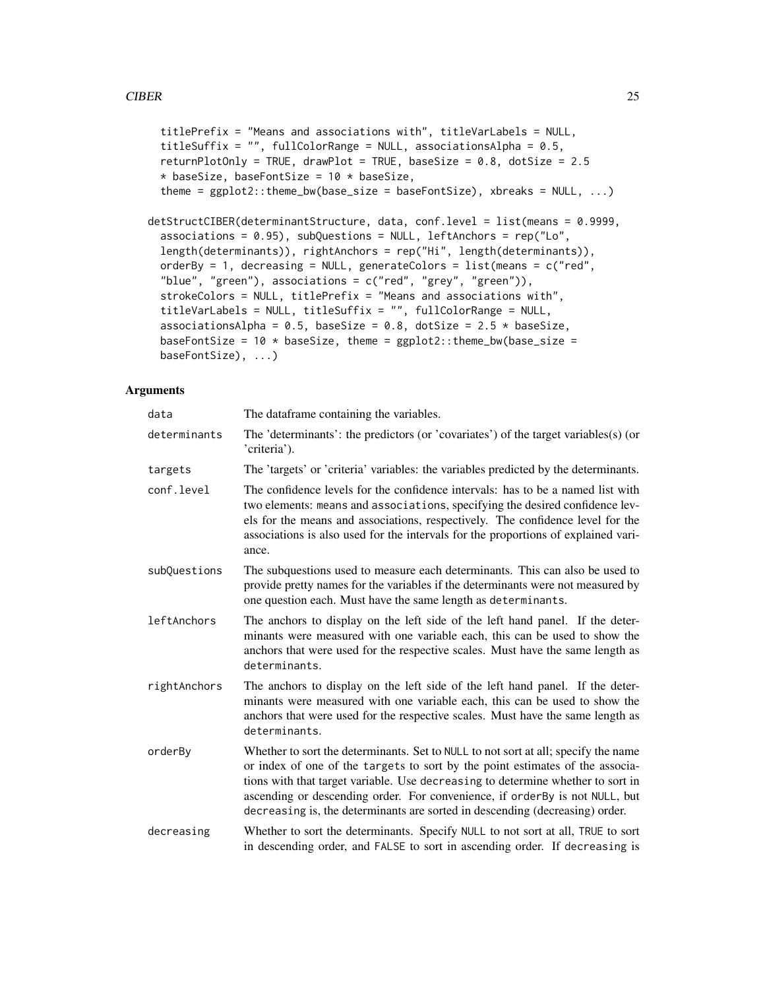```
titlePrefix = "Means and associations with", titleVarLabels = NULL,
  titleSuffix = ", fullColorRange = NULL, associationsAlpha = 0.5,
  returnPlotOnly = TRUE, drawPlot = TRUE, baseSize = 0.8, dotSize = 2.5
  * baseSize, baseFontSize = 10 * baseSize,
  theme = ggplot2::theme_bw(base_size = baseFontSize), xbreaks = NULL, ...)
detStructCIBER(determinantStructure, data, conf.level = list(means = 0.9999,
  associations = 0.95), subQuestions = NULL, leftAnchors = rep("Lo",
  length(determinants)), rightAnchors = rep("Hi", length(determinants)),
 orderBy = 1, decreasing = NULL, generateColors = list(means = c("red","blue", "green"), associations = c("red", "grey", "green")),
  strokeColors = NULL, titlePrefix = "Means and associations with",
  titleVarLabels = NULL, titleSuffix = "", fullColorRange = NULL,
  associationsAlpha = 0.5, baseSize = 0.8, dotSize = 2.5 * baseSize,
 baseFontSize = 10 * baseSize, theme = ggplot2::theme_bw(base_size =baseFontSize), ...)
```

| data         | The dataframe containing the variables.                                                                                                                                                                                                                                                                                                                                                                               |
|--------------|-----------------------------------------------------------------------------------------------------------------------------------------------------------------------------------------------------------------------------------------------------------------------------------------------------------------------------------------------------------------------------------------------------------------------|
| determinants | The 'determinants': the predictors (or 'covariates') of the target variables(s) (or<br>'criteria').                                                                                                                                                                                                                                                                                                                   |
| targets      | The 'targets' or 'criteria' variables: the variables predicted by the determinants.                                                                                                                                                                                                                                                                                                                                   |
| conf.level   | The confidence levels for the confidence intervals: has to be a named list with<br>two elements: means and associations, specifying the desired confidence lev-<br>els for the means and associations, respectively. The confidence level for the<br>associations is also used for the intervals for the proportions of explained vari-<br>ance.                                                                      |
| subQuestions | The subquestions used to measure each determinants. This can also be used to<br>provide pretty names for the variables if the determinants were not measured by<br>one question each. Must have the same length as determinants.                                                                                                                                                                                      |
| leftAnchors  | The anchors to display on the left side of the left hand panel. If the deter-<br>minants were measured with one variable each, this can be used to show the<br>anchors that were used for the respective scales. Must have the same length as<br>determinants.                                                                                                                                                        |
| rightAnchors | The anchors to display on the left side of the left hand panel. If the deter-<br>minants were measured with one variable each, this can be used to show the<br>anchors that were used for the respective scales. Must have the same length as<br>determinants.                                                                                                                                                        |
| orderBy      | Whether to sort the determinants. Set to NULL to not sort at all; specify the name<br>or index of one of the targets to sort by the point estimates of the associa-<br>tions with that target variable. Use decreasing to determine whether to sort in<br>ascending or descending order. For convenience, if orderBy is not NULL, but<br>decreasing is, the determinants are sorted in descending (decreasing) order. |
| decreasing   | Whether to sort the determinants. Specify NULL to not sort at all, TRUE to sort<br>in descending order, and FALSE to sort in ascending order. If decreasing is                                                                                                                                                                                                                                                        |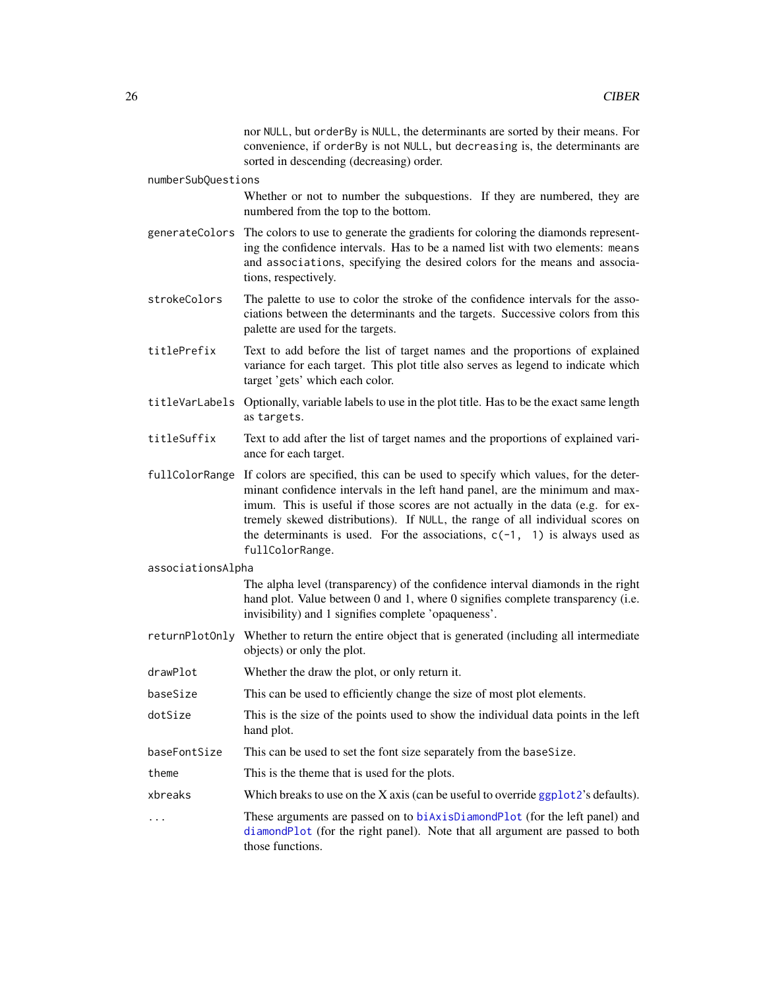nor NULL, but orderBy is NULL, the determinants are sorted by their means. For convenience, if orderBy is not NULL, but decreasing is, the determinants are sorted in descending (decreasing) order.

#### numberSubQuestions

Whether or not to number the subquestions. If they are numbered, they are numbered from the top to the bottom.

- generateColors The colors to use to generate the gradients for coloring the diamonds representing the confidence intervals. Has to be a named list with two elements: means and associations, specifying the desired colors for the means and associations, respectively.
- strokeColors The palette to use to color the stroke of the confidence intervals for the associations between the determinants and the targets. Successive colors from this palette are used for the targets.
- titlePrefix Text to add before the list of target names and the proportions of explained variance for each target. This plot title also serves as legend to indicate which target 'gets' which each color.
- titleVarLabels Optionally, variable labels to use in the plot title. Has to be the exact same length as targets.
- titleSuffix Text to add after the list of target names and the proportions of explained variance for each target.
- fullColorRange If colors are specified, this can be used to specify which values, for the determinant confidence intervals in the left hand panel, are the minimum and maximum. This is useful if those scores are not actually in the data (e.g. for extremely skewed distributions). If NULL, the range of all individual scores on the determinants is used. For the associations,  $c(-1, 1)$  is always used as fullColorRange.

#### associationsAlpha

The alpha level (transparency) of the confidence interval diamonds in the right hand plot. Value between 0 and 1, where 0 signifies complete transparency (i.e. invisibility) and 1 signifies complete 'opaqueness'.

- returnPlotOnly Whether to return the entire object that is generated (including all intermediate objects) or only the plot.
- drawPlot Whether the draw the plot, or only return it.
- baseSize This can be used to efficiently change the size of most plot elements.
- dotSize This is the size of the points used to show the individual data points in the left hand plot.
- baseFontSize This can be used to set the font size separately from the baseSize.
- theme This is the theme that is used for the plots.
- xbreaks Which breaks to use on the X axis (can be useful to override [ggplot2](#page-0-0)'s defaults).
- These arguments are passed on to [biAxisDiamondPlot](#page-19-1) (for the left panel) and [diamondPlot](#page-47-1) (for the right panel). Note that all argument are passed to both those functions.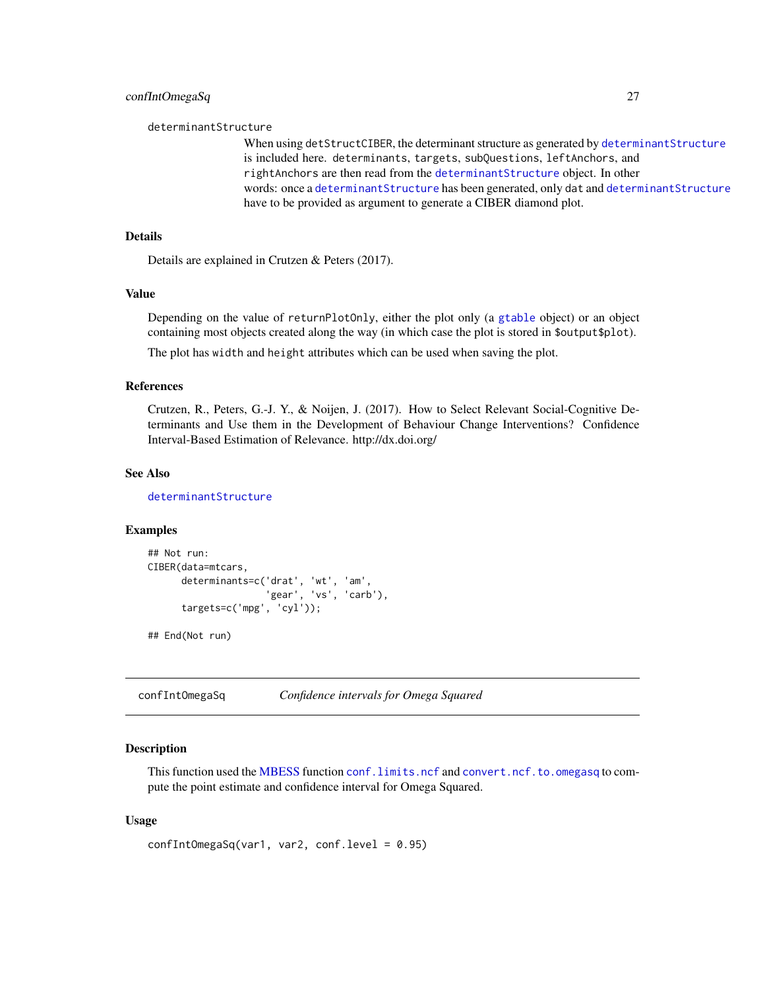#### <span id="page-26-0"></span>determinantStructure

When using detStructCIBER, the determinant structure as generated by [determinantStructure](#page-43-1) is included here. determinants, targets, subQuestions, leftAnchors, and rightAnchors are then read from the [determinantStructure](#page-43-1) object. In other words: once a [determinantStructure](#page-43-1) has been generated, only dat and [determinantStructure](#page-43-1) have to be provided as argument to generate a CIBER diamond plot.

#### Details

Details are explained in Crutzen & Peters (2017).

#### Value

Depending on the value of returnPlotOnly, either the plot only (a [gtable](#page-0-0) object) or an object containing most objects created along the way (in which case the plot is stored in \$output\$plot).

The plot has width and height attributes which can be used when saving the plot.

#### References

Crutzen, R., Peters, G.-J. Y., & Noijen, J. (2017). How to Select Relevant Social-Cognitive Determinants and Use them in the Development of Behaviour Change Interventions? Confidence Interval-Based Estimation of Relevance. http://dx.doi.org/

# See Also

[determinantStructure](#page-43-1)

#### Examples

```
## Not run:
CIBER(data=mtcars,
      determinants=c('drat', 'wt', 'am',
                    'gear', 'vs', 'carb'),
      targets=c('mpg', 'cyl'));
```
## End(Not run)

confIntOmegaSq *Confidence intervals for Omega Squared*

#### Description

This function used the [MBESS](#page-0-0) function [conf.limits.ncf](#page-0-0) and [convert.ncf.to.omegasq](#page-31-1) to compute the point estimate and confidence interval for Omega Squared.

#### Usage

```
confIntOmegaSq(var1, var2, conf.level = 0.95)
```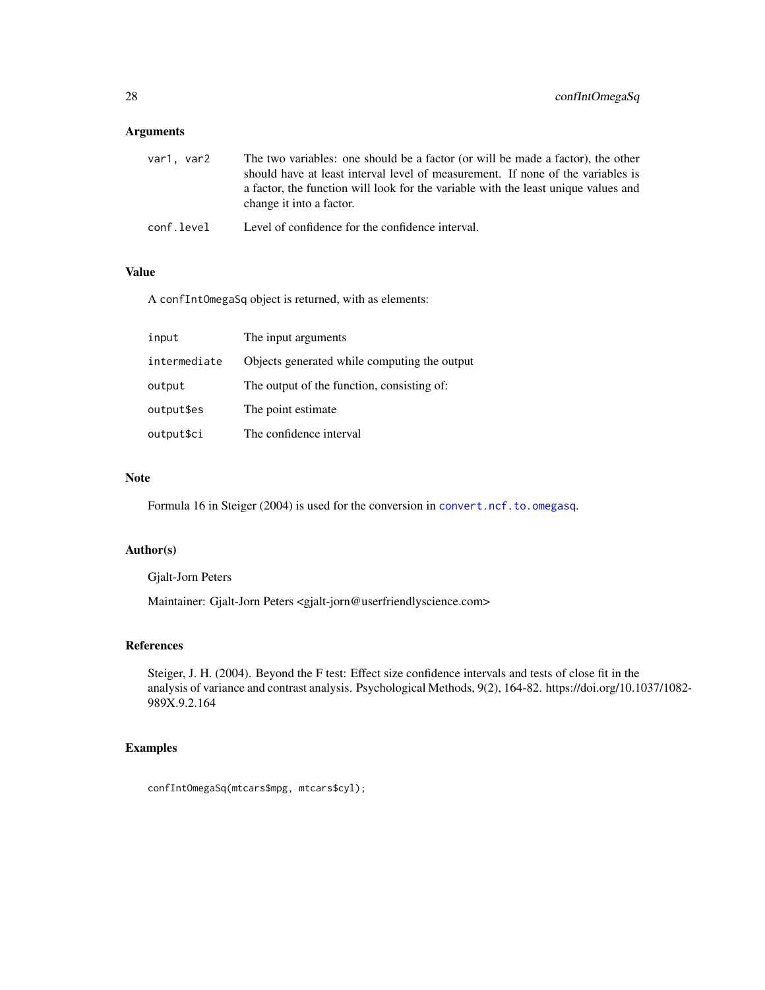# Arguments

| var1. var2 | The two variables: one should be a factor (or will be made a factor), the other<br>should have at least interval level of measurement. If none of the variables is<br>a factor, the function will look for the variable with the least unique values and<br>change it into a factor. |
|------------|--------------------------------------------------------------------------------------------------------------------------------------------------------------------------------------------------------------------------------------------------------------------------------------|
| conf.level | Level of confidence for the confidence interval.                                                                                                                                                                                                                                     |

# Value

A confIntOmegaSq object is returned, with as elements:

| input        | The input arguments                          |
|--------------|----------------------------------------------|
| intermediate | Objects generated while computing the output |
| output       | The output of the function, consisting of:   |
| output\$es   | The point estimate.                          |
| output\$ci   | The confidence interval                      |

#### Note

Formula 16 in Steiger (2004) is used for the conversion in [convert.ncf.to.omegasq](#page-31-1).

# Author(s)

Gjalt-Jorn Peters

Maintainer: Gjalt-Jorn Peters <gjalt-jorn@userfriendlyscience.com>

#### References

Steiger, J. H. (2004). Beyond the F test: Effect size confidence intervals and tests of close fit in the analysis of variance and contrast analysis. Psychological Methods, 9(2), 164-82. https://doi.org/10.1037/1082- 989X.9.2.164

# Examples

confIntOmegaSq(mtcars\$mpg, mtcars\$cyl);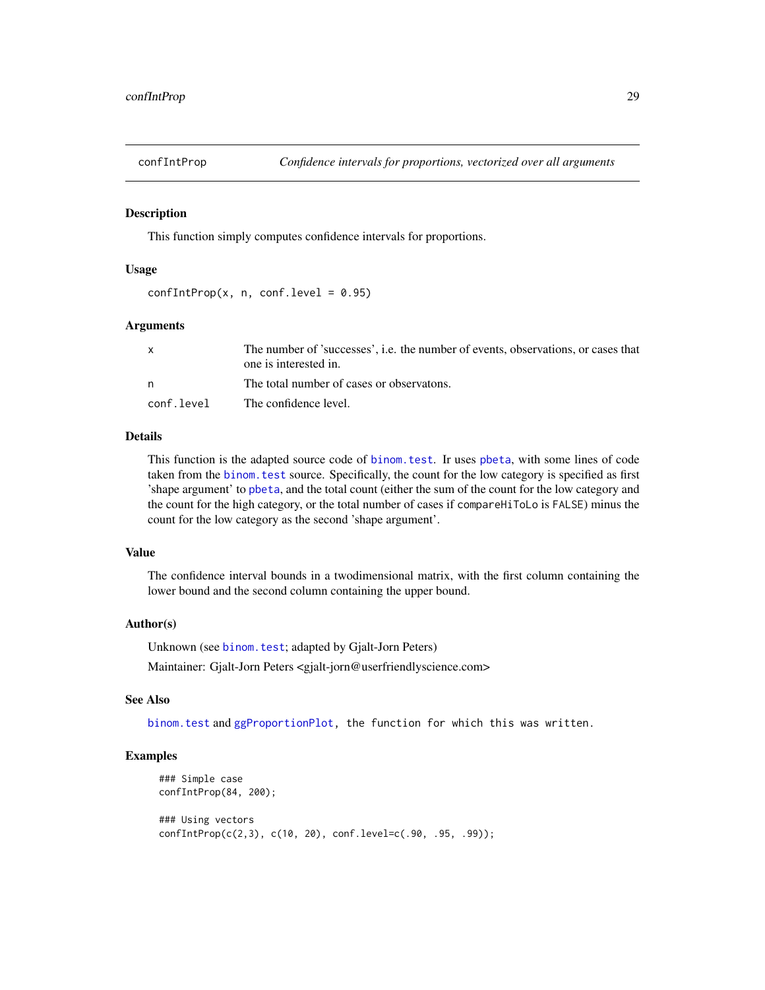<span id="page-28-0"></span>

#### Description

This function simply computes confidence intervals for proportions.

#### Usage

 $confIntProp(x, n, conf.level = 0.95)$ 

#### Arguments

|            | The number of 'successes', i.e. the number of events, observations, or cases that<br>one is interested in. |
|------------|------------------------------------------------------------------------------------------------------------|
| n          | The total number of cases or observatons.                                                                  |
| conf.level | The confidence level.                                                                                      |

# Details

This function is the adapted source code of [binom.test](#page-0-0). Ir uses [pbeta](#page-0-0), with some lines of code taken from the [binom.test](#page-0-0) source. Specifically, the count for the low category is specified as first 'shape argument' to [pbeta](#page-0-0), and the total count (either the sum of the count for the low category and the count for the high category, or the total number of cases if compareHiToLo is FALSE) minus the count for the low category as the second 'shape argument'.

#### Value

The confidence interval bounds in a twodimensional matrix, with the first column containing the lower bound and the second column containing the upper bound.

#### Author(s)

Unknown (see binom. test; adapted by Gjalt-Jorn Peters) Maintainer: Gjalt-Jorn Peters <gjalt-jorn@userfriendlyscience.com>

# See Also

[binom.test](#page-0-0) and [ggProportionPlot,](#page-87-1) the function for which this was written.

# Examples

```
### Simple case
confIntProp(84, 200);
### Using vectors
confIntProp(c(2,3), c(10, 20), conf.level=c(.90, .95, .99));
```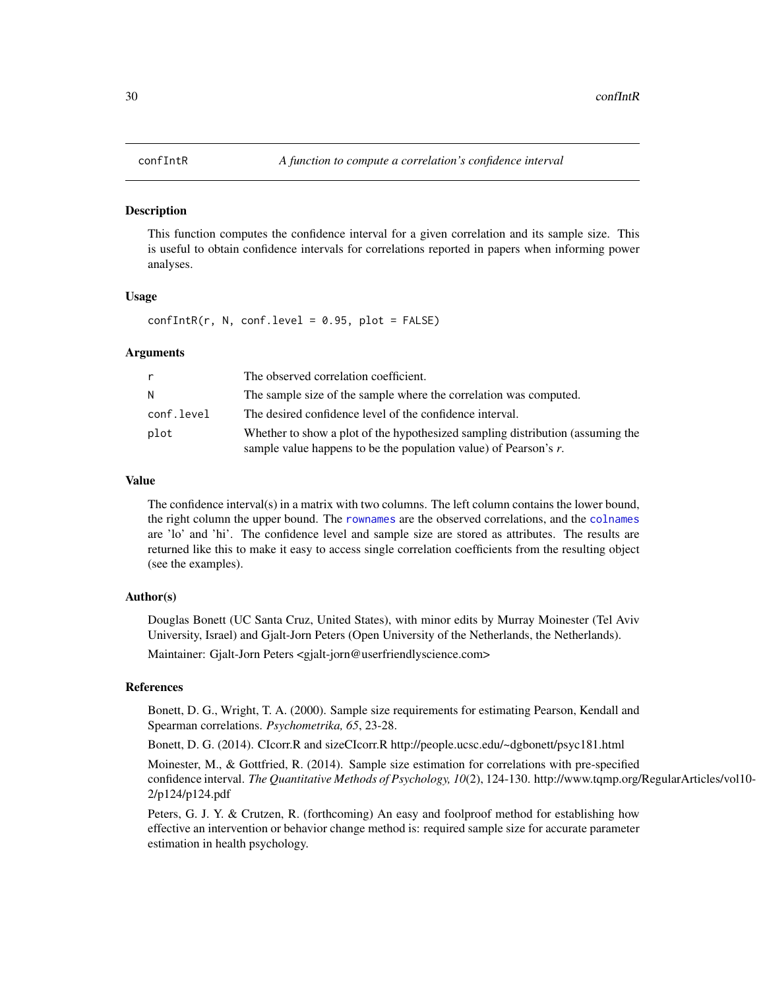#### <span id="page-29-1"></span><span id="page-29-0"></span>Description

This function computes the confidence interval for a given correlation and its sample size. This is useful to obtain confidence intervals for correlations reported in papers when informing power analyses.

#### Usage

 $confIntR(r, N, conf.level = 0.95, plot = FALSE)$ 

#### Arguments

| r          | The observed correlation coefficient.                                                                                                                 |
|------------|-------------------------------------------------------------------------------------------------------------------------------------------------------|
| N          | The sample size of the sample where the correlation was computed.                                                                                     |
| conf.level | The desired confidence level of the confidence interval.                                                                                              |
| plot       | Whether to show a plot of the hypothesized sampling distribution (assuming the<br>sample value happens to be the population value) of Pearson's $r$ . |

#### Value

The confidence interval(s) in a matrix with two columns. The left column contains the lower bound, the right column the upper bound. The [rownames](#page-0-0) are the observed correlations, and the [colnames](#page-0-0) are 'lo' and 'hi'. The confidence level and sample size are stored as attributes. The results are returned like this to make it easy to access single correlation coefficients from the resulting object (see the examples).

#### Author(s)

Douglas Bonett (UC Santa Cruz, United States), with minor edits by Murray Moinester (Tel Aviv University, Israel) and Gjalt-Jorn Peters (Open University of the Netherlands, the Netherlands). Maintainer: Gjalt-Jorn Peters <gjalt-jorn@userfriendlyscience.com>

# References

Bonett, D. G., Wright, T. A. (2000). Sample size requirements for estimating Pearson, Kendall and Spearman correlations. *Psychometrika, 65*, 23-28.

Bonett, D. G. (2014). CIcorr.R and sizeCIcorr.R http://people.ucsc.edu/~dgbonett/psyc181.html

Moinester, M., & Gottfried, R. (2014). Sample size estimation for correlations with pre-specified confidence interval. *The Quantitative Methods of Psychology, 10*(2), 124-130. http://www.tqmp.org/RegularArticles/vol10- 2/p124/p124.pdf

Peters, G. J. Y. & Crutzen, R. (forthcoming) An easy and foolproof method for establishing how effective an intervention or behavior change method is: required sample size for accurate parameter estimation in health psychology.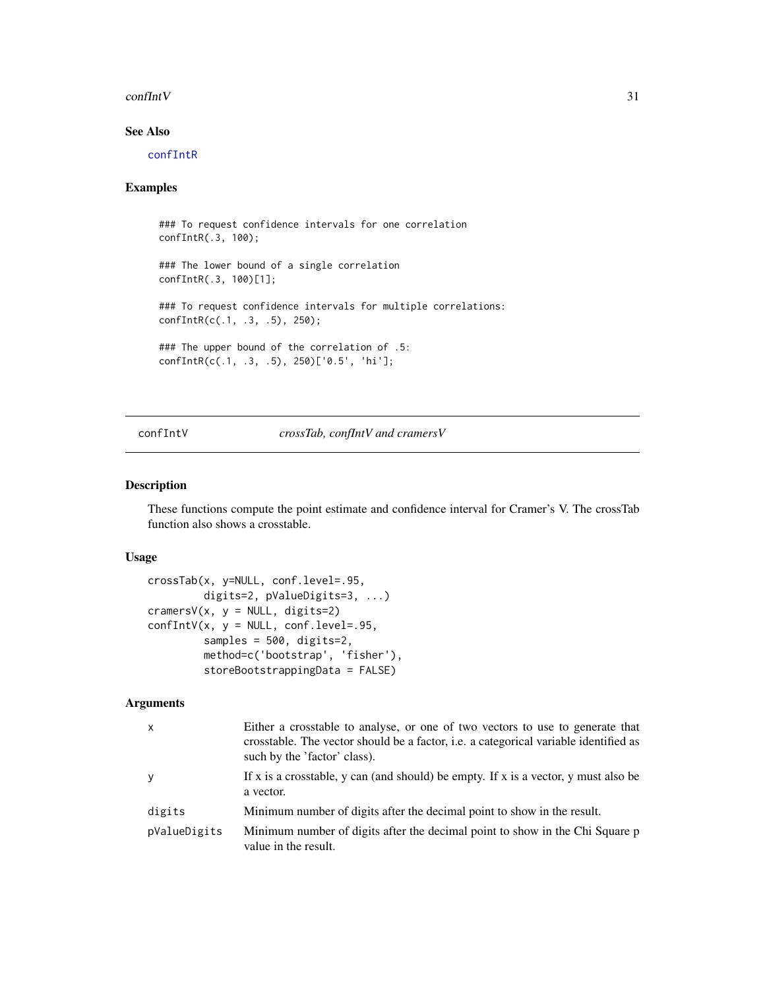#### <span id="page-30-0"></span> $\text{confInt}V$  31

# See Also

[confIntR](#page-29-1)

#### Examples

### To request confidence intervals for one correlation confIntR(.3, 100); ### The lower bound of a single correlation confIntR(.3, 100)[1]; ### To request confidence intervals for multiple correlations: confIntR(c(.1, .3, .5), 250); ### The upper bound of the correlation of .5: confIntR(c(.1, .3, .5), 250)['0.5', 'hi'];

confIntV *crossTab, confIntV and cramersV*

#### Description

These functions compute the point estimate and confidence interval for Cramer's V. The crossTab function also shows a crosstable.

# Usage

```
crossTab(x, y=NULL, conf.level=.95,
         digits=2, pValueDigits=3, ...)
cramersV(x, y = NULL, digits=2)confIntV(x, y = NULL, conf.level=.95,samples = 500, digits=2,
        method=c('bootstrap', 'fisher'),
         storeBootstrappingData = FALSE)
```

| x            | Either a crosstable to analyse, or one of two vectors to use to generate that<br>crosstable. The vector should be a factor, i.e. a categorical variable identified as<br>such by the 'factor' class). |
|--------------|-------------------------------------------------------------------------------------------------------------------------------------------------------------------------------------------------------|
| y            | If x is a crosstable, y can (and should) be empty. If x is a vector, y must also be<br>a vector.                                                                                                      |
| digits       | Minimum number of digits after the decimal point to show in the result.                                                                                                                               |
| pValueDigits | Minimum number of digits after the decimal point to show in the Chi Square p<br>value in the result.                                                                                                  |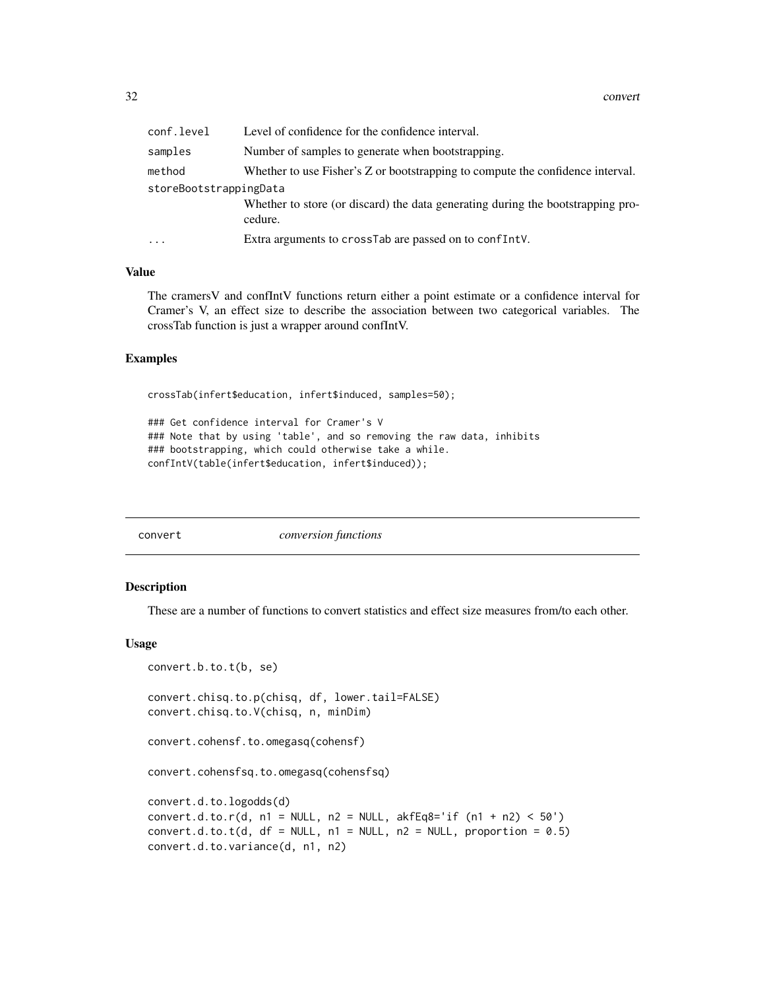<span id="page-31-0"></span>

| conf.level             | Level of confidence for the confidence interval.                                           |  |
|------------------------|--------------------------------------------------------------------------------------------|--|
| samples                | Number of samples to generate when bootstrapping.                                          |  |
| method                 | Whether to use Fisher's Z or bootstrapping to compute the confidence interval.             |  |
| storeBootstrappingData |                                                                                            |  |
|                        | Whether to store (or discard) the data generating during the bootstrapping pro-<br>cedure. |  |
| $\ddotsc$              | Extra arguments to crossTab are passed on to conflnt V.                                    |  |

# Value

The cramersV and confIntV functions return either a point estimate or a confidence interval for Cramer's V, an effect size to describe the association between two categorical variables. The crossTab function is just a wrapper around confIntV.

# Examples

crossTab(infert\$education, infert\$induced, samples=50);

```
### Get confidence interval for Cramer's V
### Note that by using 'table', and so removing the raw data, inhibits
### bootstrapping, which could otherwise take a while.
confIntV(table(infert$education, infert$induced));
```
convert *conversion functions*

#### <span id="page-31-1"></span>Description

These are a number of functions to convert statistics and effect size measures from/to each other.

#### Usage

```
convert.b.to.t(b, se)
convert.chisq.to.p(chisq, df, lower.tail=FALSE)
convert.chisq.to.V(chisq, n, minDim)
convert.cohensf.to.omegasq(cohensf)
convert.cohensfsq.to.omegasq(cohensfsq)
convert.d.to.logodds(d)
convert.d.to.r(d, n1 = NULL, n2 = NULL, akfEq8='if (n1 + n2) < 50')convert.d.to.t(d, df = NULL, n1 = NULL, n2 = NULL, proportion = 0.5)
convert.d.to.variance(d, n1, n2)
```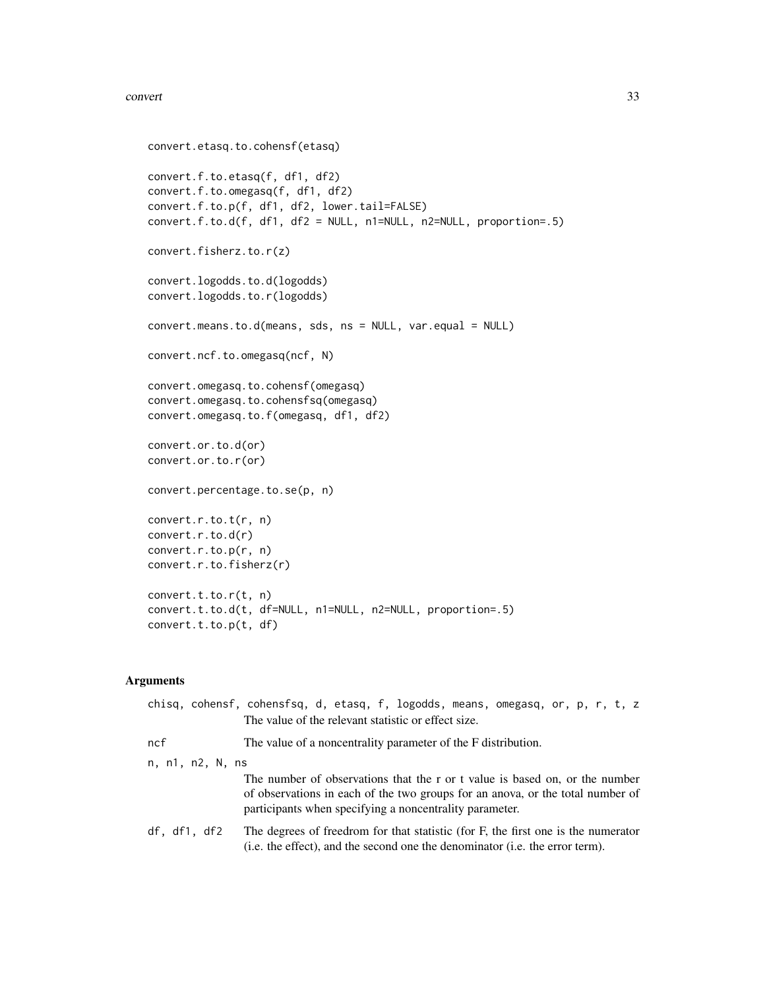#### convert 33

```
convert.etasq.to.cohensf(etasq)
convert.f.to.etasq(f, df1, df2)
convert.f.to.omegasq(f, df1, df2)
convert.f.to.p(f, df1, df2, lower.tail=FALSE)
convert.f.to.d(f, df1, df2 = NULL, n1=NULL, n2=NULL, proportion=.5)
convert.fisherz.to.r(z)
convert.logodds.to.d(logodds)
convert.logodds.to.r(logodds)
convert.means.to.d(means, sds, ns = NULL, var.equal = NULL)
convert.ncf.to.omegasq(ncf, N)
convert.omegasq.to.cohensf(omegasq)
convert.omegasq.to.cohensfsq(omegasq)
convert.omegasq.to.f(omegasq, df1, df2)
convert.or.to.d(or)
convert.or.to.r(or)
convert.percentage.to.se(p, n)
convert.r.to.t(r, n)
convert.r.to.d(r)
convert.r.to.p(r, n)
convert.r.to.fisherz(r)
convert.t.to.r(t, n)
convert.t.to.d(t, df=NULL, n1=NULL, n2=NULL, proportion=.5)
convert.t.to.p(t, df)
```

|                  | chisq, cohensf, cohensfsq, d, etasq, f, logodds, means, omegasq, or, p, r, t, z<br>The value of the relevant statistic or effect size.                                                                                   |  |
|------------------|--------------------------------------------------------------------------------------------------------------------------------------------------------------------------------------------------------------------------|--|
| ncf              | The value of a noncentrality parameter of the F distribution.                                                                                                                                                            |  |
| n, n1, n2, N, ns |                                                                                                                                                                                                                          |  |
|                  | The number of observations that the r or t value is based on, or the number<br>of observations in each of the two groups for an anova, or the total number of<br>participants when specifying a noncentrality parameter. |  |
| df, df1, df2     | The degrees of freedrom for that statistic (for F, the first one is the numerator<br>(i.e. the effect), and the second one the denominator (i.e. the error term).                                                        |  |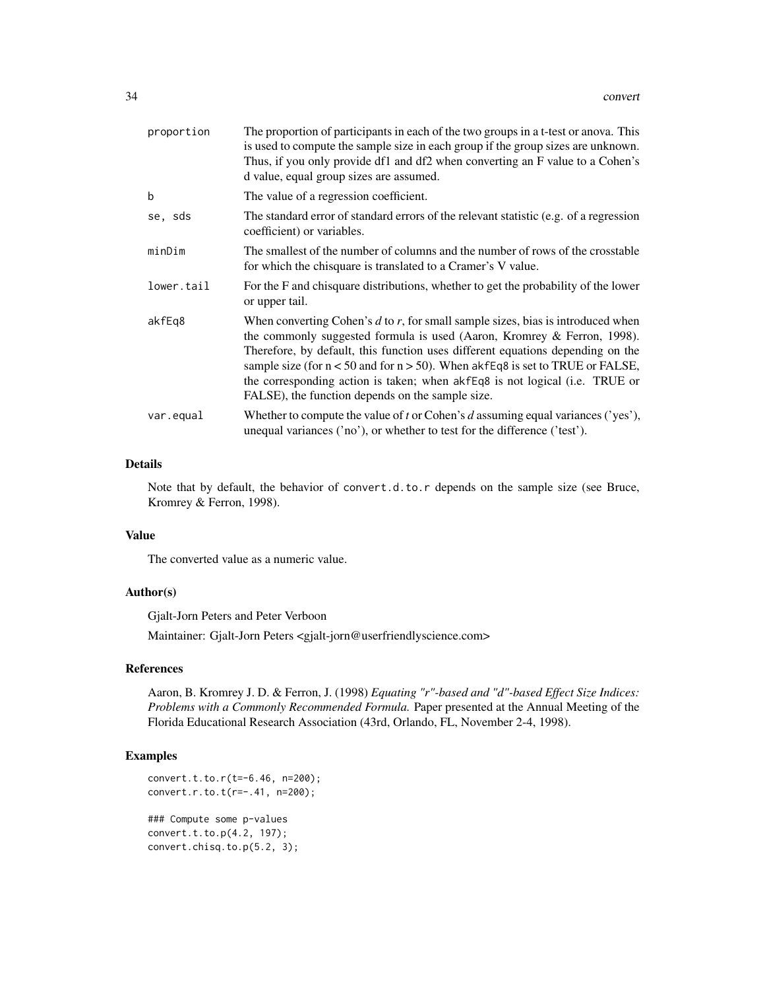| proportion | The proportion of participants in each of the two groups in a t-test or anova. This<br>is used to compute the sample size in each group if the group sizes are unknown.<br>Thus, if you only provide df1 and df2 when converting an F value to a Cohen's<br>d value, equal group sizes are assumed.                                                                                                                                                                        |
|------------|----------------------------------------------------------------------------------------------------------------------------------------------------------------------------------------------------------------------------------------------------------------------------------------------------------------------------------------------------------------------------------------------------------------------------------------------------------------------------|
| b          | The value of a regression coefficient.                                                                                                                                                                                                                                                                                                                                                                                                                                     |
| se, sds    | The standard error of standard errors of the relevant statistic (e.g. of a regression<br>coefficient) or variables.                                                                                                                                                                                                                                                                                                                                                        |
| minDim     | The smallest of the number of columns and the number of rows of the crosstable<br>for which the chisquare is translated to a Cramer's V value.                                                                                                                                                                                                                                                                                                                             |
| lower.tail | For the F and chisquare distributions, whether to get the probability of the lower<br>or upper tail.                                                                                                                                                                                                                                                                                                                                                                       |
| akfEq8     | When converting Cohen's $d$ to $r$ , for small sample sizes, bias is introduced when<br>the commonly suggested formula is used (Aaron, Kromrey & Ferron, 1998).<br>Therefore, by default, this function uses different equations depending on the<br>sample size (for $n < 50$ and for $n > 50$ ). When akfEq8 is set to TRUE or FALSE,<br>the corresponding action is taken; when akfEq8 is not logical (i.e. TRUE or<br>FALSE), the function depends on the sample size. |
| var.equal  | Whether to compute the value of t or Cohen's d assuming equal variances ('yes'),<br>unequal variances ('no'), or whether to test for the difference ('test').                                                                                                                                                                                                                                                                                                              |

# Details

Note that by default, the behavior of convert.d.to.r depends on the sample size (see Bruce, Kromrey & Ferron, 1998).

# Value

The converted value as a numeric value.

# Author(s)

Gjalt-Jorn Peters and Peter Verboon

Maintainer: Gjalt-Jorn Peters <gjalt-jorn@userfriendlyscience.com>

# References

Aaron, B. Kromrey J. D. & Ferron, J. (1998) *Equating "r"-based and "d"-based Effect Size Indices: Problems with a Commonly Recommended Formula.* Paper presented at the Annual Meeting of the Florida Educational Research Association (43rd, Orlando, FL, November 2-4, 1998).

# Examples

```
convert.t.to.r(t=-6.46, n=200);
convert.r.to.t(r=-.41, n=200);
### Compute some p-values
convert.t.to.p(4.2, 197);
convert.chisq.to.p(5.2, 3);
```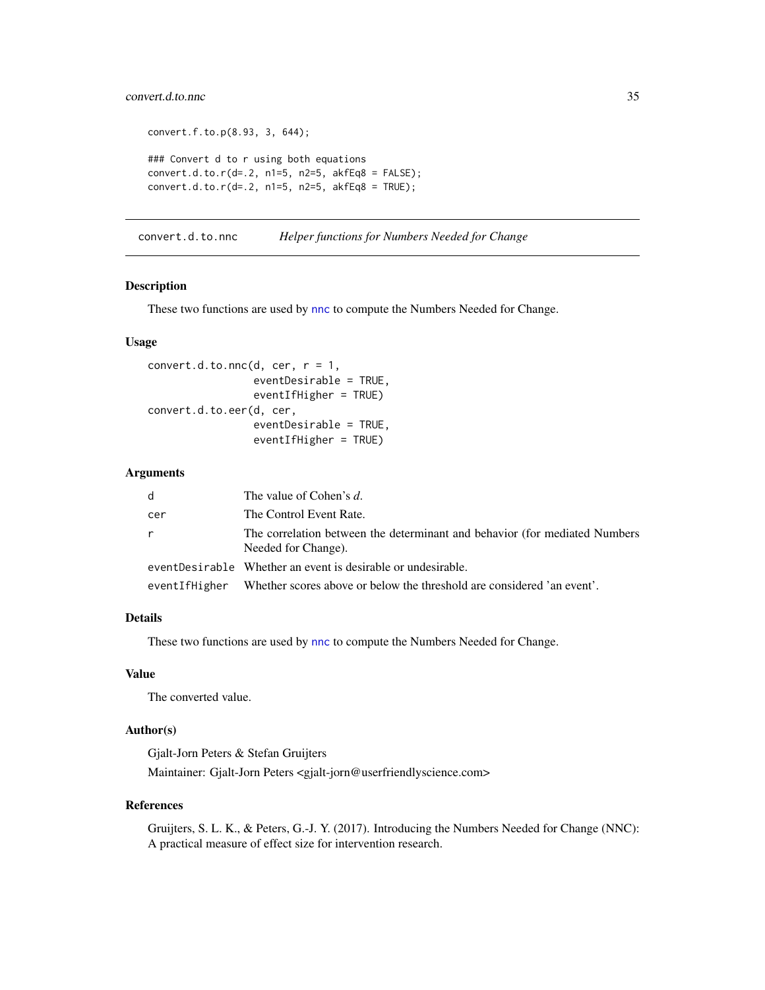# <span id="page-34-0"></span>convert.d.to.nnc 35

```
convert.f.to.p(8.93, 3, 644);
### Convert d to r using both equations
convert.d.to.r(d=0.2, n1=5, n2=5, akfEq8 = FALSE);
convert.d.to.r(d=.2, n1=5, n2=5, akfEq8 = TRUE);
```
<span id="page-34-2"></span>convert.d.to.nnc *Helper functions for Numbers Needed for Change*

# <span id="page-34-1"></span>Description

These two functions are used by [nnc](#page-115-1) to compute the Numbers Needed for Change.

#### Usage

```
convert.d.to.nnc(d, cer, r = 1,
                 eventDesirable = TRUE,
                 eventIfHigher = TRUE)
convert.d.to.eer(d, cer,
                 eventDesirable = TRUE,
                 eventIfHigher = TRUE)
```
#### Arguments

| d   | The value of Cohen's d.                                                                           |
|-----|---------------------------------------------------------------------------------------------------|
| cer | The Control Event Rate.                                                                           |
|     | The correlation between the determinant and behavior (for mediated Numbers<br>Needed for Change). |
|     | eventDesirable Whether an event is desirable or undesirable.                                      |
|     | eventIfHigher Whether scores above or below the threshold are considered 'an event'.              |

# Details

These two functions are used by [nnc](#page-115-1) to compute the Numbers Needed for Change.

# Value

The converted value.

# Author(s)

Gjalt-Jorn Peters & Stefan Gruijters Maintainer: Gjalt-Jorn Peters <gjalt-jorn@userfriendlyscience.com>

# References

Gruijters, S. L. K., & Peters, G.-J. Y. (2017). Introducing the Numbers Needed for Change (NNC): A practical measure of effect size for intervention research.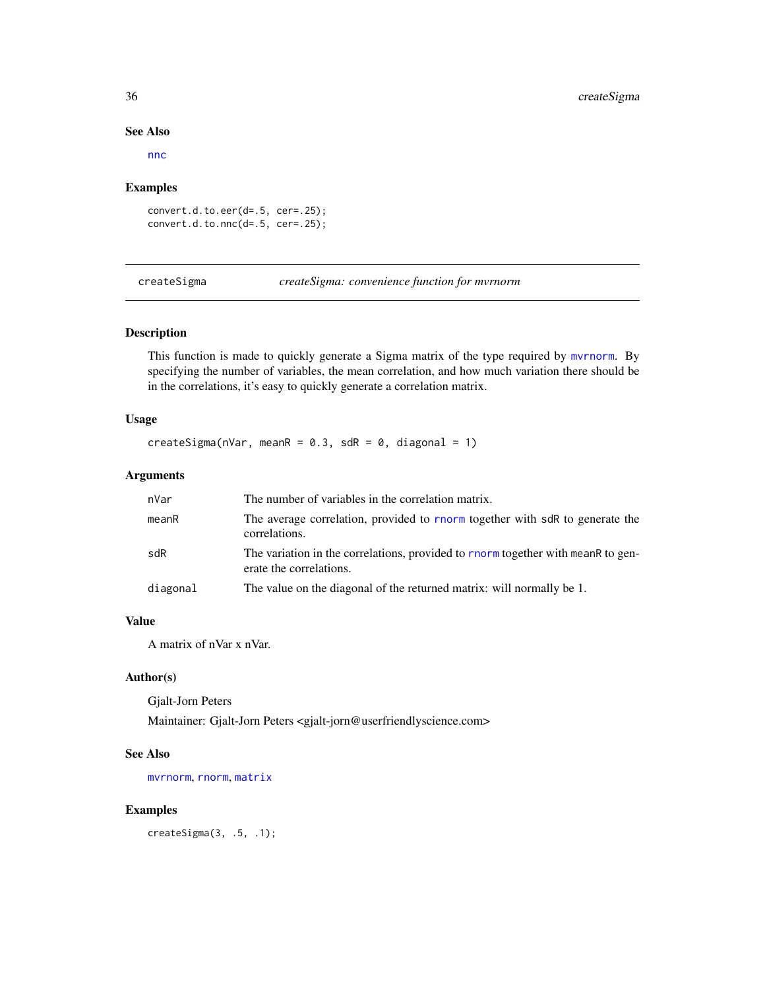#### See Also

[nnc](#page-115-1)

#### Examples

convert.d.to.eer(d=.5, cer=.25); convert.d.to.nnc(d=.5, cer=.25);

createSigma *createSigma: convenience function for mvrnorm*

# Description

This function is made to quickly generate a Sigma matrix of the type required by [mvrnorm](#page-0-0). By specifying the number of variables, the mean correlation, and how much variation there should be in the correlations, it's easy to quickly generate a correlation matrix.

# Usage

```
createSigma(nVar, meanR = 0.3, sdR = 0, diagonal = 1)
```
# Arguments

| nVar     | The number of variables in the correlation matrix.                                                          |
|----------|-------------------------------------------------------------------------------------------------------------|
| meanR    | The average correlation, provided to rnorm together with sdR to generate the<br>correlations.               |
| sdR      | The variation in the correlations, provided to rnorm together with meanR to gen-<br>erate the correlations. |
| diagonal | The value on the diagonal of the returned matrix: will normally be 1.                                       |

# Value

A matrix of nVar x nVar.

# Author(s)

Gjalt-Jorn Peters Maintainer: Gjalt-Jorn Peters <gjalt-jorn@userfriendlyscience.com>

# See Also

[mvrnorm](#page-0-0), [rnorm](#page-0-0), [matrix](#page-0-0)

# Examples

createSigma(3, .5, .1);

<span id="page-35-0"></span>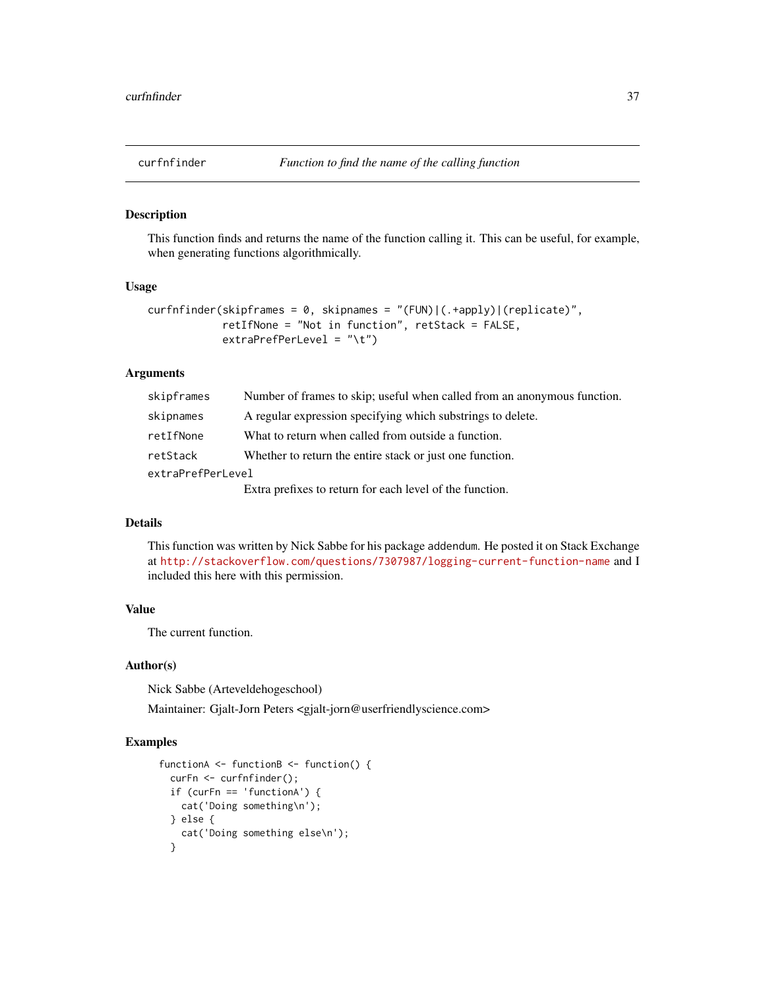#### Description

This function finds and returns the name of the function calling it. This can be useful, for example, when generating functions algorithmically.

### Usage

```
curfnfinder(skipframes = 0, skipnames = "(FUN)|(.+apply)|(replicate)",
            retIfNone = "Not in function", retStack = FALSE,
            extraPrefPerLevel = "\t")
```
#### Arguments

| skipframes        | Number of frames to skip; useful when called from an anonymous function. |
|-------------------|--------------------------------------------------------------------------|
| skipnames         | A regular expression specifying which substrings to delete.              |
| retIfNone         | What to return when called from outside a function.                      |
| retStack          | Whether to return the entire stack or just one function.                 |
| extraPrefPerLevel |                                                                          |
|                   | Extra prefixes to return for each level of the function.                 |

# Details

This function was written by Nick Sabbe for his package addendum. He posted it on Stack Exchange at <http://stackoverflow.com/questions/7307987/logging-current-function-name> and I included this here with this permission.

# Value

The current function.

#### Author(s)

Nick Sabbe (Arteveldehogeschool)

Maintainer: Gjalt-Jorn Peters <gjalt-jorn@userfriendlyscience.com>

### Examples

```
functionA <- functionB <- function() {
  curFn <- curfnfinder();
  if (curFn == 'functionA') {
    cat('Doing something\n');
  } else {
    cat('Doing something else\n');
  }
```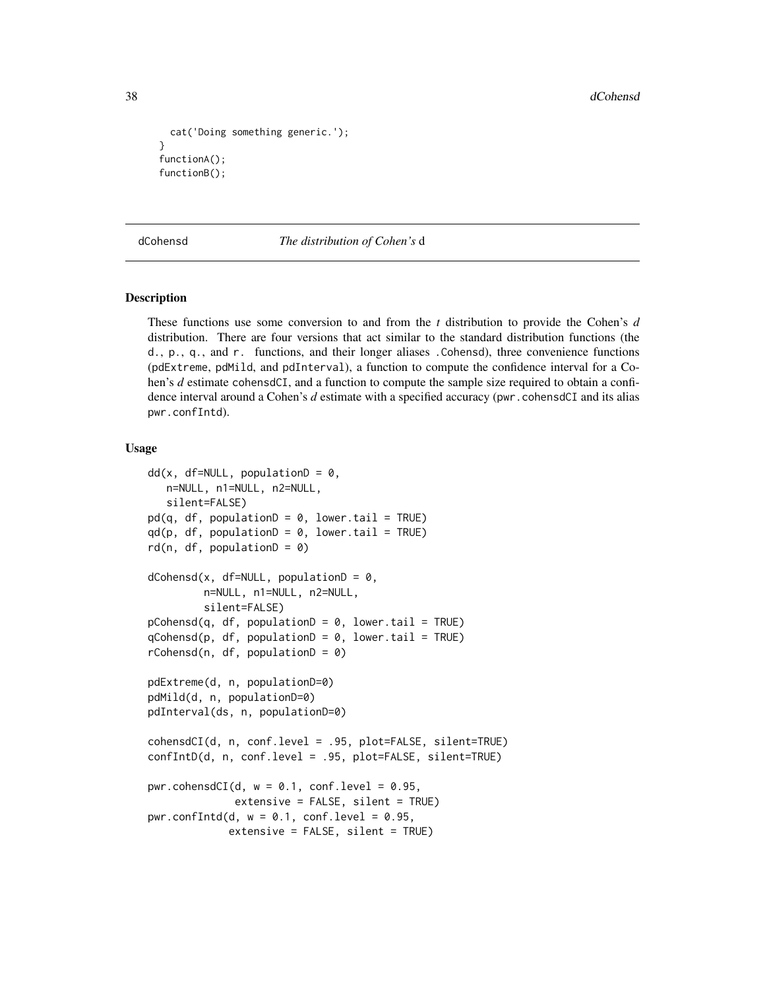```
cat('Doing something generic.');
}
functionA();
functionB();
```
dCohensd *The distribution of Cohen's* d

### **Description**

These functions use some conversion to and from the *t* distribution to provide the Cohen's *d* distribution. There are four versions that act similar to the standard distribution functions (the d., p., q., and r. functions, and their longer aliases .Cohensd), three convenience functions (pdExtreme, pdMild, and pdInterval), a function to compute the confidence interval for a Cohen's *d* estimate cohensdCI, and a function to compute the sample size required to obtain a confidence interval around a Cohen's *d* estimate with a specified accuracy (pwr.cohensdCI and its alias pwr.confIntd).

```
dd(x, df=NULL, populationD = 0,n=NULL, n1=NULL, n2=NULL,
   silent=FALSE)
pd(q, df, populationD = 0, lowertail = TRUE)qd(p, df, populationD = 0, lowertail = TRUE)rd(n, df, populationD = 0)dCohensd(x, df=NULL, populationD = 0,n=NULL, n1=NULL, n2=NULL,
         silent=FALSE)
pCohensd(q, df, populationD = 0, lowertail = TRUE)qCohensd(p, df, populationD = 0, lowertail = TRUE)rCohensd(n, df, populationD = 0)pdExtreme(d, n, populationD=0)
pdMild(d, n, populationD=0)
pdInterval(ds, n, populationD=0)
cohensdCI(d, n, conf.level = .95, plot=FALSE, silent=TRUE)
confIntD(d, n, conf.level = .95, plot=FALSE, silent=TRUE)
pwr.cohensdCI(d, w = 0.1, conf.level = 0.95,
             extensive = FALSE, silent = TRUE)
pwr.confIntd(d, w = 0.1, conf.level = 0.95,
             extensive = FALSE, silent = TRUE)
```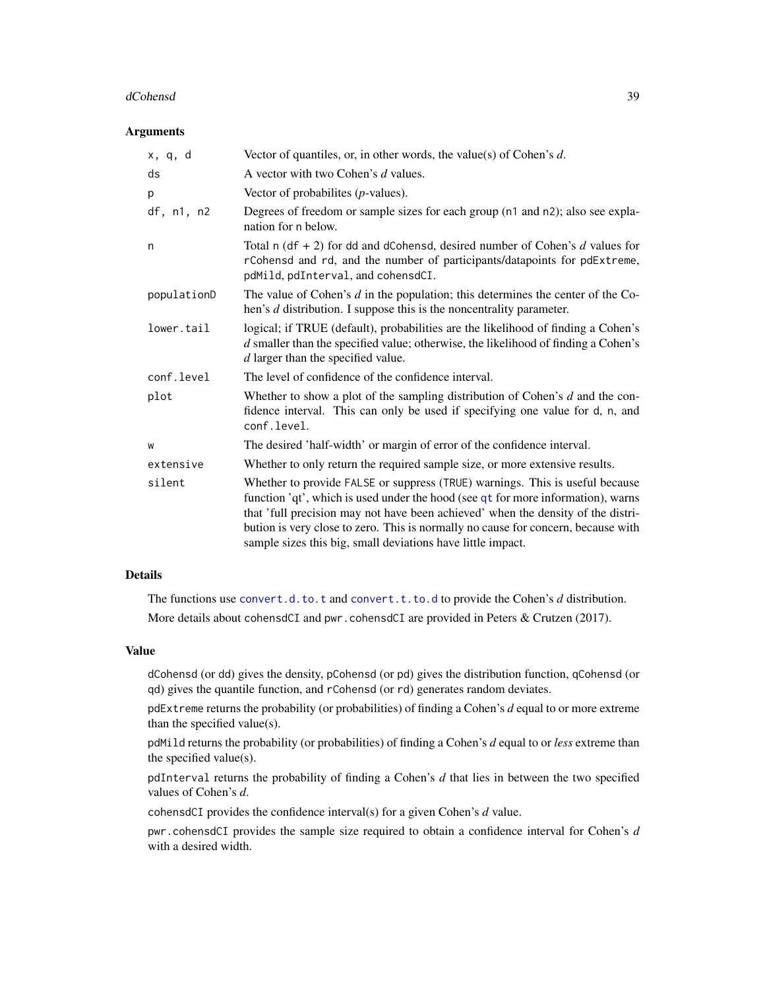#### dCohensd 39

#### Arguments

| x, q, d     | Vector of quantiles, or, in other words, the value(s) of Cohen's $d$ .                                                                                                                                                                                                                                                                                                                                   |
|-------------|----------------------------------------------------------------------------------------------------------------------------------------------------------------------------------------------------------------------------------------------------------------------------------------------------------------------------------------------------------------------------------------------------------|
| ds          | A vector with two Cohen's d values.                                                                                                                                                                                                                                                                                                                                                                      |
| p           | Vector of probabilities $(p$ -values).                                                                                                                                                                                                                                                                                                                                                                   |
| df, n1, n2  | Degrees of freedom or sample sizes for each group (n1 and n2); also see expla-<br>nation for n below.                                                                                                                                                                                                                                                                                                    |
| n           | Total n $(df + 2)$ for dd and dCohensd, desired number of Cohen's d values for<br>rCohensd and rd, and the number of participants/datapoints for pdExtreme,<br>pdMild, pdInterval, and cohensdCI.                                                                                                                                                                                                        |
| populationD | The value of Cohen's $d$ in the population; this determines the center of the Co-<br>hen's $d$ distribution. I suppose this is the noncentrality parameter.                                                                                                                                                                                                                                              |
| lower.tail  | logical; if TRUE (default), probabilities are the likelihood of finding a Cohen's<br>$d$ smaller than the specified value; otherwise, the likelihood of finding a Cohen's<br>$d$ larger than the specified value.                                                                                                                                                                                        |
| conf.level  | The level of confidence of the confidence interval.                                                                                                                                                                                                                                                                                                                                                      |
| plot        | Whether to show a plot of the sampling distribution of Cohen's $d$ and the con-<br>fidence interval. This can only be used if specifying one value for d, n, and<br>conf.level.                                                                                                                                                                                                                          |
| W           | The desired 'half-width' or margin of error of the confidence interval.                                                                                                                                                                                                                                                                                                                                  |
| extensive   | Whether to only return the required sample size, or more extensive results.                                                                                                                                                                                                                                                                                                                              |
| silent      | Whether to provide FALSE or suppress (TRUE) warnings. This is useful because<br>function 'qt', which is used under the hood (see qt for more information), warns<br>that 'full precision may not have been achieved' when the density of the distri-<br>bution is very close to zero. This is normally no cause for concern, because with<br>sample sizes this big, small deviations have little impact. |

# Details

The functions use [convert.d.to.t](#page-31-0) and [convert.t.to.d](#page-31-0) to provide the Cohen's *d* distribution. More details about cohensdCI and pwr.cohensdCI are provided in Peters & Crutzen (2017).

#### Value

dCohensd (or dd) gives the density, pCohensd (or pd) gives the distribution function, qCohensd (or qd) gives the quantile function, and rCohensd (or rd) generates random deviates.

pdExtreme returns the probability (or probabilities) of finding a Cohen's *d* equal to or more extreme than the specified value(s).

pdMild returns the probability (or probabilities) of finding a Cohen's *d* equal to or *less* extreme than the specified value(s).

pdInterval returns the probability of finding a Cohen's *d* that lies in between the two specified values of Cohen's *d*.

cohensdCI provides the confidence interval(s) for a given Cohen's *d* value.

pwr.cohensdCI provides the sample size required to obtain a confidence interval for Cohen's *d* with a desired width.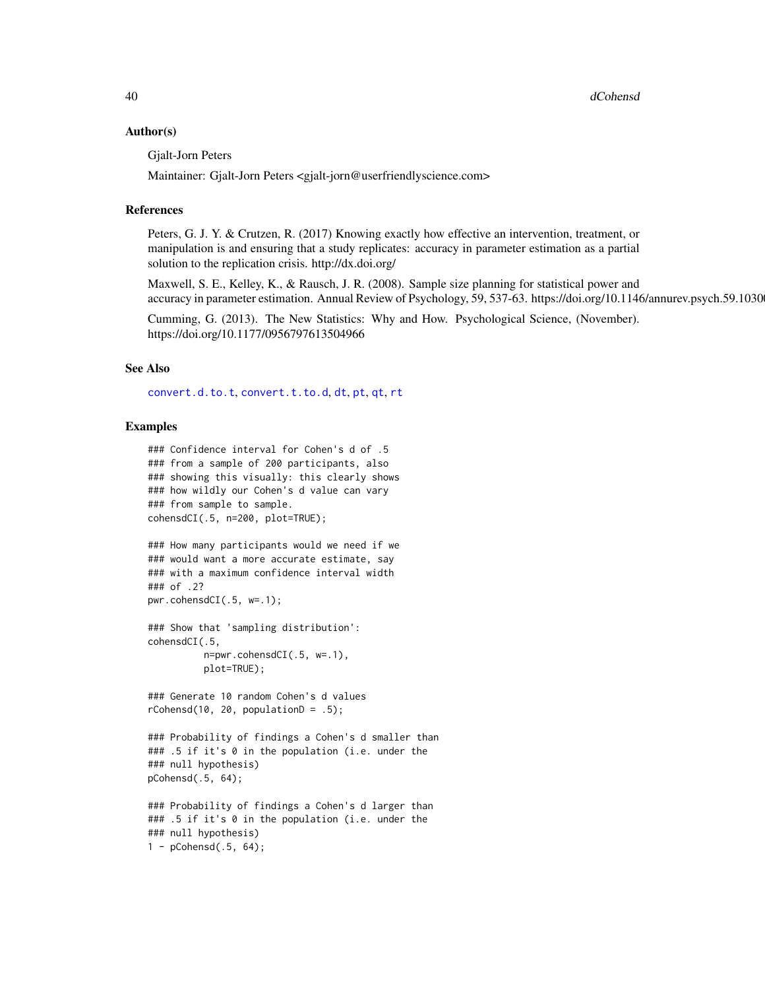#### Author(s)

Gjalt-Jorn Peters

Maintainer: Gjalt-Jorn Peters <gjalt-jorn@userfriendlyscience.com>

#### References

Peters, G. J. Y. & Crutzen, R. (2017) Knowing exactly how effective an intervention, treatment, or manipulation is and ensuring that a study replicates: accuracy in parameter estimation as a partial solution to the replication crisis. http://dx.doi.org/

Maxwell, S. E., Kelley, K., & Rausch, J. R. (2008). Sample size planning for statistical power and accuracy in parameter estimation. Annual Review of Psychology, 59, 537-63. https://doi.org/10.1146/annurev.psych.59.1030

Cumming, G. (2013). The New Statistics: Why and How. Psychological Science, (November). https://doi.org/10.1177/0956797613504966

#### See Also

[convert.d.to.t](#page-31-0), [convert.t.to.d](#page-31-0), [dt](#page-0-0), [pt](#page-0-0), [qt](#page-0-0), [rt](#page-0-0)

#### Examples

```
### Confidence interval for Cohen's d of .5
### from a sample of 200 participants, also
### showing this visually: this clearly shows
### how wildly our Cohen's d value can vary
### from sample to sample.
cohensdCI(.5, n=200, plot=TRUE);
### How many participants would we need if we
### would want a more accurate estimate, say
### with a maximum confidence interval width
### of .2?
pwr.cohensdCI(.5, w=.1);
### Show that 'sampling distribution':
cohensdCI(.5,
          n=pwr.cohensdCI(.5, w=.1),
          plot=TRUE);
### Generate 10 random Cohen's d values
rCohensd(10, 20, populationD = .5);### Probability of findings a Cohen's d smaller than
### .5 if it's 0 in the population (i.e. under the
### null hypothesis)
pCohensd(.5, 64);
### Probability of findings a Cohen's d larger than
### .5 if it's 0 in the population (i.e. under the
### null hypothesis)
1 - pCohensd(.5, 64);
```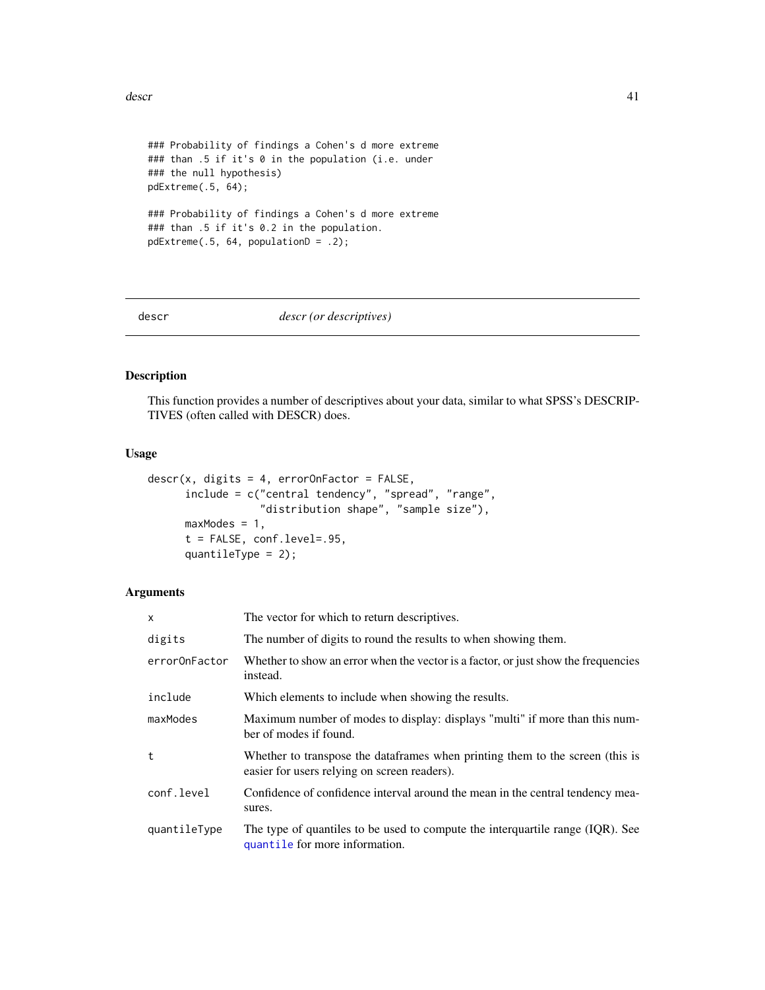#### descr and the set of the set of the set of the set of the set of the set of the set of the set of the set of the set of the set of the set of the set of the set of the set of the set of the set of the set of the set of the

```
### Probability of findings a Cohen's d more extreme
### than .5 if it's 0 in the population (i.e. under
### the null hypothesis)
pdExtreme(.5, 64);
### Probability of findings a Cohen's d more extreme
### than .5 if it's 0.2 in the population.
pdExtreme(.5, 64, populationD = .2);
```
<span id="page-40-0"></span>

descr *descr (or descriptives)*

#### Description

This function provides a number of descriptives about your data, similar to what SPSS's DESCRIP-TIVES (often called with DESCR) does.

# Usage

```
descr(x, digits = 4, errorOnFactor = FALSE,include = c("central tendency", "spread", "range",
                  "distribution shape", "sample size"),
     maxModels = 1,
     t = FALSE, conf.level=.95,
     quantileType = 2);
```
# Arguments

| X             | The vector for which to return descriptives.                                                                                  |
|---------------|-------------------------------------------------------------------------------------------------------------------------------|
| digits        | The number of digits to round the results to when showing them.                                                               |
| errorOnFactor | Whether to show an error when the vector is a factor, or just show the frequencies<br>instead.                                |
| include       | Which elements to include when showing the results.                                                                           |
| maxModes      | Maximum number of modes to display: displays "multi" if more than this num-<br>ber of modes if found.                         |
| t             | Whether to transpose the dataframes when printing them to the screen (this is<br>easier for users relying on screen readers). |
| conf.level    | Confidence of confidence interval around the mean in the central tendency mea-<br>sures.                                      |
| quantileType  | The type of quantiles to be used to compute the interguartile range (IQR). See<br>quantile for more information.              |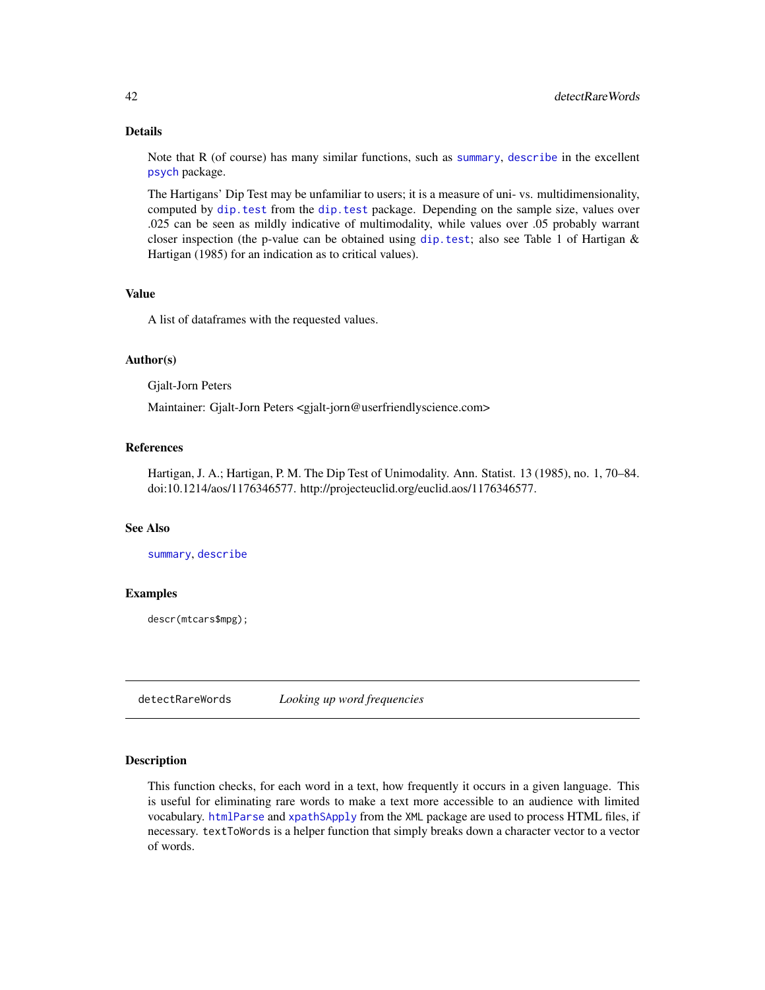### Details

Note that R (of course) has many similar functions, such as [summary](#page-0-0), [describe](#page-0-0) in the excellent [psych](#page-0-0) package.

The Hartigans' Dip Test may be unfamiliar to users; it is a measure of uni- vs. multidimensionality, computed by [dip.test](#page-0-0) from the [dip.test](#page-0-0) package. Depending on the sample size, values over .025 can be seen as mildly indicative of multimodality, while values over .05 probably warrant closer inspection (the p-value can be obtained using [dip.test](#page-0-0); also see Table 1 of Hartigan & Hartigan (1985) for an indication as to critical values).

### Value

A list of dataframes with the requested values.

### Author(s)

Gjalt-Jorn Peters

Maintainer: Gjalt-Jorn Peters <gjalt-jorn@userfriendlyscience.com>

#### References

Hartigan, J. A.; Hartigan, P. M. The Dip Test of Unimodality. Ann. Statist. 13 (1985), no. 1, 70–84. doi:10.1214/aos/1176346577. http://projecteuclid.org/euclid.aos/1176346577.

#### See Also

[summary](#page-0-0), [describe](#page-0-0)

#### Examples

descr(mtcars\$mpg);

detectRareWords *Looking up word frequencies*

#### Description

This function checks, for each word in a text, how frequently it occurs in a given language. This is useful for eliminating rare words to make a text more accessible to an audience with limited vocabulary. [htmlParse](#page-0-0) and [xpathSApply](#page-0-0) from the XML package are used to process HTML files, if necessary. textToWords is a helper function that simply breaks down a character vector to a vector of words.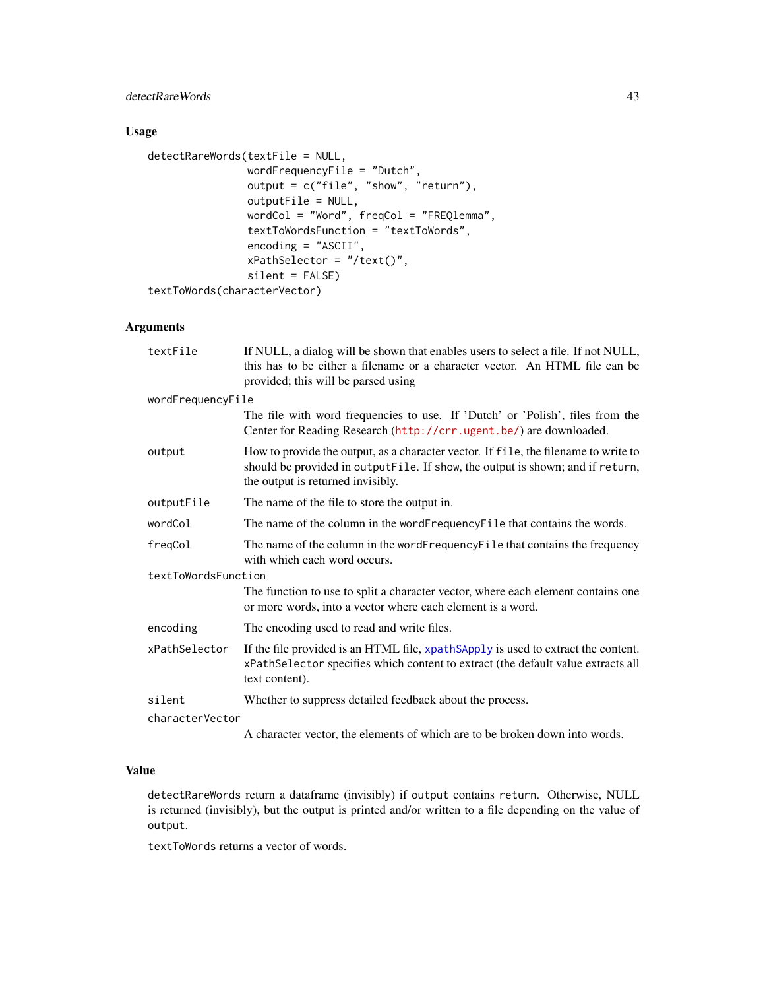# detectRareWords 43

# Usage

```
detectRareWords(textFile = NULL,
                wordFrequencyFile = "Dutch",
                output = c("file", "show", "return"),
                outputFile = NULL,
                wordCol = "Word", freqCol = "FREQlemma",
                textToWordsFunction = "textToWords",
                encoding = "ASCII",
                xPathSelector = "/text()",
                silent = FALSE)
textToWords(characterVector)
```
# Arguments

| textFile            | If NULL, a dialog will be shown that enables users to select a file. If not NULL,<br>this has to be either a filename or a character vector. An HTML file can be<br>provided; this will be parsed using    |  |
|---------------------|------------------------------------------------------------------------------------------------------------------------------------------------------------------------------------------------------------|--|
| wordFrequencyFile   |                                                                                                                                                                                                            |  |
|                     | The file with word frequencies to use. If 'Dutch' or 'Polish', files from the<br>Center for Reading Research (http://crr.ugent.be/) are downloaded.                                                        |  |
| output              | How to provide the output, as a character vector. If file, the filename to write to<br>should be provided in outputFile. If show, the output is shown; and if return,<br>the output is returned invisibly. |  |
| outputFile          | The name of the file to store the output in.                                                                                                                                                               |  |
| wordCol             | The name of the column in the wordFrequencyFile that contains the words.                                                                                                                                   |  |
| freqCol             | The name of the column in the word Frequency File that contains the frequency<br>with which each word occurs.                                                                                              |  |
| textToWordsFunction |                                                                                                                                                                                                            |  |
|                     | The function to use to split a character vector, where each element contains one<br>or more words, into a vector where each element is a word.                                                             |  |
| encoding            | The encoding used to read and write files.                                                                                                                                                                 |  |
| xPathSelector       | If the file provided is an HTML file, xpathSApply is used to extract the content.<br>xPathSelector specifies which content to extract (the default value extracts all<br>text content).                    |  |
| silent              | Whether to suppress detailed feedback about the process.                                                                                                                                                   |  |
| characterVector     |                                                                                                                                                                                                            |  |
|                     |                                                                                                                                                                                                            |  |

A character vector, the elements of which are to be broken down into words.

# Value

detectRareWords return a dataframe (invisibly) if output contains return. Otherwise, NULL is returned (invisibly), but the output is printed and/or written to a file depending on the value of output.

textToWords returns a vector of words.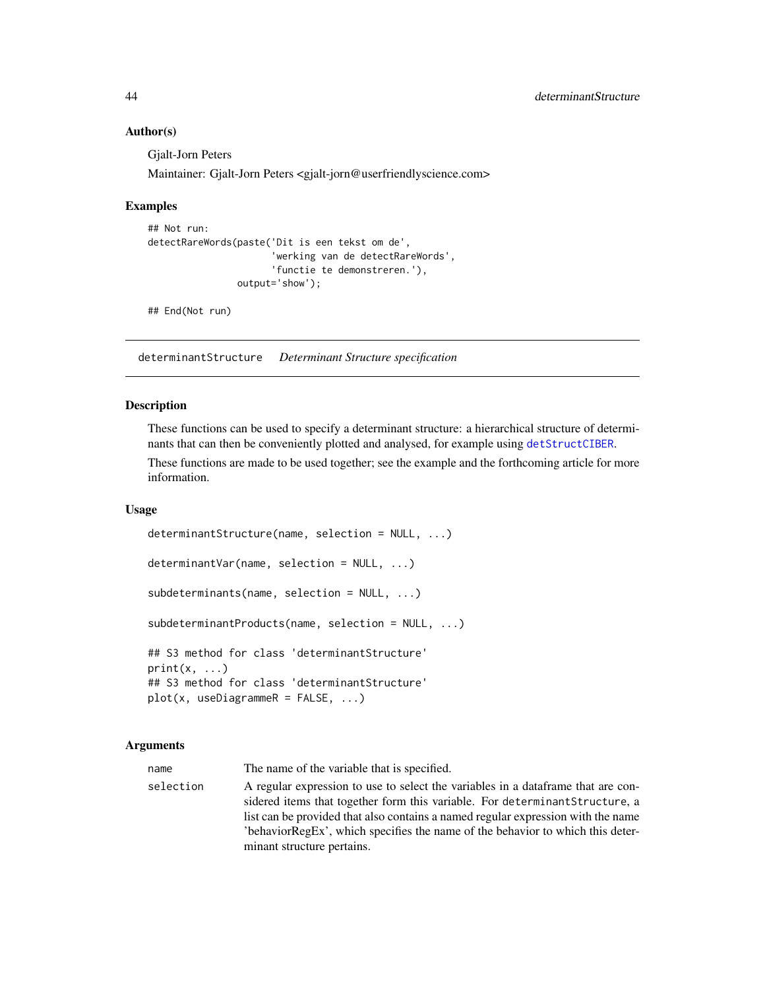### Author(s)

Gjalt-Jorn Peters

Maintainer: Gjalt-Jorn Peters <gjalt-jorn@userfriendlyscience.com>

### Examples

```
## Not run:
detectRareWords(paste('Dit is een tekst om de',
                      'werking van de detectRareWords',
                      'functie te demonstreren.'),
                output='show');
```
## End(Not run)

<span id="page-43-0"></span>determinantStructure *Determinant Structure specification*

### <span id="page-43-1"></span>Description

These functions can be used to specify a determinant structure: a hierarchical structure of determinants that can then be conveniently plotted and analysed, for example using [detStructCIBER](#page-23-0).

These functions are made to be used together; see the example and the forthcoming article for more information.

#### Usage

```
determinantStructure(name, selection = NULL, ...)
determinantVar(name, selection = NULL, ...)
subdeterminants(name, selection = NULL, ...)
subdeterminantProducts(name, selection = NULL, ...)
## S3 method for class 'determinantStructure'
print(x, \ldots)## S3 method for class 'determinantStructure'
plot(x, useDiagrammeR = FALSE, ...)
```
#### Arguments

name The name of the variable that is specified.

selection A regular expression to use to select the variables in a dataframe that are considered items that together form this variable. For determinantStructure, a list can be provided that also contains a named regular expression with the name 'behaviorRegEx', which specifies the name of the behavior to which this determinant structure pertains.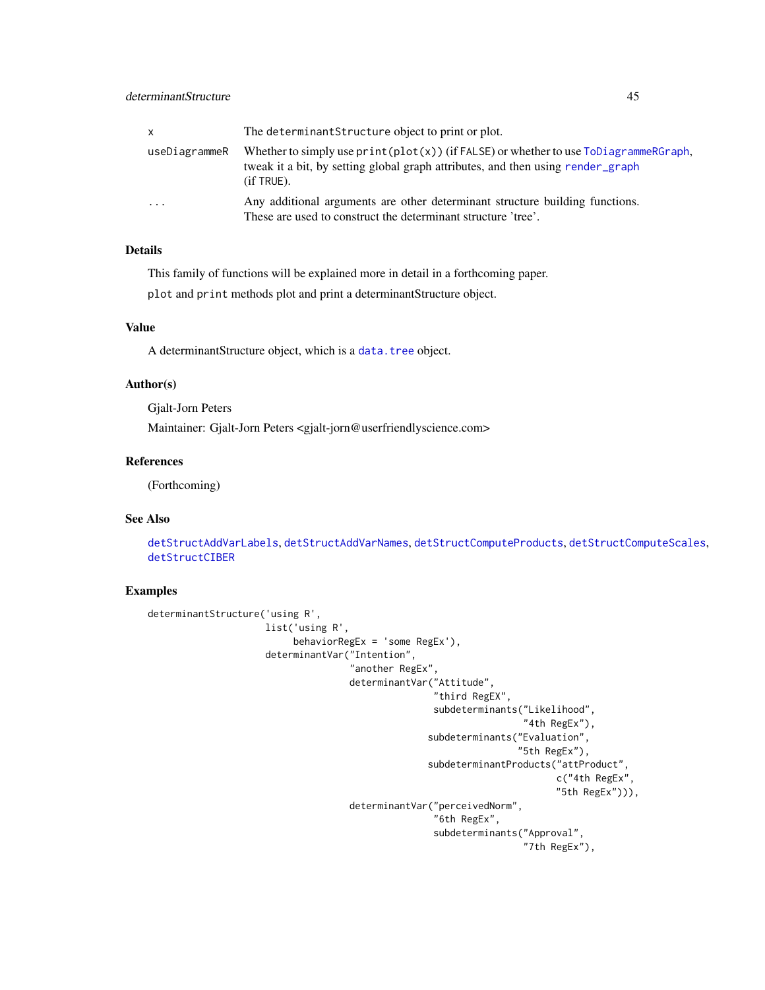| $\mathsf{x}$  | The determinant Structure object to print or plot.                                                                                                                                           |
|---------------|----------------------------------------------------------------------------------------------------------------------------------------------------------------------------------------------|
| useDiagrammeR | Whether to simply use $print(plot(x))$ (if FALSE) or whether to use $ToDiagrammeRGraph$ ,<br>tweak it a bit, by setting global graph attributes, and then using render_graph<br>$(if$ TRUE). |
| $\cdot$       | Any additional arguments are other determinant structure building functions.<br>These are used to construct the determinant structure 'tree'.                                                |

# Details

This family of functions will be explained more in detail in a forthcoming paper.

plot and print methods plot and print a determinantStructure object.

# Value

A determinantStructure object, which is a [data.tree](#page-0-0) object.

# Author(s)

Gjalt-Jorn Peters

Maintainer: Gjalt-Jorn Peters <gjalt-jorn@userfriendlyscience.com>

# References

(Forthcoming)

# See Also

[detStructAddVarLabels](#page-45-0), [detStructAddVarNames](#page-45-0), [detStructComputeProducts](#page-45-0), [detStructComputeScales](#page-45-0), [detStructCIBER](#page-23-0)

# Examples

```
determinantStructure('using R',
                     list('using R',
                          behaviorRegEx = 'some RegEx'),
                     determinantVar("Intention",
                                    "another RegEx",
                                    determinantVar("Attitude",
                                                    "third RegEX",
                                                    subdeterminants("Likelihood",
                                                                    "4th RegEx"),
                                                   subdeterminants("Evaluation",
                                                                   "5th RegEx"),
                                                   subdeterminantProducts("attProduct",
                                                                          c("4th RegEx",
                                                                          "5th RegEx"))),
                                    determinantVar("perceivedNorm",
                                                    "6th RegEx",
                                                    subdeterminants("Approval",
                                                                    "7th RegEx"),
```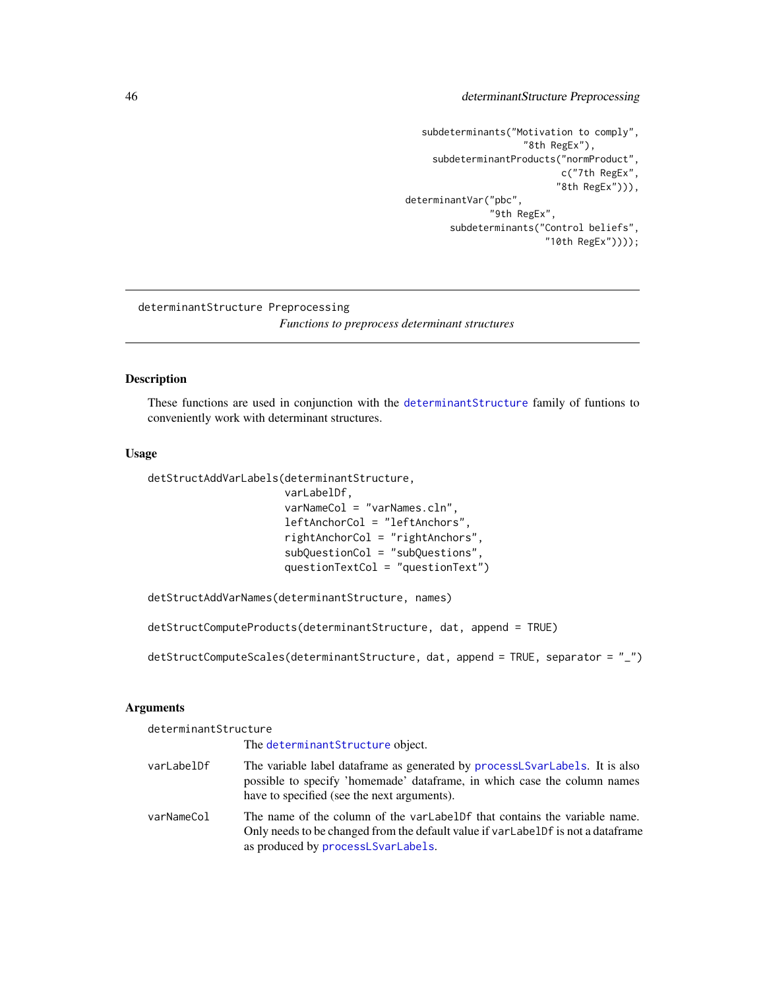# 46 determinantStructure Preprocessing

```
subdeterminants("Motivation to comply",
                     "8th RegEx"),
    subdeterminantProducts("normProduct",
                           c("7th RegEx",
                           "8th RegEx"))),
determinantVar("pbc",
               "9th RegEx",
        subdeterminants("Control beliefs",
                         "10th RegEx"))));
```
determinantStructure Preprocessing *Functions to preprocess determinant structures*

#### <span id="page-45-0"></span>Description

These functions are used in conjunction with the [determinantStructure](#page-43-0) family of funtions to conveniently work with determinant structures.

## Usage

```
detStructAddVarLabels(determinantStructure,
                      varLabelDf,
                      varNameCol = "varNames.cln",
                      leftAnchorCol = "leftAnchors",
                      rightAnchorCol = "rightAnchors",
                      subQuestionCol = "subQuestions",
                      questionTextCol = "questionText")
```
detStructAddVarNames(determinantStructure, names)

detStructComputeProducts(determinantStructure, dat, append = TRUE)

 $detstruetComputeScales(determinantStructure, dat, append = TRUE, separator = "__")$ 

## Arguments

determinantStructure

The [determinantStructure](#page-43-0) object.

- varLabelDf The variable label dataframe as generated by [processLSvarLabels](#page-134-0). It is also possible to specify 'homemade' dataframe, in which case the column names have to specified (see the next arguments). varNameCol The name of the column of the varLabelDf that contains the variable name.
- Only needs to be changed from the default value if varLabelDf is not a dataframe as produced by [processLSvarLabels](#page-134-0).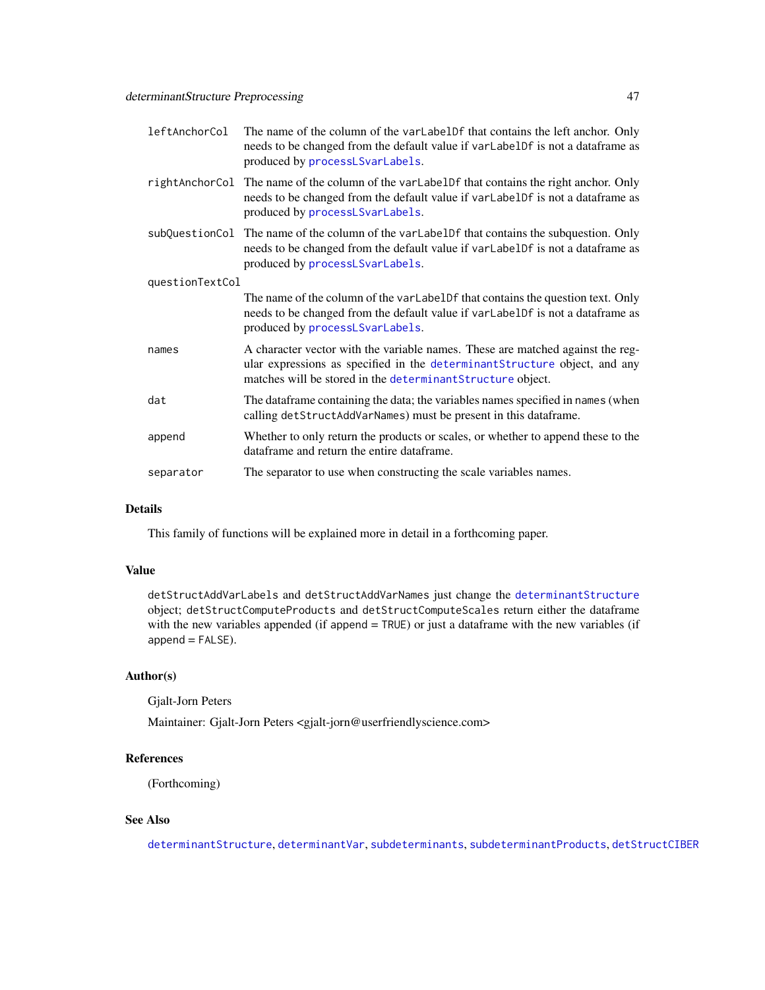| leftAnchorCol   | The name of the column of the varLabelDf that contains the left anchor. Only<br>needs to be changed from the default value if varLabelDf is not a dataframe as<br>produced by processLSvarLabels.                           |
|-----------------|-----------------------------------------------------------------------------------------------------------------------------------------------------------------------------------------------------------------------------|
|                 | rightAnchorCol The name of the column of the varLabelDf that contains the right anchor. Only<br>needs to be changed from the default value if varLabelDf is not a dataframe as<br>produced by processLSvarLabels.           |
|                 | subQuestionCol The name of the column of the varLabelDf that contains the subquestion. Only<br>needs to be changed from the default value if varLabelDf is not a dataframe as<br>produced by processLSvarLabels.            |
| questionTextCol |                                                                                                                                                                                                                             |
|                 | The name of the column of the varLabelDf that contains the question text. Only<br>needs to be changed from the default value if varLabelDf is not a dataframe as<br>produced by processLSvarLabels.                         |
| names           | A character vector with the variable names. These are matched against the reg-<br>ular expressions as specified in the determinant Structure object, and any<br>matches will be stored in the determinant Structure object. |
| dat             | The dataframe containing the data; the variables names specified in names (when<br>calling detStructAddVarNames) must be present in this dataframe.                                                                         |
| append          | Whether to only return the products or scales, or whether to append these to the<br>dataframe and return the entire dataframe.                                                                                              |
| separator       | The separator to use when constructing the scale variables names.                                                                                                                                                           |
|                 |                                                                                                                                                                                                                             |

## Details

This family of functions will be explained more in detail in a forthcoming paper.

## Value

detStructAddVarLabels and detStructAddVarNames just change the [determinantStructure](#page-43-0) object; detStructComputeProducts and detStructComputeScales return either the dataframe with the new variables appended (if append = TRUE) or just a dataframe with the new variables (if append = FALSE).

## Author(s)

Gjalt-Jorn Peters

Maintainer: Gjalt-Jorn Peters <gjalt-jorn@userfriendlyscience.com>

# References

(Forthcoming)

# See Also

[determinantStructure](#page-43-0), [determinantVar](#page-43-1), [subdeterminants](#page-43-1), [subdeterminantProducts](#page-43-1), [detStructCIBER](#page-23-0)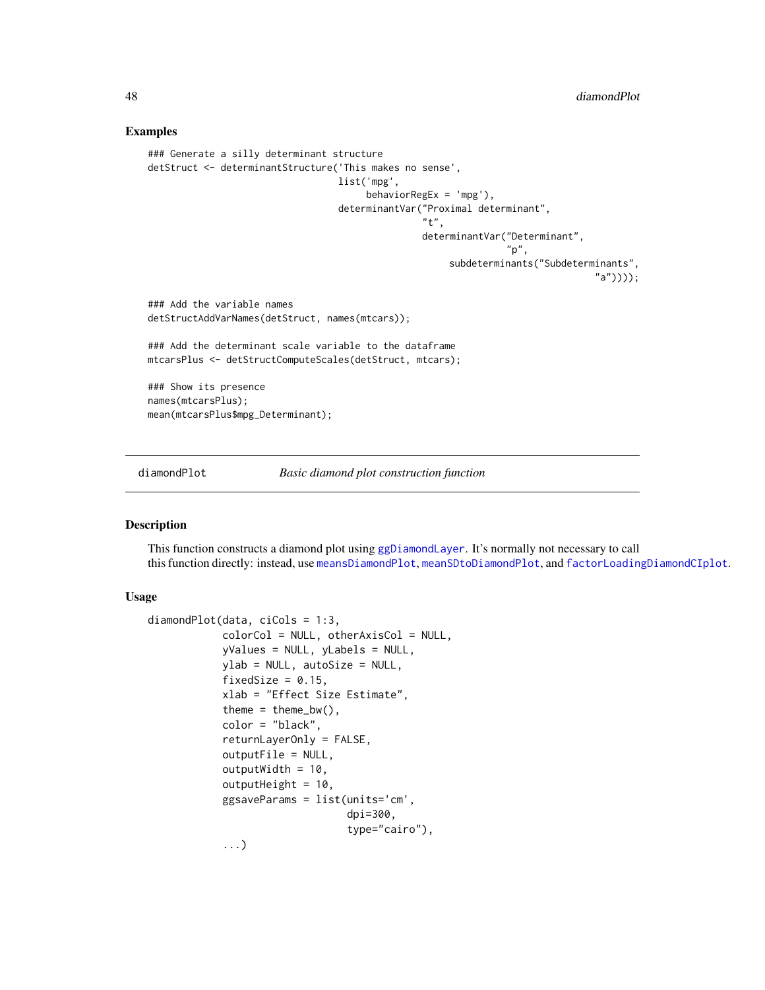### Examples

```
### Generate a silly determinant structure
detStruct <- determinantStructure('This makes no sense',
                                  list('mpg',
                                       behaviorRegEx = 'mpg'),
                                  determinantVar("Proximal determinant",
                                                  "t",
                                                  determinantVar("Determinant",
                                                                 "p",
                                                       subdeterminants("Subdeterminants",
                                                                                 "a"))));
### Add the variable names
detStructAddVarNames(detStruct, names(mtcars));
### Add the determinant scale variable to the dataframe
mtcarsPlus <- detStructComputeScales(detStruct, mtcars);
### Show its presence
names(mtcarsPlus);
mean(mtcarsPlus$mpg_Determinant);
```
<span id="page-47-0"></span>diamondPlot *Basic diamond plot construction function*

#### Description

This function constructs a diamond plot using [ggDiamondLayer](#page-78-0). It's normally not necessary to call this function directly: instead, use [meansDiamondPlot](#page-109-0), [meanSDtoDiamondPlot](#page-111-0), and [factorLoadingDiamondCIplot](#page-62-0).

```
diamondPlot(data, ciCols = 1:3,
            colorCol = NULL, other AxisCol = NULL,yValues = NULL, yLabels = NULL,
            ylab = NULL, autoSize = NULL,
            fixedSize = 0.15,
            xlab = "Effect Size Estimate",
            theme = thene_bw(),
            color = "black",
            returnLayerOnly = FALSE,
            outputFile = NULL,
            outputWidth = 10,outputHeight = 10,ggsaveParams = list(units='cm',
                                dpi=300,
                                type="cairo"),
            ...)
```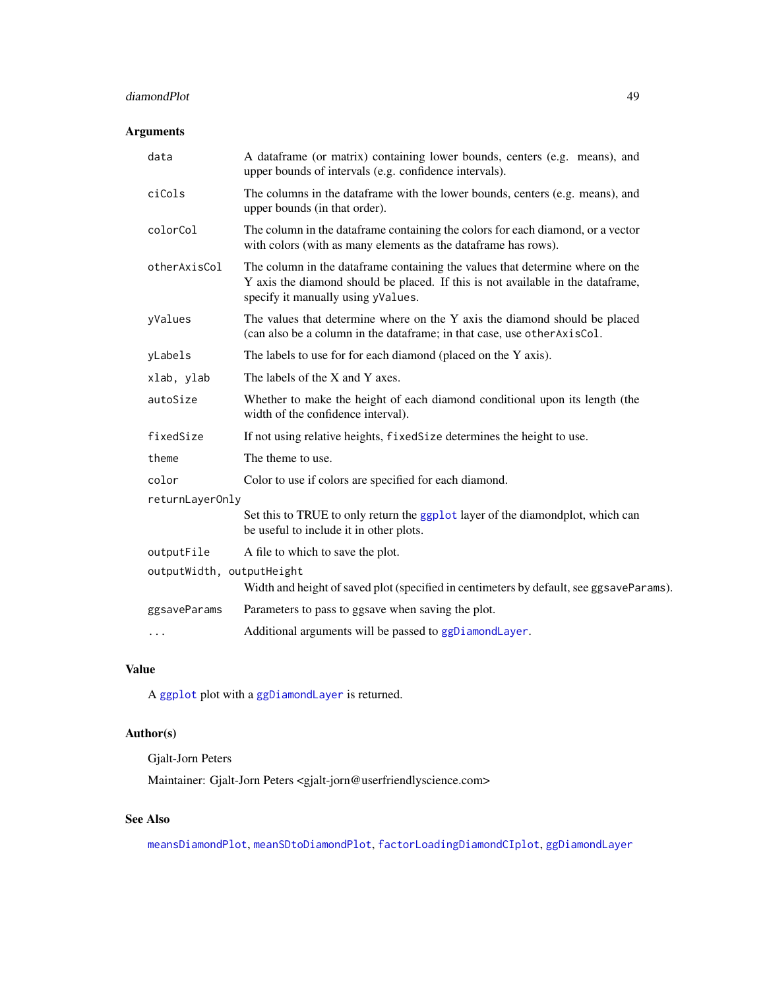# diamondPlot 49

# Arguments

| data                      | A dataframe (or matrix) containing lower bounds, centers (e.g. means), and<br>upper bounds of intervals (e.g. confidence intervals).                                                                   |  |
|---------------------------|--------------------------------------------------------------------------------------------------------------------------------------------------------------------------------------------------------|--|
| ciCols                    | The columns in the dataframe with the lower bounds, centers (e.g. means), and<br>upper bounds (in that order).                                                                                         |  |
| colorCol                  | The column in the dataframe containing the colors for each diamond, or a vector<br>with colors (with as many elements as the dataframe has rows).                                                      |  |
| otherAxisCol              | The column in the dataframe containing the values that determine where on the<br>Y axis the diamond should be placed. If this is not available in the dataframe,<br>specify it manually using yValues. |  |
| yValues                   | The values that determine where on the Y axis the diamond should be placed<br>(can also be a column in the dataframe; in that case, use other AxisCol.                                                 |  |
| yLabels                   | The labels to use for for each diamond (placed on the Y axis).                                                                                                                                         |  |
| xlab, ylab                | The labels of the X and Y axes.                                                                                                                                                                        |  |
| autoSize                  | Whether to make the height of each diamond conditional upon its length (the<br>width of the confidence interval).                                                                                      |  |
| fixedSize                 | If not using relative heights, fixedSize determines the height to use.                                                                                                                                 |  |
| theme                     | The theme to use.                                                                                                                                                                                      |  |
| color                     | Color to use if colors are specified for each diamond.                                                                                                                                                 |  |
| returnLayerOnly           |                                                                                                                                                                                                        |  |
|                           | Set this to TRUE to only return the ggplot layer of the diamondplot, which can<br>be useful to include it in other plots.                                                                              |  |
| outputFile                | A file to which to save the plot.                                                                                                                                                                      |  |
| outputWidth, outputHeight | Width and height of saved plot (specified in centimeters by default, see ggsaveParams).                                                                                                                |  |
| ggsaveParams              | Parameters to pass to ggsave when saving the plot.                                                                                                                                                     |  |
| $\cdots$                  | Additional arguments will be passed to ggDiamondLayer.                                                                                                                                                 |  |

# Value

A [ggplot](#page-0-0) plot with a [ggDiamondLayer](#page-78-0) is returned.

# Author(s)

Gjalt-Jorn Peters

Maintainer: Gjalt-Jorn Peters <gjalt-jorn@userfriendlyscience.com>

# See Also

[meansDiamondPlot](#page-109-0), [meanSDtoDiamondPlot](#page-111-0), [factorLoadingDiamondCIplot](#page-62-0), [ggDiamondLayer](#page-78-0)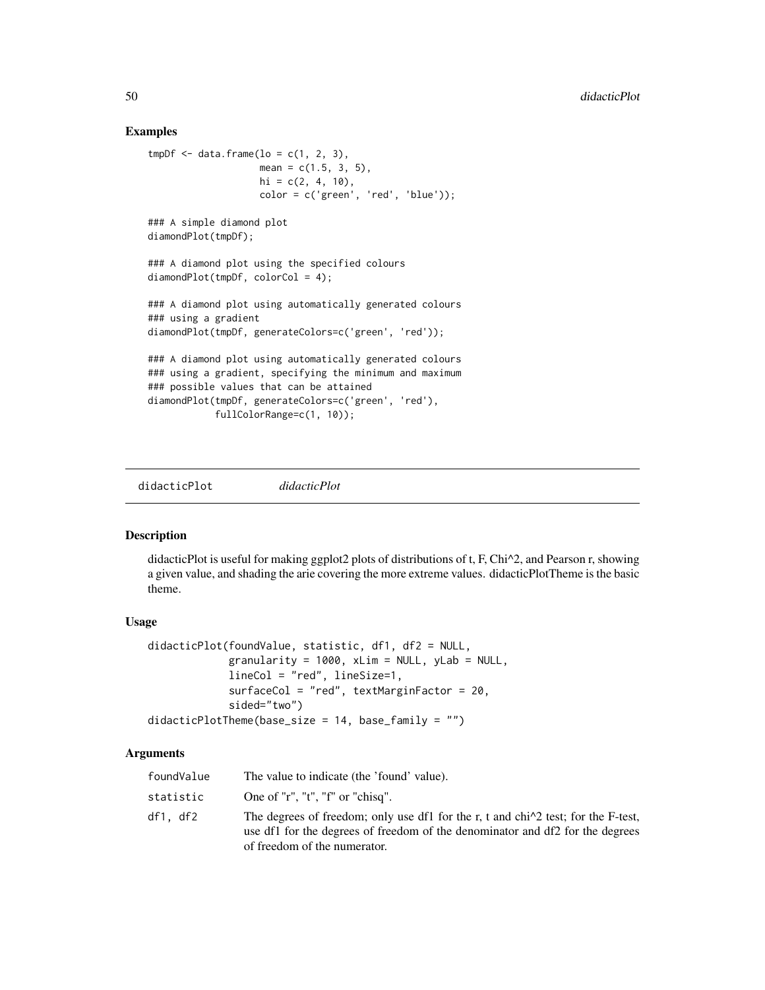### Examples

```
tmpDf \leftarrow data.frame(lo = c(1, 2, 3),mean = c(1.5, 3, 5),
                    hi = c(2, 4, 10),
                    color = c('green', 'red', 'blue'));### A simple diamond plot
diamondPlot(tmpDf);
### A diamond plot using the specified colours
diamondPlot(tmpDf, colorCol = 4);
### A diamond plot using automatically generated colours
### using a gradient
diamondPlot(tmpDf, generateColors=c('green', 'red'));
### A diamond plot using automatically generated colours
### using a gradient, specifying the minimum and maximum
### possible values that can be attained
diamondPlot(tmpDf, generateColors=c('green', 'red'),
            fullColorRange=c(1, 10));
```
didacticPlot *didacticPlot*

## Description

didacticPlot is useful for making ggplot2 plots of distributions of t, F, Chi^2, and Pearson r, showing a given value, and shading the arie covering the more extreme values. didacticPlotTheme is the basic theme.

#### Usage

```
didacticPlot(foundValue, statistic, df1, df2 = NULL,
             granularity = 1000, xLim = NULL, yLab = NULL,
             lineCol = "red", lineSize=1,
             surfaceCol = "red", textMarginFactor = 20,
             sided="two")
didacticPlotTheme(base_size = 14, base_family = "")
```
### Arguments

| foundValue | The value to indicate (the 'found' value).                                                                                                                                                                  |
|------------|-------------------------------------------------------------------------------------------------------------------------------------------------------------------------------------------------------------|
| statistic  | One of "r", "t", "f" or "chisq".                                                                                                                                                                            |
| df1. df2   | The degrees of freedom; only use df1 for the r, t and $\text{chi}^2$ test; for the F-test,<br>use df1 for the degrees of freedom of the denominator and df2 for the degrees<br>of freedom of the numerator. |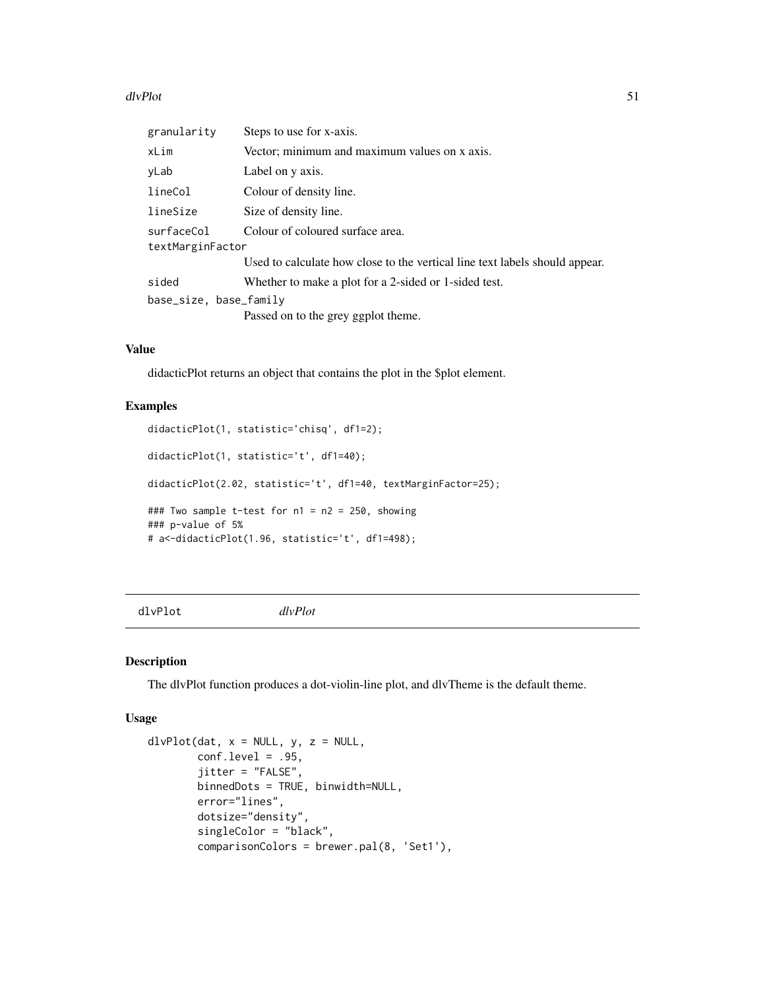#### dlvPlot 51

| granularity                    | Steps to use for x-axis.                                                    |
|--------------------------------|-----------------------------------------------------------------------------|
| xLim                           | Vector; minimum and maximum values on x axis.                               |
| yLab                           | Label on y axis.                                                            |
| lineCol                        | Colour of density line.                                                     |
| lineSize                       | Size of density line.                                                       |
| surfaceCol<br>textMarginFactor | Colour of coloured surface area.                                            |
|                                | Used to calculate how close to the vertical line text labels should appear. |
| sided                          | Whether to make a plot for a 2-sided or 1-sided test.                       |
| base_size, base_family         |                                                                             |
|                                | Passed on to the grey ggplot theme.                                         |

# Value

didacticPlot returns an object that contains the plot in the \$plot element.

# Examples

```
didacticPlot(1, statistic='chisq', df1=2);
didacticPlot(1, statistic='t', df1=40);
didacticPlot(2.02, statistic='t', df1=40, textMarginFactor=25);
### Two sample t-test for n1 = n2 = 250, showing
### p-value of 5%
# a<-didacticPlot(1.96, statistic='t', df1=498);
```
dlvPlot *dlvPlot*

### Description

The dlvPlot function produces a dot-violin-line plot, and dlvTheme is the default theme.

```
dlvPlot(data, x = NULL, y, z = NULL,conf. level = .95,jitter = "FALSE",
        binnedDots = TRUE, binwidth=NULL,
        error="lines",
        dotsize="density",
        singleColor = "black",
        comparisonColors = brewer.pal(8, 'Set1'),
```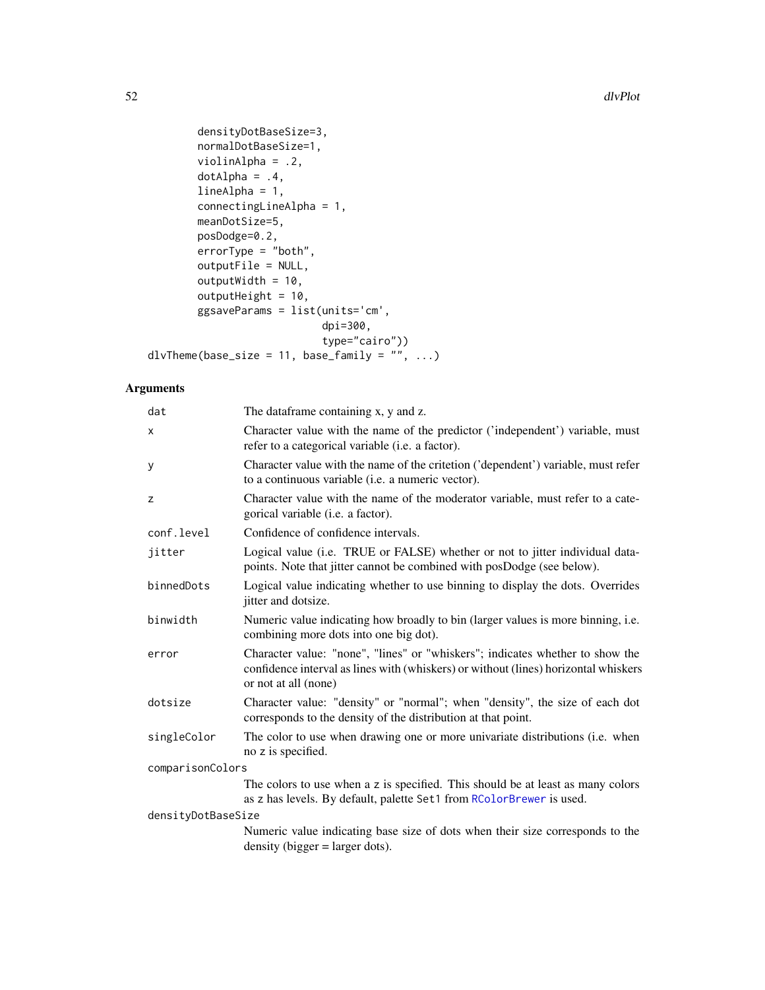```
densityDotBaseSize=3,
        normalDotBaseSize=1,
        violinAlpha = .2,
        dotAlpha = .4,lineAlpha = 1,
        connectingLineAlpha = 1,
        meanDotSize=5,
        posDodge=0.2,
        errorType = "both",
        outputFile = NULL,
        outputWidth = 10,
        outputHeight = 10,
        ggsaveParams = list(units='cm',
                            dpi=300,
                            type="cairo"))
dlvTheme(base_size = 11, base_family = ", ...)
```
# Arguments

| The dataframe containing x, y and z.                                                                                                                                                         |  |  |
|----------------------------------------------------------------------------------------------------------------------------------------------------------------------------------------------|--|--|
| Character value with the name of the predictor ('independent') variable, must<br>refer to a categorical variable (i.e. a factor).                                                            |  |  |
| Character value with the name of the critetion ('dependent') variable, must refer<br>to a continuous variable ( <i>i.e.</i> a numeric vector).                                               |  |  |
| Character value with the name of the moderator variable, must refer to a cate-<br>gorical variable (i.e. a factor).                                                                          |  |  |
| Confidence of confidence intervals.                                                                                                                                                          |  |  |
| Logical value (i.e. TRUE or FALSE) whether or not to jitter individual data-<br>points. Note that jitter cannot be combined with posDodge (see below).                                       |  |  |
| Logical value indicating whether to use binning to display the dots. Overrides<br>jitter and dotsize.                                                                                        |  |  |
| Numeric value indicating how broadly to bin (larger values is more binning, i.e.<br>combining more dots into one big dot).                                                                   |  |  |
| Character value: "none", "lines" or "whiskers"; indicates whether to show the<br>confidence interval as lines with (whiskers) or without (lines) horizontal whiskers<br>or not at all (none) |  |  |
| Character value: "density" or "normal"; when "density", the size of each dot<br>corresponds to the density of the distribution at that point.                                                |  |  |
| The color to use when drawing one or more univariate distributions (i.e. when<br>no z is specified.                                                                                          |  |  |
| comparisonColors                                                                                                                                                                             |  |  |
| The colors to use when a z is specified. This should be at least as many colors<br>as z has levels. By default, palette Set1 from RColorBrewer is used.                                      |  |  |
| densityDotBaseSize                                                                                                                                                                           |  |  |
| Numeric value indicating base size of dots when their size corresponds to the<br>$density$ (bigger = larger dots).                                                                           |  |  |
|                                                                                                                                                                                              |  |  |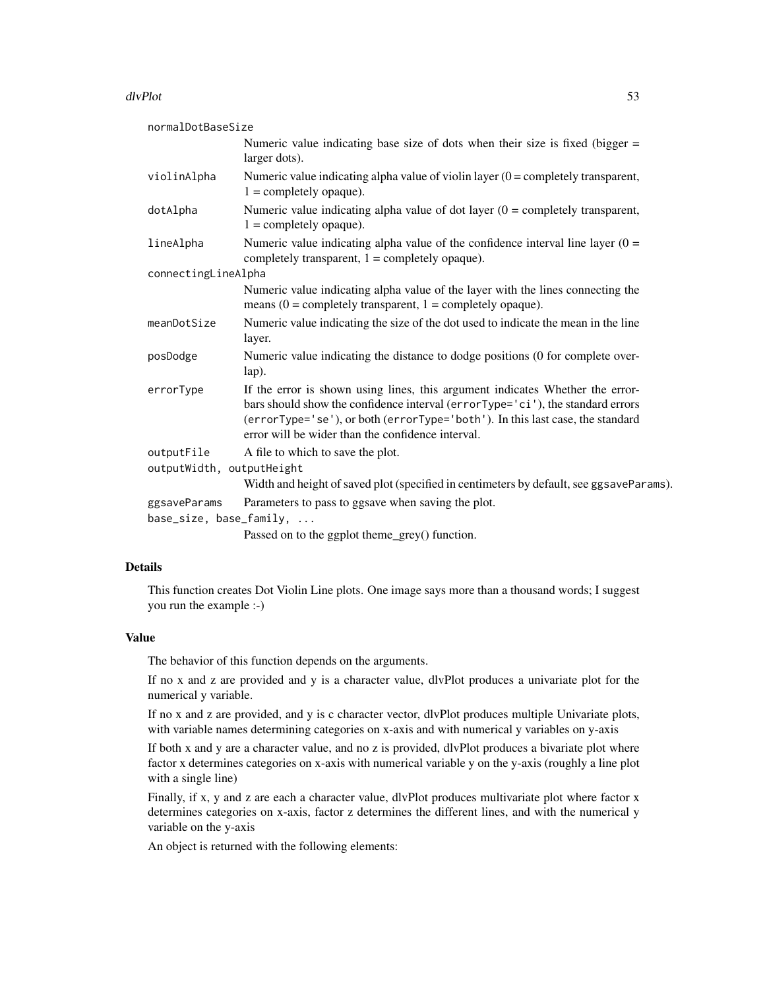#### dlvPlot 53

| normalDotBaseSize                       |                                                                                                                                                                                                                                                                                                       |
|-----------------------------------------|-------------------------------------------------------------------------------------------------------------------------------------------------------------------------------------------------------------------------------------------------------------------------------------------------------|
|                                         | Numeric value indicating base size of dots when their size is fixed (bigger $=$<br>larger dots).                                                                                                                                                                                                      |
| violinAlpha                             | Numeric value indicating alpha value of violin layer $(0 =$ completely transparent,<br>$1 =$ completely opaque).                                                                                                                                                                                      |
| dotAlpha                                | Numeric value indicating alpha value of dot layer $(0 =$ completely transparent,<br>$1 =$ completely opaque).                                                                                                                                                                                         |
| lineAlpha                               | Numeric value indicating alpha value of the confidence interval line layer $(0 =$<br>completely transparent, $1 =$ completely opaque).                                                                                                                                                                |
| connectingLineAlpha                     |                                                                                                                                                                                                                                                                                                       |
|                                         | Numeric value indicating alpha value of the layer with the lines connecting the<br>means $(0 = \text{completely transparent}, 1 = \text{completely opaque}).$                                                                                                                                         |
| meanDotSize                             | Numeric value indicating the size of the dot used to indicate the mean in the line<br>layer.                                                                                                                                                                                                          |
| posDodge                                | Numeric value indicating the distance to dodge positions (0 for complete over-<br>lap).                                                                                                                                                                                                               |
| errorType                               | If the error is shown using lines, this argument indicates Whether the error-<br>bars should show the confidence interval (errorType='ci'), the standard errors<br>(errorType='se'), or both (errorType='both'). In this last case, the standard<br>error will be wider than the confidence interval. |
| outputFile<br>outputWidth, outputHeight | A file to which to save the plot.                                                                                                                                                                                                                                                                     |
|                                         | Width and height of saved plot (specified in centimeters by default, see ggsaveParams).                                                                                                                                                                                                               |
| ggsaveParams<br>base_size, base_family, | Parameters to pass to ggsave when saving the plot.                                                                                                                                                                                                                                                    |
|                                         | Passed on to the ggplot theme_grey() function.                                                                                                                                                                                                                                                        |

### Details

This function creates Dot Violin Line plots. One image says more than a thousand words; I suggest you run the example :-)

### Value

The behavior of this function depends on the arguments.

If no x and z are provided and y is a character value, dlvPlot produces a univariate plot for the numerical y variable.

If no x and z are provided, and y is c character vector, dlvPlot produces multiple Univariate plots, with variable names determining categories on x-axis and with numerical y variables on y-axis

If both x and y are a character value, and no z is provided, dlvPlot produces a bivariate plot where factor x determines categories on x-axis with numerical variable y on the y-axis (roughly a line plot with a single line)

Finally, if x, y and z are each a character value, dlvPlot produces multivariate plot where factor x determines categories on x-axis, factor z determines the different lines, and with the numerical y variable on the y-axis

An object is returned with the following elements: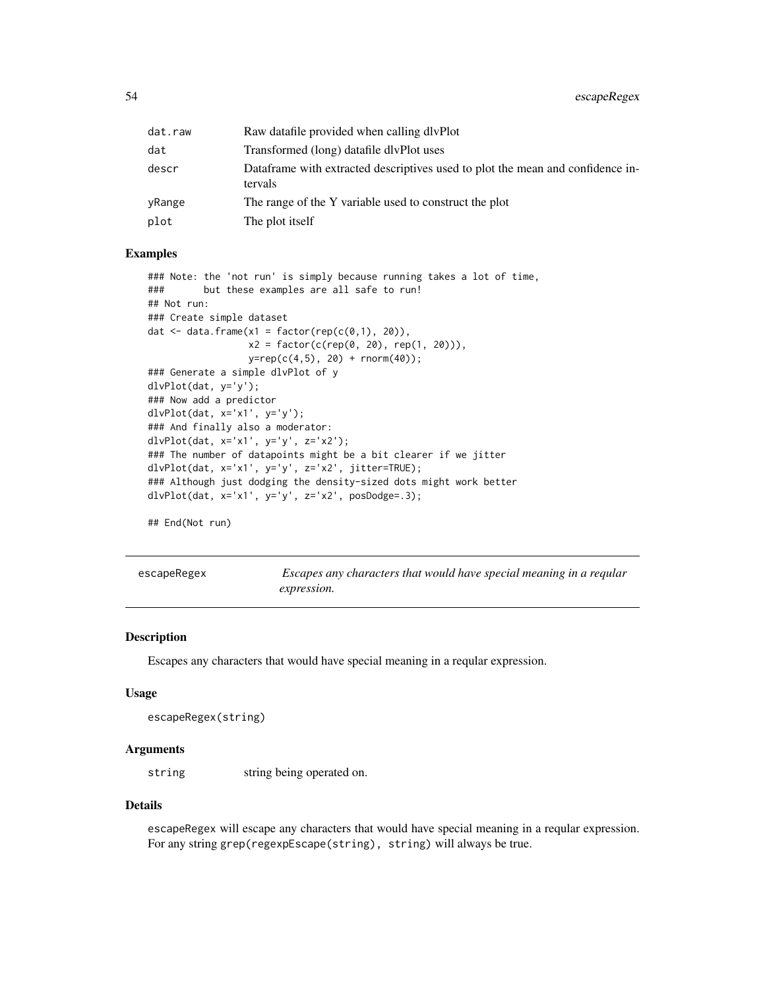| dat.raw | Raw datafile provided when calling dlyPlot                                                |
|---------|-------------------------------------------------------------------------------------------|
| dat     | Transformed (long) datafile divPlot uses                                                  |
| descr   | Dataframe with extracted descriptives used to plot the mean and confidence in-<br>tervals |
| yRange  | The range of the Y variable used to construct the plot                                    |
| plot    | The plot itself                                                                           |

### Examples

```
### Note: the 'not run' is simply because running takes a lot of time,
### but these examples are all safe to run!
## Not run:
### Create simple dataset
dat \leq data.frame(x1 = factor(rep(c(0,1), 20)),
                  x2 = factor(c(rep(0, 20), rep(1, 20))),
                  y = rep(c(4,5), 20) + rnorm(40);
### Generate a simple dlvPlot of y
dlvPlot(dat, y='y');
### Now add a predictor
dlvPlot(dat, x='x1', y='y');
### And finally also a moderator:
dlvPlot(dat, x='x1', y='y', z='x2');
### The number of datapoints might be a bit clearer if we jitter
dlvPlot(dat, x='x1', y='y', z='x2', jitter=TRUE);
### Although just dodging the density-sized dots might work better
dlvPlot(dat, x='x1', y='y', z='x2', posDodge=.3);
```
## End(Not run)

| escapeRegex |  |
|-------------|--|
|             |  |

Escapes any characters that would have special meaning in a reqular *expression.*

### Description

Escapes any characters that would have special meaning in a reqular expression.

## Usage

```
escapeRegex(string)
```
### Arguments

string string being operated on.

### Details

escapeRegex will escape any characters that would have special meaning in a reqular expression. For any string grep(regexpEscape(string), string) will always be true.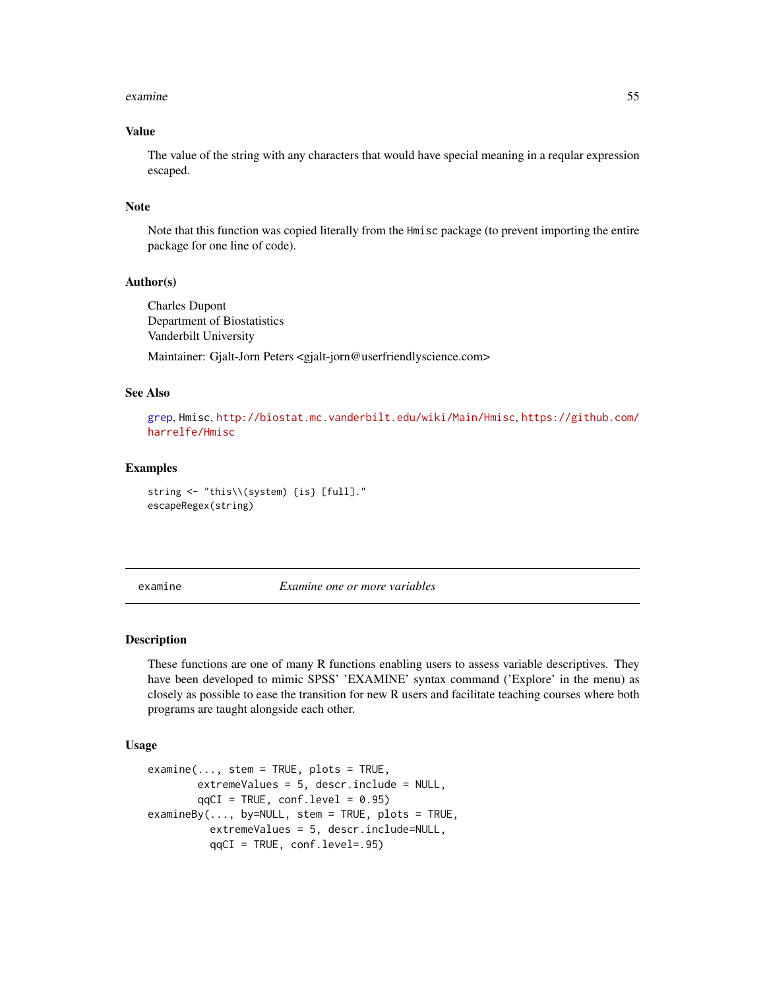#### examine 55

## Value

The value of the string with any characters that would have special meaning in a reqular expression escaped.

### Note

Note that this function was copied literally from the Hmisc package (to prevent importing the entire package for one line of code).

# Author(s)

Charles Dupont Department of Biostatistics Vanderbilt University

Maintainer: Gjalt-Jorn Peters <gjalt-jorn@userfriendlyscience.com>

#### See Also

[grep](#page-0-0), Hmisc, <http://biostat.mc.vanderbilt.edu/wiki/Main/Hmisc>, [https://github.com/](https://github.com/harrelfe/Hmisc) [harrelfe/Hmisc](https://github.com/harrelfe/Hmisc)

#### Examples

```
string <- "this\\(system) {is} [full]."
escapeRegex(string)
```
<span id="page-54-0"></span>examine *Examine one or more variables*

### **Description**

These functions are one of many R functions enabling users to assess variable descriptives. They have been developed to mimic SPSS' 'EXAMINE' syntax command ('Explore' in the menu) as closely as possible to ease the transition for new R users and facilitate teaching courses where both programs are taught alongside each other.

```
examine(..., stem = TRUE, plots = TRUE,
       extremeValues = 5, descr.include = NULL,
       qqCI = TRUE, conf.level = 0.95)examineBy(..., by=NULL, stem = TRUE, plots = TRUE,extremeValues = 5, descr.include=NULL,
         qqCI = TRUE, conf.level=.95)
```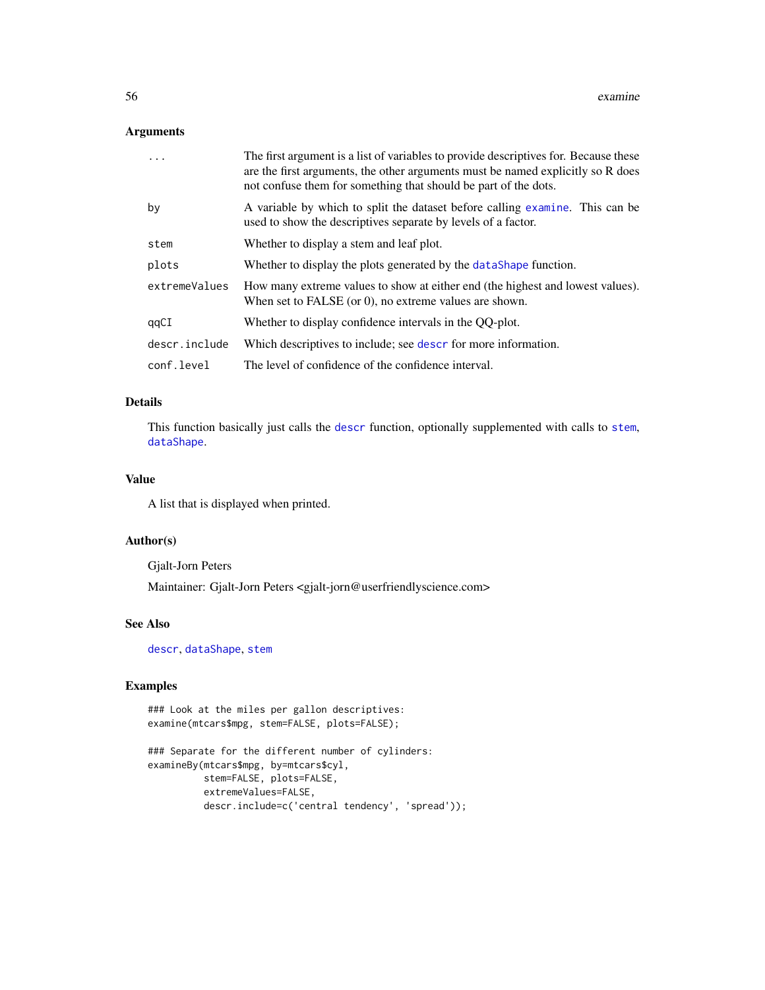### Arguments

| $\cdot$       | The first argument is a list of variables to provide descriptives for. Because these<br>are the first arguments, the other arguments must be named explicitly so R does<br>not confuse them for something that should be part of the dots. |
|---------------|--------------------------------------------------------------------------------------------------------------------------------------------------------------------------------------------------------------------------------------------|
| by            | A variable by which to split the dataset before calling examine. This can be<br>used to show the descriptives separate by levels of a factor.                                                                                              |
| stem          | Whether to display a stem and leaf plot.                                                                                                                                                                                                   |
| plots         | Whether to display the plots generated by the dataShape function.                                                                                                                                                                          |
| extremeValues | How many extreme values to show at either end (the highest and lowest values).<br>When set to $FALSE (or 0)$ , no extreme values are shown.                                                                                                |
| qqCI          | Whether to display confidence intervals in the QQ-plot.                                                                                                                                                                                    |
| descr.include | Which descriptives to include; see descr for more information.                                                                                                                                                                             |
| conf.level    | The level of confidence of the confidence interval.                                                                                                                                                                                        |

#### Details

This function basically just calls the [descr](#page-40-0) function, optionally supplemented with calls to [stem](#page-0-0), [dataShape](#page-117-0).

#### Value

A list that is displayed when printed.

#### Author(s)

Gjalt-Jorn Peters

Maintainer: Gjalt-Jorn Peters <gjalt-jorn@userfriendlyscience.com>

#### See Also

[descr](#page-40-0), [dataShape](#page-117-0), [stem](#page-0-0)

### Examples

```
### Look at the miles per gallon descriptives:
examine(mtcars$mpg, stem=FALSE, plots=FALSE);
```

```
### Separate for the different number of cylinders:
examineBy(mtcars$mpg, by=mtcars$cyl,
         stem=FALSE, plots=FALSE,
         extremeValues=FALSE,
         descr.include=c('central tendency', 'spread'));
```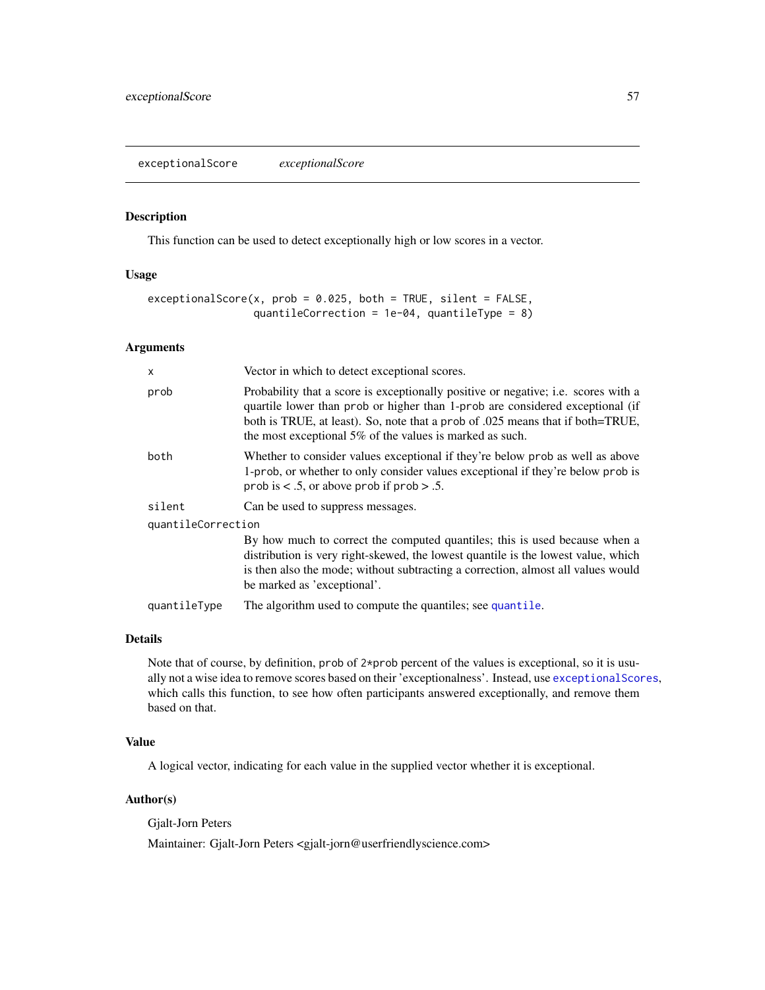<span id="page-56-0"></span>exceptionalScore *exceptionalScore*

### Description

This function can be used to detect exceptionally high or low scores in a vector.

# Usage

```
exceptionalScore(x, prob = 0.025, both = TRUE, silent = FALSE,
                 quantileCorrection = 1e-04, quantileType = 8)
```
# Arguments

| X                  | Vector in which to detect exceptional scores.                                                                                                                                                                                                                                                                     |  |
|--------------------|-------------------------------------------------------------------------------------------------------------------------------------------------------------------------------------------------------------------------------------------------------------------------------------------------------------------|--|
| prob               | Probability that a score is exceptionally positive or negative; i.e. scores with a<br>quartile lower than prob or higher than 1-prob are considered exceptional (if<br>both is TRUE, at least). So, note that a prob of .025 means that if both=TRUE,<br>the most exceptional 5% of the values is marked as such. |  |
| both               | Whether to consider values exceptional if they're below prob as well as above<br>1-prob, or whether to only consider values exceptional if they're below prob is<br>prob is $\lt$ .5, or above prob if prob $> .5$ .                                                                                              |  |
| silent             | Can be used to suppress messages.                                                                                                                                                                                                                                                                                 |  |
| quantileCorrection |                                                                                                                                                                                                                                                                                                                   |  |
|                    | By how much to correct the computed quantiles; this is used because when a<br>distribution is very right-skewed, the lowest quantile is the lowest value, which<br>is then also the mode; without subtracting a correction, almost all values would<br>be marked as 'exceptional'.                                |  |
| quantileType       | The algorithm used to compute the quantiles; see quantile.                                                                                                                                                                                                                                                        |  |

# Details

Note that of course, by definition, prob of 2\*prob percent of the values is exceptional, so it is usually not a wise idea to remove scores based on their 'exceptionalness'. Instead, use [exceptionalScores](#page-57-0), which calls this function, to see how often participants answered exceptionally, and remove them based on that.

# Value

A logical vector, indicating for each value in the supplied vector whether it is exceptional.

# Author(s)

Gjalt-Jorn Peters

Maintainer: Gjalt-Jorn Peters <gjalt-jorn@userfriendlyscience.com>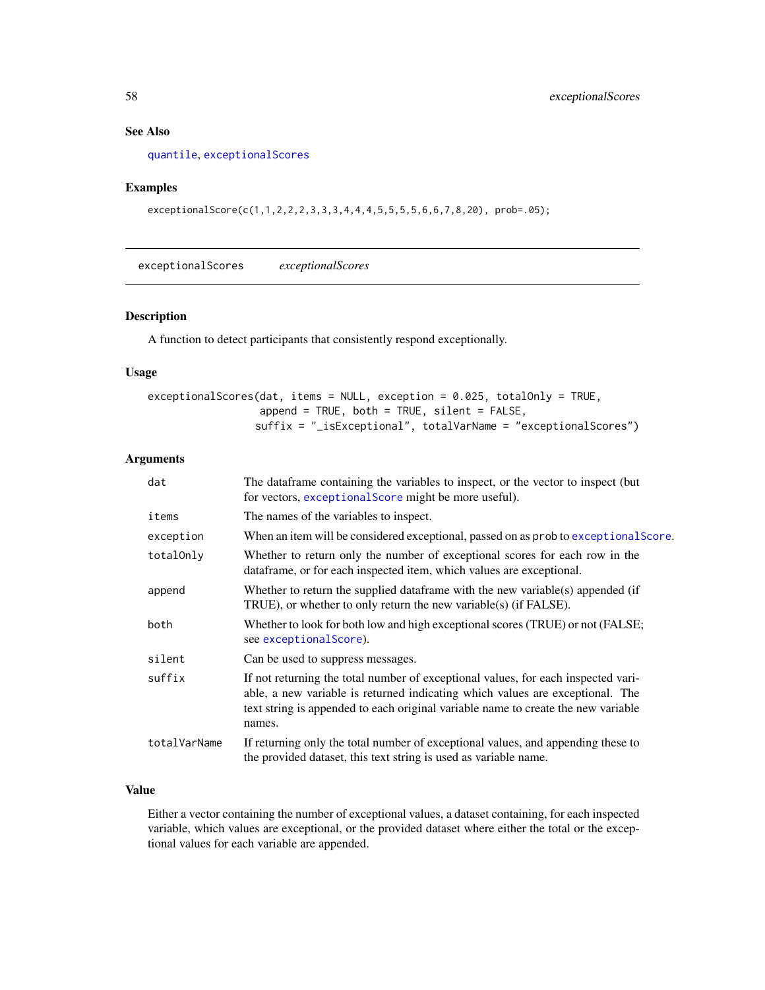# See Also

[quantile](#page-0-0), [exceptionalScores](#page-57-0)

# Examples

exceptionalScore(c(1,1,2,2,2,3,3,3,4,4,4,5,5,5,5,6,6,7,8,20), prob=.05);

<span id="page-57-0"></span>exceptionalScores *exceptionalScores*

### Description

A function to detect participants that consistently respond exceptionally.

# Usage

| exceptionalScores(dat, items = NULL, exception = 0.025, totalOnly = TRUE, |
|---------------------------------------------------------------------------|
| append = TRUE, both = TRUE, silent = FALSE,                               |
| $\text{suffix} = "$ _isExceptional", totalVarName = "exceptionalScores")  |

# Arguments

| dat          | The data frame containing the variables to inspect, or the vector to inspect (but)<br>for vectors, exceptional Score might be more useful).                                                                                                                       |
|--------------|-------------------------------------------------------------------------------------------------------------------------------------------------------------------------------------------------------------------------------------------------------------------|
| items        | The names of the variables to inspect.                                                                                                                                                                                                                            |
| exception    | When an item will be considered exceptional, passed on as prob to exceptional Score.                                                                                                                                                                              |
| totalOnly    | Whether to return only the number of exceptional scores for each row in the<br>dataframe, or for each inspected item, which values are exceptional.                                                                                                               |
| append       | Whether to return the supplied dataframe with the new variable(s) appended (if<br>TRUE), or whether to only return the new variable(s) (if FALSE).                                                                                                                |
| both         | Whether to look for both low and high exceptional scores (TRUE) or not (FALSE;<br>see exceptional Score).                                                                                                                                                         |
| silent       | Can be used to suppress messages.                                                                                                                                                                                                                                 |
| suffix       | If not returning the total number of exceptional values, for each inspected vari-<br>able, a new variable is returned indicating which values are exceptional. The<br>text string is appended to each original variable name to create the new variable<br>names. |
| totalVarName | If returning only the total number of exceptional values, and appending these to<br>the provided dataset, this text string is used as variable name.                                                                                                              |

# Value

Either a vector containing the number of exceptional values, a dataset containing, for each inspected variable, which values are exceptional, or the provided dataset where either the total or the exceptional values for each variable are appended.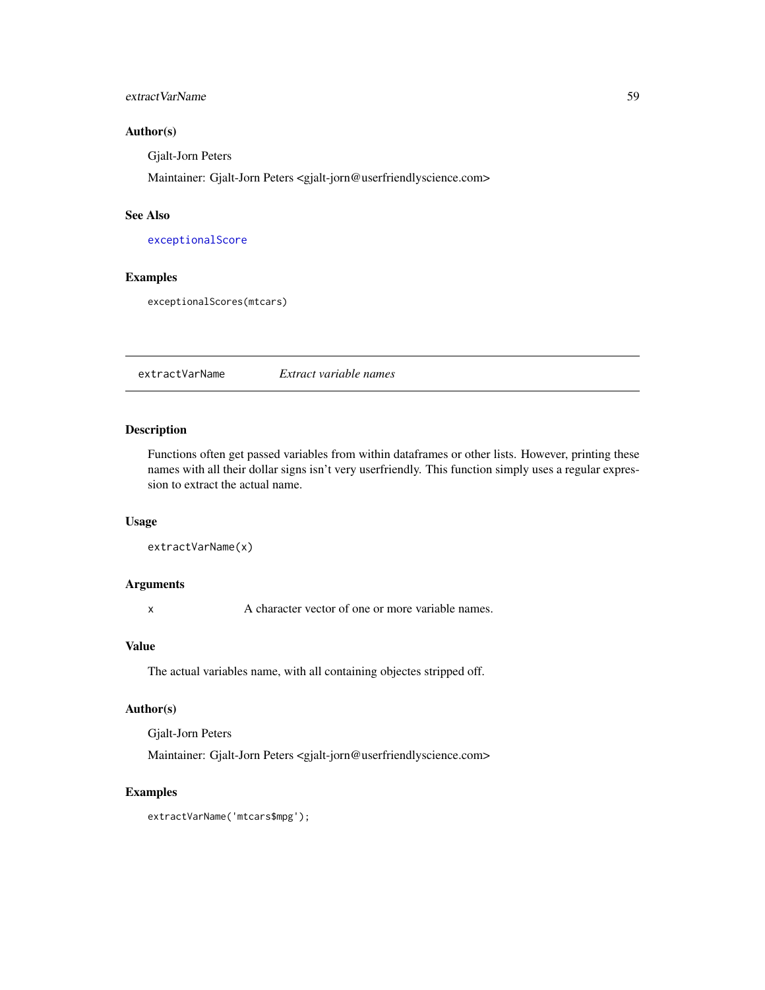## extractVarName 59

## Author(s)

Gjalt-Jorn Peters

Maintainer: Gjalt-Jorn Peters <gjalt-jorn@userfriendlyscience.com>

### See Also

[exceptionalScore](#page-56-0)

### Examples

exceptionalScores(mtcars)

extractVarName *Extract variable names*

# Description

Functions often get passed variables from within dataframes or other lists. However, printing these names with all their dollar signs isn't very userfriendly. This function simply uses a regular expression to extract the actual name.

### Usage

```
extractVarName(x)
```
# Arguments

x A character vector of one or more variable names.

## Value

The actual variables name, with all containing objectes stripped off.

## Author(s)

Gjalt-Jorn Peters

Maintainer: Gjalt-Jorn Peters <gjalt-jorn@userfriendlyscience.com>

# Examples

extractVarName('mtcars\$mpg');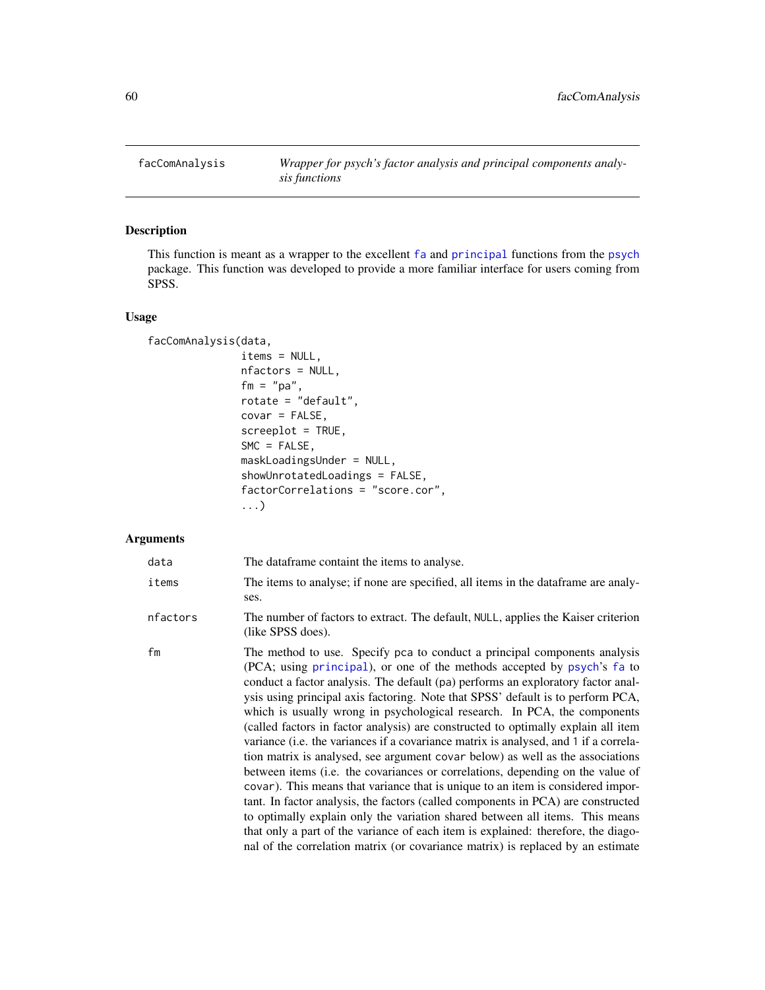# Description

This function is meant as a wrapper to the excellent [fa](#page-0-0) and [principal](#page-0-0) functions from the [psych](#page-0-0) package. This function was developed to provide a more familiar interface for users coming from SPSS.

### Usage

```
facComAnalysis(data,
               items = NULL,
               nfactors = NULL,
               fm = "pa",rotate = "default",
               covar = FALSE,screeplot = TRUE,
               SMC = FALSE,
               maskLoadingsUnder = NULL,
               showUnrotatedLoadings = FALSE,
               factorCorrelations = "score.cor",
               ...)
```
## Arguments

| data     | The dataframe containt the items to analyse.                                                                                                                                                                                                                                                                                                                                                                                                                                                                                                                                                                                                                                                                                                                                                                                                                                                                                                                                                                                                                                                                                                                                                    |
|----------|-------------------------------------------------------------------------------------------------------------------------------------------------------------------------------------------------------------------------------------------------------------------------------------------------------------------------------------------------------------------------------------------------------------------------------------------------------------------------------------------------------------------------------------------------------------------------------------------------------------------------------------------------------------------------------------------------------------------------------------------------------------------------------------------------------------------------------------------------------------------------------------------------------------------------------------------------------------------------------------------------------------------------------------------------------------------------------------------------------------------------------------------------------------------------------------------------|
| items    | The items to analyse; if none are specified, all items in the data frame are analy-<br>ses.                                                                                                                                                                                                                                                                                                                                                                                                                                                                                                                                                                                                                                                                                                                                                                                                                                                                                                                                                                                                                                                                                                     |
| nfactors | The number of factors to extract. The default, NULL, applies the Kaiser criterion<br>(like SPSS does).                                                                                                                                                                                                                                                                                                                                                                                                                                                                                                                                                                                                                                                                                                                                                                                                                                                                                                                                                                                                                                                                                          |
| fm       | The method to use. Specify pca to conduct a principal components analysis<br>(PCA; using principal), or one of the methods accepted by psych's fa to<br>conduct a factor analysis. The default (pa) performs an exploratory factor anal-<br>ysis using principal axis factoring. Note that SPSS' default is to perform PCA,<br>which is usually wrong in psychological research. In PCA, the components<br>(called factors in factor analysis) are constructed to optimally explain all item<br>variance ( <i>i.e.</i> the variances if a covariance matrix is analysed, and 1 if a correla-<br>tion matrix is analysed, see argument covar below) as well as the associations<br>between items (i.e. the covariances or correlations, depending on the value of<br>covar). This means that variance that is unique to an item is considered impor-<br>tant. In factor analysis, the factors (called components in PCA) are constructed<br>to optimally explain only the variation shared between all items. This means<br>that only a part of the variance of each item is explained: therefore, the diago-<br>nal of the correlation matrix (or covariance matrix) is replaced by an estimate |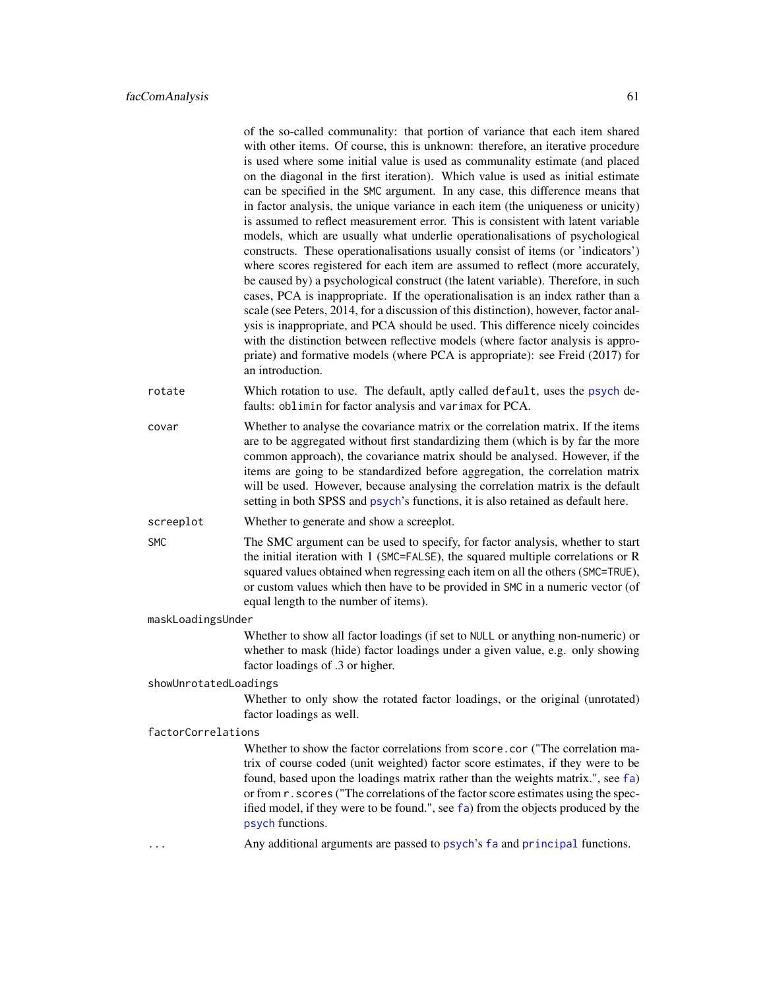|                       | of the so-called communality: that portion of variance that each item shared<br>with other items. Of course, this is unknown: therefore, an iterative procedure<br>is used where some initial value is used as communality estimate (and placed<br>on the diagonal in the first iteration). Which value is used as initial estimate<br>can be specified in the SMC argument. In any case, this difference means that<br>in factor analysis, the unique variance in each item (the uniqueness or unicity)<br>is assumed to reflect measurement error. This is consistent with latent variable<br>models, which are usually what underlie operationalisations of psychological<br>constructs. These operationalisations usually consist of items (or 'indicators')<br>where scores registered for each item are assumed to reflect (more accurately,<br>be caused by) a psychological construct (the latent variable). Therefore, in such<br>cases, PCA is inappropriate. If the operationalisation is an index rather than a<br>scale (see Peters, 2014, for a discussion of this distinction), however, factor anal-<br>ysis is inappropriate, and PCA should be used. This difference nicely coincides<br>with the distinction between reflective models (where factor analysis is appro- |
|-----------------------|--------------------------------------------------------------------------------------------------------------------------------------------------------------------------------------------------------------------------------------------------------------------------------------------------------------------------------------------------------------------------------------------------------------------------------------------------------------------------------------------------------------------------------------------------------------------------------------------------------------------------------------------------------------------------------------------------------------------------------------------------------------------------------------------------------------------------------------------------------------------------------------------------------------------------------------------------------------------------------------------------------------------------------------------------------------------------------------------------------------------------------------------------------------------------------------------------------------------------------------------------------------------------------------------|
|                       | priate) and formative models (where PCA is appropriate): see Freid (2017) for<br>an introduction.                                                                                                                                                                                                                                                                                                                                                                                                                                                                                                                                                                                                                                                                                                                                                                                                                                                                                                                                                                                                                                                                                                                                                                                          |
| rotate                | Which rotation to use. The default, aptly called default, uses the psych de-<br>faults: oblimin for factor analysis and varimax for PCA.                                                                                                                                                                                                                                                                                                                                                                                                                                                                                                                                                                                                                                                                                                                                                                                                                                                                                                                                                                                                                                                                                                                                                   |
| covar                 | Whether to analyse the covariance matrix or the correlation matrix. If the items<br>are to be aggregated without first standardizing them (which is by far the more<br>common approach), the covariance matrix should be analysed. However, if the<br>items are going to be standardized before aggregation, the correlation matrix<br>will be used. However, because analysing the correlation matrix is the default<br>setting in both SPSS and psych's functions, it is also retained as default here.                                                                                                                                                                                                                                                                                                                                                                                                                                                                                                                                                                                                                                                                                                                                                                                  |
| screeplot             | Whether to generate and show a screeplot.                                                                                                                                                                                                                                                                                                                                                                                                                                                                                                                                                                                                                                                                                                                                                                                                                                                                                                                                                                                                                                                                                                                                                                                                                                                  |
| <b>SMC</b>            | The SMC argument can be used to specify, for factor analysis, whether to start<br>the initial iteration with 1 (SMC=FALSE), the squared multiple correlations or R<br>squared values obtained when regressing each item on all the others (SMC=TRUE),<br>or custom values which then have to be provided in SMC in a numeric vector (of<br>equal length to the number of items).                                                                                                                                                                                                                                                                                                                                                                                                                                                                                                                                                                                                                                                                                                                                                                                                                                                                                                           |
| maskLoadingsUnder     |                                                                                                                                                                                                                                                                                                                                                                                                                                                                                                                                                                                                                                                                                                                                                                                                                                                                                                                                                                                                                                                                                                                                                                                                                                                                                            |
|                       | Whether to show all factor loadings (if set to NULL or anything non-numeric) or<br>whether to mask (hide) factor loadings under a given value, e.g. only showing<br>factor loadings of .3 or higher.                                                                                                                                                                                                                                                                                                                                                                                                                                                                                                                                                                                                                                                                                                                                                                                                                                                                                                                                                                                                                                                                                       |
| showUnrotatedLoadings |                                                                                                                                                                                                                                                                                                                                                                                                                                                                                                                                                                                                                                                                                                                                                                                                                                                                                                                                                                                                                                                                                                                                                                                                                                                                                            |
|                       | Whether to only show the rotated factor loadings, or the original (unrotated)<br>factor loadings as well.                                                                                                                                                                                                                                                                                                                                                                                                                                                                                                                                                                                                                                                                                                                                                                                                                                                                                                                                                                                                                                                                                                                                                                                  |
| factorCorrelations    |                                                                                                                                                                                                                                                                                                                                                                                                                                                                                                                                                                                                                                                                                                                                                                                                                                                                                                                                                                                                                                                                                                                                                                                                                                                                                            |
|                       | Whether to show the factor correlations from score.cor ("The correlation ma-<br>trix of course coded (unit weighted) factor score estimates, if they were to be<br>found, based upon the loadings matrix rather than the weights matrix.", see fa)<br>or from r. scores ("The correlations of the factor score estimates using the spec-<br>ified model, if they were to be found.", see fa) from the objects produced by the<br>psych functions.                                                                                                                                                                                                                                                                                                                                                                                                                                                                                                                                                                                                                                                                                                                                                                                                                                          |
| .                     | Any additional arguments are passed to psych's fa and principal functions.                                                                                                                                                                                                                                                                                                                                                                                                                                                                                                                                                                                                                                                                                                                                                                                                                                                                                                                                                                                                                                                                                                                                                                                                                 |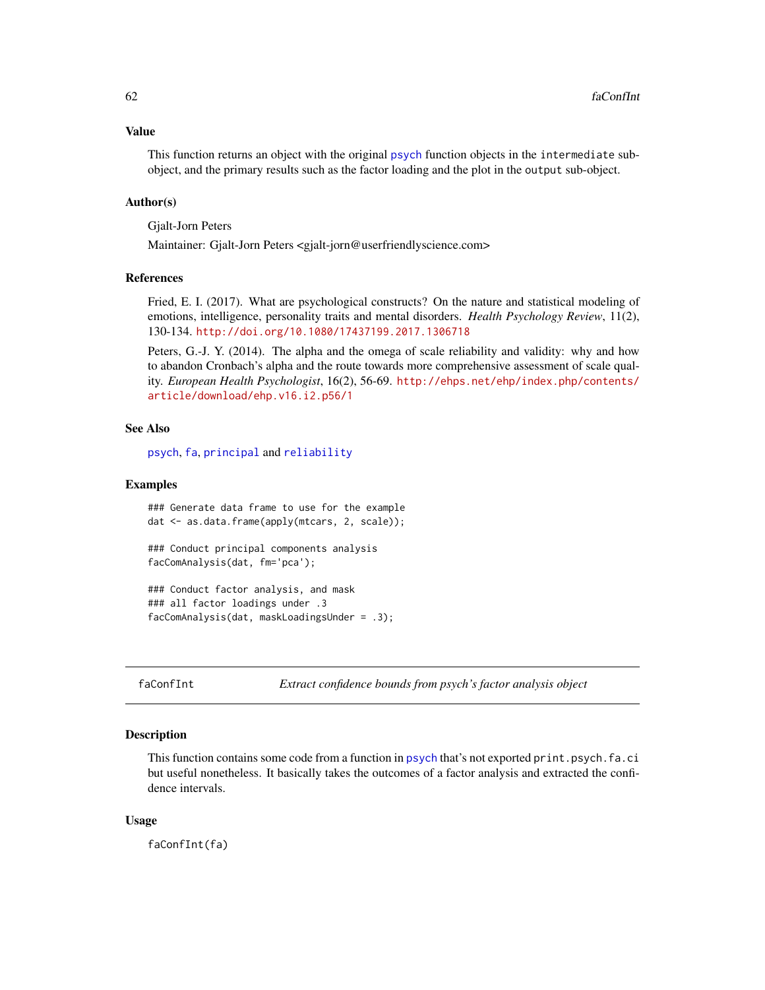#### Value

This function returns an object with the original [psych](#page-0-0) function objects in the intermediate subobject, and the primary results such as the factor loading and the plot in the output sub-object.

### Author(s)

Gjalt-Jorn Peters

Maintainer: Gjalt-Jorn Peters <gjalt-jorn@userfriendlyscience.com>

### References

Fried, E. I. (2017). What are psychological constructs? On the nature and statistical modeling of emotions, intelligence, personality traits and mental disorders. *Health Psychology Review*, 11(2), 130-134. <http://doi.org/10.1080/17437199.2017.1306718>

Peters, G.-J. Y. (2014). The alpha and the omega of scale reliability and validity: why and how to abandon Cronbach's alpha and the route towards more comprehensive assessment of scale quality. *European Health Psychologist*, 16(2), 56-69. [http://ehps.net/ehp/index.php/contents/](http://ehps.net/ehp/index.php/contents/article/download/ehp.v16.i2.p56/1) [article/download/ehp.v16.i2.p56/1](http://ehps.net/ehp/index.php/contents/article/download/ehp.v16.i2.p56/1)

#### See Also

[psych](#page-0-0), [fa](#page-0-0), [principal](#page-0-0) and [reliability](#page-145-0)

#### Examples

```
### Generate data frame to use for the example
dat <- as.data.frame(apply(mtcars, 2, scale));
```
### Conduct principal components analysis facComAnalysis(dat, fm='pca');

```
### Conduct factor analysis, and mask
### all factor loadings under .3
facComAnalysis(dat, maskLoadingsUnder = .3);
```
faConfInt *Extract confidence bounds from psych's factor analysis object*

#### Description

This function contains some code from a function in [psych](#page-0-0) that's not exported print.psych.fa.ci but useful nonetheless. It basically takes the outcomes of a factor analysis and extracted the confidence intervals.

#### Usage

faConfInt(fa)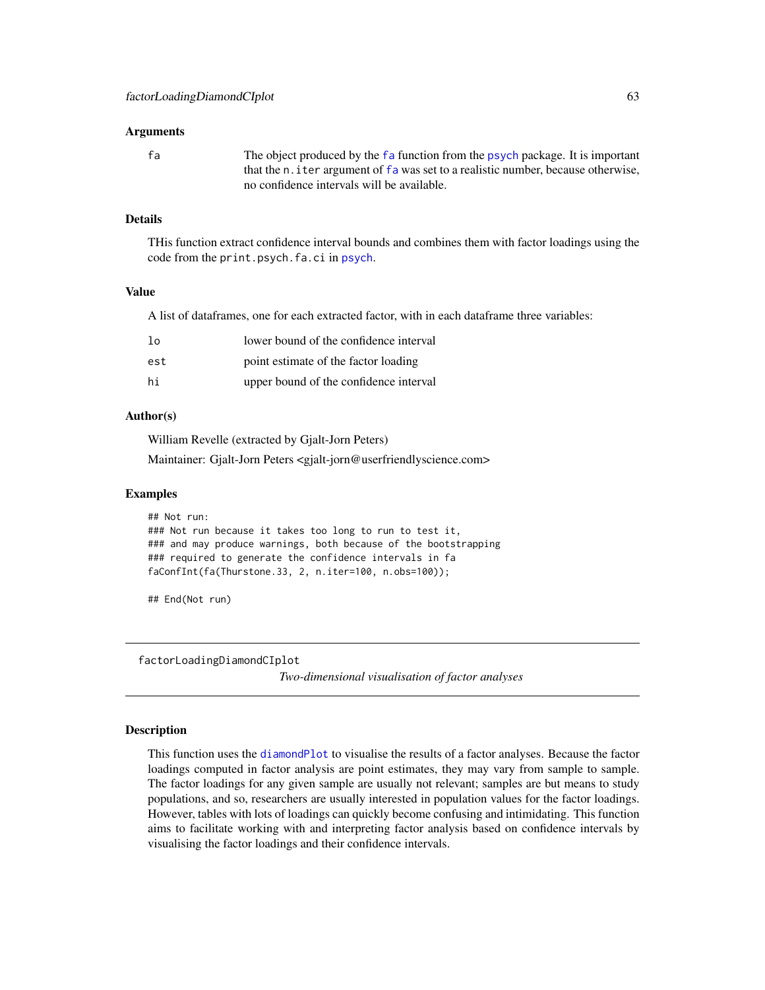#### Arguments

fa The object produced by the [fa](#page-0-0) function from the [psych](#page-0-0) package. It is important that the n. iter argument of [fa](#page-0-0) was set to a realistic number, because otherwise, no confidence intervals will be available.

# Details

THis function extract confidence interval bounds and combines them with factor loadings using the code from the print.[psych](#page-0-0).fa.ci in psych.

#### Value

A list of dataframes, one for each extracted factor, with in each dataframe three variables:

| 1٥  | lower bound of the confidence interval |
|-----|----------------------------------------|
| est | point estimate of the factor loading   |
| hi  | upper bound of the confidence interval |

#### Author(s)

William Revelle (extracted by Gjalt-Jorn Peters)

Maintainer: Gjalt-Jorn Peters <gjalt-jorn@userfriendlyscience.com>

#### Examples

```
## Not run:
### Not run because it takes too long to run to test it,
### and may produce warnings, both because of the bootstrapping
### required to generate the confidence intervals in fa
faConfInt(fa(Thurstone.33, 2, n.iter=100, n.obs=100));
```
## End(Not run)

<span id="page-62-0"></span>factorLoadingDiamondCIplot

*Two-dimensional visualisation of factor analyses*

#### **Description**

This function uses the [diamondPlot](#page-47-0) to visualise the results of a factor analyses. Because the factor loadings computed in factor analysis are point estimates, they may vary from sample to sample. The factor loadings for any given sample are usually not relevant; samples are but means to study populations, and so, researchers are usually interested in population values for the factor loadings. However, tables with lots of loadings can quickly become confusing and intimidating. This function aims to facilitate working with and interpreting factor analysis based on confidence intervals by visualising the factor loadings and their confidence intervals.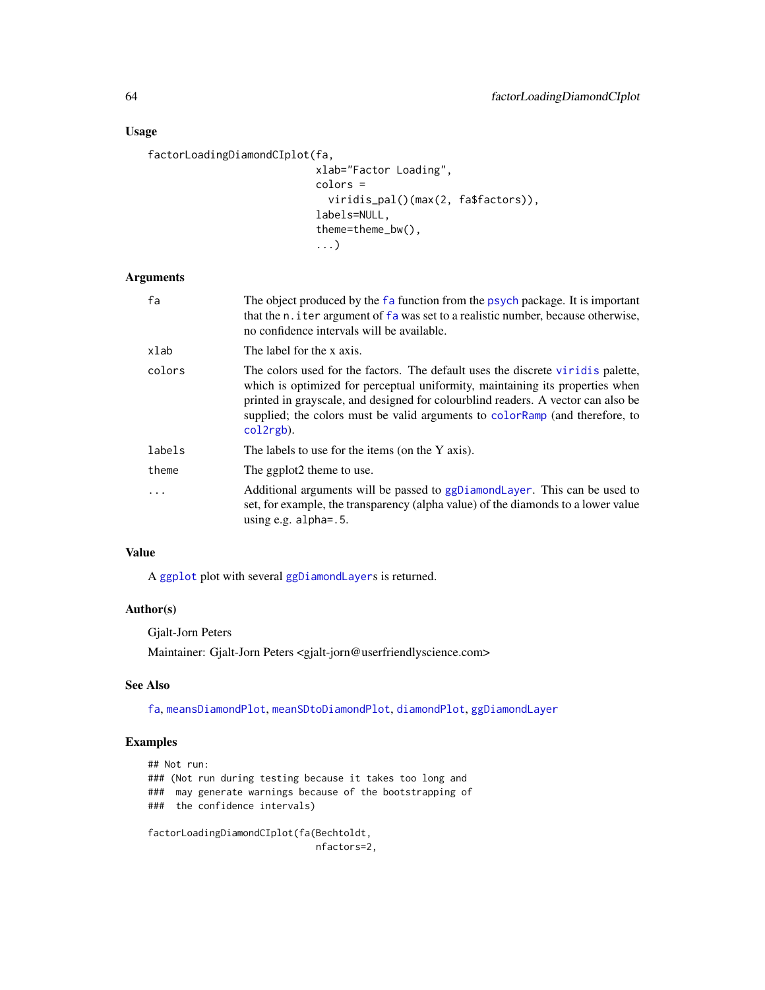# Usage

```
factorLoadingDiamondCIplot(fa,
```

```
xlab="Factor Loading",
colors =
  viridis_pal()(max(2, fa$factors)),
labels=NULL,
theme=theme_bw(),
...)
```
## Arguments

| fa      | The object produced by the fa function from the psych package. It is important<br>that the n. iter argument of fa was set to a realistic number, because otherwise,<br>no confidence intervals will be available.                                                                                                                                   |
|---------|-----------------------------------------------------------------------------------------------------------------------------------------------------------------------------------------------------------------------------------------------------------------------------------------------------------------------------------------------------|
| xlab    | The label for the x axis.                                                                                                                                                                                                                                                                                                                           |
| colors  | The colors used for the factors. The default uses the discrete virid is palette,<br>which is optimized for perceptual uniformity, maintaining its properties when<br>printed in grayscale, and designed for colourblind readers. A vector can also be<br>supplied; the colors must be valid arguments to color Ramp (and therefore, to<br>col2rgb). |
| labels  | The labels to use for the items (on the Y axis).                                                                                                                                                                                                                                                                                                    |
| theme   | The ggplot2 theme to use.                                                                                                                                                                                                                                                                                                                           |
| $\cdot$ | Additional arguments will be passed to ggDiamondLayer. This can be used to<br>set, for example, the transparency (alpha value) of the diamonds to a lower value<br>using e.g. $alpha = .5$ .                                                                                                                                                        |

# Value

A [ggplot](#page-0-0) plot with several [ggDiamondLayer](#page-78-0)s is returned.

# Author(s)

Gjalt-Jorn Peters

Maintainer: Gjalt-Jorn Peters <gjalt-jorn@userfriendlyscience.com>

#### See Also

[fa](#page-0-0), [meansDiamondPlot](#page-109-0), [meanSDtoDiamondPlot](#page-111-0), [diamondPlot](#page-47-0), [ggDiamondLayer](#page-78-0)

# Examples

```
## Not run:
### (Not run during testing because it takes too long and
### may generate warnings because of the bootstrapping of
### the confidence intervals)
factorLoadingDiamondCIplot(fa(Bechtoldt,
```
nfactors=2,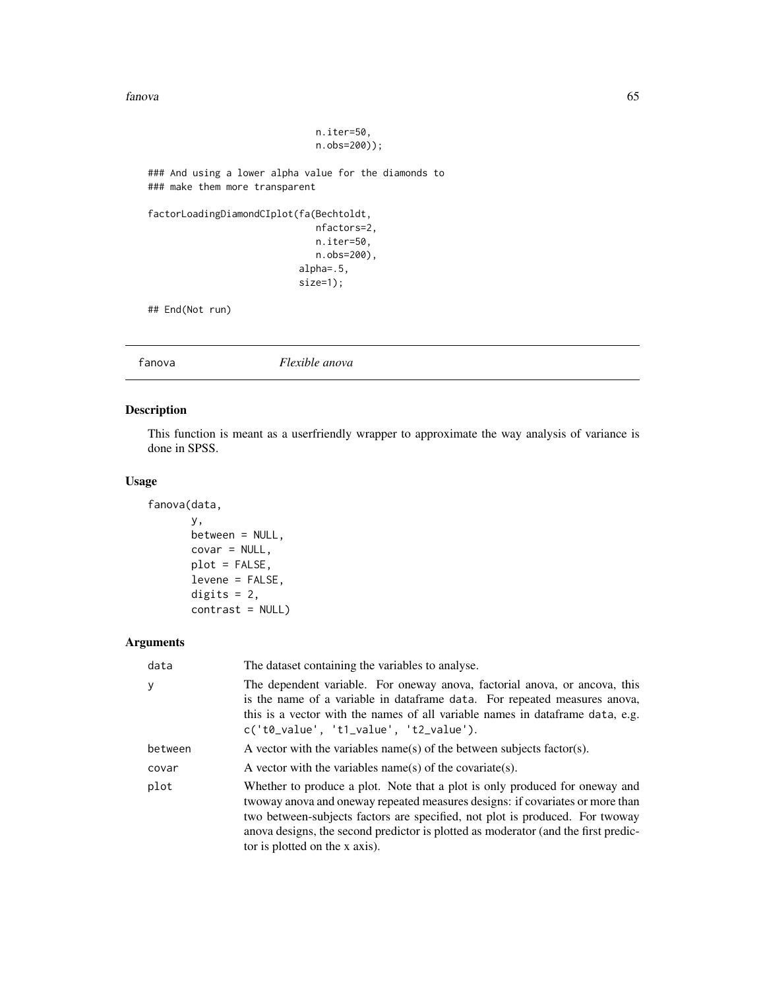fanova 65

```
n.iter=50,
                              n.obs=200));
### And using a lower alpha value for the diamonds to
### make them more transparent
factorLoadingDiamondCIplot(fa(Bechtoldt,
                              nfactors=2,
                              n.iter=50,
                              n.obs=200),
                           alpha=.5,
                           size=1);
## End(Not run)
```
fanova *Flexible anova*

# Description

This function is meant as a userfriendly wrapper to approximate the way analysis of variance is done in SPSS.

### Usage

```
fanova(data,
       y,
       between = NULL,
       covar = NULL,
       plot = FALSE,
       levene = FALSE,
       digits = 2,
       contrast = NULL)
```
# Arguments

| data    | The dataset containing the variables to analyse.                                                                                                                                                                                                                                                                                                                     |
|---------|----------------------------------------------------------------------------------------------------------------------------------------------------------------------------------------------------------------------------------------------------------------------------------------------------------------------------------------------------------------------|
| У       | The dependent variable. For oneway anova, factorial anova, or ancova, this<br>is the name of a variable in data frame data. For repeated measures anova,<br>this is a vector with the names of all variable names in data frame data, e.g.<br>$c('t0_value', 't1_value', 't2_value').$                                                                               |
| between | A vector with the variables name(s) of the between subjects factor(s).                                                                                                                                                                                                                                                                                               |
| covar   | A vector with the variables name(s) of the covariate(s).                                                                                                                                                                                                                                                                                                             |
| plot    | Whether to produce a plot. Note that a plot is only produced for oneway and<br>twoway anova and oneway repeated measures designs: if covariates or more than<br>two between-subjects factors are specified, not plot is produced. For twoway<br>anova designs, the second predictor is plotted as moderator (and the first predic-<br>tor is plotted on the x axis). |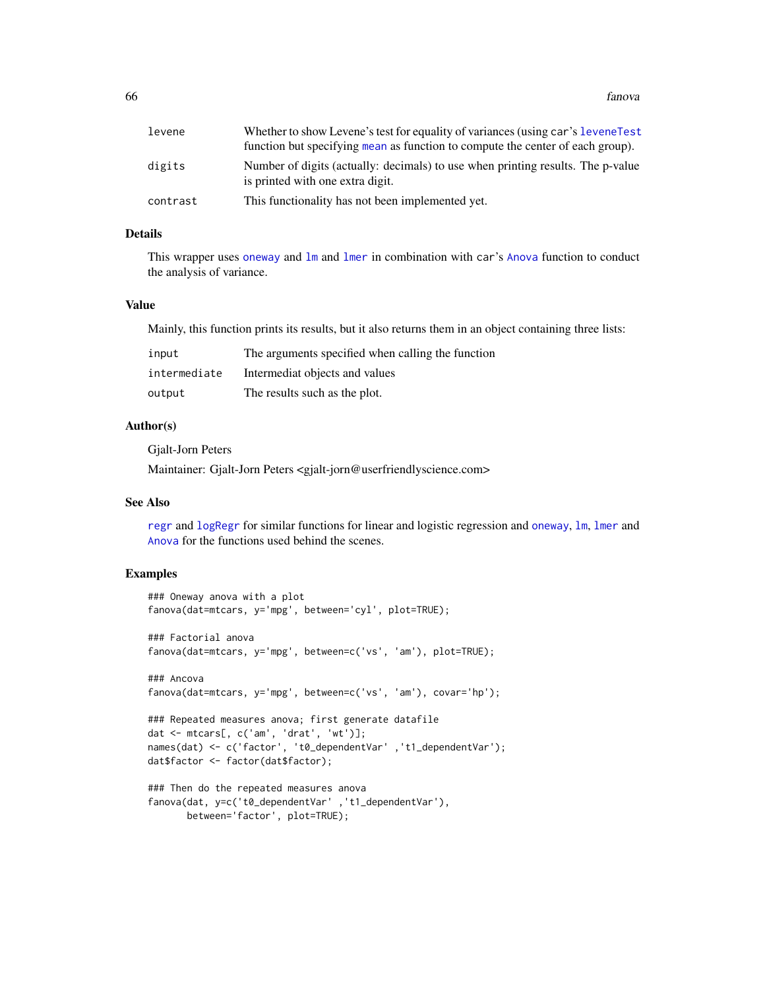#### 66 fanova en de antico de la contrada de la contrada de la contrada de la contrada de la contrada de la contrada de la contrada de la contrada de la contrada de la contrada de la contrada de la contrada de la contrada de l

| levene   | Whether to show Levene's test for equality of variances (using car's levene Test<br>function but specifying mean as function to compute the center of each group). |
|----------|--------------------------------------------------------------------------------------------------------------------------------------------------------------------|
| digits   | Number of digits (actually: decimals) to use when printing results. The p-value<br>is printed with one extra digit.                                                |
| contrast | This functionality has not been implemented yet.                                                                                                                   |

# Details

This wrapper uses [oneway](#page-123-0) and 1m and 1mer in combination with car's [Anova](#page-0-0) function to conduct the analysis of variance.

### Value

Mainly, this function prints its results, but it also returns them in an object containing three lists:

| input        | The arguments specified when calling the function |
|--------------|---------------------------------------------------|
| intermediate | Intermediat objects and values                    |
| output       | The results such as the plot.                     |

# Author(s)

Gjalt-Jorn Peters

Maintainer: Gjalt-Jorn Peters <gjalt-jorn@userfriendlyscience.com>

### See Also

[regr](#page-142-0) and [logRegr](#page-99-0) for similar functions for linear and logistic regression and [oneway](#page-123-0), [lm](#page-0-0), [lmer](#page-0-0) and [Anova](#page-0-0) for the functions used behind the scenes.

#### Examples

```
### Oneway anova with a plot
fanova(dat=mtcars, y='mpg', between='cyl', plot=TRUE);
### Factorial anova
fanova(dat=mtcars, y='mpg', between=c('vs', 'am'), plot=TRUE);
### Ancova
fanova(dat=mtcars, y='mpg', between=c('vs', 'am'), covar='hp');
### Repeated measures anova; first generate datafile
dat <- mtcars[, c('am', 'drat', 'wt')];
names(dat) <- c('factor', 't0_dependentVar' ,'t1_dependentVar');
dat$factor <- factor(dat$factor);
### Then do the repeated measures anova
fanova(dat, y=c('t0_dependentVar' ,'t1_dependentVar'),
      between='factor', plot=TRUE);
```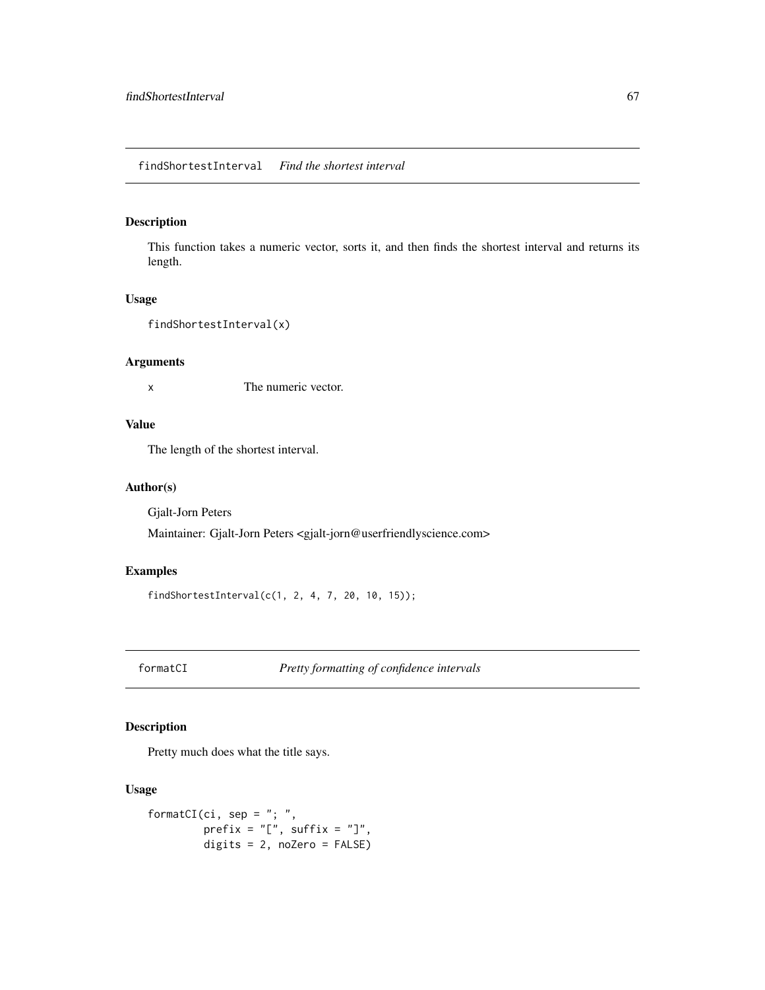# findShortestInterval *Find the shortest interval*

# Description

This function takes a numeric vector, sorts it, and then finds the shortest interval and returns its length.

#### Usage

findShortestInterval(x)

#### Arguments

x The numeric vector.

# Value

The length of the shortest interval.

### Author(s)

Gjalt-Jorn Peters

Maintainer: Gjalt-Jorn Peters <gjalt-jorn@userfriendlyscience.com>

# Examples

```
findShortestInterval(c(1, 2, 4, 7, 20, 10, 15));
```
formatCI *Pretty formatting of confidence intervals*

# Description

Pretty much does what the title says.

```
formatCI(ci, sep = "; ",
        prefix = "['", suffix = "]",digits = 2, noZero = FALSE)
```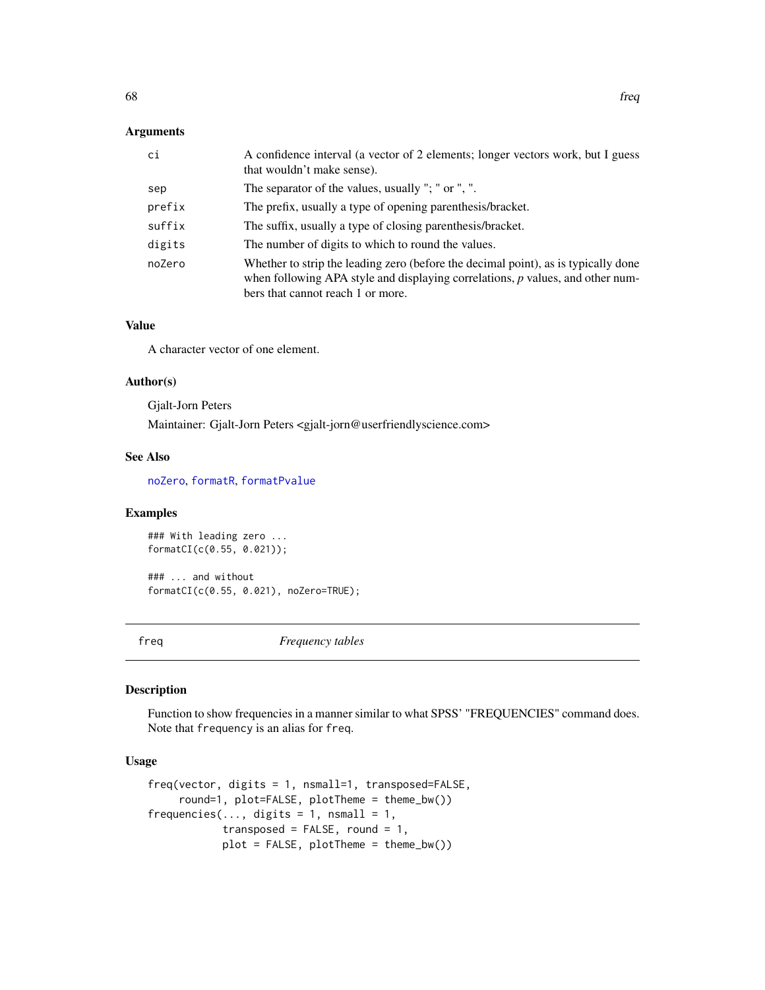# Arguments

| ci     | A confidence interval (a vector of 2 elements; longer vectors work, but I guess<br>that wouldn't make sense).                                                                                               |
|--------|-------------------------------------------------------------------------------------------------------------------------------------------------------------------------------------------------------------|
| sep    | The separator of the values, usually "; " or ", ".                                                                                                                                                          |
| prefix | The prefix, usually a type of opening parenthesis/bracket.                                                                                                                                                  |
| suffix | The suffix, usually a type of closing parenthesis/bracket.                                                                                                                                                  |
| digits | The number of digits to which to round the values.                                                                                                                                                          |
| noZero | Whether to strip the leading zero (before the decimal point), as is typically done<br>when following APA style and displaying correlations, $p$ values, and other num-<br>bers that cannot reach 1 or more. |

### Value

A character vector of one element.

#### Author(s)

Gjalt-Jorn Peters

Maintainer: Gjalt-Jorn Peters <gjalt-jorn@userfriendlyscience.com>

### See Also

[noZero](#page-183-0), [formatR](#page-183-0), [formatPvalue](#page-183-0)

#### Examples

### With leading zero ... formatCI(c(0.55, 0.021));

### ... and without formatCI(c(0.55, 0.021), noZero=TRUE);

freq *Frequency tables*

#### Description

Function to show frequencies in a manner similar to what SPSS' "FREQUENCIES" command does. Note that frequency is an alias for freq.

```
freq(vector, digits = 1, nsmall=1, transposed=FALSE,
     round=1, plot=FALSE, plotTheme = theme_bw())
frequencies(..., digits = 1, nsmall = 1,
           transposed = FALSE, round = 1,
            plot = FALSE, plotTheme = theme_bw())
```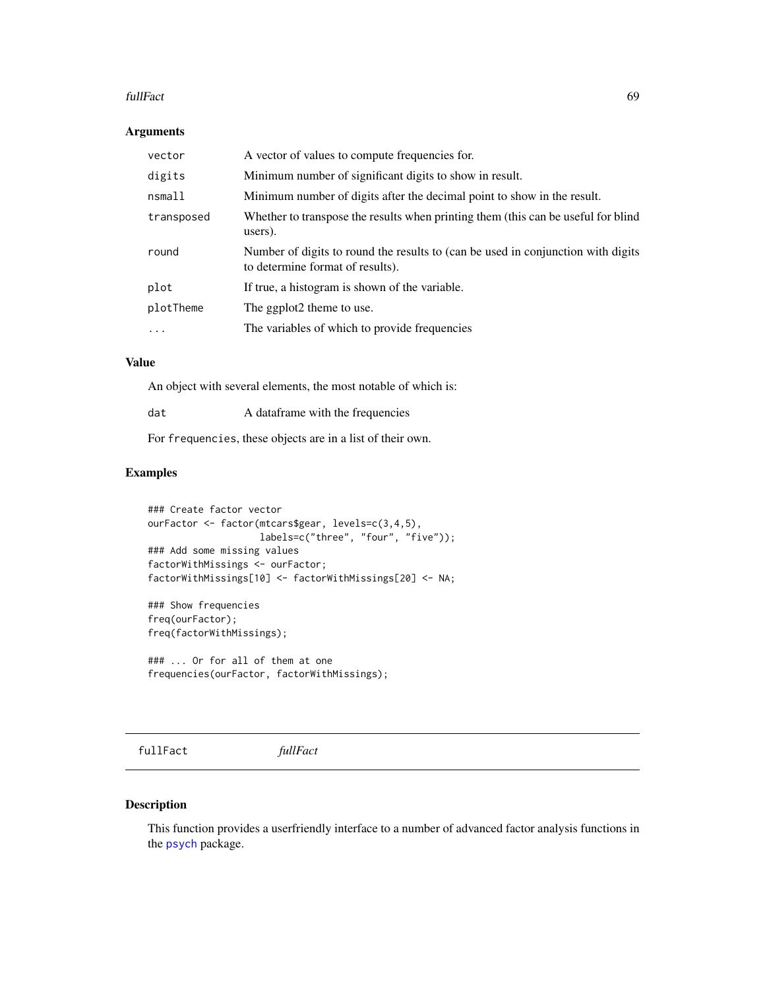#### fullFact 69

# Arguments

| vector     | A vector of values to compute frequencies for.                                                                       |
|------------|----------------------------------------------------------------------------------------------------------------------|
| digits     | Minimum number of significant digits to show in result.                                                              |
| nsmall     | Minimum number of digits after the decimal point to show in the result.                                              |
| transposed | Whether to transpose the results when printing them (this can be useful for blind<br>users).                         |
| round      | Number of digits to round the results to (can be used in conjunction with digits<br>to determine format of results). |
| plot       | If true, a histogram is shown of the variable.                                                                       |
| plotTheme  | The ggplot2 theme to use.                                                                                            |
| $\cdots$   | The variables of which to provide frequencies                                                                        |
|            |                                                                                                                      |

#### Value

An object with several elements, the most notable of which is:

| A data frame with the frequencies |
|-----------------------------------|
|                                   |

For frequencies, these objects are in a list of their own.

# Examples

```
### Create factor vector
ourFactor <- factor(mtcars$gear, levels=c(3,4,5),
                    labels=c("three", "four", "five"));
### Add some missing values
factorWithMissings <- ourFactor;
factorWithMissings[10] <- factorWithMissings[20] <- NA;
```
### Show frequencies freq(ourFactor); freq(factorWithMissings);

### ... Or for all of them at one frequencies(ourFactor, factorWithMissings);

fullFact *fullFact*

# Description

This function provides a userfriendly interface to a number of advanced factor analysis functions in the [psych](#page-0-0) package.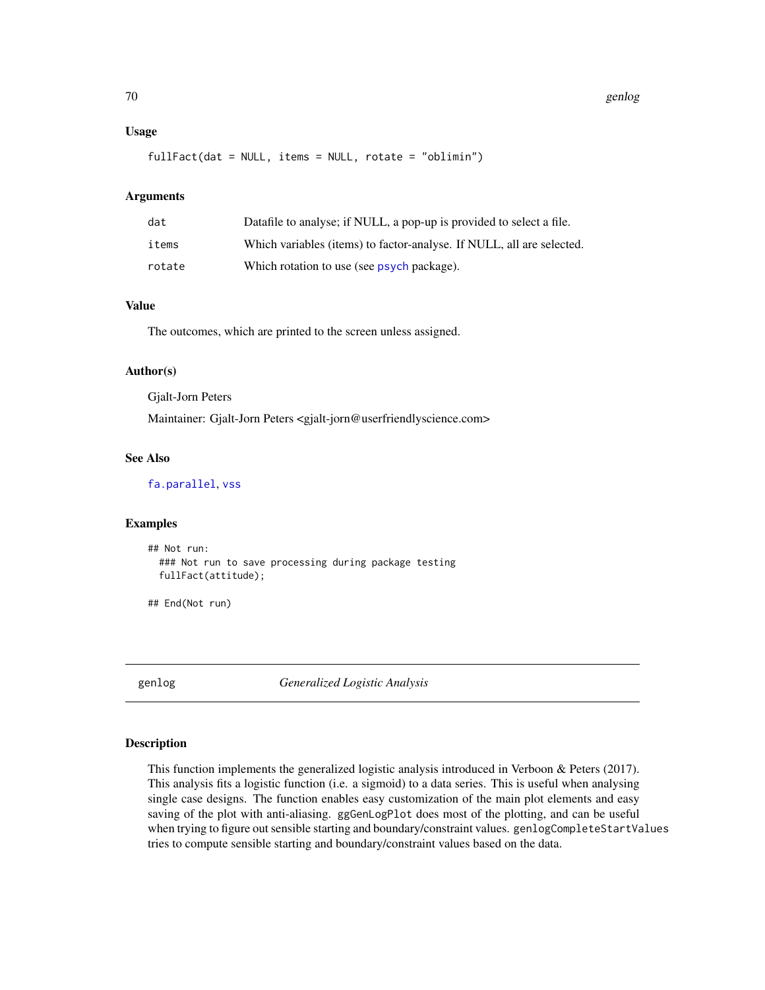### Usage

fullFact(dat = NULL, items = NULL, rotate = "oblimin")

#### Arguments

| dat    | Datafile to analyse; if NULL, a pop-up is provided to select a file.  |
|--------|-----------------------------------------------------------------------|
| items  | Which variables (items) to factor-analyse. If NULL, all are selected. |
| rotate | Which rotation to use (see psych package).                            |

#### Value

The outcomes, which are printed to the screen unless assigned.

#### Author(s)

Gjalt-Jorn Peters

Maintainer: Gjalt-Jorn Peters <gjalt-jorn@userfriendlyscience.com>

#### See Also

[fa.parallel](#page-0-0), [vss](#page-0-0)

## Examples

```
## Not run:
 ### Not run to save processing during package testing
 fullFact(attitude);
```
## End(Not run)

genlog *Generalized Logistic Analysis*

# Description

This function implements the generalized logistic analysis introduced in Verboon & Peters (2017). This analysis fits a logistic function (i.e. a sigmoid) to a data series. This is useful when analysing single case designs. The function enables easy customization of the main plot elements and easy saving of the plot with anti-aliasing. ggGenLogPlot does most of the plotting, and can be useful when trying to figure out sensible starting and boundary/constraint values. genlogCompleteStartValues tries to compute sensible starting and boundary/constraint values based on the data.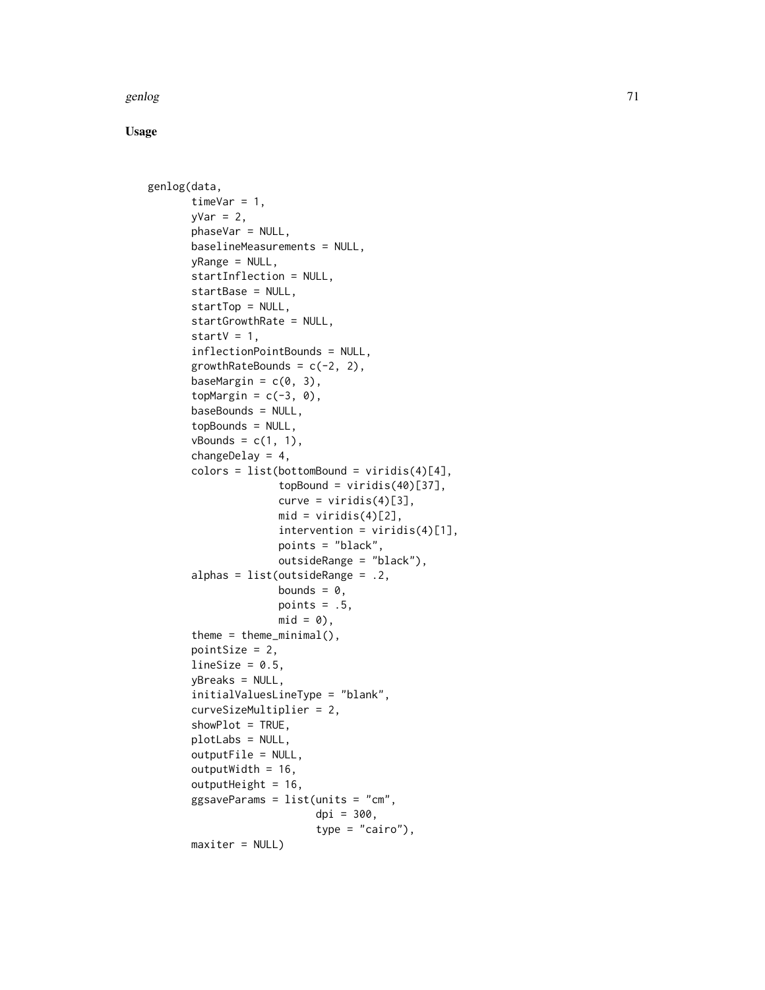#### genlog to the contract of the contract of the contract of the contract of the contract of the contract of the contract of the contract of the contract of the contract of the contract of the contract of the contract of the

```
genlog(data,
       timeVar = 1,
       yVar = 2,
       phaseVar = NULL,
       baselineMeasurements = NULL,
       yRange = NULL,
       startInflection = NULL,
       startBase = NULL,
       startTop = NULL,startGrowthRate = NULL,
       startV = 1,
       inflectionPointBounds = NULL,
       growthRateBounds = c(-2, 2),
       baseMargin = c(0, 3),
       topMargin = c(-3, 0),
       baseBounds = NULL,
       topBounds = NULL,
       vBounds = c(1, 1),
       changeDelay = 4,
       colors = list(bottomBound = viridis(4)[4],topBound = viridis(40)[37],curve = viridis(4)[3],
                     mid = viridis(4)[2],intervention = viridis(4)[1],points = "black",
                     outsideRange = "black"),
       alphas = list(outsideRange = .2,
                     bounds = \theta,
                     points = .5,
                     mid = 0,
       theme = theme_minimal(),
       pointSize = 2,
       lineSize = 0.5,
       yBreaks = NULL,
       initialValuesLineType = "blank",
       curveSizeMultiplier = 2,
       showPlot = TRUE,
       plotLabs = NULL,
       outputFile = NULL,
       outputWidth = 16,
       outputHeight = 16,
       ggsaveParameters = list(units = "cm",dpi = 300,
                           type = "cairo"),
       maxiter = NULL)
```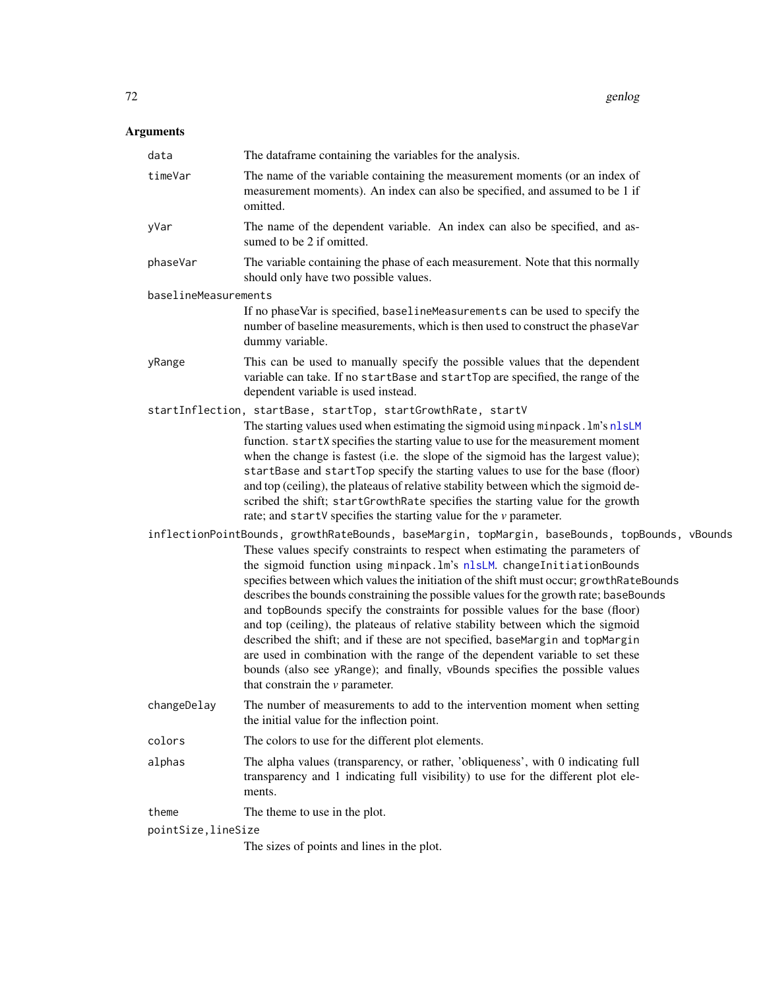# Arguments

| data                 | The dataframe containing the variables for the analysis.                                                                                                                                                                                                                                                                                                                                                                                                                                                                                                                                                                                                                                                                                                                                                  |
|----------------------|-----------------------------------------------------------------------------------------------------------------------------------------------------------------------------------------------------------------------------------------------------------------------------------------------------------------------------------------------------------------------------------------------------------------------------------------------------------------------------------------------------------------------------------------------------------------------------------------------------------------------------------------------------------------------------------------------------------------------------------------------------------------------------------------------------------|
| timeVar              | The name of the variable containing the measurement moments (or an index of<br>measurement moments). An index can also be specified, and assumed to be 1 if<br>omitted.                                                                                                                                                                                                                                                                                                                                                                                                                                                                                                                                                                                                                                   |
| yVar                 | The name of the dependent variable. An index can also be specified, and as-<br>sumed to be 2 if omitted.                                                                                                                                                                                                                                                                                                                                                                                                                                                                                                                                                                                                                                                                                                  |
| phaseVar             | The variable containing the phase of each measurement. Note that this normally<br>should only have two possible values.                                                                                                                                                                                                                                                                                                                                                                                                                                                                                                                                                                                                                                                                                   |
| baselineMeasurements |                                                                                                                                                                                                                                                                                                                                                                                                                                                                                                                                                                                                                                                                                                                                                                                                           |
|                      | If no phaseVar is specified, baselineMeasurements can be used to specify the<br>number of baseline measurements, which is then used to construct the phaseVar<br>dummy variable.                                                                                                                                                                                                                                                                                                                                                                                                                                                                                                                                                                                                                          |
| yRange               | This can be used to manually specify the possible values that the dependent<br>variable can take. If no startBase and startTop are specified, the range of the<br>dependent variable is used instead.                                                                                                                                                                                                                                                                                                                                                                                                                                                                                                                                                                                                     |
|                      | startInflection, startBase, startTop, startGrowthRate, startV                                                                                                                                                                                                                                                                                                                                                                                                                                                                                                                                                                                                                                                                                                                                             |
|                      | The starting values used when estimating the sigmoid using minpack. Im's nlsLM<br>function. startX specifies the starting value to use for the measurement moment<br>when the change is fastest (i.e. the slope of the sigmoid has the largest value);<br>startBase and startTop specify the starting values to use for the base (floor)<br>and top (ceiling), the plateaus of relative stability between which the sigmoid de-<br>scribed the shift; startGrowthRate specifies the starting value for the growth<br>rate; and startV specifies the starting value for the $\nu$ parameter.                                                                                                                                                                                                               |
|                      | inflectionPointBounds, growthRateBounds, baseMargin, topMargin, baseBounds, topBounds, vBounds                                                                                                                                                                                                                                                                                                                                                                                                                                                                                                                                                                                                                                                                                                            |
|                      | These values specify constraints to respect when estimating the parameters of<br>the sigmoid function using minpack. Im's nlsLM. changeInitiationBounds<br>specifies between which values the initiation of the shift must occur; growthRateBounds<br>describes the bounds constraining the possible values for the growth rate; baseBounds<br>and topBounds specify the constraints for possible values for the base (floor)<br>and top (ceiling), the plateaus of relative stability between which the sigmoid<br>described the shift; and if these are not specified, baseMargin and topMargin<br>are used in combination with the range of the dependent variable to set these<br>bounds (also see yRange); and finally, vBounds specifies the possible values<br>that constrain the $\nu$ parameter. |
| changeDelay          | The number of measurements to add to the intervention moment when setting<br>the initial value for the inflection point.                                                                                                                                                                                                                                                                                                                                                                                                                                                                                                                                                                                                                                                                                  |
| colors               | The colors to use for the different plot elements.                                                                                                                                                                                                                                                                                                                                                                                                                                                                                                                                                                                                                                                                                                                                                        |
| alphas               | The alpha values (transparency, or rather, 'obliqueness', with 0 indicating full<br>transparency and 1 indicating full visibility) to use for the different plot ele-<br>ments.                                                                                                                                                                                                                                                                                                                                                                                                                                                                                                                                                                                                                           |
| theme                | The theme to use in the plot.                                                                                                                                                                                                                                                                                                                                                                                                                                                                                                                                                                                                                                                                                                                                                                             |
| pointSize, lineSize  |                                                                                                                                                                                                                                                                                                                                                                                                                                                                                                                                                                                                                                                                                                                                                                                                           |
|                      | The sizes of points and lines in the plot.                                                                                                                                                                                                                                                                                                                                                                                                                                                                                                                                                                                                                                                                                                                                                                |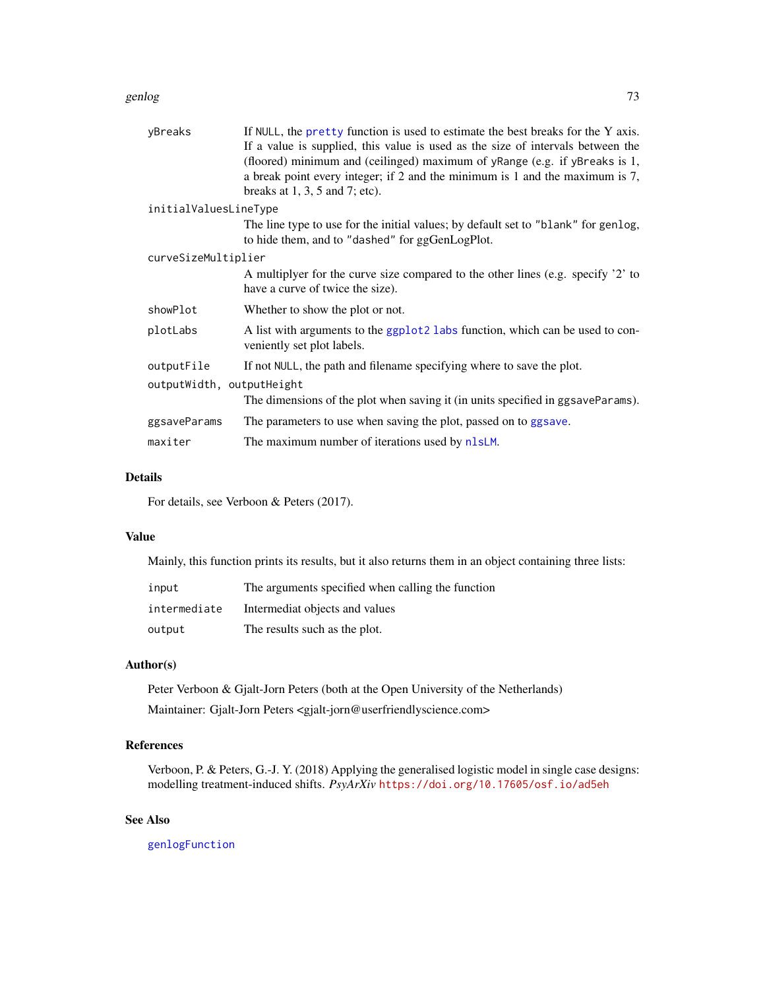#### genlog to the contract of the contract of the contract of the contract of the contract of the contract of the contract of the contract of the contract of the contract of the contract of the contract of the contract of the

| yBreaks                   | If NULL, the pretty function is used to estimate the best breaks for the Y axis.<br>If a value is supplied, this value is used as the size of intervals between the<br>(floored) minimum and (ceilinged) maximum of yRange (e.g. if yBreaks is 1,<br>a break point every integer; if 2 and the minimum is 1 and the maximum is 7,<br>breaks at $1, 3, 5$ and $7$ ; etc). |  |
|---------------------------|--------------------------------------------------------------------------------------------------------------------------------------------------------------------------------------------------------------------------------------------------------------------------------------------------------------------------------------------------------------------------|--|
| initialValuesLineType     |                                                                                                                                                                                                                                                                                                                                                                          |  |
|                           | The line type to use for the initial values; by default set to "blank" for genlog,<br>to hide them, and to "dashed" for ggGenLogPlot.                                                                                                                                                                                                                                    |  |
| curveSizeMultiplier       |                                                                                                                                                                                                                                                                                                                                                                          |  |
|                           | A multiplyer for the curve size compared to the other lines (e.g. specify '2' to<br>have a curve of twice the size).                                                                                                                                                                                                                                                     |  |
| showPlot                  | Whether to show the plot or not.                                                                                                                                                                                                                                                                                                                                         |  |
| plotLabs                  | A list with arguments to the ggplot2 labs function, which can be used to con-<br>veniently set plot labels.                                                                                                                                                                                                                                                              |  |
| outputFile                | If not NULL, the path and filename specifying where to save the plot.                                                                                                                                                                                                                                                                                                    |  |
| outputWidth, outputHeight |                                                                                                                                                                                                                                                                                                                                                                          |  |
|                           | The dimensions of the plot when saving it (in units specified in ggsaveParams).                                                                                                                                                                                                                                                                                          |  |
| ggsaveParams              | The parameters to use when saving the plot, passed on to ggsave.                                                                                                                                                                                                                                                                                                         |  |
| maxiter                   | The maximum number of iterations used by nlsLM.                                                                                                                                                                                                                                                                                                                          |  |
|                           |                                                                                                                                                                                                                                                                                                                                                                          |  |

## Details

For details, see Verboon & Peters (2017).

# Value

Mainly, this function prints its results, but it also returns them in an object containing three lists:

| input        | The arguments specified when calling the function |
|--------------|---------------------------------------------------|
| intermediate | Intermediat objects and values                    |
| output       | The results such as the plot.                     |

## Author(s)

Peter Verboon & Gjalt-Jorn Peters (both at the Open University of the Netherlands) Maintainer: Gjalt-Jorn Peters <gjalt-jorn@userfriendlyscience.com>

# References

Verboon, P. & Peters, G.-J. Y. (2018) Applying the generalised logistic model in single case designs: modelling treatment-induced shifts. *PsyArXiv* <https://doi.org/10.17605/osf.io/ad5eh>

# See Also

[genlogFunction](#page-73-0)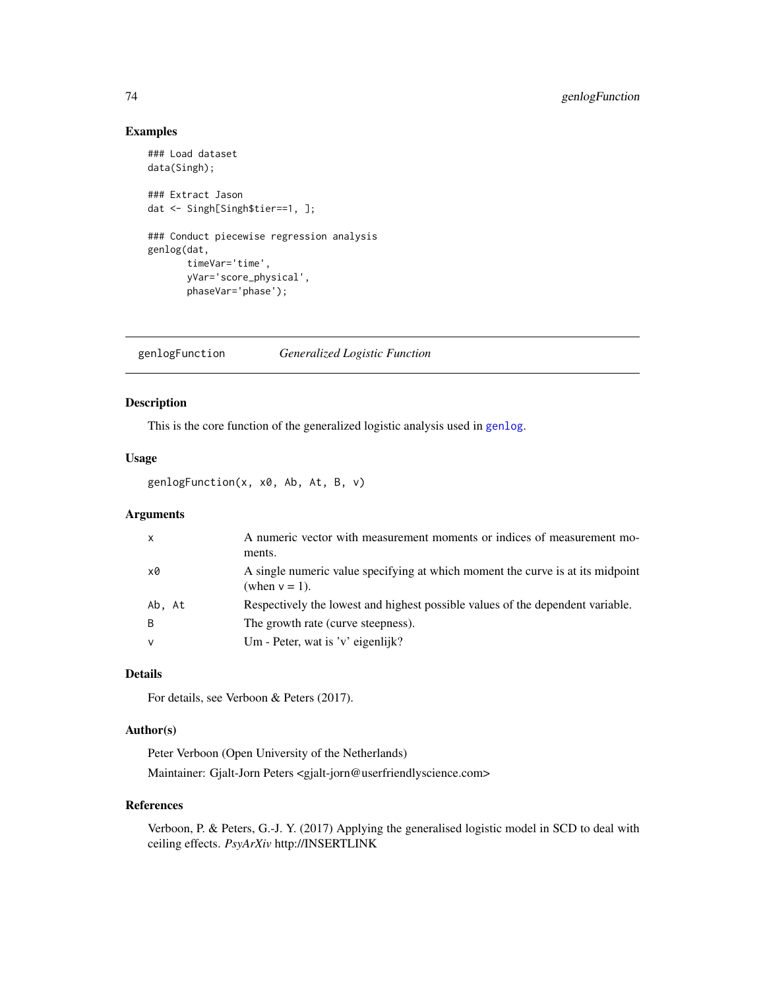# Examples

```
### Load dataset
data(Singh);
### Extract Jason
dat <- Singh[Singh$tier==1, ];
### Conduct piecewise regression analysis
genlog(dat,
       timeVar='time',
       yVar='score_physical',
       phaseVar='phase');
```
<span id="page-73-0"></span>genlogFunction *Generalized Logistic Function*

## Description

This is the core function of the generalized logistic analysis used in [genlog](#page-69-0).

## Usage

genlogFunction(x, x0, Ab, At, B, v)

# Arguments

| $\mathsf{x}$ | A numeric vector with measurement moments or indices of measurement mo-<br>ments.                  |
|--------------|----------------------------------------------------------------------------------------------------|
| x0           | A single numeric value specifying at which moment the curve is at its midpoint<br>(when $v = 1$ ). |
| Ab. At       | Respectively the lowest and highest possible values of the dependent variable.                     |
| <sup>B</sup> | The growth rate (curve steepness).                                                                 |
| v            | Um - Peter, wat is 'v' eigenlijk?                                                                  |

# Details

For details, see Verboon & Peters (2017).

# Author(s)

Peter Verboon (Open University of the Netherlands) Maintainer: Gjalt-Jorn Peters <gjalt-jorn@userfriendlyscience.com>

## References

Verboon, P. & Peters, G.-J. Y. (2017) Applying the generalised logistic model in SCD to deal with ceiling effects. *PsyArXiv* http://INSERTLINK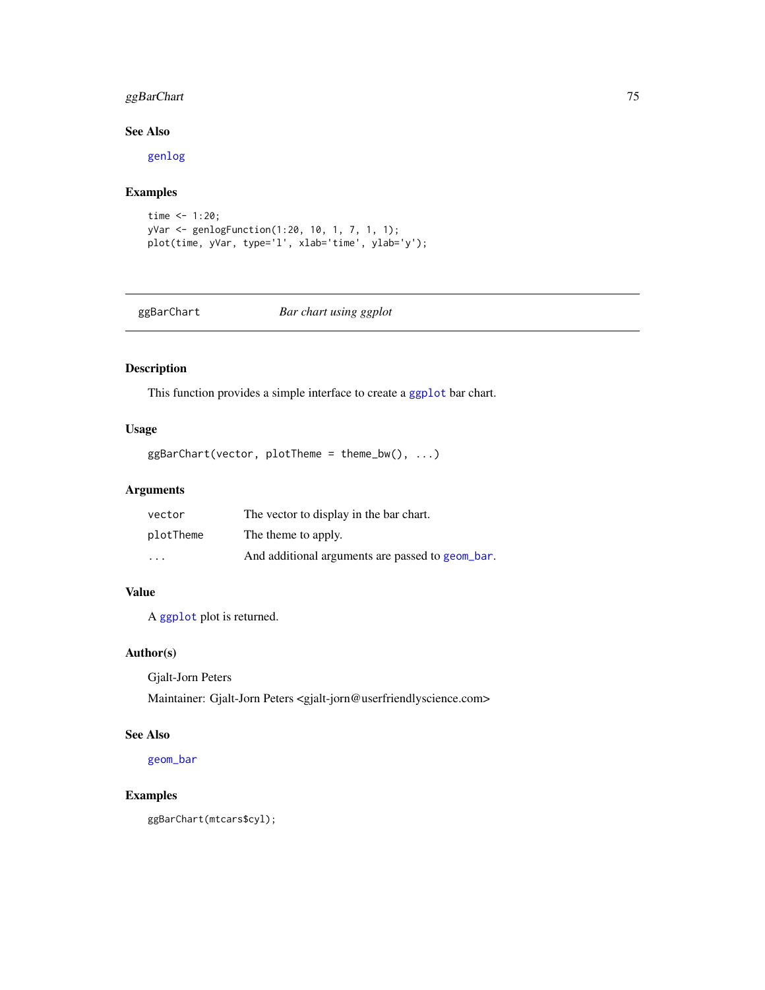# ggBarChart 75

# See Also

[genlog](#page-69-0)

# Examples

```
time <- 1:20;yVar <- genlogFunction(1:20, 10, 1, 7, 1, 1);
plot(time, yVar, type='l', xlab='time', ylab='y');
```
ggBarChart *Bar chart using ggplot*

# Description

This function provides a simple interface to create a [ggplot](#page-0-0) bar chart.

# Usage

ggBarChart(vector, plotTheme = theme\_bw(), ...)

## Arguments

| vector                  | The vector to display in the bar chart.          |
|-------------------------|--------------------------------------------------|
| plotTheme               | The theme to apply.                              |
| $\cdot$ $\cdot$ $\cdot$ | And additional arguments are passed to geom bar. |

# Value

A [ggplot](#page-0-0) plot is returned.

## Author(s)

Gjalt-Jorn Peters

Maintainer: Gjalt-Jorn Peters <gjalt-jorn@userfriendlyscience.com>

# See Also

[geom\\_bar](#page-0-0)

# Examples

ggBarChart(mtcars\$cyl);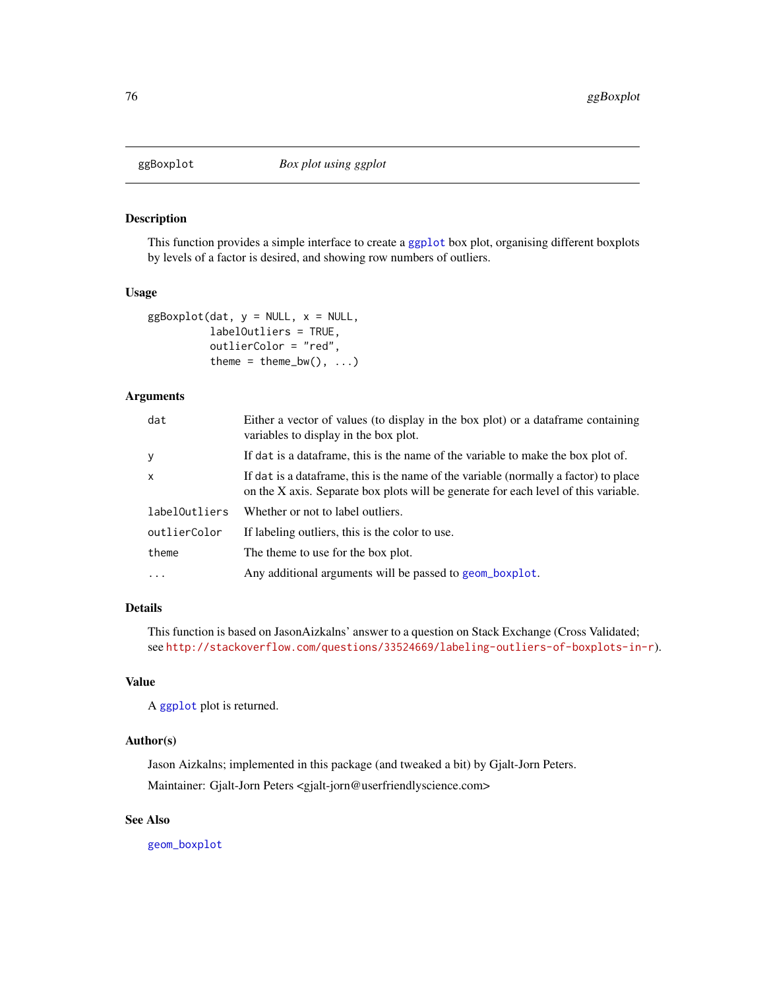# Description

This function provides a simple interface to create a [ggplot](#page-0-0) box plot, organising different boxplots by levels of a factor is desired, and showing row numbers of outliers.

## Usage

```
ggBoxplot(data, y = NULL, x = NULL,labelOutliers = TRUE,
          outlierColor = "red",
          theme = theme_bw(), \dots)
```
## Arguments

| dat           | Either a vector of values (to display in the box plot) or a data frame containing<br>variables to display in the box plot.                                                   |
|---------------|------------------------------------------------------------------------------------------------------------------------------------------------------------------------------|
| y             | If dat is a data frame, this is the name of the variable to make the box plot of.                                                                                            |
| $\mathsf{x}$  | If dat is a data frame, this is the name of the variable (normally a factor) to place<br>on the X axis. Separate box plots will be generate for each level of this variable. |
| labelOutliers | Whether or not to label outliers.                                                                                                                                            |
| outlierColor  | If labeling outliers, this is the color to use.                                                                                                                              |
| theme         | The theme to use for the box plot.                                                                                                                                           |
| $\cdot$       | Any additional arguments will be passed to geom_boxplot.                                                                                                                     |

## Details

This function is based on JasonAizkalns' answer to a question on Stack Exchange (Cross Validated; see <http://stackoverflow.com/questions/33524669/labeling-outliers-of-boxplots-in-r>).

## Value

A [ggplot](#page-0-0) plot is returned.

# Author(s)

Jason Aizkalns; implemented in this package (and tweaked a bit) by Gjalt-Jorn Peters. Maintainer: Gjalt-Jorn Peters <gjalt-jorn@userfriendlyscience.com>

# See Also

[geom\\_boxplot](#page-0-0)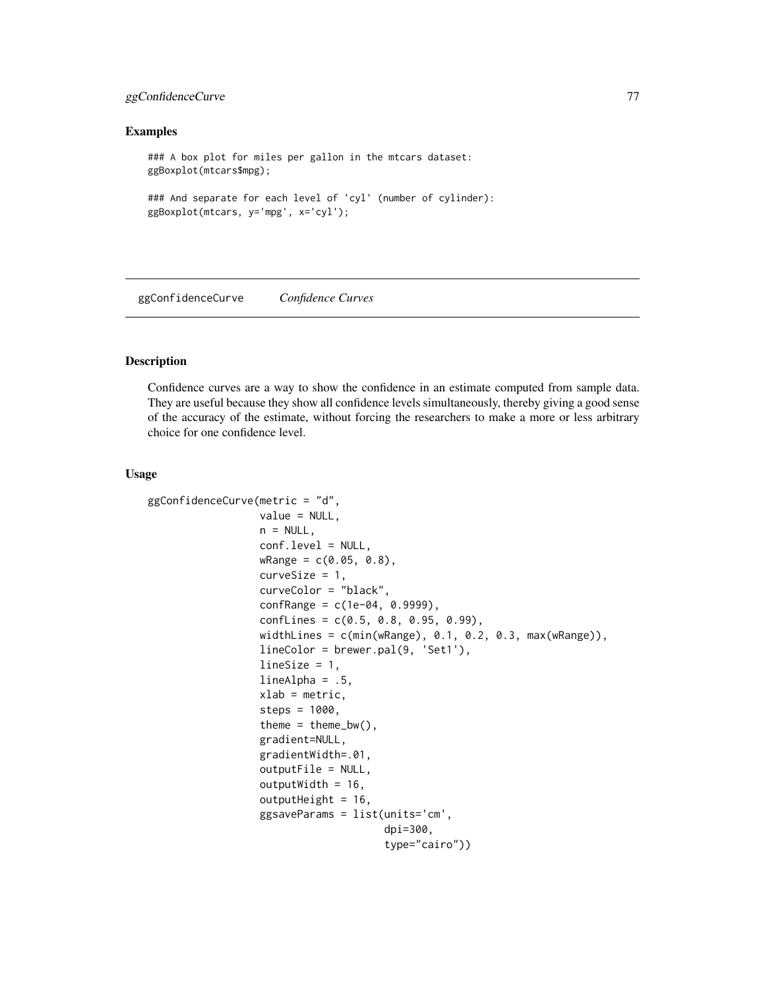# ggConfidenceCurve 77

#### Examples

```
### A box plot for miles per gallon in the mtcars dataset:
ggBoxplot(mtcars$mpg);
### And separate for each level of 'cyl' (number of cylinder):
ggBoxplot(mtcars, y='mpg', x='cyl');
```
ggConfidenceCurve *Confidence Curves*

## Description

Confidence curves are a way to show the confidence in an estimate computed from sample data. They are useful because they show all confidence levels simultaneously, thereby giving a good sense of the accuracy of the estimate, without forcing the researchers to make a more or less arbitrary choice for one confidence level.

#### Usage

```
ggConfidenceCurve(metric = "d",
                  value = NULL,
                  n = NULL,conf.level = NULL,
                  wRange = c(0.05, 0.8),
                  curvesize = 1,
                  curveColor = "black",
                  confRange = c(1e-04, 0.9999),
                  confLines = c(0.5, 0.8, 0.95, 0.99),
                  widthLines = c(min(wRange), 0.1, 0.2, 0.3, max(wRange)),
                  lineColor = brewer.pal(9, 'Set1'),
                  lineSize = 1,
                  lineAlpha = .5,xlab = metric,
                  steps = 1000.
                  theme = thene_bw(),
                  gradient=NULL,
                  gradientWidth=.01,
                  outputFile = NULL,
                  outputWidth = 16,
                  outputHeight = 16,
                  ggsaveParams = list(units='cm',
                                       dpi=300,
                                       type="cairo"))
```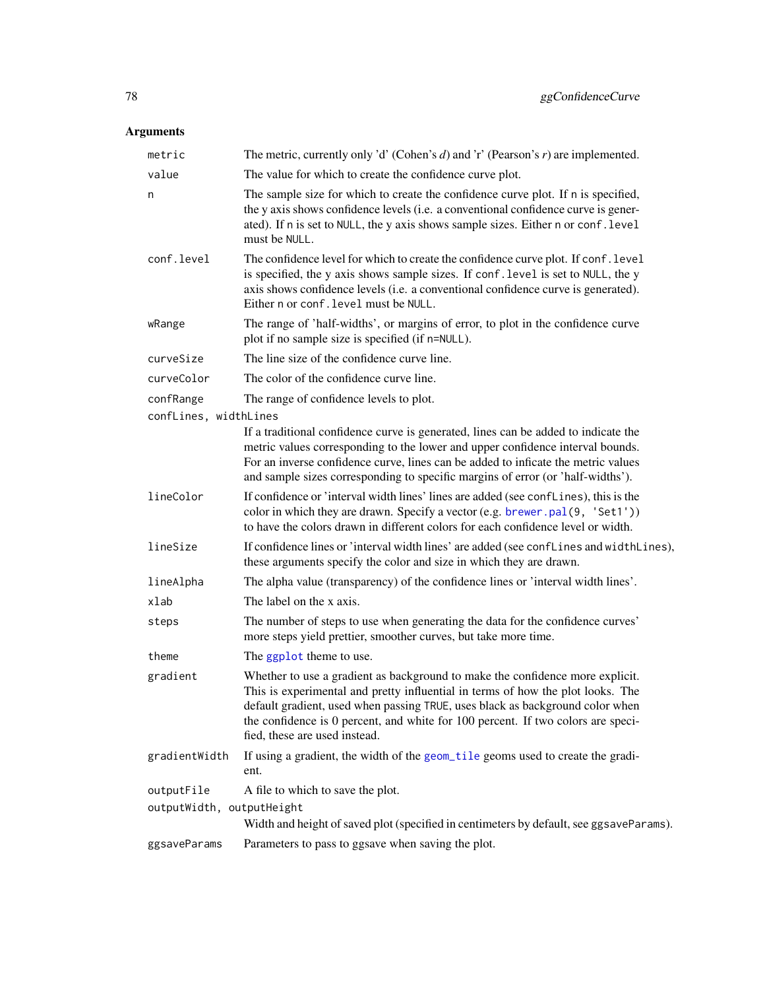| metric                    | The metric, currently only 'd' (Cohen's $d$ ) and 'r' (Pearson's $r$ ) are implemented.                                                                                                                                                                                                                                                                                |
|---------------------------|------------------------------------------------------------------------------------------------------------------------------------------------------------------------------------------------------------------------------------------------------------------------------------------------------------------------------------------------------------------------|
| value                     | The value for which to create the confidence curve plot.                                                                                                                                                                                                                                                                                                               |
| n                         | The sample size for which to create the confidence curve plot. If n is specified,<br>the y axis shows confidence levels (i.e. a conventional confidence curve is gener-<br>ated). If n is set to NULL, the y axis shows sample sizes. Either n or conf. level<br>must be NULL.                                                                                         |
| conf.level                | The confidence level for which to create the confidence curve plot. If conf. level<br>is specified, the y axis shows sample sizes. If conf. level is set to NULL, the y<br>axis shows confidence levels (i.e. a conventional confidence curve is generated).<br>Either n or conf. level must be NULL.                                                                  |
| wRange                    | The range of 'half-widths', or margins of error, to plot in the confidence curve<br>plot if no sample size is specified (if n=NULL).                                                                                                                                                                                                                                   |
| curveSize                 | The line size of the confidence curve line.                                                                                                                                                                                                                                                                                                                            |
| curveColor                | The color of the confidence curve line.                                                                                                                                                                                                                                                                                                                                |
| confRange                 | The range of confidence levels to plot.                                                                                                                                                                                                                                                                                                                                |
| confLines, widthLines     |                                                                                                                                                                                                                                                                                                                                                                        |
|                           | If a traditional confidence curve is generated, lines can be added to indicate the<br>metric values corresponding to the lower and upper confidence interval bounds.<br>For an inverse confidence curve, lines can be added to inficate the metric values<br>and sample sizes corresponding to specific margins of error (or 'half-widths').                           |
| lineColor                 | If confidence or 'interval width lines' lines are added (see conflines), this is the<br>color in which they are drawn. Specify a vector (e.g. brewer.pal(9, 'Set1'))<br>to have the colors drawn in different colors for each confidence level or width.                                                                                                               |
| lineSize                  | If confidence lines or 'interval width lines' are added (see conflines and width lines),<br>these arguments specify the color and size in which they are drawn.                                                                                                                                                                                                        |
| lineAlpha                 | The alpha value (transparency) of the confidence lines or 'interval width lines'.                                                                                                                                                                                                                                                                                      |
| xlab                      | The label on the x axis.                                                                                                                                                                                                                                                                                                                                               |
| steps                     | The number of steps to use when generating the data for the confidence curves'<br>more steps yield prettier, smoother curves, but take more time.                                                                                                                                                                                                                      |
| theme                     | The ggplot theme to use.                                                                                                                                                                                                                                                                                                                                               |
| gradient                  | Whether to use a gradient as background to make the confidence more explicit.<br>This is experimental and pretty influential in terms of how the plot looks. The<br>default gradient, used when passing TRUE, uses black as background color when<br>the confidence is 0 percent, and white for 100 percent. If two colors are speci-<br>fied, these are used instead. |
| gradientWidth             | If using a gradient, the width of the geom_tile geoms used to create the gradi-<br>ent.                                                                                                                                                                                                                                                                                |
| outputFile                | A file to which to save the plot.                                                                                                                                                                                                                                                                                                                                      |
| outputWidth, outputHeight |                                                                                                                                                                                                                                                                                                                                                                        |
|                           | Width and height of saved plot (specified in centimeters by default, see ggsaveParams).                                                                                                                                                                                                                                                                                |
| ggsaveParams              | Parameters to pass to ggsave when saving the plot.                                                                                                                                                                                                                                                                                                                     |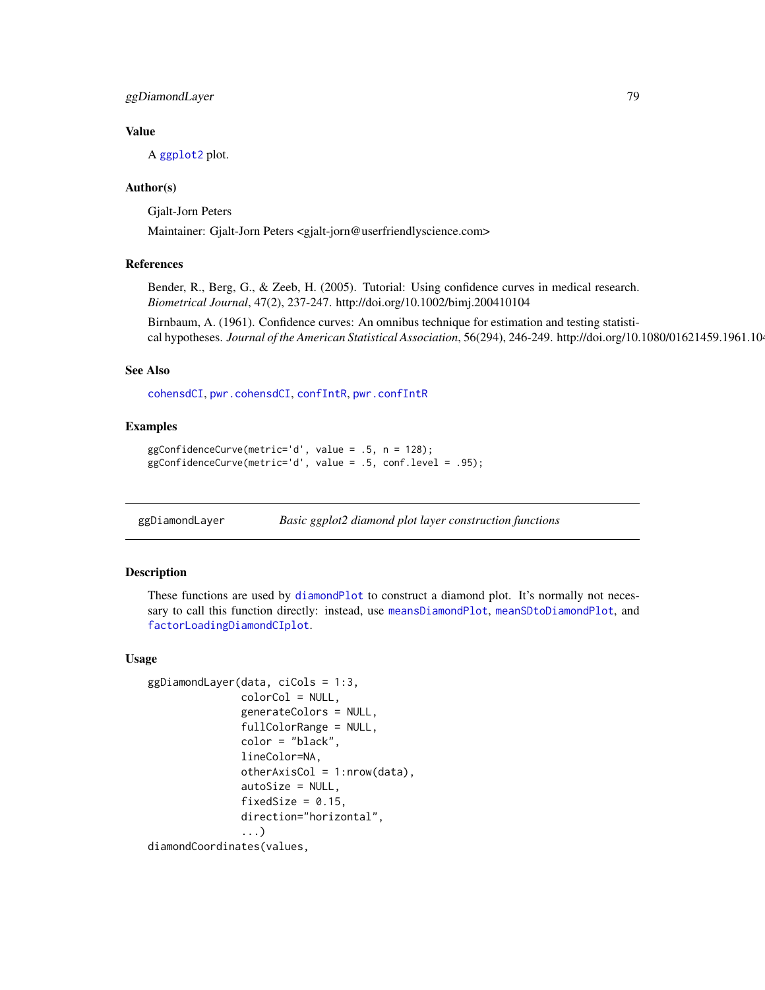# ggDiamondLayer 79

## Value

A [ggplot2](#page-0-0) plot.

## Author(s)

Gjalt-Jorn Peters

Maintainer: Gjalt-Jorn Peters <gjalt-jorn@userfriendlyscience.com>

#### References

Bender, R., Berg, G., & Zeeb, H. (2005). Tutorial: Using confidence curves in medical research. *Biometrical Journal*, 47(2), 237-247. http://doi.org/10.1002/bimj.200410104

Birnbaum, A. (1961). Confidence curves: An omnibus technique for estimation and testing statistical hypotheses. *Journal of the American Statistical Association*, 56(294), 246-249. http://doi.org/10.1080/01621459.1961.10

#### See Also

[cohensdCI](#page-37-0), [pwr.cohensdCI](#page-37-0), [confIntR](#page-29-0), [pwr.confIntR](#page-138-0)

# Examples

```
ggConfidenceCurve(metric='d', value = .5, n = 128);
ggConfidenceCurve(metric='d', value = .5, conf.level = .95);
```
ggDiamondLayer *Basic ggplot2 diamond plot layer construction functions*

## Description

These functions are used by [diamondPlot](#page-47-0) to construct a diamond plot. It's normally not necessary to call this function directly: instead, use [meansDiamondPlot](#page-109-0), [meanSDtoDiamondPlot](#page-111-0), and [factorLoadingDiamondCIplot](#page-62-0).

#### Usage

```
ggDiamondLayer(data, ciCols = 1:3,
               colorCol = NULL,
               generateColors = NULL,
               fullColorRange = NULL,
               color = "black",
               lineColor=NA,
               otherAxisCol = 1: nrow(data),
               autoSize = NULL,
               fixedSize = 0.15,
               direction="horizontal",
               ...)
diamondCoordinates(values,
```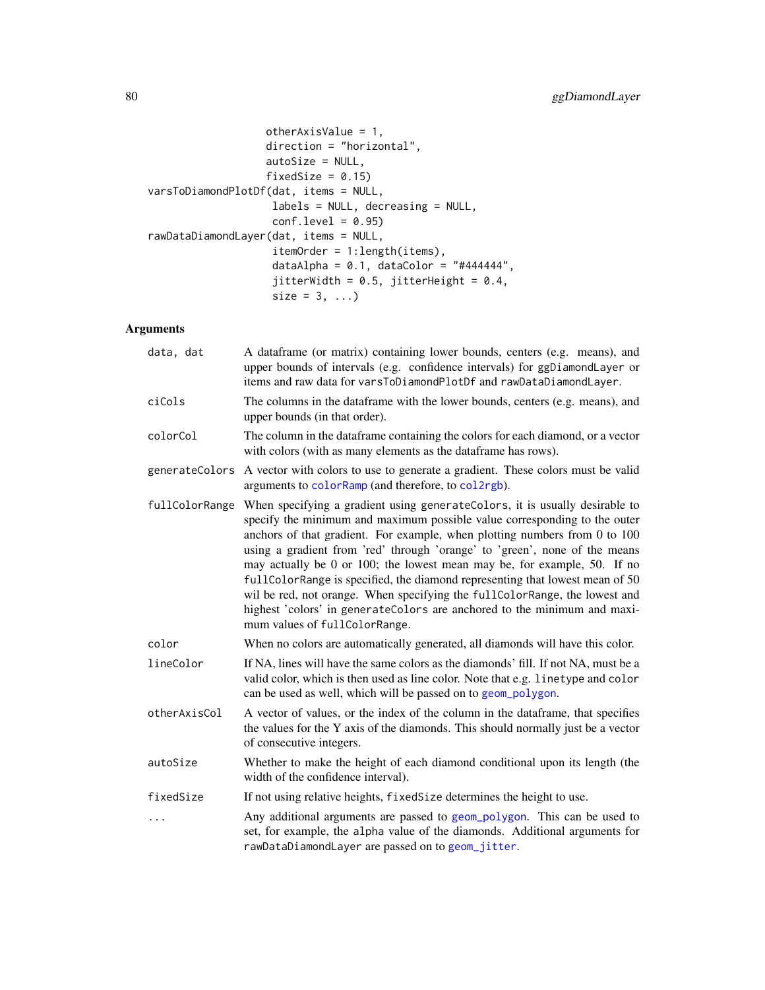```
otherAxisValue = 1,
                   direction = "horizontal",
                   autoSize = NULL,
                   fixedSize = 0.15)
varsToDiamondPlotDf(dat, items = NULL,
                   labels = NULL, decreasing = NULL,
                   conf. level = 0.95rawDataDiamondLayer(dat, items = NULL,
                    itemOrder = 1:length(items),
                    dataAlpha = 0.1, dataColor = "#444444",
                    jitterWidth = 0.5, jitterHeight = 0.4,
                    size = 3, ...)
```

| data, dat      | A dataframe (or matrix) containing lower bounds, centers (e.g. means), and<br>upper bounds of intervals (e.g. confidence intervals) for ggDiamondLayer or<br>items and raw data for varsToDiamondPlotDf and rawDataDiamondLayer.                                                                                                                                                                                                                                                                                                                                                                                                                                            |
|----------------|-----------------------------------------------------------------------------------------------------------------------------------------------------------------------------------------------------------------------------------------------------------------------------------------------------------------------------------------------------------------------------------------------------------------------------------------------------------------------------------------------------------------------------------------------------------------------------------------------------------------------------------------------------------------------------|
| ciCols         | The columns in the dataframe with the lower bounds, centers (e.g. means), and<br>upper bounds (in that order).                                                                                                                                                                                                                                                                                                                                                                                                                                                                                                                                                              |
| colorCol       | The column in the dataframe containing the colors for each diamond, or a vector<br>with colors (with as many elements as the dataframe has rows).                                                                                                                                                                                                                                                                                                                                                                                                                                                                                                                           |
| generateColors | A vector with colors to use to generate a gradient. These colors must be valid<br>arguments to colorRamp (and therefore, to col2rgb).                                                                                                                                                                                                                                                                                                                                                                                                                                                                                                                                       |
| fullColorRange | When specifying a gradient using generateColors, it is usually desirable to<br>specify the minimum and maximum possible value corresponding to the outer<br>anchors of that gradient. For example, when plotting numbers from 0 to 100<br>using a gradient from 'red' through 'orange' to 'green', none of the means<br>may actually be 0 or 100; the lowest mean may be, for example, 50. If no<br>fullColorRange is specified, the diamond representing that lowest mean of 50<br>wil be red, not orange. When specifying the fullColorRange, the lowest and<br>highest 'colors' in generateColors are anchored to the minimum and maxi-<br>mum values of fullColorRange. |
| color          | When no colors are automatically generated, all diamonds will have this color.                                                                                                                                                                                                                                                                                                                                                                                                                                                                                                                                                                                              |
| lineColor      | If NA, lines will have the same colors as the diamonds' fill. If not NA, must be a<br>valid color, which is then used as line color. Note that e.g. linetype and color<br>can be used as well, which will be passed on to geom_polygon.                                                                                                                                                                                                                                                                                                                                                                                                                                     |
| otherAxisCol   | A vector of values, or the index of the column in the dataframe, that specifies<br>the values for the Y axis of the diamonds. This should normally just be a vector<br>of consecutive integers.                                                                                                                                                                                                                                                                                                                                                                                                                                                                             |
| autoSize       | Whether to make the height of each diamond conditional upon its length (the<br>width of the confidence interval).                                                                                                                                                                                                                                                                                                                                                                                                                                                                                                                                                           |
| fixedSize      | If not using relative heights, fixed Size determines the height to use.                                                                                                                                                                                                                                                                                                                                                                                                                                                                                                                                                                                                     |
| $\cdots$       | Any additional arguments are passed to geom_polygon. This can be used to<br>set, for example, the alpha value of the diamonds. Additional arguments for<br>rawDataDiamondLayer are passed on to geom_jitter.                                                                                                                                                                                                                                                                                                                                                                                                                                                                |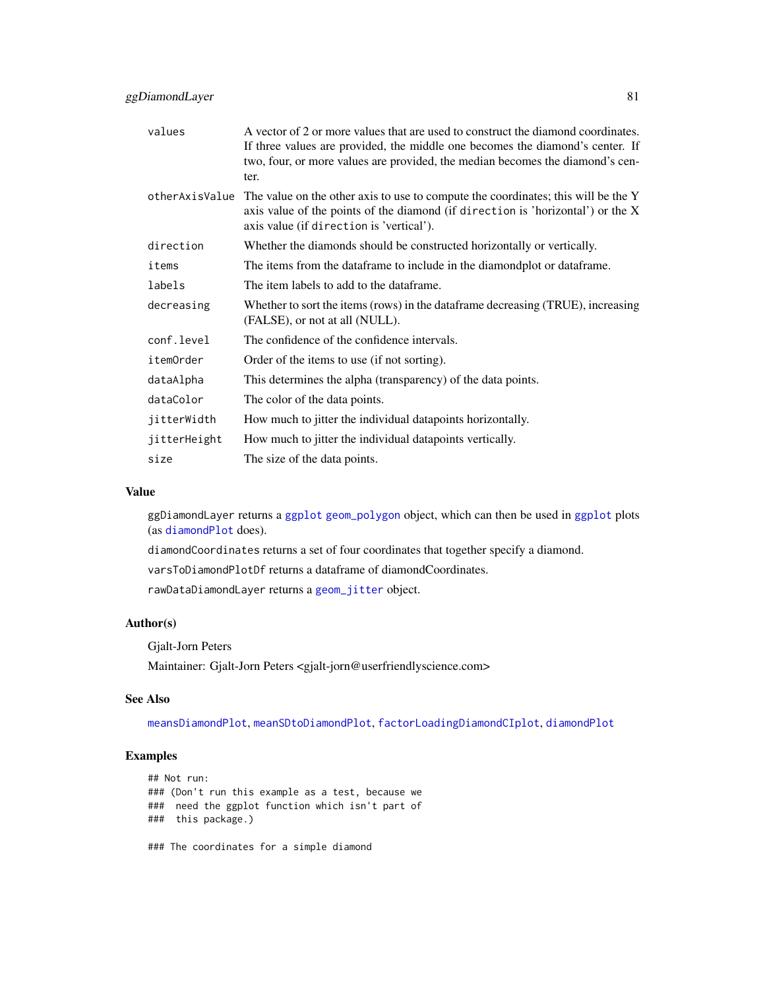| values           | A vector of 2 or more values that are used to construct the diamond coordinates.<br>If three values are provided, the middle one becomes the diamond's center. If<br>two, four, or more values are provided, the median becomes the diamond's cen-<br>ter. |
|------------------|------------------------------------------------------------------------------------------------------------------------------------------------------------------------------------------------------------------------------------------------------------|
| otherAxisValue   | The value on the other axis to use to compute the coordinates; this will be the Y<br>axis value of the points of the diamond (if direction is 'horizontal') or the X<br>axis value (if direction is 'vertical').                                           |
| direction        | Whether the diamonds should be constructed horizontally or vertically.                                                                                                                                                                                     |
| items            | The items from the dataframe to include in the diamondplot or dataframe.                                                                                                                                                                                   |
| labels           | The item labels to add to the dataframe.                                                                                                                                                                                                                   |
| decreasing       | Whether to sort the items (rows) in the data frame decreasing (TRUE), increasing<br>(FALSE), or not at all (NULL).                                                                                                                                         |
| conf.level       | The confidence of the confidence intervals.                                                                                                                                                                                                                |
| <i>itemOrder</i> | Order of the items to use (if not sorting).                                                                                                                                                                                                                |
| dataAlpha        | This determines the alpha (transparency) of the data points.                                                                                                                                                                                               |
| dataColor        | The color of the data points.                                                                                                                                                                                                                              |
| jitterWidth      | How much to jitter the individual datapoints horizontally.                                                                                                                                                                                                 |
| jitterHeight     | How much to jitter the individual datapoints vertically.                                                                                                                                                                                                   |
| size             | The size of the data points.                                                                                                                                                                                                                               |

#### Value

ggDiamondLayer returns a [ggplot](#page-0-0) [geom\\_polygon](#page-0-0) object, which can then be used in [ggplot](#page-0-0) plots (as [diamondPlot](#page-47-0) does).

diamondCoordinates returns a set of four coordinates that together specify a diamond.

varsToDiamondPlotDf returns a dataframe of diamondCoordinates.

rawDataDiamondLayer returns a [geom\\_jitter](#page-0-0) object.

## Author(s)

Gjalt-Jorn Peters

Maintainer: Gjalt-Jorn Peters <gjalt-jorn@userfriendlyscience.com>

#### See Also

[meansDiamondPlot](#page-109-0), [meanSDtoDiamondPlot](#page-111-0), [factorLoadingDiamondCIplot](#page-62-0), [diamondPlot](#page-47-0)

## Examples

```
## Not run:
### (Don't run this example as a test, because we
### need the ggplot function which isn't part of
### this package.)
### The coordinates for a simple diamond
```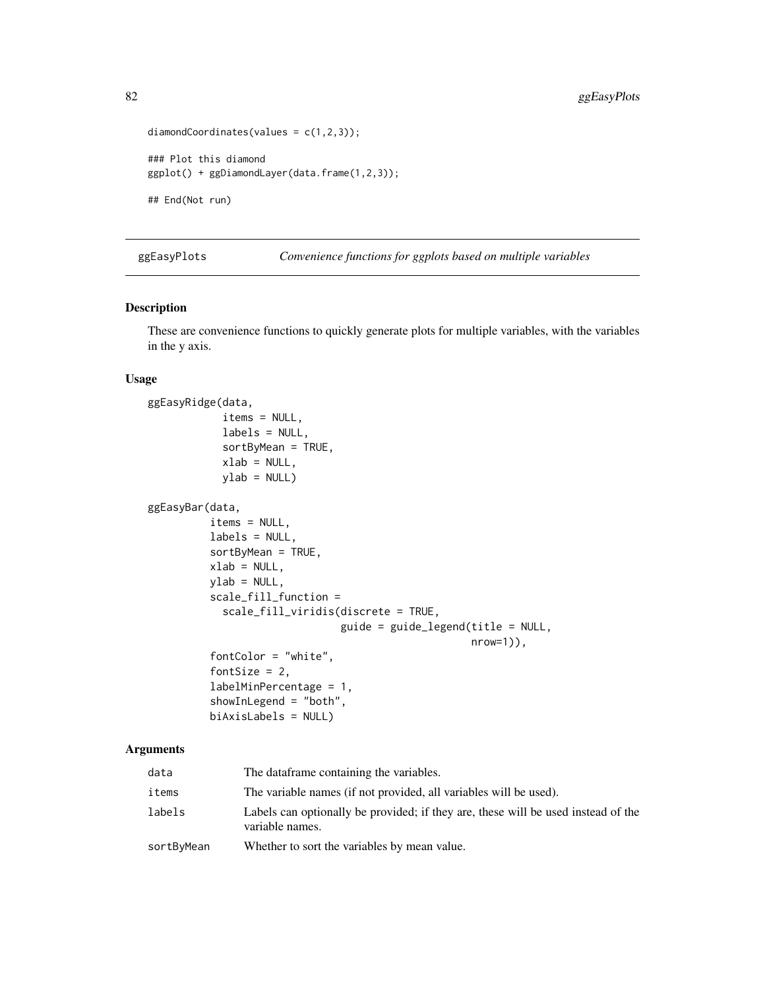```
diamondCoordinates(values = c(1,2,3));
### Plot this diamond
ggplot() + ggDiamondLayer(data.frame(1,2,3));
## End(Not run)
```
ggEasyPlots *Convenience functions for ggplots based on multiple variables*

# Description

These are convenience functions to quickly generate plots for multiple variables, with the variables in the y axis.

## Usage

```
ggEasyRidge(data,
            items = NULL,
            labels = NULL,
            sortByMean = TRUE,
            xlab = NULL,
            ylab = NULLggEasyBar(data,
          items = NULL,
          labels = NULL,
          sortByMean = TRUE,
          xlab = NULL,
          ylab = NULL,
          scale_fill_function =
            scale_fill_viridis(discrete = TRUE,
                               guide = guide_legend(title = NULL,
                                                     nrow=1)),
          fontColor = "white",
          fontSize = 2,
          labelMinPercentage = 1,
          showInLegend = "both",
          biAxisLabels = NULL)
```

| data       | The dataframe containing the variables.                                                              |
|------------|------------------------------------------------------------------------------------------------------|
| items      | The variable names (if not provided, all variables will be used).                                    |
| labels     | Labels can optionally be provided; if they are, these will be used instead of the<br>variable names. |
| sortByMean | Whether to sort the variables by mean value.                                                         |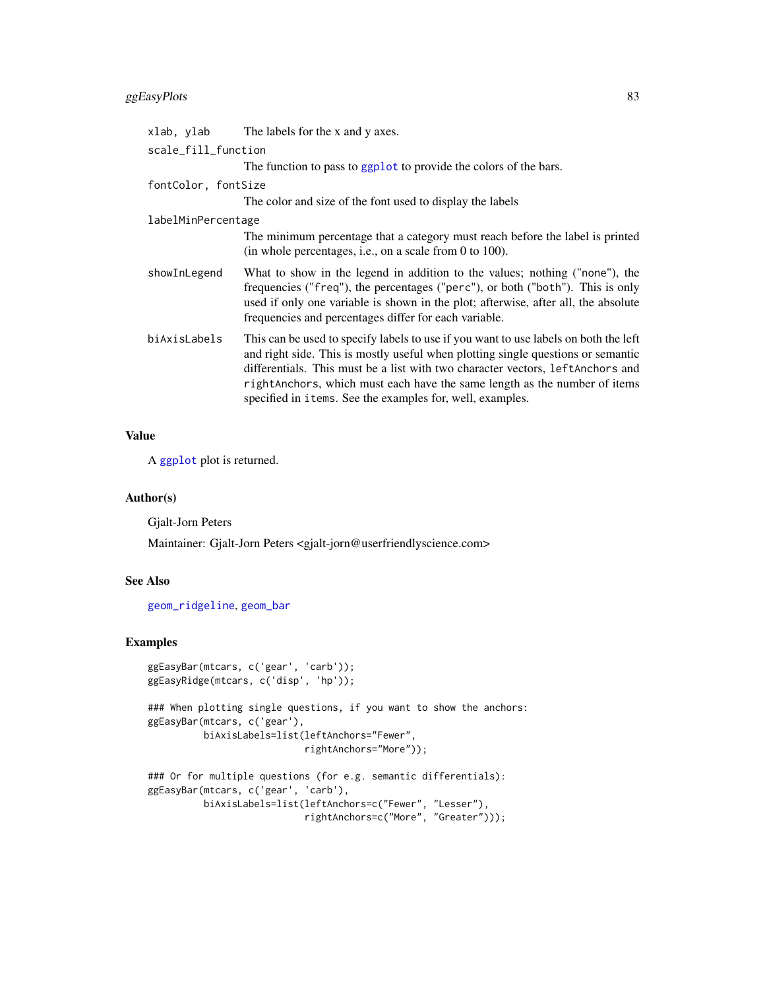# ggEasyPlots 83

| xlab, ylab          | The labels for the x and y axes.                                                                                                                                                                                                                                                                                                                                                                        |
|---------------------|---------------------------------------------------------------------------------------------------------------------------------------------------------------------------------------------------------------------------------------------------------------------------------------------------------------------------------------------------------------------------------------------------------|
| scale_fill_function |                                                                                                                                                                                                                                                                                                                                                                                                         |
|                     | The function to pass to ggplot to provide the colors of the bars.                                                                                                                                                                                                                                                                                                                                       |
| fontColor, fontSize |                                                                                                                                                                                                                                                                                                                                                                                                         |
|                     | The color and size of the font used to display the labels                                                                                                                                                                                                                                                                                                                                               |
| labelMinPercentage  |                                                                                                                                                                                                                                                                                                                                                                                                         |
|                     | The minimum percentage that a category must reach before the label is printed<br>(in whole percentages, i.e., on a scale from 0 to 100).                                                                                                                                                                                                                                                                |
| showInLegend        | What to show in the legend in addition to the values; nothing ("none"), the<br>frequencies ("freq"), the percentages ("perc"), or both ("both"). This is only<br>used if only one variable is shown in the plot; afterwise, after all, the absolute<br>frequencies and percentages differ for each variable.                                                                                            |
| biAxisLabels        | This can be used to specify labels to use if you want to use labels on both the left<br>and right side. This is mostly useful when plotting single questions or semantic<br>differentials. This must be a list with two character vectors, left Anchors and<br>right Anchors, which must each have the same length as the number of items<br>specified in i tems. See the examples for, well, examples. |

## Value

A [ggplot](#page-0-0) plot is returned.

## Author(s)

Gjalt-Jorn Peters

Maintainer: Gjalt-Jorn Peters <gjalt-jorn@userfriendlyscience.com>

#### See Also

[geom\\_ridgeline](#page-0-0), [geom\\_bar](#page-0-0)

## Examples

```
ggEasyBar(mtcars, c('gear', 'carb'));
ggEasyRidge(mtcars, c('disp', 'hp'));
### When plotting single questions, if you want to show the anchors:
ggEasyBar(mtcars, c('gear'),
         biAxisLabels=list(leftAnchors="Fewer",
                            rightAnchors="More"));
### Or for multiple questions (for e.g. semantic differentials):
ggEasyBar(mtcars, c('gear', 'carb'),
```

```
biAxisLabels=list(leftAnchors=c("Fewer", "Lesser"),
                  rightAnchors=c("More", "Greater")));
```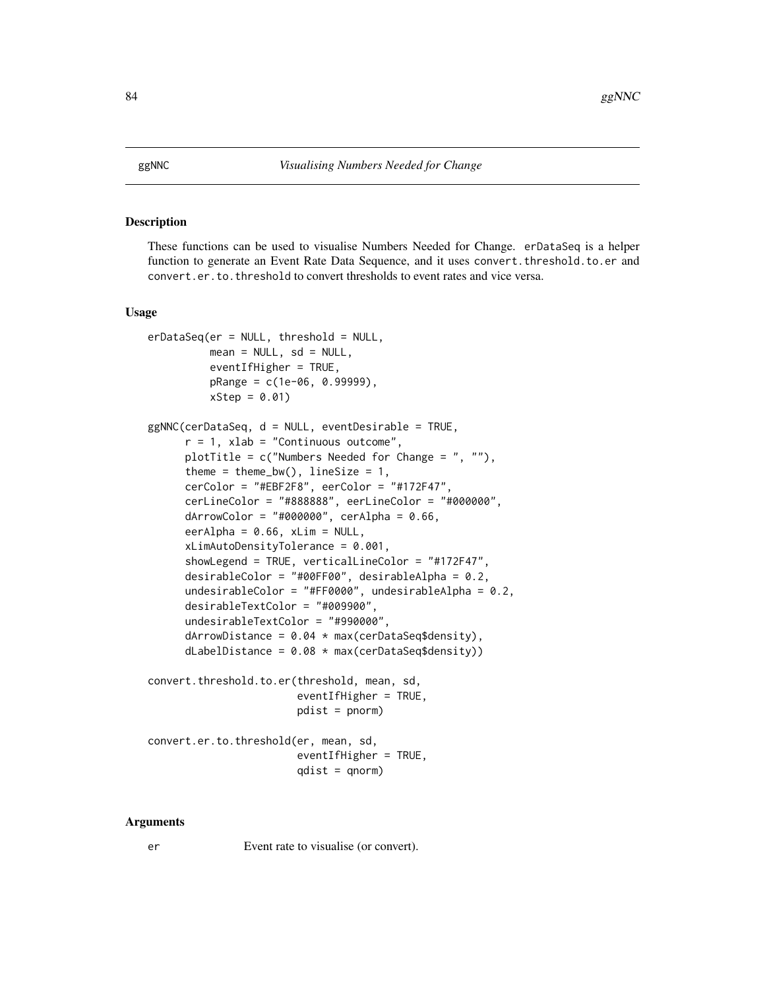#### Description

These functions can be used to visualise Numbers Needed for Change. erDataSeq is a helper function to generate an Event Rate Data Sequence, and it uses convert. threshold.to.er and convert.er.to.threshold to convert thresholds to event rates and vice versa.

#### Usage

```
erDataSeq(er = NULL, threshold = NULL,
         mean = NULL, sd = NULL,
         eventIfHigher = TRUE,
          pRange = c(1e-06, 0.99999),
          xStep = 0.01)
ggNNC(cerDataSeq, d = NULL, eventDesirable = TRUE,
      r = 1, xlab = "Continuous outcome",
     plotTitle = c("Numbers Needed for Change = ", ""),theme = theme_bw(), lineSize = 1,
     cerColor = "HEBF2F8", eerColor = "H172F47",cerLineColor = "#888888", eerLineColor = "#000000",
     dArrowColor = "#000000", cerAlpha = 0.66,
     eerAlpha = 0.66, xLim = NULL,
     xLimAutoDensityTolerance = 0.001,
     showLegend = TRUE, verticalLineColor = "#172F47",
     desirableColor = "#00FF00", desirableAlpha = 0.2,
     undesirableColor = "#FF0000", undesirableAlpha = 0.2,
     desirableTextColor = "#009900",
     undesirableTextColor = "#990000",
     dArrowDistance = 0.04 \times max(cerDataSeq$density),
     dLabelDistance = 0.08 * max(cerDataSeq$density))
convert.threshold.to.er(threshold, mean, sd,
                        eventIfHigher = TRUE,pdist = pnorm)
convert.er.to.threshold(er, mean, sd,
                        eventIfHigher = TRUE,qdist = qnorm
```
#### Arguments

er Event rate to visualise (or convert).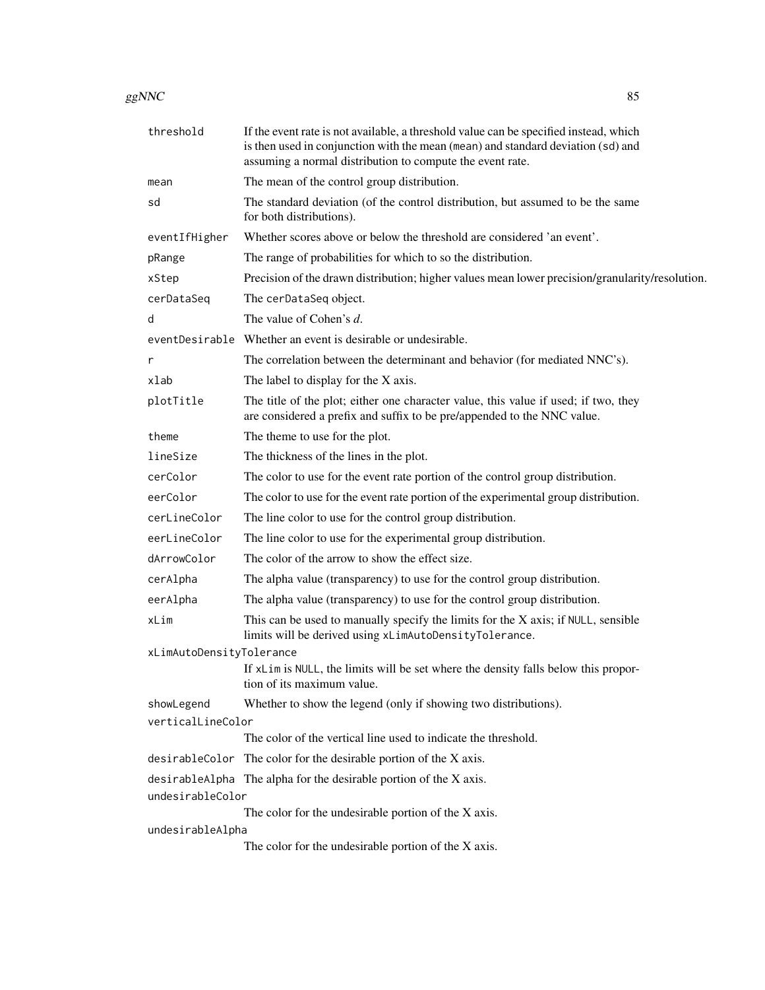| ggNNC | 85 |  |
|-------|----|--|
|       |    |  |

| threshold                | If the event rate is not available, a threshold value can be specified instead, which<br>is then used in conjunction with the mean (mean) and standard deviation (sd) and<br>assuming a normal distribution to compute the event rate. |
|--------------------------|----------------------------------------------------------------------------------------------------------------------------------------------------------------------------------------------------------------------------------------|
| mean                     | The mean of the control group distribution.                                                                                                                                                                                            |
| sd                       | The standard deviation (of the control distribution, but assumed to be the same<br>for both distributions).                                                                                                                            |
| eventIfHigher            | Whether scores above or below the threshold are considered 'an event'.                                                                                                                                                                 |
| pRange                   | The range of probabilities for which to so the distribution.                                                                                                                                                                           |
| xStep                    | Precision of the drawn distribution; higher values mean lower precision/granularity/resolution.                                                                                                                                        |
| cerDataSeq               | The cerDataSeq object.                                                                                                                                                                                                                 |
| d                        | The value of Cohen's d.                                                                                                                                                                                                                |
| eventDesirable           | Whether an event is desirable or undesirable.                                                                                                                                                                                          |
| r                        | The correlation between the determinant and behavior (for mediated NNC's).                                                                                                                                                             |
| xlab                     | The label to display for the X axis.                                                                                                                                                                                                   |
| plotTitle                | The title of the plot; either one character value, this value if used; if two, they<br>are considered a prefix and suffix to be pre/appended to the NNC value.                                                                         |
| theme                    | The theme to use for the plot.                                                                                                                                                                                                         |
| lineSize                 | The thickness of the lines in the plot.                                                                                                                                                                                                |
| cerColor                 | The color to use for the event rate portion of the control group distribution.                                                                                                                                                         |
| eerColor                 | The color to use for the event rate portion of the experimental group distribution.                                                                                                                                                    |
| cerLineColor             | The line color to use for the control group distribution.                                                                                                                                                                              |
| eerLineColor             | The line color to use for the experimental group distribution.                                                                                                                                                                         |
| dArrowColor              | The color of the arrow to show the effect size.                                                                                                                                                                                        |
| cerAlpha                 | The alpha value (transparency) to use for the control group distribution.                                                                                                                                                              |
| eerAlpha                 | The alpha value (transparency) to use for the control group distribution.                                                                                                                                                              |
| xLim                     | This can be used to manually specify the limits for the X axis; if NULL, sensible<br>limits will be derived using xLimAutoDensityTolerance.                                                                                            |
| xLimAutoDensityTolerance |                                                                                                                                                                                                                                        |
|                          | If xLim is NULL, the limits will be set where the density falls below this propor-<br>tion of its maximum value.                                                                                                                       |
| showLegend               | Whether to show the legend (only if showing two distributions).                                                                                                                                                                        |
| verticalLineColor        | The color of the vertical line used to indicate the threshold.                                                                                                                                                                         |
|                          |                                                                                                                                                                                                                                        |
|                          | desirableColor The color for the desirable portion of the X axis.                                                                                                                                                                      |
| undesirableColor         | desirableAlpha The alpha for the desirable portion of the X axis.                                                                                                                                                                      |
|                          | The color for the undesirable portion of the X axis.                                                                                                                                                                                   |
| undesirableAlpha         |                                                                                                                                                                                                                                        |
|                          | The color for the undesirable portion of the X axis.                                                                                                                                                                                   |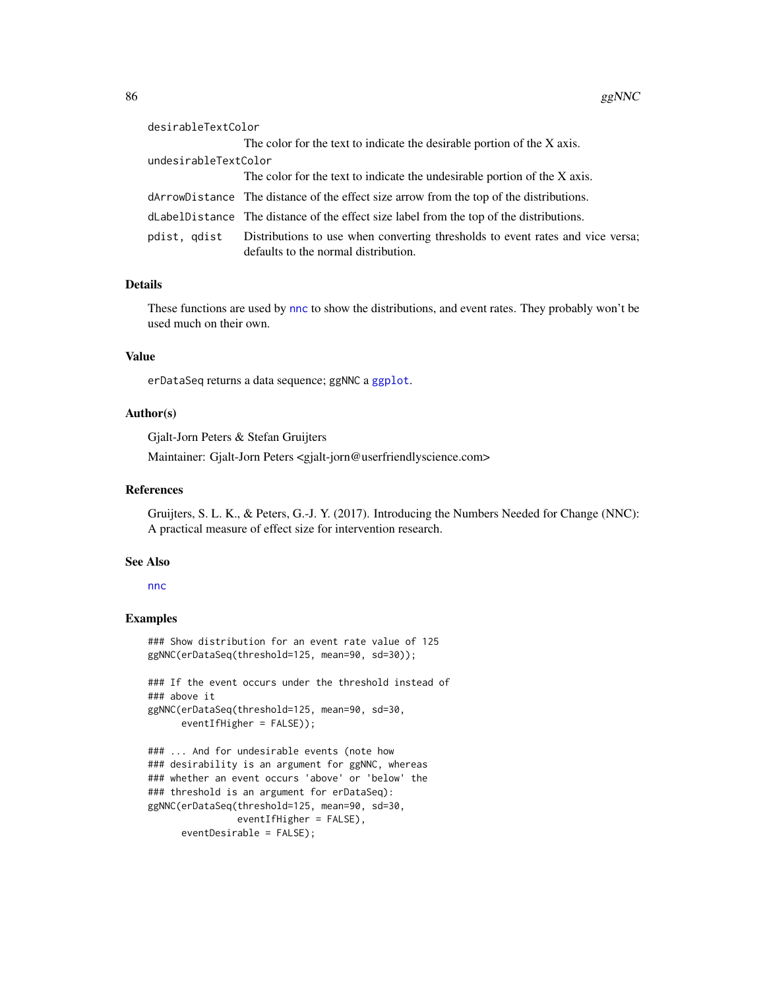| desirableTextColor   |                                                                                                                        |
|----------------------|------------------------------------------------------------------------------------------------------------------------|
|                      | The color for the text to indicate the desirable portion of the X axis.                                                |
| undesirableTextColor |                                                                                                                        |
|                      | The color for the text to indicate the undesirable portion of the X axis.                                              |
|                      | dArrowDistance The distance of the effect size arrow from the top of the distributions.                                |
|                      | dLabelDistance The distance of the effect size label from the top of the distributions.                                |
| pdist, qdist         | Distributions to use when converting thresholds to event rates and vice versa;<br>defaults to the normal distribution. |

## Details

These functions are used by [nnc](#page-115-0) to show the distributions, and event rates. They probably won't be used much on their own.

## Value

erDataSeq returns a data sequence; ggNNC a [ggplot](#page-0-0).

# Author(s)

Gjalt-Jorn Peters & Stefan Gruijters

Maintainer: Gjalt-Jorn Peters <gjalt-jorn@userfriendlyscience.com>

#### References

Gruijters, S. L. K., & Peters, G.-J. Y. (2017). Introducing the Numbers Needed for Change (NNC): A practical measure of effect size for intervention research.

#### See Also

#### [nnc](#page-115-0)

## Examples

```
### Show distribution for an event rate value of 125
ggNNC(erDataSeq(threshold=125, mean=90, sd=30));
```

```
### If the event occurs under the threshold instead of
### above it
ggNNC(erDataSeq(threshold=125, mean=90, sd=30,
     eventIfHigher = FALSE));
```

```
### ... And for undesirable events (note how
### desirability is an argument for ggNNC, whereas
### whether an event occurs 'above' or 'below' the
### threshold is an argument for erDataSeq):
ggNNC(erDataSeq(threshold=125, mean=90, sd=30,
                eventIfHigher = FALSE),
     eventDesirable = FALSE);
```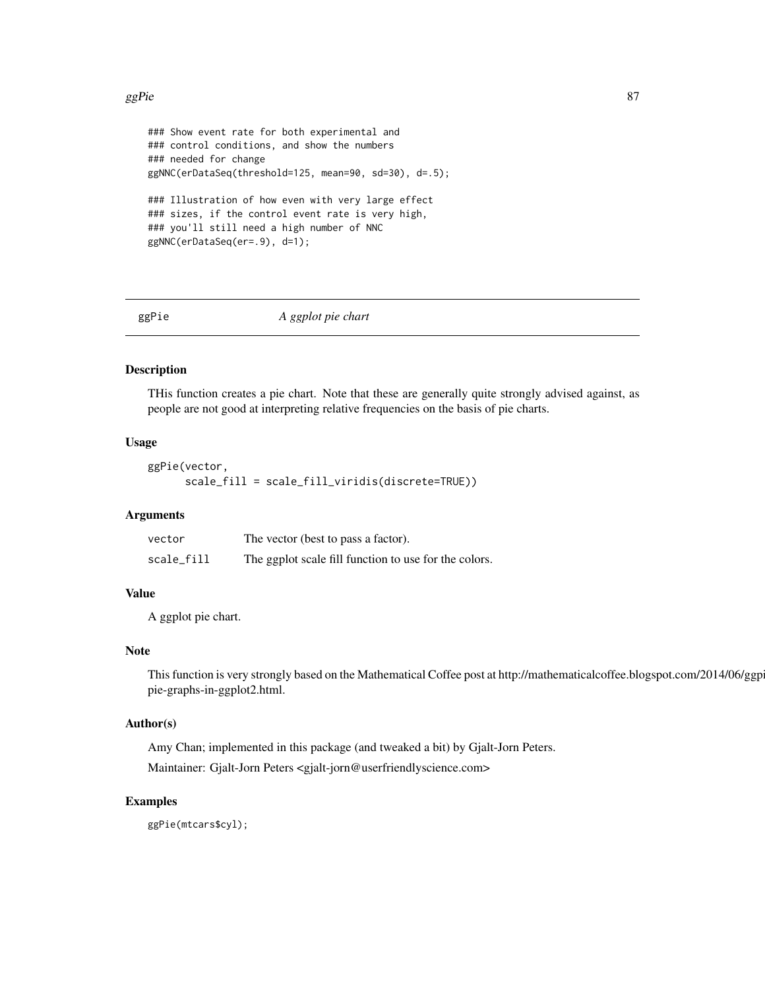#### ggPie 87 august 1989 in de koning van de koning van de koning van de koning van de koning van de koning van de

```
### Show event rate for both experimental and
### control conditions, and show the numbers
### needed for change
ggNNC(erDataSeq(threshold=125, mean=90, sd=30), d=.5);
### Illustration of how even with very large effect
### sizes, if the control event rate is very high,
### you'll still need a high number of NNC
ggNNC(erDataSeq(er=.9), d=1);
```
ggPie *A ggplot pie chart*

# Description

THis function creates a pie chart. Note that these are generally quite strongly advised against, as people are not good at interpreting relative frequencies on the basis of pie charts.

## Usage

```
ggPie(vector,
      scale_fill = scale_fill_viridis(discrete=TRUE))
```
## Arguments

| vector     | The vector (best to pass a factor).                   |
|------------|-------------------------------------------------------|
| scale_fill | The ggplot scale fill function to use for the colors. |

#### Value

A ggplot pie chart.

#### Note

This function is very strongly based on the Mathematical Coffee post at http://mathematicalcoffee.blogspot.com/2014/06/ggp pie-graphs-in-ggplot2.html.

# Author(s)

Amy Chan; implemented in this package (and tweaked a bit) by Gjalt-Jorn Peters. Maintainer: Gjalt-Jorn Peters <gjalt-jorn@userfriendlyscience.com>

## Examples

ggPie(mtcars\$cyl);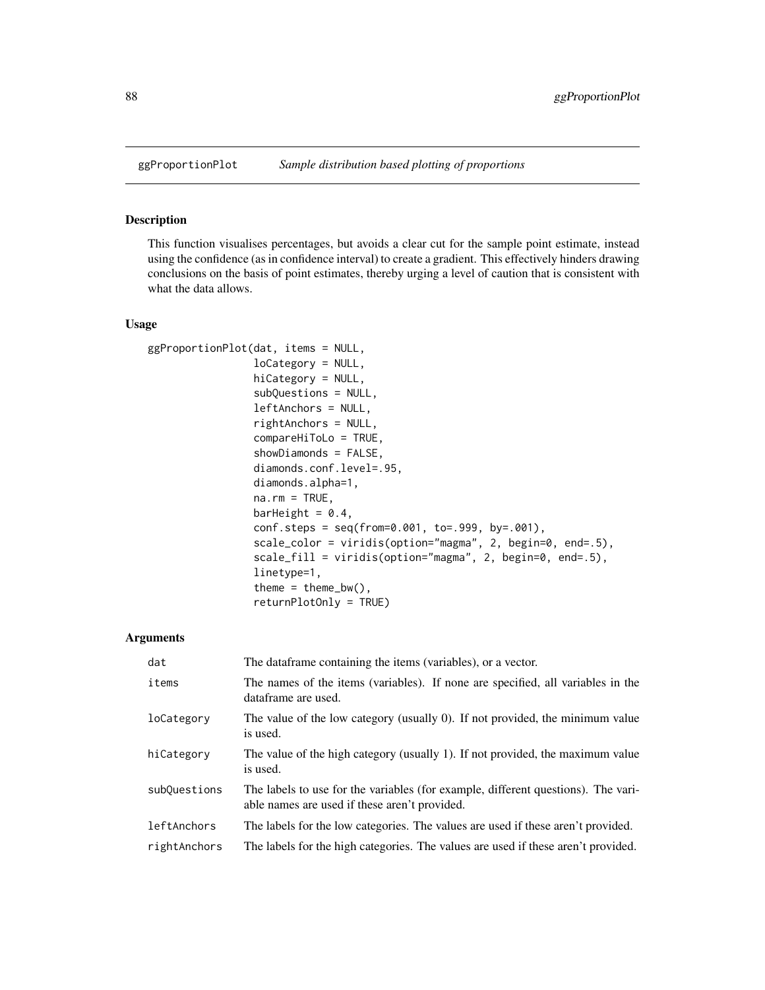# Description

This function visualises percentages, but avoids a clear cut for the sample point estimate, instead using the confidence (as in confidence interval) to create a gradient. This effectively hinders drawing conclusions on the basis of point estimates, thereby urging a level of caution that is consistent with what the data allows.

## Usage

```
ggProportionPlot(dat, items = NULL,
                 loCategory = NULL,
                 hiCategory = NULL,
                 subQuestions = NULL,
                 leftAnchors = NULL,
                 rightAnchors = NULL,
                 compareHiToLo = TRUE,
                 showDiamonds = FALSE,
                 diamonds.conf.level=.95,
                 diamonds.alpha=1,
                 na.rm = TRUE,barHeight = 0.4,
                 conf.steps = seq(from=0.001, to=.999, by=.001),
                 scale_color = viridis(option="magma", 2, begin=0, end=.5),
                 scale_fill = viridis(option="magma", 2, begin=0, end=.5),
                 linetype=1,
                 theme = thene_bw(),
                 returnPlotOnly = TRUE)
```

| dat          | The data frame containing the items (variables), or a vector.                                                                      |
|--------------|------------------------------------------------------------------------------------------------------------------------------------|
| items        | The names of the items (variables). If none are specified, all variables in the<br>dataframe are used.                             |
| loCategory   | The value of the low category (usually 0). If not provided, the minimum value<br>is used.                                          |
| hiCategory   | The value of the high category (usually 1). If not provided, the maximum value<br>is used.                                         |
| subQuestions | The labels to use for the variables (for example, different questions). The vari-<br>able names are used if these aren't provided. |
| leftAnchors  | The labels for the low categories. The values are used if these aren't provided.                                                   |
| rightAnchors | The labels for the high categories. The values are used if these aren't provided.                                                  |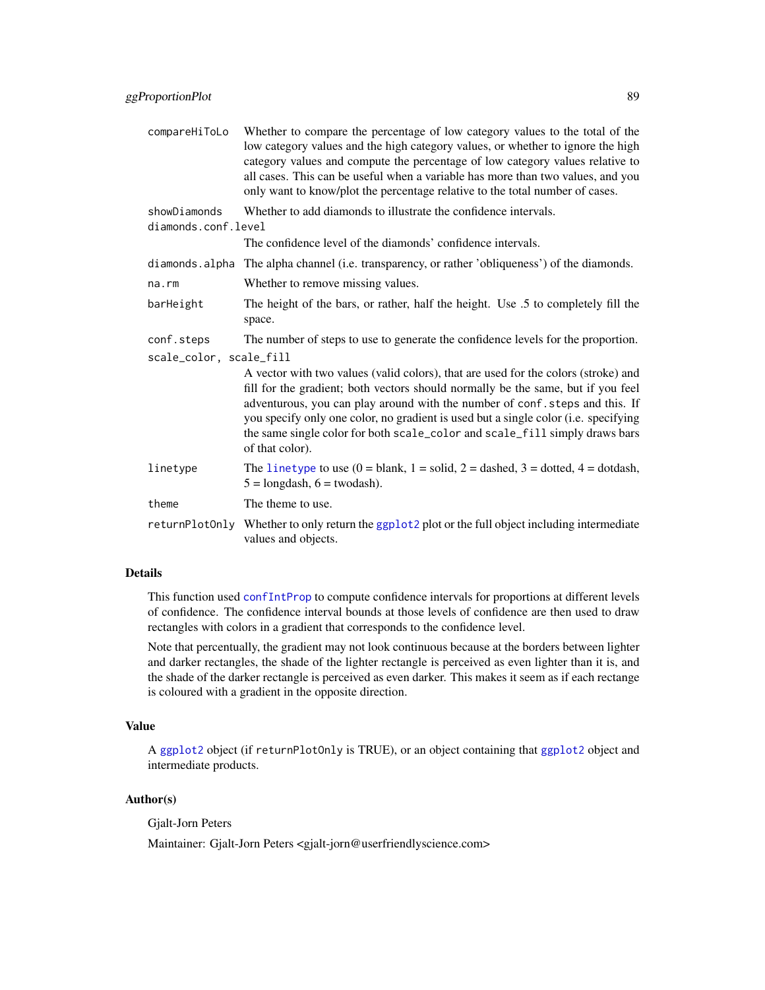| compareHiToLo                       | Whether to compare the percentage of low category values to the total of the<br>low category values and the high category values, or whether to ignore the high<br>category values and compute the percentage of low category values relative to<br>all cases. This can be useful when a variable has more than two values, and you<br>only want to know/plot the percentage relative to the total number of cases.                             |  |
|-------------------------------------|-------------------------------------------------------------------------------------------------------------------------------------------------------------------------------------------------------------------------------------------------------------------------------------------------------------------------------------------------------------------------------------------------------------------------------------------------|--|
| showDiamonds<br>diamonds.conf.level | Whether to add diamonds to illustrate the confidence intervals.                                                                                                                                                                                                                                                                                                                                                                                 |  |
|                                     | The confidence level of the diamonds' confidence intervals.                                                                                                                                                                                                                                                                                                                                                                                     |  |
| diamonds.alpha                      | The alpha channel (i.e. transparency, or rather 'obliqueness') of the diamonds.                                                                                                                                                                                                                                                                                                                                                                 |  |
| na.rm                               | Whether to remove missing values.                                                                                                                                                                                                                                                                                                                                                                                                               |  |
| barHeight                           | The height of the bars, or rather, half the height. Use .5 to completely fill the<br>space.                                                                                                                                                                                                                                                                                                                                                     |  |
| conf.steps                          | The number of steps to use to generate the confidence levels for the proportion.                                                                                                                                                                                                                                                                                                                                                                |  |
| scale_color, scale_fill             |                                                                                                                                                                                                                                                                                                                                                                                                                                                 |  |
|                                     | A vector with two values (valid colors), that are used for the colors (stroke) and<br>fill for the gradient; both vectors should normally be the same, but if you feel<br>adventurous, you can play around with the number of conf. steps and this. If<br>you specify only one color, no gradient is used but a single color (i.e. specifying<br>the same single color for both scale_color and scale_fill simply draws bars<br>of that color). |  |
| linetype                            | The linetype to use $(0 = blank, 1 = solid, 2 = dashed, 3 = dotted, 4 = dotdash,$<br>$5 =$ longdash, $6 =$ twodash).                                                                                                                                                                                                                                                                                                                            |  |
| theme                               | The theme to use.                                                                                                                                                                                                                                                                                                                                                                                                                               |  |
| returnPlotOnly                      | Whether to only return the ggplot2 plot or the full object including intermediate<br>values and objects.                                                                                                                                                                                                                                                                                                                                        |  |

#### Details

This function used [confIntProp](#page-28-0) to compute confidence intervals for proportions at different levels of confidence. The confidence interval bounds at those levels of confidence are then used to draw rectangles with colors in a gradient that corresponds to the confidence level.

Note that percentually, the gradient may not look continuous because at the borders between lighter and darker rectangles, the shade of the lighter rectangle is perceived as even lighter than it is, and the shade of the darker rectangle is perceived as even darker. This makes it seem as if each rectange is coloured with a gradient in the opposite direction.

## Value

A [ggplot2](#page-0-0) object (if returnPlotOnly is TRUE), or an object containing that [ggplot2](#page-0-0) object and intermediate products.

# Author(s)

Gjalt-Jorn Peters

Maintainer: Gjalt-Jorn Peters <gjalt-jorn@userfriendlyscience.com>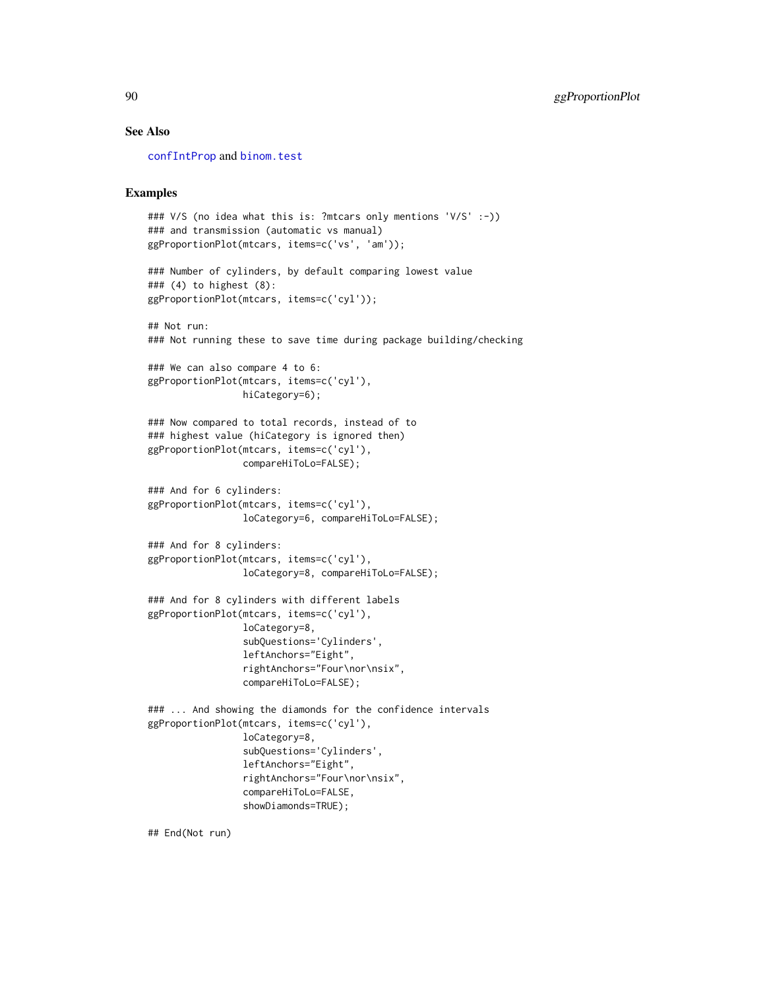#### See Also

[confIntProp](#page-28-0) and [binom.test](#page-0-0)

# Examples

```
### V/S (no idea what this is: ?mtcars only mentions 'V/S' :-))
### and transmission (automatic vs manual)
ggProportionPlot(mtcars, items=c('vs', 'am'));
### Number of cylinders, by default comparing lowest value
### (4) to highest (8):
ggProportionPlot(mtcars, items=c('cyl'));
## Not run:
### Not running these to save time during package building/checking
### We can also compare 4 to 6:
ggProportionPlot(mtcars, items=c('cyl'),
                 hiCategory=6);
### Now compared to total records, instead of to
### highest value (hiCategory is ignored then)
ggProportionPlot(mtcars, items=c('cyl'),
                 compareHiToLo=FALSE);
### And for 6 cylinders:
ggProportionPlot(mtcars, items=c('cyl'),
                 loCategory=6, compareHiToLo=FALSE);
### And for 8 cylinders:
ggProportionPlot(mtcars, items=c('cyl'),
                 loCategory=8, compareHiToLo=FALSE);
### And for 8 cylinders with different labels
ggProportionPlot(mtcars, items=c('cyl'),
                 loCategory=8,
                 subQuestions='Cylinders',
                 leftAnchors="Eight",
                 rightAnchors="Four\nor\nsix",
                 compareHiToLo=FALSE);
### ... And showing the diamonds for the confidence intervals
ggProportionPlot(mtcars, items=c('cyl'),
                 loCategory=8,
                 subQuestions='Cylinders',
                 leftAnchors="Eight",
                 rightAnchors="Four\nor\nsix",
                 compareHiToLo=FALSE,
                 showDiamonds=TRUE);
```
## End(Not run)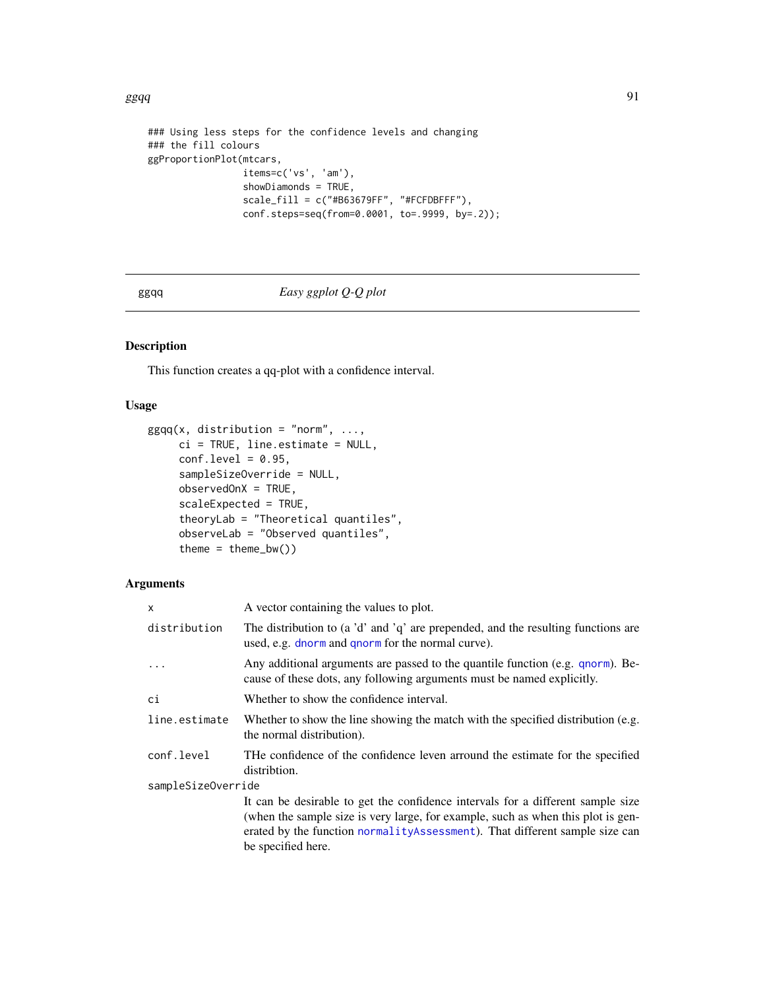## $ggqq$

```
### Using less steps for the confidence levels and changing
### the fill colours
ggProportionPlot(mtcars,
                 items=c('vs', 'am'),
                 showDiamonds = TRUE,
                 scale_fill = c("#B63679FF", "#FCFDBFFF"),conf.steps=seq(from=0.0001, to=.9999, by=.2));
```
# ggqq *Easy ggplot Q-Q plot*

## Description

This function creates a qq-plot with a confidence interval.

## Usage

```
ggqq(x, distribution = "norm", ...,
     ci = TRUE, line.estimate = NULL,
     conf. level = 0.95,sampleSizeOverride = NULL,
     observedOnX = TRUE,
     scaleExpected = TRUE,
     theoryLab = "Theoretical quantiles",
     observeLab = "Observed quantiles",
     theme = thene_bw()
```

| X                  | A vector containing the values to plot.                                                                                                                                                                                                                                  |  |
|--------------------|--------------------------------------------------------------------------------------------------------------------------------------------------------------------------------------------------------------------------------------------------------------------------|--|
| distribution       | The distribution to (a 'd' and 'q' are prepended, and the resulting functions are<br>used, e.g. dnorm and qnorm for the normal curve).                                                                                                                                   |  |
| $\ddots$           | Any additional arguments are passed to the quantile function (e.g. qnorm). Be-<br>cause of these dots, any following arguments must be named explicitly.                                                                                                                 |  |
| сi                 | Whether to show the confidence interval.                                                                                                                                                                                                                                 |  |
| line.estimate      | Whether to show the line showing the match with the specified distribution (e.g.<br>the normal distribution).                                                                                                                                                            |  |
| conf.level         | THe confidence of the confidence leven arround the estimate for the specified<br>distribtion.                                                                                                                                                                            |  |
| sampleSizeOverride |                                                                                                                                                                                                                                                                          |  |
|                    | It can be desirable to get the confidence intervals for a different sample size<br>(when the sample size is very large, for example, such as when this plot is gen-<br>erated by the function normalityAssessment). That different sample size can<br>be specified here. |  |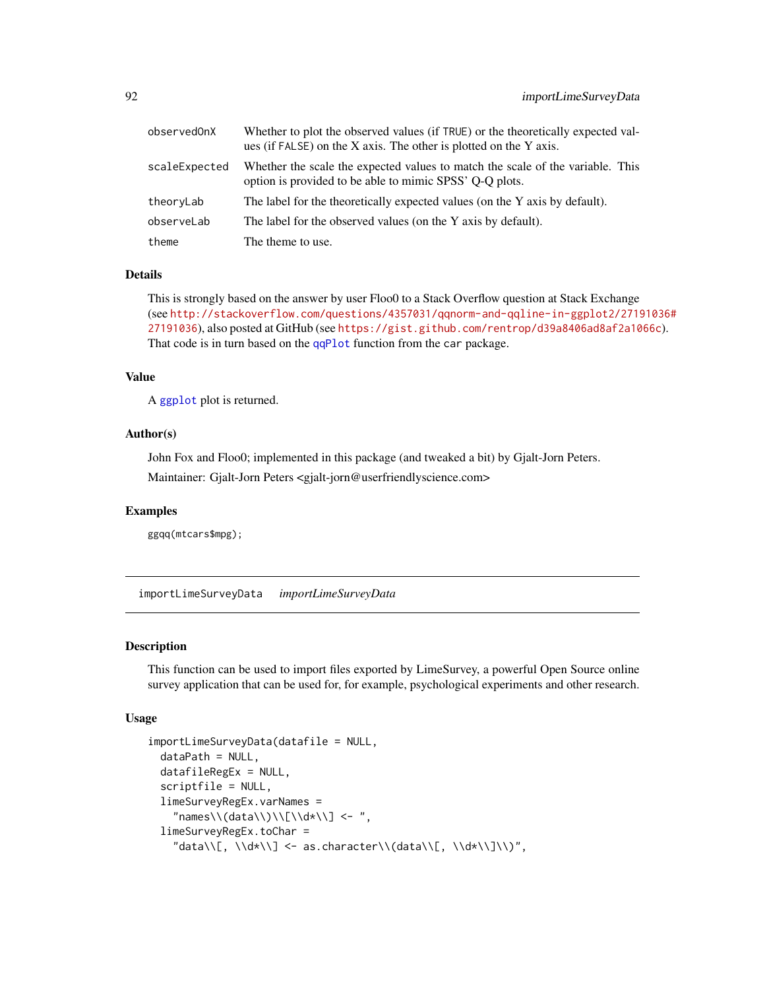| observedOnX   | Whether to plot the observed values (if TRUE) or the theoretically expected val-<br>ues (if FALSE) on the X axis. The other is plotted on the Y axis. |
|---------------|-------------------------------------------------------------------------------------------------------------------------------------------------------|
| scaleExpected | Whether the scale the expected values to match the scale of the variable. This<br>option is provided to be able to mimic SPSS' Q-Q plots.             |
| theoryLab     | The label for the theoretically expected values (on the Y axis by default).                                                                           |
| observeLab    | The label for the observed values (on the Y axis by default).                                                                                         |
| theme         | The theme to use.                                                                                                                                     |

# Details

This is strongly based on the answer by user Floo0 to a Stack Overflow question at Stack Exchange (see [http://stackoverflow.com/questions/4357031/qqnorm-and-qqline-in-ggplot2/2719](http://stackoverflow.com/questions/4357031/qqnorm-and-qqline-in-ggplot2/27191036#27191036)1036# [27191036](http://stackoverflow.com/questions/4357031/qqnorm-and-qqline-in-ggplot2/27191036#27191036)), also posted at GitHub (see <https://gist.github.com/rentrop/d39a8406ad8af2a1066c>). That code is in turn based on the [qqPlot](#page-0-0) function from the car package.

#### Value

A [ggplot](#page-0-0) plot is returned.

# Author(s)

John Fox and Floo0; implemented in this package (and tweaked a bit) by Gjalt-Jorn Peters.

Maintainer: Gjalt-Jorn Peters <gjalt-jorn@userfriendlyscience.com>

#### Examples

ggqq(mtcars\$mpg);

importLimeSurveyData *importLimeSurveyData*

## Description

This function can be used to import files exported by LimeSurvey, a powerful Open Source online survey application that can be used for, for example, psychological experiments and other research.

#### Usage

```
importLimeSurveyData(datafile = NULL,
 dataPath = NULL,
 datafileRegEx = NULL,
  scriptfile = NULL,
  limeSurveyRegEx.varNames =
    "names\\\(data\\\)\\\[[1\cdots] <- " ,limeSurveyRegEx.toChar =
    "data\\[, \\d*\\] <- as.character\\(data\\[, \\d*\\]\\)",
```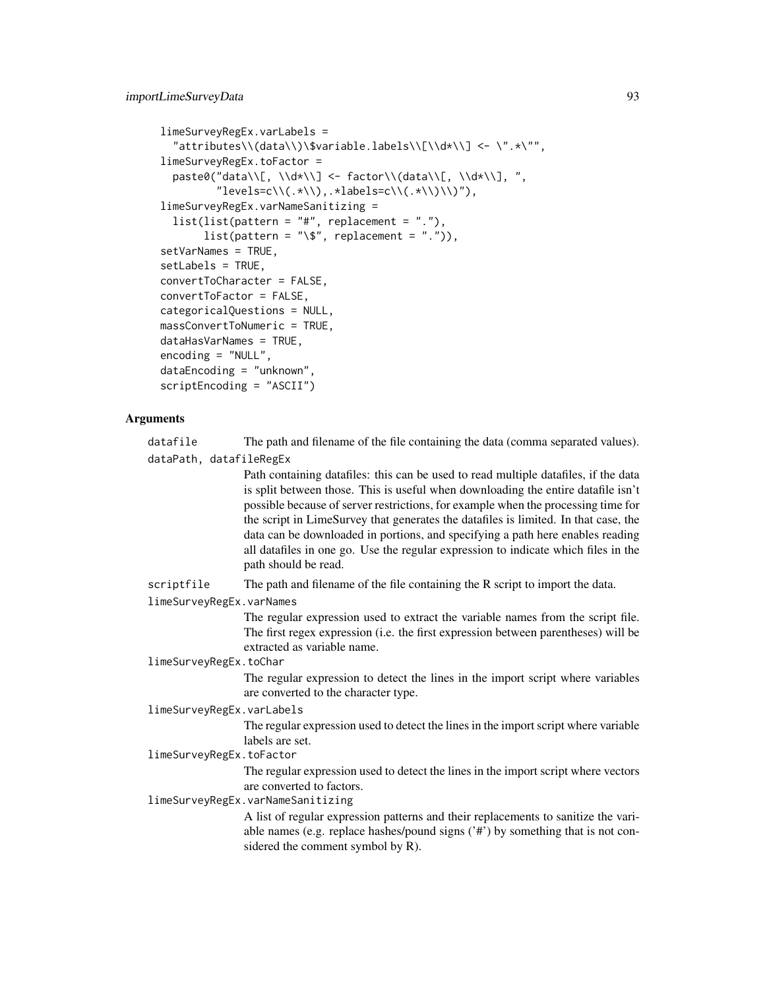```
limeSurveyRegEx.varLabels =
  "attributes\\(data\\)\$variable.labels\\[\\d*\\] <- \".*\"",
limeSurveyRegEx.toFactor =
 paste0("data\\[, \\d*\\] <- factor\\(data\\[, \\d*\\], ",
         "levels=c\\(.*\\),.*labels=c\\(.*\\)\\)"),
limeSurveyRegEx.varNameSanitizing =
  list(list(path = "#", replacement = "."),list(path = "\\", replacing a element = "."),
setVarNames = TRUE,
setLabels = TRUE,
convertToCharacter = FALSE,
convertToFactor = FALSE,
categoricalQuestions = NULL,
massConvertToNumeric = TRUE,
dataHasVarNames = TRUE,
encoding = "NULL",
dataEncoding = "unknown",
scriptEncoding = "ASCII")
```
## Arguments

datafile The path and filename of the file containing the data (comma separated values). dataPath, datafileRegEx

> Path containing datafiles: this can be used to read multiple datafiles, if the data is split between those. This is useful when downloading the entire datafile isn't possible because of server restrictions, for example when the processing time for the script in LimeSurvey that generates the datafiles is limited. In that case, the data can be downloaded in portions, and specifying a path here enables reading all datafiles in one go. Use the regular expression to indicate which files in the path should be read.

scriptfile The path and filename of the file containing the R script to import the data.

limeSurveyRegEx.varNames

The regular expression used to extract the variable names from the script file. The first regex expression (i.e. the first expression between parentheses) will be extracted as variable name.

limeSurveyRegEx.toChar

The regular expression to detect the lines in the import script where variables are converted to the character type.

limeSurveyRegEx.varLabels

The regular expression used to detect the lines in the import script where variable labels are set.

limeSurveyRegEx.toFactor

The regular expression used to detect the lines in the import script where vectors are converted to factors.

limeSurveyRegEx.varNameSanitizing

A list of regular expression patterns and their replacements to sanitize the variable names (e.g. replace hashes/pound signs ('#') by something that is not considered the comment symbol by R).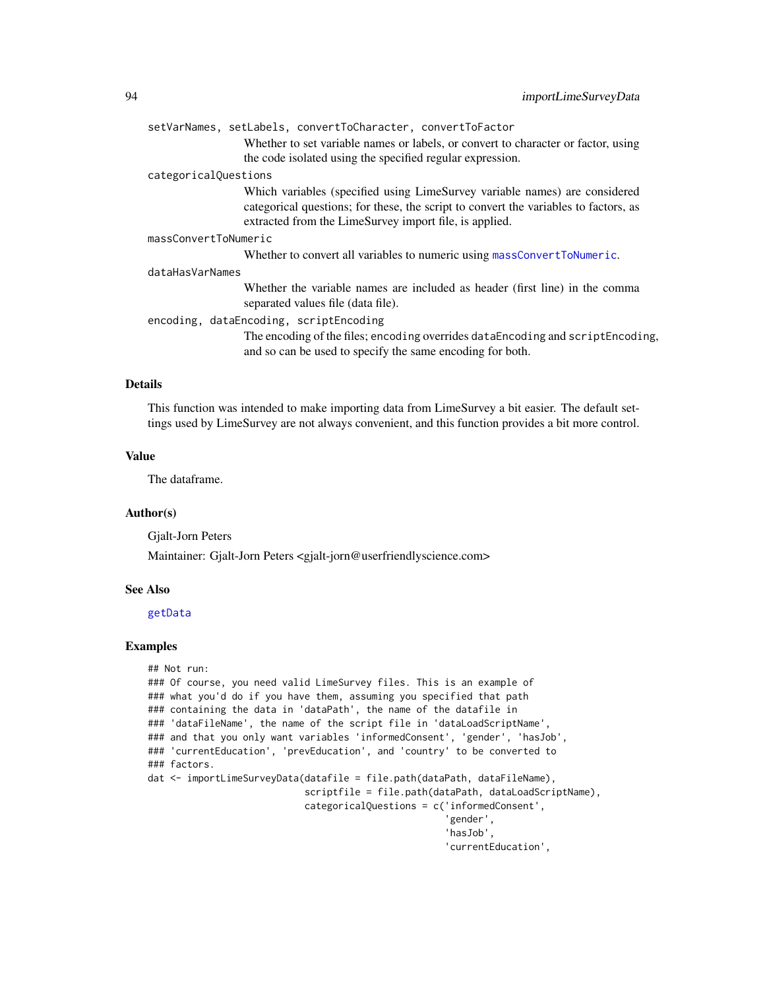|                      | setVarNames, setLabels, convertToCharacter, convertToFactor                                                                                    |
|----------------------|------------------------------------------------------------------------------------------------------------------------------------------------|
|                      | Whether to set variable names or labels, or convert to character or factor, using                                                              |
|                      | the code isolated using the specified regular expression.                                                                                      |
| categoricalQuestions |                                                                                                                                                |
|                      | Which variables (specified using LimeSurvey variable names) are considered                                                                     |
|                      | categorical questions; for these, the script to convert the variables to factors, as<br>extracted from the LimeSurvey import file, is applied. |
| massConvertToNumeric |                                                                                                                                                |
|                      | Whether to convert all variables to numeric using massConvertToNumeric.                                                                        |
| dataHasVarNames      |                                                                                                                                                |
|                      | Whether the variable names are included as header (first line) in the comma<br>separated values file (data file).                              |
|                      | encoding, dataEncoding, scriptEncoding                                                                                                         |
|                      | The encoding of the files; encoding overrides dataEncoding and scriptEncoding,<br>and so can be used to specify the same encoding for both.    |

## Details

This function was intended to make importing data from LimeSurvey a bit easier. The default settings used by LimeSurvey are not always convenient, and this function provides a bit more control.

#### Value

The dataframe.

#### Author(s)

Gjalt-Jorn Peters

Maintainer: Gjalt-Jorn Peters <gjalt-jorn@userfriendlyscience.com>

# See Also

#### [getData](#page-16-0)

#### Examples

```
## Not run:
### Of course, you need valid LimeSurvey files. This is an example of
### what you'd do if you have them, assuming you specified that path
### containing the data in 'dataPath', the name of the datafile in
### 'dataFileName', the name of the script file in 'dataLoadScriptName',
### and that you only want variables 'informedConsent', 'gender', 'hasJob',
### 'currentEducation', 'prevEducation', and 'country' to be converted to
### factors.
dat <- importLimeSurveyData(datafile = file.path(dataPath, dataFileName),
                            scriptfile = file.path(dataPath, dataLoadScriptName),
                            categoricalQuestions = c('informedConsent',
                                                      'gender',
                                                      'hasJob',
                                                     'currentEducation',
```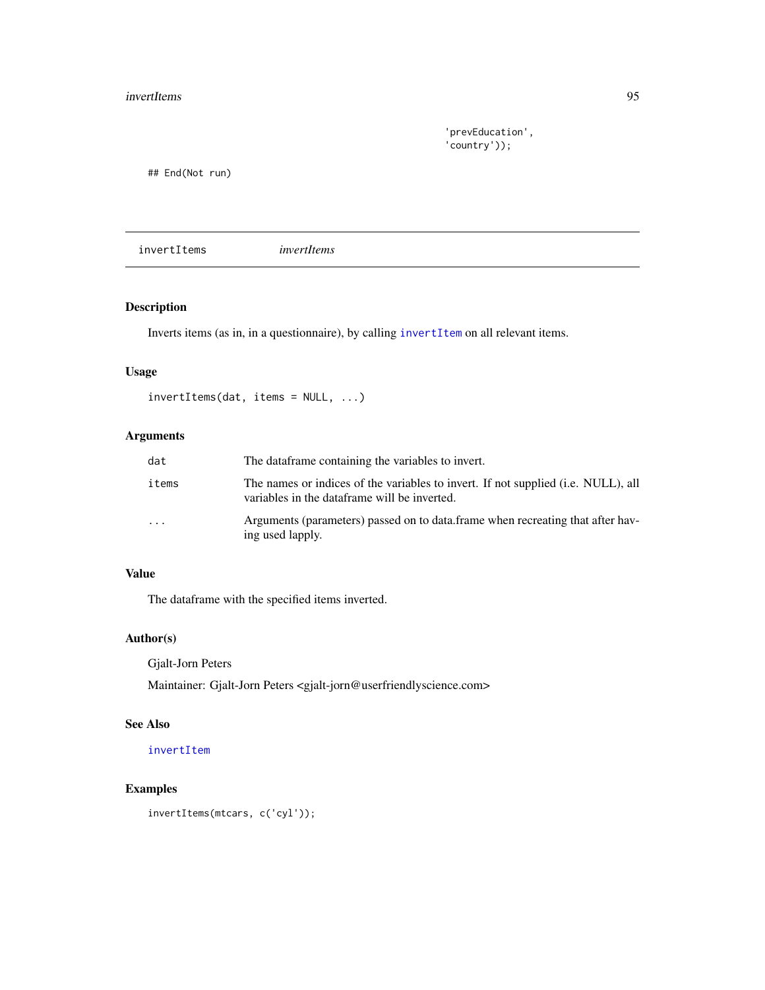'prevEducation', 'country'));

## End(Not run)

invertItems *invertItems*

# Description

Inverts items (as in, in a questionnaire), by calling [invertItem](#page-183-0) on all relevant items.

## Usage

```
invertItems(dat, items = NULL, ...)
```
# Arguments

| dat     | The dataframe containing the variables to invert.                                                                                 |
|---------|-----------------------------------------------------------------------------------------------------------------------------------|
| items   | The names or indices of the variables to invert. If not supplied (i.e. NULL), all<br>variables in the dataframe will be inverted. |
| $\cdot$ | Arguments (parameters) passed on to data. frame when recreating that after hav-<br>ing used lapply.                               |

## Value

The dataframe with the specified items inverted.

# Author(s)

Gjalt-Jorn Peters

Maintainer: Gjalt-Jorn Peters <gjalt-jorn@userfriendlyscience.com>

# See Also

[invertItem](#page-183-0)

# Examples

invertItems(mtcars, c('cyl'));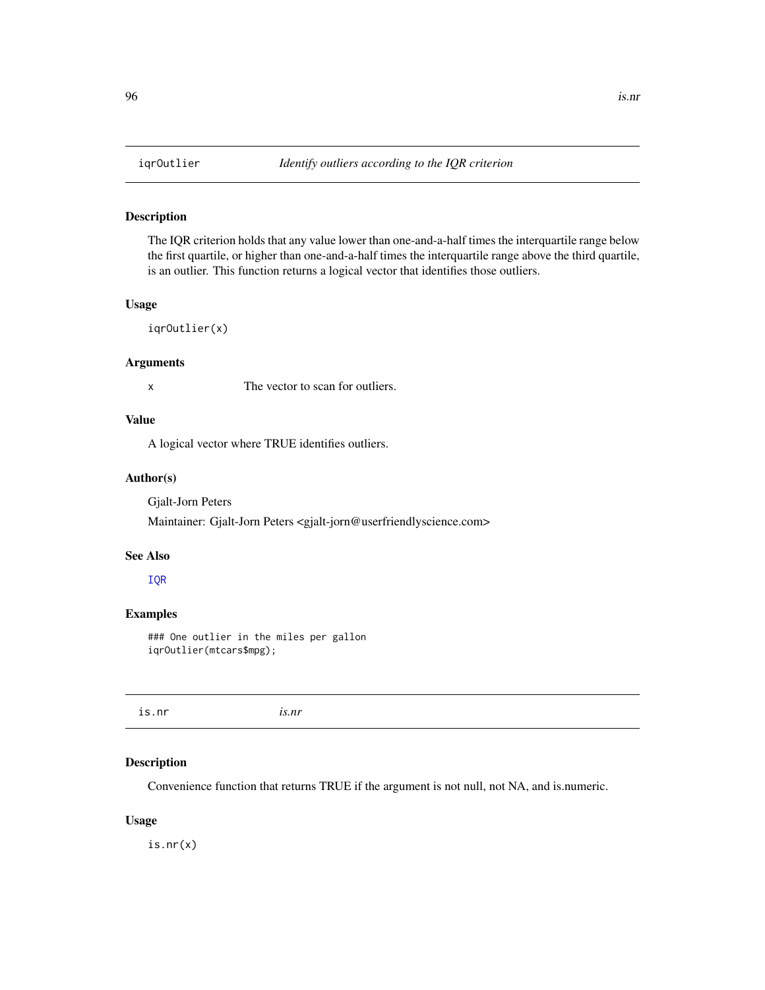## Description

The IQR criterion holds that any value lower than one-and-a-half times the interquartile range below the first quartile, or higher than one-and-a-half times the interquartile range above the third quartile, is an outlier. This function returns a logical vector that identifies those outliers.

## Usage

iqrOutlier(x)

#### Arguments

x The vector to scan for outliers.

# Value

A logical vector where TRUE identifies outliers.

#### Author(s)

Gjalt-Jorn Peters

Maintainer: Gjalt-Jorn Peters <gjalt-jorn@userfriendlyscience.com>

## See Also

#### [IQR](#page-0-0)

# Examples

### One outlier in the miles per gallon iqrOutlier(mtcars\$mpg);

is.nr *is.nr*

# Description

Convenience function that returns TRUE if the argument is not null, not NA, and is.numeric.

## Usage

is.nr(x)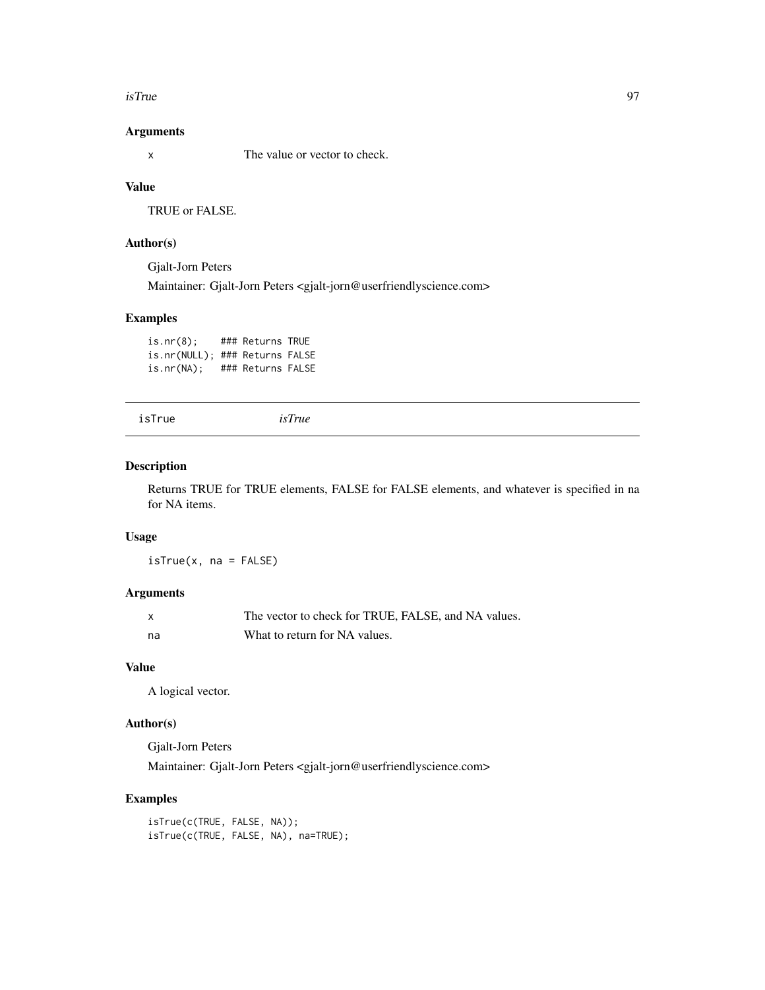#### isTrue 97

## Arguments

x The value or vector to check.

# Value

TRUE or FALSE.

## Author(s)

Gjalt-Jorn Peters Maintainer: Gjalt-Jorn Peters <gjalt-jorn@userfriendlyscience.com>

# Examples

is.nr(8); ### Returns TRUE is.nr(NULL); ### Returns FALSE is.nr(NA); ### Returns FALSE

```
isTrue isTrue
```
#### Description

Returns TRUE for TRUE elements, FALSE for FALSE elements, and whatever is specified in na for NA items.

# Usage

 $isTrue(x, na = FALSE)$ 

## Arguments

| $\mathsf{x}$ | The vector to check for TRUE, FALSE, and NA values. |
|--------------|-----------------------------------------------------|
| na           | What to return for NA values.                       |

# Value

A logical vector.

# Author(s)

Gjalt-Jorn Peters Maintainer: Gjalt-Jorn Peters <gjalt-jorn@userfriendlyscience.com>

# Examples

isTrue(c(TRUE, FALSE, NA)); isTrue(c(TRUE, FALSE, NA), na=TRUE);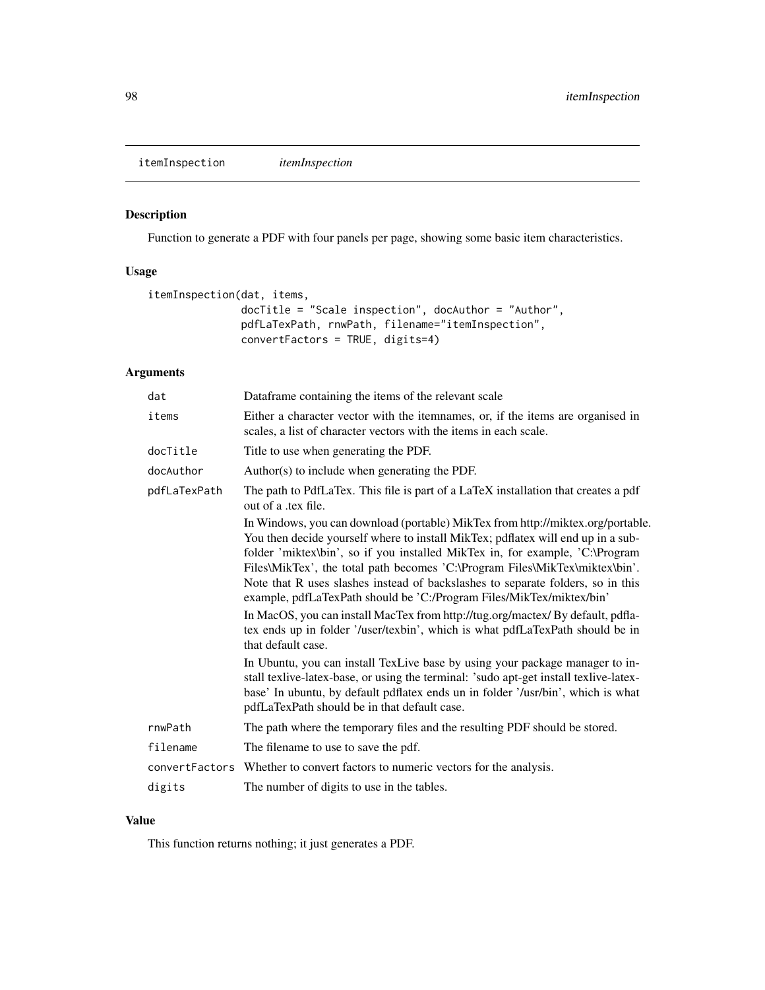itemInspection *itemInspection*

# Description

Function to generate a PDF with four panels per page, showing some basic item characteristics.

# Usage

```
itemInspection(dat, items,
              docTitle = "Scale inspection", docAuthor = "Author",
              pdfLaTexPath, rnwPath, filename="itemInspection",
              convertFactors = TRUE, digits=4)
```
# Arguments

| dat          | Dataframe containing the items of the relevant scale                                                                                                                                                                                                                                                                                                                                                                                                                                                                                                                             |
|--------------|----------------------------------------------------------------------------------------------------------------------------------------------------------------------------------------------------------------------------------------------------------------------------------------------------------------------------------------------------------------------------------------------------------------------------------------------------------------------------------------------------------------------------------------------------------------------------------|
| items        | Either a character vector with the itemnames, or, if the items are organised in<br>scales, a list of character vectors with the items in each scale.                                                                                                                                                                                                                                                                                                                                                                                                                             |
| docTitle     | Title to use when generating the PDF.                                                                                                                                                                                                                                                                                                                                                                                                                                                                                                                                            |
| docAuthor    | Author(s) to include when generating the PDF.                                                                                                                                                                                                                                                                                                                                                                                                                                                                                                                                    |
| pdfLaTexPath | The path to PdfLaTex. This file is part of a LaTeX installation that creates a pdf<br>out of a tex file.                                                                                                                                                                                                                                                                                                                                                                                                                                                                         |
|              | In Windows, you can download (portable) MikTex from http://miktex.org/portable.<br>You then decide yourself where to install MikTex; pdflatex will end up in a sub-<br>folder 'miktex\bin', so if you installed MikTex in, for example, 'C:\Program<br>Files\MikTex', the total path becomes 'C:\Program Files\MikTex\miktex\bin'.<br>Note that R uses slashes instead of backslashes to separate folders, so in this<br>example, pdfLaTexPath should be 'C:/Program Files/MikTex/miktex/bin'<br>In MacOS, you can install MacTex from http://tug.org/mactex/ By default, pdfla- |
|              | tex ends up in folder '/user/texbin', which is what pdfLaTexPath should be in<br>that default case.                                                                                                                                                                                                                                                                                                                                                                                                                                                                              |
|              | In Ubuntu, you can install TexLive base by using your package manager to in-<br>stall texlive-latex-base, or using the terminal: 'sudo apt-get install texlive-latex-<br>base' In ubuntu, by default pdflatex ends un in folder '/usr/bin', which is what<br>pdfLaTexPath should be in that default case.                                                                                                                                                                                                                                                                        |
| rnwPath      | The path where the temporary files and the resulting PDF should be stored.                                                                                                                                                                                                                                                                                                                                                                                                                                                                                                       |
| filename     | The filename to use to save the pdf.                                                                                                                                                                                                                                                                                                                                                                                                                                                                                                                                             |
|              | convertFactors Whether to convert factors to numeric vectors for the analysis.                                                                                                                                                                                                                                                                                                                                                                                                                                                                                                   |
| digits       | The number of digits to use in the tables.                                                                                                                                                                                                                                                                                                                                                                                                                                                                                                                                       |
|              |                                                                                                                                                                                                                                                                                                                                                                                                                                                                                                                                                                                  |

# Value

This function returns nothing; it just generates a PDF.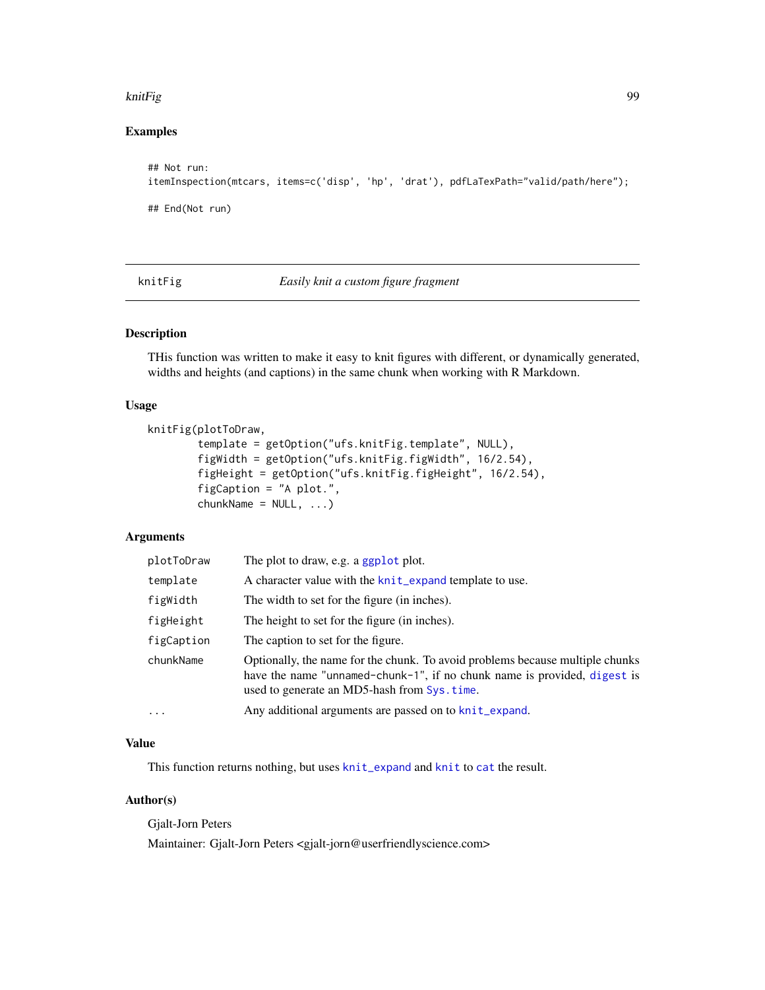#### knitFig 99

# Examples

```
## Not run:
itemInspection(mtcars, items=c('disp', 'hp', 'drat'), pdfLaTexPath="valid/path/here");
## End(Not run)
```
knitFig *Easily knit a custom figure fragment*

## Description

THis function was written to make it easy to knit figures with different, or dynamically generated, widths and heights (and captions) in the same chunk when working with R Markdown.

## Usage

```
knitFig(plotToDraw,
       template = getOption("ufs.knitFig.template", NULL),
       figWidth = getOption("ufs.knitFig.figWidth", 16/2.54),
       figHeight = getOption("ufs.knitFig.figHeight", 16/2.54),
       figCaption = "A plot.",
       chunkName = NULL, ...)
```
# Arguments

| plotToDraw | The plot to draw, e.g. a ggplot plot.                                                                                                                                                                     |
|------------|-----------------------------------------------------------------------------------------------------------------------------------------------------------------------------------------------------------|
| template   | A character value with the knit_expand template to use.                                                                                                                                                   |
| figWidth   | The width to set for the figure (in inches).                                                                                                                                                              |
| figHeight  | The height to set for the figure (in inches).                                                                                                                                                             |
| figCaption | The caption to set for the figure.                                                                                                                                                                        |
| chunkName  | Optionally, the name for the chunk. To avoid problems because multiple chunks<br>have the name "unnamed-chunk-1", if no chunk name is provided, digest is<br>used to generate an MD5-hash from Sys. time. |
| $\cdots$   | Any additional arguments are passed on to knit_expand.                                                                                                                                                    |

# Value

This function returns nothing, but uses [knit\\_expand](#page-0-0) and [knit](#page-0-0) to [cat](#page-0-0) the result.

# Author(s)

Gjalt-Jorn Peters Maintainer: Gjalt-Jorn Peters <gjalt-jorn@userfriendlyscience.com>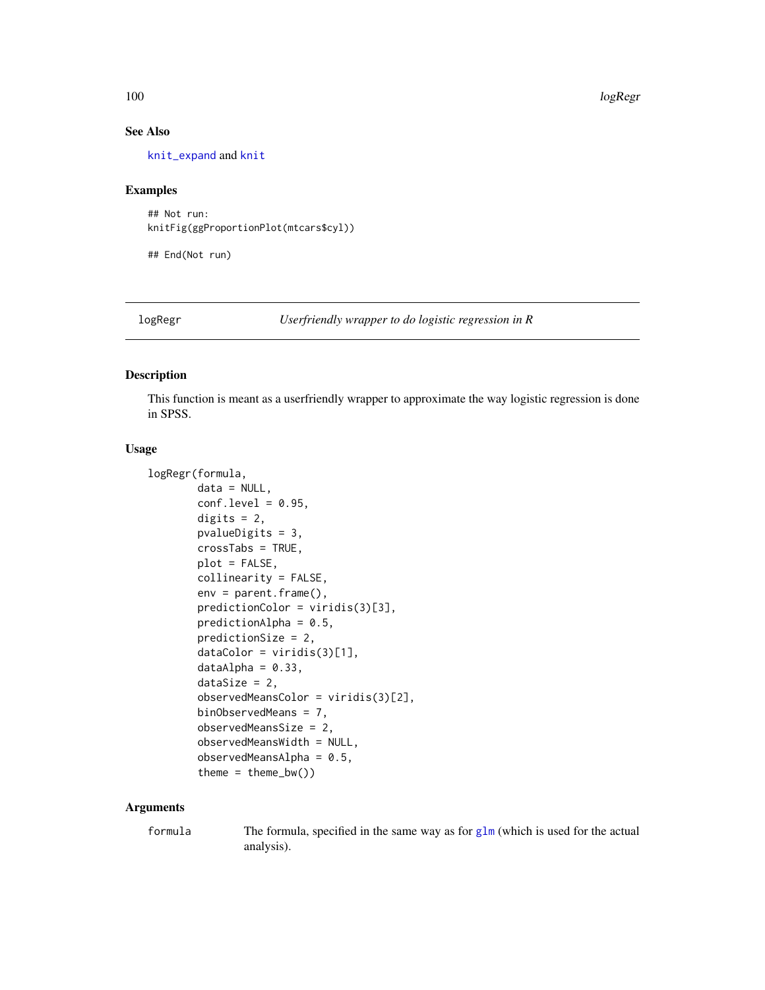## See Also

[knit\\_expand](#page-0-0) and [knit](#page-0-0)

#### Examples

## Not run: knitFig(ggProportionPlot(mtcars\$cyl))

## End(Not run)

logRegr *Userfriendly wrapper to do logistic regression in R*

#### Description

This function is meant as a userfriendly wrapper to approximate the way logistic regression is done in SPSS.

## Usage

```
logRegr(formula,
       data = NULL,
       conf. level = 0.95,digits = 2,
       pvalueDigits = 3,
       crossTabs = TRUE,
       plot = FALSE,
       collinearity = FALSE,
       env = parent.frame(),
       predictionColor = viridis(3)[3],
       predictionAlpha = 0.5,
       predictionSize = 2,
       dataColor = viridis(3)[1],dataAlpha = 0.33,dataSize = 2,
       observedMeansColor = viridis(3)[2],
       binObservedMeans = 7,
       observedMeansSize = 2,
       observedMeansWidth = NULL,
       observedMeansAlpha = 0.5,theme = thene_bw()
```
## Arguments

formula The formula, specified in the same way as for [glm](#page-0-0) (which is used for the actual analysis).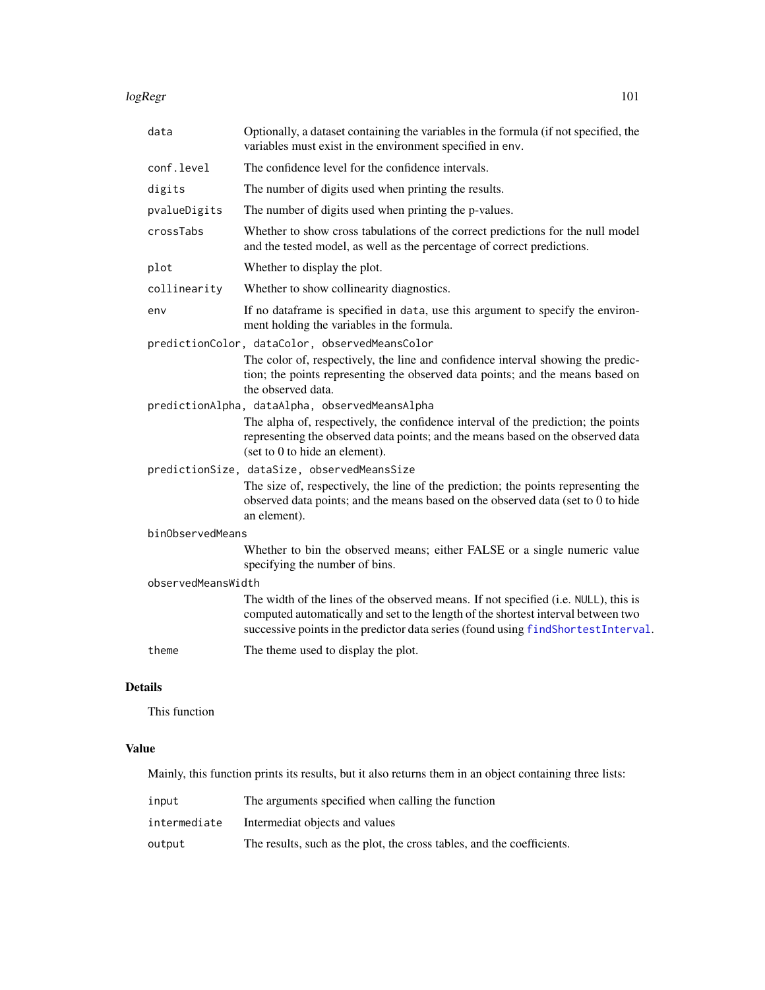#### logRegr the contract of the contract of the contract of the contract of the contract of the contract of the contract of the contract of the contract of the contract of the contract of the contract of the contract of the co

| data               | Optionally, a dataset containing the variables in the formula (if not specified, the<br>variables must exist in the environment specified in env.                                                                                                             |
|--------------------|---------------------------------------------------------------------------------------------------------------------------------------------------------------------------------------------------------------------------------------------------------------|
| conf.level         | The confidence level for the confidence intervals.                                                                                                                                                                                                            |
| digits             | The number of digits used when printing the results.                                                                                                                                                                                                          |
| pvalueDigits       | The number of digits used when printing the p-values.                                                                                                                                                                                                         |
| crossTabs          | Whether to show cross tabulations of the correct predictions for the null model<br>and the tested model, as well as the percentage of correct predictions.                                                                                                    |
| plot               | Whether to display the plot.                                                                                                                                                                                                                                  |
| collinearity       | Whether to show collinearity diagnostics.                                                                                                                                                                                                                     |
| env                | If no dataframe is specified in data, use this argument to specify the environ-<br>ment holding the variables in the formula.                                                                                                                                 |
|                    | predictionColor, dataColor, observedMeansColor<br>The color of, respectively, the line and confidence interval showing the predic-<br>tion; the points representing the observed data points; and the means based on<br>the observed data.                    |
|                    | predictionAlpha, dataAlpha, observedMeansAlpha<br>The alpha of, respectively, the confidence interval of the prediction; the points<br>representing the observed data points; and the means based on the observed data<br>(set to 0 to hide an element).      |
|                    | predictionSize, dataSize, observedMeansSize<br>The size of, respectively, the line of the prediction; the points representing the<br>observed data points; and the means based on the observed data (set to 0 to hide<br>an element).                         |
| binObservedMeans   |                                                                                                                                                                                                                                                               |
|                    | Whether to bin the observed means; either FALSE or a single numeric value<br>specifying the number of bins.                                                                                                                                                   |
| observedMeansWidth |                                                                                                                                                                                                                                                               |
|                    | The width of the lines of the observed means. If not specified (i.e. NULL), this is<br>computed automatically and set to the length of the shortest interval between two<br>successive points in the predictor data series (found using findShortestInterval. |
| theme              | The theme used to display the plot.                                                                                                                                                                                                                           |

# Details

This function

# Value

Mainly, this function prints its results, but it also returns them in an object containing three lists:

| input        | The arguments specified when calling the function                      |
|--------------|------------------------------------------------------------------------|
| intermediate | Intermediat objects and values                                         |
| output       | The results, such as the plot, the cross tables, and the coefficients. |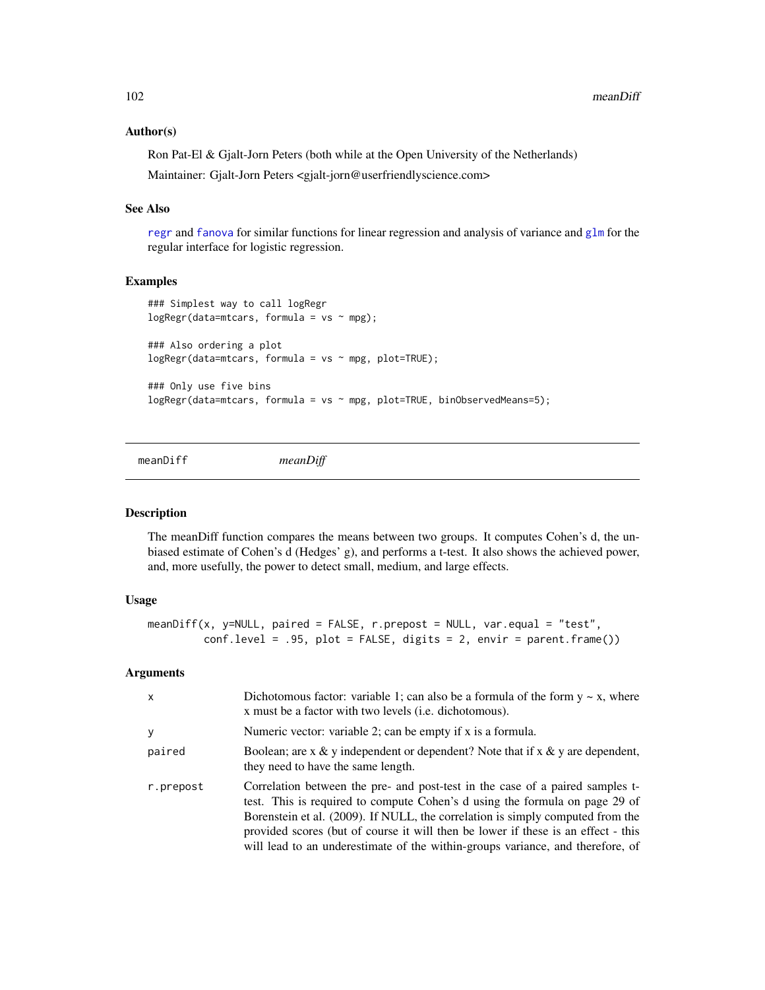102 meanDiff

#### Author(s)

Ron Pat-El & Gjalt-Jorn Peters (both while at the Open University of the Netherlands) Maintainer: Gjalt-Jorn Peters <gjalt-jorn@userfriendlyscience.com>

## See Also

[regr](#page-142-0) and [fanova](#page-64-0) for similar functions for linear regression and analysis of variance and [glm](#page-0-0) for the regular interface for logistic regression.

## Examples

```
### Simplest way to call logRegr
logRegr(data=mtcars, formula = vs ~ mpg);### Also ordering a plot
logRegr(data=mtcars, formula = vs ~ mpg, plot=TRUE);### Only use five bins
logRegr(data=mtcars, formula = vs ~ mpg, plot=TRUE, binObservedMeans=5);
```
meanDiff *meanDiff*

#### Description

The meanDiff function compares the means between two groups. It computes Cohen's d, the unbiased estimate of Cohen's d (Hedges' g), and performs a t-test. It also shows the achieved power, and, more usefully, the power to detect small, medium, and large effects.

## Usage

```
meanDiff(x, y=NULL, paired = FALSE, r.prepost = NULL, var.equal = "test",
        conf. level = .95, plot = FALSE, digits = 2, envir = parent-frame())
```

| $\times$  | Dichotomous factor: variable 1; can also be a formula of the form $y \sim x$ , where<br>x must be a factor with two levels (i.e. dichotomous).                                                                                                                                                                                                                                                                        |
|-----------|-----------------------------------------------------------------------------------------------------------------------------------------------------------------------------------------------------------------------------------------------------------------------------------------------------------------------------------------------------------------------------------------------------------------------|
| y         | Numeric vector: variable 2; can be empty if x is a formula.                                                                                                                                                                                                                                                                                                                                                           |
| paired    | Boolean; are x & y independent or dependent? Note that if x & y are dependent,<br>they need to have the same length.                                                                                                                                                                                                                                                                                                  |
| r.prepost | Correlation between the pre- and post-test in the case of a paired samples t-<br>test. This is required to compute Cohen's d using the formula on page 29 of<br>Borenstein et al. (2009). If NULL, the correlation is simply computed from the<br>provided scores (but of course it will then be lower if these is an effect - this<br>will lead to an underestimate of the within-groups variance, and therefore, of |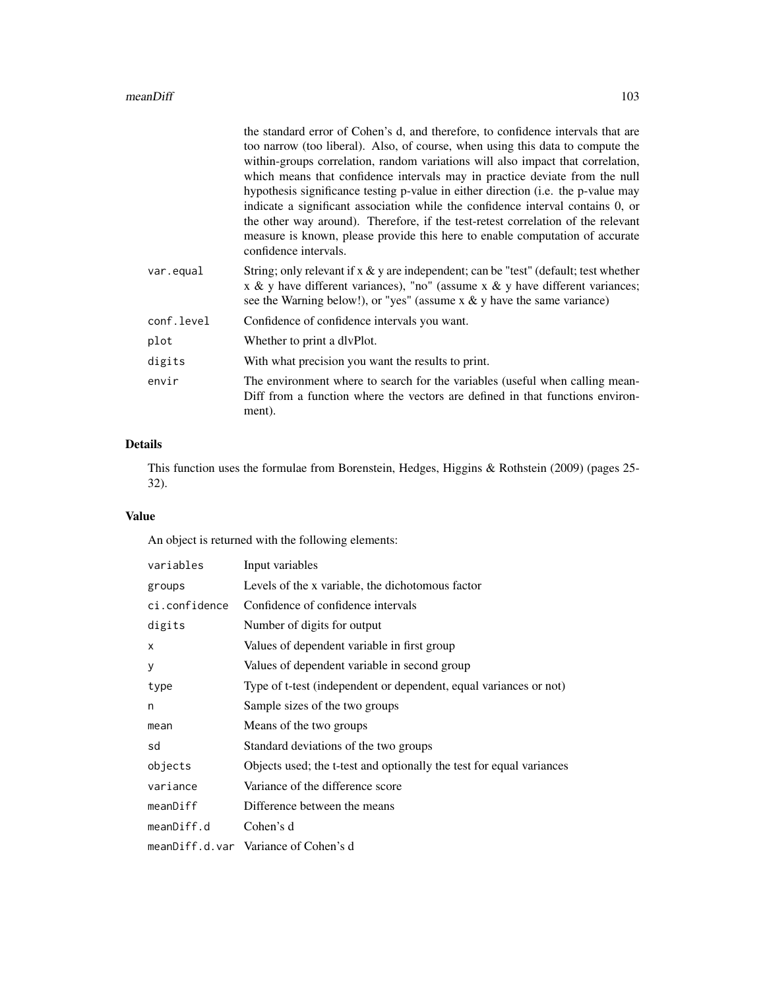|            | the standard error of Cohen's d, and therefore, to confidence intervals that are<br>too narrow (too liberal). Also, of course, when using this data to compute the<br>within-groups correlation, random variations will also impact that correlation,<br>which means that confidence intervals may in practice deviate from the null<br>hypothesis significance testing p-value in either direction (i.e. the p-value may<br>indicate a significant association while the confidence interval contains 0, or<br>the other way around). Therefore, if the test-retest correlation of the relevant<br>measure is known, please provide this here to enable computation of accurate<br>confidence intervals. |
|------------|-----------------------------------------------------------------------------------------------------------------------------------------------------------------------------------------------------------------------------------------------------------------------------------------------------------------------------------------------------------------------------------------------------------------------------------------------------------------------------------------------------------------------------------------------------------------------------------------------------------------------------------------------------------------------------------------------------------|
| var.equal  | String; only relevant if $x \& y$ are independent; can be "test" (default; test whether<br>x & y have different variances), "no" (assume x & y have different variances;<br>see the Warning below!), or "yes" (assume $x \& y$ have the same variance)                                                                                                                                                                                                                                                                                                                                                                                                                                                    |
| conf.level | Confidence of confidence intervals you want.                                                                                                                                                                                                                                                                                                                                                                                                                                                                                                                                                                                                                                                              |
| plot       | Whether to print a divPlot.                                                                                                                                                                                                                                                                                                                                                                                                                                                                                                                                                                                                                                                                               |
| digits     | With what precision you want the results to print.                                                                                                                                                                                                                                                                                                                                                                                                                                                                                                                                                                                                                                                        |
| envir      | The environment where to search for the variables (useful when calling mean-<br>Diff from a function where the vectors are defined in that functions environ-<br>ment).                                                                                                                                                                                                                                                                                                                                                                                                                                                                                                                                   |

# Details

This function uses the formulae from Borenstein, Hedges, Higgins & Rothstein (2009) (pages 25- 32).

# Value

An object is returned with the following elements:

| variables     | Input variables                                                      |
|---------------|----------------------------------------------------------------------|
| groups        | Levels of the x variable, the dichotomous factor                     |
| ci.confidence | Confidence of confidence intervals                                   |
| digits        | Number of digits for output                                          |
| X             | Values of dependent variable in first group                          |
| У             | Values of dependent variable in second group                         |
| type          | Type of t-test (independent or dependent, equal variances or not)    |
| n             | Sample sizes of the two groups                                       |
| mean          | Means of the two groups                                              |
| sd            | Standard deviations of the two groups                                |
| objects       | Objects used; the t-test and optionally the test for equal variances |
| variance      | Variance of the difference score                                     |
| meanDiff      | Difference between the means                                         |
| meanDiff.d    | Cohen's d                                                            |
|               | meanDiff.d.var Variance of Cohen's d                                 |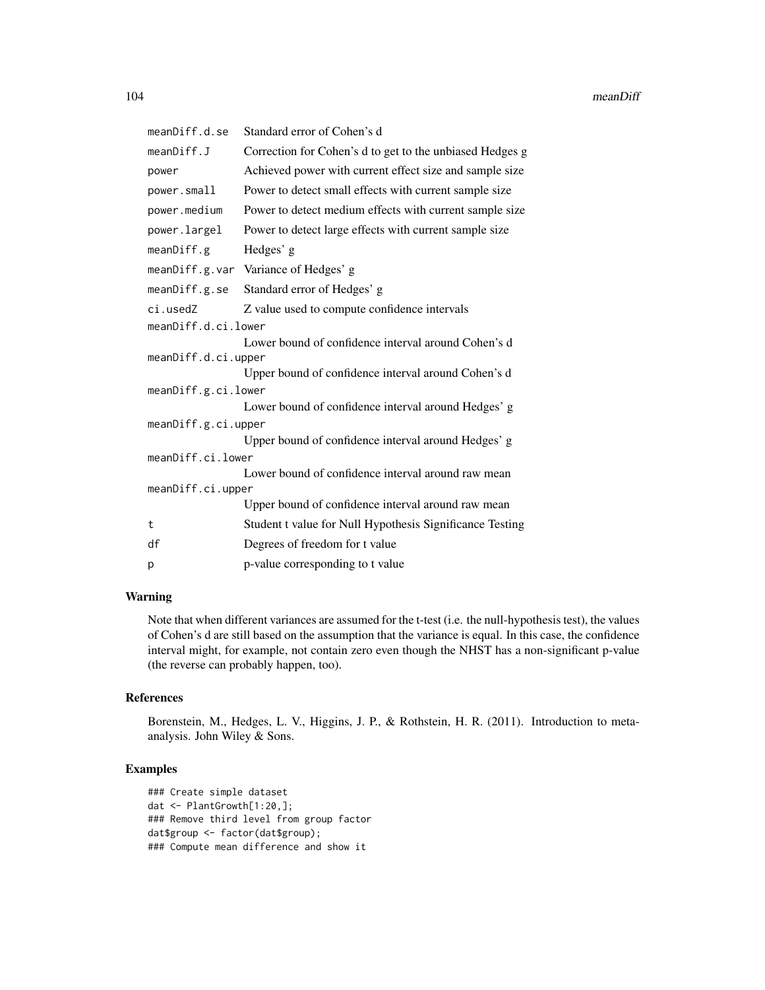| meanDiff.d.se       | Standard error of Cohen's d                              |
|---------------------|----------------------------------------------------------|
| meanDiff.J          | Correction for Cohen's d to get to the unbiased Hedges g |
| power               | Achieved power with current effect size and sample size  |
| power.small         | Power to detect small effects with current sample size   |
| power.medium        | Power to detect medium effects with current sample size  |
| power.largel        | Power to detect large effects with current sample size   |
| meanDiff.g          | Hedges' g                                                |
|                     | meanDiff.g.var Variance of Hedges' g                     |
| meanDiff.g.se       | Standard error of Hedges' g                              |
| ci.usedZ            | Z value used to compute confidence intervals             |
| meanDiff.d.ci.lower |                                                          |
| meanDiff.d.ci.upper | Lower bound of confidence interval around Cohen's d      |
|                     | Upper bound of confidence interval around Cohen's d      |
| meanDiff.g.ci.lower |                                                          |
|                     | Lower bound of confidence interval around Hedges' g      |
| meanDiff.g.ci.upper |                                                          |
|                     | Upper bound of confidence interval around Hedges' g      |
| meanDiff.ci.lower   |                                                          |
|                     | Lower bound of confidence interval around raw mean       |
| meanDiff.ci.upper   |                                                          |
|                     | Upper bound of confidence interval around raw mean       |
| t                   | Student t value for Null Hypothesis Significance Testing |
| df                  | Degrees of freedom for t value                           |
| p                   | p-value corresponding to t value                         |

## Warning

Note that when different variances are assumed for the t-test (i.e. the null-hypothesis test), the values of Cohen's d are still based on the assumption that the variance is equal. In this case, the confidence interval might, for example, not contain zero even though the NHST has a non-significant p-value (the reverse can probably happen, too).

## References

Borenstein, M., Hedges, L. V., Higgins, J. P., & Rothstein, H. R. (2011). Introduction to metaanalysis. John Wiley & Sons.

# Examples

```
### Create simple dataset
dat <- PlantGrowth[1:20,];
### Remove third level from group factor
dat$group <- factor(dat$group);
### Compute mean difference and show it
```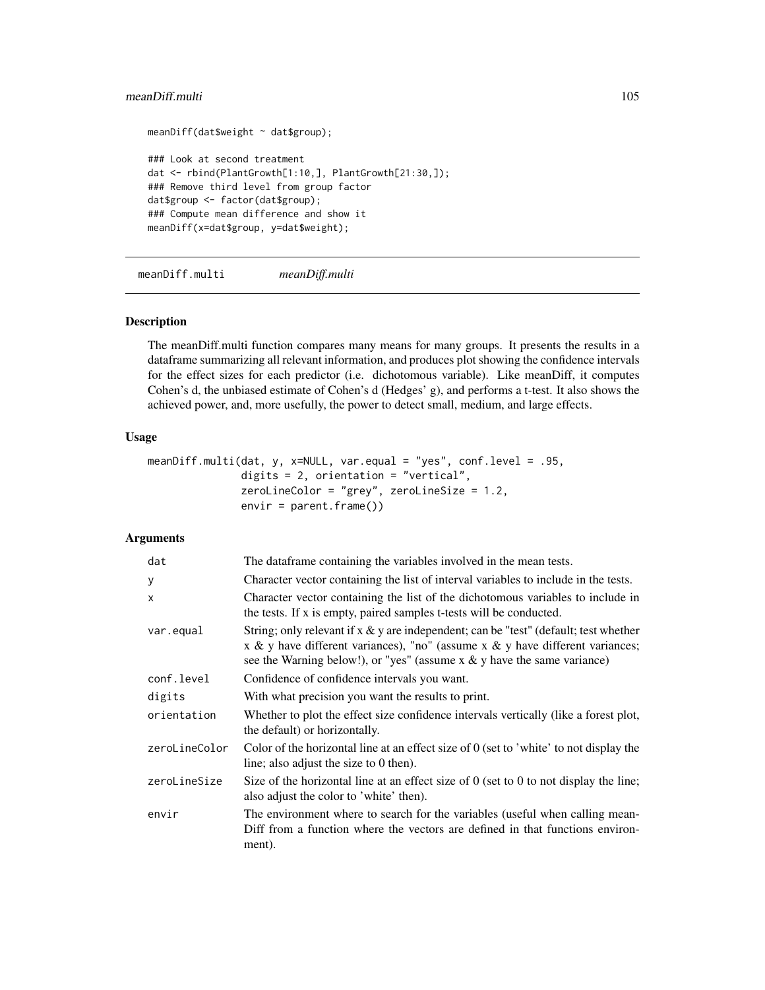## meanDiff.multi 105

```
meanDiff(dat$weight ~ dat$group);
### Look at second treatment
dat <- rbind(PlantGrowth[1:10,], PlantGrowth[21:30,]);
### Remove third level from group factor
dat$group <- factor(dat$group);
### Compute mean difference and show it
meanDiff(x=dat$group, y=dat$weight);
```
meanDiff.multi *meanDiff.multi*

#### Description

The meanDiff.multi function compares many means for many groups. It presents the results in a dataframe summarizing all relevant information, and produces plot showing the confidence intervals for the effect sizes for each predictor (i.e. dichotomous variable). Like meanDiff, it computes Cohen's d, the unbiased estimate of Cohen's d (Hedges' g), and performs a t-test. It also shows the achieved power, and, more usefully, the power to detect small, medium, and large effects.

#### Usage

```
meanDiff.multi(dat, y, x=NULL, var.equal = "yes", conf.level = .95,
              digits = 2, orientation = "vertical",
              zeroLineColor = "grey", zeroLineSize = 1.2,
               envir = parent.frame())
```

| dat           | The dataframe containing the variables involved in the mean tests.                                                                                                                                                                                     |
|---------------|--------------------------------------------------------------------------------------------------------------------------------------------------------------------------------------------------------------------------------------------------------|
| У             | Character vector containing the list of interval variables to include in the tests.                                                                                                                                                                    |
| $\mathsf{x}$  | Character vector containing the list of the dichotomous variables to include in<br>the tests. If x is empty, paired samples t-tests will be conducted.                                                                                                 |
| var.equal     | String; only relevant if $x \& y$ are independent; can be "test" (default; test whether<br>x & y have different variances), "no" (assume x & y have different variances;<br>see the Warning below!), or "yes" (assume $x \& y$ have the same variance) |
| conf.level    | Confidence of confidence intervals you want.                                                                                                                                                                                                           |
| digits        | With what precision you want the results to print.                                                                                                                                                                                                     |
| orientation   | Whether to plot the effect size confidence intervals vertically (like a forest plot,<br>the default) or horizontally.                                                                                                                                  |
| zeroLineColor | Color of the horizontal line at an effect size of $0$ (set to 'white' to not display the<br>line; also adjust the size to 0 then).                                                                                                                     |
| zeroLineSize  | Size of the horizontal line at an effect size of $\theta$ (set to $\theta$ to not display the line;<br>also adjust the color to 'white' then).                                                                                                         |
| envir         | The environment where to search for the variables (useful when calling mean-<br>Diff from a function where the vectors are defined in that functions environ-<br>ment).                                                                                |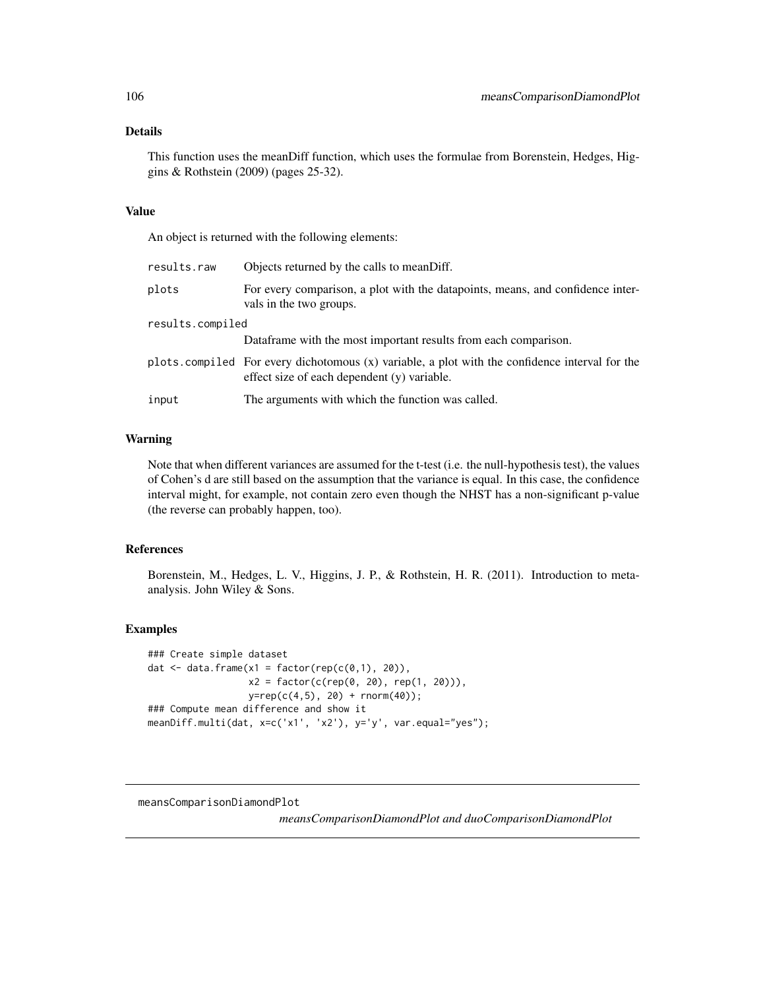## Details

This function uses the meanDiff function, which uses the formulae from Borenstein, Hedges, Higgins & Rothstein (2009) (pages 25-32).

#### Value

An object is returned with the following elements:

| results.raw      | Objects returned by the calls to meanDiff.                                                                                                    |
|------------------|-----------------------------------------------------------------------------------------------------------------------------------------------|
| plots            | For every comparison, a plot with the datapoints, means, and confidence inter-<br>vals in the two groups.                                     |
| results.compiled |                                                                                                                                               |
|                  | Dataframe with the most important results from each comparison.                                                                               |
|                  | plots compiled For every dichotomous (x) variable, a plot with the confidence interval for the<br>effect size of each dependent (y) variable. |
| input            | The arguments with which the function was called.                                                                                             |

## Warning

Note that when different variances are assumed for the t-test (i.e. the null-hypothesis test), the values of Cohen's d are still based on the assumption that the variance is equal. In this case, the confidence interval might, for example, not contain zero even though the NHST has a non-significant p-value (the reverse can probably happen, too).

## References

Borenstein, M., Hedges, L. V., Higgins, J. P., & Rothstein, H. R. (2011). Introduction to metaanalysis. John Wiley & Sons.

#### Examples

```
### Create simple dataset
dat \leq data.frame(x1 = factor(rep(c(0,1), 20)),
                  x2 = factor(c(rep(0, 20), rep(1, 20))),
                  y = rep(c(4,5), 20) + rnorm(40));### Compute mean difference and show it
meanDiff.multi(dat, x=c('x1', 'x2'), y='y', var.equal="yes");
```
meansComparisonDiamondPlot

*meansComparisonDiamondPlot and duoComparisonDiamondPlot*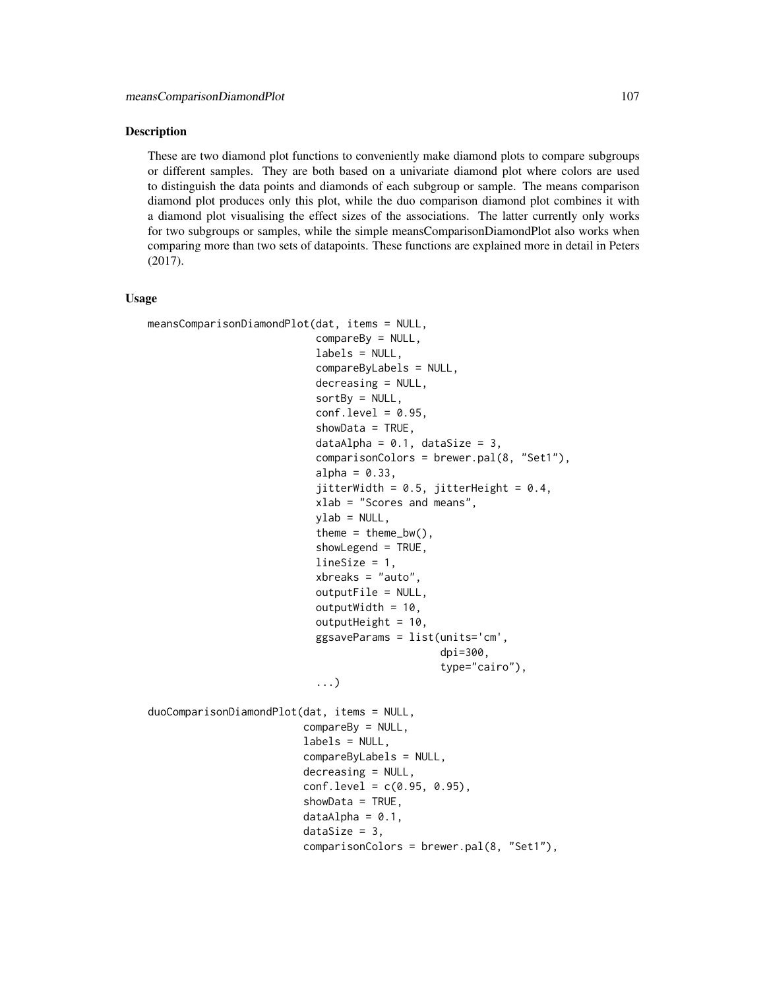#### Description

These are two diamond plot functions to conveniently make diamond plots to compare subgroups or different samples. They are both based on a univariate diamond plot where colors are used to distinguish the data points and diamonds of each subgroup or sample. The means comparison diamond plot produces only this plot, while the duo comparison diamond plot combines it with a diamond plot visualising the effect sizes of the associations. The latter currently only works for two subgroups or samples, while the simple meansComparisonDiamondPlot also works when comparing more than two sets of datapoints. These functions are explained more in detail in Peters (2017).

#### Usage

```
meansComparisonDiamondPlot(dat, items = NULL,
                           compareBy = NULL,
                           labels = NULL,
                           compareByLabels = NULL,
                           decreasing = NULL,
                           sortBy = NULL,conf. level = 0.95,
                            showData = TRUE,
                           dataAlpha = 0.1, dataSize = 3,
                           comparisonColors = brewer.pal(8, "Set1"),
                           alpha = 0.33,
                            jitterWidth = 0.5, jitterHeight = 0.4,
                           xlab = "Scores and means",
                           vlab = NULL,
                           theme = thene_bw(),
                            showLegend = TRUE,
                           lineSize = 1,
                           xbreaks = "auto",
                           outputFile = NULL,
                           outputWidth = 10,outputHeight = 10,
                           ggsaveParams = list(units='cm',
                                                dpi=300,
                                                type="cairo"),
                            ...)
duoComparisonDiamondPlot(dat, items = NULL,
                         compareBy = NULL,
                          labels = NULL,
                         compareByLabels = NULL,
                          decreasing = NULL,
                         conf. level = c(0.95, 0.95),
                          showData = TRUE,dataAlpha = 0.1,dataSize = 3,
                         comparisonColors = brewer.pal(8, "Set1"),
```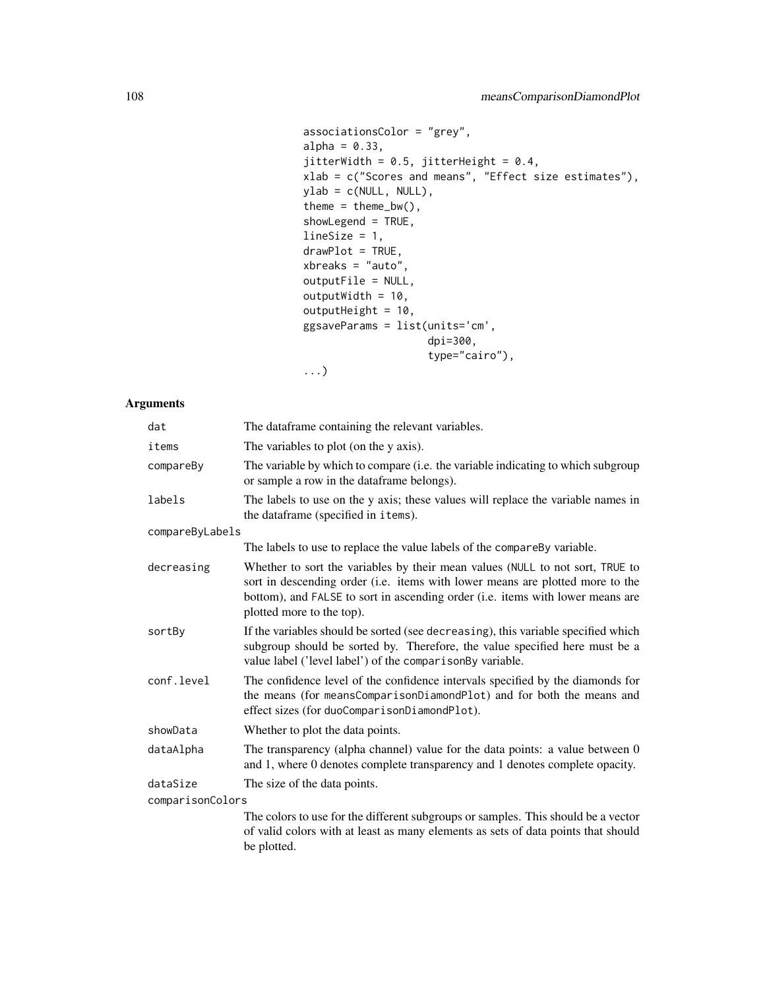```
associationsColor = "grey",
alpha = 0.33,
jitterWidth = 0.5, jitterHeight = 0.4,
xlab = c("Scores and means", "Effect size estimates"),
ylab = c(NULL, NULL),
theme = thene_bw(),
showLegend = TRUE,
lineSize = 1,
drawPlot = TRUE,
xbreaks = "auto",
outputFile = NULL,
outputWidth = 10,
outputHeight = 10,
ggsaveParams = list(units='cm',
                    dpi=300,
                    type="cairo"),
...)
```

| dat              | The dataframe containing the relevant variables.                                                                                                                                                                                                                              |
|------------------|-------------------------------------------------------------------------------------------------------------------------------------------------------------------------------------------------------------------------------------------------------------------------------|
| items            | The variables to plot (on the y axis).                                                                                                                                                                                                                                        |
| compareBy        | The variable by which to compare (i.e. the variable indicating to which subgroup<br>or sample a row in the data frame belongs).                                                                                                                                               |
| labels           | The labels to use on the y axis; these values will replace the variable names in<br>the dataframe (specified in items).                                                                                                                                                       |
| compareByLabels  |                                                                                                                                                                                                                                                                               |
|                  | The labels to use to replace the value labels of the compare By variable.                                                                                                                                                                                                     |
| decreasing       | Whether to sort the variables by their mean values (NULL to not sort, TRUE to<br>sort in descending order (i.e. items with lower means are plotted more to the<br>bottom), and FALSE to sort in ascending order (i.e. items with lower means are<br>plotted more to the top). |
| sortBy           | If the variables should be sorted (see decreasing), this variable specified which<br>subgroup should be sorted by. Therefore, the value specified here must be a<br>value label ('level label') of the comparisonBy variable.                                                 |
| conf.level       | The confidence level of the confidence intervals specified by the diamonds for<br>the means (for meansComparisonDiamondPlot) and for both the means and<br>effect sizes (for duoComparisonDiamondPlot).                                                                       |
| showData         | Whether to plot the data points.                                                                                                                                                                                                                                              |
| dataAlpha        | The transparency (alpha channel) value for the data points: a value between 0<br>and 1, where 0 denotes complete transparency and 1 denotes complete opacity.                                                                                                                 |
| dataSize         | The size of the data points.                                                                                                                                                                                                                                                  |
| comparisonColors |                                                                                                                                                                                                                                                                               |
|                  | The colors to use for the different subgroups or samples. This should be a vector<br>of valid colors with at least as many elements as sets of data points that should<br>be plotted.                                                                                         |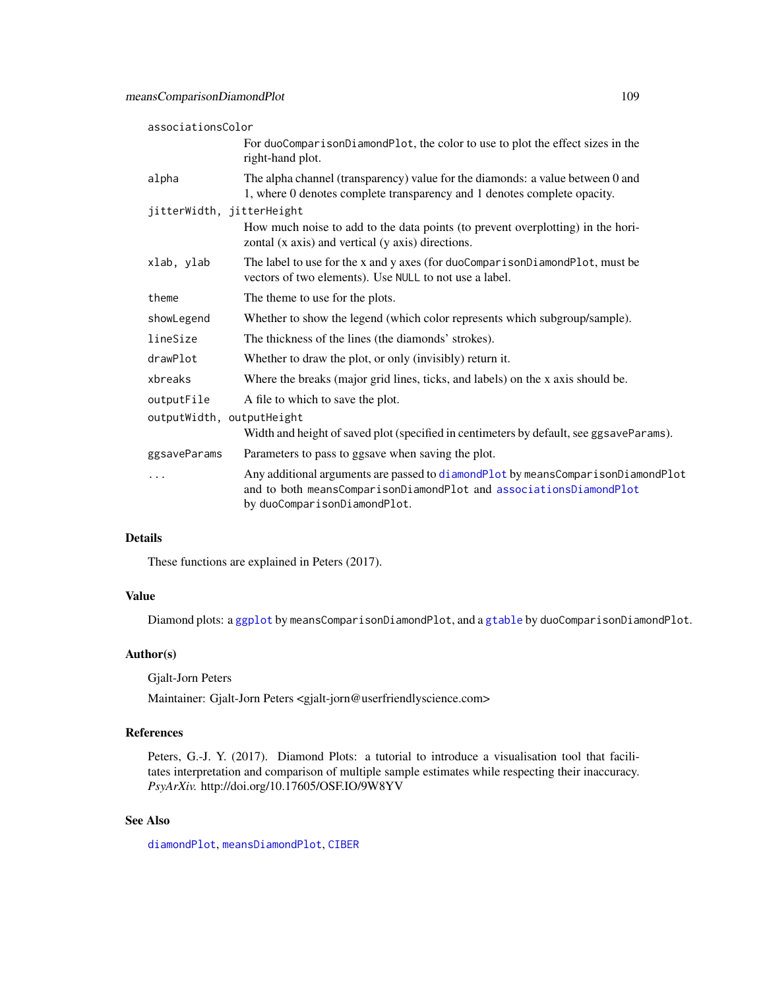| associationsColor         |                                                                                                                                                                                        |
|---------------------------|----------------------------------------------------------------------------------------------------------------------------------------------------------------------------------------|
|                           | For duoComparisonDiamondPlot, the color to use to plot the effect sizes in the<br>right-hand plot.                                                                                     |
| alpha                     | The alpha channel (transparency) value for the diamonds: a value between 0 and<br>1, where 0 denotes complete transparency and 1 denotes complete opacity.                             |
| jitterWidth, jitterHeight |                                                                                                                                                                                        |
|                           | How much noise to add to the data points (to prevent overplotting) in the hori-<br>zontal (x axis) and vertical (y axis) directions.                                                   |
| xlab, ylab                | The label to use for the x and y axes (for duoComparisonDiamondPlot, must be<br>vectors of two elements). Use NULL to not use a label.                                                 |
| theme                     | The theme to use for the plots.                                                                                                                                                        |
| showLegend                | Whether to show the legend (which color represents which subgroup/sample).                                                                                                             |
| lineSize                  | The thickness of the lines (the diamonds' strokes).                                                                                                                                    |
| drawPlot                  | Whether to draw the plot, or only (invisibly) return it.                                                                                                                               |
| xbreaks                   | Where the breaks (major grid lines, ticks, and labels) on the x axis should be.                                                                                                        |
| outputFile                | A file to which to save the plot.                                                                                                                                                      |
| outputWidth, outputHeight |                                                                                                                                                                                        |
|                           | Width and height of saved plot (specified in centimeters by default, see ggsaveParams).                                                                                                |
| ggsaveParams              | Parameters to pass to ggsave when saving the plot.                                                                                                                                     |
| $\cdots$                  | Any additional arguments are passed to diamondPlot by meansComparisonDiamondPlot<br>and to both meansComparisonDiamondPlot and associationsDiamondPlot<br>by duoComparisonDiamondPlot. |

# Details

These functions are explained in Peters (2017).

# Value

Diamond plots: a [ggplot](#page-0-0) by meansComparisonDiamondPlot, and a [gtable](#page-0-0) by duoComparisonDiamondPlot.

# Author(s)

Gjalt-Jorn Peters

Maintainer: Gjalt-Jorn Peters <gjalt-jorn@userfriendlyscience.com>

# References

Peters, G.-J. Y. (2017). Diamond Plots: a tutorial to introduce a visualisation tool that facilitates interpretation and comparison of multiple sample estimates while respecting their inaccuracy. *PsyArXiv.* http://doi.org/10.17605/OSF.IO/9W8YV

# See Also

[diamondPlot](#page-47-0), [meansDiamondPlot](#page-109-0), [CIBER](#page-23-0)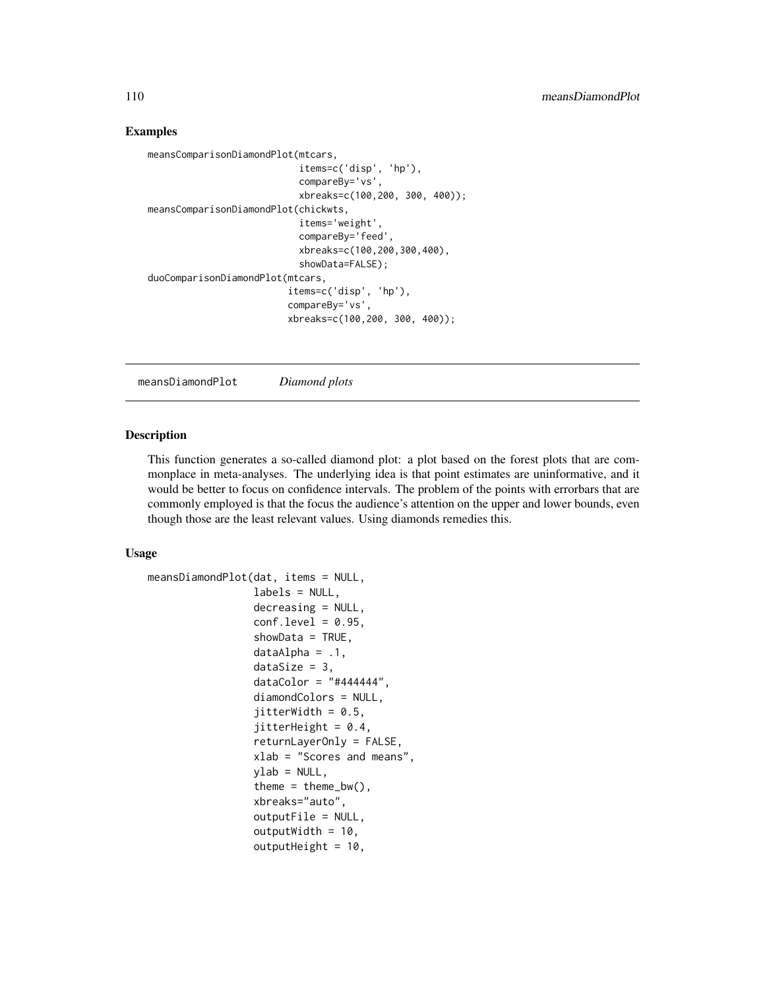## Examples

```
meansComparisonDiamondPlot(mtcars,
                           items=c('disp', 'hp'),
                           compareBy='vs',
                           xbreaks=c(100,200, 300, 400));
meansComparisonDiamondPlot(chickwts,
                           items='weight',
                           compareBy='feed',
                           xbreaks=c(100,200,300,400),
                           showData=FALSE);
duoComparisonDiamondPlot(mtcars,
                         items=c('disp', 'hp'),
                         compareBy='vs',
                         xbreaks=c(100,200, 300, 400));
```
<span id="page-109-0"></span>meansDiamondPlot *Diamond plots*

## Description

This function generates a so-called diamond plot: a plot based on the forest plots that are commonplace in meta-analyses. The underlying idea is that point estimates are uninformative, and it would be better to focus on confidence intervals. The problem of the points with errorbars that are commonly employed is that the focus the audience's attention on the upper and lower bounds, even though those are the least relevant values. Using diamonds remedies this.

#### Usage

```
meansDiamondPlot(dat, items = NULL,
                 labels = NULL,
                 decreasing = NULL,
                 conf. level = 0.95,
                 showData = TRUE,
                 dataAlpha = .1,dataSize = 3,
                 dataColor = "#444444",diamondColors = NULL,
                 jitterWidth = 0.5,jitterHeight = 0.4,
                 returnLayerOnly = FALSE,
                 xlab = "Scores and means",
                 vlab = NULL,theme = thene_bw(),
                 xbreaks="auto",
                 outputFile = NULL,
                 outputWidth = 10,outputHeight = 10,
```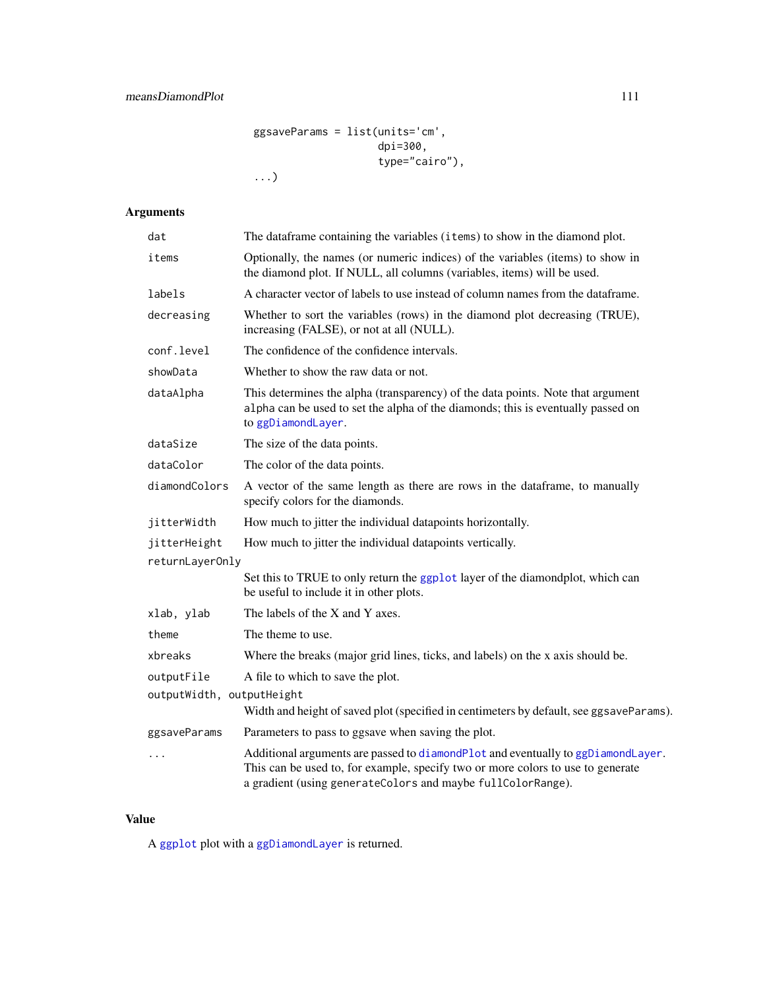ggsaveParams = list(units='cm', dpi=300, type="cairo"), ...)

# Arguments

| dat                                        | The dataframe containing the variables (items) to show in the diamond plot.                                                                                                                                                        |  |
|--------------------------------------------|------------------------------------------------------------------------------------------------------------------------------------------------------------------------------------------------------------------------------------|--|
| items                                      | Optionally, the names (or numeric indices) of the variables (items) to show in<br>the diamond plot. If NULL, all columns (variables, items) will be used.                                                                          |  |
| labels                                     | A character vector of labels to use instead of column names from the data frame.                                                                                                                                                   |  |
| decreasing                                 | Whether to sort the variables (rows) in the diamond plot decreasing (TRUE),<br>increasing (FALSE), or not at all (NULL).                                                                                                           |  |
| conf.level                                 | The confidence of the confidence intervals.                                                                                                                                                                                        |  |
| showData                                   | Whether to show the raw data or not.                                                                                                                                                                                               |  |
| dataAlpha                                  | This determines the alpha (transparency) of the data points. Note that argument<br>alpha can be used to set the alpha of the diamonds; this is eventually passed on<br>to ggDiamondLayer.                                          |  |
| dataSize                                   | The size of the data points.                                                                                                                                                                                                       |  |
| dataColor<br>The color of the data points. |                                                                                                                                                                                                                                    |  |
| diamondColors                              | A vector of the same length as there are rows in the dataframe, to manually<br>specify colors for the diamonds.                                                                                                                    |  |
| jitterWidth                                | How much to jitter the individual datapoints horizontally.                                                                                                                                                                         |  |
| jitterHeight                               | How much to jitter the individual datapoints vertically.                                                                                                                                                                           |  |
| returnLayerOnly                            |                                                                                                                                                                                                                                    |  |
|                                            | Set this to TRUE to only return the ggplot layer of the diamondplot, which can<br>be useful to include it in other plots.                                                                                                          |  |
| xlab, ylab                                 | The labels of the X and Y axes.                                                                                                                                                                                                    |  |
| theme                                      | The theme to use.                                                                                                                                                                                                                  |  |
| xbreaks                                    | Where the breaks (major grid lines, ticks, and labels) on the x axis should be.                                                                                                                                                    |  |
| outputFile                                 | A file to which to save the plot.                                                                                                                                                                                                  |  |
| outputWidth, outputHeight                  | Width and height of saved plot (specified in centimeters by default, see ggsaveParams).                                                                                                                                            |  |
| ggsaveParams                               | Parameters to pass to ggsave when saving the plot.                                                                                                                                                                                 |  |
| $\ddots$                                   | Additional arguments are passed to diamondPlot and eventually to ggDiamondLayer.<br>This can be used to, for example, specify two or more colors to use to generate<br>a gradient (using generateColors and maybe fullColorRange). |  |
|                                            |                                                                                                                                                                                                                                    |  |

# Value

A [ggplot](#page-0-0) plot with a [ggDiamondLayer](#page-78-0) is returned.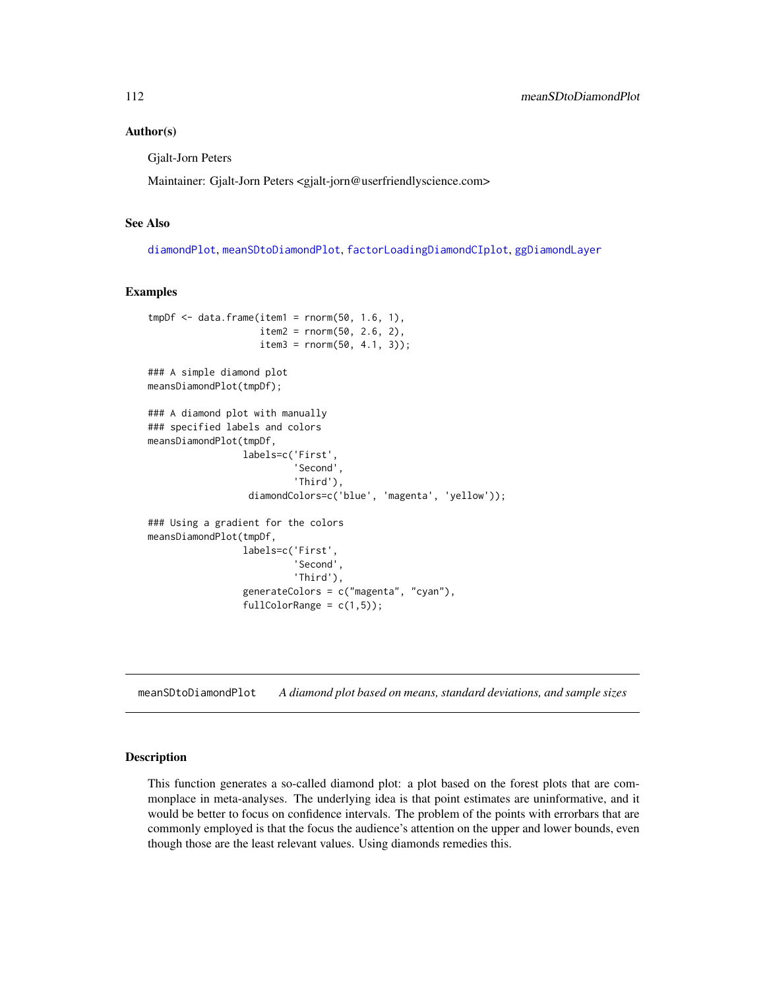## Author(s)

Gjalt-Jorn Peters

Maintainer: Gjalt-Jorn Peters <gjalt-jorn@userfriendlyscience.com>

## See Also

[diamondPlot](#page-47-0), [meanSDtoDiamondPlot](#page-111-0), [factorLoadingDiamondCIplot](#page-62-0), [ggDiamondLayer](#page-78-0)

#### Examples

```
tmpDf \leq -data-frame(item1 = rnorm(50, 1.6, 1),item2 = rnorm(50, 2.6, 2),item3 = rnorm(50, 4.1, 3));
### A simple diamond plot
meansDiamondPlot(tmpDf);
### A diamond plot with manually
### specified labels and colors
meansDiamondPlot(tmpDf,
                 labels=c('First',
                           'Second',
                           'Third'),
                  diamondColors=c('blue', 'magenta', 'yellow'));
### Using a gradient for the colors
meansDiamondPlot(tmpDf,
                 labels=c('First',
                          'Second',
                          'Third'),
                 generateColors = c("magenta", "cyan"),
                 fullColorRange = c(1,5));
```
<span id="page-111-0"></span>meanSDtoDiamondPlot *A diamond plot based on means, standard deviations, and sample sizes*

#### Description

This function generates a so-called diamond plot: a plot based on the forest plots that are commonplace in meta-analyses. The underlying idea is that point estimates are uninformative, and it would be better to focus on confidence intervals. The problem of the points with errorbars that are commonly employed is that the focus the audience's attention on the upper and lower bounds, even though those are the least relevant values. Using diamonds remedies this.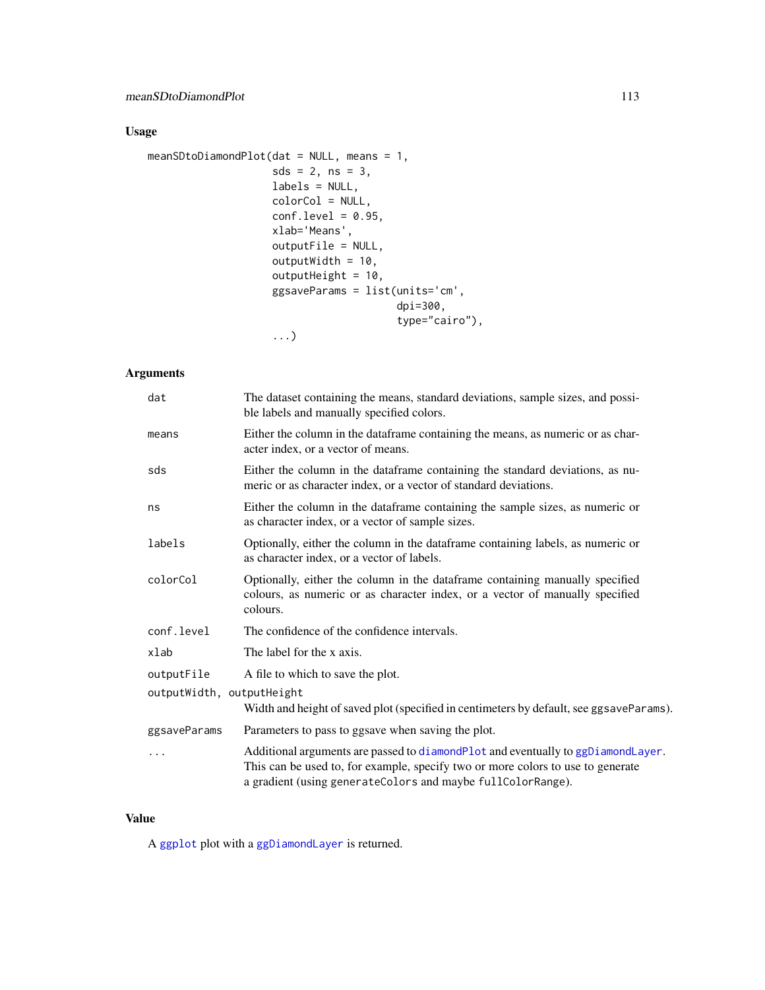# Usage

```
meanSDtoDiamondPlot(dat = NULL, means = 1,
                   sds = 2, ns = 3,labels = NULL,
                   colorCol = NULL,
                    conf. level = 0.95,xlab='Means',
                    outputFile = NULL,
                    outputWidth = 10,
                    outputHeight = 10,
                    ggsaveParams = list(units='cm',
                                        dpi=300,
                                        type="cairo"),
                    ...)
```
# Arguments

| dat                       | The dataset containing the means, standard deviations, sample sizes, and possi-<br>ble labels and manually specified colors.                                                                                                       |
|---------------------------|------------------------------------------------------------------------------------------------------------------------------------------------------------------------------------------------------------------------------------|
| means                     | Either the column in the dataframe containing the means, as numeric or as char-<br>acter index, or a vector of means.                                                                                                              |
| sds                       | Either the column in the dataframe containing the standard deviations, as nu-<br>meric or as character index, or a vector of standard deviations.                                                                                  |
| ns                        | Either the column in the dataframe containing the sample sizes, as numeric or<br>as character index, or a vector of sample sizes.                                                                                                  |
| labels                    | Optionally, either the column in the dataframe containing labels, as numeric or<br>as character index, or a vector of labels.                                                                                                      |
| colorCol                  | Optionally, either the column in the dataframe containing manually specified<br>colours, as numeric or as character index, or a vector of manually specified<br>colours.                                                           |
| conf.level                | The confidence of the confidence intervals.                                                                                                                                                                                        |
| xlab                      | The label for the x axis.                                                                                                                                                                                                          |
| outputFile                | A file to which to save the plot.                                                                                                                                                                                                  |
| outputWidth, outputHeight | Width and height of saved plot (specified in centimeters by default, see ggsaveParams).                                                                                                                                            |
| ggsaveParams              | Parameters to pass to ggsave when saving the plot.                                                                                                                                                                                 |
| .                         | Additional arguments are passed to diamondPlot and eventually to ggDiamondLayer.<br>This can be used to, for example, specify two or more colors to use to generate<br>a gradient (using generateColors and maybe fullColorRange). |
|                           |                                                                                                                                                                                                                                    |

# Value

A [ggplot](#page-0-0) plot with a [ggDiamondLayer](#page-78-0) is returned.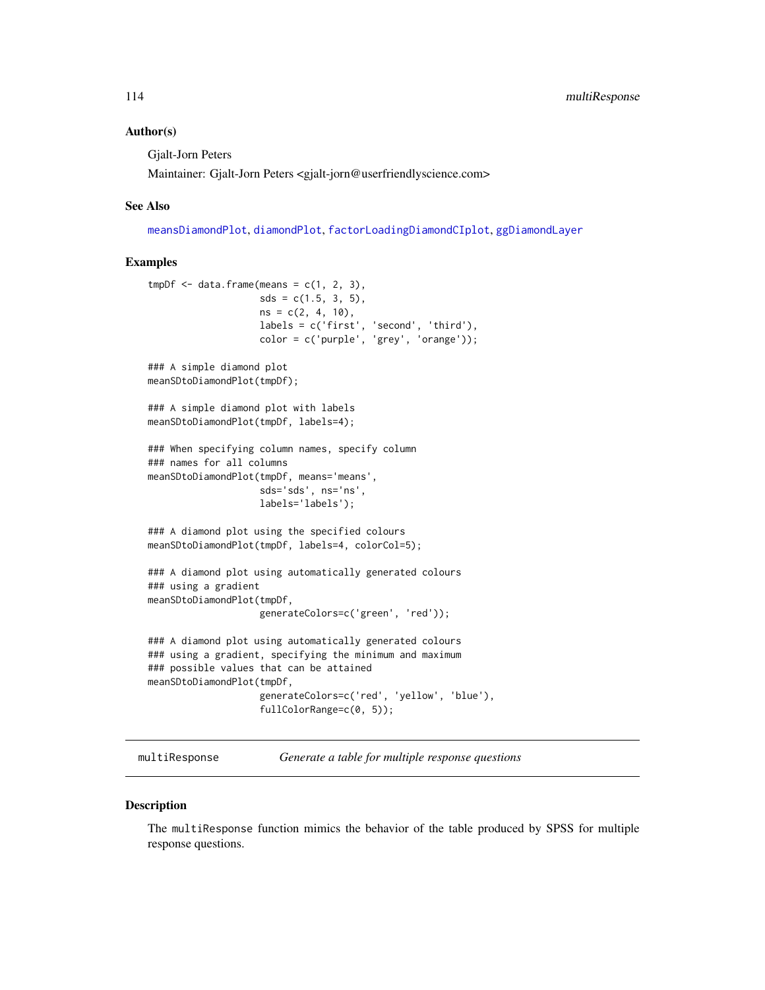## Author(s)

Gjalt-Jorn Peters

Maintainer: Gjalt-Jorn Peters <gjalt-jorn@userfriendlyscience.com>

#### See Also

[meansDiamondPlot](#page-109-0), [diamondPlot](#page-47-0), [factorLoadingDiamondCIplot](#page-62-0), [ggDiamondLayer](#page-78-0)

## Examples

```
tmpDf \leftarrow data frame(means = c(1, 2, 3),sds = c(1.5, 3, 5),ns = c(2, 4, 10),labels = c('first', 'second', 'third'),
                    color = c('purple', 'grey', 'orange'));
### A simple diamond plot
meanSDtoDiamondPlot(tmpDf);
### A simple diamond plot with labels
meanSDtoDiamondPlot(tmpDf, labels=4);
### When specifying column names, specify column
### names for all columns
meanSDtoDiamondPlot(tmpDf, means='means',
                    sds='sds', ns='ns',
                    labels='labels');
### A diamond plot using the specified colours
meanSDtoDiamondPlot(tmpDf, labels=4, colorCol=5);
### A diamond plot using automatically generated colours
### using a gradient
meanSDtoDiamondPlot(tmpDf,
                    generateColors=c('green', 'red'));
### A diamond plot using automatically generated colours
### using a gradient, specifying the minimum and maximum
### possible values that can be attained
meanSDtoDiamondPlot(tmpDf,
                    generateColors=c('red', 'yellow', 'blue'),
                    fullColorRange=c(0, 5));
```
multiResponse *Generate a table for multiple response questions*

## Description

The multiResponse function mimics the behavior of the table produced by SPSS for multiple response questions.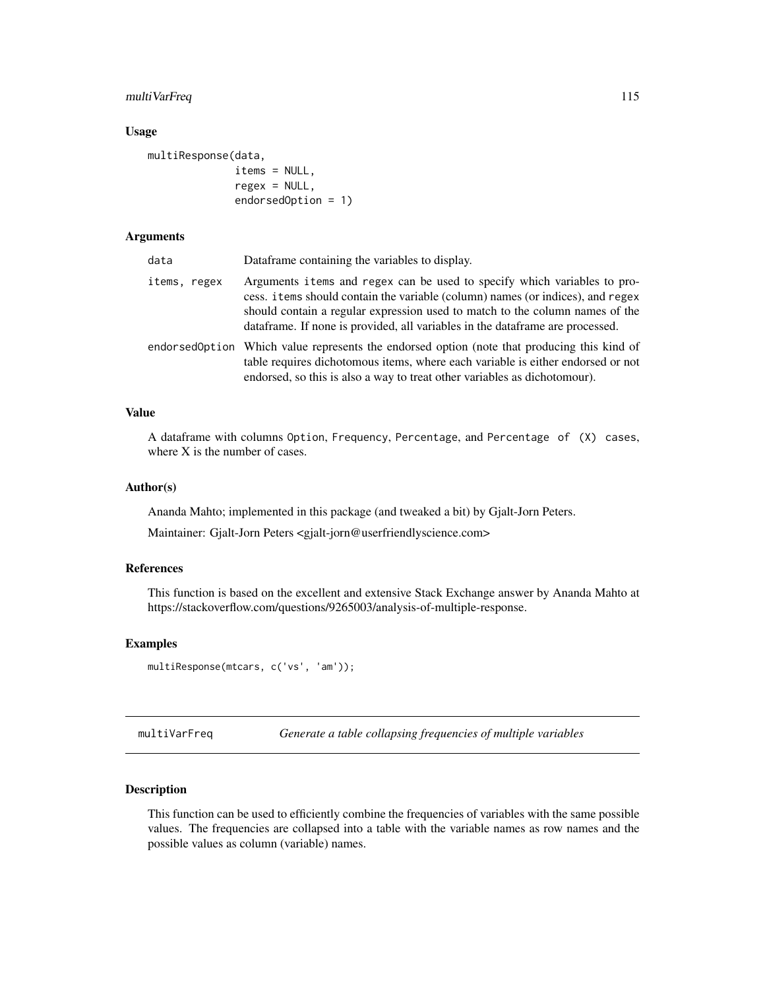# multiVarFreq 115

## Usage

```
multiResponse(data,
              items = NULL,
              regex = NULL,
              endorsedOption = 1)
```
# Arguments

| data         | Dataframe containing the variables to display.                                                                                                                                                                                                                                                                              |
|--------------|-----------------------------------------------------------------------------------------------------------------------------------------------------------------------------------------------------------------------------------------------------------------------------------------------------------------------------|
| items, regex | Arguments items and regex can be used to specify which variables to pro-<br>cess. items should contain the variable (column) names (or indices), and regex<br>should contain a regular expression used to match to the column names of the<br>dataframe. If none is provided, all variables in the dataframe are processed. |
|              | endorsedOption Which value represents the endorsed option (note that producing this kind of<br>table requires dichotomous items, where each variable is either endorsed or not<br>endorsed, so this is also a way to treat other variables as dichotomour).                                                                 |

## Value

A dataframe with columns Option, Frequency, Percentage, and Percentage of (X) cases, where X is the number of cases.

# Author(s)

Ananda Mahto; implemented in this package (and tweaked a bit) by Gjalt-Jorn Peters.

Maintainer: Gjalt-Jorn Peters <gjalt-jorn@userfriendlyscience.com>

# References

This function is based on the excellent and extensive Stack Exchange answer by Ananda Mahto at https://stackoverflow.com/questions/9265003/analysis-of-multiple-response.

## Examples

```
multiResponse(mtcars, c('vs', 'am'));
```
multiVarFreq *Generate a table collapsing frequencies of multiple variables*

## Description

This function can be used to efficiently combine the frequencies of variables with the same possible values. The frequencies are collapsed into a table with the variable names as row names and the possible values as column (variable) names.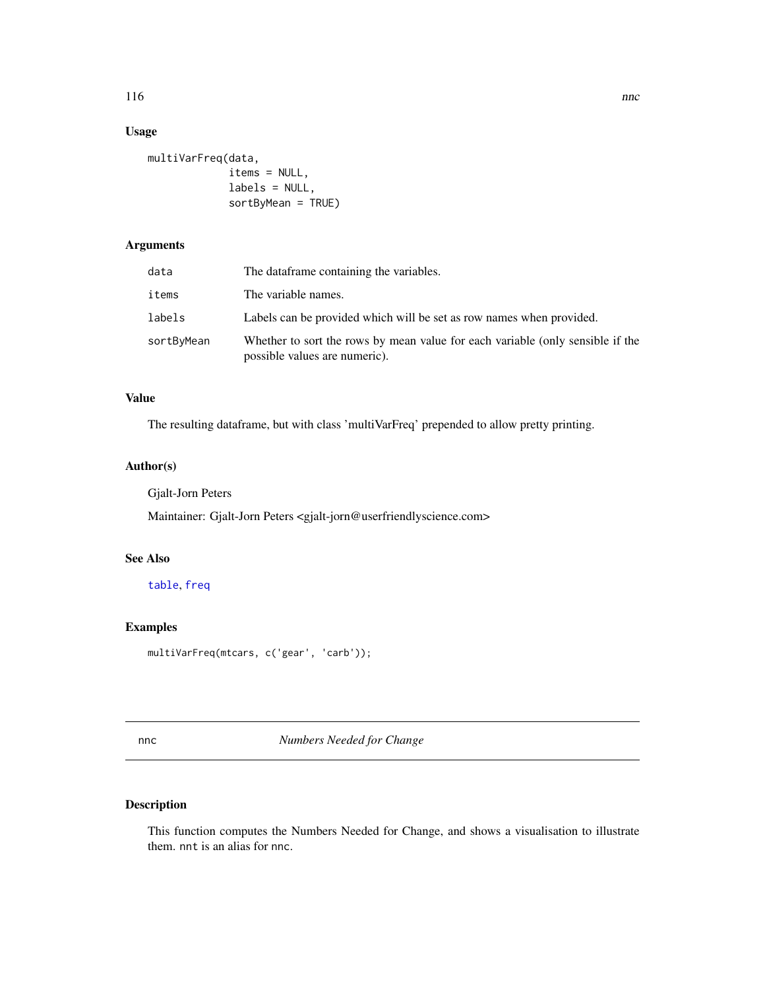# Usage

```
multiVarFreq(data,
             items = NULL,
             labels = NULL,
             sortByMean = TRUE)
```
# Arguments

| data       | The dataframe containing the variables.                                                                         |  |
|------------|-----------------------------------------------------------------------------------------------------------------|--|
| items      | The variable names.                                                                                             |  |
| labels     | Labels can be provided which will be set as row names when provided.                                            |  |
| sortByMean | Whether to sort the rows by mean value for each variable (only sensible if the<br>possible values are numeric). |  |

# Value

The resulting dataframe, but with class 'multiVarFreq' prepended to allow pretty printing.

# Author(s)

Gjalt-Jorn Peters

Maintainer: Gjalt-Jorn Peters <gjalt-jorn@userfriendlyscience.com>

# See Also

[table](#page-0-0), [freq](#page-67-0)

# Examples

multiVarFreq(mtcars, c('gear', 'carb'));

nnc *Numbers Needed for Change*

# Description

This function computes the Numbers Needed for Change, and shows a visualisation to illustrate them. nnt is an alias for nnc.

#### 116 nnc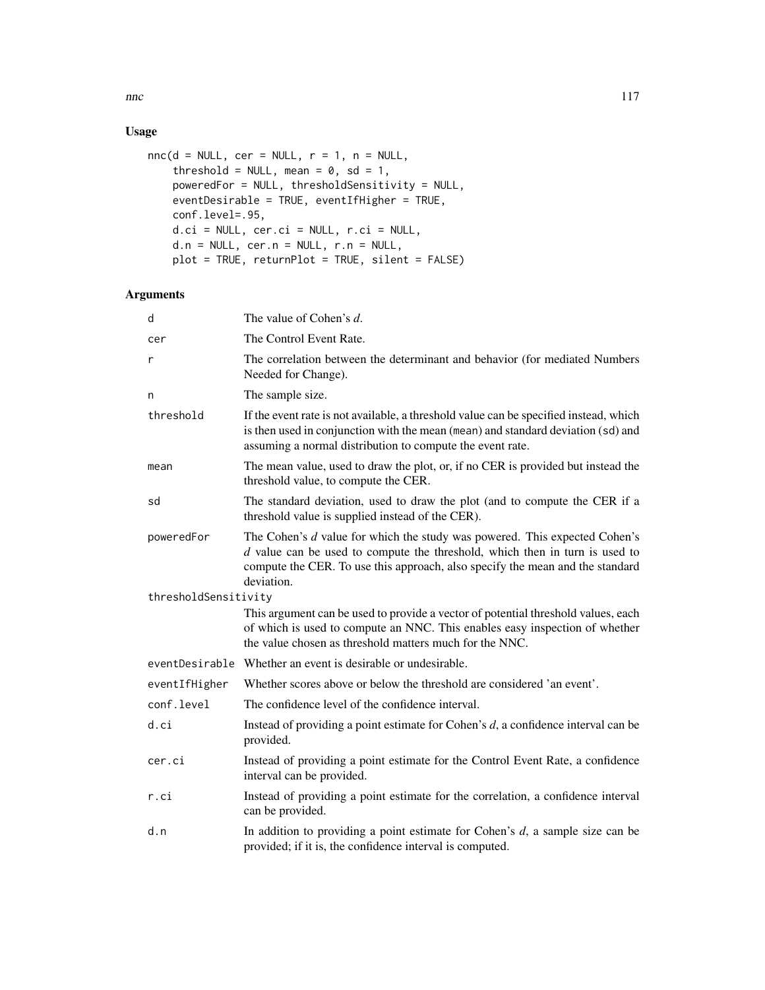# Usage

```
nnc(d = NULL, cer = NULL, r = 1, n = NULL,threshold = NULL, mean = 0, sd = 1,
   poweredFor = NULL, thresholdSensitivity = NULL,
   eventDesirable = TRUE, eventIfHigher = TRUE,
   conf.level=.95,
   d.ci = NULL, cer.ci = NULL, r.ci = NULL,
   d.n = NULL, cer.n = NULL, r.n = NULL,
   plot = TRUE, returnPlot = TRUE, silent = FALSE)
```
# Arguments

| d                    | The value of Cohen's d.                                                                                                                                                                                                                                    |  |
|----------------------|------------------------------------------------------------------------------------------------------------------------------------------------------------------------------------------------------------------------------------------------------------|--|
| cer                  | The Control Event Rate.                                                                                                                                                                                                                                    |  |
| r                    | The correlation between the determinant and behavior (for mediated Numbers<br>Needed for Change).                                                                                                                                                          |  |
| n                    | The sample size.                                                                                                                                                                                                                                           |  |
| threshold            | If the event rate is not available, a threshold value can be specified instead, which<br>is then used in conjunction with the mean (mean) and standard deviation (sd) and<br>assuming a normal distribution to compute the event rate.                     |  |
| mean                 | The mean value, used to draw the plot, or, if no CER is provided but instead the<br>threshold value, to compute the CER.                                                                                                                                   |  |
| sd                   | The standard deviation, used to draw the plot (and to compute the CER if a<br>threshold value is supplied instead of the CER).                                                                                                                             |  |
| poweredFor           | The Cohen's d value for which the study was powered. This expected Cohen's<br>$d$ value can be used to compute the threshold, which then in turn is used to<br>compute the CER. To use this approach, also specify the mean and the standard<br>deviation. |  |
| thresholdSensitivity |                                                                                                                                                                                                                                                            |  |
|                      | This argument can be used to provide a vector of potential threshold values, each<br>of which is used to compute an NNC. This enables easy inspection of whether<br>the value chosen as threshold matters much for the NNC.                                |  |
|                      | eventDesirable Whether an event is desirable or undesirable.                                                                                                                                                                                               |  |
| eventIfHigher        | Whether scores above or below the threshold are considered 'an event'.                                                                                                                                                                                     |  |
| conf.level           | The confidence level of the confidence interval.                                                                                                                                                                                                           |  |
| d.ci                 | Instead of providing a point estimate for Cohen's $d$ , a confidence interval can be<br>provided.                                                                                                                                                          |  |
| cer.ci               | Instead of providing a point estimate for the Control Event Rate, a confidence<br>interval can be provided.                                                                                                                                                |  |
| r.ci                 | Instead of providing a point estimate for the correlation, a confidence interval<br>can be provided.                                                                                                                                                       |  |
| d.n                  | In addition to providing a point estimate for Cohen's $d$ , a sample size can be<br>provided; if it is, the confidence interval is computed.                                                                                                               |  |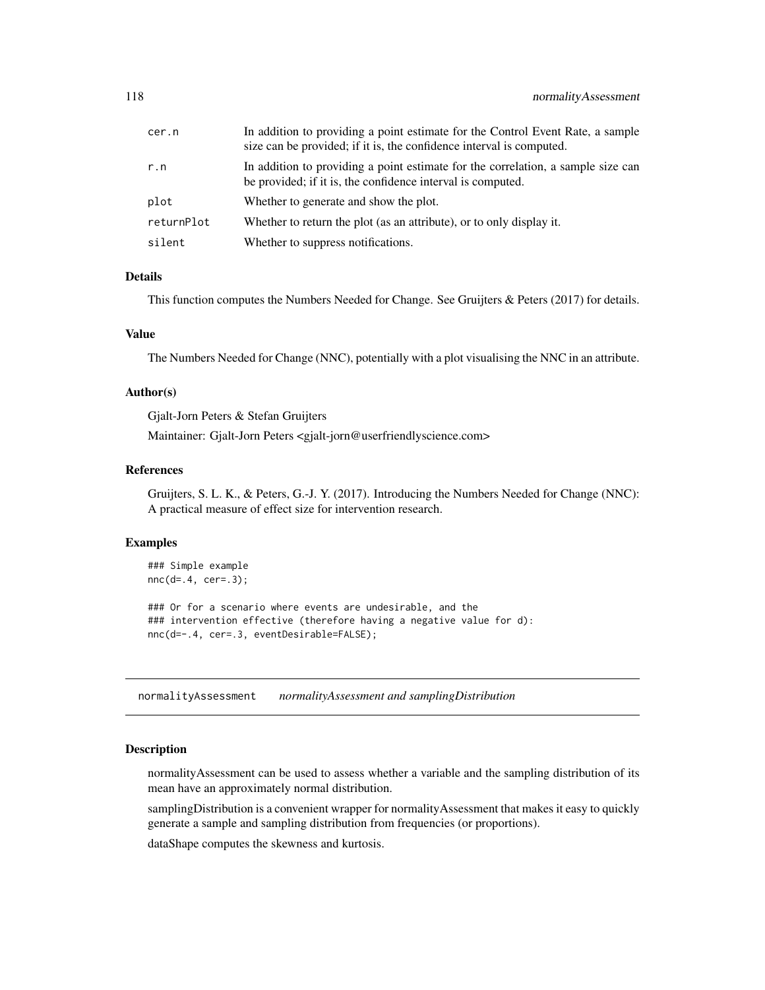| cer.n      | In addition to providing a point estimate for the Control Event Rate, a sample<br>size can be provided; if it is, the confidence interval is computed. |
|------------|--------------------------------------------------------------------------------------------------------------------------------------------------------|
| r.n        | In addition to providing a point estimate for the correlation, a sample size can<br>be provided; if it is, the confidence interval is computed.        |
| plot       | Whether to generate and show the plot.                                                                                                                 |
| returnPlot | Whether to return the plot (as an attribute), or to only display it.                                                                                   |
| silent     | Whether to suppress notifications.                                                                                                                     |

# Details

This function computes the Numbers Needed for Change. See Gruijters & Peters (2017) for details.

### Value

The Numbers Needed for Change (NNC), potentially with a plot visualising the NNC in an attribute.

#### Author(s)

Gjalt-Jorn Peters & Stefan Gruijters

Maintainer: Gjalt-Jorn Peters <gjalt-jorn@userfriendlyscience.com>

#### References

Gruijters, S. L. K., & Peters, G.-J. Y. (2017). Introducing the Numbers Needed for Change (NNC): A practical measure of effect size for intervention research.

## Examples

```
### Simple example
nnc(d=.4, cer=.3);### Or for a scenario where events are undesirable, and the
### intervention effective (therefore having a negative value for d):
nnc(d=-.4, cer=.3, eventDesirable=FALSE);
```
normalityAssessment *normalityAssessment and samplingDistribution*

# Description

normalityAssessment can be used to assess whether a variable and the sampling distribution of its mean have an approximately normal distribution.

samplingDistribution is a convenient wrapper for normalityAssessment that makes it easy to quickly generate a sample and sampling distribution from frequencies (or proportions).

dataShape computes the skewness and kurtosis.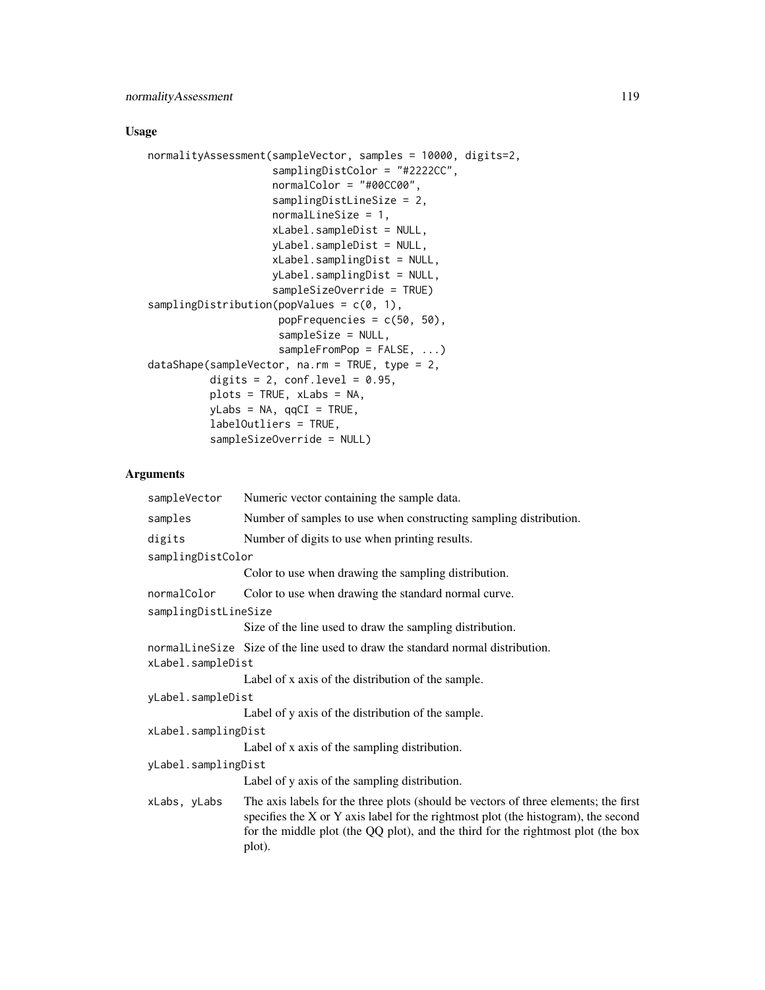# Usage

```
normalityAssessment(sampleVector, samples = 10000, digits=2,
                    samplingDistColor = "#2222CC",
                    normalColor = "#00CC00",
                    samplingDistLineSize = 2,
                    normalLineSize = 1,
                    xLabel.sampleDist = NULL,
                    yLabel.sampleDist = NULL,
                    xLabel.samplingDist = NULL,
                    yLabel.samplingDist = NULL,
                    sampleSizeOverride = TRUE)
samplingDistribution(popValues = c(0, 1),
                     popFrequencies = c(50, 50),
                     sampleSize = NULL,
                     sampleFromPop = FALSE, ...)
dataShape(sampleVector, na.rm = TRUE, type = 2,
          digits = 2, conf. level = 0.95,
          plots = TRUE, xLabs = NA,
          yLabs = NA, qqCI = TRUE,
          labelOutliers = TRUE,
          sampleSizeOverride = NULL)
```
# Arguments

| sampleVector         | Numeric vector containing the sample data.                                                                                                                                                                                                                              |  |
|----------------------|-------------------------------------------------------------------------------------------------------------------------------------------------------------------------------------------------------------------------------------------------------------------------|--|
| samples              | Number of samples to use when constructing sampling distribution.                                                                                                                                                                                                       |  |
| digits               | Number of digits to use when printing results.                                                                                                                                                                                                                          |  |
| samplingDistColor    |                                                                                                                                                                                                                                                                         |  |
|                      | Color to use when drawing the sampling distribution.                                                                                                                                                                                                                    |  |
| normalColor          | Color to use when drawing the standard normal curve.                                                                                                                                                                                                                    |  |
| samplingDistLineSize |                                                                                                                                                                                                                                                                         |  |
|                      | Size of the line used to draw the sampling distribution.                                                                                                                                                                                                                |  |
| xLabel.sampleDist    | normalline Size Size of the line used to draw the standard normal distribution.                                                                                                                                                                                         |  |
|                      | Label of x axis of the distribution of the sample.                                                                                                                                                                                                                      |  |
| yLabel.sampleDist    |                                                                                                                                                                                                                                                                         |  |
|                      | Label of y axis of the distribution of the sample.                                                                                                                                                                                                                      |  |
| xLabel.samplingDist  |                                                                                                                                                                                                                                                                         |  |
|                      | Label of x axis of the sampling distribution.                                                                                                                                                                                                                           |  |
| yLabel.samplingDist  |                                                                                                                                                                                                                                                                         |  |
|                      | Label of y axis of the sampling distribution.                                                                                                                                                                                                                           |  |
| xLabs, yLabs         | The axis labels for the three plots (should be vectors of three elements; the first<br>specifies the X or Y axis label for the rightmost plot (the histogram), the second<br>for the middle plot (the QQ plot), and the third for the rightmost plot (the box<br>plot). |  |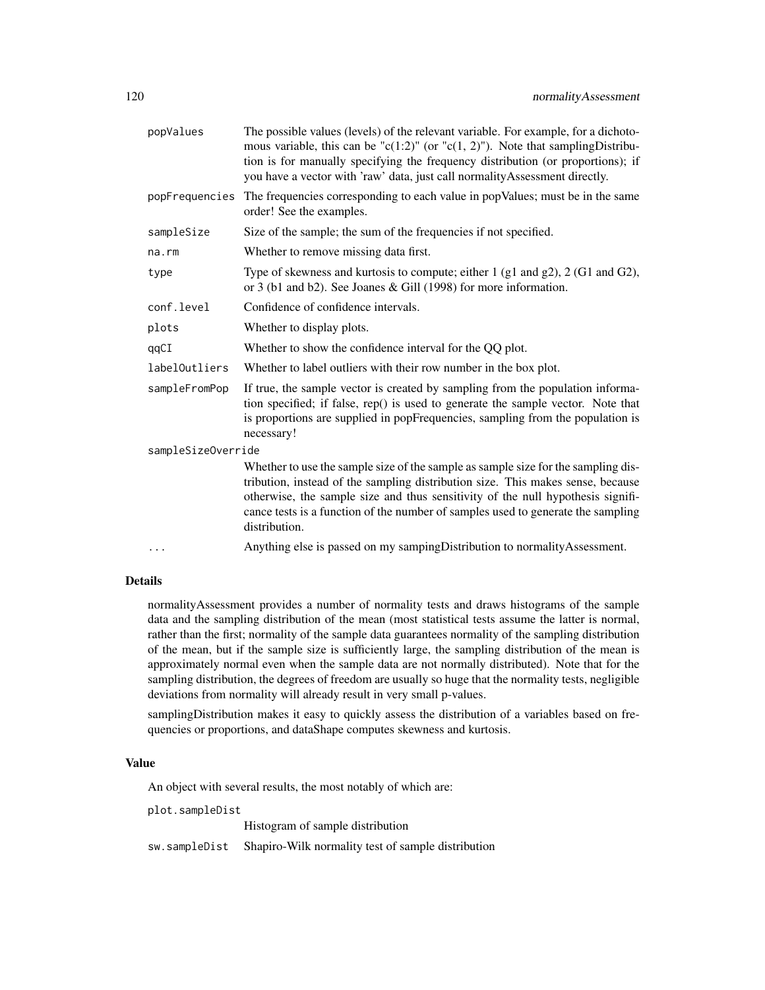| popValues          | The possible values (levels) of the relevant variable. For example, for a dichoto-<br>mous variable, this can be "c(1:2)" (or "c(1, 2)"). Note that sampling Distribu-<br>tion is for manually specifying the frequency distribution (or proportions); if<br>you have a vector with 'raw' data, just call normality Assessment directly.                     |  |
|--------------------|--------------------------------------------------------------------------------------------------------------------------------------------------------------------------------------------------------------------------------------------------------------------------------------------------------------------------------------------------------------|--|
| popFrequencies     | The frequencies corresponding to each value in popValues; must be in the same<br>order! See the examples.                                                                                                                                                                                                                                                    |  |
| sampleSize         | Size of the sample; the sum of the frequencies if not specified.                                                                                                                                                                                                                                                                                             |  |
| na.rm              | Whether to remove missing data first.                                                                                                                                                                                                                                                                                                                        |  |
| type               | Type of skewness and kurtosis to compute; either $1$ (g1 and g2), $2$ (G1 and G2),<br>or 3 (b1 and b2). See Joanes & Gill (1998) for more information.                                                                                                                                                                                                       |  |
| conf.level         | Confidence of confidence intervals.                                                                                                                                                                                                                                                                                                                          |  |
| plots              | Whether to display plots.                                                                                                                                                                                                                                                                                                                                    |  |
| qqCI               | Whether to show the confidence interval for the QQ plot.                                                                                                                                                                                                                                                                                                     |  |
| labelOutliers      | Whether to label outliers with their row number in the box plot.                                                                                                                                                                                                                                                                                             |  |
| sampleFromPop      | If true, the sample vector is created by sampling from the population informa-<br>tion specified; if false, rep() is used to generate the sample vector. Note that<br>is proportions are supplied in popFrequencies, sampling from the population is<br>necessary!                                                                                           |  |
| sampleSizeOverride |                                                                                                                                                                                                                                                                                                                                                              |  |
|                    | Whether to use the sample size of the sample as sample size for the sampling dis-<br>tribution, instead of the sampling distribution size. This makes sense, because<br>otherwise, the sample size and thus sensitivity of the null hypothesis signifi-<br>cance tests is a function of the number of samples used to generate the sampling<br>distribution. |  |
| $\cdots$           | Anything else is passed on my sampingDistribution to normalityAssessment.                                                                                                                                                                                                                                                                                    |  |

# Details

normalityAssessment provides a number of normality tests and draws histograms of the sample data and the sampling distribution of the mean (most statistical tests assume the latter is normal, rather than the first; normality of the sample data guarantees normality of the sampling distribution of the mean, but if the sample size is sufficiently large, the sampling distribution of the mean is approximately normal even when the sample data are not normally distributed). Note that for the sampling distribution, the degrees of freedom are usually so huge that the normality tests, negligible deviations from normality will already result in very small p-values.

samplingDistribution makes it easy to quickly assess the distribution of a variables based on frequencies or proportions, and dataShape computes skewness and kurtosis.

# Value

An object with several results, the most notably of which are:

plot.sampleDist

Histogram of sample distribution

sw.sampleDist Shapiro-Wilk normality test of sample distribution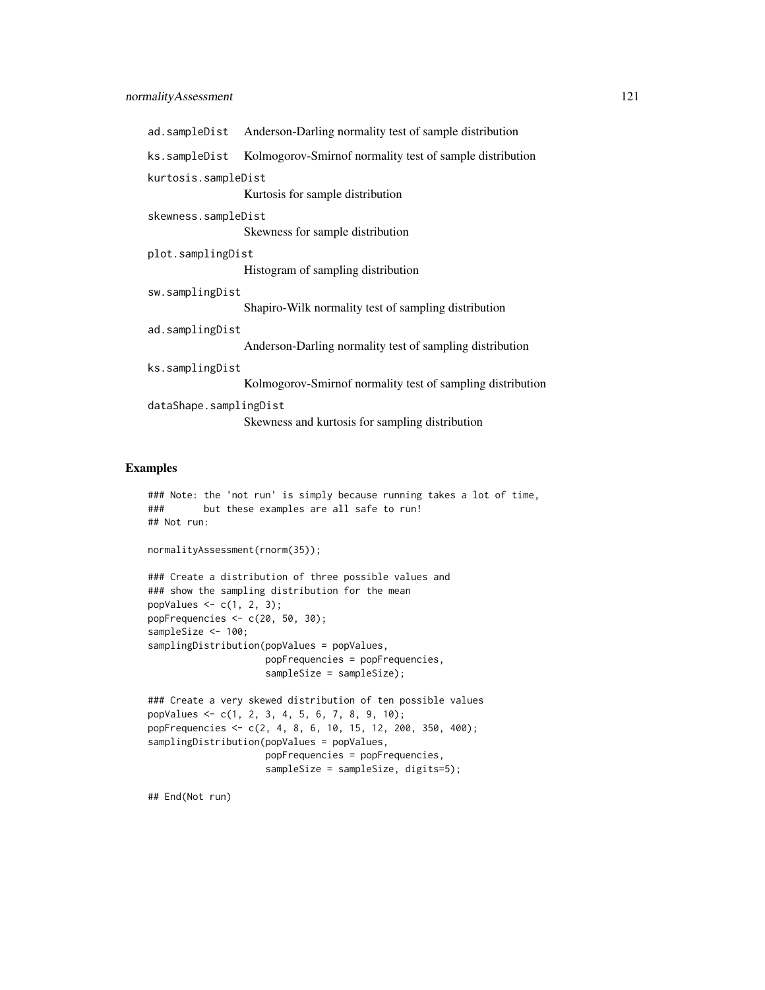|                                                         | ad.sampleDist Anderson-Darling normality test of sample distribution |
|---------------------------------------------------------|----------------------------------------------------------------------|
| ks.sampleDist                                           | Kolmogorov-Smirnof normality test of sample distribution             |
| kurtosis.sampleDist<br>Kurtosis for sample distribution |                                                                      |
| skewness.sampleDist                                     | Skewness for sample distribution                                     |
| plot.samplingDist                                       | Histogram of sampling distribution                                   |
| sw.samplingDist                                         |                                                                      |
|                                                         | Shapiro-Wilk normality test of sampling distribution                 |
| ad.samplingDist                                         |                                                                      |
|                                                         | Anderson-Darling normality test of sampling distribution             |
| ks.samplingDist                                         |                                                                      |
|                                                         | Kolmogorov-Smirnof normality test of sampling distribution           |
| dataShape.samplingDist                                  |                                                                      |
|                                                         | Skewness and kurtosis for sampling distribution                      |

# Examples

```
### Note: the 'not run' is simply because running takes a lot of time,
### but these examples are all safe to run!
## Not run:
normalityAssessment(rnorm(35));
### Create a distribution of three possible values and
### show the sampling distribution for the mean
popValues <-c(1, 2, 3);popFrequencies <- c(20, 50, 30);
```

```
sampleSize <- 100;
samplingDistribution(popValues = popValues,
                     popFrequencies = popFrequencies,
                     sampleSize = sampleSize);
```

```
### Create a very skewed distribution of ten possible values
popValues <- c(1, 2, 3, 4, 5, 6, 7, 8, 9, 10);
popFrequencies <- c(2, 4, 8, 6, 10, 15, 12, 200, 350, 400);
samplingDistribution(popValues = popValues,
                    popFrequencies = popFrequencies,
                     sampleSize = sampleSize, digits=5);
```
## End(Not run)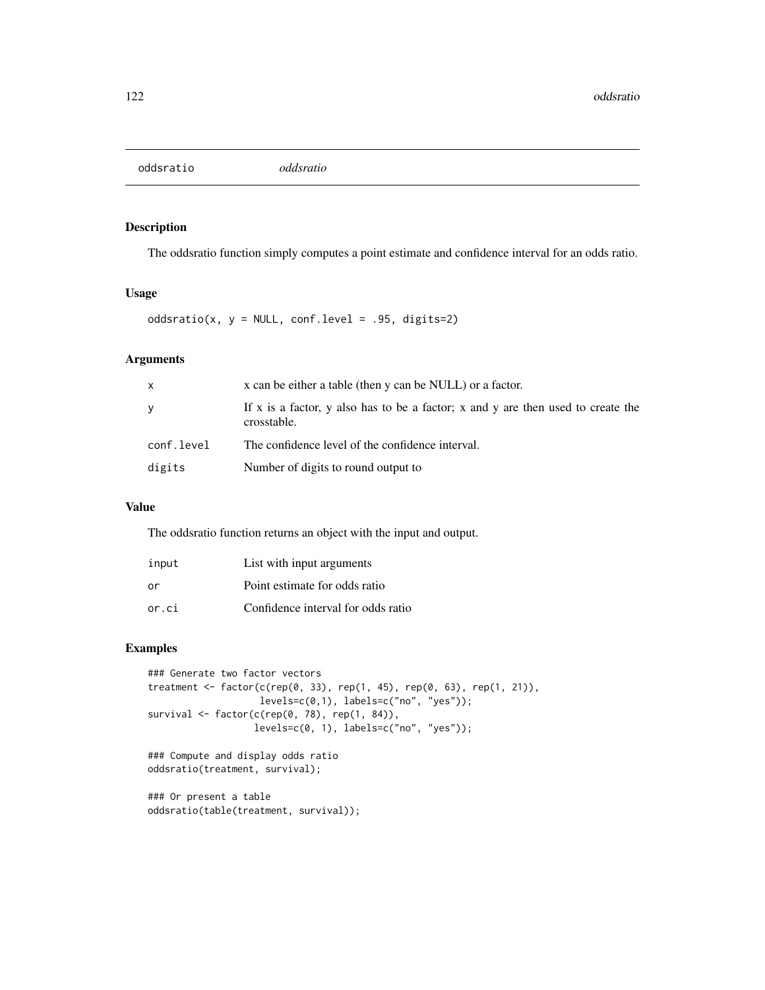oddsratio *oddsratio*

# Description

The oddsratio function simply computes a point estimate and confidence interval for an odds ratio.

## Usage

oddsratio(x,  $y = NULL$ , conf.level = .95, digits=2)

# Arguments

| X          | x can be either a table (then y can be NULL) or a factor.                                       |  |
|------------|-------------------------------------------------------------------------------------------------|--|
| У          | If x is a factor, y also has to be a factor; x and y are then used to create the<br>crosstable. |  |
| conf.level | The confidence level of the confidence interval.                                                |  |
| digits     | Number of digits to round output to                                                             |  |

## Value

The oddsratio function returns an object with the input and output.

| input | List with input arguments          |
|-------|------------------------------------|
| or    | Point estimate for odds ratio      |
| or.ci | Confidence interval for odds ratio |

# Examples

```
### Generate two factor vectors
treatment <- factor(c(rep(0, 33), rep(1, 45), rep(0, 63), rep(1, 21)),
                   levels=c(0,1), labels=c("no", "yes"));
survival <- factor(c(rep(0, 78), rep(1, 84)),
                  levels=c(0, 1), labels=c("no", "yes"));
### Compute and display odds ratio
```
oddsratio(treatment, survival);

```
### Or present a table
oddsratio(table(treatment, survival));
```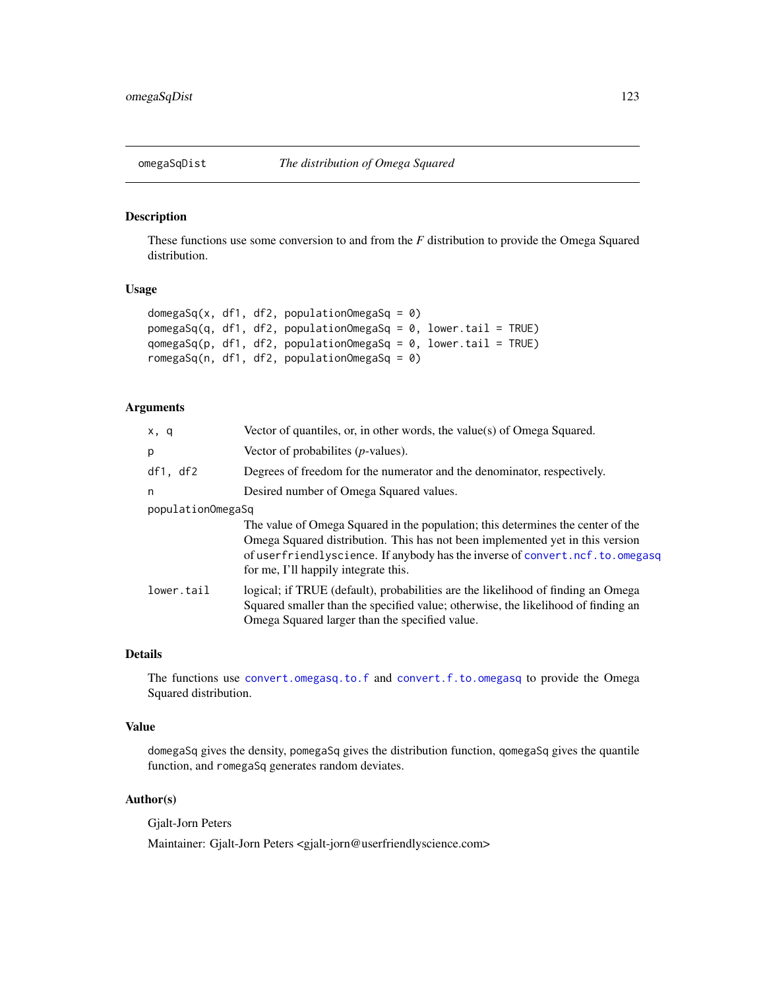## Description

These functions use some conversion to and from the *F* distribution to provide the Omega Squared distribution.

# Usage

```
domegaSq(x, df1, df2, populationOmegaSq = 0)
pomegaSq(q, df1, df2, populationOmegaSq = 0, lower.tail = TRUE)
qomegaSq(p, df1, df2, populationOmegaSq = 0, lower.tail = TRUE)
romegaSq(n, df1, df2, populationOmegaSq = 0)
```
# Arguments

| x, q              | Vector of quantiles, or, in other words, the value(s) of Omega Squared.                                                                                                                                                                                                                  |  |
|-------------------|------------------------------------------------------------------------------------------------------------------------------------------------------------------------------------------------------------------------------------------------------------------------------------------|--|
| p                 | Vector of probabilities $(p$ -values).                                                                                                                                                                                                                                                   |  |
| df1, df2          | Degrees of freedom for the numerator and the denominator, respectively.                                                                                                                                                                                                                  |  |
| n                 | Desired number of Omega Squared values.                                                                                                                                                                                                                                                  |  |
| populationOmegaSq |                                                                                                                                                                                                                                                                                          |  |
|                   | The value of Omega Squared in the population; this determines the center of the<br>Omega Squared distribution. This has not been implemented yet in this version<br>of userfriendlyscience. If anybody has the inverse of convert.ncf.to.omegasq<br>for me, I'll happily integrate this. |  |
| lower.tail        | logical; if TRUE (default), probabilities are the likelihood of finding an Omega<br>Squared smaller than the specified value; otherwise, the likelihood of finding an<br>Omega Squared larger than the specified value.                                                                  |  |

## Details

The functions use [convert.omegasq.to.f](#page-31-0) and [convert.f.to.omegasq](#page-31-0) to provide the Omega Squared distribution.

## Value

domegaSq gives the density, pomegaSq gives the distribution function, qomegaSq gives the quantile function, and romegaSq generates random deviates.

# Author(s)

Gjalt-Jorn Peters

Maintainer: Gjalt-Jorn Peters <gjalt-jorn@userfriendlyscience.com>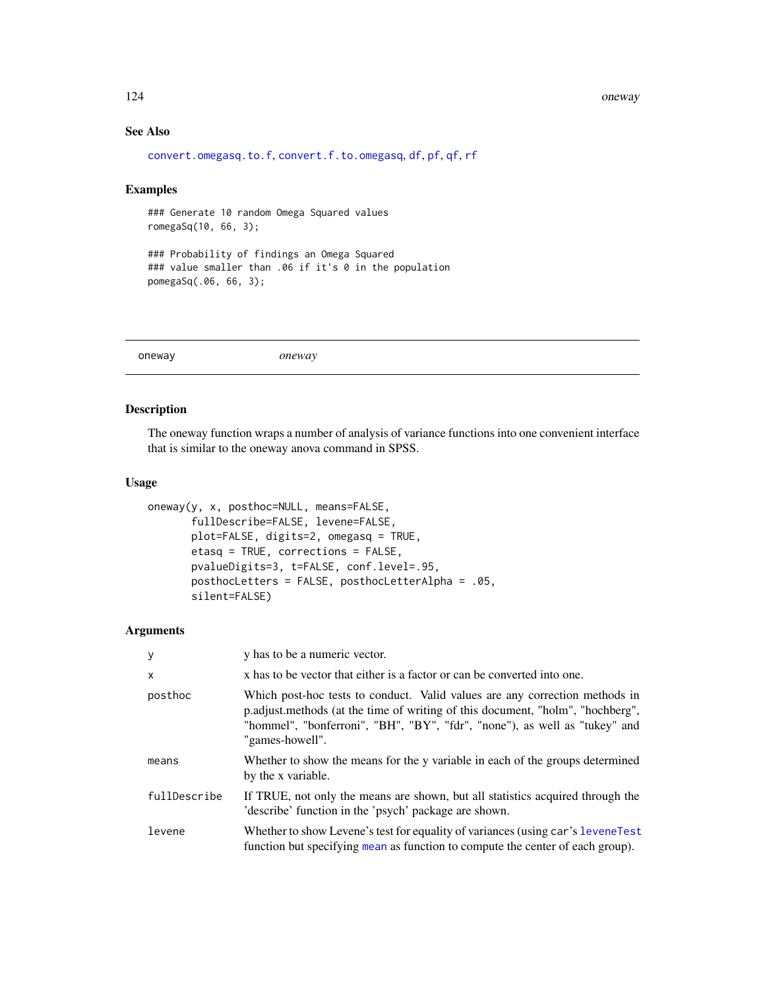#### 124 oneway

# See Also

```
convert.omegasq.to.f, convert.f.to.omegasq, df, pf, qf, rf
```
## Examples

### Generate 10 random Omega Squared values romegaSq(10, 66, 3);

### Probability of findings an Omega Squared ### value smaller than .06 if it's 0 in the population pomegaSq(.06, 66, 3);

oneway *oneway*

# Description

The oneway function wraps a number of analysis of variance functions into one convenient interface that is similar to the oneway anova command in SPSS.

# Usage

```
oneway(y, x, posthoc=NULL, means=FALSE,
       fullDescribe=FALSE, levene=FALSE,
      plot=FALSE, digits=2, omegasq = TRUE,
       etasq = TRUE, corrections = FALSE,
       pvalueDigits=3, t=FALSE, conf.level=.95,
       posthocLetters = FALSE, posthocLetterAlpha = .05,
       silent=FALSE)
```
## Arguments

| У            | y has to be a numeric vector.                                                                                                                                                                                                                                  |
|--------------|----------------------------------------------------------------------------------------------------------------------------------------------------------------------------------------------------------------------------------------------------------------|
| $\times$     | x has to be vector that either is a factor or can be converted into one.                                                                                                                                                                                       |
| posthoc      | Which post-hoc tests to conduct. Valid values are any correction methods in<br>p.adjust.methods (at the time of writing of this document, "holm", "hochberg",<br>"hommel", "bonferroni", "BH", "BY", "fdr", "none"), as well as "tukey" and<br>"games-howell". |
| means        | Whether to show the means for the y variable in each of the groups determined<br>by the x variable.                                                                                                                                                            |
| fullDescribe | If TRUE, not only the means are shown, but all statistics acquired through the<br>'describe' function in the 'psych' package are shown.                                                                                                                        |
| levene       | Whether to show Levene's test for equality of variances (using car's levene Test<br>function but specifying mean as function to compute the center of each group).                                                                                             |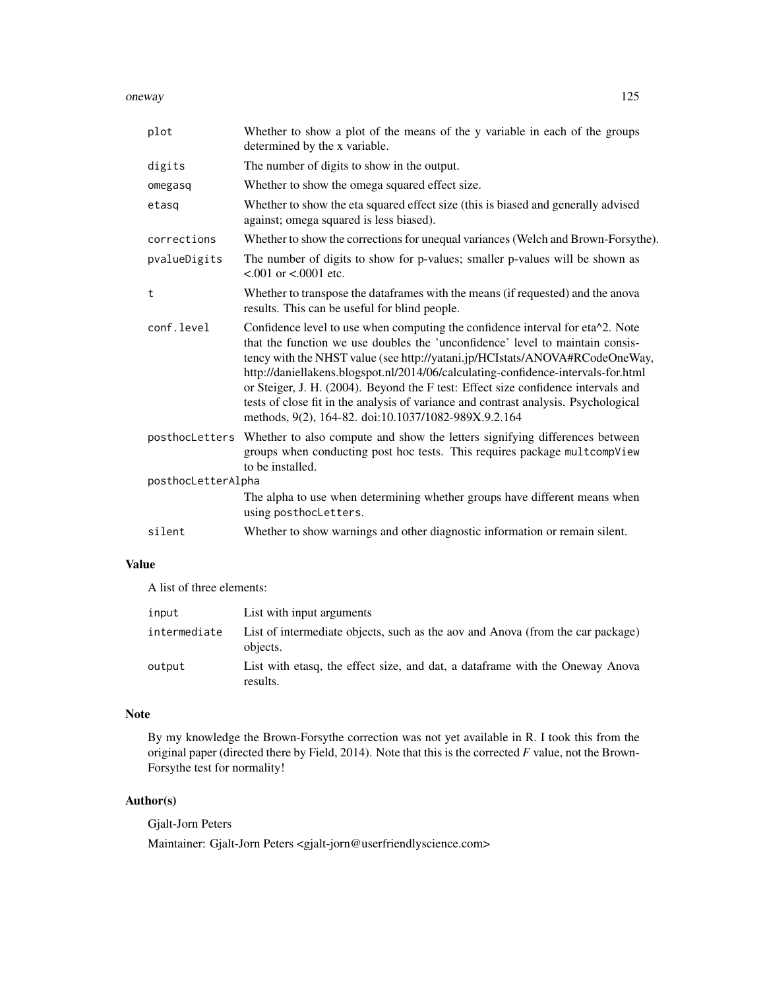oneway and the contract of the contract of the contract of the contract of the contract of the contract of the contract of the contract of the contract of the contract of the contract of the contract of the contract of the

| plot               | Whether to show a plot of the means of the y variable in each of the groups<br>determined by the x variable.                                                                                                                                                                                                                                                                                                                                                                                                                                                            |
|--------------------|-------------------------------------------------------------------------------------------------------------------------------------------------------------------------------------------------------------------------------------------------------------------------------------------------------------------------------------------------------------------------------------------------------------------------------------------------------------------------------------------------------------------------------------------------------------------------|
| digits             | The number of digits to show in the output.                                                                                                                                                                                                                                                                                                                                                                                                                                                                                                                             |
| omegasq            | Whether to show the omega squared effect size.                                                                                                                                                                                                                                                                                                                                                                                                                                                                                                                          |
| etasq              | Whether to show the eta squared effect size (this is biased and generally advised<br>against; omega squared is less biased).                                                                                                                                                                                                                                                                                                                                                                                                                                            |
| corrections        | Whether to show the corrections for unequal variances (Welch and Brown-Forsythe).                                                                                                                                                                                                                                                                                                                                                                                                                                                                                       |
| pvalueDigits       | The number of digits to show for p-values; smaller p-values will be shown as<br>$< .001$ or $< .0001$ etc.                                                                                                                                                                                                                                                                                                                                                                                                                                                              |
| t                  | Whether to transpose the dataframes with the means (if requested) and the anova<br>results. This can be useful for blind people.                                                                                                                                                                                                                                                                                                                                                                                                                                        |
| conf.level         | Confidence level to use when computing the confidence interval for eta^2. Note<br>that the function we use doubles the 'unconfidence' level to maintain consis-<br>tency with the NHST value (see http://yatani.jp/HCIstats/ANOVA#RCodeOneWay,<br>http://daniellakens.blogspot.nl/2014/06/calculating-confidence-intervals-for.html<br>or Steiger, J. H. (2004). Beyond the F test: Effect size confidence intervals and<br>tests of close fit in the analysis of variance and contrast analysis. Psychological<br>methods, 9(2), 164-82. doi:10.1037/1082-989X.9.2.164 |
|                    | posthocLetters Whether to also compute and show the letters signifying differences between<br>groups when conducting post hoc tests. This requires package multcompView<br>to be installed.                                                                                                                                                                                                                                                                                                                                                                             |
| posthocLetterAlpha |                                                                                                                                                                                                                                                                                                                                                                                                                                                                                                                                                                         |
|                    | The alpha to use when determining whether groups have different means when<br>using posthocLetters.                                                                                                                                                                                                                                                                                                                                                                                                                                                                     |
| silent             | Whether to show warnings and other diagnostic information or remain silent.                                                                                                                                                                                                                                                                                                                                                                                                                                                                                             |

# Value

A list of three elements:

| input        | List with input arguments                                                                  |
|--------------|--------------------------------------------------------------------------------------------|
| intermediate | List of intermediate objects, such as the aov and Anova (from the car package)<br>objects. |
| output       | List with etasq, the effect size, and dat, a dataframe with the Oneway Anova<br>results.   |

## Note

By my knowledge the Brown-Forsythe correction was not yet available in R. I took this from the original paper (directed there by Field, 2014). Note that this is the corrected *F* value, not the Brown-Forsythe test for normality!

# Author(s)

Gjalt-Jorn Peters

Maintainer: Gjalt-Jorn Peters <gjalt-jorn@userfriendlyscience.com>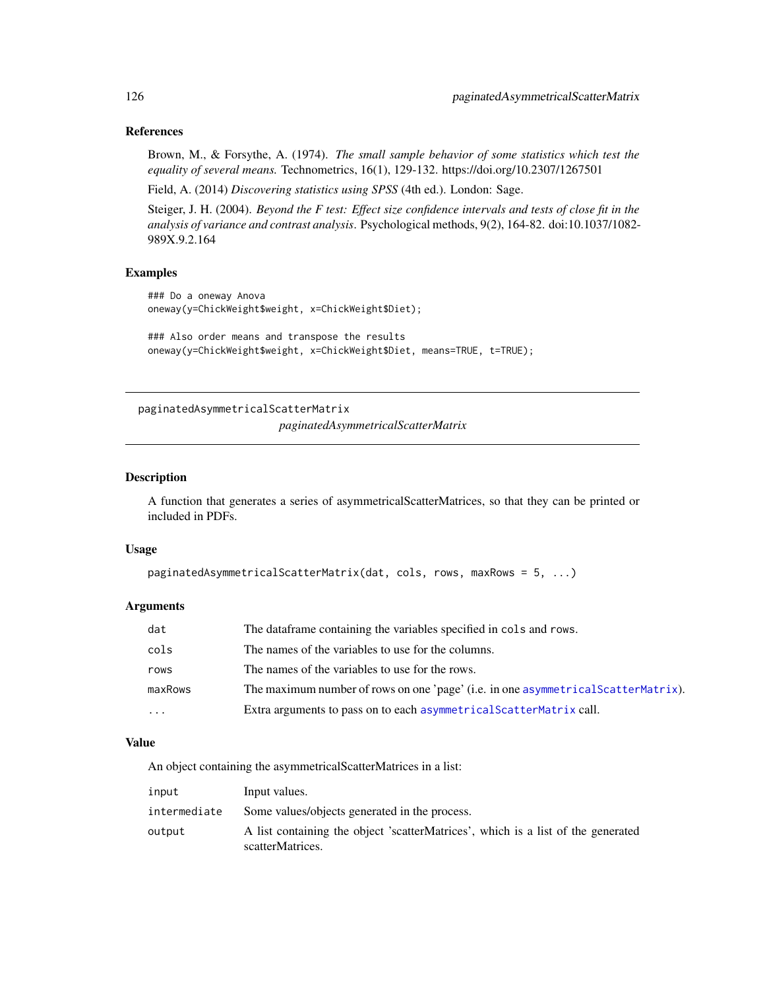# References

Brown, M., & Forsythe, A. (1974). *The small sample behavior of some statistics which test the equality of several means.* Technometrics, 16(1), 129-132. https://doi.org/10.2307/1267501

Field, A. (2014) *Discovering statistics using SPSS* (4th ed.). London: Sage.

Steiger, J. H. (2004). *Beyond the F test: Effect size confidence intervals and tests of close fit in the analysis of variance and contrast analysis*. Psychological methods, 9(2), 164-82. doi:10.1037/1082- 989X.9.2.164

## Examples

```
### Do a oneway Anova
oneway(y=ChickWeight$weight, x=ChickWeight$Diet);
```

```
### Also order means and transpose the results
oneway(y=ChickWeight$weight, x=ChickWeight$Diet, means=TRUE, t=TRUE);
```
paginatedAsymmetricalScatterMatrix *paginatedAsymmetricalScatterMatrix*

#### Description

A function that generates a series of asymmetricalScatterMatrices, so that they can be printed or included in PDFs.

## Usage

```
paginatedAsymmetricalScatterMatrix(dat, cols, rows, maxRows = 5, ...)
```
## Arguments

| dat     | The data frame containing the variables specified in cols and rows.                |
|---------|------------------------------------------------------------------------------------|
| cols    | The names of the variables to use for the columns.                                 |
| rows    | The names of the variables to use for the rows.                                    |
| maxRows | The maximum number of rows on one 'page' (i.e. in one asymmetrical ScatterMatrix). |
| .       | Extra arguments to pass on to each asymmetrical Scatter Matrix call.               |

## Value

An object containing the asymmetricalScatterMatrices in a list:

| input        | Input values.                                                                                        |
|--------------|------------------------------------------------------------------------------------------------------|
| intermediate | Some values/objects generated in the process.                                                        |
| output       | A list containing the object 'scatterMatrices', which is a list of the generated<br>scatterMatrices. |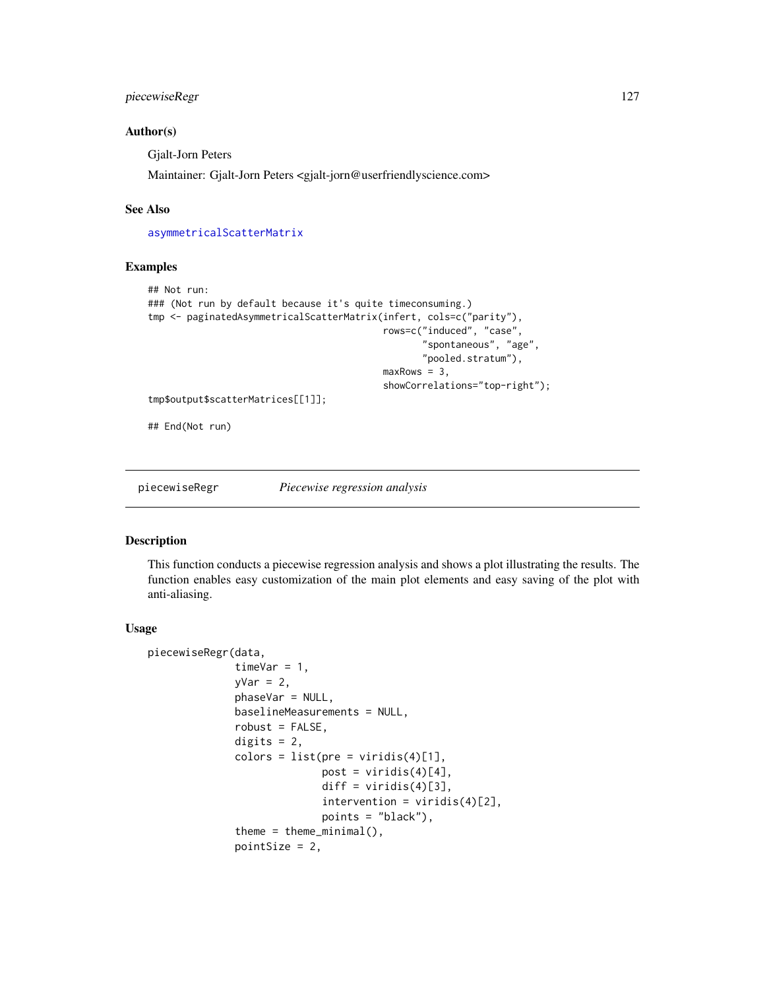# piecewiseRegr 127

## Author(s)

Gjalt-Jorn Peters

Maintainer: Gjalt-Jorn Peters <gjalt-jorn@userfriendlyscience.com>

## See Also

[asymmetricalScatterMatrix](#page-14-0)

# Examples

```
## Not run:
### (Not run by default because it's quite timeconsuming.)
tmp <- paginatedAsymmetricalScatterMatrix(infert, cols=c("parity"),
                                          rows=c("induced", "case",
                                                  "spontaneous", "age",
                                                  "pooled.stratum"),
                                          maxRows = 3,
                                           showCorrelations="top-right");
tmp$output$scatterMatrices[[1]];
```
## End(Not run)

piecewiseRegr *Piecewise regression analysis*

#### Description

This function conducts a piecewise regression analysis and shows a plot illustrating the results. The function enables easy customization of the main plot elements and easy saving of the plot with anti-aliasing.

#### Usage

```
piecewiseRegr(data,
              timeVar = 1,
              yVar = 2,
              phaseVar = NULL,
              baselineMeasurements = NULL,
              robust = FALSE,digits = 2,
              colors = list(pre = viridis(4)[1],post = viridis(4)[4],
                            diff = viridis(4)[3],
                            intervention = viridis(4)[2],points = "black"),
              theme = theme_minimal(),
              pointSize = 2,
```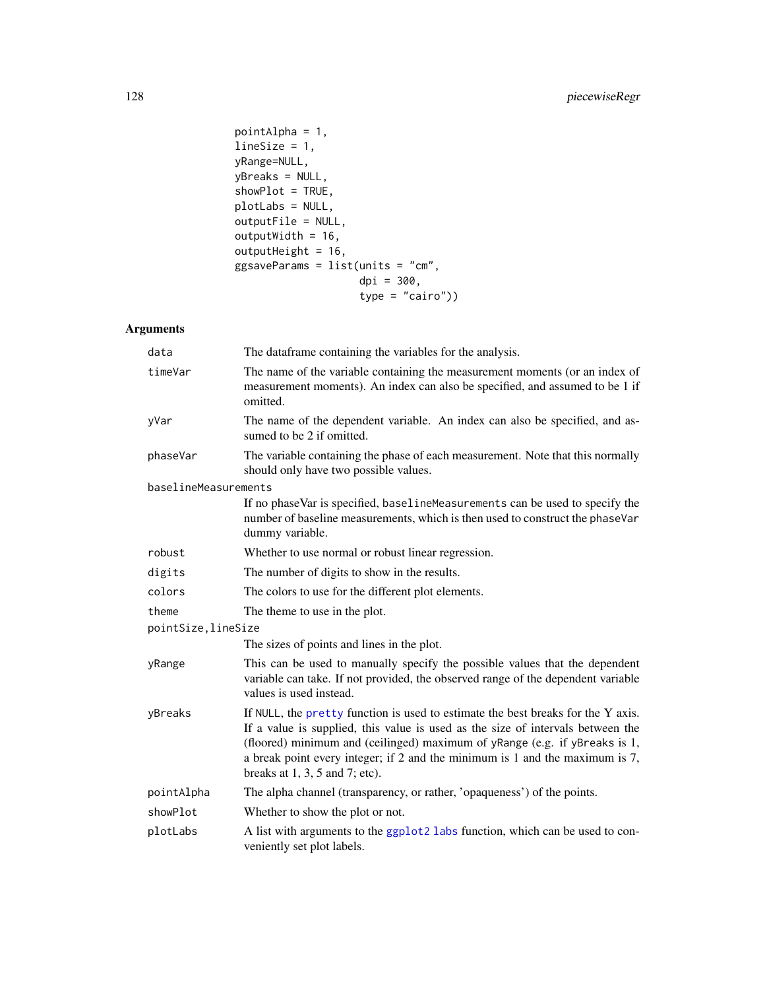```
pointAlpha = 1,
lineSize = 1,
yRange=NULL,
yBreaks = NULL,
showPlot = TRUE,
plotLabs = NULL,
outputFile = NULL,
outputWidth = 16,
outputHeight = 16,
ggsaveParams = list(units = "cm",
                    dpi = 300,
                    type = "cairo"))
```
# Arguments

| data                 | The dataframe containing the variables for the analysis.                                                                                                                                                                                                                                                                                                                 |
|----------------------|--------------------------------------------------------------------------------------------------------------------------------------------------------------------------------------------------------------------------------------------------------------------------------------------------------------------------------------------------------------------------|
| timeVar              | The name of the variable containing the measurement moments (or an index of<br>measurement moments). An index can also be specified, and assumed to be 1 if<br>omitted.                                                                                                                                                                                                  |
| yVar                 | The name of the dependent variable. An index can also be specified, and as-<br>sumed to be 2 if omitted.                                                                                                                                                                                                                                                                 |
| phaseVar             | The variable containing the phase of each measurement. Note that this normally<br>should only have two possible values.                                                                                                                                                                                                                                                  |
| baselineMeasurements |                                                                                                                                                                                                                                                                                                                                                                          |
|                      | If no phaseVar is specified, baselineMeasurements can be used to specify the<br>number of baseline measurements, which is then used to construct the phaseVar<br>dummy variable.                                                                                                                                                                                         |
| robust               | Whether to use normal or robust linear regression.                                                                                                                                                                                                                                                                                                                       |
| digits               | The number of digits to show in the results.                                                                                                                                                                                                                                                                                                                             |
| colors               | The colors to use for the different plot elements.                                                                                                                                                                                                                                                                                                                       |
| theme                | The theme to use in the plot.                                                                                                                                                                                                                                                                                                                                            |
| pointSize, lineSize  |                                                                                                                                                                                                                                                                                                                                                                          |
|                      | The sizes of points and lines in the plot.                                                                                                                                                                                                                                                                                                                               |
| yRange               | This can be used to manually specify the possible values that the dependent<br>variable can take. If not provided, the observed range of the dependent variable<br>values is used instead.                                                                                                                                                                               |
| yBreaks              | If NULL, the pretty function is used to estimate the best breaks for the Y axis.<br>If a value is supplied, this value is used as the size of intervals between the<br>(floored) minimum and (ceilinged) maximum of yRange (e.g. if yBreaks is 1,<br>a break point every integer; if 2 and the minimum is 1 and the maximum is 7,<br>breaks at $1, 3, 5$ and $7$ ; etc). |
| pointAlpha           | The alpha channel (transparency, or rather, 'opaqueness') of the points.                                                                                                                                                                                                                                                                                                 |
| showPlot             | Whether to show the plot or not.                                                                                                                                                                                                                                                                                                                                         |
| plotLabs             | A list with arguments to the ggplot2 labs function, which can be used to con-<br>veniently set plot labels.                                                                                                                                                                                                                                                              |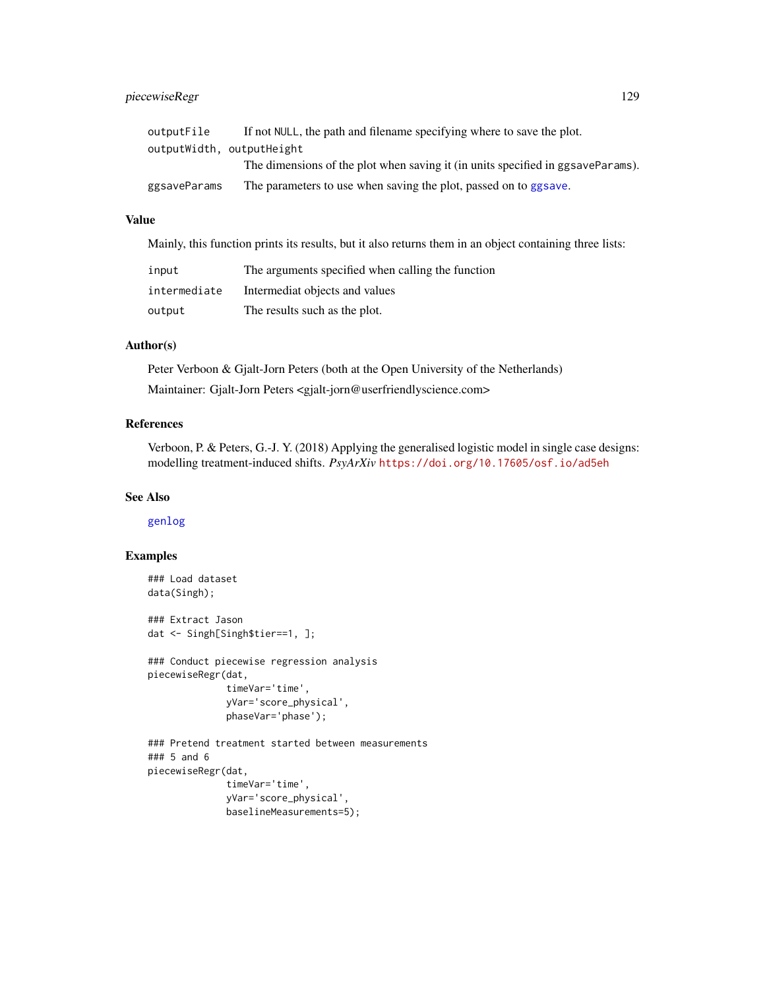# piecewiseRegr 129

| outputFile   | If not NULL, the path and filename specifying where to save the plot.           |
|--------------|---------------------------------------------------------------------------------|
|              | outputWidth, outputHeight                                                       |
|              | The dimensions of the plot when saving it (in units specified in ggsaveParams). |
| ggsaveParams | The parameters to use when saving the plot, passed on to ggsave.                |

# Value

Mainly, this function prints its results, but it also returns them in an object containing three lists:

| input        | The arguments specified when calling the function |
|--------------|---------------------------------------------------|
| intermediate | Intermediat objects and values                    |
| output       | The results such as the plot.                     |

## Author(s)

Peter Verboon & Gjalt-Jorn Peters (both at the Open University of the Netherlands) Maintainer: Gjalt-Jorn Peters <gjalt-jorn@userfriendlyscience.com>

## References

Verboon, P. & Peters, G.-J. Y. (2018) Applying the generalised logistic model in single case designs: modelling treatment-induced shifts. *PsyArXiv* <https://doi.org/10.17605/osf.io/ad5eh>

## See Also

[genlog](#page-69-0)

# Examples

```
### Load dataset
data(Singh);
### Extract Jason
dat <- Singh[Singh$tier==1, ];
### Conduct piecewise regression analysis
piecewiseRegr(dat,
             timeVar='time',
             yVar='score_physical',
             phaseVar='phase');
### Pretend treatment started between measurements
### 5 and 6
piecewiseRegr(dat,
              timeVar='time',
             yVar='score_physical',
             baselineMeasurements=5);
```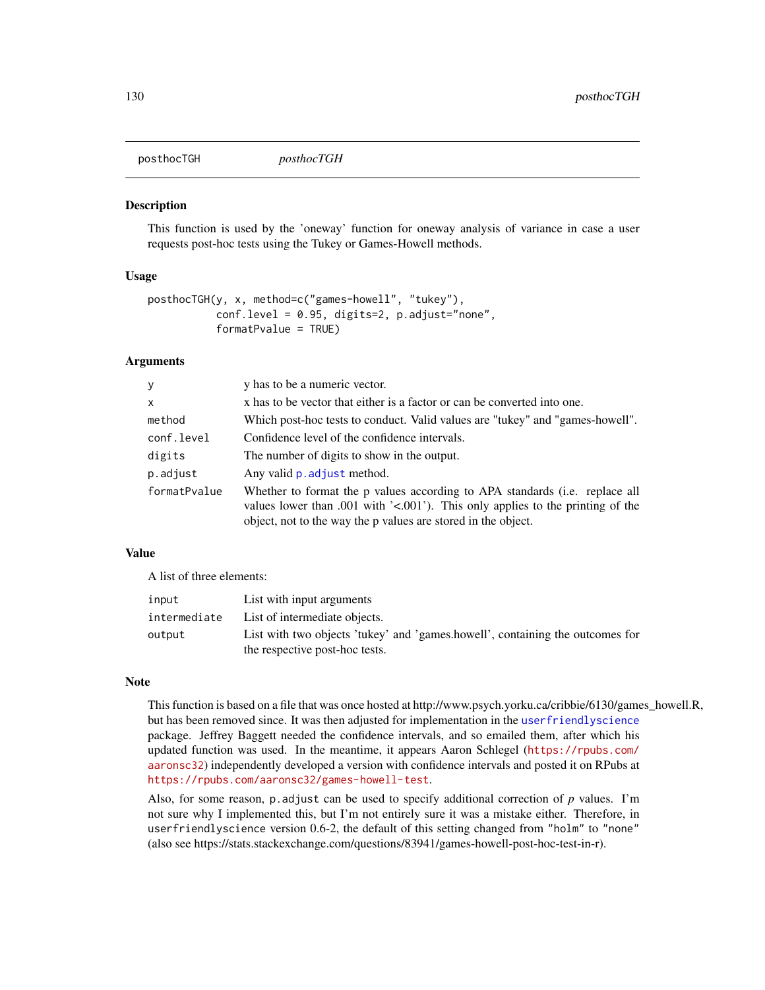posthocTGH *posthocTGH*

# **Description**

This function is used by the 'oneway' function for oneway analysis of variance in case a user requests post-hoc tests using the Tukey or Games-Howell methods.

## Usage

```
posthocTGH(y, x, method=c("games-howell", "tukey"),
           conf.level = 0.95, digits=2, p.adjust="none",
           formatPvalue = TRUE)
```
#### Arguments

| y            | y has to be a numeric vector.                                                                                                                                                                                                    |
|--------------|----------------------------------------------------------------------------------------------------------------------------------------------------------------------------------------------------------------------------------|
| X            | x has to be vector that either is a factor or can be converted into one.                                                                                                                                                         |
| method       | Which post-hoc tests to conduct. Valid values are "tukey" and "games-howell".                                                                                                                                                    |
| conf.level   | Confidence level of the confidence intervals.                                                                                                                                                                                    |
| digits       | The number of digits to show in the output.                                                                                                                                                                                      |
| p.adjust     | Any valid p. adjust method.                                                                                                                                                                                                      |
| formatPvalue | Whether to format the p values according to APA standards (i.e. replace all<br>values lower than .001 with $\leq$ 001. This only applies to the printing of the<br>object, not to the way the p values are stored in the object. |

# Value

A list of three elements:

| input        | List with input arguments                                                     |
|--------------|-------------------------------------------------------------------------------|
| intermediate | List of intermediate objects.                                                 |
| output       | List with two objects 'tukey' and 'games.howell', containing the outcomes for |
|              | the respective post-hoc tests.                                                |

#### Note

This function is based on a file that was once hosted at http://www.psych.yorku.ca/cribbie/6130/games\_howell.R, but has been removed since. It was then adjusted for implementation in the [userfriendlyscience](#page-3-0) package. Jeffrey Baggett needed the confidence intervals, and so emailed them, after which his updated function was used. In the meantime, it appears Aaron Schlegel ([https://rpubs.com/](https://rpubs.com/aaronsc32) [aaronsc32](https://rpubs.com/aaronsc32)) independently developed a version with confidence intervals and posted it on RPubs at <https://rpubs.com/aaronsc32/games-howell-test>.

Also, for some reason,  $p$  adjust can be used to specify additional correction of  $p$  values. I'm not sure why I implemented this, but I'm not entirely sure it was a mistake either. Therefore, in userfriendlyscience version 0.6-2, the default of this setting changed from "holm" to "none" (also see https://stats.stackexchange.com/questions/83941/games-howell-post-hoc-test-in-r).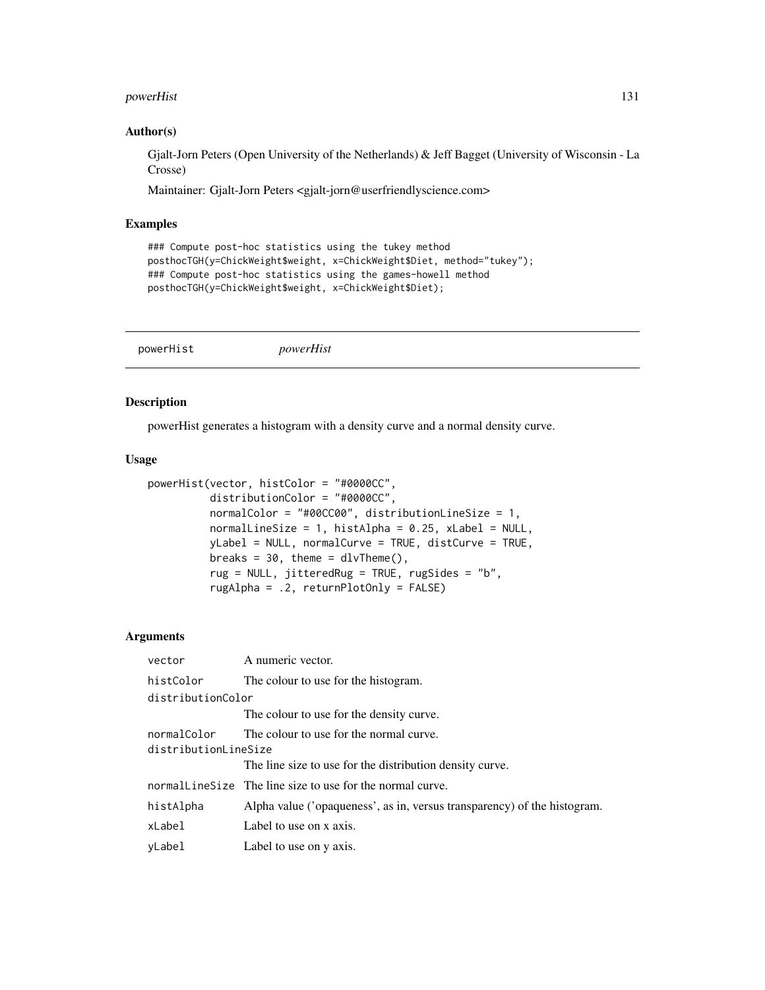#### powerHist 131

## Author(s)

Gjalt-Jorn Peters (Open University of the Netherlands) & Jeff Bagget (University of Wisconsin - La Crosse)

Maintainer: Gjalt-Jorn Peters <gjalt-jorn@userfriendlyscience.com>

## Examples

```
### Compute post-hoc statistics using the tukey method
posthocTGH(y=ChickWeight$weight, x=ChickWeight$Diet, method="tukey");
### Compute post-hoc statistics using the games-howell method
posthocTGH(y=ChickWeight$weight, x=ChickWeight$Diet);
```
powerHist *powerHist*

## Description

powerHist generates a histogram with a density curve and a normal density curve.

## Usage

```
powerHist(vector, histColor = "#0000CC",
          distributionColor = "#0000CC",
          normalColor = "#00CC00", distributionLineSize = 1,
          normalLineSize = 1, histAlpha = 0.25, xLabel = NULL,
          yLabel = NULL, normalCurve = TRUE, distCurve = TRUE,
          breaks = 30, theme = dlvTheme(),
          rug = NULL, jitteredRug = TRUE, rugSides = "b",
          rugAlpha = .2, returnPlotOnly = FALSE)
```
# Arguments

| vector               | A numeric vector.                                                        |  |
|----------------------|--------------------------------------------------------------------------|--|
| histColor            | The colour to use for the histogram.                                     |  |
| distributionColor    |                                                                          |  |
|                      | The colour to use for the density curve.                                 |  |
| normalColor          | The colour to use for the normal curve.                                  |  |
| distributionLineSize |                                                                          |  |
|                      | The line size to use for the distribution density curve.                 |  |
|                      | normalline Size The line size to use for the normal curve.               |  |
| histAlpha            | Alpha value ('opaqueness', as in, versus transparency) of the histogram. |  |
| xLabel               | Label to use on x axis.                                                  |  |
| yLabel               | Label to use on y axis.                                                  |  |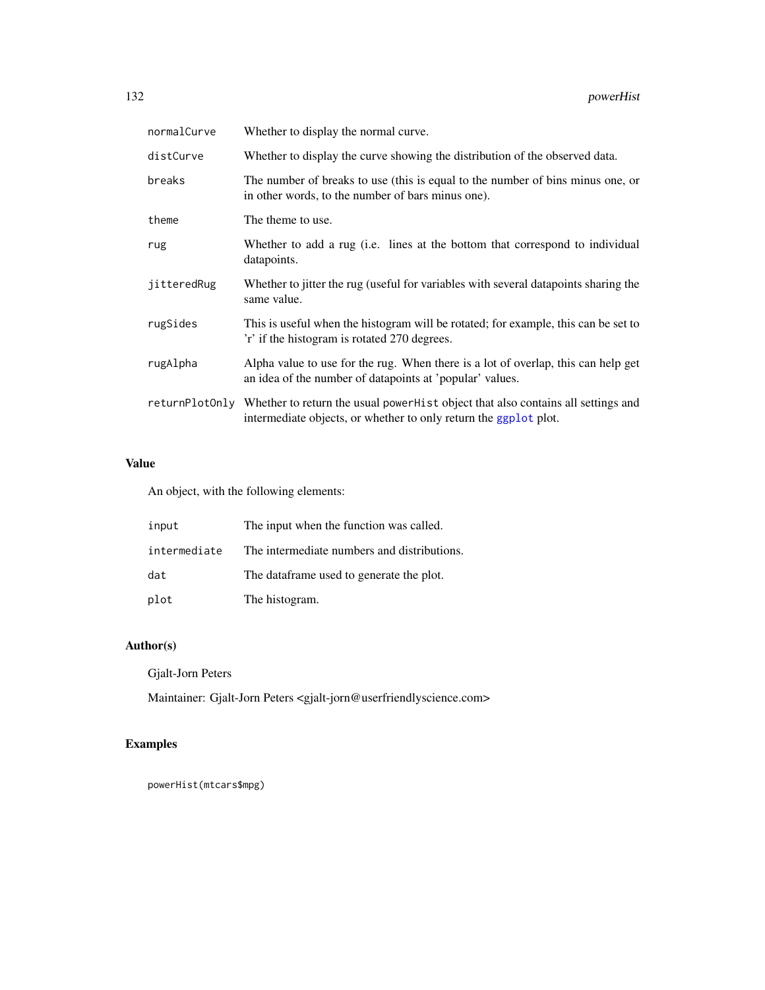| normalCurve    | Whether to display the normal curve.                                                                                                                  |
|----------------|-------------------------------------------------------------------------------------------------------------------------------------------------------|
| distCurve      | Whether to display the curve showing the distribution of the observed data.                                                                           |
| breaks         | The number of breaks to use (this is equal to the number of bins minus one, or<br>in other words, to the number of bars minus one).                   |
| theme          | The theme to use.                                                                                                                                     |
| rug            | Whether to add a rug (i.e. lines at the bottom that correspond to individual<br>datapoints.                                                           |
| jitteredRug    | Whether to jitter the rug (useful for variables with several datapoints sharing the<br>same value.                                                    |
| rugSides       | This is useful when the histogram will be rotated; for example, this can be set to<br>'r' if the histogram is rotated 270 degrees.                    |
| rugAlpha       | Alpha value to use for the rug. When there is a lot of overlap, this can help get<br>an idea of the number of datapoints at 'popular' values.         |
| returnPlotOnly | Whether to return the usual power Hist object that also contains all settings and<br>intermediate objects, or whether to only return the ggplot plot. |

# Value

An object, with the following elements:

| input        | The input when the function was called.     |
|--------------|---------------------------------------------|
| intermediate | The intermediate numbers and distributions. |
| dat          | The dataframe used to generate the plot.    |
| plot         | The histogram.                              |

# Author(s)

Gjalt-Jorn Peters

Maintainer: Gjalt-Jorn Peters <gjalt-jorn@userfriendlyscience.com>

# Examples

powerHist(mtcars\$mpg)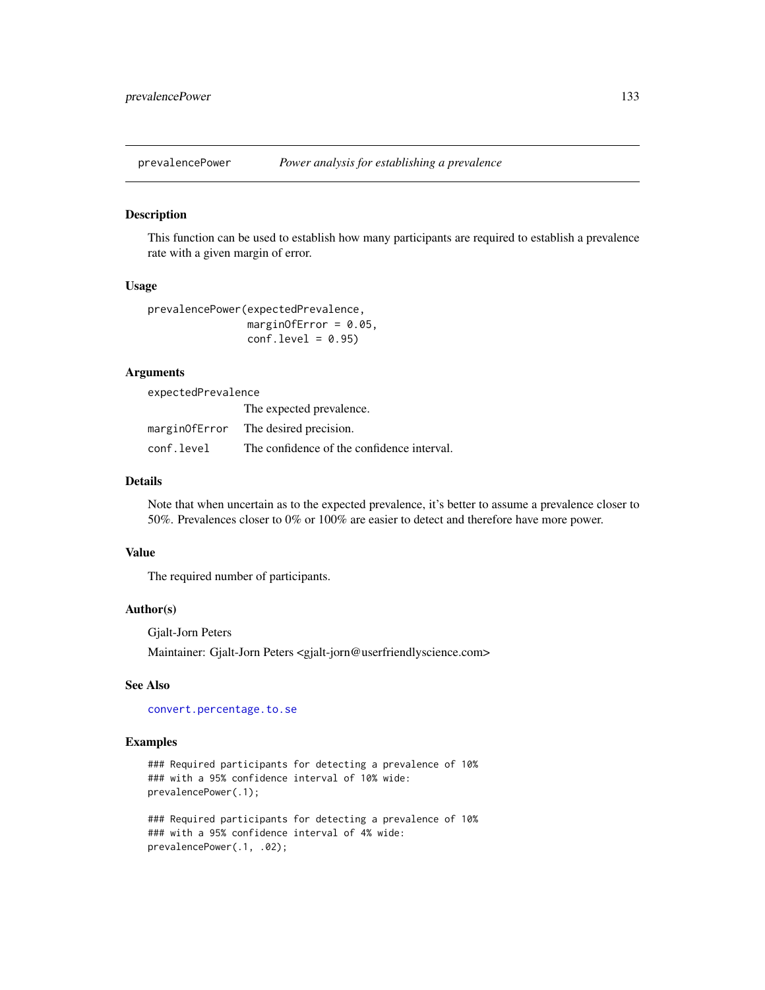## Description

This function can be used to establish how many participants are required to establish a prevalence rate with a given margin of error.

## Usage

```
prevalencePower(expectedPrevalence,
               marginOfError = 0.05,
               conf.level = 0.95
```
# Arguments

expectedPrevalence

|            | The expected prevalence.                   |
|------------|--------------------------------------------|
|            | marginOfError The desired precision.       |
| conf.level | The confidence of the confidence interval. |

# Details

Note that when uncertain as to the expected prevalence, it's better to assume a prevalence closer to 50%. Prevalences closer to 0% or 100% are easier to detect and therefore have more power.

## Value

The required number of participants.

#### Author(s)

Gjalt-Jorn Peters

Maintainer: Gjalt-Jorn Peters <gjalt-jorn@userfriendlyscience.com>

## See Also

[convert.percentage.to.se](#page-31-0)

# Examples

### Required participants for detecting a prevalence of 10% ### with a 95% confidence interval of 10% wide: prevalencePower(.1);

### Required participants for detecting a prevalence of 10% ### with a 95% confidence interval of 4% wide: prevalencePower(.1, .02);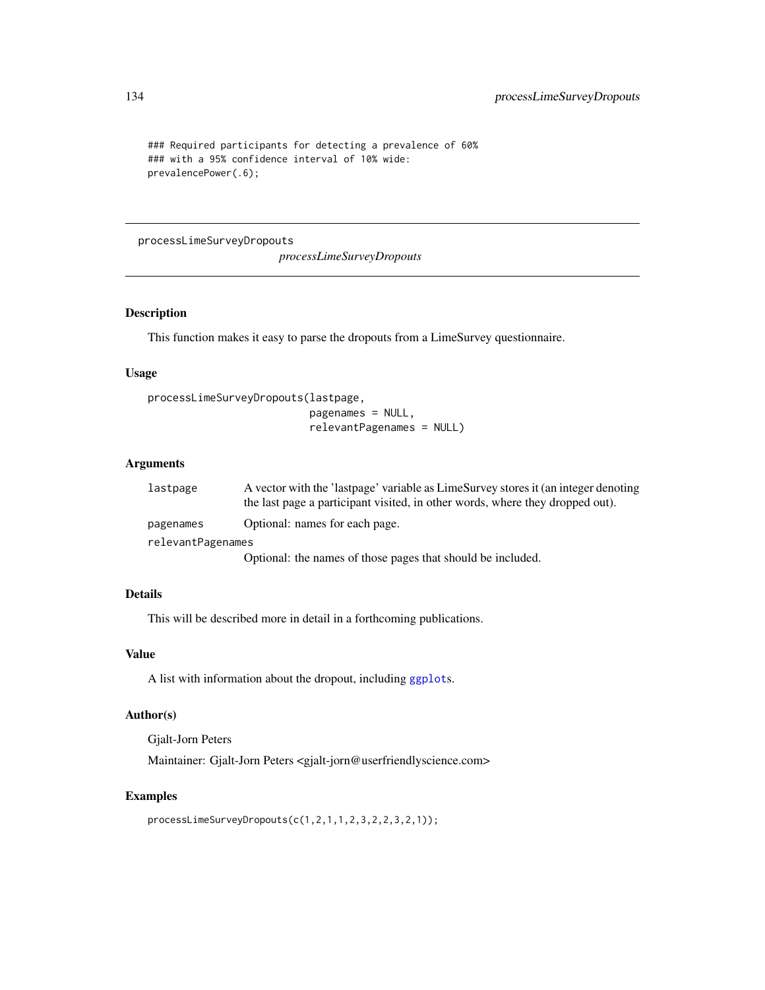```
### Required participants for detecting a prevalence of 60%
### with a 95% confidence interval of 10% wide:
prevalencePower(.6);
```
processLimeSurveyDropouts

*processLimeSurveyDropouts*

## Description

This function makes it easy to parse the dropouts from a LimeSurvey questionnaire.

#### Usage

```
processLimeSurveyDropouts(lastpage,
```
pagenames = NULL, relevantPagenames = NULL)

# Arguments

| lastpage          | A vector with the 'lastpage' variable as LimeSurvey stores it (an integer denoting |
|-------------------|------------------------------------------------------------------------------------|
|                   | the last page a participant visited, in other words, where they dropped out).      |
| pagenames         | Optional: names for each page.                                                     |
| relevantPagenames |                                                                                    |
|                   | Optional: the names of those pages that should be included.                        |

# Details

This will be described more in detail in a forthcoming publications.

# Value

A list with information about the dropout, including [ggplot](#page-0-0)s.

# Author(s)

Gjalt-Jorn Peters

Maintainer: Gjalt-Jorn Peters <gjalt-jorn@userfriendlyscience.com>

# Examples

```
processLimeSurveyDropouts(c(1,2,1,1,2,3,2,2,3,2,1));
```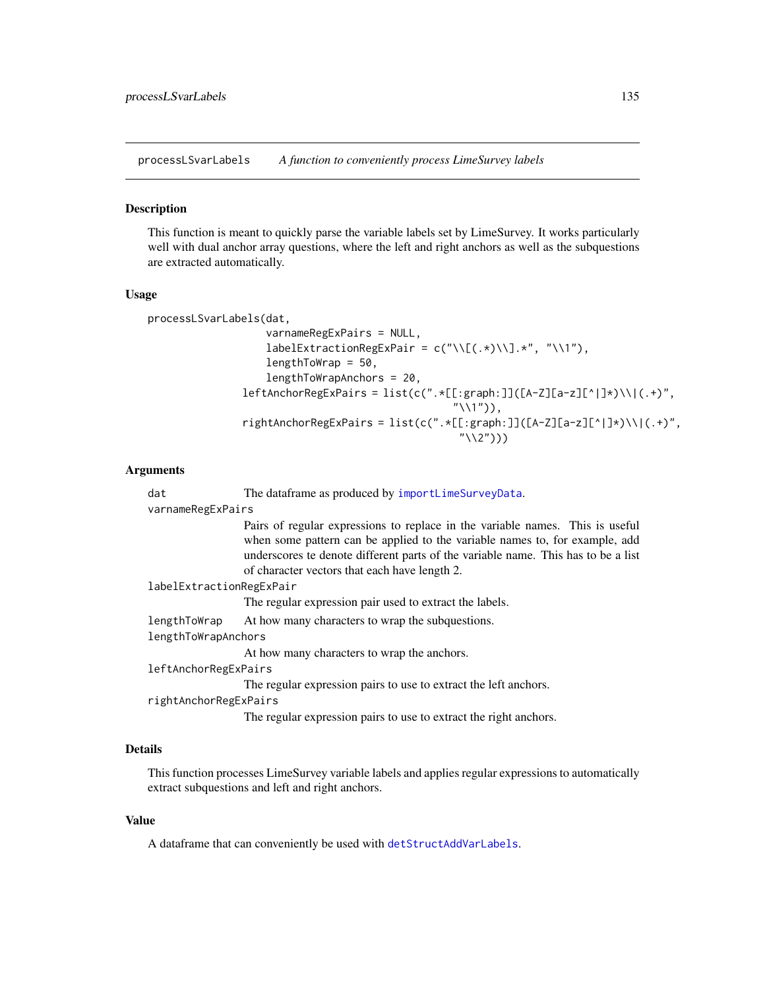processLSvarLabels *A function to conveniently process LimeSurvey labels*

#### **Description**

This function is meant to quickly parse the variable labels set by LimeSurvey. It works particularly well with dual anchor array questions, where the left and right anchors as well as the subquestions are extracted automatically.

#### Usage

processLSvarLabels(dat,

```
varnameRegExPairs = NULL,
   labelExtractionRegExPair = c("\\[(.*)\\].*", "\\1"),
   lengthToWrap = 50,
   lengthToWrapAnchors = 20,
leftAnother RegExpress Pairs = list(c(".*[[:graph:]]([A-Z][a-z][^*])\\\(-.*)","\1),
rightAnchorRegExPairs = list(c(".*[[:graph:]]([A-Z][a-z][^|]*)\\|(.+)",
                                    ''\(2''))
```
#### Arguments

dat The dataframe as produced by [importLimeSurveyData](#page-91-0).

varnameRegExPairs

Pairs of regular expressions to replace in the variable names. This is useful when some pattern can be applied to the variable names to, for example, add underscores te denote different parts of the variable name. This has to be a list of character vectors that each have length 2.

```
labelExtractionRegExPair
```
The regular expression pair used to extract the labels.

```
lengthToWrap At how many characters to wrap the subquestions.
```
lengthToWrapAnchors

At how many characters to wrap the anchors.

leftAnchorRegExPairs

The regular expression pairs to use to extract the left anchors.

```
rightAnchorRegExPairs
```
The regular expression pairs to use to extract the right anchors.

# Details

This function processes LimeSurvey variable labels and applies regular expressions to automatically extract subquestions and left and right anchors.

# Value

A dataframe that can conveniently be used with [detStructAddVarLabels](#page-45-0).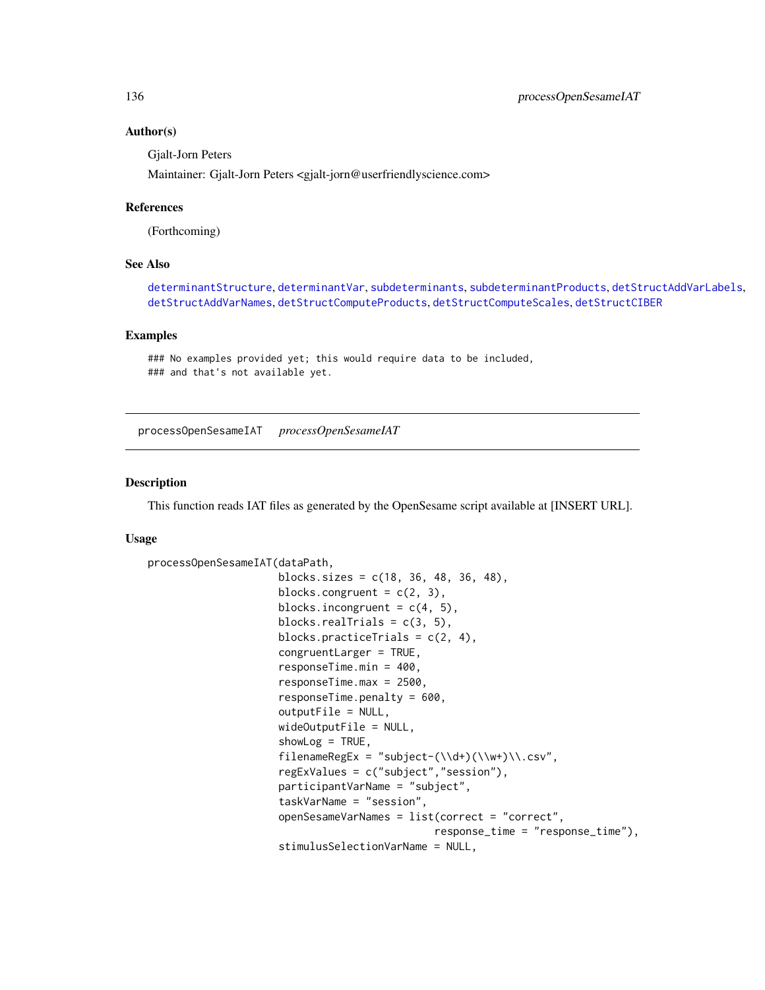## Author(s)

Gjalt-Jorn Peters

Maintainer: Gjalt-Jorn Peters <gjalt-jorn@userfriendlyscience.com>

## References

(Forthcoming)

## See Also

[determinantStructure](#page-43-0), [determinantVar](#page-43-1), [subdeterminants](#page-43-1), [subdeterminantProducts](#page-43-1), [detStructAddVarLabels](#page-45-0), [detStructAddVarNames](#page-45-0), [detStructComputeProducts](#page-45-0), [detStructComputeScales](#page-45-0), [detStructCIBER](#page-23-1)

# Examples

```
### No examples provided yet; this would require data to be included,
### and that's not available yet.
```
processOpenSesameIAT *processOpenSesameIAT*

# Description

This function reads IAT files as generated by the OpenSesame script available at [INSERT URL].

#### Usage

```
processOpenSesameIAT(dataPath,
```

```
blocks.sizes = c(18, 36, 48, 36, 48),
blocks.congruent = c(2, 3),
blocks.incongruent = c(4, 5),
blocks.realTrials = c(3, 5),
blocks.practiceTrials = c(2, 4),
congruentLarger = TRUE,
responseTime.min = 400,
responseTime.max = 2500,
responseTime.penalty = 600,
outputFile = NULL,
wideOutputFile = NULL,
showLog = TRUE,
filenameRegEx = "subject-(\lambda +)(\lambda +)(\lambda +))\\.csv",
regExValues = c("subject","session"),
participantVarName = "subject",
taskVarName = "session",
openSesameVarNames = list(correct = "correct",
                          response_time = "response_time"),
stimulusSelectionVarName = NULL,
```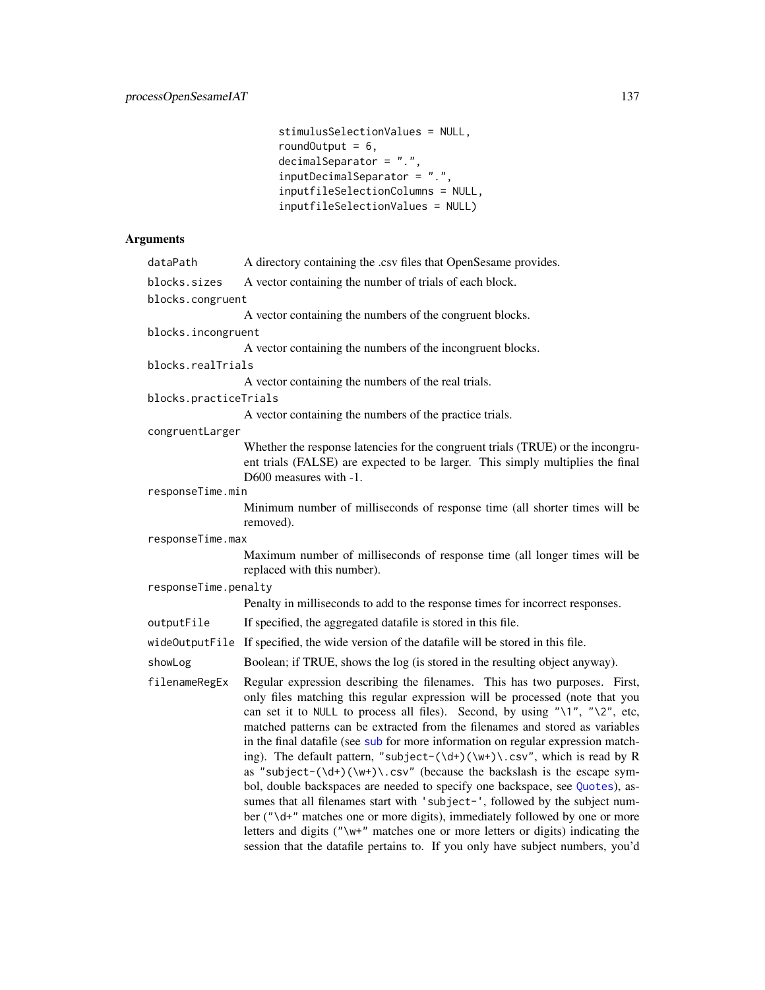```
stimulusSelectionValues = NULL,
roundOutput = 6,
decimalSeparator = ".",
inputDecimalSeparator = ".",
inputfileSelectionColumns = NULL,
inputfileSelectionValues = NULL)
```
# Arguments

| dataPath              | A directory containing the .csv files that OpenSesame provides.                                                                                                                                                                                                                                                                                                                                                                                                                                                                                                                                                                                                                                                                                                                                                                                                                                                                                                                                                                                           |
|-----------------------|-----------------------------------------------------------------------------------------------------------------------------------------------------------------------------------------------------------------------------------------------------------------------------------------------------------------------------------------------------------------------------------------------------------------------------------------------------------------------------------------------------------------------------------------------------------------------------------------------------------------------------------------------------------------------------------------------------------------------------------------------------------------------------------------------------------------------------------------------------------------------------------------------------------------------------------------------------------------------------------------------------------------------------------------------------------|
| blocks.sizes          | A vector containing the number of trials of each block.                                                                                                                                                                                                                                                                                                                                                                                                                                                                                                                                                                                                                                                                                                                                                                                                                                                                                                                                                                                                   |
| blocks.congruent      |                                                                                                                                                                                                                                                                                                                                                                                                                                                                                                                                                                                                                                                                                                                                                                                                                                                                                                                                                                                                                                                           |
|                       | A vector containing the numbers of the congruent blocks.                                                                                                                                                                                                                                                                                                                                                                                                                                                                                                                                                                                                                                                                                                                                                                                                                                                                                                                                                                                                  |
| blocks.incongruent    |                                                                                                                                                                                                                                                                                                                                                                                                                                                                                                                                                                                                                                                                                                                                                                                                                                                                                                                                                                                                                                                           |
|                       | A vector containing the numbers of the incongruent blocks.                                                                                                                                                                                                                                                                                                                                                                                                                                                                                                                                                                                                                                                                                                                                                                                                                                                                                                                                                                                                |
| blocks.realTrials     |                                                                                                                                                                                                                                                                                                                                                                                                                                                                                                                                                                                                                                                                                                                                                                                                                                                                                                                                                                                                                                                           |
|                       | A vector containing the numbers of the real trials.                                                                                                                                                                                                                                                                                                                                                                                                                                                                                                                                                                                                                                                                                                                                                                                                                                                                                                                                                                                                       |
| blocks.practiceTrials |                                                                                                                                                                                                                                                                                                                                                                                                                                                                                                                                                                                                                                                                                                                                                                                                                                                                                                                                                                                                                                                           |
|                       | A vector containing the numbers of the practice trials.                                                                                                                                                                                                                                                                                                                                                                                                                                                                                                                                                                                                                                                                                                                                                                                                                                                                                                                                                                                                   |
| congruentLarger       |                                                                                                                                                                                                                                                                                                                                                                                                                                                                                                                                                                                                                                                                                                                                                                                                                                                                                                                                                                                                                                                           |
|                       | Whether the response latencies for the congruent trials (TRUE) or the incongru-<br>ent trials (FALSE) are expected to be larger. This simply multiplies the final<br>D600 measures with -1.                                                                                                                                                                                                                                                                                                                                                                                                                                                                                                                                                                                                                                                                                                                                                                                                                                                               |
| responseTime.min      |                                                                                                                                                                                                                                                                                                                                                                                                                                                                                                                                                                                                                                                                                                                                                                                                                                                                                                                                                                                                                                                           |
|                       | Minimum number of milliseconds of response time (all shorter times will be<br>removed).                                                                                                                                                                                                                                                                                                                                                                                                                                                                                                                                                                                                                                                                                                                                                                                                                                                                                                                                                                   |
| responseTime.max      |                                                                                                                                                                                                                                                                                                                                                                                                                                                                                                                                                                                                                                                                                                                                                                                                                                                                                                                                                                                                                                                           |
|                       | Maximum number of milliseconds of response time (all longer times will be<br>replaced with this number).                                                                                                                                                                                                                                                                                                                                                                                                                                                                                                                                                                                                                                                                                                                                                                                                                                                                                                                                                  |
| responseTime.penalty  |                                                                                                                                                                                                                                                                                                                                                                                                                                                                                                                                                                                                                                                                                                                                                                                                                                                                                                                                                                                                                                                           |
|                       | Penalty in milliseconds to add to the response times for incorrect responses.                                                                                                                                                                                                                                                                                                                                                                                                                                                                                                                                                                                                                                                                                                                                                                                                                                                                                                                                                                             |
| outputFile            | If specified, the aggregated datafile is stored in this file.                                                                                                                                                                                                                                                                                                                                                                                                                                                                                                                                                                                                                                                                                                                                                                                                                                                                                                                                                                                             |
|                       | wideOutputFile If specified, the wide version of the datafile will be stored in this file.                                                                                                                                                                                                                                                                                                                                                                                                                                                                                                                                                                                                                                                                                                                                                                                                                                                                                                                                                                |
| showLog               | Boolean; if TRUE, shows the log (is stored in the resulting object anyway).                                                                                                                                                                                                                                                                                                                                                                                                                                                                                                                                                                                                                                                                                                                                                                                                                                                                                                                                                                               |
| filenameRegEx         | Regular expression describing the filenames. This has two purposes. First,<br>only files matching this regular expression will be processed (note that you<br>can set it to NULL to process all files). Second, by using "\1", "\2", etc,<br>matched patterns can be extracted from the filenames and stored as variables<br>in the final datafile (see sub for more information on regular expression match-<br>ing). The default pattern, "subject- $(\dagger)(\wagger)(\cdots)$ ", which is read by R<br>as "subject- $(\forall x + (x + y) \cdot (x + y) \cdot (x + y) \cdot (x + y)$ " (because the backslash is the escape sym-<br>bol, double backspaces are needed to specify one backspace, see Quotes), as-<br>sumes that all filenames start with 'subject-', followed by the subject num-<br>ber ("\d+" matches one or more digits), immediately followed by one or more<br>letters and digits ("\w+" matches one or more letters or digits) indicating the<br>session that the datafile pertains to. If you only have subject numbers, you'd |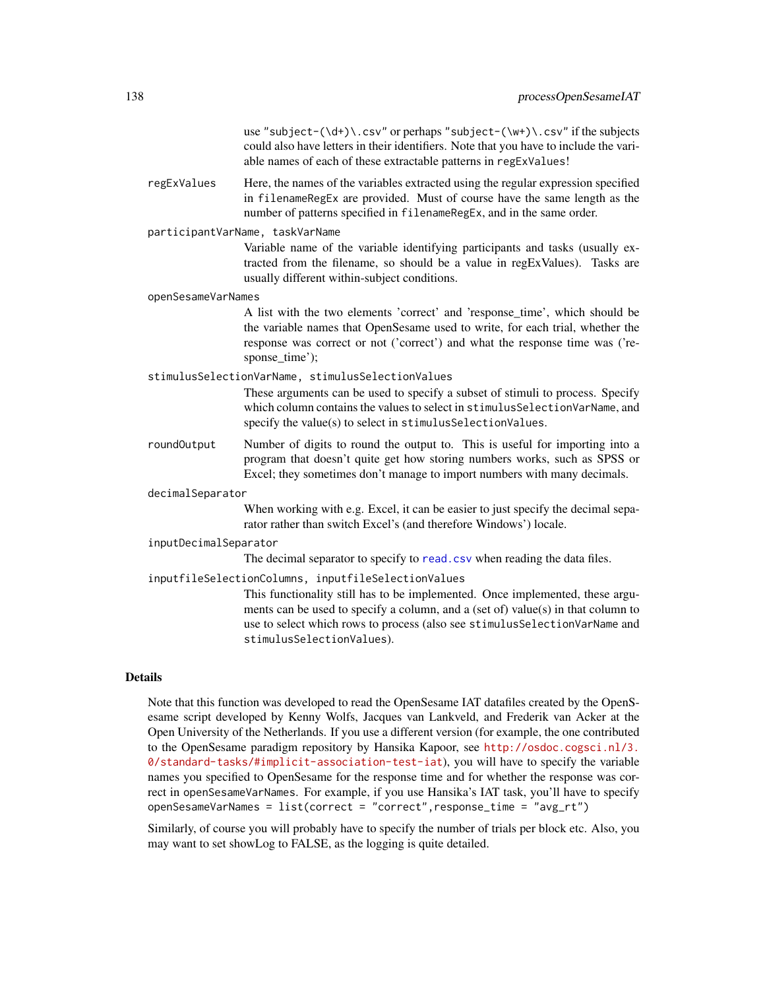use "subject- $(\dagger)$ .csv" or perhaps "subject- $(\wedge\psi)$ .csv" if the subjects could also have letters in their identifiers. Note that you have to include the variable names of each of these extractable patterns in regExValues!

regExValues Here, the names of the variables extracted using the regular expression specified in filenameRegEx are provided. Must of course have the same length as the number of patterns specified in filenameRegEx, and in the same order.

#### participantVarName, taskVarName

Variable name of the variable identifying participants and tasks (usually extracted from the filename, so should be a value in regExValues). Tasks are usually different within-subject conditions.

#### openSesameVarNames

A list with the two elements 'correct' and 'response\_time', which should be the variable names that OpenSesame used to write, for each trial, whether the response was correct or not ('correct') and what the response time was ('response\_time');

## stimulusSelectionVarName, stimulusSelectionValues

These arguments can be used to specify a subset of stimuli to process. Specify which column contains the values to select in stimulusSelectionVarName, and specify the value(s) to select in stimulusSelectionValues.

roundOutput Number of digits to round the output to. This is useful for importing into a program that doesn't quite get how storing numbers works, such as SPSS or Excel; they sometimes don't manage to import numbers with many decimals.

## decimalSeparator

When working with e.g. Excel, it can be easier to just specify the decimal separator rather than switch Excel's (and therefore Windows') locale.

#### inputDecimalSeparator

The decimal separator to specify to [read.csv](#page-0-0) when reading the data files.

## inputfileSelectionColumns, inputfileSelectionValues

This functionality still has to be implemented. Once implemented, these arguments can be used to specify a column, and a (set of) value(s) in that column to use to select which rows to process (also see stimulusSelectionVarName and stimulusSelectionValues).

## Details

Note that this function was developed to read the OpenSesame IAT datafiles created by the OpenSesame script developed by Kenny Wolfs, Jacques van Lankveld, and Frederik van Acker at the Open University of the Netherlands. If you use a different version (for example, the one contributed to the OpenSesame paradigm repository by Hansika Kapoor, see [http://osdoc.cogsci.nl/3.](http://osdoc.cogsci.nl/3.0/standard-tasks/#implicit-association-test-iat) [0/standard-tasks/#implicit-association-test-iat](http://osdoc.cogsci.nl/3.0/standard-tasks/#implicit-association-test-iat)), you will have to specify the variable names you specified to OpenSesame for the response time and for whether the response was correct in openSesameVarNames. For example, if you use Hansika's IAT task, you'll have to specify openSesameVarNames = list(correct = "correct",response\_time = "avg\_rt")

Similarly, of course you will probably have to specify the number of trials per block etc. Also, you may want to set showLog to FALSE, as the logging is quite detailed.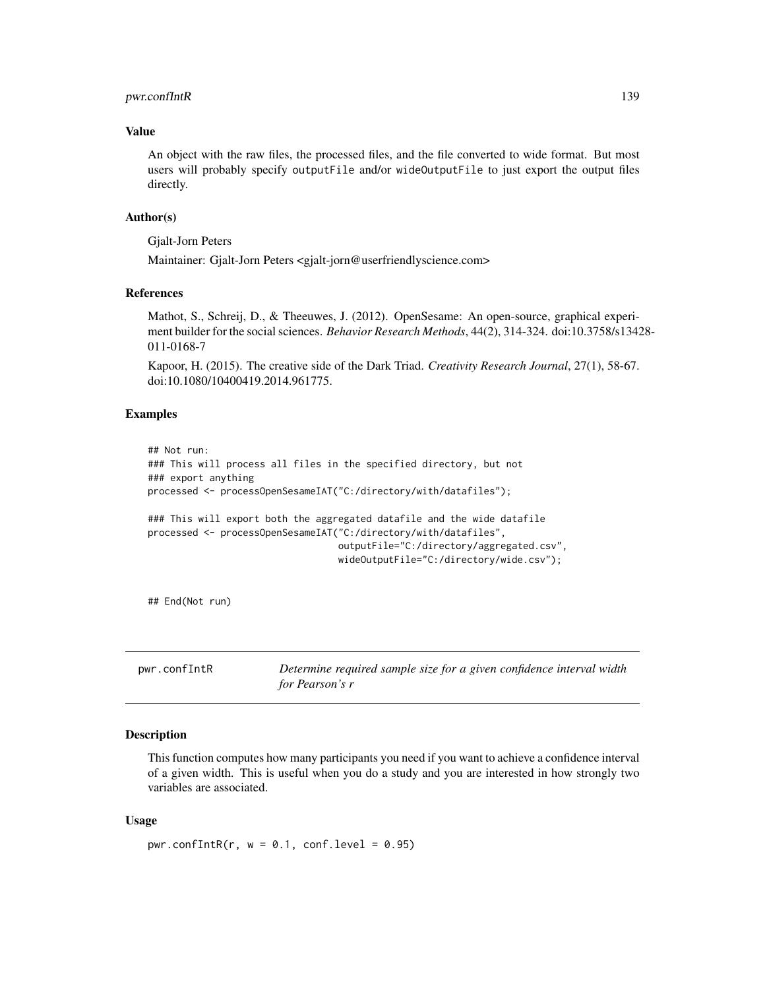# pwr.confIntR 139

## Value

An object with the raw files, the processed files, and the file converted to wide format. But most users will probably specify outputFile and/or wideOutputFile to just export the output files directly.

#### Author(s)

Gjalt-Jorn Peters

Maintainer: Gjalt-Jorn Peters <gjalt-jorn@userfriendlyscience.com>

#### References

Mathot, S., Schreij, D., & Theeuwes, J. (2012). OpenSesame: An open-source, graphical experiment builder for the social sciences. *Behavior Research Methods*, 44(2), 314-324. doi:10.3758/s13428- 011-0168-7

Kapoor, H. (2015). The creative side of the Dark Triad. *Creativity Research Journal*, 27(1), 58-67. doi:10.1080/10400419.2014.961775.

## Examples

```
## Not run:
### This will process all files in the specified directory, but not
### export anything
processed <- processOpenSesameIAT("C:/directory/with/datafiles");
### This will export both the aggregated datafile and the wide datafile
processed <- processOpenSesameIAT("C:/directory/with/datafiles",
                                  outputFile="C:/directory/aggregated.csv",
                                  wideOutputFile="C:/directory/wide.csv");
```
## End(Not run)

<span id="page-138-0"></span>pwr.confIntR *Determine required sample size for a given confidence interval width for Pearson's r*

## Description

This function computes how many participants you need if you want to achieve a confidence interval of a given width. This is useful when you do a study and you are interested in how strongly two variables are associated.

#### Usage

```
pwr.contribR(r, w = 0.1, conf.level = 0.95)
```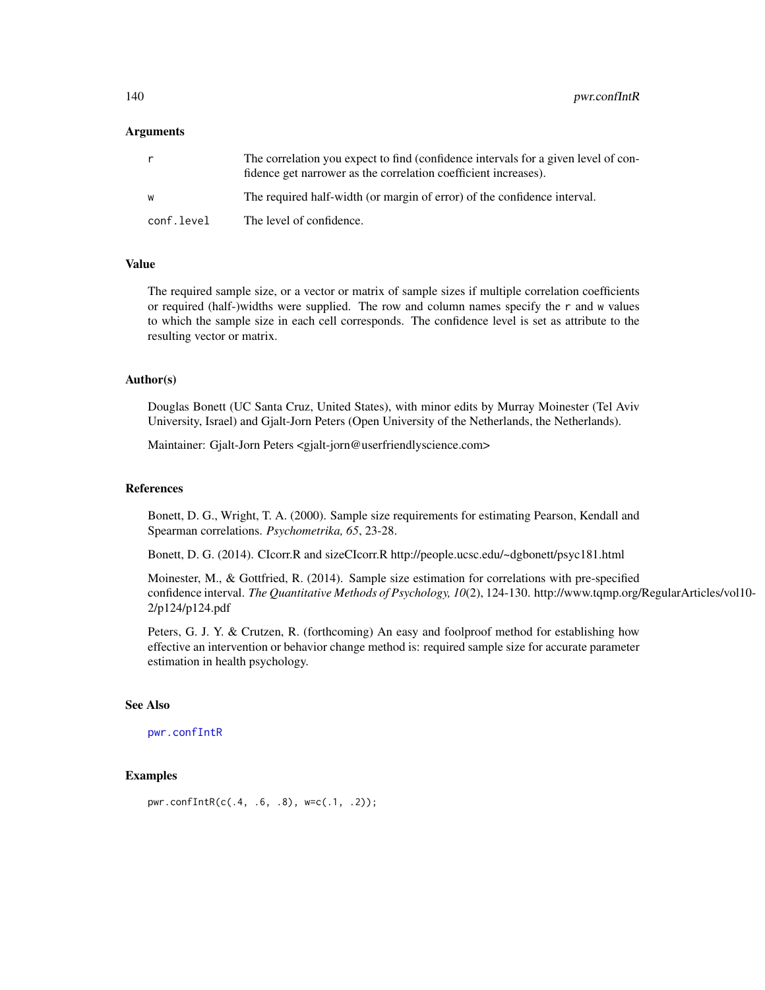140 pwr.conflntR

## Arguments

| r          | The correlation you expect to find (confidence intervals for a given level of con-<br>fidence get narrower as the correlation coefficient increases). |
|------------|-------------------------------------------------------------------------------------------------------------------------------------------------------|
| W          | The required half-width (or margin of error) of the confidence interval.                                                                              |
| conf.level | The level of confidence.                                                                                                                              |

#### Value

The required sample size, or a vector or matrix of sample sizes if multiple correlation coefficients or required (half-)widths were supplied. The row and column names specify the r and w values to which the sample size in each cell corresponds. The confidence level is set as attribute to the resulting vector or matrix.

## Author(s)

Douglas Bonett (UC Santa Cruz, United States), with minor edits by Murray Moinester (Tel Aviv University, Israel) and Gjalt-Jorn Peters (Open University of the Netherlands, the Netherlands).

Maintainer: Gjalt-Jorn Peters <gjalt-jorn@userfriendlyscience.com>

# References

Bonett, D. G., Wright, T. A. (2000). Sample size requirements for estimating Pearson, Kendall and Spearman correlations. *Psychometrika, 65*, 23-28.

Bonett, D. G. (2014). CIcorr.R and sizeCIcorr.R http://people.ucsc.edu/~dgbonett/psyc181.html

Moinester, M., & Gottfried, R. (2014). Sample size estimation for correlations with pre-specified confidence interval. *The Quantitative Methods of Psychology, 10*(2), 124-130. http://www.tqmp.org/RegularArticles/vol10- 2/p124/p124.pdf

Peters, G. J. Y. & Crutzen, R. (forthcoming) An easy and foolproof method for establishing how effective an intervention or behavior change method is: required sample size for accurate parameter estimation in health psychology.

### See Also

[pwr.confIntR](#page-138-0)

# Examples

```
pwr.confIntR(c(.4, .6, .8), w=c(.1, .2));
```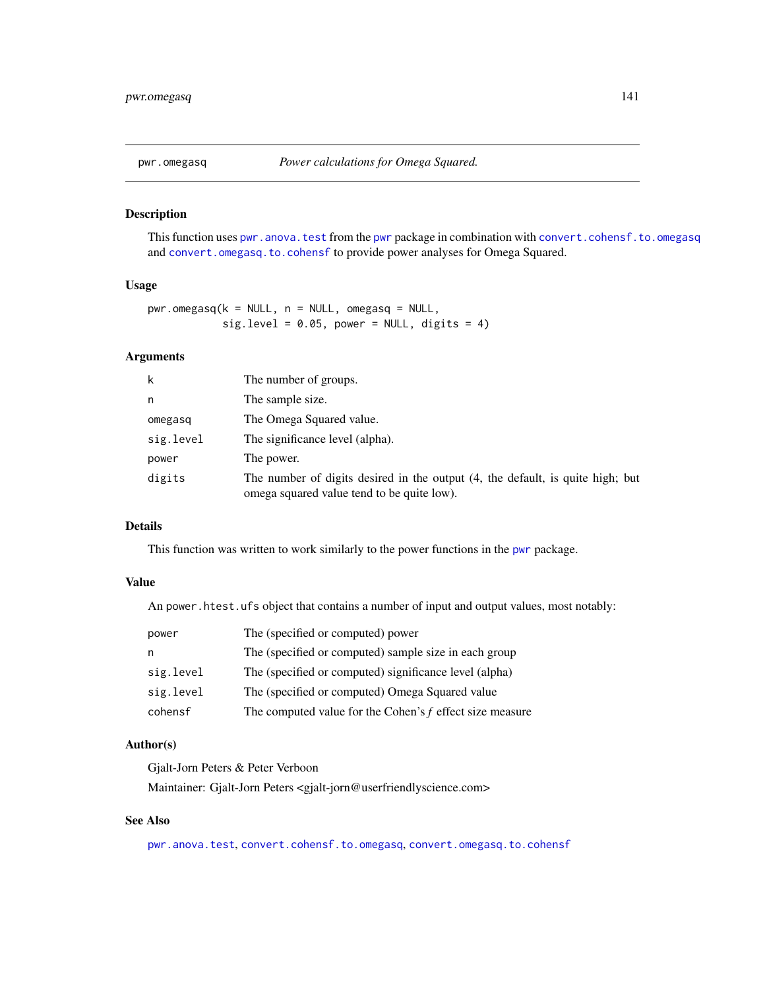# Description

This function uses [pwr.anova.test](#page-0-0) from the [pwr](#page-0-0) package in combination with [convert.cohensf.to.omegasq](#page-31-0) and [convert.omegasq.to.cohensf](#page-31-0) to provide power analyses for Omega Squared.

## Usage

```
pwr.omegasq(k = NULL, n = NULL, omegasq = NULL,
            sig.level = 0.05, power = NULL, digits = 4)
```
# Arguments

| k         | The number of groups.                                                                                                        |
|-----------|------------------------------------------------------------------------------------------------------------------------------|
| n         | The sample size.                                                                                                             |
| omegasq   | The Omega Squared value.                                                                                                     |
| sig.level | The significance level (alpha).                                                                                              |
| power     | The power.                                                                                                                   |
| digits    | The number of digits desired in the output (4, the default, is quite high; but<br>omega squared value tend to be quite low). |

# Details

This function was written to work similarly to the power functions in the [pwr](#page-0-0) package.

# Value

An power.htest.ufs object that contains a number of input and output values, most notably:

| power     | The (specified or computed) power                          |
|-----------|------------------------------------------------------------|
| n         | The (specified or computed) sample size in each group      |
| sig.level | The (specified or computed) significance level (alpha)     |
| sig.level | The (specified or computed) Omega Squared value            |
| cohensf   | The computed value for the Cohen's $f$ effect size measure |

#### Author(s)

Gjalt-Jorn Peters & Peter Verboon

Maintainer: Gjalt-Jorn Peters <gjalt-jorn@userfriendlyscience.com>

## See Also

[pwr.anova.test](#page-0-0), [convert.cohensf.to.omegasq](#page-31-0), [convert.omegasq.to.cohensf](#page-31-0)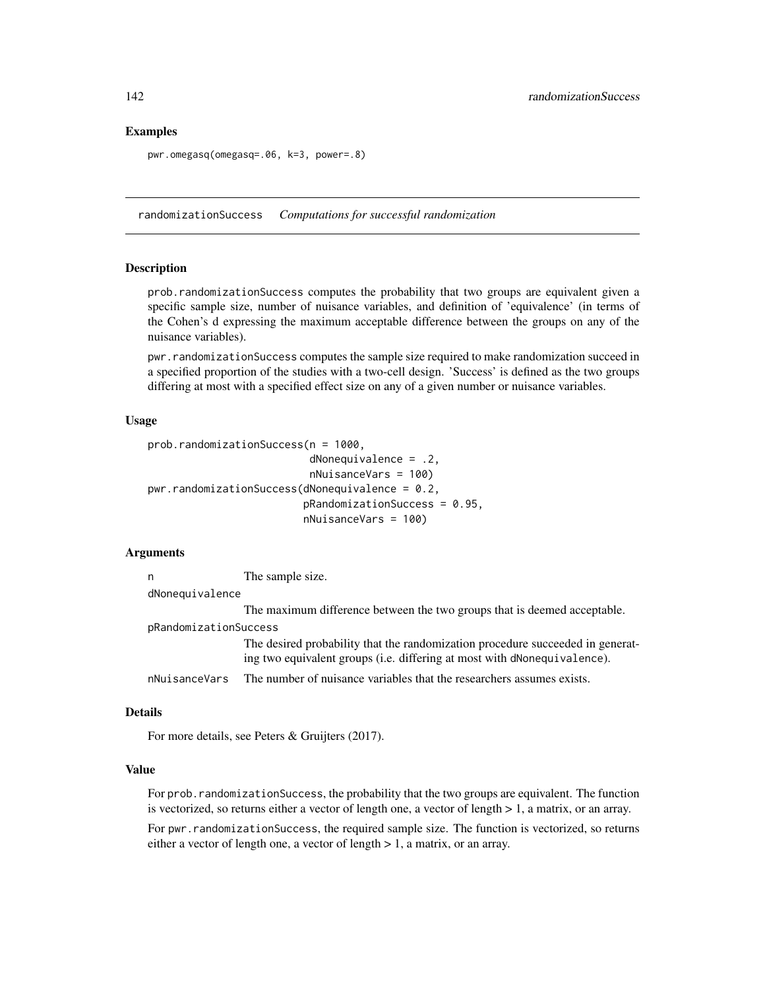## Examples

```
pwr.omegasq(omegasq=.06, k=3, power=.8)
```
randomizationSuccess *Computations for successful randomization*

## Description

prob.randomizationSuccess computes the probability that two groups are equivalent given a specific sample size, number of nuisance variables, and definition of 'equivalence' (in terms of the Cohen's d expressing the maximum acceptable difference between the groups on any of the nuisance variables).

pwr.randomizationSuccess computes the sample size required to make randomization succeed in a specified proportion of the studies with a two-cell design. 'Success' is defined as the two groups differing at most with a specified effect size on any of a given number or nuisance variables.

## Usage

```
prob.randomizationSuccess(n = 1000,
                          dNonequivalence = .2,
                          nNuisanceVars = 100)
pwr.randomizationSuccess(dNonequivalence = 0.2,
                         pRandomizationSuccess = 0.95,
                         nNuisanceVars = 100)
```
## Arguments

n The sample size.

dNonequivalence

The maximum difference between the two groups that is deemed acceptable.

pRandomizationSuccess

The desired probability that the randomization procedure succeeded in generating two equivalent groups (i.e. differing at most with dNonequivalence).

nNuisanceVars The number of nuisance variables that the researchers assumes exists.

#### Details

For more details, see Peters & Gruijters (2017).

# Value

For prob. randomization Success, the probability that the two groups are equivalent. The function is vectorized, so returns either a vector of length one, a vector of length > 1, a matrix, or an array.

For pwr.randomizationSuccess, the required sample size. The function is vectorized, so returns either a vector of length one, a vector of length > 1, a matrix, or an array.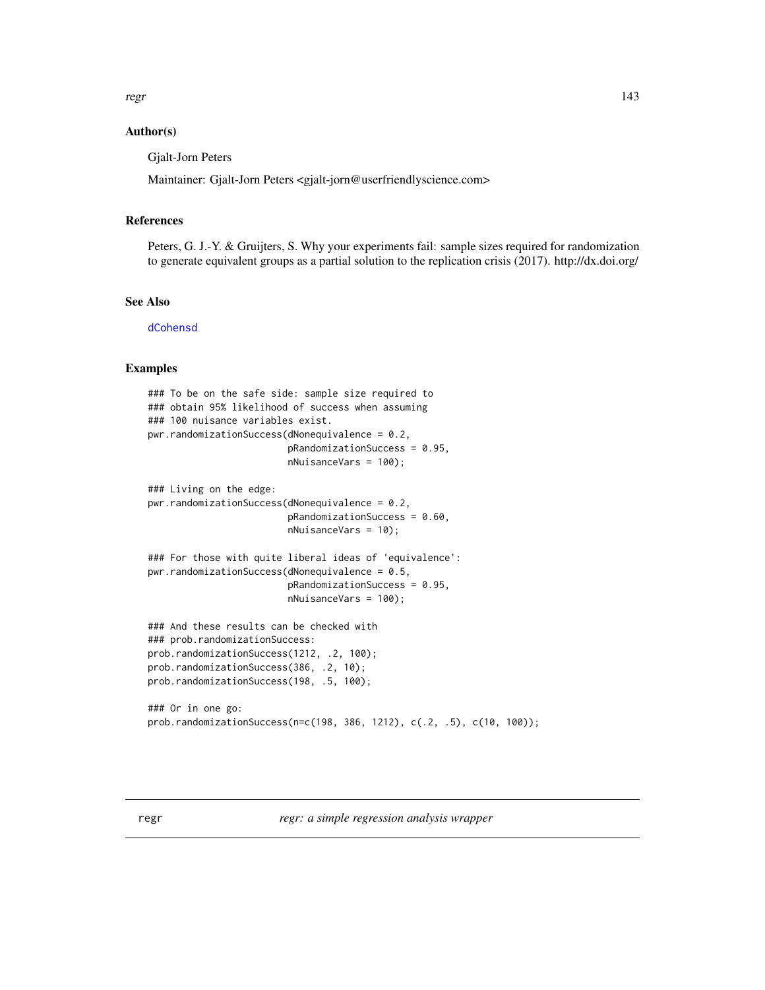regr and the contract of the contract of the contract of the contract of the contract of the contract of the contract of the contract of the contract of the contract of the contract of the contract of the contract of the c

## Author(s)

Gjalt-Jorn Peters

Maintainer: Gjalt-Jorn Peters <gjalt-jorn@userfriendlyscience.com>

# References

Peters, G. J.-Y. & Gruijters, S. Why your experiments fail: sample sizes required for randomization to generate equivalent groups as a partial solution to the replication crisis (2017). http://dx.doi.org/

# See Also

[dCohensd](#page-37-0)

# Examples

```
### To be on the safe side: sample size required to
### obtain 95% likelihood of success when assuming
### 100 nuisance variables exist.
pwr.randomizationSuccess(dNonequivalence = 0.2,
                         pRandomizationSuccess = 0.95,
                         nNuisanceVars = 100);
### Living on the edge:
pwr.randomizationSuccess(dNonequivalence = 0.2,
                         pRandomizationSuccess = 0.60,
                         nNuisanceVars = 10);
### For those with quite liberal ideas of 'equivalence':
pwr.randomizationSuccess(dNonequivalence = 0.5,
                         pRandomizationSuccess = 0.95,
                         nNuisanceVars = 100);
### And these results can be checked with
### prob.randomizationSuccess:
prob.randomizationSuccess(1212, .2, 100);
prob.randomizationSuccess(386, .2, 10);
prob.randomizationSuccess(198, .5, 100);
### Or in one go:
prob.randomizationSuccess(n=c(198, 386, 1212), c(.2, .5), c(10, 100));
```
regr *regr: a simple regression analysis wrapper*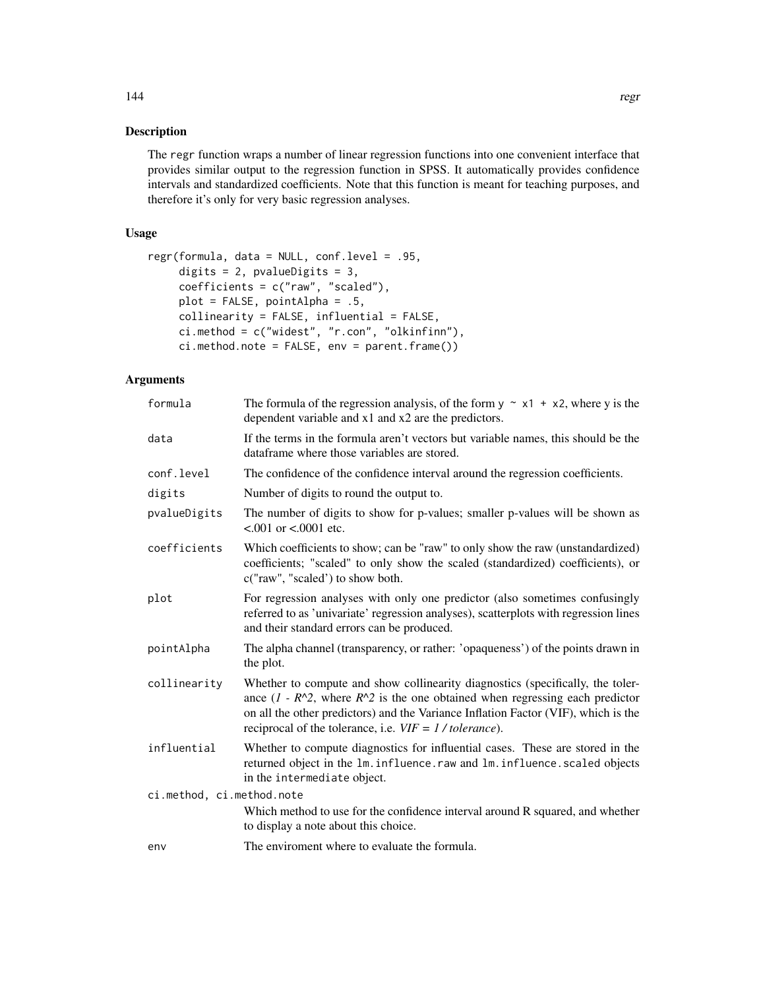## Description

The regr function wraps a number of linear regression functions into one convenient interface that provides similar output to the regression function in SPSS. It automatically provides confidence intervals and standardized coefficients. Note that this function is meant for teaching purposes, and therefore it's only for very basic regression analyses.

# Usage

```
regr(formula, data = NULL, conf.level = .95,
     digits = 2, pvalueDigits = 3,
     coefficients = c("raw", "scaled"),
     plot = FALSE, pointAlpha = .5,
     collinearity = FALSE, influential = FALSE,
     ci.method = c("widest", "r.con", "olkinfinn"),
     ci.method.note = FALSE, env = parent.frame())
```
# Arguments

| formula                   | The formula of the regression analysis, of the form $y \sim x1 + x2$ , where y is the<br>dependent variable and x1 and x2 are the predictors.                                                                                                                                                                           |
|---------------------------|-------------------------------------------------------------------------------------------------------------------------------------------------------------------------------------------------------------------------------------------------------------------------------------------------------------------------|
| data                      | If the terms in the formula aren't vectors but variable names, this should be the<br>dataframe where those variables are stored.                                                                                                                                                                                        |
| conf.level                | The confidence of the confidence interval around the regression coefficients.                                                                                                                                                                                                                                           |
| digits                    | Number of digits to round the output to.                                                                                                                                                                                                                                                                                |
| pvalueDigits              | The number of digits to show for p-values; smaller p-values will be shown as<br>$< 0.001$ or $< 0.0001$ etc.                                                                                                                                                                                                            |
| coefficients              | Which coefficients to show; can be "raw" to only show the raw (unstandardized)<br>coefficients; "scaled" to only show the scaled (standardized) coefficients), or<br>c("raw", "scaled") to show both.                                                                                                                   |
| plot                      | For regression analyses with only one predictor (also sometimes confusingly<br>referred to as 'univariate' regression analyses), scatterplots with regression lines<br>and their standard errors can be produced.                                                                                                       |
| pointAlpha                | The alpha channel (transparency, or rather: 'opaqueness') of the points drawn in<br>the plot.                                                                                                                                                                                                                           |
| collinearity              | Whether to compute and show collinearity diagnostics (specifically, the toler-<br>ance $(1 - R^2)$ , where $R^2$ is the one obtained when regressing each predictor<br>on all the other predictors) and the Variance Inflation Factor (VIF), which is the<br>reciprocal of the tolerance, i.e. $VIF = 1 / tolerance$ ). |
| influential               | Whether to compute diagnostics for influential cases. These are stored in the<br>returned object in the 1m. influence. raw and 1m. influence. scaled objects<br>in the intermediate object.                                                                                                                             |
| ci.method, ci.method.note |                                                                                                                                                                                                                                                                                                                         |
|                           | Which method to use for the confidence interval around R squared, and whether<br>to display a note about this choice.                                                                                                                                                                                                   |
| env                       | The enviroment where to evaluate the formula.                                                                                                                                                                                                                                                                           |
|                           |                                                                                                                                                                                                                                                                                                                         |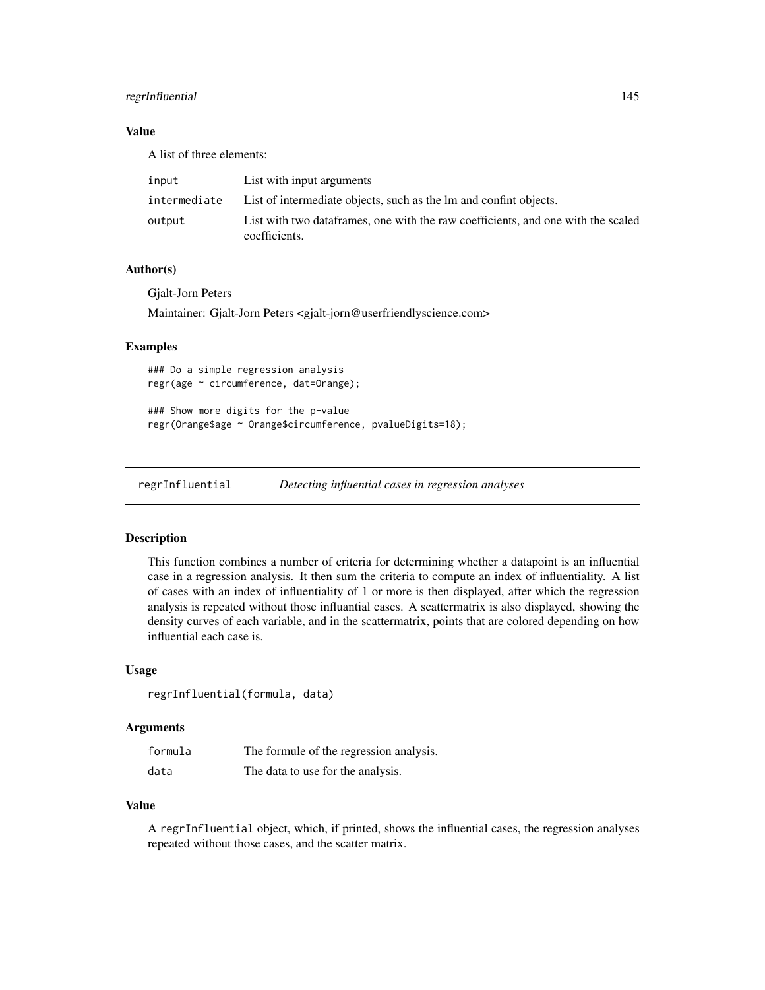# regrInfluential 145

## Value

A list of three elements:

| input        | List with input arguments                                                                         |
|--------------|---------------------------------------------------------------------------------------------------|
| intermediate | List of intermediate objects, such as the lm and confinit objects.                                |
| output       | List with two dataframes, one with the raw coefficients, and one with the scaled<br>coefficients. |

## Author(s)

Gjalt-Jorn Peters Maintainer: Gjalt-Jorn Peters <gjalt-jorn@userfriendlyscience.com>

## Examples

### Do a simple regression analysis regr(age ~ circumference, dat=Orange);

### Show more digits for the p-value regr(Orange\$age ~ Orange\$circumference, pvalueDigits=18);

regrInfluential *Detecting influential cases in regression analyses*

## Description

This function combines a number of criteria for determining whether a datapoint is an influential case in a regression analysis. It then sum the criteria to compute an index of influentiality. A list of cases with an index of influentiality of 1 or more is then displayed, after which the regression analysis is repeated without those influantial cases. A scattermatrix is also displayed, showing the density curves of each variable, and in the scattermatrix, points that are colored depending on how influential each case is.

#### Usage

regrInfluential(formula, data)

## **Arguments**

| formula | The formule of the regression analysis. |
|---------|-----------------------------------------|
| data    | The data to use for the analysis.       |

### Value

A regrInfluential object, which, if printed, shows the influential cases, the regression analyses repeated without those cases, and the scatter matrix.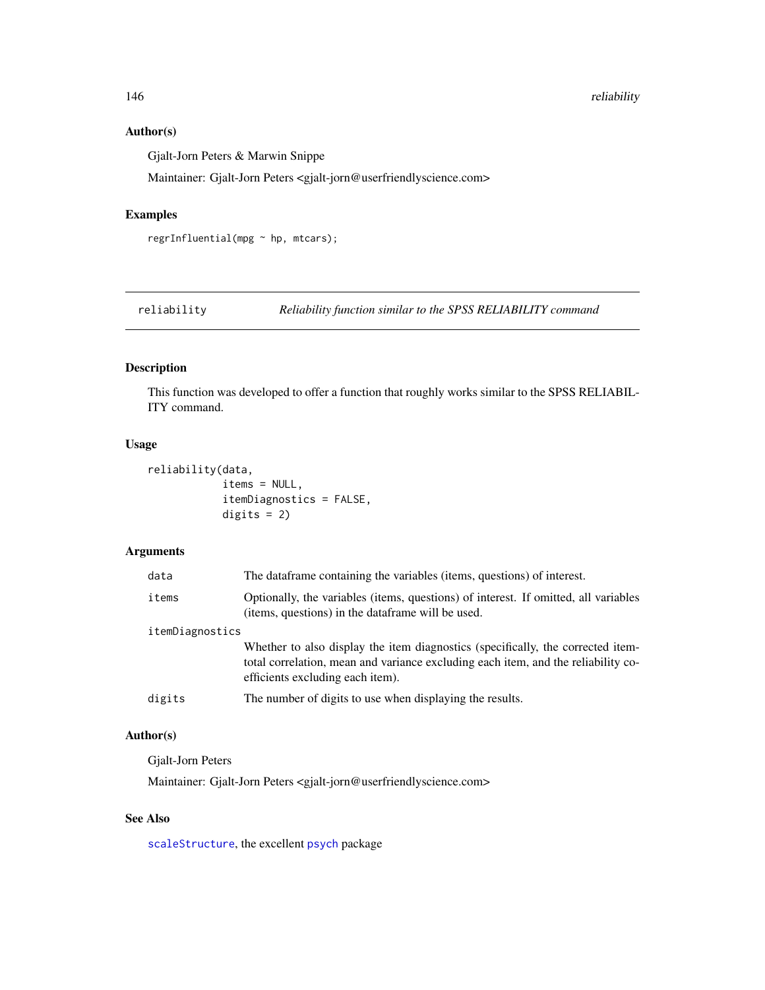# Author(s)

Gjalt-Jorn Peters & Marwin Snippe

Maintainer: Gjalt-Jorn Peters <gjalt-jorn@userfriendlyscience.com>

# Examples

```
regrInfluential(mpg ~ hp, mtcars);
```
reliability *Reliability function similar to the SPSS RELIABILITY command*

# Description

This function was developed to offer a function that roughly works similar to the SPSS RELIABIL-ITY command.

#### Usage

```
reliability(data,
            items = NULL,
            itemDiagnostics = FALSE,
            digits = 2)
```
# Arguments

| data            | The dataframe containing the variables (items, questions) of interest.                                                                                                                                   |
|-----------------|----------------------------------------------------------------------------------------------------------------------------------------------------------------------------------------------------------|
| items           | Optionally, the variables (items, questions) of interest. If omitted, all variables<br>(items, questions) in the dataframe will be used.                                                                 |
| itemDiagnostics |                                                                                                                                                                                                          |
|                 | Whether to also display the item diagnostics (specifically, the corrected item-<br>total correlation, mean and variance excluding each item, and the reliability co-<br>efficients excluding each item). |
| digits          | The number of digits to use when displaying the results.                                                                                                                                                 |
|                 |                                                                                                                                                                                                          |

# Author(s)

Gjalt-Jorn Peters

Maintainer: Gjalt-Jorn Peters <gjalt-jorn@userfriendlyscience.com>

# See Also

[scaleStructure](#page-158-0), the excellent [psych](#page-0-0) package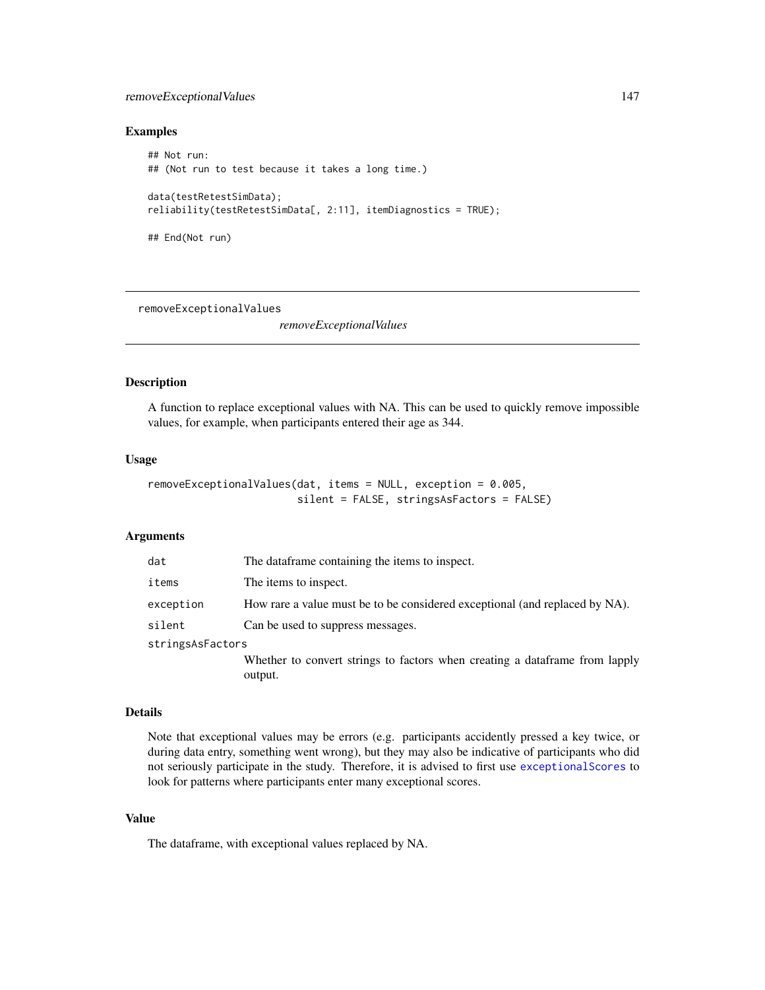# removeExceptionalValues 147

## Examples

```
## Not run:
## (Not run to test because it takes a long time.)
data(testRetestSimData);
reliability(testRetestSimData[, 2:11], itemDiagnostics = TRUE);
## End(Not run)
```
removeExceptionalValues

*removeExceptionalValues*

# Description

A function to replace exceptional values with NA. This can be used to quickly remove impossible values, for example, when participants entered their age as 344.

## Usage

```
removeExceptionalValues(dat, items = NULL, exception = 0.005,
                        silent = FALSE, stringsAsFactors = FALSE)
```
# Arguments

| dat              | The data frame containing the items to inspect.                                        |
|------------------|----------------------------------------------------------------------------------------|
| items            | The items to inspect.                                                                  |
| exception        | How rare a value must be to be considered exceptional (and replaced by NA).            |
| silent           | Can be used to suppress messages.                                                      |
| stringsAsFactors |                                                                                        |
|                  | Whether to convert strings to factors when creating a dataframe from lapply<br>output. |

#### Details

Note that exceptional values may be errors (e.g. participants accidently pressed a key twice, or during data entry, something went wrong), but they may also be indicative of participants who did not seriously participate in the study. Therefore, it is advised to first use [exceptionalScores](#page-57-0) to look for patterns where participants enter many exceptional scores.

# Value

The dataframe, with exceptional values replaced by NA.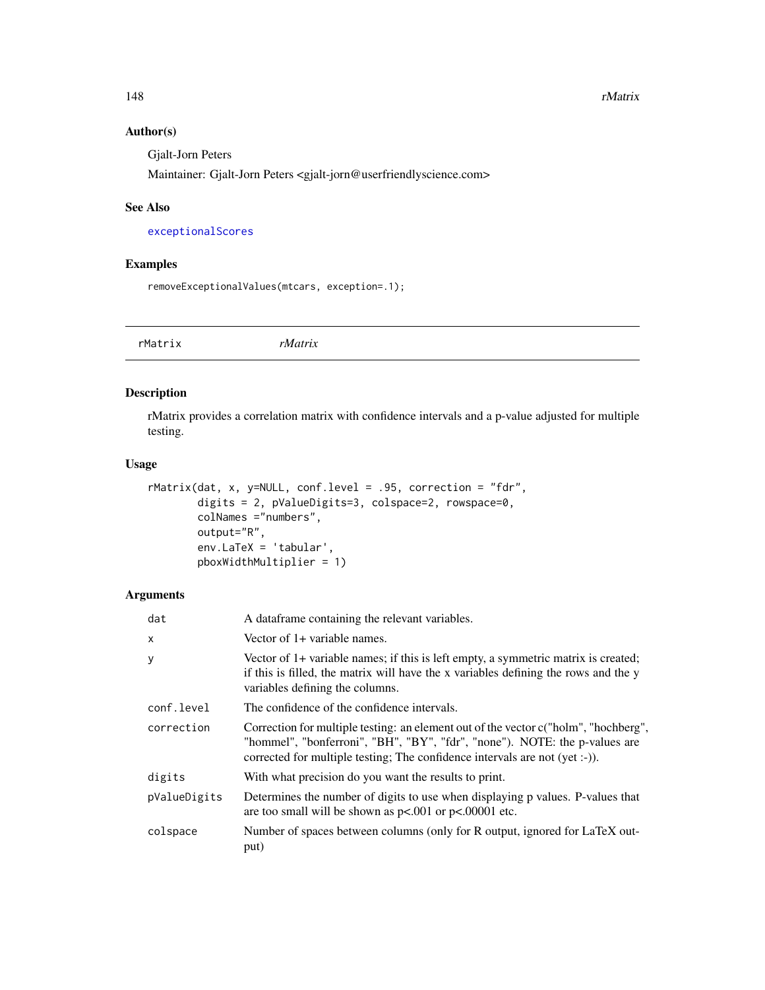# Author(s)

Gjalt-Jorn Peters

Maintainer: Gjalt-Jorn Peters <gjalt-jorn@userfriendlyscience.com>

## See Also

[exceptionalScores](#page-57-0)

# Examples

removeExceptionalValues(mtcars, exception=.1);

rMatrix *rMatrix*

# Description

rMatrix provides a correlation matrix with confidence intervals and a p-value adjusted for multiple testing.

## Usage

```
rMatrix(dat, x, y=NULL, conf.level = .95, correction = "fdr",
       digits = 2, pValueDigits=3, colspace=2, rowspace=0,
       colNames ="numbers",
       output="R",
       env.LaTeX = 'tabular',
       pboxWidthMultiplier = 1)
```
# Arguments

| dat          | A dataframe containing the relevant variables.                                                                                                                                                                                                   |
|--------------|--------------------------------------------------------------------------------------------------------------------------------------------------------------------------------------------------------------------------------------------------|
| X            | Vector of 1+ variable names.                                                                                                                                                                                                                     |
| У            | Vector of 1+ variable names; if this is left empty, a symmetric matrix is created;<br>if this is filled, the matrix will have the x variables defining the rows and the y<br>variables defining the columns.                                     |
| conf.level   | The confidence of the confidence intervals.                                                                                                                                                                                                      |
| correction   | Correction for multiple testing: an element out of the vector c("holm", "hochberg",<br>"hommel", "bonferroni", "BH", "BY", "fdr", "none"). NOTE: the p-values are<br>corrected for multiple testing; The confidence intervals are not (yet :-)). |
| digits       | With what precision do you want the results to print.                                                                                                                                                                                            |
| pValueDigits | Determines the number of digits to use when displaying p values. P-values that<br>are too small will be shown as $p<.001$ or $p<.00001$ etc.                                                                                                     |
| colspace     | Number of spaces between columns (only for R output, ignored for LaTeX out-<br>put)                                                                                                                                                              |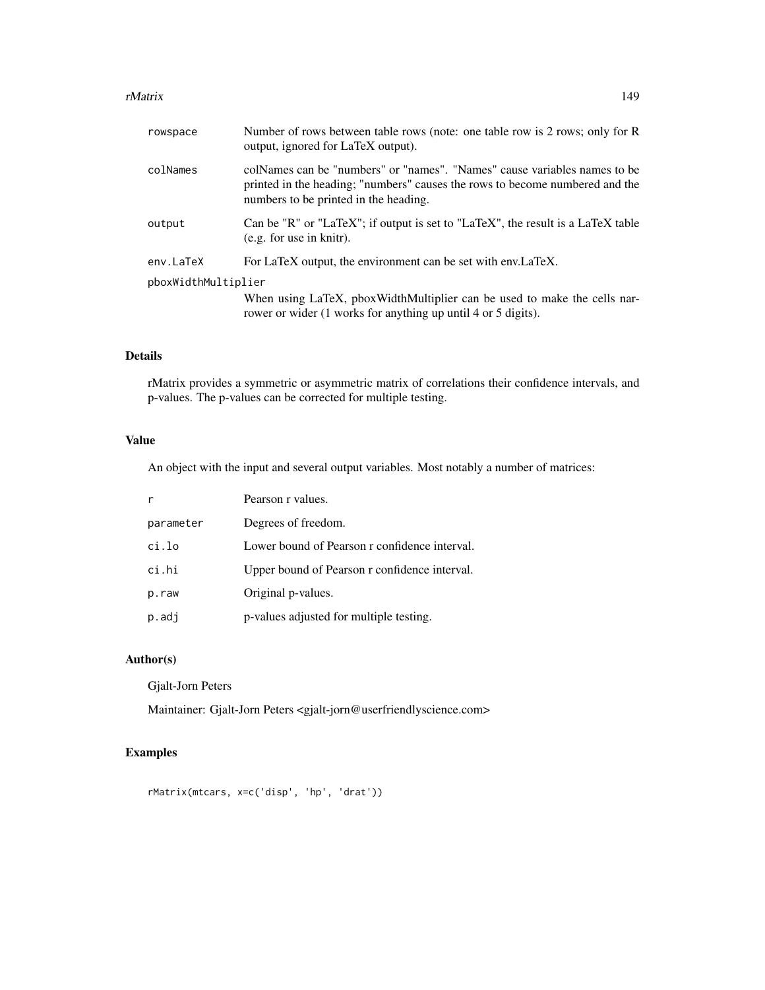#### rMatrix 2008 and 2008 and 2008 and 2008 and 2008 and 2008 and 2008 and 2008 and 2008 and 2008 and 2008 and 200

| rowspace            | Number of rows between table rows (note: one table row is 2 rows; only for R<br>output, ignored for LaTeX output).                                                                                 |
|---------------------|----------------------------------------------------------------------------------------------------------------------------------------------------------------------------------------------------|
| colNames            | colNames can be "numbers" or "names". "Names" cause variables names to be<br>printed in the heading; "numbers" causes the rows to become numbered and the<br>numbers to be printed in the heading. |
| output              | Can be "R" or "LaTeX"; if output is set to "LaTeX", the result is a LaTeX table<br>(e.g. for use in knitr).                                                                                        |
| env.LaTeX           | For LaTeX output, the environment can be set with env.LaTeX.                                                                                                                                       |
| pboxWidthMultiplier |                                                                                                                                                                                                    |
|                     | When using LaTeX, pboxWidthMultiplier can be used to make the cells nar-<br>rower or wider (1 works for anything up until 4 or 5 digits).                                                          |
|                     |                                                                                                                                                                                                    |

# Details

rMatrix provides a symmetric or asymmetric matrix of correlations their confidence intervals, and p-values. The p-values can be corrected for multiple testing.

# Value

An object with the input and several output variables. Most notably a number of matrices:

|           | Pearson r values.                             |
|-----------|-----------------------------------------------|
| parameter | Degrees of freedom.                           |
| ci.lo     | Lower bound of Pearson r confidence interval. |
| ci.hi     | Upper bound of Pearson r confidence interval. |
| p.raw     | Original p-values.                            |
| p.adj     | p-values adjusted for multiple testing.       |

# Author(s)

Gjalt-Jorn Peters

Maintainer: Gjalt-Jorn Peters <gjalt-jorn@userfriendlyscience.com>

# Examples

rMatrix(mtcars, x=c('disp', 'hp', 'drat'))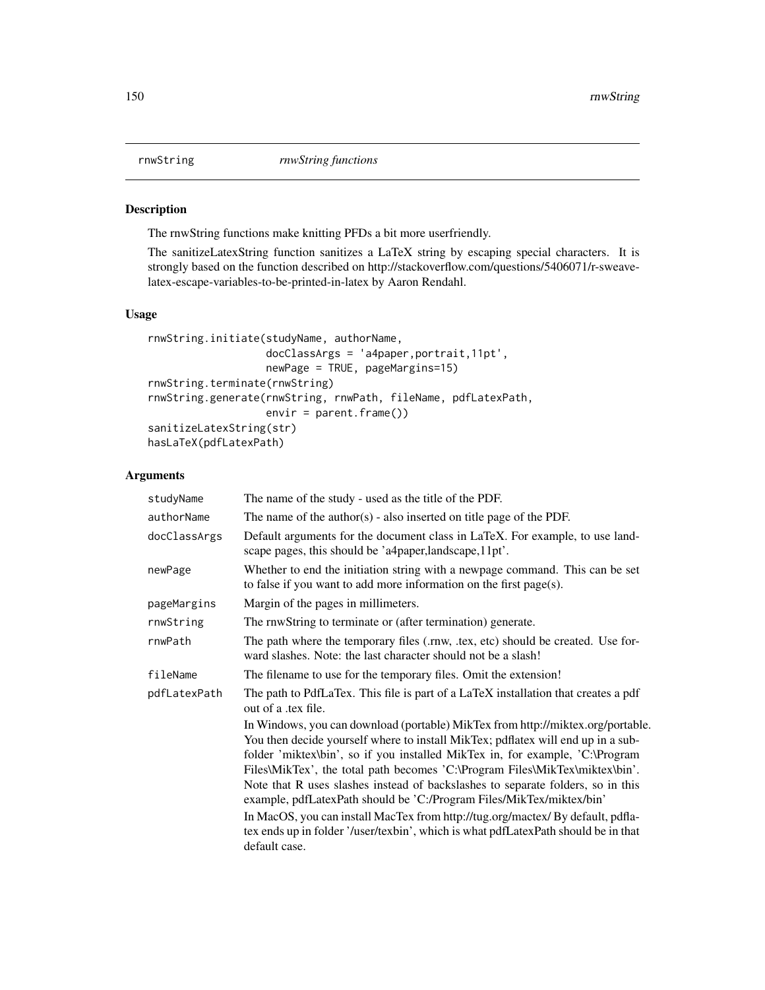<span id="page-149-0"></span>

### Description

The rnwString functions make knitting PFDs a bit more userfriendly.

The sanitizeLatexString function sanitizes a LaTeX string by escaping special characters. It is strongly based on the function described on http://stackoverflow.com/questions/5406071/r-sweavelatex-escape-variables-to-be-printed-in-latex by Aaron Rendahl.

# Usage

```
rnwString.initiate(studyName, authorName,
                   docClassArgs = 'a4paper,portrait,11pt',
                   newPage = TRUE, pageMargins=15)
rnwString.terminate(rnwString)
rnwString.generate(rnwString, rnwPath, fileName, pdfLatexPath,
                   envir = parent.frame())
sanitizeLatexString(str)
hasLaTeX(pdfLatexPath)
```
# Arguments

| studyName    | The name of the study - used as the title of the PDF.                                                                                                                                                                                                                                                                                                                                                                                                                                                                                                                                                                                                                                   |
|--------------|-----------------------------------------------------------------------------------------------------------------------------------------------------------------------------------------------------------------------------------------------------------------------------------------------------------------------------------------------------------------------------------------------------------------------------------------------------------------------------------------------------------------------------------------------------------------------------------------------------------------------------------------------------------------------------------------|
| authorName   | The name of the author(s) - also inserted on title page of the PDF.                                                                                                                                                                                                                                                                                                                                                                                                                                                                                                                                                                                                                     |
| docClassArgs | Default arguments for the document class in LaTeX. For example, to use land-<br>scape pages, this should be 'a4paper, landscape, 11pt'.                                                                                                                                                                                                                                                                                                                                                                                                                                                                                                                                                 |
| newPage      | Whether to end the initiation string with a newpage command. This can be set<br>to false if you want to add more information on the first $page(s)$ .                                                                                                                                                                                                                                                                                                                                                                                                                                                                                                                                   |
| pageMargins  | Margin of the pages in millimeters.                                                                                                                                                                                                                                                                                                                                                                                                                                                                                                                                                                                                                                                     |
| rnwString    | The rnwString to terminate or (after termination) generate.                                                                                                                                                                                                                                                                                                                                                                                                                                                                                                                                                                                                                             |
| rnwPath      | The path where the temporary files (.rnw, .tex, etc) should be created. Use for-<br>ward slashes. Note: the last character should not be a slash!                                                                                                                                                                                                                                                                                                                                                                                                                                                                                                                                       |
| fileName     | The filename to use for the temporary files. Omit the extension!                                                                                                                                                                                                                                                                                                                                                                                                                                                                                                                                                                                                                        |
| pdfLatexPath | The path to PdfLaTex. This file is part of a LaTeX installation that creates a pdf<br>out of a .tex file.                                                                                                                                                                                                                                                                                                                                                                                                                                                                                                                                                                               |
|              | In Windows, you can download (portable) MikTex from http://miktex.org/portable.<br>You then decide yourself where to install MikTex; pdflatex will end up in a sub-<br>folder 'miktex\bin', so if you installed MikTex in, for example, 'C:\Program<br>Files\MikTex', the total path becomes 'C:\Program Files\MikTex\miktex\bin'.<br>Note that R uses slashes instead of backslashes to separate folders, so in this<br>example, pdfLatexPath should be 'C:/Program Files/MikTex/miktex/bin'<br>In MacOS, you can install MacTex from http://tug.org/mactex/ By default, pdfla-<br>tex ends up in folder '/user/texbin', which is what pdfLatexPath should be in that<br>default case. |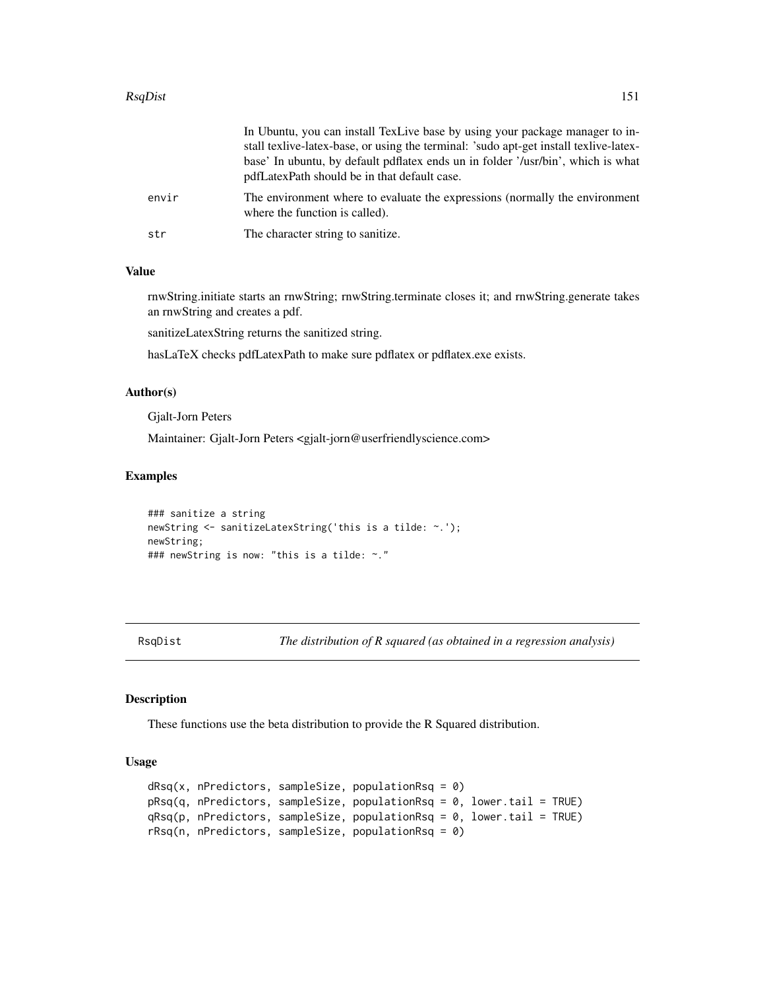#### RsqDist 151

|       | In Ubuntu, you can install TexLive base by using your package manager to in-<br>stall textive-latex-base, or using the terminal: 'sudo apt-get install textive-latex-<br>base' In ubuntu, by default pdflatex ends un in folder '/usr/bin', which is what<br>pdfLatexPath should be in that default case. |
|-------|-----------------------------------------------------------------------------------------------------------------------------------------------------------------------------------------------------------------------------------------------------------------------------------------------------------|
| envir | The environment where to evaluate the expressions (normally the environment<br>where the function is called).                                                                                                                                                                                             |
| str   | The character string to sanitize.                                                                                                                                                                                                                                                                         |

# Value

rnwString.initiate starts an rnwString; rnwString.terminate closes it; and rnwString.generate takes an rnwString and creates a pdf.

sanitizeLatexString returns the sanitized string.

hasLaTeX checks pdfLatexPath to make sure pdflatex or pdflatex.exe exists.

#### Author(s)

Gjalt-Jorn Peters

Maintainer: Gjalt-Jorn Peters <gjalt-jorn@userfriendlyscience.com>

## Examples

```
### sanitize a string
newString <- sanitizeLatexString('this is a tilde: ~.');
newString;
### newString is now: "this is a tilde: ~."
```
RsqDist *The distribution of R squared (as obtained in a regression analysis)*

#### Description

These functions use the beta distribution to provide the R Squared distribution.

#### Usage

```
dRsq(x, nPredictors, sampleSize, populationRsq = 0)pRsq(q, nPredictors, sampleSize, populationRsq = 0, lower.tail = TRUE)qRsq(p, nPredictors, sampleSize, populationRsq = 0, lower.tail = TRUE)
rRsq(n, nPredictors, sampleSize, populationRsq = 0)
```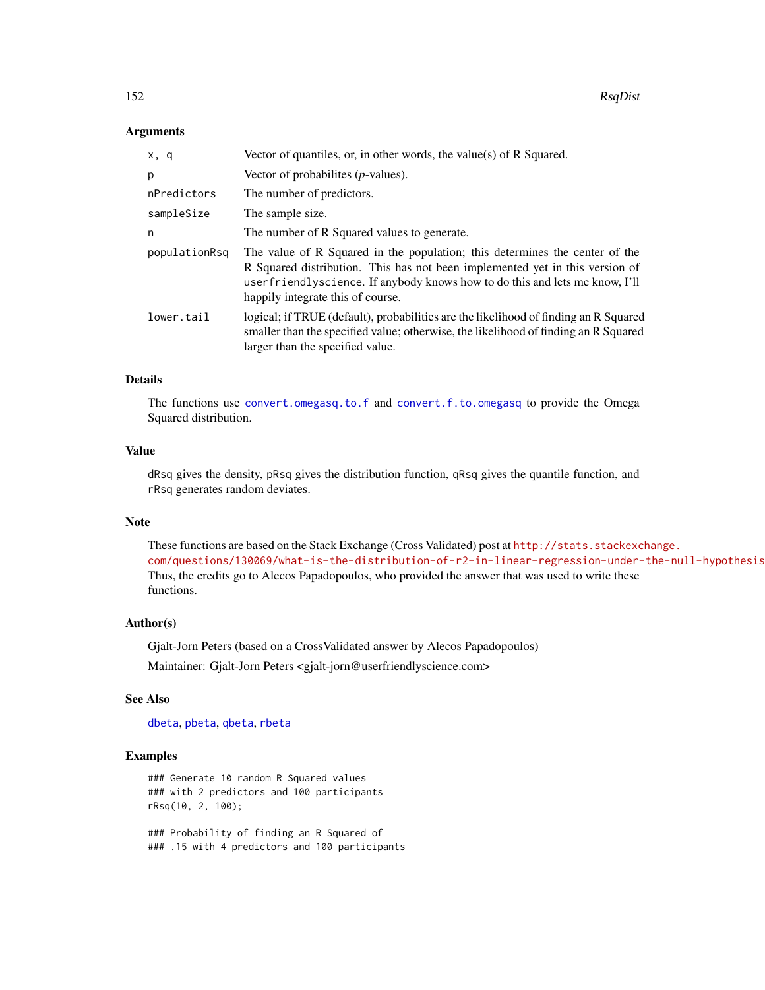## **Arguments**

| x, q          | Vector of quantiles, or, in other words, the value(s) of $R$ Squared.                                                                                                                                                                                                           |
|---------------|---------------------------------------------------------------------------------------------------------------------------------------------------------------------------------------------------------------------------------------------------------------------------------|
| p             | Vector of probabilities $(p$ -values).                                                                                                                                                                                                                                          |
| nPredictors   | The number of predictors.                                                                                                                                                                                                                                                       |
| sampleSize    | The sample size.                                                                                                                                                                                                                                                                |
| n             | The number of R Squared values to generate.                                                                                                                                                                                                                                     |
| populationRsq | The value of R Squared in the population; this determines the center of the<br>R Squared distribution. This has not been implemented yet in this version of<br>userfriendlyscience. If anybody knows how to do this and lets me know, I'll<br>happily integrate this of course. |
| lower.tail    | logical; if TRUE (default), probabilities are the likelihood of finding an R Squared<br>smaller than the specified value; otherwise, the likelihood of finding an R Squared<br>larger than the specified value.                                                                 |

# Details

The functions use [convert.omegasq.to.f](#page-31-0) and [convert.f.to.omegasq](#page-31-0) to provide the Omega Squared distribution.

## Value

dRsq gives the density, pRsq gives the distribution function, qRsq gives the quantile function, and rRsq generates random deviates.

## Note

These functions are based on the Stack Exchange (Cross Validated) post at [http://stats.stackexc](http://stats.stackexchange.com/questions/130069/what-is-the-distribution-of-r2-in-linear-regression-under-the-null-hypothesis)hange. [com/questions/130069/what-is-the-distribution-of-r2-in-linear-regression-under-the-null-hypothesis](http://stats.stackexchange.com/questions/130069/what-is-the-distribution-of-r2-in-linear-regression-under-the-null-hypothesis). Thus, the credits go to Alecos Papadopoulos, who provided the answer that was used to write these functions.

#### Author(s)

Gjalt-Jorn Peters (based on a CrossValidated answer by Alecos Papadopoulos) Maintainer: Gjalt-Jorn Peters <gjalt-jorn@userfriendlyscience.com>

## See Also

[dbeta](#page-0-0), [pbeta](#page-0-0), [qbeta](#page-0-0), [rbeta](#page-0-0)

#### Examples

### Generate 10 random R Squared values ### with 2 predictors and 100 participants rRsq(10, 2, 100);

### Probability of finding an R Squared of ### .15 with 4 predictors and 100 participants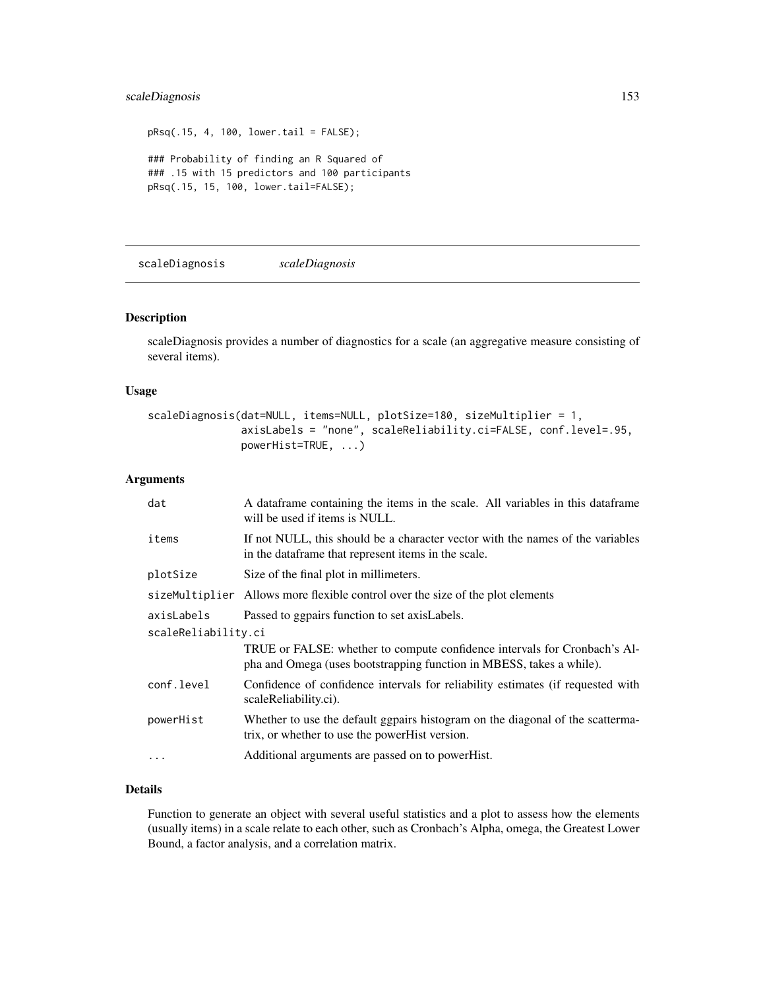# scaleDiagnosis 153

```
pRsq(.15, 4, 100, lower.tail = FALSE);### Probability of finding an R Squared of
### .15 with 15 predictors and 100 participants
pRsq(.15, 15, 100, lower.tail=FALSE);
```
<span id="page-152-0"></span>scaleDiagnosis *scaleDiagnosis*

## Description

scaleDiagnosis provides a number of diagnostics for a scale (an aggregative measure consisting of several items).

#### Usage

```
scaleDiagnosis(dat=NULL, items=NULL, plotSize=180, sizeMultiplier = 1,
               axisLabels = "none", scaleReliability.ci=FALSE, conf.level=.95,
               powerHist=TRUE, ...)
```
# Arguments

| dat                 | A data frame containing the items in the scale. All variables in this data frame<br>will be used if items is NULL.                                |  |
|---------------------|---------------------------------------------------------------------------------------------------------------------------------------------------|--|
| items               | If not NULL, this should be a character vector with the names of the variables<br>in the dataframe that represent items in the scale.             |  |
| plotSize            | Size of the final plot in millimeters.                                                                                                            |  |
|                     | size Multiplier Allows more flexible control over the size of the plot elements                                                                   |  |
| axisLabels          | Passed to ggpairs function to set axisLabels.                                                                                                     |  |
| scaleReliability.ci |                                                                                                                                                   |  |
|                     | TRUE or FALSE: whether to compute confidence intervals for Cronbach's Al-<br>pha and Omega (uses bootstrapping function in MBESS, takes a while). |  |
| conf.level          | Confidence of confidence intervals for reliability estimates (if requested with<br>scaleReliability.ci).                                          |  |
| powerHist           | Whether to use the default ggpairs histogram on the diagonal of the scatterma-<br>trix, or whether to use the powerHist version.                  |  |
| $\ddots$            | Additional arguments are passed on to powerHist.                                                                                                  |  |

# Details

Function to generate an object with several useful statistics and a plot to assess how the elements (usually items) in a scale relate to each other, such as Cronbach's Alpha, omega, the Greatest Lower Bound, a factor analysis, and a correlation matrix.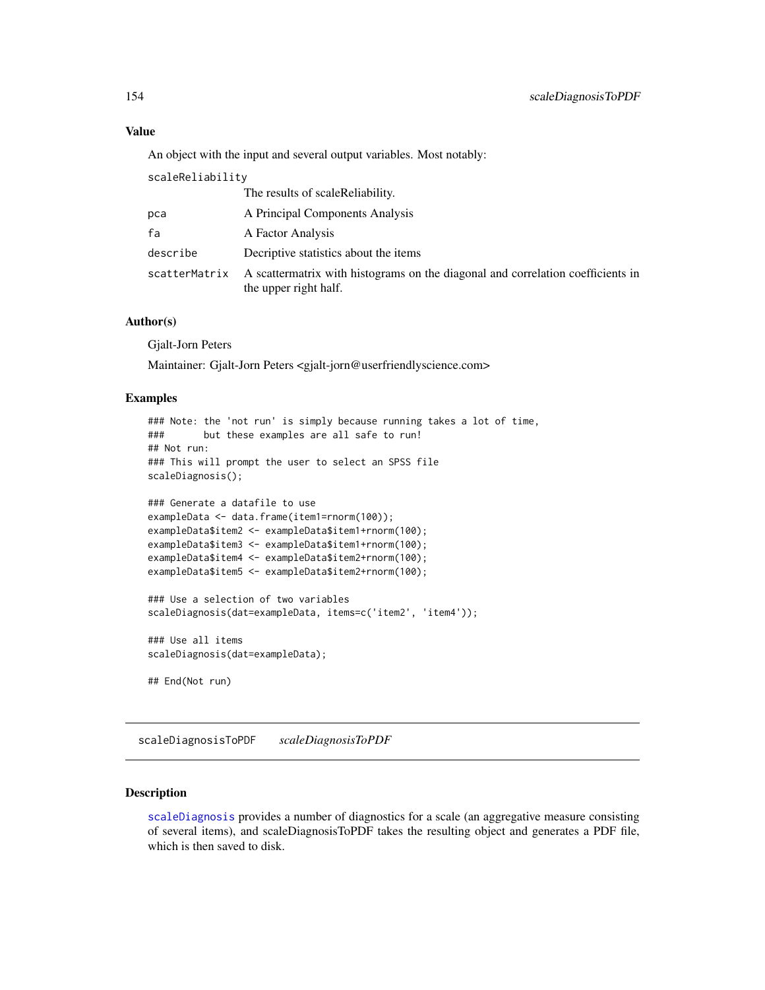## Value

An object with the input and several output variables. Most notably:

scaleReliability

|               | The results of scaleReliability.                                                                         |
|---------------|----------------------------------------------------------------------------------------------------------|
| рса           | A Principal Components Analysis                                                                          |
| fa            | A Factor Analysis                                                                                        |
| describe      | Decriptive statistics about the items                                                                    |
| scatterMatrix | A scattermatrix with histograms on the diagonal and correlation coefficients in<br>the upper right half. |

## Author(s)

Gjalt-Jorn Peters

Maintainer: Gjalt-Jorn Peters <gjalt-jorn@userfriendlyscience.com>

## Examples

```
### Note: the 'not run' is simply because running takes a lot of time,
### but these examples are all safe to run!
## Not run:
### This will prompt the user to select an SPSS file
scaleDiagnosis();
```

```
### Generate a datafile to use
exampleData <- data.frame(item1=rnorm(100));
exampleData$item2 <- exampleData$item1+rnorm(100);
exampleData$item3 <- exampleData$item1+rnorm(100);
exampleData$item4 <- exampleData$item2+rnorm(100);
exampleData$item5 <- exampleData$item2+rnorm(100);
### Use a selection of two variables
scaleDiagnosis(dat=exampleData, items=c('item2', 'item4'));
### Use all items
scaleDiagnosis(dat=exampleData);
```
## End(Not run)

scaleDiagnosisToPDF *scaleDiagnosisToPDF*

# Description

[scaleDiagnosis](#page-152-0) provides a number of diagnostics for a scale (an aggregative measure consisting of several items), and scaleDiagnosisToPDF takes the resulting object and generates a PDF file, which is then saved to disk.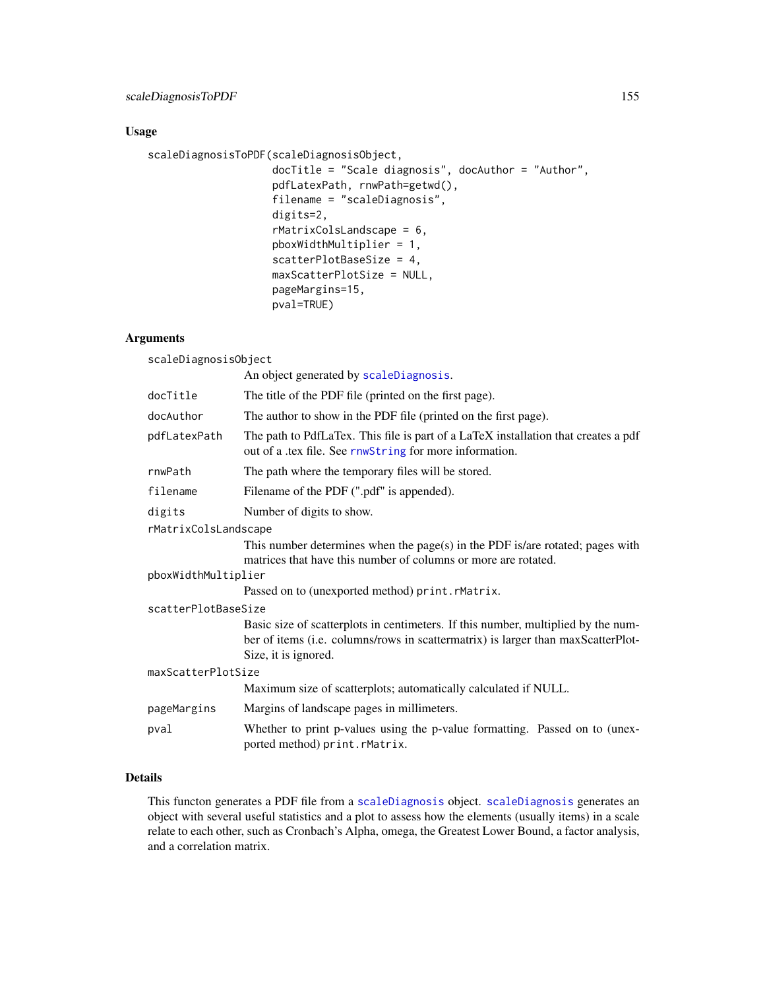# Usage

```
scaleDiagnosisToPDF(scaleDiagnosisObject,
                    docTitle = "Scale diagnosis", docAuthor = "Author",
                    pdfLatexPath, rnwPath=getwd(),
                    filename = "scaleDiagnosis",
                    digits=2,
                    rMatrixColsLandscape = 6,
                    pboxWidthMultiplier = 1,
                    scatterPlotBaseSize = 4,
                    maxScatterPlotSize = NULL,
                    pageMargins=15,
                    pval=TRUE)
```
# Arguments

scaleDiagnosisObject

|                      | An object generated by scaleDiagnosis.                                                                                                                                                        |  |
|----------------------|-----------------------------------------------------------------------------------------------------------------------------------------------------------------------------------------------|--|
| docTitle             | The title of the PDF file (printed on the first page).                                                                                                                                        |  |
| docAuthor            | The author to show in the PDF file (printed on the first page).                                                                                                                               |  |
| pdfLatexPath         | The path to PdfLaTex. This file is part of a LaTeX installation that creates a pdf<br>out of a .tex file. See rnwString for more information.                                                 |  |
| rnwPath              | The path where the temporary files will be stored.                                                                                                                                            |  |
| filename             | Filename of the PDF (".pdf" is appended).                                                                                                                                                     |  |
| digits               | Number of digits to show.                                                                                                                                                                     |  |
| rMatrixColsLandscape |                                                                                                                                                                                               |  |
|                      | This number determines when the page(s) in the PDF is/are rotated; pages with<br>matrices that have this number of columns or more are rotated.                                               |  |
| pboxWidthMultiplier  |                                                                                                                                                                                               |  |
|                      | Passed on to (unexported method) print.rMatrix.                                                                                                                                               |  |
| scatterPlotBaseSize  |                                                                                                                                                                                               |  |
|                      | Basic size of scatterplots in centimeters. If this number, multiplied by the num-<br>ber of items (i.e. columns/rows in scattermatrix) is larger than maxScatterPlot-<br>Size, it is ignored. |  |
| maxScatterPlotSize   |                                                                                                                                                                                               |  |
|                      | Maximum size of scatterplots; automatically calculated if NULL.                                                                                                                               |  |
| pageMargins          | Margins of landscape pages in millimeters.                                                                                                                                                    |  |
| pval                 | Whether to print p-values using the p-value formatting. Passed on to (unex-<br>ported method) print.rMatrix.                                                                                  |  |

# Details

This functon generates a PDF file from a [scaleDiagnosis](#page-152-0) object. [scaleDiagnosis](#page-152-0) generates an object with several useful statistics and a plot to assess how the elements (usually items) in a scale relate to each other, such as Cronbach's Alpha, omega, the Greatest Lower Bound, a factor analysis, and a correlation matrix.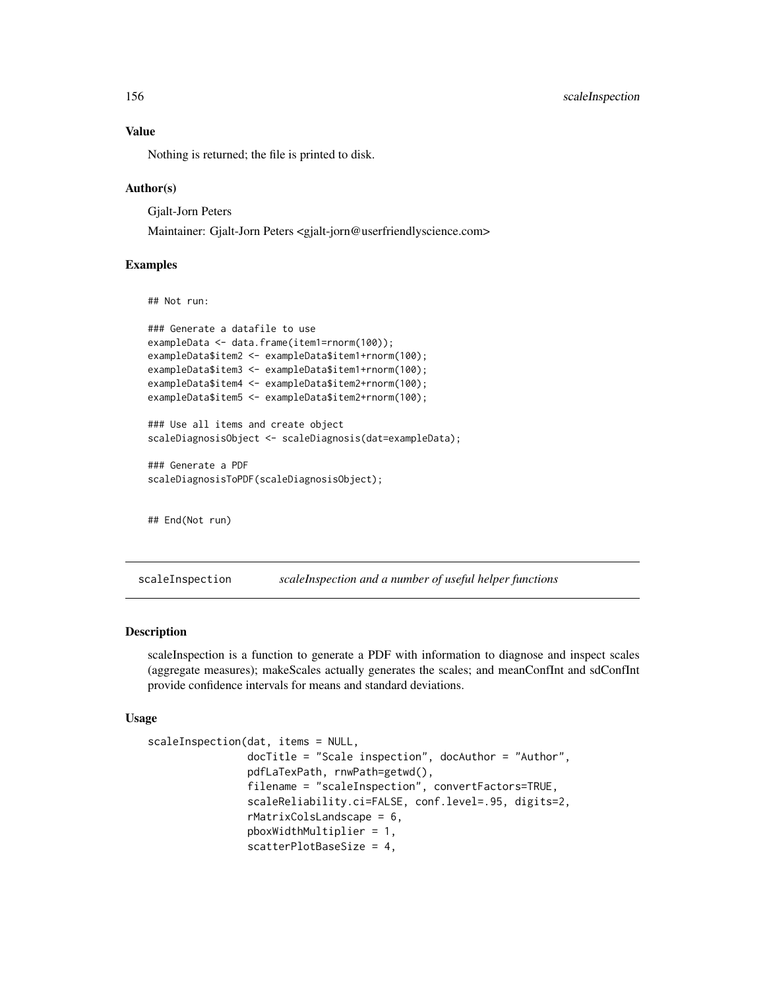Nothing is returned; the file is printed to disk.

## Author(s)

Gjalt-Jorn Peters

Maintainer: Gjalt-Jorn Peters <gjalt-jorn@userfriendlyscience.com>

## Examples

## Not run:

```
### Generate a datafile to use
exampleData <- data.frame(item1=rnorm(100));
exampleData$item2 <- exampleData$item1+rnorm(100);
exampleData$item3 <- exampleData$item1+rnorm(100);
exampleData$item4 <- exampleData$item2+rnorm(100);
exampleData$item5 <- exampleData$item2+rnorm(100);
### Use all items and create object
scaleDiagnosisObject <- scaleDiagnosis(dat=exampleData);
### Generate a PDF
scaleDiagnosisToPDF(scaleDiagnosisObject);
```
## End(Not run)

scaleInspection *scaleInspection and a number of useful helper functions*

## Description

scaleInspection is a function to generate a PDF with information to diagnose and inspect scales (aggregate measures); makeScales actually generates the scales; and meanConfInt and sdConfInt provide confidence intervals for means and standard deviations.

#### Usage

```
scaleInspection(dat, items = NULL,
                docTitle = "Scale inspection", docAuthor = "Author",
                pdfLaTexPath, rnwPath=getwd(),
                filename = "scaleInspection", convertFactors=TRUE,
                scaleReliability.ci=FALSE, conf.level=.95, digits=2,
                rMatrixColsLandscape = 6,
                pboxWidthMultiplier = 1,
                scatterPlotBaseSize = 4,
```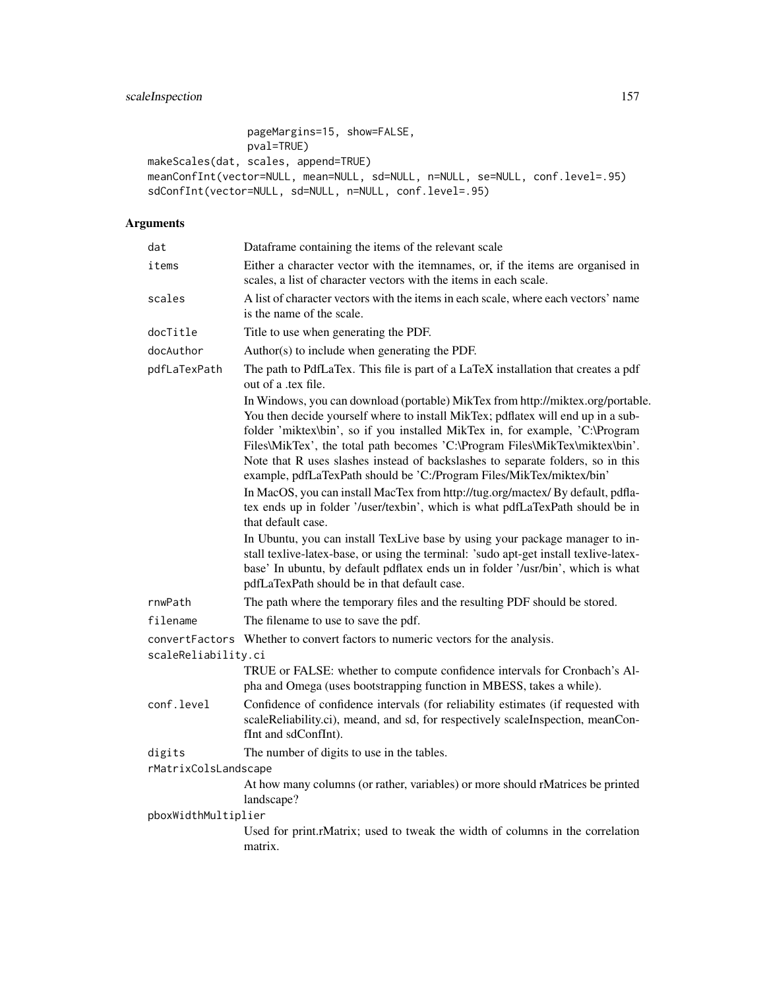```
pageMargins=15, show=FALSE,
               pval=TRUE)
makeScales(dat, scales, append=TRUE)
meanConfInt(vector=NULL, mean=NULL, sd=NULL, n=NULL, se=NULL, conf.level=.95)
sdConfInt(vector=NULL, sd=NULL, n=NULL, conf.level=.95)
```
# Arguments

| dat                  | Dataframe containing the items of the relevant scale                                                                                                                                                                                                                                                                                                                                                                                                                                                                                                                                                                                                                                    |
|----------------------|-----------------------------------------------------------------------------------------------------------------------------------------------------------------------------------------------------------------------------------------------------------------------------------------------------------------------------------------------------------------------------------------------------------------------------------------------------------------------------------------------------------------------------------------------------------------------------------------------------------------------------------------------------------------------------------------|
| items                | Either a character vector with the itemnames, or, if the items are organised in<br>scales, a list of character vectors with the items in each scale.                                                                                                                                                                                                                                                                                                                                                                                                                                                                                                                                    |
| scales               | A list of character vectors with the items in each scale, where each vectors' name<br>is the name of the scale.                                                                                                                                                                                                                                                                                                                                                                                                                                                                                                                                                                         |
| docTitle             | Title to use when generating the PDF.                                                                                                                                                                                                                                                                                                                                                                                                                                                                                                                                                                                                                                                   |
| docAuthor            | Author(s) to include when generating the PDF.                                                                                                                                                                                                                                                                                                                                                                                                                                                                                                                                                                                                                                           |
| pdfLaTexPath         | The path to PdfLaTex. This file is part of a LaTeX installation that creates a pdf<br>out of a .tex file.                                                                                                                                                                                                                                                                                                                                                                                                                                                                                                                                                                               |
|                      | In Windows, you can download (portable) MikTex from http://miktex.org/portable.<br>You then decide yourself where to install MikTex; pdflatex will end up in a sub-<br>folder 'miktex\bin', so if you installed MikTex in, for example, 'C:\Program<br>Files\MikTex', the total path becomes 'C:\Program Files\MikTex\miktex\bin'.<br>Note that R uses slashes instead of backslashes to separate folders, so in this<br>example, pdfLaTexPath should be 'C:/Program Files/MikTex/miktex/bin'<br>In MacOS, you can install MacTex from http://tug.org/mactex/ By default, pdfla-<br>tex ends up in folder '/user/texbin', which is what pdfLaTexPath should be in<br>that default case. |
|                      | In Ubuntu, you can install TexLive base by using your package manager to in-<br>stall texlive-latex-base, or using the terminal: 'sudo apt-get install texlive-latex-<br>base' In ubuntu, by default pdflatex ends un in folder '/usr/bin', which is what<br>pdfLaTexPath should be in that default case.                                                                                                                                                                                                                                                                                                                                                                               |
| rnwPath              | The path where the temporary files and the resulting PDF should be stored.                                                                                                                                                                                                                                                                                                                                                                                                                                                                                                                                                                                                              |
| filename             | The filename to use to save the pdf.                                                                                                                                                                                                                                                                                                                                                                                                                                                                                                                                                                                                                                                    |
| convertFactors       | Whether to convert factors to numeric vectors for the analysis.                                                                                                                                                                                                                                                                                                                                                                                                                                                                                                                                                                                                                         |
| scaleReliability.ci  |                                                                                                                                                                                                                                                                                                                                                                                                                                                                                                                                                                                                                                                                                         |
|                      | TRUE or FALSE: whether to compute confidence intervals for Cronbach's Al-<br>pha and Omega (uses bootstrapping function in MBESS, takes a while).                                                                                                                                                                                                                                                                                                                                                                                                                                                                                                                                       |
| conf.level           | Confidence of confidence intervals (for reliability estimates (if requested with<br>scaleReliability.ci), meand, and sd, for respectively scaleInspection, meanCon-<br>fInt and sdConfInt).                                                                                                                                                                                                                                                                                                                                                                                                                                                                                             |
| digits               | The number of digits to use in the tables.                                                                                                                                                                                                                                                                                                                                                                                                                                                                                                                                                                                                                                              |
| rMatrixColsLandscape |                                                                                                                                                                                                                                                                                                                                                                                                                                                                                                                                                                                                                                                                                         |
|                      | At how many columns (or rather, variables) or more should rMatrices be printed<br>landscape?                                                                                                                                                                                                                                                                                                                                                                                                                                                                                                                                                                                            |
| pboxWidthMultiplier  |                                                                                                                                                                                                                                                                                                                                                                                                                                                                                                                                                                                                                                                                                         |
|                      | Used for print.rMatrix; used to tweak the width of columns in the correlation<br>matrix.                                                                                                                                                                                                                                                                                                                                                                                                                                                                                                                                                                                                |
|                      |                                                                                                                                                                                                                                                                                                                                                                                                                                                                                                                                                                                                                                                                                         |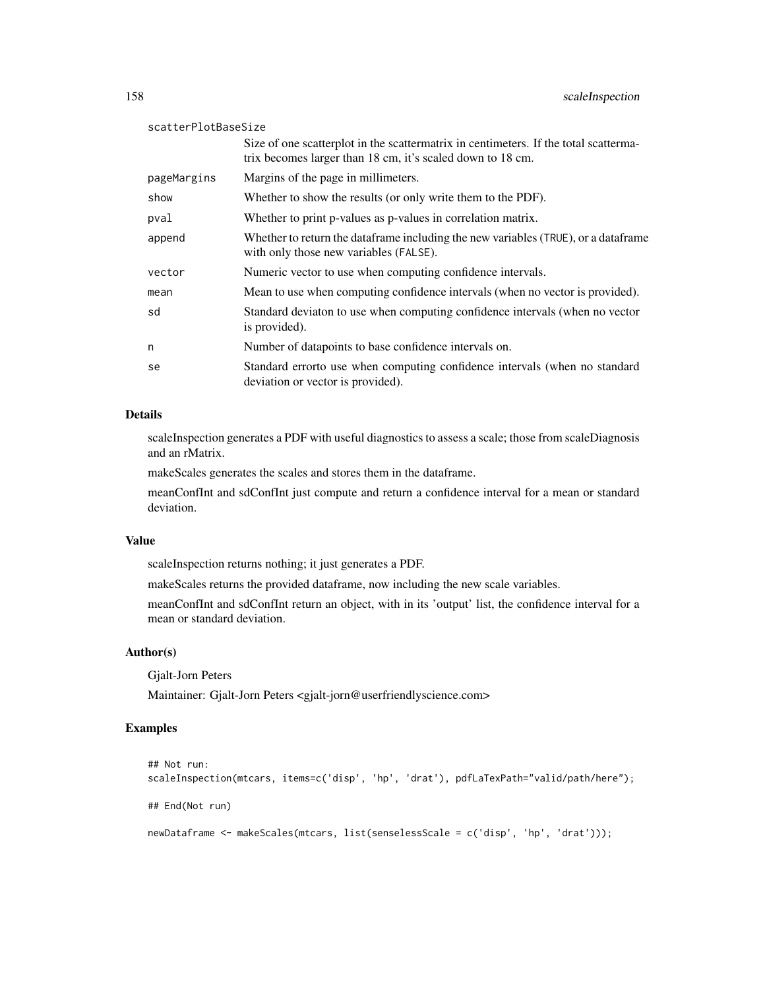#### scatterPlotBaseSize

|             | Size of one scatterplot in the scattermatrix in centimeters. If the total scatterma-<br>trix becomes larger than 18 cm, it's scaled down to 18 cm. |
|-------------|----------------------------------------------------------------------------------------------------------------------------------------------------|
| pageMargins | Margins of the page in millimeters.                                                                                                                |
| show        | Whether to show the results (or only write them to the PDF).                                                                                       |
| pval        | Whether to print p-values as p-values in correlation matrix.                                                                                       |
| append      | Whether to return the data frame including the new variables (TRUE), or a data frame<br>with only those new variables (FALSE).                     |
| vector      | Numeric vector to use when computing confidence intervals.                                                                                         |
| mean        | Mean to use when computing confidence intervals (when no vector is provided).                                                                      |
| sd          | Standard deviaton to use when computing confidence intervals (when no vector<br>is provided).                                                      |
| n           | Number of datapoints to base confidence intervals on.                                                                                              |
| se          | Standard errorto use when computing confidence intervals (when no standard<br>deviation or vector is provided).                                    |

## Details

scaleInspection generates a PDF with useful diagnostics to assess a scale; those from scaleDiagnosis and an rMatrix.

makeScales generates the scales and stores them in the dataframe.

meanConfInt and sdConfInt just compute and return a confidence interval for a mean or standard deviation.

#### Value

scaleInspection returns nothing; it just generates a PDF.

makeScales returns the provided dataframe, now including the new scale variables.

meanConfInt and sdConfInt return an object, with in its 'output' list, the confidence interval for a mean or standard deviation.

# Author(s)

Gjalt-Jorn Peters

Maintainer: Gjalt-Jorn Peters <gjalt-jorn@userfriendlyscience.com>

# Examples

```
## Not run:
scaleInspection(mtcars, items=c('disp', 'hp', 'drat'), pdfLaTexPath="valid/path/here");
## End(Not run)
newDataframe <- makeScales(mtcars, list(senselessScale = c('disp', 'hp', 'drat')));
```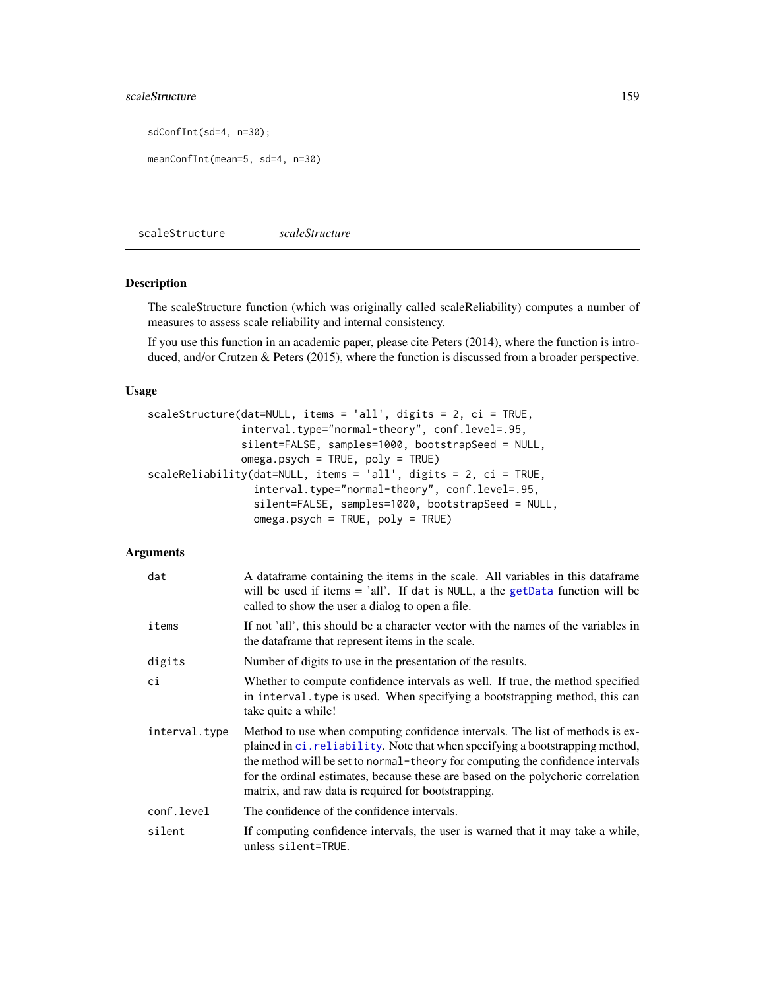# scaleStructure 159

sdConfInt(sd=4, n=30);

meanConfInt(mean=5, sd=4, n=30)

<span id="page-158-0"></span>scaleStructure *scaleStructure*

## Description

The scaleStructure function (which was originally called scaleReliability) computes a number of measures to assess scale reliability and internal consistency.

If you use this function in an academic paper, please cite Peters (2014), where the function is introduced, and/or Crutzen & Peters (2015), where the function is discussed from a broader perspective.

## Usage

```
scaleStructure(dat=NULL, items = 'all', digits = 2, ci = TRUE,
               interval.type="normal-theory", conf.level=.95,
               silent=FALSE, samples=1000, bootstrapSeed = NULL,
               omega.psych = TRUE, poly = TRUE)
scaleReliability(dat=NULL, items = 'all', digits = 2, ci = TRUE,
                 interval.type="normal-theory", conf.level=.95,
                 silent=FALSE, samples=1000, bootstrapSeed = NULL,
                 omega.psych = TRUE, poly = TRUE)
```
#### Arguments

| dat           | A data frame containing the items in the scale. All variables in this data frame<br>will be used if items $=$ 'all'. If dat is NULL, a the getData function will be<br>called to show the user a dialog to open a file.                                                                                                                                                                     |
|---------------|---------------------------------------------------------------------------------------------------------------------------------------------------------------------------------------------------------------------------------------------------------------------------------------------------------------------------------------------------------------------------------------------|
| items         | If not 'all', this should be a character vector with the names of the variables in<br>the dataframe that represent items in the scale.                                                                                                                                                                                                                                                      |
| digits        | Number of digits to use in the presentation of the results.                                                                                                                                                                                                                                                                                                                                 |
| сi            | Whether to compute confidence intervals as well. If true, the method specified<br>in interval. type is used. When specifying a bootstrapping method, this can<br>take quite a while!                                                                                                                                                                                                        |
| interval.type | Method to use when computing confidence intervals. The list of methods is ex-<br>plained in ci. reliability. Note that when specifying a bootstrapping method,<br>the method will be set to normal-theory for computing the confidence intervals<br>for the ordinal estimates, because these are based on the polychoric correlation<br>matrix, and raw data is required for bootstrapping. |
| conf.level    | The confidence of the confidence intervals.                                                                                                                                                                                                                                                                                                                                                 |
| silent        | If computing confidence intervals, the user is warned that it may take a while,<br>unless silent=TRUE.                                                                                                                                                                                                                                                                                      |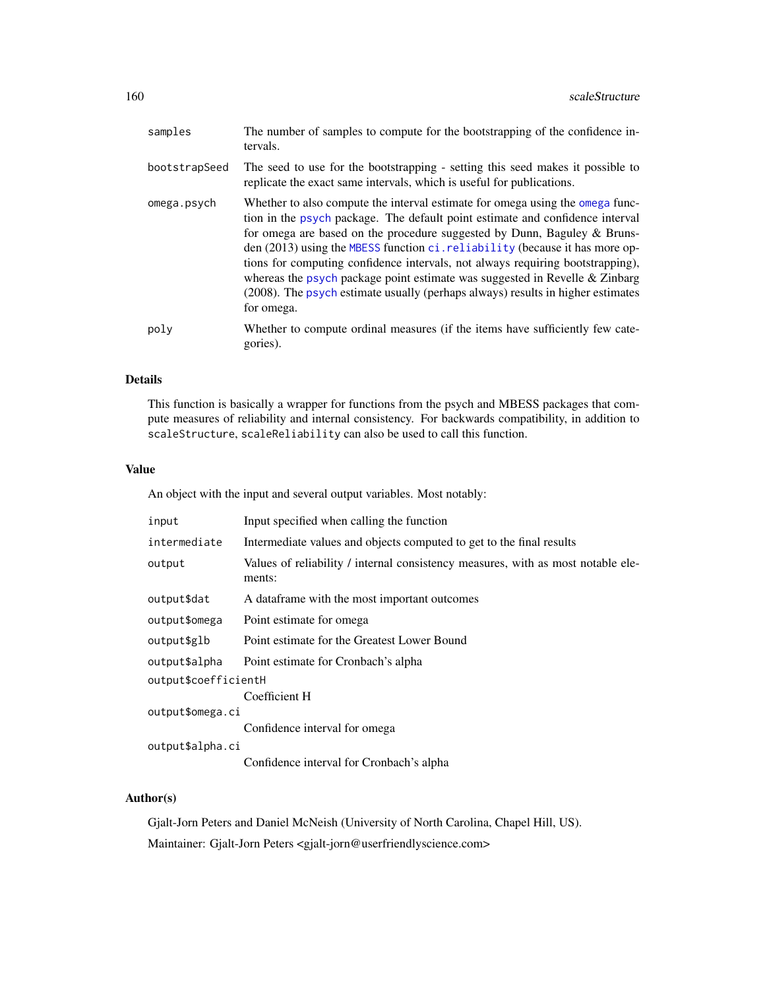| samples       | The number of samples to compute for the bootstrapping of the confidence in-<br>tervals.                                                                                                                                                                                                                                                                                                                                                                                                                                                                                                        |
|---------------|-------------------------------------------------------------------------------------------------------------------------------------------------------------------------------------------------------------------------------------------------------------------------------------------------------------------------------------------------------------------------------------------------------------------------------------------------------------------------------------------------------------------------------------------------------------------------------------------------|
| bootstrapSeed | The seed to use for the bootstrapping - setting this seed makes it possible to<br>replicate the exact same intervals, which is useful for publications.                                                                                                                                                                                                                                                                                                                                                                                                                                         |
| omega.psych   | Whether to also compute the interval estimate for omega using the omega func-<br>tion in the psych package. The default point estimate and confidence interval<br>for omega are based on the procedure suggested by Dunn, Baguley $\&$ Bruns-<br>den (2013) using the MBESS function ci. reliability (because it has more op-<br>tions for computing confidence intervals, not always requiring bootstrapping),<br>whereas the psych package point estimate was suggested in Revelle & Zinbarg<br>(2008). The psych estimate usually (perhaps always) results in higher estimates<br>for omega. |
| poly          | Whether to compute ordinal measures (if the items have sufficiently few cate-<br>gories).                                                                                                                                                                                                                                                                                                                                                                                                                                                                                                       |

# Details

This function is basically a wrapper for functions from the psych and MBESS packages that compute measures of reliability and internal consistency. For backwards compatibility, in addition to scaleStructure, scaleReliability can also be used to call this function.

## Value

An object with the input and several output variables. Most notably:

| input                | Input specified when calling the function                                                  |  |
|----------------------|--------------------------------------------------------------------------------------------|--|
| intermediate         | Intermediate values and objects computed to get to the final results                       |  |
| output               | Values of reliability / internal consistency measures, with as most notable ele-<br>ments: |  |
| output\$dat          | A data frame with the most important outcomes                                              |  |
| output\$omega        | Point estimate for omega                                                                   |  |
| output\$glb          | Point estimate for the Greatest Lower Bound                                                |  |
| output\$alpha        | Point estimate for Cronbach's alpha                                                        |  |
| output\$coefficientH |                                                                                            |  |
|                      | Coefficient H                                                                              |  |
| output\$omega.ci     |                                                                                            |  |
|                      | Confidence interval for omega                                                              |  |
| output\$alpha.ci     |                                                                                            |  |
|                      | Confidence interval for Cronbach's alpha                                                   |  |

# Author(s)

Gjalt-Jorn Peters and Daniel McNeish (University of North Carolina, Chapel Hill, US). Maintainer: Gjalt-Jorn Peters <gjalt-jorn@userfriendlyscience.com>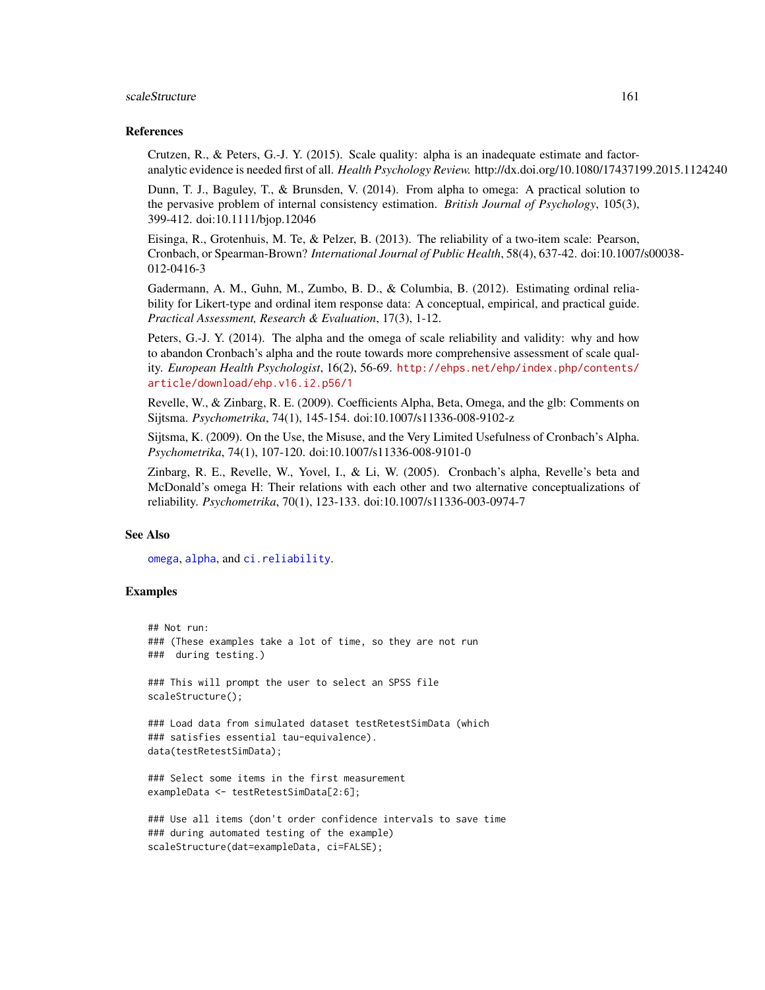#### scaleStructure 161

#### References

Crutzen, R., & Peters, G.-J. Y. (2015). Scale quality: alpha is an inadequate estimate and factoranalytic evidence is needed first of all. *Health Psychology Review.* http://dx.doi.org/10.1080/17437199.2015.1124240

Dunn, T. J., Baguley, T., & Brunsden, V. (2014). From alpha to omega: A practical solution to the pervasive problem of internal consistency estimation. *British Journal of Psychology*, 105(3), 399-412. doi:10.1111/bjop.12046

Eisinga, R., Grotenhuis, M. Te, & Pelzer, B. (2013). The reliability of a two-item scale: Pearson, Cronbach, or Spearman-Brown? *International Journal of Public Health*, 58(4), 637-42. doi:10.1007/s00038- 012-0416-3

Gadermann, A. M., Guhn, M., Zumbo, B. D., & Columbia, B. (2012). Estimating ordinal reliability for Likert-type and ordinal item response data: A conceptual, empirical, and practical guide. *Practical Assessment, Research & Evaluation*, 17(3), 1-12.

Peters, G.-J. Y. (2014). The alpha and the omega of scale reliability and validity: why and how to abandon Cronbach's alpha and the route towards more comprehensive assessment of scale quality. *European Health Psychologist*, 16(2), 56-69. [http://ehps.net/ehp/index.php/contents/](http://ehps.net/ehp/index.php/contents/article/download/ehp.v16.i2.p56/1) [article/download/ehp.v16.i2.p56/1](http://ehps.net/ehp/index.php/contents/article/download/ehp.v16.i2.p56/1)

Revelle, W., & Zinbarg, R. E. (2009). Coefficients Alpha, Beta, Omega, and the glb: Comments on Sijtsma. *Psychometrika*, 74(1), 145-154. doi:10.1007/s11336-008-9102-z

Sijtsma, K. (2009). On the Use, the Misuse, and the Very Limited Usefulness of Cronbach's Alpha. *Psychometrika*, 74(1), 107-120. doi:10.1007/s11336-008-9101-0

Zinbarg, R. E., Revelle, W., Yovel, I., & Li, W. (2005). Cronbach's alpha, Revelle's beta and McDonald's omega H: Their relations with each other and two alternative conceptualizations of reliability. *Psychometrika*, 70(1), 123-133. doi:10.1007/s11336-003-0974-7

# See Also

[omega](#page-0-0), [alpha](#page-0-0), and [ci.reliability](#page-0-0).

scaleStructure(dat=exampleData, ci=FALSE);

## Examples

```
## Not run:
### (These examples take a lot of time, so they are not run
### during testing.)
### This will prompt the user to select an SPSS file
scaleStructure();
### Load data from simulated dataset testRetestSimData (which
### satisfies essential tau-equivalence).
data(testRetestSimData);
### Select some items in the first measurement
exampleData <- testRetestSimData[2:6];
### Use all items (don't order confidence intervals to save time
### during automated testing of the example)
```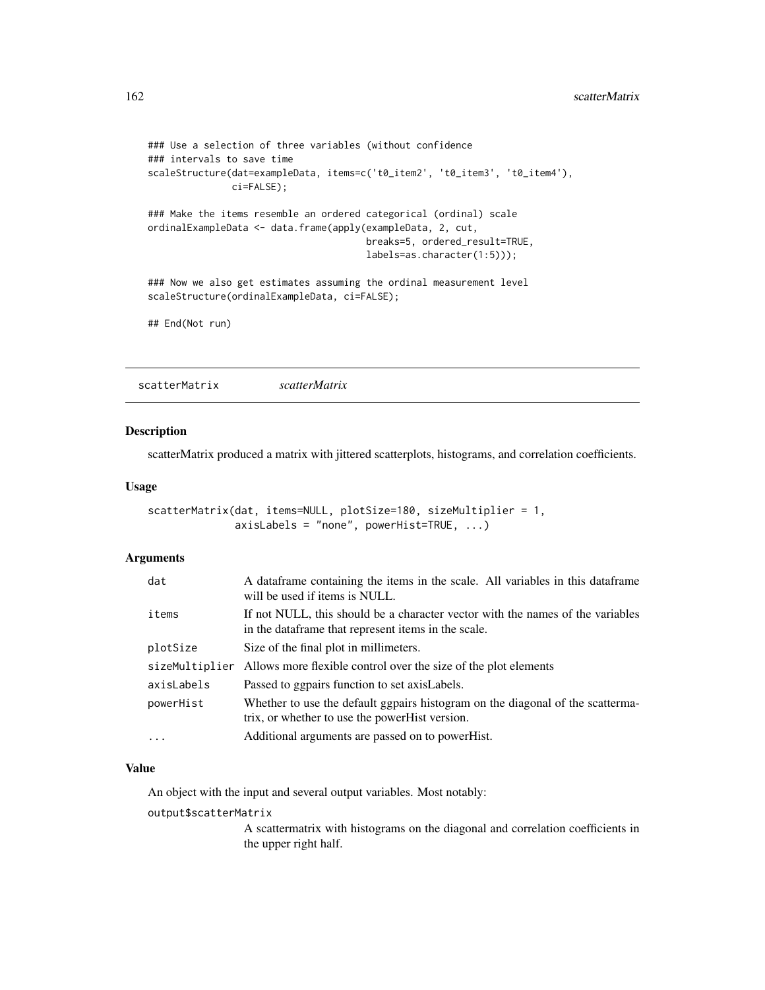```
### Use a selection of three variables (without confidence
### intervals to save time
scaleStructure(dat=exampleData, items=c('t0_item2', 't0_item3', 't0_item4'),
              ci=FALSE);
### Make the items resemble an ordered categorical (ordinal) scale
ordinalExampleData <- data.frame(apply(exampleData, 2, cut,
                                       breaks=5, ordered_result=TRUE,
                                       labels=as.character(1:5)));
### Now we also get estimates assuming the ordinal measurement level
scaleStructure(ordinalExampleData, ci=FALSE);
```

```
## End(Not run)
```
scatterMatrix *scatterMatrix*

## Description

scatterMatrix produced a matrix with jittered scatterplots, histograms, and correlation coefficients.

## Usage

```
scatterMatrix(dat, items=NULL, plotSize=180, sizeMultiplier = 1,
              axisLabels = "none", powerHist=TRUE, ...)
```
### Arguments

| dat            | A dataframe containing the items in the scale. All variables in this dataframe<br>will be used if items is NULL.                      |
|----------------|---------------------------------------------------------------------------------------------------------------------------------------|
| items          | If not NULL, this should be a character vector with the names of the variables<br>in the dataframe that represent items in the scale. |
| plotSize       | Size of the final plot in millimeters.                                                                                                |
| sizeMultiplier | Allows more flexible control over the size of the plot elements                                                                       |
| axisLabels     | Passed to ggpairs function to set axis Labels.                                                                                        |
| powerHist      | Whether to use the default ggpairs histogram on the diagonal of the scatterma-<br>trix, or whether to use the powerHist version.      |
| $\ddots$ .     | Additional arguments are passed on to powerHist.                                                                                      |

#### Value

An object with the input and several output variables. Most notably:

#### output\$scatterMatrix

A scattermatrix with histograms on the diagonal and correlation coefficients in the upper right half.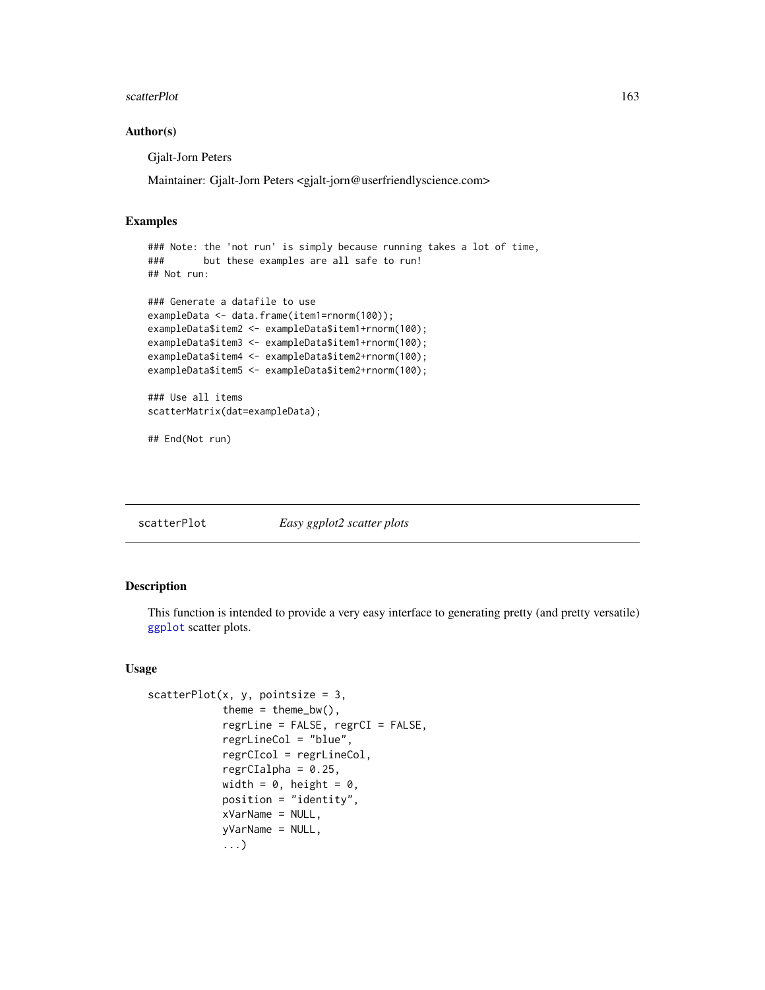#### scatterPlot 163

#### Author(s)

Gjalt-Jorn Peters

Maintainer: Gjalt-Jorn Peters <gjalt-jorn@userfriendlyscience.com>

## Examples

```
### Note: the 'not run' is simply because running takes a lot of time,
### but these examples are all safe to run!
## Not run:
### Generate a datafile to use
exampleData <- data.frame(item1=rnorm(100));
exampleData$item2 <- exampleData$item1+rnorm(100);
exampleData$item3 <- exampleData$item1+rnorm(100);
exampleData$item4 <- exampleData$item2+rnorm(100);
exampleData$item5 <- exampleData$item2+rnorm(100);
### Use all items
scatterMatrix(dat=exampleData);
## End(Not run)
```
scatterPlot *Easy ggplot2 scatter plots*

# Description

This function is intended to provide a very easy interface to generating pretty (and pretty versatile) [ggplot](#page-0-0) scatter plots.

# Usage

```
scatterPlot(x, y, point size = 3,theme = thene_bw(),
            regrLine = FALSE, regrCI = FALSE,
            regrLineCol = "blue",
            regrCIcol = regrLineCol,
            regrCIalpha = 0.25,
            width = 0, height = 0,
            position = "identity",
            xVarName = NULL,yVarName = NULL,
            ...)
```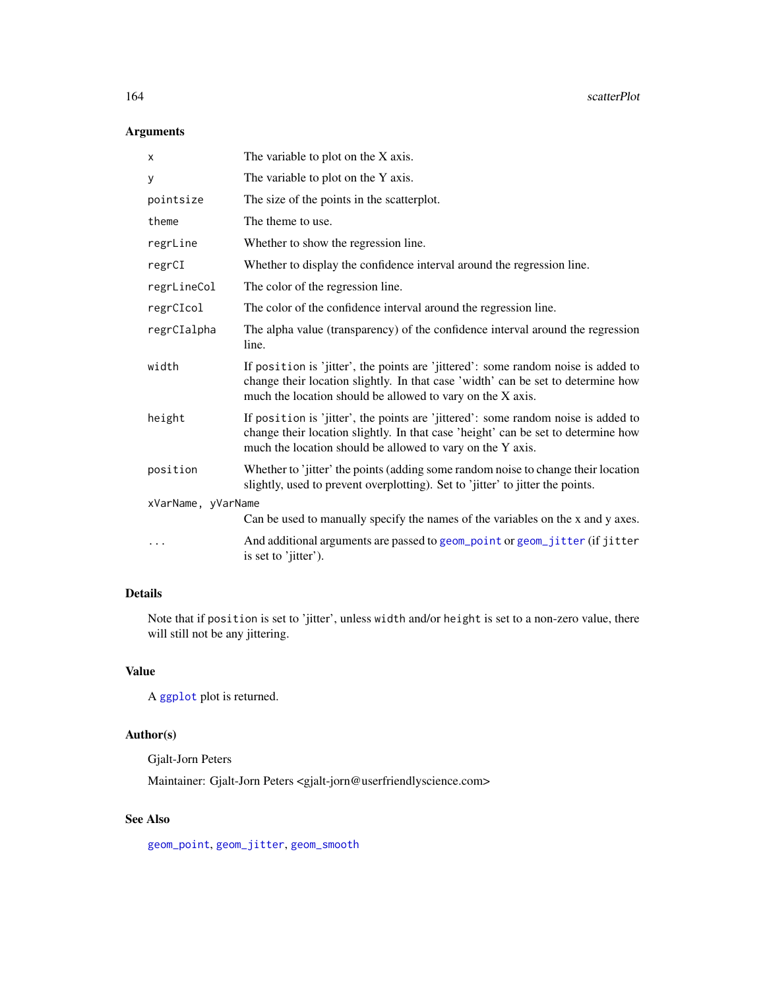# Arguments

| X                  | The variable to plot on the X axis.                                                                                                                                                                                                  |
|--------------------|--------------------------------------------------------------------------------------------------------------------------------------------------------------------------------------------------------------------------------------|
| у                  | The variable to plot on the Y axis.                                                                                                                                                                                                  |
| pointsize          | The size of the points in the scatterplot.                                                                                                                                                                                           |
| theme              | The theme to use.                                                                                                                                                                                                                    |
| regrLine           | Whether to show the regression line.                                                                                                                                                                                                 |
| regrCI             | Whether to display the confidence interval around the regression line.                                                                                                                                                               |
| regrLineCol        | The color of the regression line.                                                                                                                                                                                                    |
| regrCIcol          | The color of the confidence interval around the regression line.                                                                                                                                                                     |
| regrCIalpha        | The alpha value (transparency) of the confidence interval around the regression<br>line.                                                                                                                                             |
| width              | If position is 'jitter', the points are 'jittered': some random noise is added to<br>change their location slightly. In that case 'width' can be set to determine how<br>much the location should be allowed to vary on the X axis.  |
| height             | If position is 'jitter', the points are 'jittered': some random noise is added to<br>change their location slightly. In that case 'height' can be set to determine how<br>much the location should be allowed to vary on the Y axis. |
| position           | Whether to 'jitter' the points (adding some random noise to change their location<br>slightly, used to prevent overplotting). Set to 'jitter' to jitter the points.                                                                  |
| xVarName, yVarName |                                                                                                                                                                                                                                      |
|                    | Can be used to manually specify the names of the variables on the x and y axes.                                                                                                                                                      |
| $\cdots$           | And additional arguments are passed to geom_point or geom_jitter (if jitter<br>is set to 'jitter').                                                                                                                                  |

# Details

Note that if position is set to 'jitter', unless width and/or height is set to a non-zero value, there will still not be any jittering.

# Value

A [ggplot](#page-0-0) plot is returned.

# Author(s)

Gjalt-Jorn Peters

Maintainer: Gjalt-Jorn Peters <gjalt-jorn@userfriendlyscience.com>

# See Also

[geom\\_point](#page-0-0), [geom\\_jitter](#page-0-0), [geom\\_smooth](#page-0-0)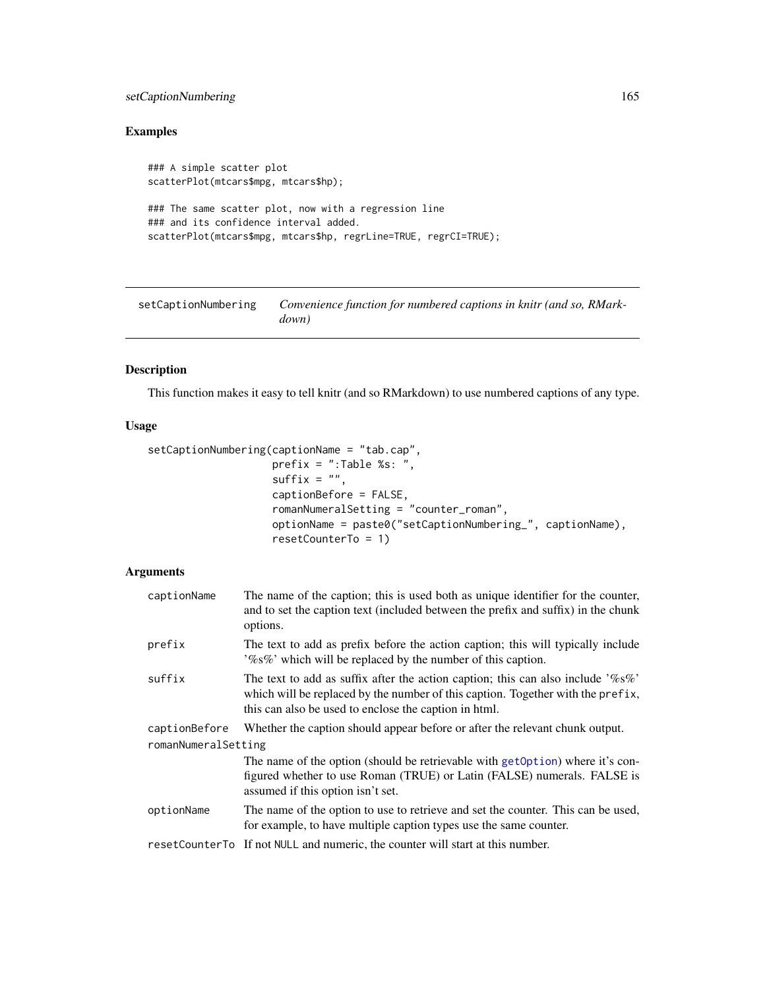# setCaptionNumbering 165

# Examples

```
### A simple scatter plot
scatterPlot(mtcars$mpg, mtcars$hp);
### The same scatter plot, now with a regression line
### and its confidence interval added.
scatterPlot(mtcars$mpg, mtcars$hp, regrLine=TRUE, regrCI=TRUE);
```
setCaptionNumbering *Convenience function for numbered captions in knitr (and so, RMarkdown)*

# Description

This function makes it easy to tell knitr (and so RMarkdown) to use numbered captions of any type.

# Usage

```
setCaptionNumbering(captionName = "tab.cap",
                    prefix = ":Table %s: ",
                    suffix = "",captionBefore = FALSE,
                    romanNumeralSetting = "counter_roman",
                    optionName = paste0("setCaptionNumbering_", captionName),
                    resetCounterTo = 1)
```
# Arguments

| captionName         | The name of the caption; this is used both as unique identifier for the counter,<br>and to set the caption text (included between the prefix and suffix) in the chunk<br>options.                                             |
|---------------------|-------------------------------------------------------------------------------------------------------------------------------------------------------------------------------------------------------------------------------|
| prefix              | The text to add as prefix before the action caption; this will typically include<br>'%s%' which will be replaced by the number of this caption.                                                                               |
| suffix              | The text to add as suffix after the action caption; this can also include $\%8\%$<br>which will be replaced by the number of this caption. Together with the prefix,<br>this can also be used to enclose the caption in html. |
| captionBefore       | Whether the caption should appear before or after the relevant chunk output.                                                                                                                                                  |
| romanNumeralSetting |                                                                                                                                                                                                                               |
|                     | The name of the option (should be retrievable with get Option) where it's con-<br>figured whether to use Roman (TRUE) or Latin (FALSE) numerals. FALSE is<br>assumed if this option isn't set.                                |
| optionName          | The name of the option to use to retrieve and set the counter. This can be used,<br>for example, to have multiple caption types use the same counter.                                                                         |
|                     | resetCounterTo If not NULL and numeric, the counter will start at this number.                                                                                                                                                |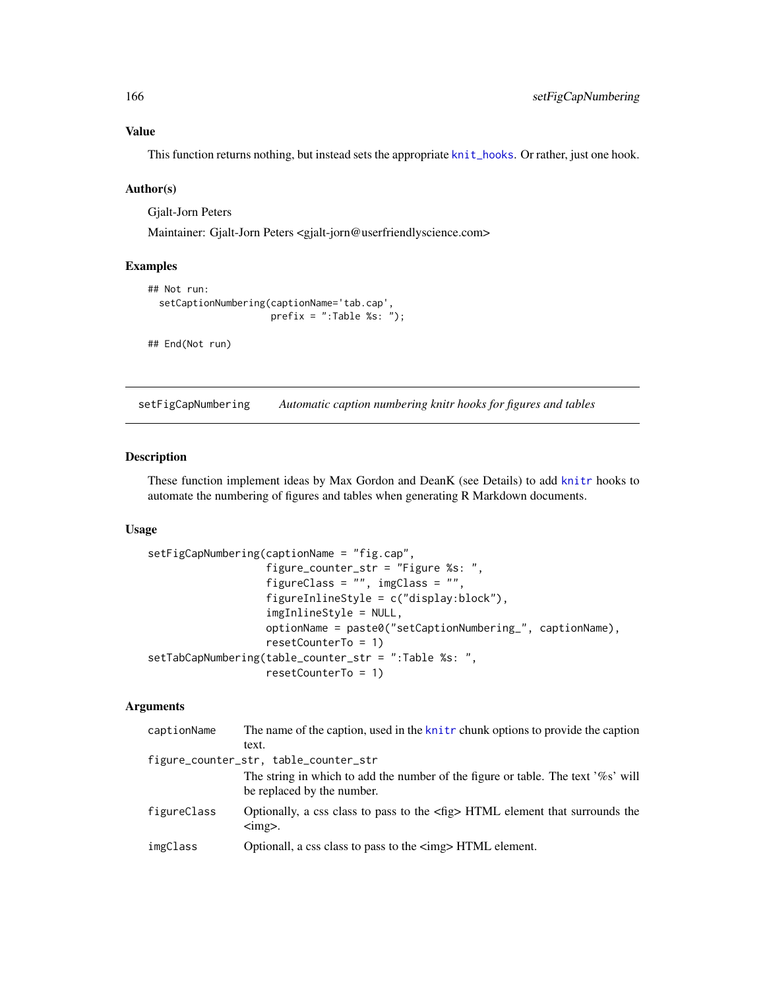#### Value

This function returns nothing, but instead sets the appropriate [knit\\_hooks](#page-0-0). Or rather, just one hook.

## Author(s)

Gjalt-Jorn Peters

Maintainer: Gjalt-Jorn Peters <gjalt-jorn@userfriendlyscience.com>

## Examples

```
## Not run:
 setCaptionNumbering(captionName='tab.cap',
                      prefix = ":Table %s: ");
## End(Not run)
```
setFigCapNumbering *Automatic caption numbering knitr hooks for figures and tables*

# Description

These function implement ideas by Max Gordon and DeanK (see Details) to add [knitr](#page-0-0) hooks to automate the numbering of figures and tables when generating R Markdown documents.

# Usage

```
setFigCapNumbering(captionName = "fig.cap",
                   figure_counter_str = "Figure %s: ",
                   figureClass = "", imgClass = "",
                   figureInlineStyle = c("display:block"),
                   imgInlineStyle = NULL,
                   optionName = paste0("setCaptionNumbering_", captionName),
                   resetCounterTo = 1)
setTabCapNumbering(table_counter_str = ":Table %s: ",
                   resetCounterTo = 1)
```
## Arguments

| captionName | The name of the caption, used in the knitr chunk options to provide the caption                                         |
|-------------|-------------------------------------------------------------------------------------------------------------------------|
|             | text.                                                                                                                   |
|             | figure_counter_str, table_counter_str                                                                                   |
|             | The string in which to add the number of the figure or table. The text '%s' will<br>be replaced by the number.          |
| figureClass | Optionally, a css class to pass to the $\langle$ fig> HTML element that surrounds the<br>$\langle \text{img} \rangle$ . |
| imgClass    | Optionall, a css class to pass to the $\langle \text{img} \rangle$ HTML element.                                        |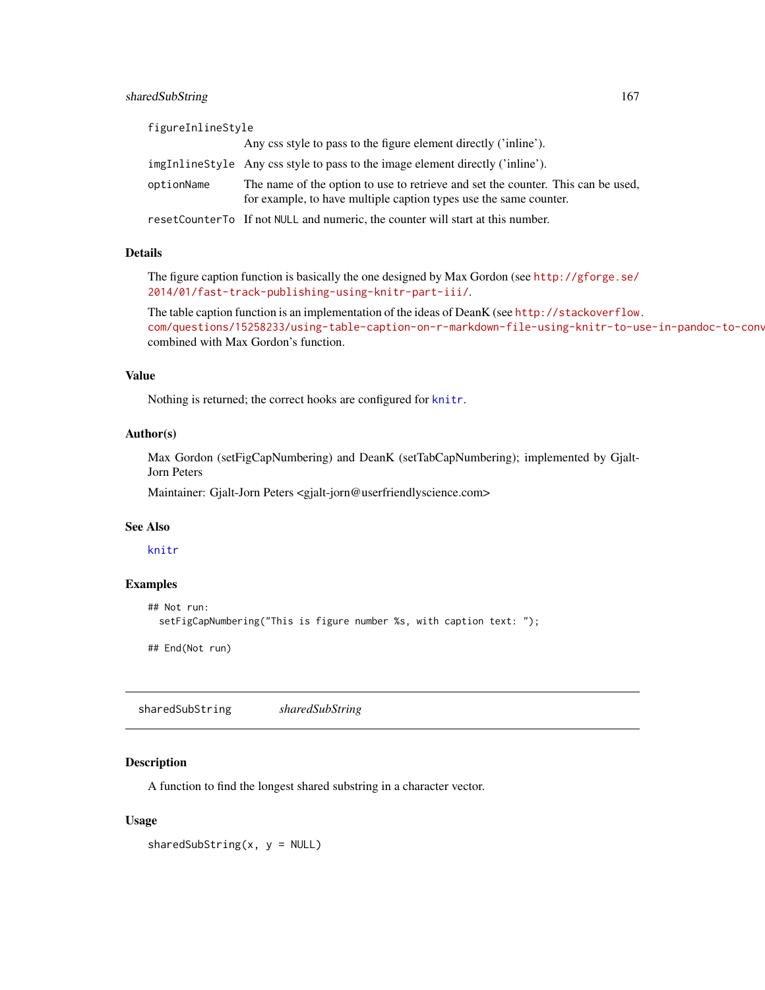# sharedSubString 167

| figureInlineStyle |                                                                                                                                                       |
|-------------------|-------------------------------------------------------------------------------------------------------------------------------------------------------|
|                   | Any css style to pass to the figure element directly ('inline').                                                                                      |
|                   | imgInlineStyle Any css style to pass to the image element directly ('inline').                                                                        |
| optionName        | The name of the option to use to retrieve and set the counter. This can be used,<br>for example, to have multiple caption types use the same counter. |
|                   | resetCounterTo If not NULL and numeric, the counter will start at this number.                                                                        |

#### Details

The figure caption function is basically the one designed by Max Gordon (see [http://gforge.se/](http://gforge.se/2014/01/fast-track-publishing-using-knitr-part-iii/) [2014/01/fast-track-publishing-using-knitr-part-iii/](http://gforge.se/2014/01/fast-track-publishing-using-knitr-part-iii/).

The table caption function is an implementation of the ideas of DeanK (see [http://stackoverflow.](http://stackoverflow.com/questions/15258233/using-table-caption-on-r-markdown-file-using-knitr-to-use-in-pandoc-to-convert-t) com/questions/15258233/using-table-caption-on-r-markdown-file-using-knitr-to-use-in-pandoc-to-conv combined with Max Gordon's function.

## Value

Nothing is returned; the correct hooks are configured for [knitr](#page-0-0).

# Author(s)

Max Gordon (setFigCapNumbering) and DeanK (setTabCapNumbering); implemented by Gjalt-Jorn Peters

Maintainer: Gjalt-Jorn Peters <gjalt-jorn@userfriendlyscience.com>

### See Also

[knitr](#page-0-0)

## Examples

```
## Not run:
 setFigCapNumbering("This is figure number %s, with caption text: ");
```
## End(Not run)

sharedSubString *sharedSubString*

# Description

A function to find the longest shared substring in a character vector.

### Usage

```
sharedSubString(x, y = NULL)
```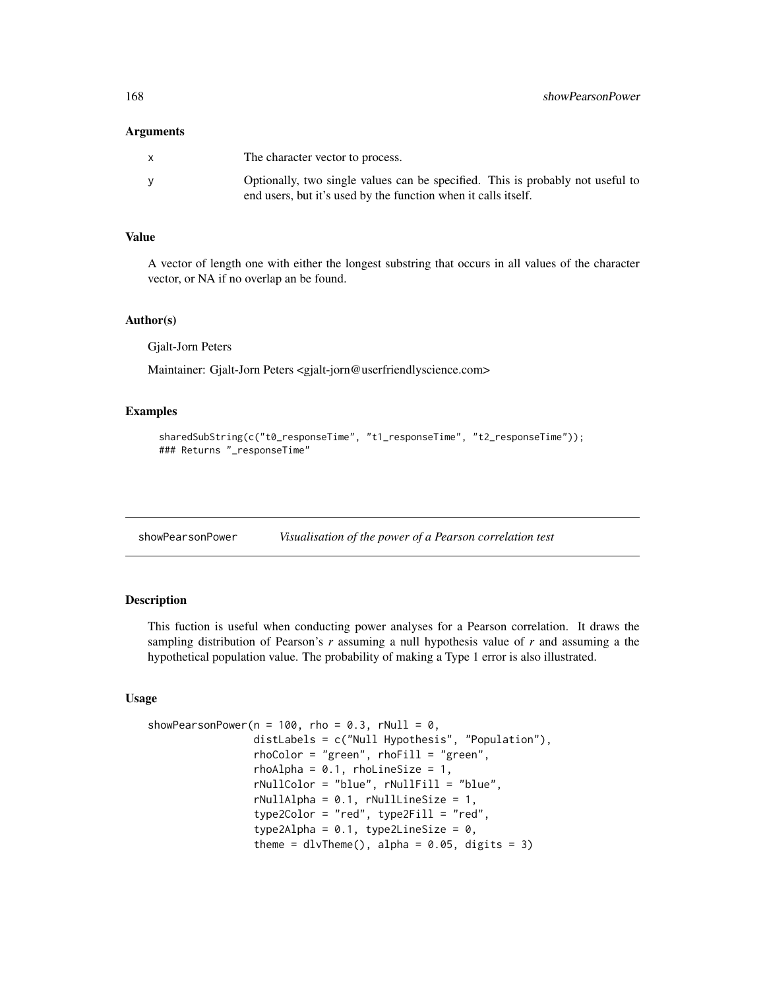#### **Arguments**

| $\mathbf{x}$ | The character vector to process.                                                                                                                 |
|--------------|--------------------------------------------------------------------------------------------------------------------------------------------------|
| <b>V</b>     | Optionally, two single values can be specified. This is probably not useful to<br>end users, but it's used by the function when it calls itself. |

## Value

A vector of length one with either the longest substring that occurs in all values of the character vector, or NA if no overlap an be found.

#### Author(s)

Gjalt-Jorn Peters

Maintainer: Gjalt-Jorn Peters <gjalt-jorn@userfriendlyscience.com>

# Examples

```
sharedSubString(c("t0_responseTime", "t1_responseTime", "t2_responseTime"));
### Returns "_responseTime"
```
showPearsonPower *Visualisation of the power of a Pearson correlation test*

#### Description

This fuction is useful when conducting power analyses for a Pearson correlation. It draws the sampling distribution of Pearson's *r* assuming a null hypothesis value of *r* and assuming a the hypothetical population value. The probability of making a Type 1 error is also illustrated.

## Usage

```
showPearsonPower(n = 100, rho = 0.3, rNull = 0,
                 distLabels = c("Null Hypothesis", "Population"),
                 rhoColor = "green", rhoFill = "green",
                 rhoAlpha = 0.1, rhoLineSize = 1,
                 rNullColor = "blue", rNullFill = "blue",
                 rNullAlpha = 0.1, rNullLineSize = 1,
                 type2Color = "red", type2Fill = "red",
                 type2Alpha = 0.1, type2LineSize = 0,
                 theme = dlvTheme(), alpha = 0.05, digits = 3)
```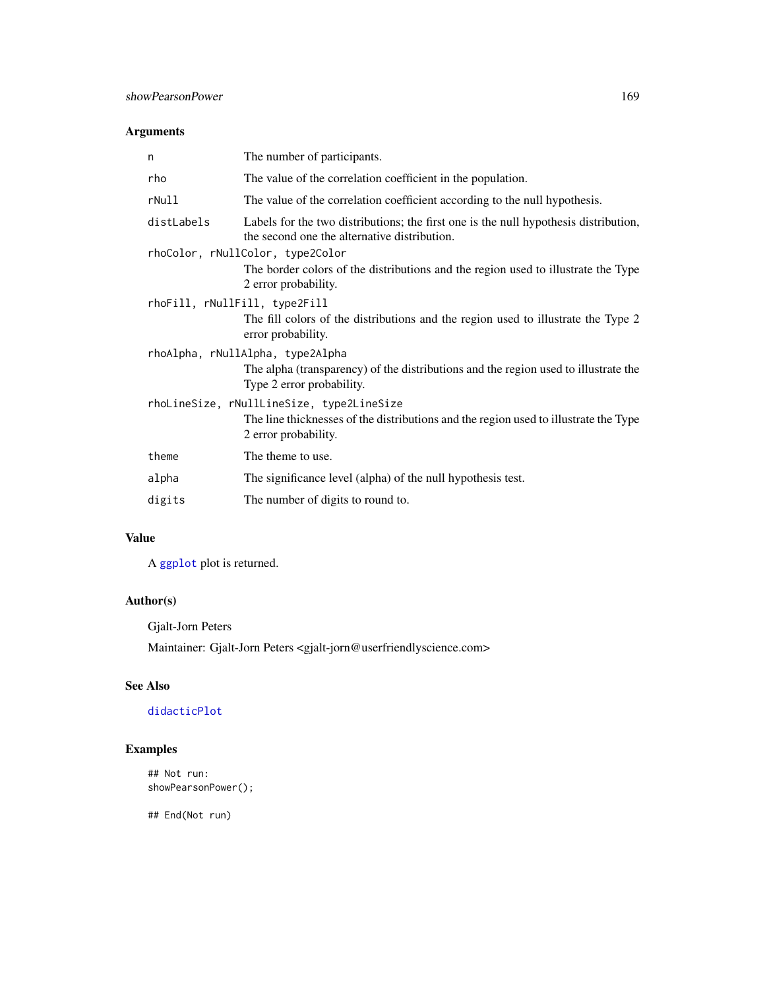# Arguments

| The number of participants.                                                                                                          |  |  |
|--------------------------------------------------------------------------------------------------------------------------------------|--|--|
| The value of the correlation coefficient in the population.                                                                          |  |  |
| The value of the correlation coefficient according to the null hypothesis.                                                           |  |  |
| Labels for the two distributions; the first one is the null hypothesis distribution,<br>the second one the alternative distribution. |  |  |
| rhoColor, rNullColor, type2Color                                                                                                     |  |  |
| The border colors of the distributions and the region used to illustrate the Type<br>2 error probability.                            |  |  |
| rhoFill, rNullFill, type2Fill                                                                                                        |  |  |
| The fill colors of the distributions and the region used to illustrate the Type 2<br>error probability.                              |  |  |
| rhoAlpha, rNullAlpha, type2Alpha                                                                                                     |  |  |
| The alpha (transparency) of the distributions and the region used to illustrate the<br>Type 2 error probability.                     |  |  |
| rhoLineSize, rNullLineSize, type2LineSize                                                                                            |  |  |
| The line thicknesses of the distributions and the region used to illustrate the Type<br>2 error probability.                         |  |  |
| The theme to use.                                                                                                                    |  |  |
| The significance level (alpha) of the null hypothesis test.                                                                          |  |  |
| The number of digits to round to.                                                                                                    |  |  |
|                                                                                                                                      |  |  |

# Value

A [ggplot](#page-0-0) plot is returned.

# Author(s)

Gjalt-Jorn Peters

Maintainer: Gjalt-Jorn Peters <gjalt-jorn@userfriendlyscience.com>

# See Also

# [didacticPlot](#page-49-0)

# Examples

## Not run: showPearsonPower();

## End(Not run)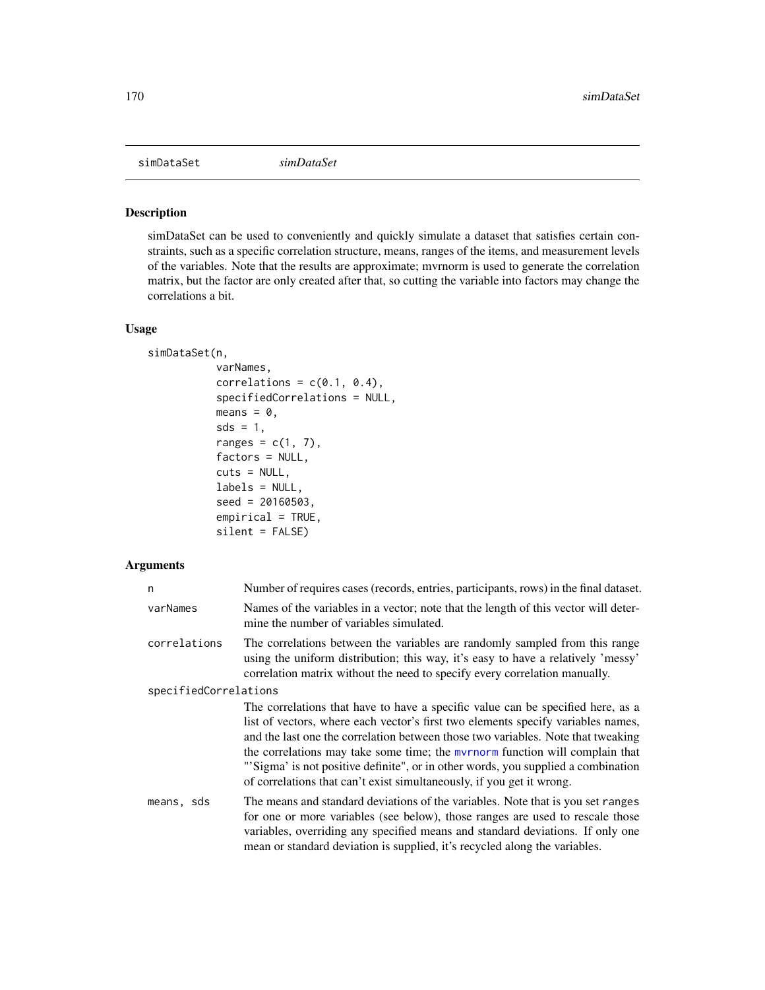simDataSet *simDataSet*

# Description

simDataSet can be used to conveniently and quickly simulate a dataset that satisfies certain constraints, such as a specific correlation structure, means, ranges of the items, and measurement levels of the variables. Note that the results are approximate; mvrnorm is used to generate the correlation matrix, but the factor are only created after that, so cutting the variable into factors may change the correlations a bit.

## Usage

```
simDataSet(n,
```

```
varNames,
correlations = c(0.1, 0.4),
specifiedCorrelations = NULL,
means = 0,
sds = 1,
ranges = c(1, 7),
factors = NULL,
cuts = NULL,
labels = NULL,
seed = 20160503,
empirical = TRUE,
silent = FALSE)
```
## Arguments

| n                     | Number of requires cases (records, entries, participants, rows) in the final dataset.                                                                                                                                                                                                                                                                                                                                                                                                                         |
|-----------------------|---------------------------------------------------------------------------------------------------------------------------------------------------------------------------------------------------------------------------------------------------------------------------------------------------------------------------------------------------------------------------------------------------------------------------------------------------------------------------------------------------------------|
| varNames              | Names of the variables in a vector; note that the length of this vector will deter-<br>mine the number of variables simulated.                                                                                                                                                                                                                                                                                                                                                                                |
| correlations          | The correlations between the variables are randomly sampled from this range<br>using the uniform distribution; this way, it's easy to have a relatively 'messy'<br>correlation matrix without the need to specify every correlation manually.                                                                                                                                                                                                                                                                 |
| specifiedCorrelations |                                                                                                                                                                                                                                                                                                                                                                                                                                                                                                               |
|                       | The correlations that have to have a specific value can be specified here, as a<br>list of vectors, where each vector's first two elements specify variables names,<br>and the last one the correlation between those two variables. Note that tweaking<br>the correlations may take some time; the <i>m</i> yrnorm function will complain that<br>"'Sigma' is not positive definite", or in other words, you supplied a combination<br>of correlations that can't exist simultaneously, if you get it wrong. |
| means, sds            | The means and standard deviations of the variables. Note that is you set ranges<br>for one or more variables (see below), those ranges are used to rescale those<br>variables, overriding any specified means and standard deviations. If only one<br>mean or standard deviation is supplied, it's recycled along the variables.                                                                                                                                                                              |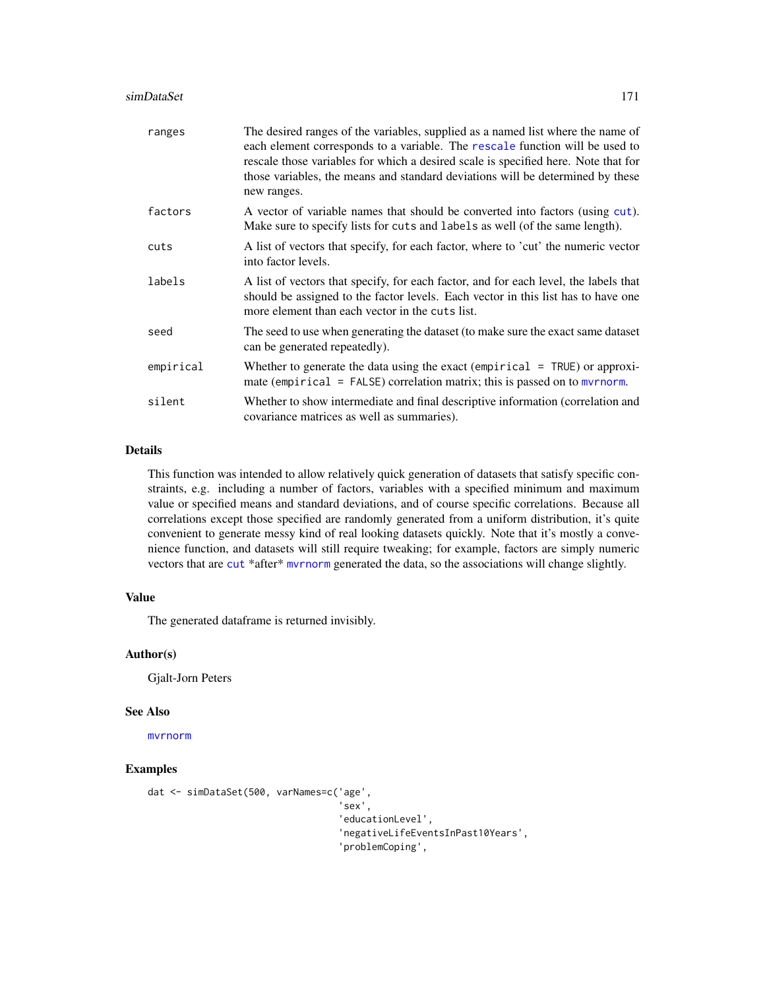#### simDataSet 171

| ranges    | The desired ranges of the variables, supplied as a named list where the name of<br>each element corresponds to a variable. The rescale function will be used to<br>rescale those variables for which a desired scale is specified here. Note that for<br>those variables, the means and standard deviations will be determined by these<br>new ranges. |
|-----------|--------------------------------------------------------------------------------------------------------------------------------------------------------------------------------------------------------------------------------------------------------------------------------------------------------------------------------------------------------|
| factors   | A vector of variable names that should be converted into factors (using cut).<br>Make sure to specify lists for cuts and labels as well (of the same length).                                                                                                                                                                                          |
| cuts      | A list of vectors that specify, for each factor, where to 'cut' the numeric vector<br>into factor levels.                                                                                                                                                                                                                                              |
| labels    | A list of vectors that specify, for each factor, and for each level, the labels that<br>should be assigned to the factor levels. Each vector in this list has to have one<br>more element than each vector in the cuts list.                                                                                                                           |
| seed      | The seed to use when generating the dataset (to make sure the exact same dataset)<br>can be generated repeatedly).                                                                                                                                                                                                                                     |
| empirical | Whether to generate the data using the exact (empirical $=$ TRUE) or approxi-<br>mate (empirical = $FALSE$ ) correlation matrix; this is passed on to $mvrnorm$ .                                                                                                                                                                                      |
| silent    | Whether to show intermediate and final descriptive information (correlation and<br>covariance matrices as well as summaries).                                                                                                                                                                                                                          |

# Details

This function was intended to allow relatively quick generation of datasets that satisfy specific constraints, e.g. including a number of factors, variables with a specified minimum and maximum value or specified means and standard deviations, and of course specific correlations. Because all correlations except those specified are randomly generated from a uniform distribution, it's quite convenient to generate messy kind of real looking datasets quickly. Note that it's mostly a convenience function, and datasets will still require tweaking; for example, factors are simply numeric vectors that are [cut](#page-0-0) \*after\* [mvrnorm](#page-0-0) generated the data, so the associations will change slightly.

#### Value

The generated dataframe is returned invisibly.

## Author(s)

Gjalt-Jorn Peters

#### See Also

[mvrnorm](#page-0-0)

# Examples

```
dat <- simDataSet(500, varNames=c('age',
                                    'sex',
                                   'educationLevel',
                                   'negativeLifeEventsInPast10Years',
                                   'problemCoping',
```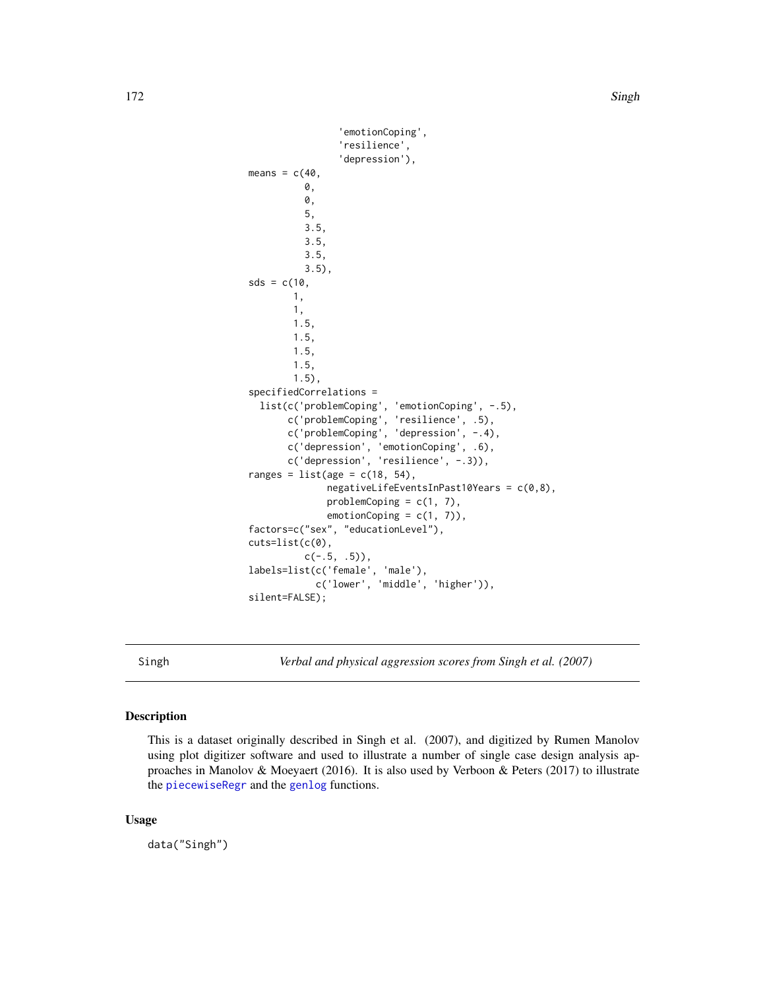```
'emotionCoping',
                'resilience',
                'depression'),
means = c(40,0,
          0,
          5,
          3.5,
          3.5,
          3.5,
          3.5),
sds = c(10,1,
        1,
        1.5,
        1.5,
        1.5,
        1.5,
        1.5),
specifiedCorrelations =
  list(c('problemCoping', 'emotionCoping', -.5),
       c('problemCoping', 'resilience', .5),
       c('problemCoping', 'depression', -.4),
       c('depression', 'emotionCoping', .6),
       c('depression', 'resilience', -.3)),
ranges = list(age = c(18, 54),
              negativeLifeEventsInPast10Years = c(0,8),
              problemCoping = c(1, 7),
              emotionCoping = c(1, 7)),
factors=c("sex", "educationLevel"),
cuts=list(c(0),
          c(-.5, .5),
labels=list(c('female', 'male'),
            c('lower', 'middle', 'higher')),
silent=FALSE);
```
Singh *Verbal and physical aggression scores from Singh et al. (2007)*

# Description

This is a dataset originally described in Singh et al. (2007), and digitized by Rumen Manolov using plot digitizer software and used to illustrate a number of single case design analysis approaches in Manolov & Moeyaert (2016). It is also used by Verboon & Peters (2017) to illustrate the [piecewiseRegr](#page-126-0) and the [genlog](#page-69-0) functions.

#### Usage

data("Singh")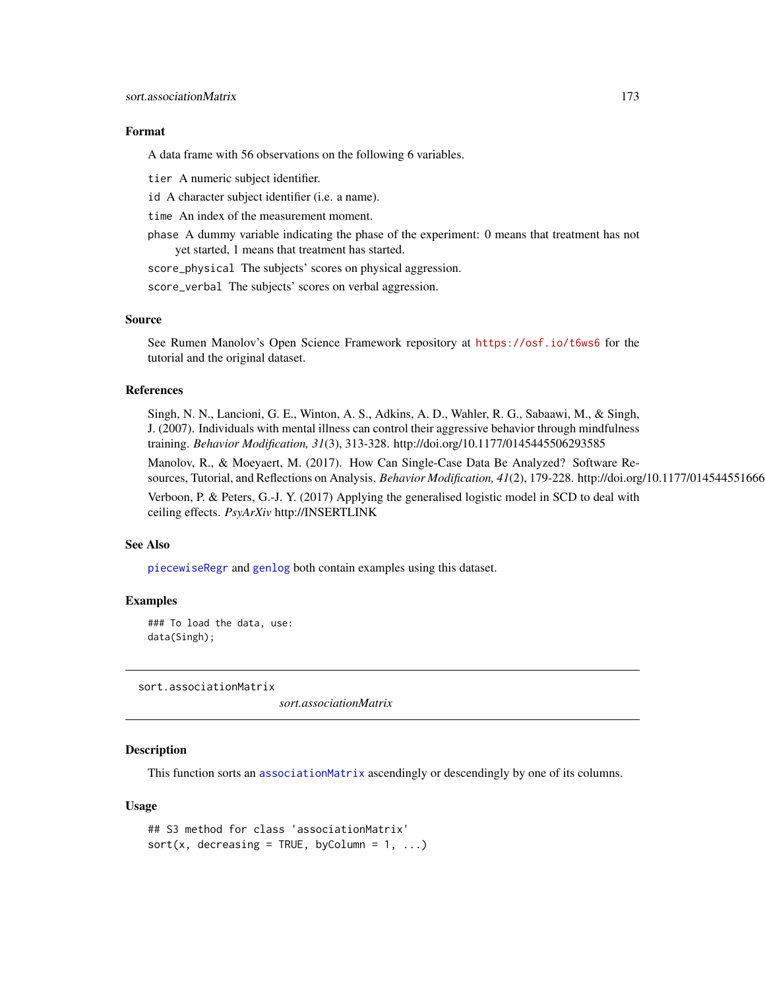#### Format

A data frame with 56 observations on the following 6 variables.

tier A numeric subject identifier.

id A character subject identifier (i.e. a name).

time An index of the measurement moment.

phase A dummy variable indicating the phase of the experiment: 0 means that treatment has not yet started, 1 means that treatment has started.

score\_physical The subjects' scores on physical aggression.

score\_verbal The subjects' scores on verbal aggression.

#### Source

See Rumen Manolov's Open Science Framework repository at <https://osf.io/t6ws6> for the tutorial and the original dataset.

# References

Singh, N. N., Lancioni, G. E., Winton, A. S., Adkins, A. D., Wahler, R. G., Sabaawi, M., & Singh, J. (2007). Individuals with mental illness can control their aggressive behavior through mindfulness training. *Behavior Modification, 31*(3), 313-328. http://doi.org/10.1177/0145445506293585

Manolov, R., & Moeyaert, M. (2017). How Can Single-Case Data Be Analyzed? Software Resources, Tutorial, and Reflections on Analysis. *Behavior Modification*, 41(2), 179-228. http://doi.org/10.1177/014544551666

Verboon, P. & Peters, G.-J. Y. (2017) Applying the generalised logistic model in SCD to deal with ceiling effects. *PsyArXiv* http://INSERTLINK

#### See Also

[piecewiseRegr](#page-126-0) and [genlog](#page-69-0) both contain examples using this dataset.

#### Examples

### To load the data, use: data(Singh);

sort.associationMatrix

*sort.associationMatrix*

## Description

This function sorts an [associationMatrix](#page-7-0) ascendingly or descendingly by one of its columns.

### Usage

```
## S3 method for class 'associationMatrix'
sort(x, decreasing = TRUE, byColumn = 1, ...)
```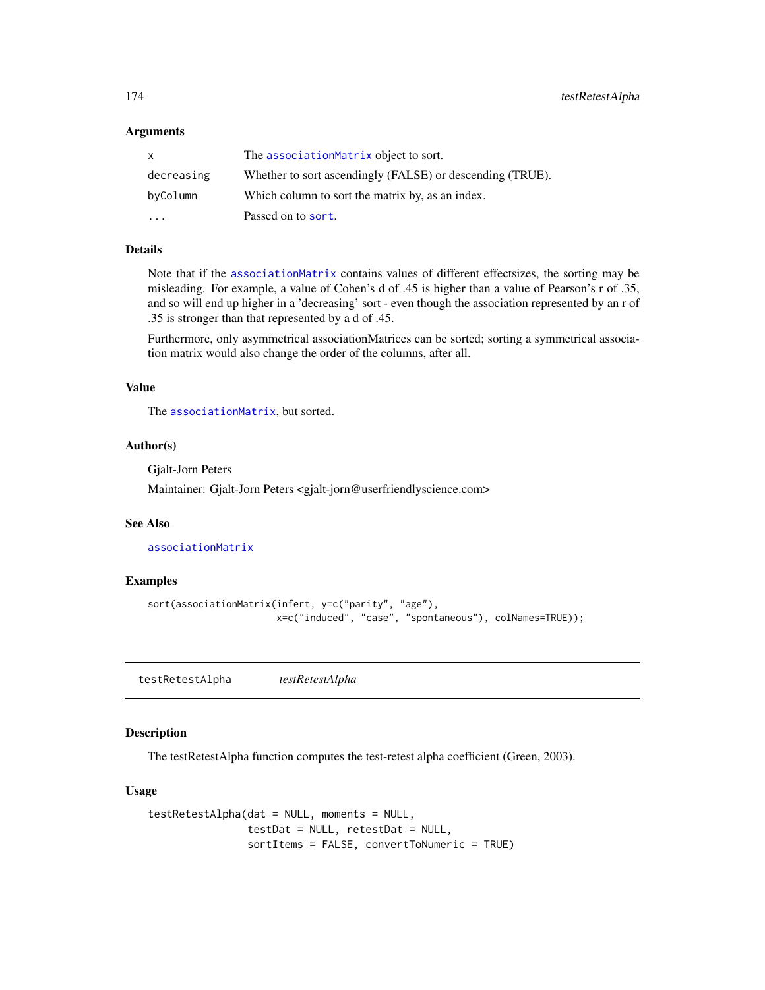#### **Arguments**

| $\mathsf{x}$            | The associationMatrix object to sort.                     |
|-------------------------|-----------------------------------------------------------|
| decreasing              | Whether to sort ascendingly (FALSE) or descending (TRUE). |
| byColumn                | Which column to sort the matrix by, as an index.          |
| $\cdot$ $\cdot$ $\cdot$ | Passed on to sort.                                        |

## Details

Note that if the [associationMatrix](#page-7-0) contains values of different effectsizes, the sorting may be misleading. For example, a value of Cohen's d of .45 is higher than a value of Pearson's r of .35, and so will end up higher in a 'decreasing' sort - even though the association represented by an r of .35 is stronger than that represented by a d of .45.

Furthermore, only asymmetrical associationMatrices can be sorted; sorting a symmetrical association matrix would also change the order of the columns, after all.

## Value

The [associationMatrix](#page-7-0), but sorted.

## Author(s)

Gjalt-Jorn Peters

Maintainer: Gjalt-Jorn Peters <gjalt-jorn@userfriendlyscience.com>

## See Also

[associationMatrix](#page-7-0)

## Examples

```
sort(associationMatrix(infert, y=c("parity", "age"),
                       x=c("induced", "case", "spontaneous"), colNames=TRUE));
```
testRetestAlpha *testRetestAlpha*

## Description

The testRetestAlpha function computes the test-retest alpha coefficient (Green, 2003).

### Usage

```
testRetestAlpha(dat = NULL, moments = NULL,
               testDat = NULL, retestDat = NULL,
               sortItems = FALSE, convertToNumeric = TRUE)
```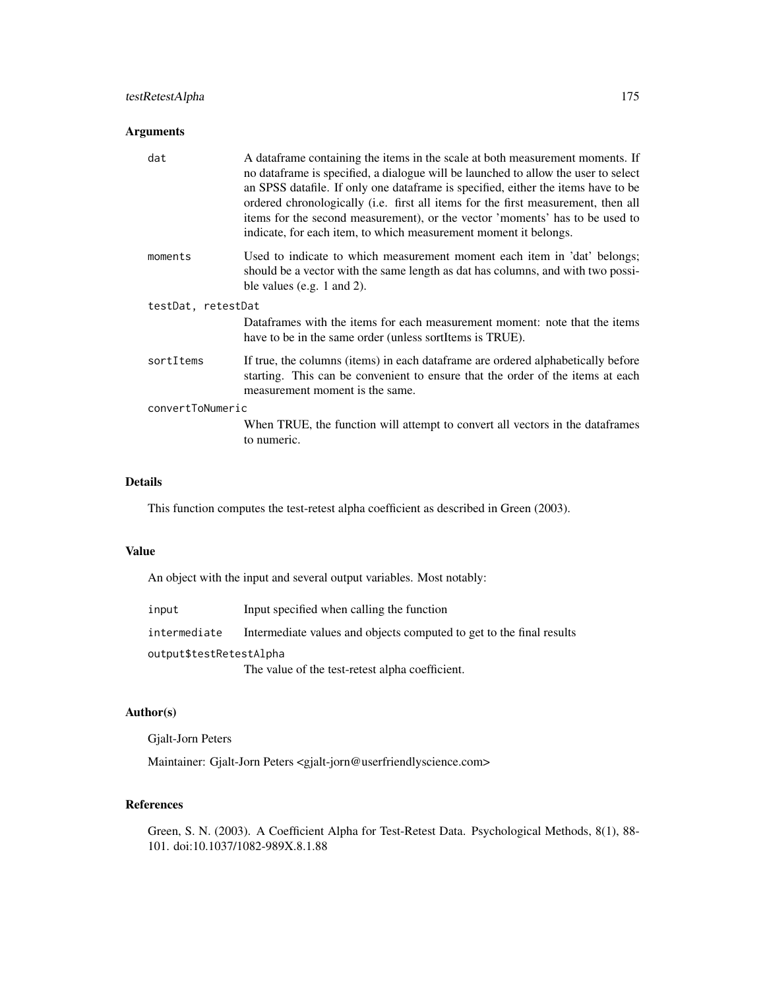# testRetestAlpha 175

# Arguments

| dat                | A data frame containing the items in the scale at both measurement moments. If<br>no dataframe is specified, a dialogue will be launched to allow the user to select<br>an SPSS datafile. If only one dataframe is specified, either the items have to be<br>ordered chronologically (i.e. first all items for the first measurement, then all<br>items for the second measurement), or the vector 'moments' has to be used to<br>indicate, for each item, to which measurement moment it belongs. |
|--------------------|----------------------------------------------------------------------------------------------------------------------------------------------------------------------------------------------------------------------------------------------------------------------------------------------------------------------------------------------------------------------------------------------------------------------------------------------------------------------------------------------------|
| moments            | Used to indicate to which measurement moment each item in 'dat' belongs;<br>should be a vector with the same length as dat has columns, and with two possi-<br>ble values (e.g. 1 and 2).                                                                                                                                                                                                                                                                                                          |
| testDat, retestDat |                                                                                                                                                                                                                                                                                                                                                                                                                                                                                                    |
|                    | Dataframes with the items for each measurement moment: note that the items<br>have to be in the same order (unless sortItems is TRUE).                                                                                                                                                                                                                                                                                                                                                             |
| sortItems          | If true, the columns (items) in each data frame are ordered alphabetically before<br>starting. This can be convenient to ensure that the order of the items at each<br>measurement moment is the same.                                                                                                                                                                                                                                                                                             |
| convertToNumeric   |                                                                                                                                                                                                                                                                                                                                                                                                                                                                                                    |
|                    | When TRUE, the function will attempt to convert all vectors in the dataframes<br>to numeric.                                                                                                                                                                                                                                                                                                                                                                                                       |
|                    |                                                                                                                                                                                                                                                                                                                                                                                                                                                                                                    |

## Details

This function computes the test-retest alpha coefficient as described in Green (2003).

## Value

An object with the input and several output variables. Most notably:

| input | Input specified when calling the function |
|-------|-------------------------------------------|
|       |                                           |

intermediate Intermediate values and objects computed to get to the final results

## output\$testRetestAlpha

The value of the test-retest alpha coefficient.

## Author(s)

Gjalt-Jorn Peters

Maintainer: Gjalt-Jorn Peters <gjalt-jorn@userfriendlyscience.com>

# References

Green, S. N. (2003). A Coefficient Alpha for Test-Retest Data. Psychological Methods, 8(1), 88- 101. doi:10.1037/1082-989X.8.1.88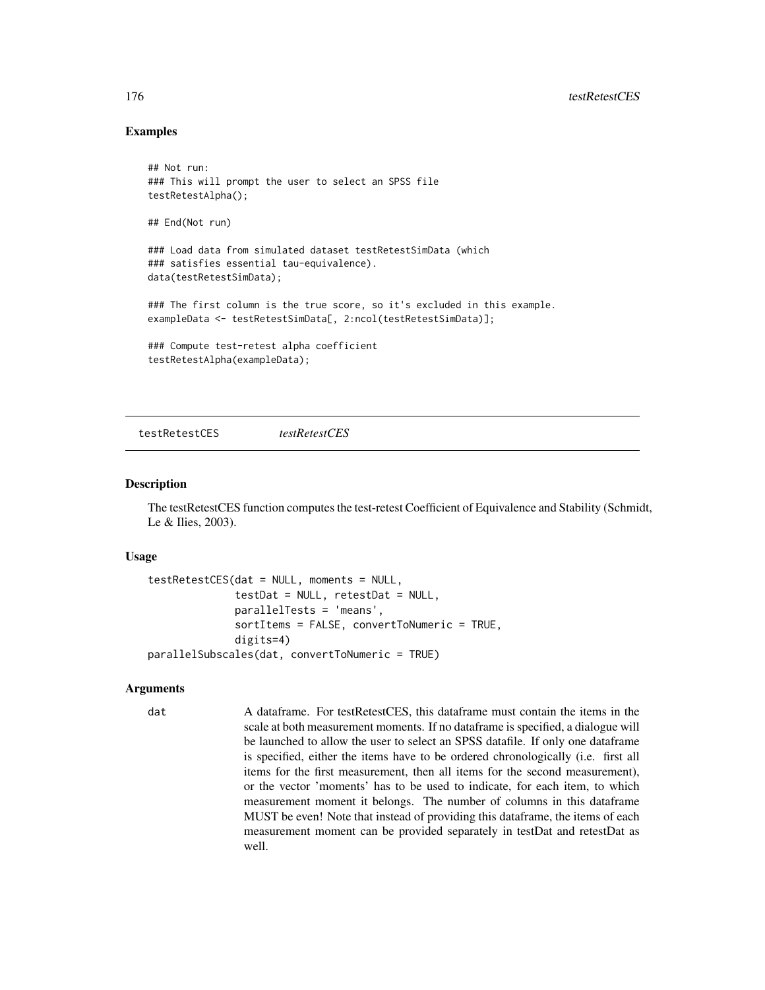## Examples

```
## Not run:
### This will prompt the user to select an SPSS file
testRetestAlpha();
## End(Not run)
### Load data from simulated dataset testRetestSimData (which
### satisfies essential tau-equivalence).
data(testRetestSimData);
### The first column is the true score, so it's excluded in this example.
exampleData <- testRetestSimData[, 2:ncol(testRetestSimData)];
### Compute test-retest alpha coefficient
```
testRetestAlpha(exampleData);

testRetestCES *testRetestCES*

#### Description

The testRetestCES function computes the test-retest Coefficient of Equivalence and Stability (Schmidt, Le & Ilies, 2003).

#### Usage

```
testRetestCES(dat = NULL, moments = NULL,
              testDat = NULL, retestDat = NULL,
              parallelTests = 'means',
              sortItems = FALSE, convertToNumeric = TRUE,
              digits=4)
parallelSubscales(dat, convertToNumeric = TRUE)
```
#### Arguments

dat A dataframe. For testRetestCES, this dataframe must contain the items in the scale at both measurement moments. If no dataframe is specified, a dialogue will be launched to allow the user to select an SPSS datafile. If only one dataframe is specified, either the items have to be ordered chronologically (i.e. first all items for the first measurement, then all items for the second measurement), or the vector 'moments' has to be used to indicate, for each item, to which measurement moment it belongs. The number of columns in this dataframe MUST be even! Note that instead of providing this dataframe, the items of each measurement moment can be provided separately in testDat and retestDat as well.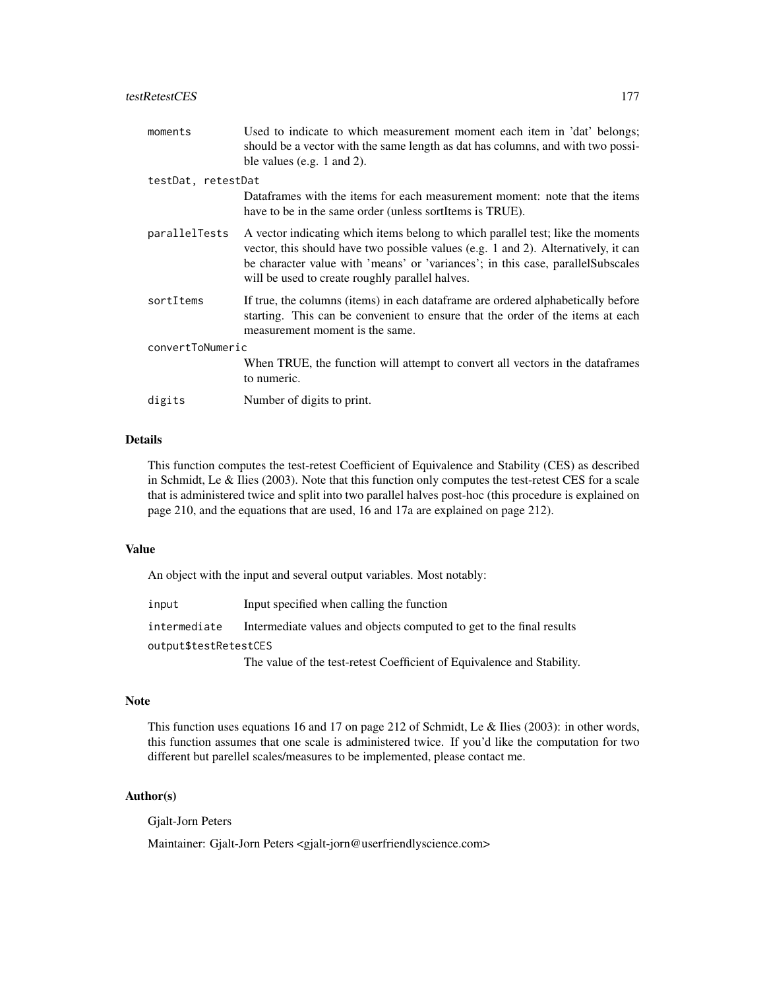## testRetestCES 177

| moments            | Used to indicate to which measurement moment each item in 'dat' belongs;<br>should be a vector with the same length as dat has columns, and with two possi-<br>ble values (e.g. 1 and 2).                                                                                                                   |
|--------------------|-------------------------------------------------------------------------------------------------------------------------------------------------------------------------------------------------------------------------------------------------------------------------------------------------------------|
| testDat, retestDat |                                                                                                                                                                                                                                                                                                             |
|                    | Dataframes with the items for each measurement moment: note that the items<br>have to be in the same order (unless sort Items is TRUE).                                                                                                                                                                     |
| parallelTests      | A vector indicating which items belong to which parallel test; like the moments<br>vector, this should have two possible values (e.g. 1 and 2). Alternatively, it can<br>be character value with 'means' or 'variances'; in this case, parallelSubscales<br>will be used to create roughly parallel halves. |
| sortItems          | If true, the columns (items) in each dataframe are ordered alphabetically before<br>starting. This can be convenient to ensure that the order of the items at each<br>measurement moment is the same.                                                                                                       |
| convertToNumeric   |                                                                                                                                                                                                                                                                                                             |
|                    | When TRUE, the function will attempt to convert all vectors in the data frames<br>to numeric.                                                                                                                                                                                                               |
| digits             | Number of digits to print.                                                                                                                                                                                                                                                                                  |

# Details

This function computes the test-retest Coefficient of Equivalence and Stability (CES) as described in Schmidt, Le & Ilies (2003). Note that this function only computes the test-retest CES for a scale that is administered twice and split into two parallel halves post-hoc (this procedure is explained on page 210, and the equations that are used, 16 and 17a are explained on page 212).

## Value

An object with the input and several output variables. Most notably:

input Input specified when calling the function

intermediate Intermediate values and objects computed to get to the final results

output\$testRetestCES

The value of the test-retest Coefficient of Equivalence and Stability.

## Note

This function uses equations 16 and 17 on page 212 of Schmidt, Le & Ilies (2003): in other words, this function assumes that one scale is administered twice. If you'd like the computation for two different but parellel scales/measures to be implemented, please contact me.

## Author(s)

Gjalt-Jorn Peters

Maintainer: Gjalt-Jorn Peters <gjalt-jorn@userfriendlyscience.com>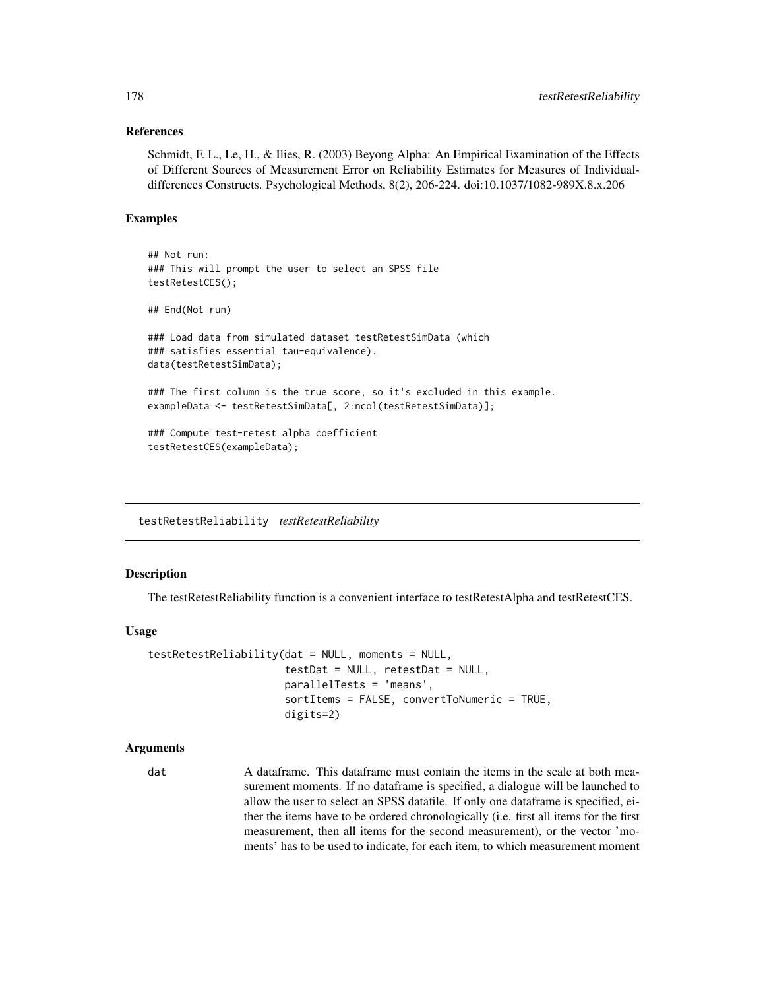## References

Schmidt, F. L., Le, H., & Ilies, R. (2003) Beyong Alpha: An Empirical Examination of the Effects of Different Sources of Measurement Error on Reliability Estimates for Measures of Individualdifferences Constructs. Psychological Methods, 8(2), 206-224. doi:10.1037/1082-989X.8.x.206

# Examples

```
## Not run:
### This will prompt the user to select an SPSS file
testRetestCES();
## End(Not run)
### Load data from simulated dataset testRetestSimData (which
### satisfies essential tau-equivalence).
data(testRetestSimData);
### The first column is the true score, so it's excluded in this example.
exampleData <- testRetestSimData[, 2:ncol(testRetestSimData)];
### Compute test-retest alpha coefficient
testRetestCES(exampleData);
```
testRetestReliability *testRetestReliability*

## **Description**

The testRetestReliability function is a convenient interface to testRetestAlpha and testRetestCES.

#### Usage

```
testRetestReliability(dat = NULL, moments = NULL,
                      testDat = NULL, retestDat = NULL,
                      parallelTests = 'means',
                      sortItems = FALSE, convertToNumeric = TRUE,
                      digits=2)
```
#### Arguments

dat A dataframe. This dataframe must contain the items in the scale at both measurement moments. If no dataframe is specified, a dialogue will be launched to allow the user to select an SPSS datafile. If only one dataframe is specified, either the items have to be ordered chronologically (i.e. first all items for the first measurement, then all items for the second measurement), or the vector 'moments' has to be used to indicate, for each item, to which measurement moment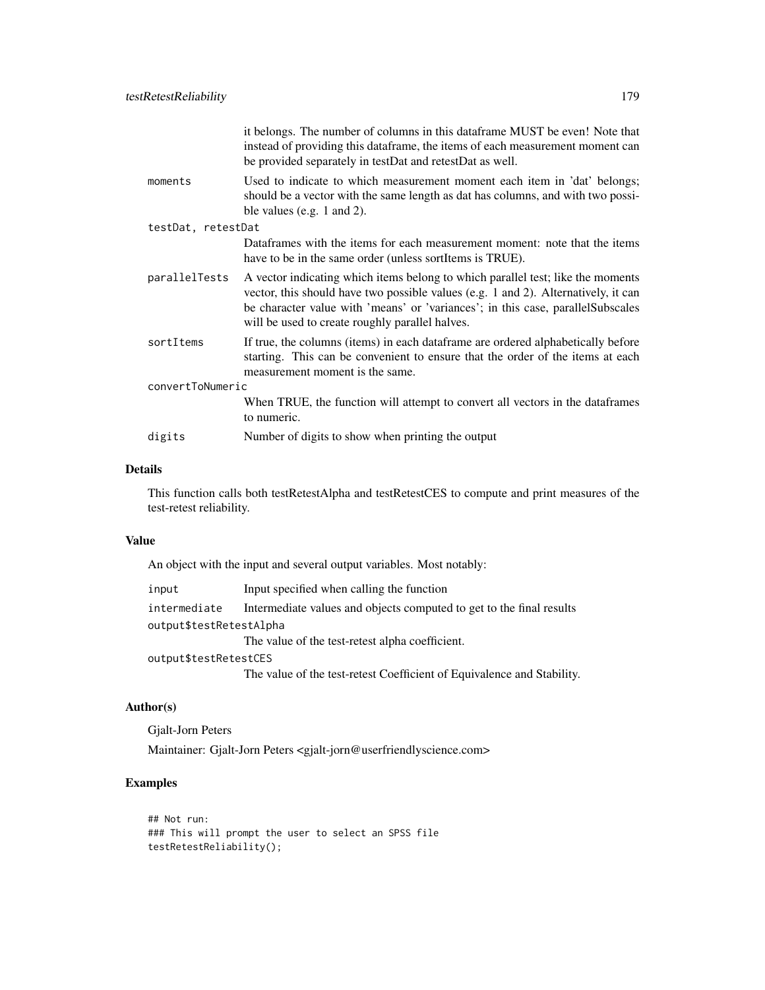| it belongs. The number of columns in this dataframe MUST be even! Note that<br>instead of providing this dataframe, the items of each measurement moment can<br>be provided separately in testDat and retestDat as well.                                                                                    |  |
|-------------------------------------------------------------------------------------------------------------------------------------------------------------------------------------------------------------------------------------------------------------------------------------------------------------|--|
| Used to indicate to which measurement moment each item in 'dat' belongs;<br>should be a vector with the same length as dat has columns, and with two possi-<br>ble values (e.g. $1$ and $2$ ).                                                                                                              |  |
| testDat, retestDat                                                                                                                                                                                                                                                                                          |  |
| Dataframes with the items for each measurement moment: note that the items<br>have to be in the same order (unless sortItems is TRUE).                                                                                                                                                                      |  |
| A vector indicating which items belong to which parallel test; like the moments<br>vector, this should have two possible values (e.g. 1 and 2). Alternatively, it can<br>be character value with 'means' or 'variances'; in this case, parallelSubscales<br>will be used to create roughly parallel halves. |  |
| If true, the columns (items) in each dataframe are ordered alphabetically before<br>starting. This can be convenient to ensure that the order of the items at each<br>measurement moment is the same.                                                                                                       |  |
| convertToNumeric                                                                                                                                                                                                                                                                                            |  |
| When TRUE, the function will attempt to convert all vectors in the dataframes<br>to numeric.                                                                                                                                                                                                                |  |
| Number of digits to show when printing the output                                                                                                                                                                                                                                                           |  |
|                                                                                                                                                                                                                                                                                                             |  |

# Details

This function calls both testRetestAlpha and testRetestCES to compute and print measures of the test-retest reliability.

## Value

An object with the input and several output variables. Most notably:

| input                   | Input specified when calling the function                            |
|-------------------------|----------------------------------------------------------------------|
| intermediate            | Intermediate values and objects computed to get to the final results |
| output\$testRetestAlpha |                                                                      |
|                         | The value of the test-retest alpha coefficient.                      |
| output\$testRetestCES   |                                                                      |
|                         | <u>ri i amerika</u>                                                  |

The value of the test-retest Coefficient of Equivalence and Stability.

## Author(s)

Gjalt-Jorn Peters

Maintainer: Gjalt-Jorn Peters <gjalt-jorn@userfriendlyscience.com>

# Examples

## Not run: ### This will prompt the user to select an SPSS file testRetestReliability();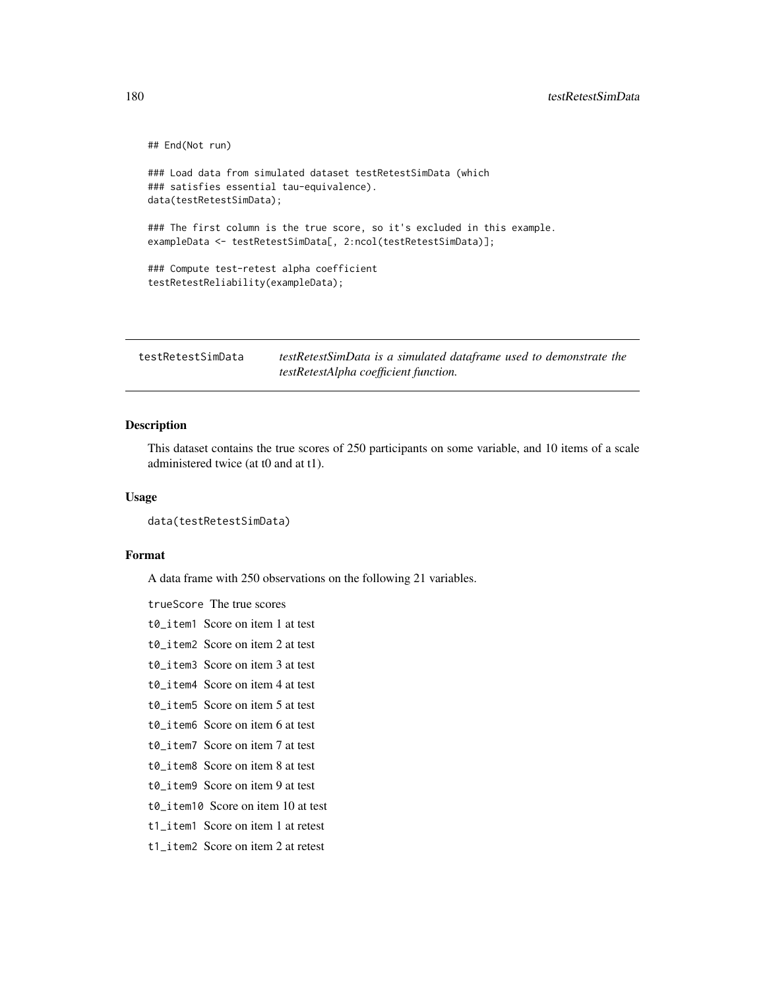```
## End(Not run)
### Load data from simulated dataset testRetestSimData (which
### satisfies essential tau-equivalence).
data(testRetestSimData);
### The first column is the true score, so it's excluded in this example.
exampleData <- testRetestSimData[, 2:ncol(testRetestSimData)];
### Compute test-retest alpha coefficient
testRetestReliability(exampleData);
```
testRetestSimData *testRetestSimData is a simulated dataframe used to demonstrate the testRetestAlpha coefficient function.*

#### Description

This dataset contains the true scores of 250 participants on some variable, and 10 items of a scale administered twice (at t0 and at t1).

#### Usage

```
data(testRetestSimData)
```
#### Format

A data frame with 250 observations on the following 21 variables.

trueScore The true scores

- t0 item1 Score on item 1 at test
- t0\_item2 Score on item 2 at test
- t0\_item3 Score on item 3 at test
- t0\_item4 Score on item 4 at test
- t0\_item5 Score on item 5 at test
- t0\_item6 Score on item 6 at test
- t0\_item7 Score on item 7 at test
- t0 item8 Score on item 8 at test
- t0\_item9 Score on item 9 at test
- t0\_item10 Score on item 10 at test
- t1\_item1 Score on item 1 at retest
- t1\_item2 Score on item 2 at retest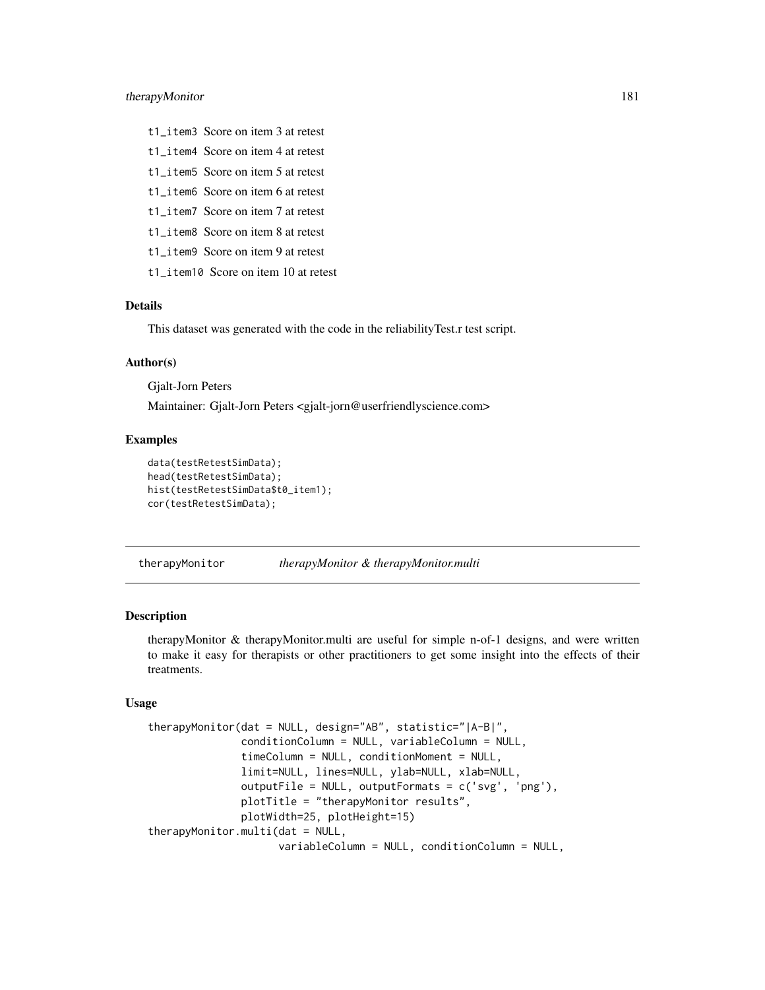# <span id="page-180-1"></span>therapyMonitor 181

- t1\_item3 Score on item 3 at retest
- t1\_item4 Score on item 4 at retest
- t1\_item5 Score on item 5 at retest
- t1\_item6 Score on item 6 at retest
- t1\_item7 Score on item 7 at retest
- t1\_item8 Score on item 8 at retest
- t1\_item9 Score on item 9 at retest
- t1\_item10 Score on item 10 at retest

# Details

This dataset was generated with the code in the reliabilityTest.r test script.

#### Author(s)

Gjalt-Jorn Peters

Maintainer: Gjalt-Jorn Peters <gjalt-jorn@userfriendlyscience.com>

# Examples

```
data(testRetestSimData);
head(testRetestSimData);
hist(testRetestSimData$t0_item1);
cor(testRetestSimData);
```
<span id="page-180-0"></span>therapyMonitor *therapyMonitor & therapyMonitor.multi*

#### Description

therapyMonitor & therapyMonitor.multi are useful for simple n-of-1 designs, and were written to make it easy for therapists or other practitioners to get some insight into the effects of their treatments.

#### Usage

```
therapyMonitor(dat = NULL, design="AB", statistic="|A-B|",
               conditionColumn = NULL, variableColumn = NULL,
               timeColumn = NULL, conditionMoment = NULL,
               limit=NULL, lines=NULL, ylab=NULL, xlab=NULL,
               outputFile = NULL, outputFormats = c('svg', 'png'),
               plotTitle = "therapyMonitor results",
               plotWidth=25, plotHeight=15)
therapyMonitor.multi(dat = NULL,
                     variableColumn = NULL, conditionColumn = NULL,
```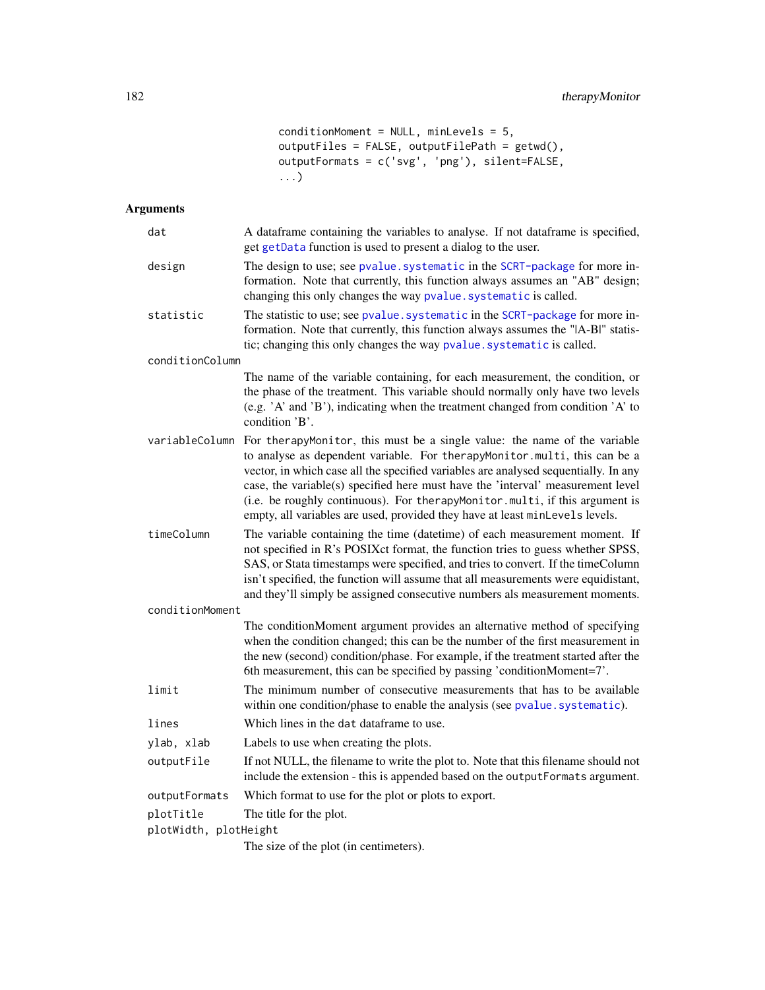conditionMoment = NULL, minLevels = 5, outputFiles = FALSE, outputFilePath =  $g$ etwd(), outputFormats = c('svg', 'png'), silent=FALSE, ...)

# <span id="page-181-0"></span>Arguments

| dat                   | A dataframe containing the variables to analyse. If not dataframe is specified,<br>get getData function is used to present a dialog to the user.                                                                                                                                                                                                                                                                                                                                                |
|-----------------------|-------------------------------------------------------------------------------------------------------------------------------------------------------------------------------------------------------------------------------------------------------------------------------------------------------------------------------------------------------------------------------------------------------------------------------------------------------------------------------------------------|
| design                | The design to use; see pvalue. systematic in the SCRT-package for more in-<br>formation. Note that currently, this function always assumes an "AB" design;<br>changing this only changes the way pvalue. systematic is called.                                                                                                                                                                                                                                                                  |
| statistic             | The statistic to use; see pvalue. systematic in the SCRT-package for more in-<br>formation. Note that currently, this function always assumes the " A-B " statis-<br>tic; changing this only changes the way pvalue. systematic is called.                                                                                                                                                                                                                                                      |
| conditionColumn       |                                                                                                                                                                                                                                                                                                                                                                                                                                                                                                 |
|                       | The name of the variable containing, for each measurement, the condition, or<br>the phase of the treatment. This variable should normally only have two levels<br>(e.g. 'A' and 'B'), indicating when the treatment changed from condition 'A' to<br>condition 'B'.                                                                                                                                                                                                                             |
| variableColumn        | For therapyMonitor, this must be a single value: the name of the variable<br>to analyse as dependent variable. For therapyMonitor.multi, this can be a<br>vector, in which case all the specified variables are analysed sequentially. In any<br>case, the variable(s) specified here must have the 'interval' measurement level<br>(i.e. be roughly continuous). For therapyMonitor.multi, if this argument is<br>empty, all variables are used, provided they have at least minLevels levels. |
| timeColumn            | The variable containing the time (datetime) of each measurement moment. If<br>not specified in R's POSIXct format, the function tries to guess whether SPSS,<br>SAS, or Stata timestamps were specified, and tries to convert. If the timeColumn<br>isn't specified, the function will assume that all measurements were equidistant,<br>and they'll simply be assigned consecutive numbers als measurement moments.                                                                            |
| conditionMoment       |                                                                                                                                                                                                                                                                                                                                                                                                                                                                                                 |
|                       | The conditionMoment argument provides an alternative method of specifying<br>when the condition changed; this can be the number of the first measurement in<br>the new (second) condition/phase. For example, if the treatment started after the<br>6th measurement, this can be specified by passing 'conditionMoment=7'.                                                                                                                                                                      |
| limit                 | The minimum number of consecutive measurements that has to be available<br>within one condition/phase to enable the analysis (see pvalue.systematic).                                                                                                                                                                                                                                                                                                                                           |
| lines                 | Which lines in the dat dataframe to use.                                                                                                                                                                                                                                                                                                                                                                                                                                                        |
| ylab, xlab            | Labels to use when creating the plots.                                                                                                                                                                                                                                                                                                                                                                                                                                                          |
| outputFile            | If not NULL, the filename to write the plot to. Note that this filename should not<br>include the extension - this is appended based on the outputFormats argument.                                                                                                                                                                                                                                                                                                                             |
| outputFormats         | Which format to use for the plot or plots to export.                                                                                                                                                                                                                                                                                                                                                                                                                                            |
| plotTitle             | The title for the plot.                                                                                                                                                                                                                                                                                                                                                                                                                                                                         |
| plotWidth, plotHeight |                                                                                                                                                                                                                                                                                                                                                                                                                                                                                                 |
|                       | The size of the plot (in centimeters).                                                                                                                                                                                                                                                                                                                                                                                                                                                          |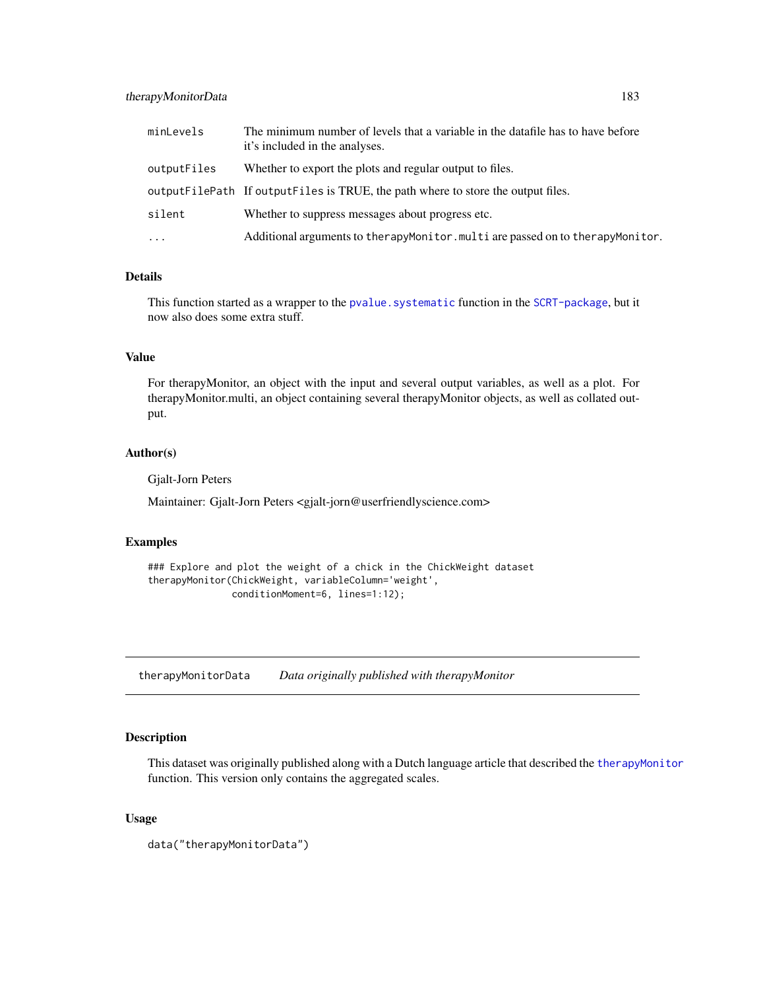# <span id="page-182-0"></span>therapyMonitorData 183

| minLevels           | The minimum number of levels that a variable in the datafile has to have before<br>it's included in the analyses. |
|---------------------|-------------------------------------------------------------------------------------------------------------------|
| outputFiles         | Whether to export the plots and regular output to files.                                                          |
|                     | output File Path If output Files is TRUE, the path where to store the output files.                               |
| silent              | Whether to suppress messages about progress etc.                                                                  |
| $\cdot \cdot \cdot$ | Additional arguments to therapyMonitor.multi are passed on to therapyMonitor.                                     |

# Details

This function started as a wrapper to the pvalue. systematic function in the [SCRT-package](#page-0-0), but it now also does some extra stuff.

# Value

For therapyMonitor, an object with the input and several output variables, as well as a plot. For therapyMonitor.multi, an object containing several therapyMonitor objects, as well as collated output.

# Author(s)

Gjalt-Jorn Peters

Maintainer: Gjalt-Jorn Peters <gjalt-jorn@userfriendlyscience.com>

#### Examples

```
### Explore and plot the weight of a chick in the ChickWeight dataset
therapyMonitor(ChickWeight, variableColumn='weight',
              conditionMoment=6, lines=1:12);
```
therapyMonitorData *Data originally published with therapyMonitor*

### Description

This dataset was originally published along with a Dutch language article that described the [therapyMonitor](#page-180-0) function. This version only contains the aggregated scales.

# Usage

data("therapyMonitorData")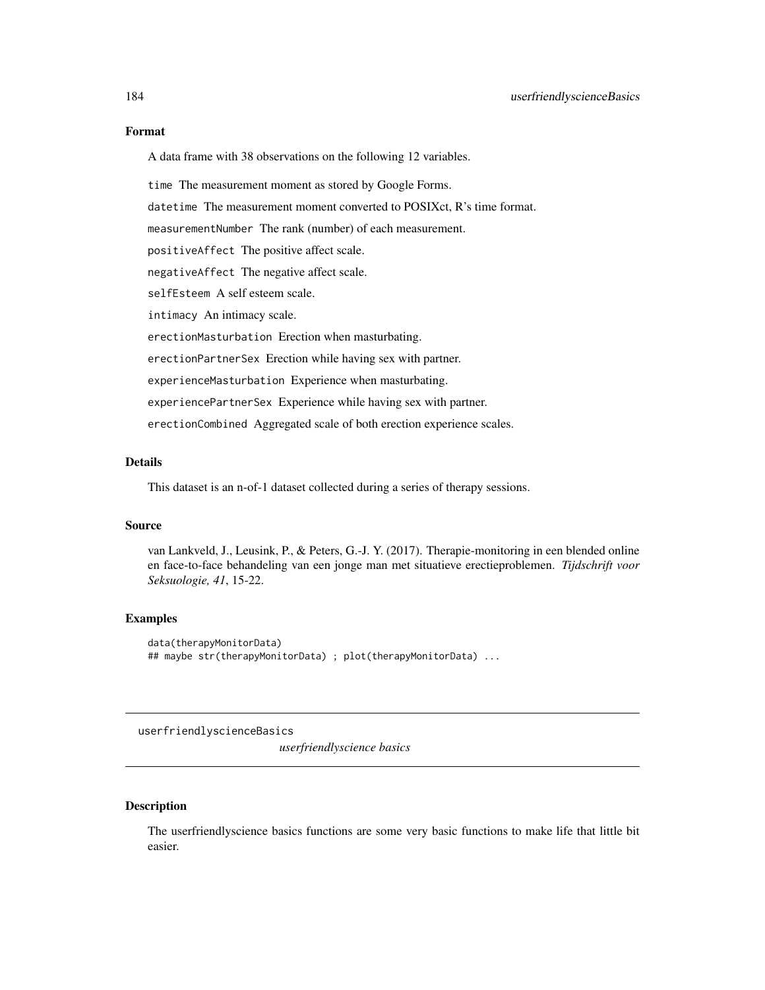#### <span id="page-183-1"></span>Format

A data frame with 38 observations on the following 12 variables.

time The measurement moment as stored by Google Forms.

datetime The measurement moment converted to POSIXct, R's time format.

measurementNumber The rank (number) of each measurement.

positiveAffect The positive affect scale.

negativeAffect The negative affect scale.

selfEsteem A self esteem scale.

intimacy An intimacy scale.

erectionMasturbation Erection when masturbating.

erectionPartnerSex Erection while having sex with partner.

experienceMasturbation Experience when masturbating.

experiencePartnerSex Experience while having sex with partner.

erectionCombined Aggregated scale of both erection experience scales.

# Details

This dataset is an n-of-1 dataset collected during a series of therapy sessions.

#### Source

van Lankveld, J., Leusink, P., & Peters, G.-J. Y. (2017). Therapie-monitoring in een blended online en face-to-face behandeling van een jonge man met situatieve erectieproblemen. *Tijdschrift voor Seksuologie, 41*, 15-22.

#### Examples

```
data(therapyMonitorData)
## maybe str(therapyMonitorData) ; plot(therapyMonitorData) ...
```
userfriendlyscienceBasics

*userfriendlyscience basics*

# <span id="page-183-0"></span>Description

The userfriendlyscience basics functions are some very basic functions to make life that little bit easier.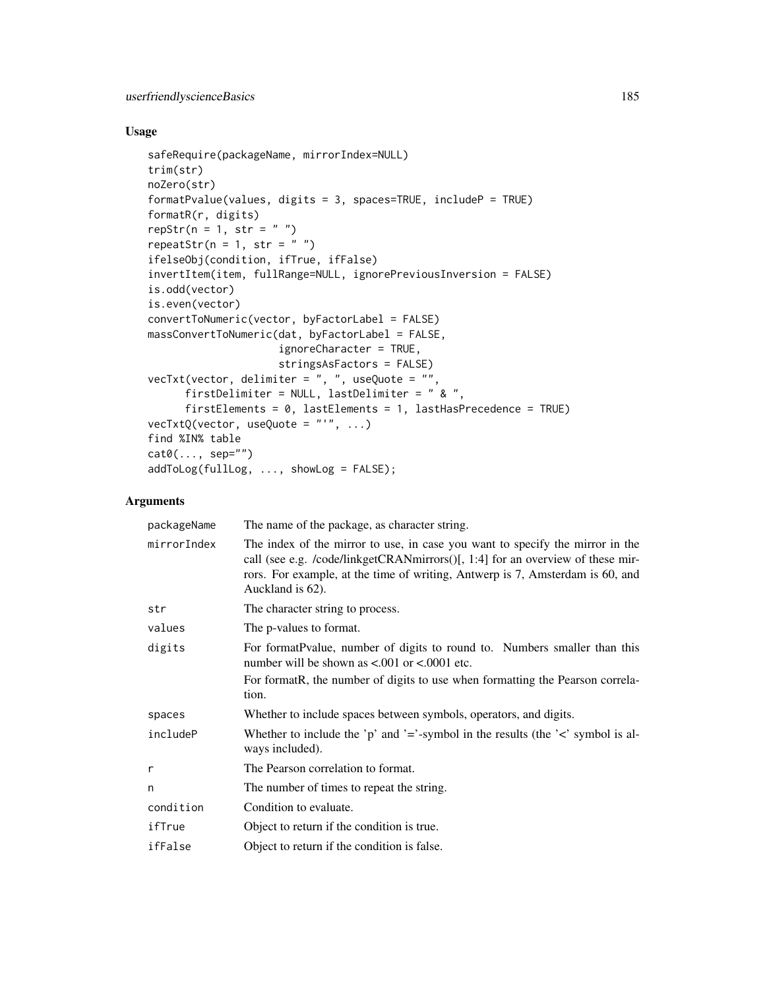# Usage

```
safeRequire(packageName, mirrorIndex=NULL)
trim(str)
noZero(str)
formatPvalue(values, digits = 3, spaces=TRUE, includeP = TRUE)
formatR(r, digits)
repStr(n = 1, str = "")repeatStr(n = 1, str = "")
ifelseObj(condition, ifTrue, ifFalse)
invertItem(item, fullRange=NULL, ignorePreviousInversion = FALSE)
is.odd(vector)
is.even(vector)
convertToNumeric(vector, byFactorLabel = FALSE)
massConvertToNumeric(dat, byFactorLabel = FALSE,
                     ignoreCharacter = TRUE,
                     stringsAsFactors = FALSE)
vecTxt(vector, delimiter = ", ", useQuote = "",
      firstDelimiter = NULL, lastDelimiter = " & ",
      firstElements = 0, lastElements = 1, lastHasPrecedence = TRUE)
vecTxtQ(vector, useQuote = "''", ...)find %IN% table
cat0(..., sep="")addToLog(fullLog, ..., showLog = FALSE);
```
#### Arguments

| packageName | The name of the package, as character string.                                                                                                                                                                                                                        |
|-------------|----------------------------------------------------------------------------------------------------------------------------------------------------------------------------------------------------------------------------------------------------------------------|
| mirrorIndex | The index of the mirror to use, in case you want to specify the mirror in the<br>call (see e.g. /code/linkgetCRANmirrors()[, 1:4] for an overview of these mir-<br>rors. For example, at the time of writing, Antwerp is 7, Amsterdam is 60, and<br>Auckland is 62). |
| str         | The character string to process.                                                                                                                                                                                                                                     |
| values      | The p-values to format.                                                                                                                                                                                                                                              |
| digits      | For format Pvalue, number of digits to round to. Numbers smaller than this<br>number will be shown as $\lt$ 0.001 or $\lt$ 0.0001 etc.                                                                                                                               |
|             | For formatR, the number of digits to use when formatting the Pearson correla-<br>tion.                                                                                                                                                                               |
| spaces      | Whether to include spaces between symbols, operators, and digits.                                                                                                                                                                                                    |
| includeP    | Whether to include the 'p' and '='-symbol in the results (the ' $\lt$ ' symbol is al-<br>ways included).                                                                                                                                                             |
| r           | The Pearson correlation to format.                                                                                                                                                                                                                                   |
| n           | The number of times to repeat the string.                                                                                                                                                                                                                            |
| condition   | Condition to evaluate.                                                                                                                                                                                                                                               |
| ifTrue      | Object to return if the condition is true.                                                                                                                                                                                                                           |
| ifFalse     | Object to return if the condition is false.                                                                                                                                                                                                                          |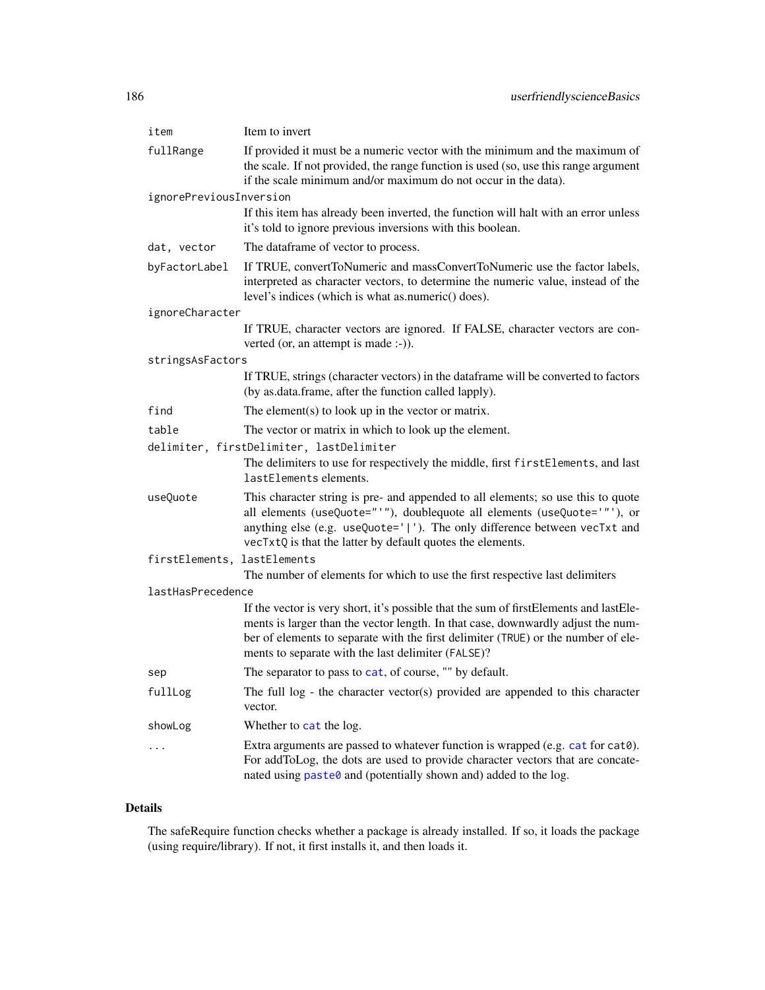<span id="page-185-0"></span>

| item                        | Item to invert                                                                                                                                                                                                                                                                                                       |
|-----------------------------|----------------------------------------------------------------------------------------------------------------------------------------------------------------------------------------------------------------------------------------------------------------------------------------------------------------------|
| fullRange                   | If provided it must be a numeric vector with the minimum and the maximum of<br>the scale. If not provided, the range function is used (so, use this range argument<br>if the scale minimum and/or maximum do not occur in the data).                                                                                 |
| ignorePreviousInversion     |                                                                                                                                                                                                                                                                                                                      |
|                             | If this item has already been inverted, the function will halt with an error unless<br>it's told to ignore previous inversions with this boolean.                                                                                                                                                                    |
| dat, vector                 | The dataframe of vector to process.                                                                                                                                                                                                                                                                                  |
| byFactorLabel               | If TRUE, convertToNumeric and massConvertToNumeric use the factor labels,<br>interpreted as character vectors, to determine the numeric value, instead of the<br>level's indices (which is what as.numeric() does).                                                                                                  |
| ignoreCharacter             |                                                                                                                                                                                                                                                                                                                      |
|                             | If TRUE, character vectors are ignored. If FALSE, character vectors are con-<br>verted (or, an attempt is made :-)).                                                                                                                                                                                                 |
| stringsAsFactors            |                                                                                                                                                                                                                                                                                                                      |
|                             | If TRUE, strings (character vectors) in the dataframe will be converted to factors<br>(by as.data.frame, after the function called lapply).                                                                                                                                                                          |
| find                        | The element(s) to look up in the vector or matrix.                                                                                                                                                                                                                                                                   |
| table                       | The vector or matrix in which to look up the element.                                                                                                                                                                                                                                                                |
|                             | delimiter, firstDelimiter, lastDelimiter                                                                                                                                                                                                                                                                             |
|                             | The delimiters to use for respectively the middle, first first Elements, and last<br>lastElements elements.                                                                                                                                                                                                          |
| useQuote                    | This character string is pre- and appended to all elements; so use this to quote<br>all elements (useQuote="'"), doublequote all elements (useQuote='"'), or<br>anything else (e.g. useQuote=' '). The only difference between vecTxt and<br>vecTxtQ is that the latter by default quotes the elements.              |
| firstElements, lastElements |                                                                                                                                                                                                                                                                                                                      |
|                             | The number of elements for which to use the first respective last delimiters                                                                                                                                                                                                                                         |
| lastHasPrecedence           |                                                                                                                                                                                                                                                                                                                      |
|                             | If the vector is very short, it's possible that the sum of firstElements and lastEle-<br>ments is larger than the vector length. In that case, downwardly adjust the num-<br>ber of elements to separate with the first delimiter (TRUE) or the number of ele-<br>ments to separate with the last delimiter (FALSE)? |
| sep                         | The separator to pass to cat, of course, "" by default.                                                                                                                                                                                                                                                              |
| fullLog                     | The full $log - the character vector(s)$ provided are appended to this character<br>vector.                                                                                                                                                                                                                          |
| showLog                     | Whether to cat the log.                                                                                                                                                                                                                                                                                              |
| .                           | Extra arguments are passed to whatever function is wrapped (e.g. $cat$ for $cat$ ).<br>For addToLog, the dots are used to provide character vectors that are concate-<br>nated using paste0 and (potentially shown and) added to the log.                                                                            |

# Details

The safeRequire function checks whether a package is already installed. If so, it loads the package (using require/library). If not, it first installs it, and then loads it.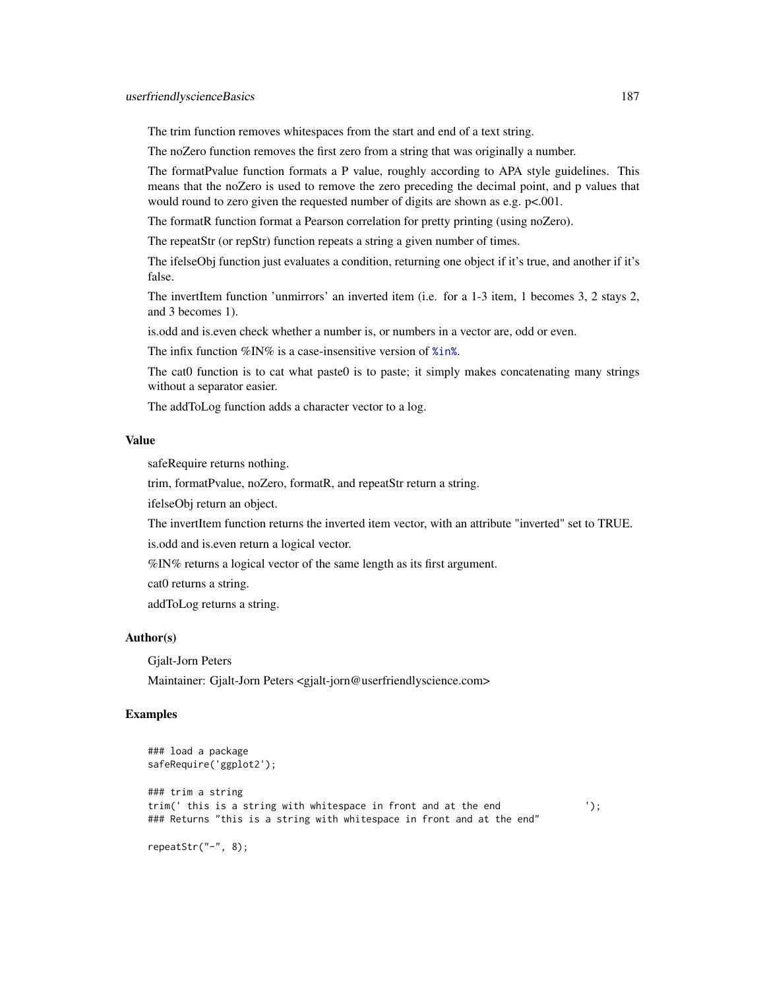<span id="page-186-0"></span>The trim function removes whitespaces from the start and end of a text string.

The noZero function removes the first zero from a string that was originally a number.

The formatPvalue function formats a P value, roughly according to APA style guidelines. This means that the noZero is used to remove the zero preceding the decimal point, and p values that would round to zero given the requested number of digits are shown as e.g. p<.001.

The formatR function format a Pearson correlation for pretty printing (using noZero).

The repeatStr (or repStr) function repeats a string a given number of times.

The ifelseObj function just evaluates a condition, returning one object if it's true, and another if it's false.

The invertItem function 'unmirrors' an inverted item (i.e. for a 1-3 item, 1 becomes 3, 2 stays 2, and 3 becomes 1).

is.odd and is.even check whether a number is, or numbers in a vector are, odd or even.

The infix function %IN% is a case-insensitive version of [%in%](#page-0-0).

The cat0 function is to cat what paste0 is to paste; it simply makes concatenating many strings without a separator easier.

The addToLog function adds a character vector to a log.

# Value

safeRequire returns nothing.

trim, formatPvalue, noZero, formatR, and repeatStr return a string.

ifelseObj return an object.

The invertItem function returns the inverted item vector, with an attribute "inverted" set to TRUE.

is.odd and is.even return a logical vector.

%IN% returns a logical vector of the same length as its first argument.

cat0 returns a string.

addToLog returns a string.

#### Author(s)

Gjalt-Jorn Peters

Maintainer: Gjalt-Jorn Peters <gjalt-jorn@userfriendlyscience.com>

#### Examples

```
### load a package
safeRequire('ggplot2');
### trim a string
trim(' this is a string with whitespace in front and at the end ');
### Returns "this is a string with whitespace in front and at the end"
```
repeatStr("-", 8);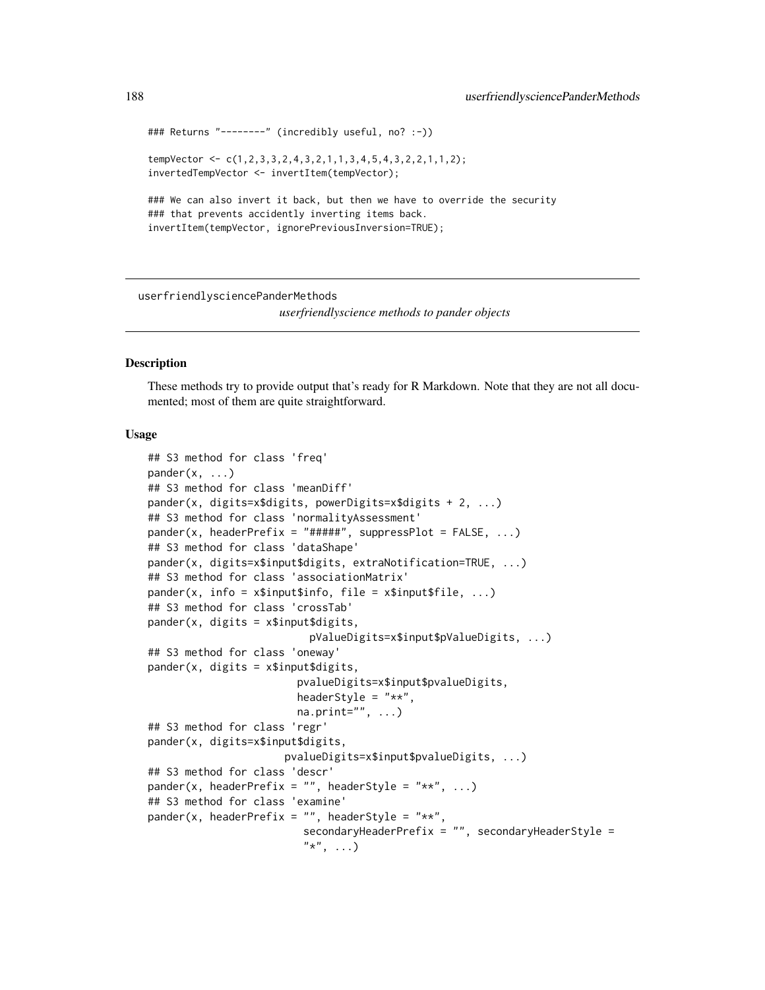```
### Returns "--------" (incredibly useful, no? :-))
tempVector <- c(1,2,3,3,2,4,3,2,1,1,3,4,5,4,3,2,2,1,1,2);
invertedTempVector <- invertItem(tempVector);
### We can also invert it back, but then we have to override the security
### that prevents accidently inverting items back.
invertItem(tempVector, ignorePreviousInversion=TRUE);
```
userfriendlysciencePanderMethods

*userfriendlyscience methods to pander objects*

#### **Description**

These methods try to provide output that's ready for R Markdown. Note that they are not all documented; most of them are quite straightforward.

#### Usage

```
## S3 method for class 'freq'
pander(x, \ldots)## S3 method for class 'meanDiff'
pander(x, digits=x$digits, powerDigits=x$digits + 2, ...)
## S3 method for class 'normalityAssessment'
pander(x, headerPrefix = "#####", suppressPlot = FALSE, \dots)
## S3 method for class 'dataShape'
pander(x, digits=x$input$digits, extraNotification=TRUE, ...)
## S3 method for class 'associationMatrix'
pander(x, info = x$input$info, file = x$input$file, ...)## S3 method for class 'crossTab'
pander(x, digits = x$input$digits,
                          pValueDigits=x$input$pValueDigits, ...)
## S3 method for class 'oneway'
pander(x, digits = x$input$digits,
                        pvalueDigits=x$input$pvalueDigits,
                        headerStyle = "**",
                        na.print="", ...)
## S3 method for class 'regr'
pander(x, digits=x$input$digits,
                      pvalueDigits=x$input$pvalueDigits, ...)
## S3 method for class 'descr'
pander(x, headerPrefix = "", headerStyle = "**", ...)
## S3 method for class 'examine'
pander(x, headerPrefix = "", headerStyle = "**",
                         secondaryHeaderPrefix = "", secondaryHeaderStyle =
                         "*", \ldots)
```
<span id="page-187-0"></span>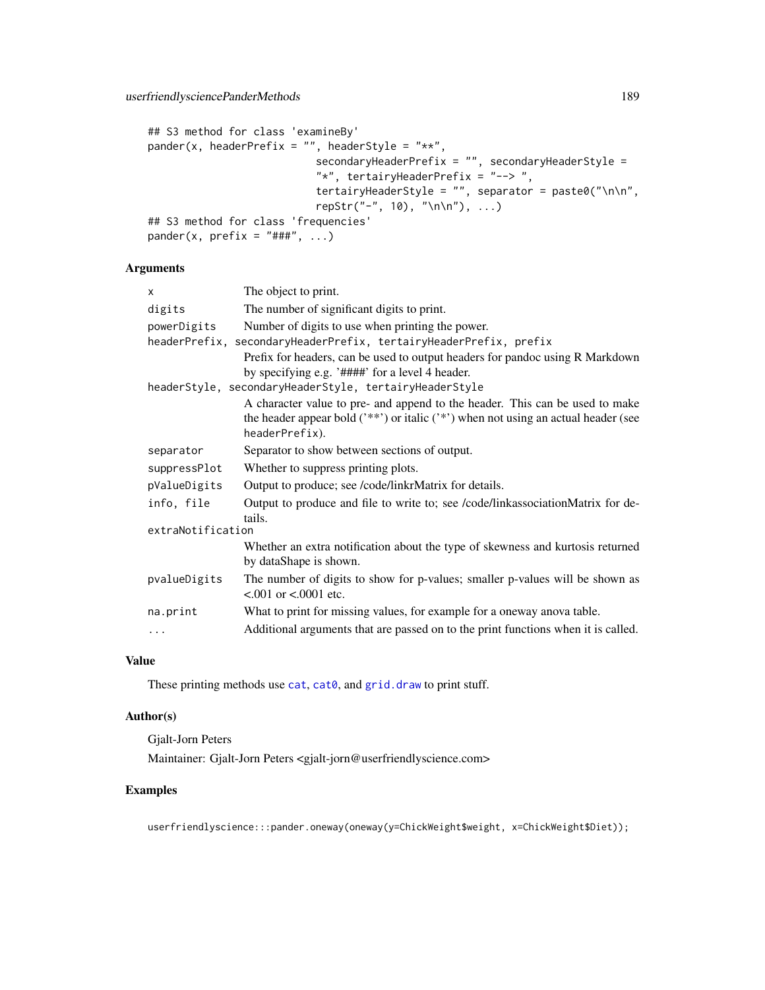```
## S3 method for class 'examineBy'
pander(x, headerPrefix = "", headerStyle = "**",
                           secondaryHeaderPrefix = "", secondaryHeaderStyle =
                           "*", tertairyHeaderPrefix = "--> ",
                           tertairyHeaderStyle = "", separator = paste0("\n\n",
                           repStr("-", 10), "\n\n"), ...)
## S3 method for class 'frequencies'
pander(x, prefix = "###", ...)
```
# Arguments

| $\times$          | The object to print.                                                                                                                                                                  |
|-------------------|---------------------------------------------------------------------------------------------------------------------------------------------------------------------------------------|
| digits            | The number of significant digits to print.                                                                                                                                            |
| powerDigits       | Number of digits to use when printing the power.                                                                                                                                      |
|                   | headerPrefix, secondaryHeaderPrefix, tertairyHeaderPrefix, prefix                                                                                                                     |
|                   | Prefix for headers, can be used to output headers for pandoc using R Markdown<br>by specifying e.g. '####' for a level 4 header.                                                      |
|                   | headerStyle, secondaryHeaderStyle, tertairyHeaderStyle                                                                                                                                |
|                   | A character value to pre- and append to the header. This can be used to make<br>the header appear bold $(**)$ or italic $(**)$ when not using an actual header (see<br>headerPrefix). |
| separator         | Separator to show between sections of output.                                                                                                                                         |
| suppressPlot      | Whether to suppress printing plots.                                                                                                                                                   |
| pValueDigits      | Output to produce; see /code/linkrMatrix for details.                                                                                                                                 |
| info, file        | Output to produce and file to write to; see /code/linkassociationMatrix for de-<br>tails.                                                                                             |
| extraNotification |                                                                                                                                                                                       |
|                   | Whether an extra notification about the type of skewness and kurtosis returned<br>by dataShape is shown.                                                                              |
| pvalueDigits      | The number of digits to show for p-values; smaller p-values will be shown as<br>$< 0.001$ or $< 0.0001$ etc.                                                                          |
| na.print          | What to print for missing values, for example for a oneway anova table.                                                                                                               |
| .                 | Additional arguments that are passed on to the print functions when it is called.                                                                                                     |

# Value

These printing methods use [cat](#page-0-0), [cat0](#page-183-0), and [grid.draw](#page-0-0) to print stuff.

#### Author(s)

Gjalt-Jorn Peters Maintainer: Gjalt-Jorn Peters <gjalt-jorn@userfriendlyscience.com>

# Examples

userfriendlyscience:::pander.oneway(oneway(y=ChickWeight\$weight, x=ChickWeight\$Diet));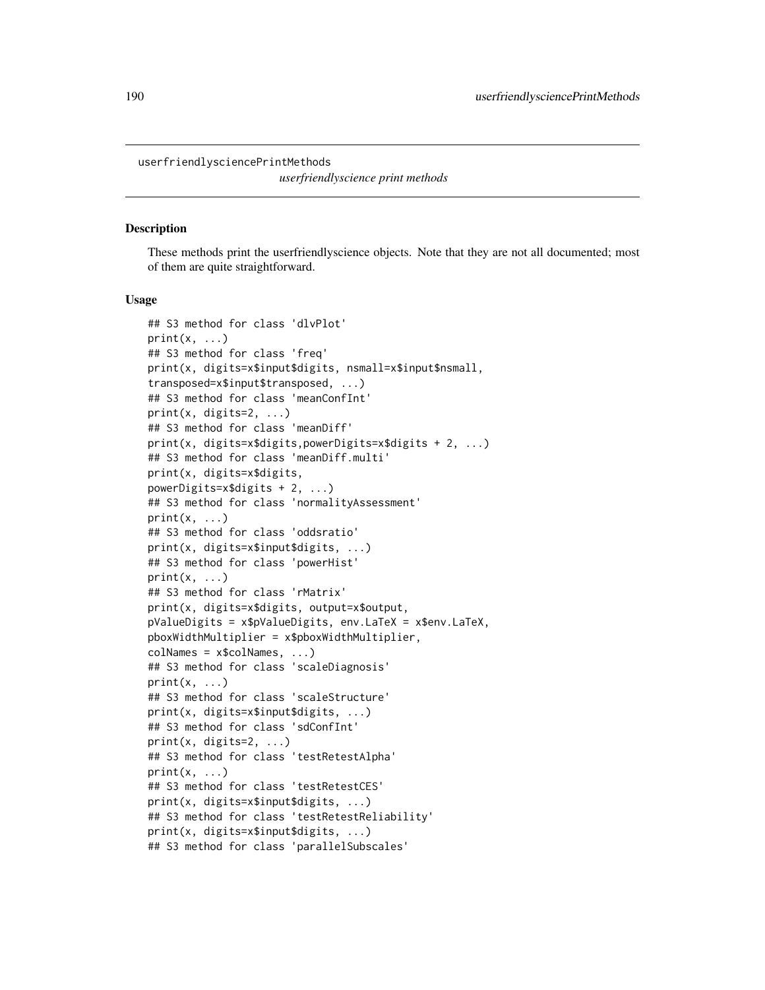<span id="page-189-0"></span>userfriendlysciencePrintMethods

*userfriendlyscience print methods*

#### **Description**

These methods print the userfriendlyscience objects. Note that they are not all documented; most of them are quite straightforward.

#### Usage

```
## S3 method for class 'dlvPlot'
print(x, \ldots)## S3 method for class 'freq'
print(x, digits=x$input$digits, nsmall=x$input$nsmall,
transposed=x$input$transposed, ...)
## S3 method for class 'meanConfInt'
print(x, \text{ digits=2}, \ldots)## S3 method for class 'meanDiff'
print(x, digits=x$digits,powerDigits=x$digits + 2, ...)
## S3 method for class 'meanDiff.multi'
print(x, digits=x$digits,
powerDigits=x$digits + 2, ...)
## S3 method for class 'normalityAssessment'
print(x, \ldots)## S3 method for class 'oddsratio'
print(x, digits=x$input$digits, ...)
## S3 method for class 'powerHist'
print(x, \ldots)## S3 method for class 'rMatrix'
print(x, digits=x$digits, output=x$output,
pValueDigits = x$pValueDigits, env.LaTeX = x$env.LaTeX,
pboxWidthMultiplier = x$pboxWidthMultiplier,
colNames = x$colNames, ...)
## S3 method for class 'scaleDiagnosis'
print(x, \ldots)## S3 method for class 'scaleStructure'
print(x, digits=x$input$digits, ...)
## S3 method for class 'sdConfInt'
print(x, \text{ digits=2}, \ldots)## S3 method for class 'testRetestAlpha'
print(x, \ldots)## S3 method for class 'testRetestCES'
print(x, digits=x$input$digits, ...)
## S3 method for class 'testRetestReliability'
print(x, digits=x$input$digits, ...)
## S3 method for class 'parallelSubscales'
```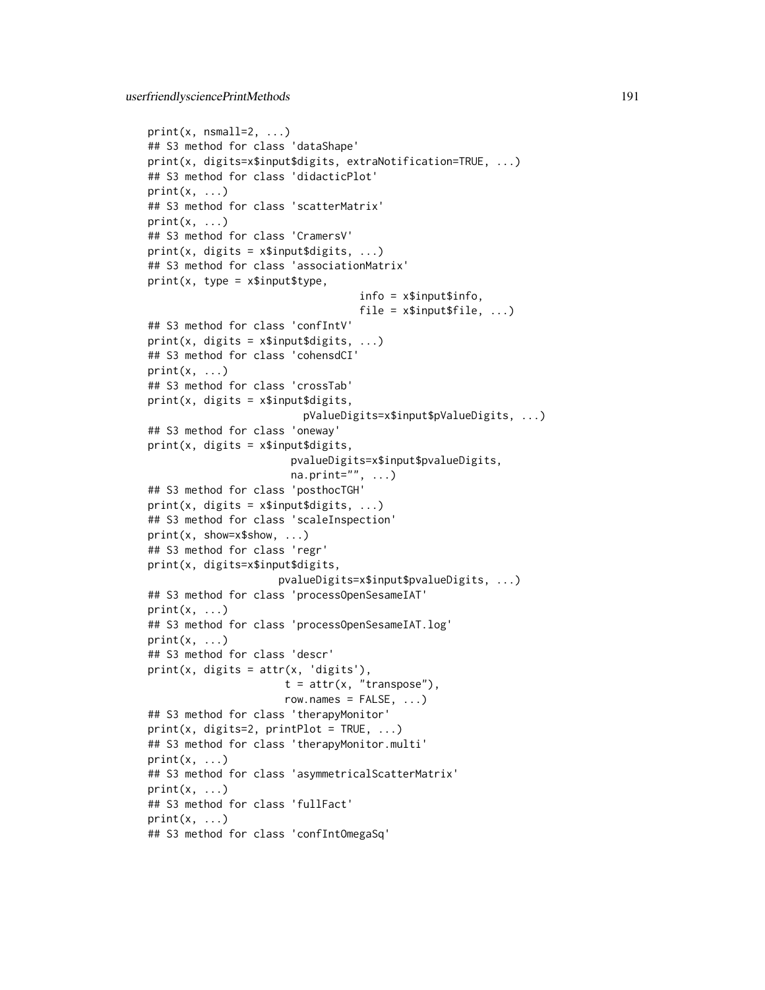```
print(x, msmall = 2, ...)## S3 method for class 'dataShape'
print(x, digits=x$input$digits, extraNotification=TRUE, ...)
## S3 method for class 'didacticPlot'
print(x, \ldots)## S3 method for class 'scatterMatrix'
print(x, \ldots)## S3 method for class 'CramersV'
print(x, \text{ digits} = x\text{5} \text{inputs} \text{ digits}, \ldots)## S3 method for class 'associationMatrix'
print(x, type = x$input$type,info = x$input$info,
                                      file = x$input$file, ...)## S3 method for class 'confIntV'
print(x, \text{ digits} = x\text{3} \text{inputs} \text{3} \text{ digits}, \ldots)## S3 method for class 'cohensdCI'
print(x, \ldots)## S3 method for class 'crossTab'
print(x, \text{ digits} = x$ input$ digits,pValueDigits=x$input$pValueDigits, ...)
## S3 method for class 'oneway'
print(x, \text{ digits} = x\text{5}input\text{5}digits,
                          pvalueDigits=x$input$pvalueDigits,
                          na.print="", ...)## S3 method for class 'posthocTGH'
print(x, \text{ digits} = x\text{5} \text{inputs} \text{1} \text{points}, \ldots)## S3 method for class 'scaleInspection'
print(x, show=x$show, ...)
## S3 method for class 'regr'
print(x, digits=x$input$digits,
                       pvalueDigits=x$input$pvalueDigits, ...)
## S3 method for class 'processOpenSesameIAT'
print(x, \ldots)## S3 method for class 'processOpenSesameIAT.log'
print(x, \ldots)## S3 method for class 'descr'
print(x, \text{ digits} = attr(x, \text{'digits'}),t = attr(x, "transpose"),row.names = FALSE, ...)## S3 method for class 'therapyMonitor'
print(x, digits=2, printPlot = TRUE, ...)## S3 method for class 'therapyMonitor.multi'
print(x, \ldots)## S3 method for class 'asymmetricalScatterMatrix'
print(x, \ldots)## S3 method for class 'fullFact'
print(x, \ldots)## S3 method for class 'confIntOmegaSq'
```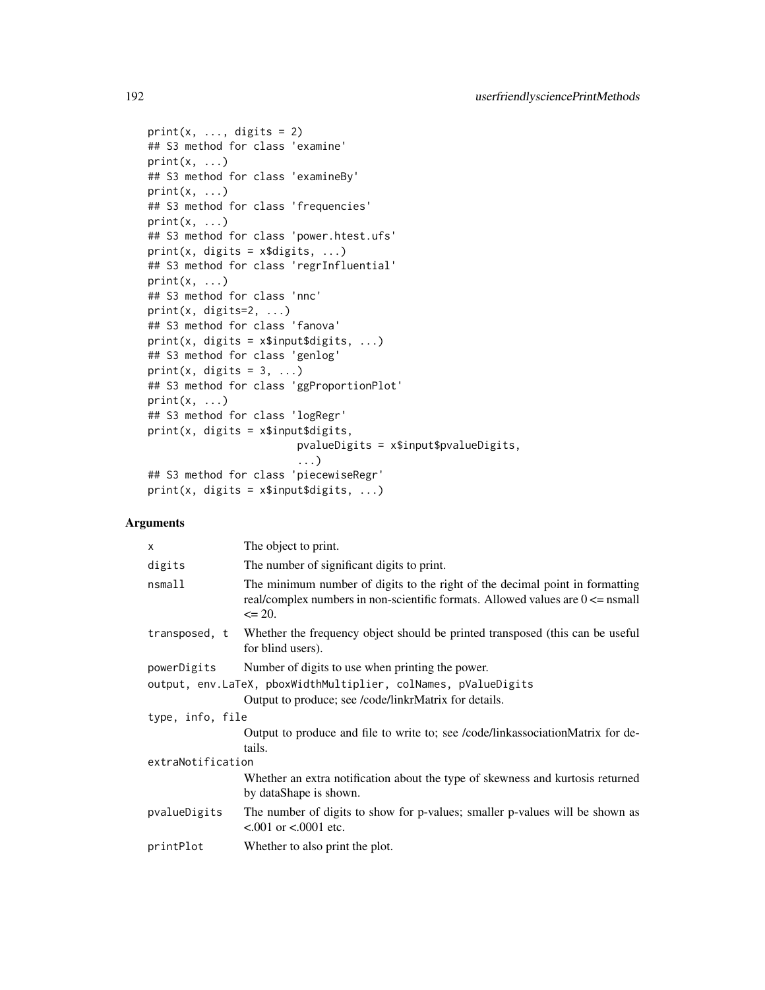```
print(x, ..., \text{ digits} = 2)## S3 method for class 'examine'
print(x, \ldots)## S3 method for class 'examineBy'
print(x, \ldots)## S3 method for class 'frequencies'
print(x, \ldots)## S3 method for class 'power.htest.ufs'
print(x, \text{ digits} = x\text{3digits}, ...)## S3 method for class 'regrInfluential'
print(x, \ldots)## S3 method for class 'nnc'
print(x, digits=2, ...)
## S3 method for class 'fanova'
print(x, digits = x$input$digits, ...)
## S3 method for class 'genlog'
print(x, digits = 3, ...)
## S3 method for class 'ggProportionPlot'
print(x, \ldots)## S3 method for class 'logRegr'
print(x, digits = x$input$digits,
                         pvalueDigits = x$input$pvalueDigits,
                         ...)
## S3 method for class 'piecewiseRegr'
print(x, digits = x$input$digits, ...)
```
# Arguments

| The object to print.                                                                                                                                                            |  |
|---------------------------------------------------------------------------------------------------------------------------------------------------------------------------------|--|
| The number of significant digits to print.                                                                                                                                      |  |
| The minimum number of digits to the right of the decimal point in formatting<br>real/complex numbers in non-scientific formats. Allowed values are $0 \le$ nsmall<br>$\leq$ 20. |  |
| Whether the frequency object should be printed transposed (this can be useful)<br>for blind users).                                                                             |  |
| Number of digits to use when printing the power.                                                                                                                                |  |
| output, env.LaTeX, pboxWidthMultiplier, colNames, pValueDigits                                                                                                                  |  |
| Output to produce; see /code/linkrMatrix for details.                                                                                                                           |  |
| type, info, file                                                                                                                                                                |  |
| Output to produce and file to write to; see /code/linkassociationMatrix for de-<br>tails.                                                                                       |  |
| extraNotification                                                                                                                                                               |  |
| Whether an extra notification about the type of skewness and kurtosis returned<br>by dataShape is shown.                                                                        |  |
| The number of digits to show for p-values; smaller p-values will be shown as<br>$< 0.001$ or $< 0.0001$ etc.                                                                    |  |
| Whether to also print the plot.                                                                                                                                                 |  |
|                                                                                                                                                                                 |  |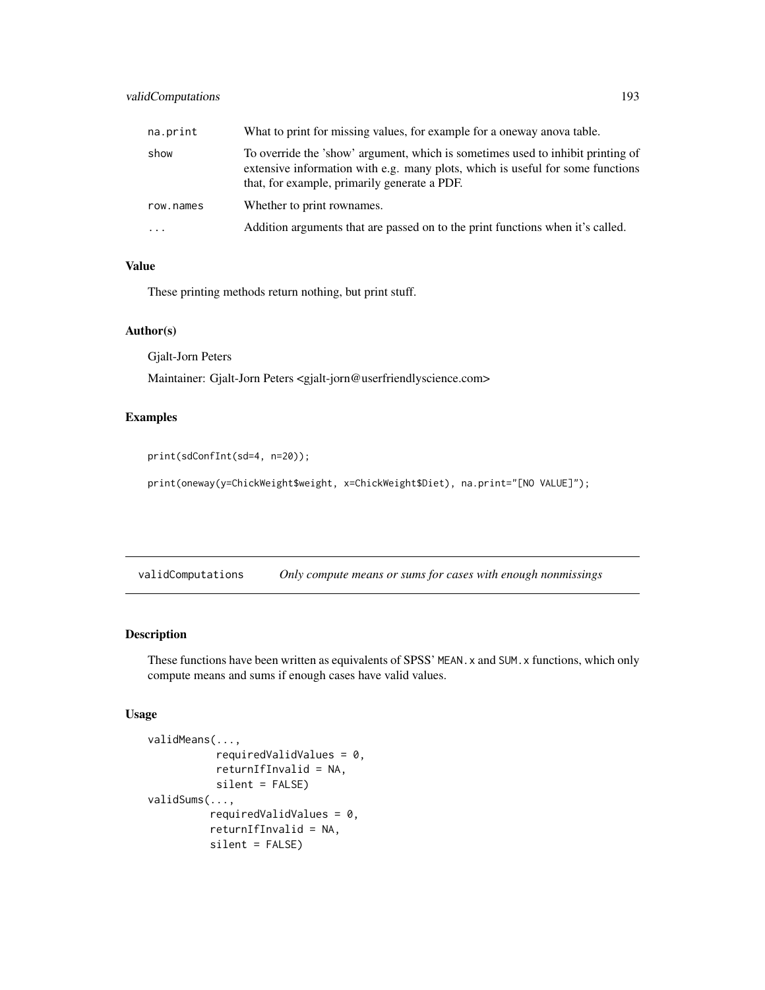# <span id="page-192-0"></span>validComputations 193

| na.print  | What to print for missing values, for example for a oneway anova table.                                                                                                                                           |
|-----------|-------------------------------------------------------------------------------------------------------------------------------------------------------------------------------------------------------------------|
| show      | To override the 'show' argument, which is sometimes used to inhibit printing of<br>extensive information with e.g. many plots, which is useful for some functions<br>that, for example, primarily generate a PDF. |
| row.names | Whether to print rownames.                                                                                                                                                                                        |
| $\cdots$  | Addition arguments that are passed on to the print functions when it's called.                                                                                                                                    |

#### Value

These printing methods return nothing, but print stuff.

#### Author(s)

Gjalt-Jorn Peters

Maintainer: Gjalt-Jorn Peters <gjalt-jorn@userfriendlyscience.com>

#### Examples

print(sdConfInt(sd=4, n=20));

print(oneway(y=ChickWeight\$weight, x=ChickWeight\$Diet), na.print="[NO VALUE]");

validComputations *Only compute means or sums for cases with enough nonmissings*

# Description

These functions have been written as equivalents of SPSS' MEAN.x and SUM.x functions, which only compute means and sums if enough cases have valid values.

#### Usage

```
validMeans(...,
           requiredValidValues = 0,
           returnIfInvalid = NA,
           silent = FALSE)
validSums(...,
          requiredValidValues = 0,
          returnIfInvalid = NA,
          silent = FALSE)
```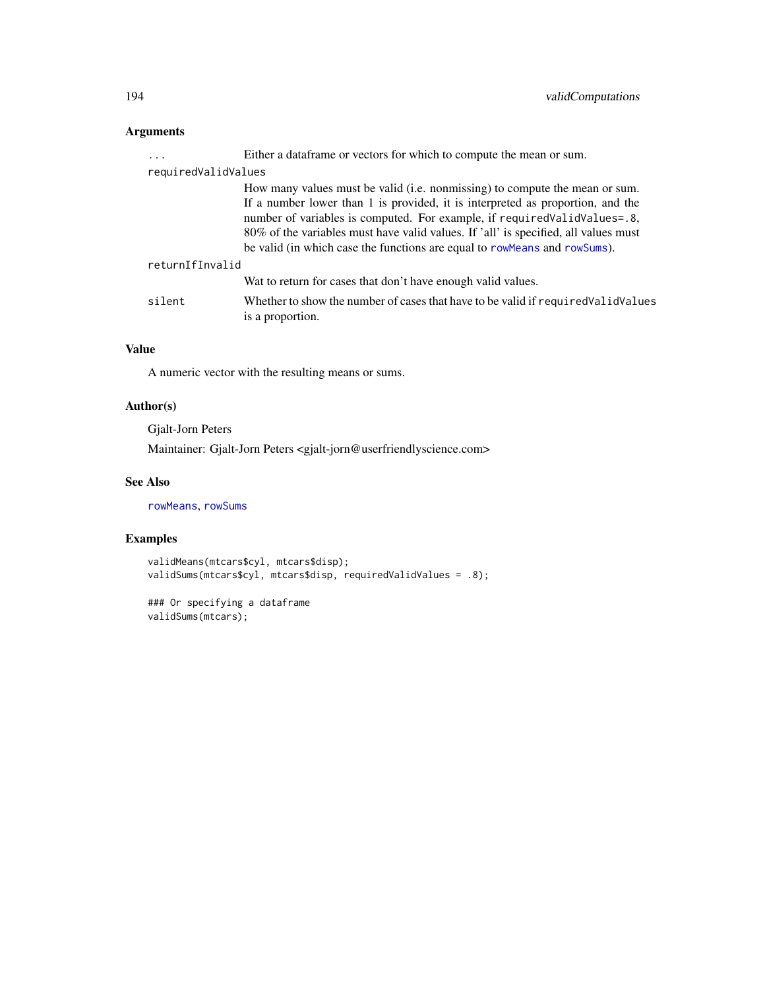# <span id="page-193-0"></span>Arguments

| .                   | Either a data frame or vectors for which to compute the mean or sum.                                                                                                                                                                                                                                                                                                                                            |
|---------------------|-----------------------------------------------------------------------------------------------------------------------------------------------------------------------------------------------------------------------------------------------------------------------------------------------------------------------------------------------------------------------------------------------------------------|
| requiredValidValues |                                                                                                                                                                                                                                                                                                                                                                                                                 |
|                     | How many values must be valid (i.e. nonmissing) to compute the mean or sum.<br>If a number lower than 1 is provided, it is interpreted as proportion, and the<br>number of variables is computed. For example, if required Valid Values=.8,<br>80% of the variables must have valid values. If 'all' is specified, all values must<br>be valid (in which case the functions are equal to rowMeans and rowSums). |
| returnIfInvalid     |                                                                                                                                                                                                                                                                                                                                                                                                                 |
|                     | Wat to return for cases that don't have enough valid values.                                                                                                                                                                                                                                                                                                                                                    |
| silent              | Whether to show the number of cases that have to be valid if required Valid Values<br>is a proportion.                                                                                                                                                                                                                                                                                                          |

# Value

A numeric vector with the resulting means or sums.

# Author(s)

Gjalt-Jorn Peters

Maintainer: Gjalt-Jorn Peters <gjalt-jorn@userfriendlyscience.com>

# See Also

[rowMeans](#page-0-0), [rowSums](#page-0-0)

# Examples

```
validMeans(mtcars$cyl, mtcars$disp);
validSums(mtcars$cyl, mtcars$disp, requiredValidValues = .8);
```

```
### Or specifying a dataframe
validSums(mtcars);
```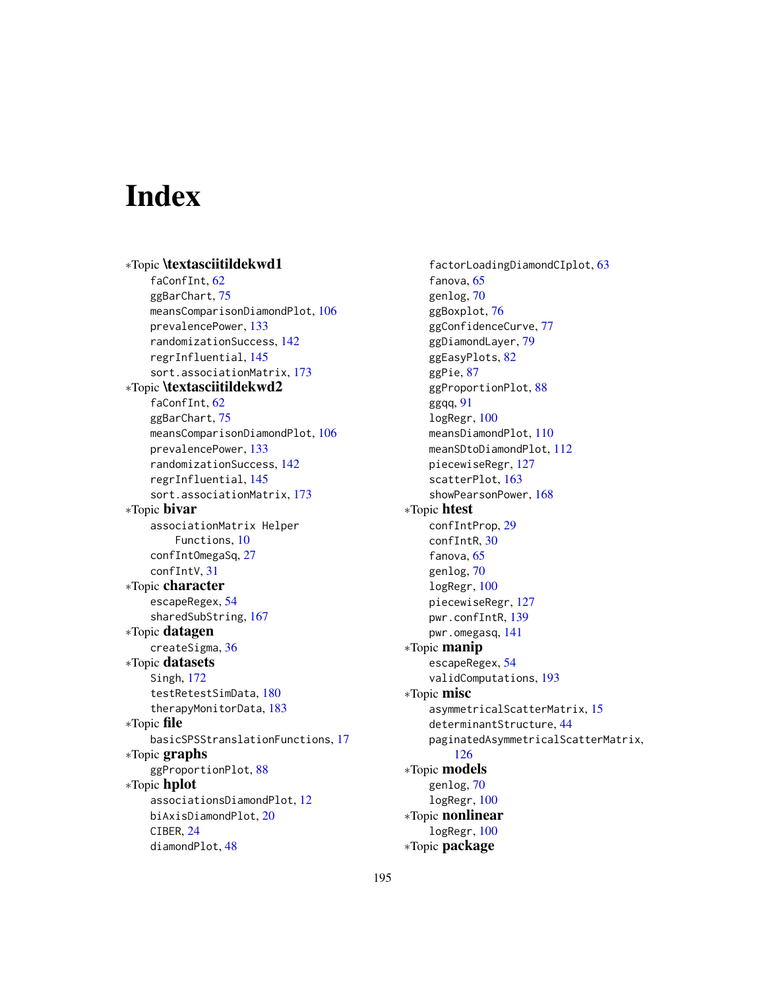# **Index**

∗Topic \textasciitildekwd1 faConfInt, [62](#page-61-0) ggBarChart, [75](#page-74-0) meansComparisonDiamondPlot, [106](#page-105-0) prevalencePower, [133](#page-132-0) randomizationSuccess, [142](#page-141-0) regrInfluential, [145](#page-144-0) sort.associationMatrix, [173](#page-172-0) ∗Topic \textasciitildekwd2 faConfInt, [62](#page-61-0) ggBarChart, [75](#page-74-0) meansComparisonDiamondPlot, [106](#page-105-0) prevalencePower, [133](#page-132-0) randomizationSuccess, [142](#page-141-0) regrInfluential, [145](#page-144-0) sort.associationMatrix, [173](#page-172-0) ∗Topic bivar associationMatrix Helper Functions, [10](#page-9-0) confIntOmegaSq, [27](#page-26-0) confIntV, [31](#page-30-0) ∗Topic character escapeRegex, [54](#page-53-0) sharedSubString, [167](#page-166-0) ∗Topic datagen createSigma, [36](#page-35-0) ∗Topic datasets Singh, [172](#page-171-0) testRetestSimData, [180](#page-179-0) therapyMonitorData, [183](#page-182-0) ∗Topic file basicSPSStranslationFunctions, [17](#page-16-1) ∗Topic graphs ggProportionPlot, [88](#page-87-0) ∗Topic hplot associationsDiamondPlot, [12](#page-11-0) biAxisDiamondPlot, [20](#page-19-0) CIBER, [24](#page-23-0) diamondPlot, [48](#page-47-0)

factorLoadingDiamondCIplot, [63](#page-62-0) fanova, [65](#page-64-0) genlog, [70](#page-69-0) ggBoxplot, [76](#page-75-0) ggConfidenceCurve, [77](#page-76-0) ggDiamondLayer, [79](#page-78-0) ggEasyPlots, [82](#page-81-0) ggPie, [87](#page-86-0) ggProportionPlot, [88](#page-87-0) ggqq, [91](#page-90-0) logRegr, [100](#page-99-0) meansDiamondPlot, [110](#page-109-0) meanSDtoDiamondPlot, [112](#page-111-0) piecewiseRegr, [127](#page-126-0) scatterPlot, [163](#page-162-0) showPearsonPower, [168](#page-167-0) ∗Topic htest confIntProp, [29](#page-28-0) confIntR, [30](#page-29-0) fanova, [65](#page-64-0) genlog, [70](#page-69-0) logRegr, [100](#page-99-0) piecewiseRegr, [127](#page-126-0) pwr.confIntR, [139](#page-138-0) pwr.omegasq, [141](#page-140-0) ∗Topic manip escapeRegex, [54](#page-53-0) validComputations, [193](#page-192-0) ∗Topic misc asymmetricalScatterMatrix, [15](#page-14-0) determinantStructure, [44](#page-43-0) paginatedAsymmetricalScatterMatrix, [126](#page-125-0) ∗Topic models genlog, [70](#page-69-0) logRegr, [100](#page-99-0) ∗Topic nonlinear logRegr, [100](#page-99-0) ∗Topic package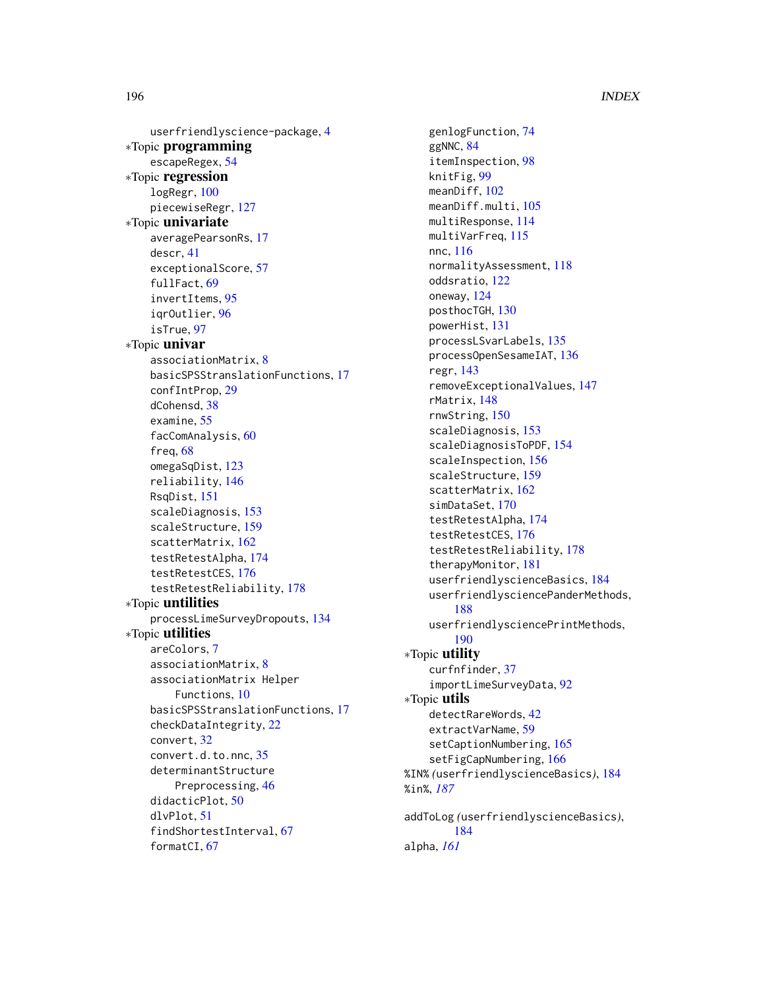userfriendlyscience-package, [4](#page-3-0) ∗Topic programming escapeRegex, [54](#page-53-0) ∗Topic regression logRegr, [100](#page-99-0) piecewiseRegr, [127](#page-126-0) ∗Topic univariate averagePearsonRs, [17](#page-16-1) descr, [41](#page-40-0) exceptionalScore, [57](#page-56-0) fullFact, [69](#page-68-0) invertItems, [95](#page-94-0) iqrOutlier, [96](#page-95-0) isTrue, [97](#page-96-0) ∗Topic univar associationMatrix, [8](#page-7-0) basicSPSStranslationFunctions, [17](#page-16-1) confIntProp, [29](#page-28-0) dCohensd, [38](#page-37-0) examine, [55](#page-54-0) facComAnalysis, [60](#page-59-0) freq, [68](#page-67-0) omegaSqDist, [123](#page-122-0) reliability, [146](#page-145-0) RsqDist, [151](#page-150-0) scaleDiagnosis, [153](#page-152-0) scaleStructure, [159](#page-158-0) scatterMatrix, [162](#page-161-0) testRetestAlpha, [174](#page-173-0) testRetestCES, [176](#page-175-0) testRetestReliability, [178](#page-177-0) ∗Topic untilities processLimeSurveyDropouts, [134](#page-133-0) ∗Topic utilities areColors, [7](#page-6-0) associationMatrix, [8](#page-7-0) associationMatrix Helper Functions, [10](#page-9-0) basicSPSStranslationFunctions, [17](#page-16-1) checkDataIntegrity, [22](#page-21-0) convert, [32](#page-31-0) convert.d.to.nnc, [35](#page-34-0) determinantStructure Preprocessing, [46](#page-45-0) didacticPlot, [50](#page-49-0) dlvPlot, [51](#page-50-0) findShortestInterval, [67](#page-66-0) formatCI, [67](#page-66-0)

genlogFunction, [74](#page-73-0) ggNNC, [84](#page-83-0) itemInspection, [98](#page-97-0) knitFig, [99](#page-98-0) meanDiff, [102](#page-101-0) meanDiff.multi, [105](#page-104-0) multiResponse, [114](#page-113-0) multiVarFreq, [115](#page-114-0) nnc, [116](#page-115-0) normalityAssessment, [118](#page-117-0) oddsratio, [122](#page-121-0) oneway, [124](#page-123-0) posthocTGH, [130](#page-129-0) powerHist, [131](#page-130-0) processLSvarLabels, [135](#page-134-0) processOpenSesameIAT, [136](#page-135-0) regr, [143](#page-142-0) removeExceptionalValues, [147](#page-146-0) rMatrix, [148](#page-147-0) rnwString, [150](#page-149-0) scaleDiagnosis, [153](#page-152-0) scaleDiagnosisToPDF, [154](#page-153-0) scaleInspection, [156](#page-155-0) scaleStructure, [159](#page-158-0) scatterMatrix, [162](#page-161-0) simDataSet, [170](#page-169-0) testRetestAlpha, [174](#page-173-0) testRetestCES, [176](#page-175-0) testRetestReliability, [178](#page-177-0) therapyMonitor, [181](#page-180-1) userfriendlyscienceBasics, [184](#page-183-1) userfriendlysciencePanderMethods, [188](#page-187-0) userfriendlysciencePrintMethods, [190](#page-189-0) ∗Topic utility curfnfinder, [37](#page-36-0) importLimeSurveyData, [92](#page-91-0) ∗Topic utils detectRareWords, [42](#page-41-0) extractVarName, [59](#page-58-0) setCaptionNumbering, [165](#page-164-0) setFigCapNumbering, [166](#page-165-0) %IN% *(*userfriendlyscienceBasics*)*, [184](#page-183-1) %in%, *[187](#page-186-0)* addToLog *(*userfriendlyscienceBasics*)*, [184](#page-183-1) alpha, *[161](#page-160-0)*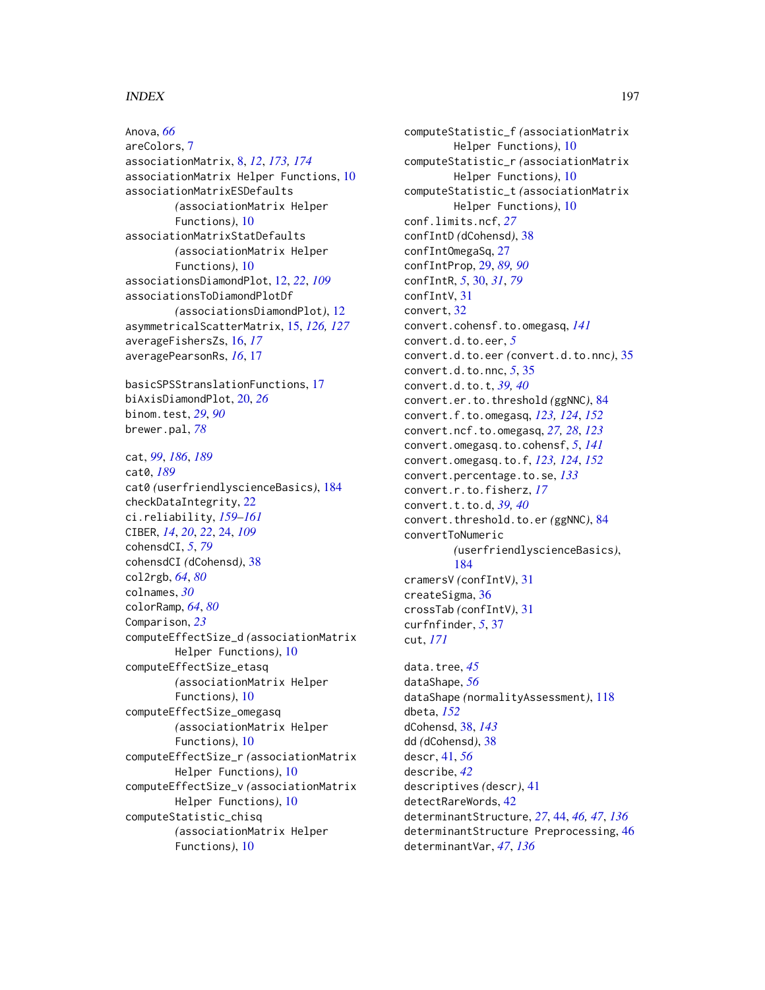#### INDEX  $197$

Anova, *[66](#page-65-0)* areColors, [7](#page-6-0) associationMatrix, [8,](#page-7-0) *[12](#page-11-0)*, *[173,](#page-172-0) [174](#page-173-0)* associationMatrix Helper Functions, [10](#page-9-0) associationMatrixESDefaults *(*associationMatrix Helper Functions*)*, [10](#page-9-0) associationMatrixStatDefaults *(*associationMatrix Helper Functions*)*, [10](#page-9-0) associationsDiamondPlot, [12,](#page-11-0) *[22](#page-21-0)*, *[109](#page-108-0)* associationsToDiamondPlotDf *(*associationsDiamondPlot*)*, [12](#page-11-0) asymmetricalScatterMatrix, [15,](#page-14-0) *[126,](#page-125-0) [127](#page-126-0)* averageFishersZs, [16,](#page-15-0) *[17](#page-16-1)* averagePearsonRs, *[16](#page-15-0)*, [17](#page-16-1)

basicSPSStranslationFunctions, [17](#page-16-1) biAxisDiamondPlot, [20,](#page-19-0) *[26](#page-25-0)* binom.test, *[29](#page-28-0)*, *[90](#page-89-0)* brewer.pal, *[78](#page-77-0)*

cat, *[99](#page-98-0)*, *[186](#page-185-0)*, *[189](#page-188-0)* cat0, *[189](#page-188-0)* cat0 *(*userfriendlyscienceBasics*)*, [184](#page-183-1) checkDataIntegrity, [22](#page-21-0) ci.reliability, *[159](#page-158-0)[–161](#page-160-0)* CIBER, *[14](#page-13-0)*, *[20](#page-19-0)*, *[22](#page-21-0)*, [24,](#page-23-0) *[109](#page-108-0)* cohensdCI, *[5](#page-4-0)*, *[79](#page-78-0)* cohensdCI *(*dCohensd*)*, [38](#page-37-0) col2rgb, *[64](#page-63-0)*, *[80](#page-79-0)* colnames, *[30](#page-29-0)* colorRamp, *[64](#page-63-0)*, *[80](#page-79-0)* Comparison, *[23](#page-22-0)* computeEffectSize\_d *(*associationMatrix Helper Functions*)*, [10](#page-9-0) computeEffectSize\_etasq *(*associationMatrix Helper Functions*)*, [10](#page-9-0) computeEffectSize\_omegasq *(*associationMatrix Helper Functions*)*, [10](#page-9-0) computeEffectSize\_r *(*associationMatrix Helper Functions*)*, [10](#page-9-0) computeEffectSize\_v *(*associationMatrix Helper Functions*)*, [10](#page-9-0) computeStatistic\_chisq *(*associationMatrix Helper Functions*)*, [10](#page-9-0)

computeStatistic\_f *(*associationMatrix Helper Functions*)*, [10](#page-9-0) computeStatistic\_r *(*associationMatrix Helper Functions*)*, [10](#page-9-0) computeStatistic\_t *(*associationMatrix Helper Functions*)*, [10](#page-9-0) conf.limits.ncf, *[27](#page-26-0)* confIntD *(*dCohensd*)*, [38](#page-37-0) confIntOmegaSq, [27](#page-26-0) confIntProp, [29,](#page-28-0) *[89,](#page-88-0) [90](#page-89-0)* confIntR, *[5](#page-4-0)*, [30,](#page-29-0) *[31](#page-30-0)*, *[79](#page-78-0)* confIntV, [31](#page-30-0) convert, [32](#page-31-0) convert.cohensf.to.omegasq, *[141](#page-140-0)* convert.d.to.eer, *[5](#page-4-0)* convert.d.to.eer *(*convert.d.to.nnc*)*, [35](#page-34-0) convert.d.to.nnc, *[5](#page-4-0)*, [35](#page-34-0) convert.d.to.t, *[39,](#page-38-0) [40](#page-39-0)* convert.er.to.threshold *(*ggNNC*)*, [84](#page-83-0) convert.f.to.omegasq, *[123,](#page-122-0) [124](#page-123-0)*, *[152](#page-151-0)* convert.ncf.to.omegasq, *[27,](#page-26-0) [28](#page-27-0)*, *[123](#page-122-0)* convert.omegasq.to.cohensf, *[5](#page-4-0)*, *[141](#page-140-0)* convert.omegasq.to.f, *[123,](#page-122-0) [124](#page-123-0)*, *[152](#page-151-0)* convert.percentage.to.se, *[133](#page-132-0)* convert.r.to.fisherz, *[17](#page-16-1)* convert.t.to.d, *[39,](#page-38-0) [40](#page-39-0)* convert.threshold.to.er *(*ggNNC*)*, [84](#page-83-0) convertToNumeric *(*userfriendlyscienceBasics*)*, [184](#page-183-1) cramersV *(*confIntV*)*, [31](#page-30-0) createSigma, [36](#page-35-0) crossTab *(*confIntV*)*, [31](#page-30-0) curfnfinder, *[5](#page-4-0)*, [37](#page-36-0) cut, *[171](#page-170-0)* data.tree, *[45](#page-44-0)* dataShape, *[56](#page-55-0)* dataShape *(*normalityAssessment*)*, [118](#page-117-0) dbeta, *[152](#page-151-0)* dCohensd, [38,](#page-37-0) *[143](#page-142-0)* dd *(*dCohensd*)*, [38](#page-37-0) descr, [41,](#page-40-0) *[56](#page-55-0)* describe, *[42](#page-41-0)* descriptives *(*descr*)*, [41](#page-40-0) detectRareWords, [42](#page-41-0) determinantStructure, *[27](#page-26-0)*, [44,](#page-43-0) *[46,](#page-45-0) [47](#page-46-0)*, *[136](#page-135-0)* determinantStructure Preprocessing, [46](#page-45-0) determinantVar, *[47](#page-46-0)*, *[136](#page-135-0)*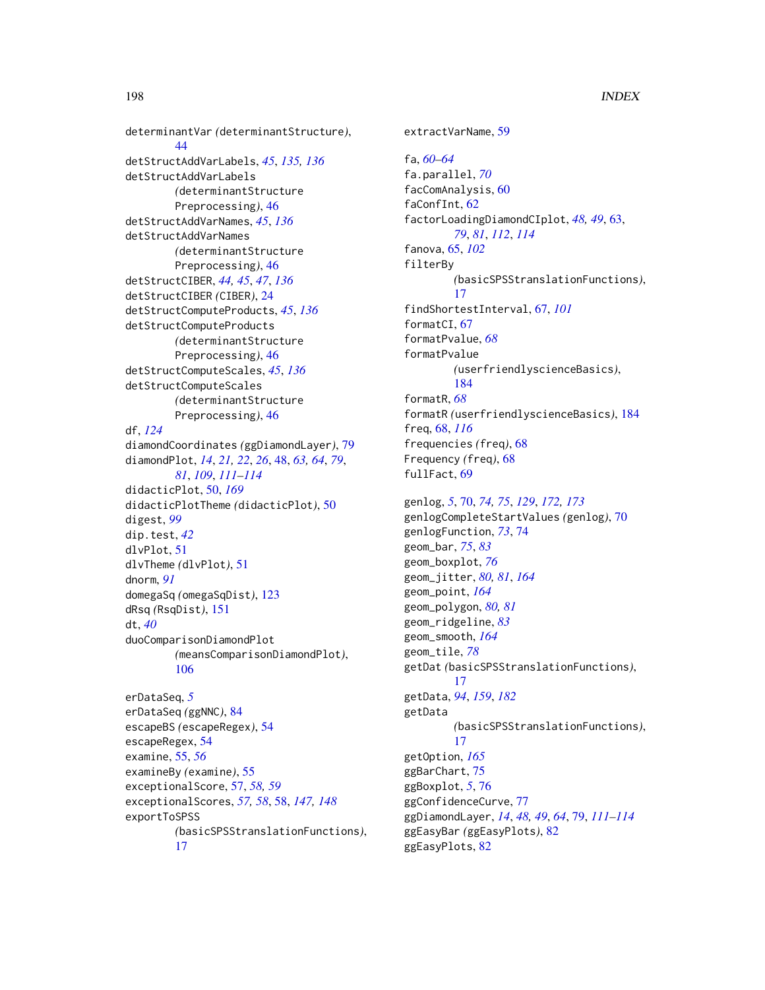determinantVar *(*determinantStructure*)*,  $44$ detStructAddVarLabels, *[45](#page-44-0)*, *[135,](#page-134-0) [136](#page-135-0)* detStructAddVarLabels *(*determinantStructure Preprocessing*)*, [46](#page-45-0) detStructAddVarNames, *[45](#page-44-0)*, *[136](#page-135-0)* detStructAddVarNames *(*determinantStructure Preprocessing*)*, [46](#page-45-0) detStructCIBER, *[44,](#page-43-0) [45](#page-44-0)*, *[47](#page-46-0)*, *[136](#page-135-0)* detStructCIBER *(*CIBER*)*, [24](#page-23-0) detStructComputeProducts, *[45](#page-44-0)*, *[136](#page-135-0)* detStructComputeProducts *(*determinantStructure Preprocessing*)*, [46](#page-45-0) detStructComputeScales, *[45](#page-44-0)*, *[136](#page-135-0)* detStructComputeScales *(*determinantStructure Preprocessing*)*, [46](#page-45-0) df, *[124](#page-123-0)* diamondCoordinates *(*ggDiamondLayer*)*, [79](#page-78-0) diamondPlot, *[14](#page-13-0)*, *[21,](#page-20-0) [22](#page-21-0)*, *[26](#page-25-0)*, [48,](#page-47-0) *[63,](#page-62-0) [64](#page-63-0)*, *[79](#page-78-0)*, *[81](#page-80-0)*, *[109](#page-108-0)*, *[111](#page-110-0)[–114](#page-113-0)* didacticPlot, [50,](#page-49-0) *[169](#page-168-0)* didacticPlotTheme *(*didacticPlot*)*, [50](#page-49-0) digest, *[99](#page-98-0)* dip.test, *[42](#page-41-0)* dlvPlot, [51](#page-50-0) dlvTheme *(*dlvPlot*)*, [51](#page-50-0) dnorm, *[91](#page-90-0)* domegaSq *(*omegaSqDist*)*, [123](#page-122-0) dRsq *(*RsqDist*)*, [151](#page-150-0) dt, *[40](#page-39-0)* duoComparisonDiamondPlot *(*meansComparisonDiamondPlot*)*, [106](#page-105-0)

```
erDataSeq, 5
erDataSeq (ggNNC), 84
escapeBS (escapeRegex), 54
escapeRegex, 54
examine, 55, 56
examineBy (examine), 55
exceptionalScore, 57, 58, 59
exceptionalScores, 57, 58, 58, 147, 148
exportToSPSS
        (basicSPSStranslationFunctions),
         17
```
extractVarName, [59](#page-58-0) fa, *[60–](#page-59-0)[64](#page-63-0)* fa.parallel, *[70](#page-69-0)* facComAnalysis, [60](#page-59-0) faConfInt, [62](#page-61-0) factorLoadingDiamondCIplot, *[48,](#page-47-0) [49](#page-48-0)*, [63,](#page-62-0) *[79](#page-78-0)*, *[81](#page-80-0)*, *[112](#page-111-0)*, *[114](#page-113-0)* fanova, [65,](#page-64-0) *[102](#page-101-0)* filterBy *(*basicSPSStranslationFunctions*)*, [17](#page-16-1) findShortestInterval, [67,](#page-66-0) *[101](#page-100-0)* formatCI, [67](#page-66-0) formatPvalue, *[68](#page-67-0)* formatPvalue *(*userfriendlyscienceBasics*)*, [184](#page-183-1) formatR, *[68](#page-67-0)* formatR *(*userfriendlyscienceBasics*)*, [184](#page-183-1) freq, [68,](#page-67-0) *[116](#page-115-0)* frequencies *(*freq*)*, [68](#page-67-0) Frequency *(*freq*)*, [68](#page-67-0) fullFact, [69](#page-68-0) genlog, *[5](#page-4-0)*, [70,](#page-69-0) *[74,](#page-73-0) [75](#page-74-0)*, *[129](#page-128-0)*, *[172,](#page-171-0) [173](#page-172-0)* genlogCompleteStartValues *(*genlog*)*, [70](#page-69-0) genlogFunction, *[73](#page-72-0)*, [74](#page-73-0) geom\_bar, *[75](#page-74-0)*, *[83](#page-82-0)* geom\_boxplot, *[76](#page-75-0)* geom\_jitter, *[80,](#page-79-0) [81](#page-80-0)*, *[164](#page-163-0)* geom\_point, *[164](#page-163-0)* geom\_polygon, *[80,](#page-79-0) [81](#page-80-0)* geom\_ridgeline, *[83](#page-82-0)* geom\_smooth, *[164](#page-163-0)*

geom\_tile, *[78](#page-77-0)* getDat *(*basicSPSStranslationFunctions*)*, [17](#page-16-1) getData, *[94](#page-93-0)*, *[159](#page-158-0)*, *[182](#page-181-0)* getData *(*basicSPSStranslationFunctions*)*, [17](#page-16-1) getOption, *[165](#page-164-0)* ggBarChart, [75](#page-74-0) ggBoxplot, *[5](#page-4-0)*, [76](#page-75-0) ggConfidenceCurve, [77](#page-76-0) ggDiamondLayer, *[14](#page-13-0)*, *[48,](#page-47-0) [49](#page-48-0)*, *[64](#page-63-0)*, [79,](#page-78-0) *[111](#page-110-0)[–114](#page-113-0)* ggEasyBar *(*ggEasyPlots*)*, [82](#page-81-0) ggEasyPlots, [82](#page-81-0)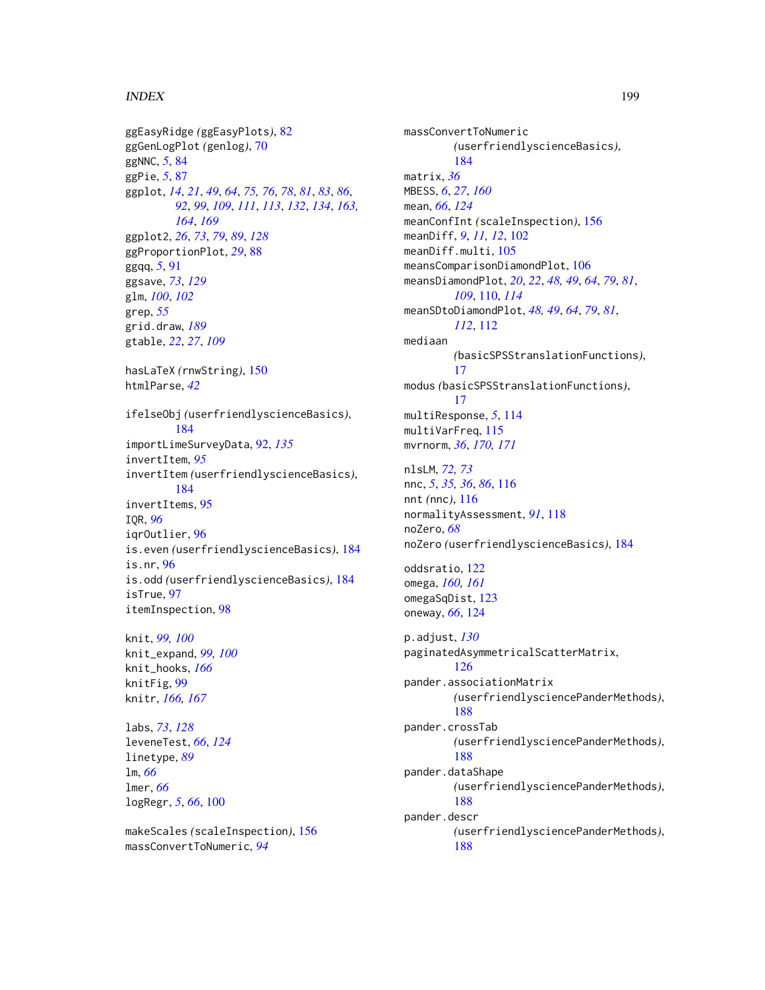#### INDEX 199

ggEasyRidge *(*ggEasyPlots*)*, [82](#page-81-0) ggGenLogPlot *(*genlog*)*, [70](#page-69-0) ggNNC, *[5](#page-4-0)*, [84](#page-83-0) ggPie, *[5](#page-4-0)*, [87](#page-86-0) ggplot, *[14](#page-13-0)*, *[21](#page-20-0)*, *[49](#page-48-0)*, *[64](#page-63-0)*, *[75,](#page-74-0) [76](#page-75-0)*, *[78](#page-77-0)*, *[81](#page-80-0)*, *[83](#page-82-0)*, *[86](#page-85-0)*, *[92](#page-91-0)*, *[99](#page-98-0)*, *[109](#page-108-0)*, *[111](#page-110-0)*, *[113](#page-112-0)*, *[132](#page-131-0)*, *[134](#page-133-0)*, *[163,](#page-162-0) [164](#page-163-0)*, *[169](#page-168-0)* ggplot2, *[26](#page-25-0)*, *[73](#page-72-0)*, *[79](#page-78-0)*, *[89](#page-88-0)*, *[128](#page-127-0)* ggProportionPlot, *[29](#page-28-0)*, [88](#page-87-0) ggqq, *[5](#page-4-0)*, [91](#page-90-0) ggsave, *[73](#page-72-0)*, *[129](#page-128-0)* glm, *[100](#page-99-0)*, *[102](#page-101-0)* grep, *[55](#page-54-0)* grid.draw, *[189](#page-188-0)* gtable, *[22](#page-21-0)*, *[27](#page-26-0)*, *[109](#page-108-0)* hasLaTeX *(*rnwString*)*, [150](#page-149-0) htmlParse, *[42](#page-41-0)* ifelseObj *(*userfriendlyscienceBasics*)*, [184](#page-183-1) importLimeSurveyData, [92,](#page-91-0) *[135](#page-134-0)* invertItem, *[95](#page-94-0)* invertItem *(*userfriendlyscienceBasics*)*, [184](#page-183-1) invertItems, [95](#page-94-0) IQR, *[96](#page-95-0)* iqrOutlier, [96](#page-95-0) is.even *(*userfriendlyscienceBasics*)*, [184](#page-183-1) is.nr, [96](#page-95-0) is.odd *(*userfriendlyscienceBasics*)*, [184](#page-183-1) isTrue, [97](#page-96-0) itemInspection, [98](#page-97-0)

knit, *[99,](#page-98-0) [100](#page-99-0)* knit\_expand, *[99,](#page-98-0) [100](#page-99-0)* knit\_hooks, *[166](#page-165-0)* knitFig, [99](#page-98-0) knitr, *[166,](#page-165-0) [167](#page-166-0)*

labs, *[73](#page-72-0)*, *[128](#page-127-0)* leveneTest, *[66](#page-65-0)*, *[124](#page-123-0)* linetype, *[89](#page-88-0)* lm, *[66](#page-65-0)* lmer, *[66](#page-65-0)* logRegr, *[5](#page-4-0)*, *[66](#page-65-0)*, [100](#page-99-0)

makeScales *(*scaleInspection*)*, [156](#page-155-0) massConvertToNumeric, *[94](#page-93-0)*

massConvertToNumeric *(*userfriendlyscienceBasics*)*, [184](#page-183-1) matrix, *[36](#page-35-0)* MBESS, *[6](#page-5-0)*, *[27](#page-26-0)*, *[160](#page-159-0)* mean, *[66](#page-65-0)*, *[124](#page-123-0)* meanConfInt *(*scaleInspection*)*, [156](#page-155-0) meanDiff, *[9](#page-8-0)*, *[11,](#page-10-0) [12](#page-11-0)*, [102](#page-101-0) meanDiff.multi, [105](#page-104-0) meansComparisonDiamondPlot, [106](#page-105-0) meansDiamondPlot, *[20](#page-19-0)*, *[22](#page-21-0)*, *[48,](#page-47-0) [49](#page-48-0)*, *[64](#page-63-0)*, *[79](#page-78-0)*, *[81](#page-80-0)*, *[109](#page-108-0)*, [110,](#page-109-0) *[114](#page-113-0)* meanSDtoDiamondPlot, *[48,](#page-47-0) [49](#page-48-0)*, *[64](#page-63-0)*, *[79](#page-78-0)*, *[81](#page-80-0)*, *[112](#page-111-0)*, [112](#page-111-0) mediaan *(*basicSPSStranslationFunctions*)*, [17](#page-16-1) modus *(*basicSPSStranslationFunctions*)*, [17](#page-16-1) multiResponse, *[5](#page-4-0)*, [114](#page-113-0) multiVarFreq, [115](#page-114-0) mvrnorm, *[36](#page-35-0)*, *[170,](#page-169-0) [171](#page-170-0)* nlsLM, *[72,](#page-71-0) [73](#page-72-0)* nnc, *[5](#page-4-0)*, *[35,](#page-34-0) [36](#page-35-0)*, *[86](#page-85-0)*, [116](#page-115-0) nnt *(*nnc*)*, [116](#page-115-0) normalityAssessment, *[91](#page-90-0)*, [118](#page-117-0) noZero, *[68](#page-67-0)* noZero *(*userfriendlyscienceBasics*)*, [184](#page-183-1) oddsratio, [122](#page-121-0) omega, *[160,](#page-159-0) [161](#page-160-0)* omegaSqDist, [123](#page-122-0) oneway, *[66](#page-65-0)*, [124](#page-123-0) p.adjust, *[130](#page-129-0)* paginatedAsymmetricalScatterMatrix, [126](#page-125-0) pander.associationMatrix *(*userfriendlysciencePanderMethods*)*, [188](#page-187-0) pander.crossTab *(*userfriendlysciencePanderMethods*)*, [188](#page-187-0) pander.dataShape *(*userfriendlysciencePanderMethods*)*, [188](#page-187-0) pander.descr *(*userfriendlysciencePanderMethods*)*, [188](#page-187-0)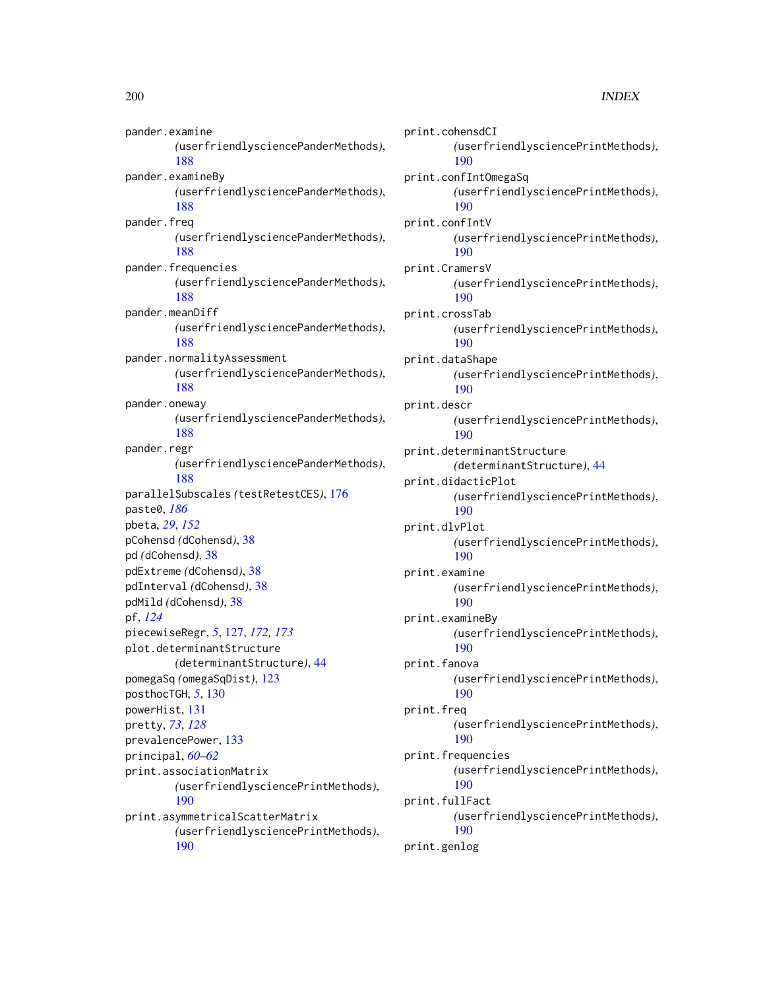pander.examine *(*userfriendlysciencePanderMethods*)*, [188](#page-187-0) pander.examineBy *(*userfriendlysciencePanderMethods*)*, [188](#page-187-0) pander.freq *(*userfriendlysciencePanderMethods*)*, [188](#page-187-0) pander.frequencies *(*userfriendlysciencePanderMethods*)*, [188](#page-187-0) pander.meanDiff *(*userfriendlysciencePanderMethods*)*, [188](#page-187-0) pander.normalityAssessment *(*userfriendlysciencePanderMethods*)*, [188](#page-187-0) pander.oneway *(*userfriendlysciencePanderMethods*)*, [188](#page-187-0) pander.regr *(*userfriendlysciencePanderMethods*)*, [188](#page-187-0) parallelSubscales *(*testRetestCES*)*, [176](#page-175-0) paste0, *[186](#page-185-0)* pbeta, *[29](#page-28-0)*, *[152](#page-151-0)* pCohensd *(*dCohensd*)*, [38](#page-37-0) pd *(*dCohensd*)*, [38](#page-37-0) pdExtreme *(*dCohensd*)*, [38](#page-37-0) pdInterval *(*dCohensd*)*, [38](#page-37-0) pdMild *(*dCohensd*)*, [38](#page-37-0) pf, *[124](#page-123-0)* piecewiseRegr, *[5](#page-4-0)*, [127,](#page-126-0) *[172,](#page-171-0) [173](#page-172-0)* plot.determinantStructure *(*determinantStructure*)*, [44](#page-43-0) pomegaSq *(*omegaSqDist*)*, [123](#page-122-0) posthocTGH, *[5](#page-4-0)*, [130](#page-129-0) powerHist, [131](#page-130-0) pretty, *[73](#page-72-0)*, *[128](#page-127-0)* prevalencePower, [133](#page-132-0) principal, *[60](#page-59-0)[–62](#page-61-0)* print.associationMatrix *(*userfriendlysciencePrintMethods*)*, [190](#page-189-0) print.asymmetricalScatterMatrix *(*userfriendlysciencePrintMethods*)*, [190](#page-189-0)

print.cohensdCI *(*userfriendlysciencePrintMethods*)*, [190](#page-189-0) print.confIntOmegaSq *(*userfriendlysciencePrintMethods*)*, [190](#page-189-0) print.confIntV *(*userfriendlysciencePrintMethods*)*, [190](#page-189-0) print.CramersV *(*userfriendlysciencePrintMethods*)*, [190](#page-189-0) print.crossTab *(*userfriendlysciencePrintMethods*)*, [190](#page-189-0) print.dataShape *(*userfriendlysciencePrintMethods*)*, [190](#page-189-0) print.descr *(*userfriendlysciencePrintMethods*)*, [190](#page-189-0) print.determinantStructure *(*determinantStructure*)*, [44](#page-43-0) print.didacticPlot *(*userfriendlysciencePrintMethods*)*, [190](#page-189-0) print.dlvPlot *(*userfriendlysciencePrintMethods*)*, [190](#page-189-0) print.examine *(*userfriendlysciencePrintMethods*)*, [190](#page-189-0) print.examineBy *(*userfriendlysciencePrintMethods*)*, [190](#page-189-0) print.fanova *(*userfriendlysciencePrintMethods*)*, [190](#page-189-0) print.freq *(*userfriendlysciencePrintMethods*)*, [190](#page-189-0) print.frequencies *(*userfriendlysciencePrintMethods*)*, [190](#page-189-0) print.fullFact *(*userfriendlysciencePrintMethods*)*, [190](#page-189-0) print.genlog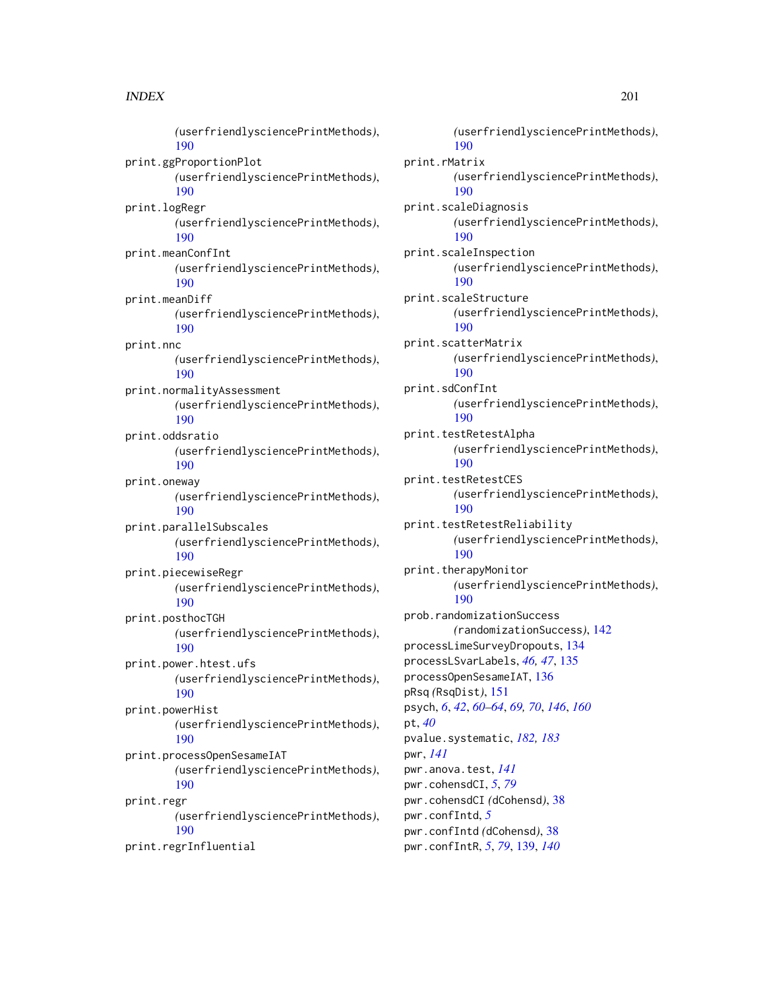#### $I$ NDEX 201

*(*userfriendlysciencePrintMethods*)*, [190](#page-189-0) print.ggProportionPlot *(*userfriendlysciencePrintMethods*)*, [190](#page-189-0) print.logRegr *(*userfriendlysciencePrintMethods*)*, [190](#page-189-0) print.meanConfInt *(*userfriendlysciencePrintMethods*)*, [190](#page-189-0) print.meanDiff *(*userfriendlysciencePrintMethods*)*, [190](#page-189-0) print.nnc *(*userfriendlysciencePrintMethods*)*, [190](#page-189-0) print.normalityAssessment *(*userfriendlysciencePrintMethods*)*, [190](#page-189-0) print.oddsratio *(*userfriendlysciencePrintMethods*)*, [190](#page-189-0) print.oneway *(*userfriendlysciencePrintMethods*)*, [190](#page-189-0) print.parallelSubscales *(*userfriendlysciencePrintMethods*)*, [190](#page-189-0) print.piecewiseRegr *(*userfriendlysciencePrintMethods*)*, [190](#page-189-0) print.posthocTGH *(*userfriendlysciencePrintMethods*)*, [190](#page-189-0) print.power.htest.ufs *(*userfriendlysciencePrintMethods*)*, [190](#page-189-0) print.powerHist *(*userfriendlysciencePrintMethods*)*, [190](#page-189-0) print.processOpenSesameIAT *(*userfriendlysciencePrintMethods*)*, [190](#page-189-0) print.regr *(*userfriendlysciencePrintMethods*)*, [190](#page-189-0)

print.regrInfluential

*(*userfriendlysciencePrintMethods*)*, [190](#page-189-0) print.rMatrix *(*userfriendlysciencePrintMethods*)*, [190](#page-189-0) print.scaleDiagnosis *(*userfriendlysciencePrintMethods*)*, [190](#page-189-0) print.scaleInspection *(*userfriendlysciencePrintMethods*)*, [190](#page-189-0) print.scaleStructure *(*userfriendlysciencePrintMethods*)*, [190](#page-189-0) print.scatterMatrix *(*userfriendlysciencePrintMethods*)*, [190](#page-189-0) print.sdConfInt *(*userfriendlysciencePrintMethods*)*, [190](#page-189-0) print.testRetestAlpha *(*userfriendlysciencePrintMethods*)*, [190](#page-189-0) print.testRetestCES *(*userfriendlysciencePrintMethods*)*, [190](#page-189-0) print.testRetestReliability *(*userfriendlysciencePrintMethods*)*, [190](#page-189-0) print.therapyMonitor *(*userfriendlysciencePrintMethods*)*, [190](#page-189-0) prob.randomizationSuccess *(*randomizationSuccess*)*, [142](#page-141-0) processLimeSurveyDropouts, [134](#page-133-0) processLSvarLabels, *[46,](#page-45-0) [47](#page-46-0)*, [135](#page-134-0) processOpenSesameIAT, [136](#page-135-0) pRsq *(*RsqDist*)*, [151](#page-150-0) psych, *[6](#page-5-0)*, *[42](#page-41-0)*, *[60](#page-59-0)[–64](#page-63-0)*, *[69,](#page-68-0) [70](#page-69-0)*, *[146](#page-145-0)*, *[160](#page-159-0)* pt, *[40](#page-39-0)* pvalue.systematic, *[182,](#page-181-0) [183](#page-182-0)* pwr, *[141](#page-140-0)* pwr.anova.test, *[141](#page-140-0)* pwr.cohensdCI, *[5](#page-4-0)*, *[79](#page-78-0)* pwr.cohensdCI *(*dCohensd*)*, [38](#page-37-0) pwr.confIntd, *[5](#page-4-0)* pwr.confIntd *(*dCohensd*)*, [38](#page-37-0) pwr.confIntR, *[5](#page-4-0)*, *[79](#page-78-0)*, [139,](#page-138-0) *[140](#page-139-0)*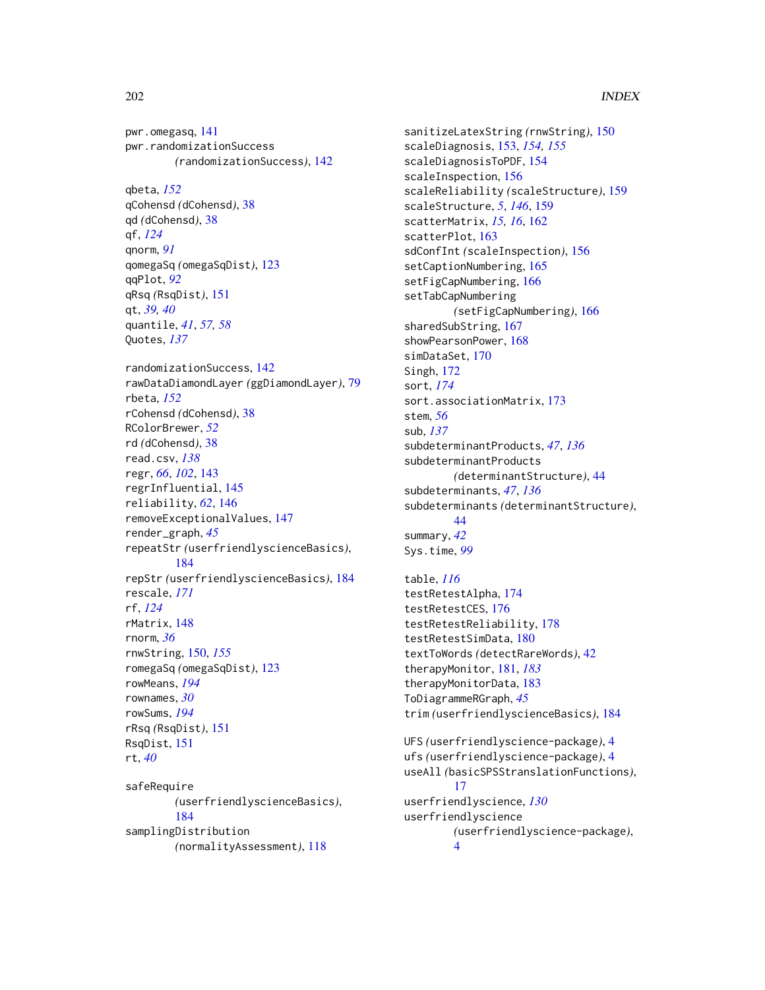pwr.omegasq, [141](#page-140-0) pwr.randomizationSuccess *(*randomizationSuccess*)*, [142](#page-141-0) qbeta, *[152](#page-151-0)* qCohensd *(*dCohensd*)*, [38](#page-37-0) qd *(*dCohensd*)*, [38](#page-37-0) qf, *[124](#page-123-0)* qnorm, *[91](#page-90-0)* qomegaSq *(*omegaSqDist*)*, [123](#page-122-0) qqPlot, *[92](#page-91-0)* qRsq *(*RsqDist*)*, [151](#page-150-0) qt, *[39,](#page-38-0) [40](#page-39-0)* quantile, *[41](#page-40-0)*, *[57,](#page-56-0) [58](#page-57-0)* Quotes, *[137](#page-136-0)* randomizationSuccess, [142](#page-141-0) rawDataDiamondLayer *(*ggDiamondLayer*)*, [79](#page-78-0) rbeta, *[152](#page-151-0)* rCohensd *(*dCohensd*)*, [38](#page-37-0) RColorBrewer, *[52](#page-51-0)* rd *(*dCohensd*)*, [38](#page-37-0) read.csv, *[138](#page-137-0)* regr, *[66](#page-65-0)*, *[102](#page-101-0)*, [143](#page-142-0) regrInfluential, [145](#page-144-0) reliability, *[62](#page-61-0)*, [146](#page-145-0) removeExceptionalValues, [147](#page-146-0) render\_graph, *[45](#page-44-0)* repeatStr *(*userfriendlyscienceBasics*)*, [184](#page-183-1) repStr *(*userfriendlyscienceBasics*)*, [184](#page-183-1) rescale, *[171](#page-170-0)* rf, *[124](#page-123-0)* rMatrix, [148](#page-147-0) rnorm, *[36](#page-35-0)* rnwString, [150,](#page-149-0) *[155](#page-154-0)* romegaSq *(*omegaSqDist*)*, [123](#page-122-0) rowMeans, *[194](#page-193-0)* rownames, *[30](#page-29-0)* rowSums, *[194](#page-193-0)* rRsq *(*RsqDist*)*, [151](#page-150-0) RsqDist, [151](#page-150-0) rt, *[40](#page-39-0)* safeRequire *(*userfriendlyscienceBasics*)*, [184](#page-183-1) samplingDistribution *(*normalityAssessment*)*, [118](#page-117-0)

sanitizeLatexString *(*rnwString*)*, [150](#page-149-0) scaleDiagnosis, [153,](#page-152-0) *[154,](#page-153-0) [155](#page-154-0)* scaleDiagnosisToPDF, [154](#page-153-0) scaleInspection, [156](#page-155-0) scaleReliability *(*scaleStructure*)*, [159](#page-158-0) scaleStructure, *[5](#page-4-0)*, *[146](#page-145-0)*, [159](#page-158-0) scatterMatrix, *[15,](#page-14-0) [16](#page-15-0)*, [162](#page-161-0) scatterPlot, [163](#page-162-0) sdConfInt *(*scaleInspection*)*, [156](#page-155-0) setCaptionNumbering, [165](#page-164-0) setFigCapNumbering, [166](#page-165-0) setTabCapNumbering *(*setFigCapNumbering*)*, [166](#page-165-0) sharedSubString, [167](#page-166-0) showPearsonPower, [168](#page-167-0) simDataSet, [170](#page-169-0) Singh, [172](#page-171-0) sort, *[174](#page-173-0)* sort.associationMatrix, [173](#page-172-0) stem, *[56](#page-55-0)* sub, *[137](#page-136-0)* subdeterminantProducts, *[47](#page-46-0)*, *[136](#page-135-0)* subdeterminantProducts *(*determinantStructure*)*, [44](#page-43-0) subdeterminants, *[47](#page-46-0)*, *[136](#page-135-0)* subdeterminants *(*determinantStructure*)*, [44](#page-43-0) summary, *[42](#page-41-0)* Sys.time, *[99](#page-98-0)* table, *[116](#page-115-0)* testRetestAlpha, [174](#page-173-0) testRetestCES, [176](#page-175-0) testRetestReliability, [178](#page-177-0) testRetestSimData, [180](#page-179-0) textToWords *(*detectRareWords*)*, [42](#page-41-0)

therapyMonitor, [181,](#page-180-1) *[183](#page-182-0)* therapyMonitorData, [183](#page-182-0) ToDiagrammeRGraph, *[45](#page-44-0)* trim *(*userfriendlyscienceBasics*)*, [184](#page-183-1) UFS *(*userfriendlyscience-package*)*, [4](#page-3-0) ufs *(*userfriendlyscience-package*)*, [4](#page-3-0) useAll *(*basicSPSStranslationFunctions*)*, [17](#page-16-1) userfriendlyscience, *[130](#page-129-0)* userfriendlyscience *(*userfriendlyscience-package*)*, [4](#page-3-0)